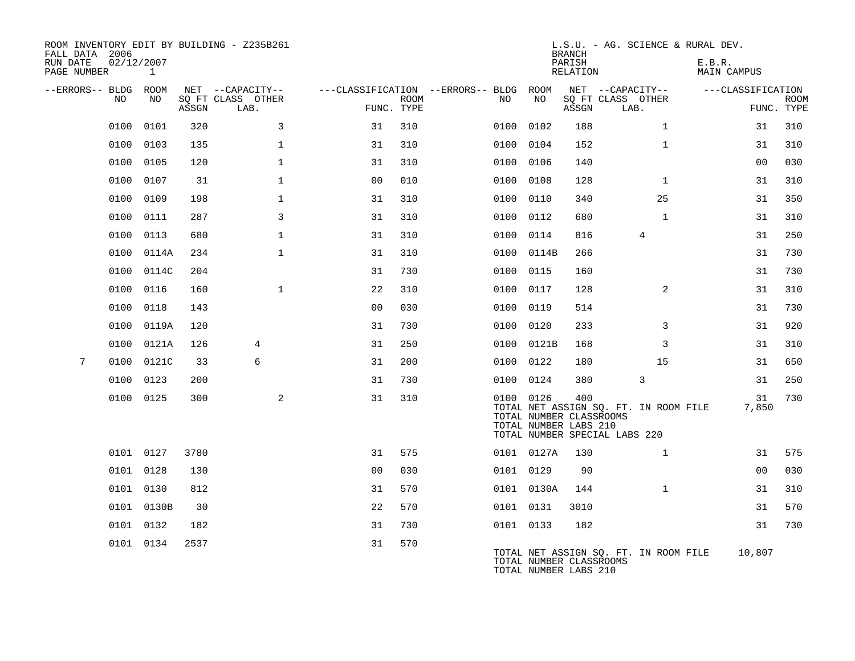| ROOM INVENTORY EDIT BY BUILDING - Z235B261<br>FALL DATA 2006<br>RUN DATE | 02/12/2007 |       |       |                                       |                |            |                                              |            | <b>BRANCH</b><br>PARISH                                 | L.S.U. - AG. SCIENCE & RURAL DEV.                                      | E.B.R.             |             |
|--------------------------------------------------------------------------|------------|-------|-------|---------------------------------------|----------------|------------|----------------------------------------------|------------|---------------------------------------------------------|------------------------------------------------------------------------|--------------------|-------------|
| PAGE NUMBER                                                              |            | 1     |       |                                       |                |            |                                              |            | RELATION                                                |                                                                        | <b>MAIN CAMPUS</b> |             |
| --ERRORS-- BLDG ROOM                                                     | NO         | NO    |       | NET --CAPACITY--<br>SQ FT CLASS OTHER |                | ROOM       | ---CLASSIFICATION --ERRORS-- BLDG ROOM<br>NO | NO         |                                                         | NET --CAPACITY--<br>SQ FT CLASS OTHER                                  | ---CLASSIFICATION  | <b>ROOM</b> |
|                                                                          |            |       | ASSGN | LAB.                                  |                | FUNC. TYPE |                                              |            | ASSGN                                                   | LAB.                                                                   |                    | FUNC. TYPE  |
|                                                                          | 0100       | 0101  | 320   | 3                                     | 31             | 310        |                                              | 0100 0102  | 188                                                     | $\mathbf{1}$                                                           | 31                 | 310         |
|                                                                          | 0100       | 0103  | 135   | $\mathbf{1}$                          | 31             | 310        | 0100                                         | 0104       | 152                                                     | $\mathbf{1}$                                                           | 31                 | 310         |
|                                                                          | 0100 0105  |       | 120   | $\mathbf 1$                           | 31             | 310        |                                              | 0100 0106  | 140                                                     |                                                                        | 00                 | 030         |
|                                                                          | 0100       | 0107  | 31    | $\mathbf{1}$                          | 0 <sub>0</sub> | 010        | 0100                                         | 0108       | 128                                                     | $\mathbf{1}$                                                           | 31                 | 310         |
|                                                                          | 0100       | 0109  | 198   | $\mathbf{1}$                          | 31             | 310        |                                              | 0100 0110  | 340                                                     | 25                                                                     | 31                 | 350         |
|                                                                          | 0100       | 0111  | 287   | $\overline{3}$                        | 31             | 310        |                                              | 0100 0112  | 680                                                     | $\mathbf{1}$                                                           | 31                 | 310         |
|                                                                          | 0100       | 0113  | 680   | $\mathbf 1$                           | 31             | 310        |                                              | 0100 0114  | 816                                                     | 4                                                                      | 31                 | 250         |
|                                                                          | 0100       | 0114A | 234   | $\mathbf 1$                           | 31             | 310        | 0100                                         | 0114B      | 266                                                     |                                                                        | 31                 | 730         |
|                                                                          | 0100       | 0114C | 204   |                                       | 31             | 730        |                                              | 0100 0115  | 160                                                     |                                                                        | 31                 | 730         |
|                                                                          | 0100       | 0116  | 160   | $\mathbf{1}$                          | 22             | 310        |                                              | 0100 0117  | 128                                                     | 2                                                                      | 31                 | 310         |
|                                                                          | 0100       | 0118  | 143   |                                       | 0 <sub>0</sub> | 030        |                                              | 0100 0119  | 514                                                     |                                                                        | 31                 | 730         |
|                                                                          | 0100       | 0119A | 120   |                                       | 31             | 730        |                                              | 0100 0120  | 233                                                     | 3                                                                      | 31                 | 920         |
|                                                                          | 0100       | 0121A | 126   | 4                                     | 31             | 250        |                                              | 0100 0121B | 168                                                     | 3                                                                      | 31                 | 310         |
| 7                                                                        | 0100 0121C |       | 33    | 6                                     | 31             | 200        |                                              | 0100 0122  | 180                                                     | 15                                                                     | 31                 | 650         |
|                                                                          | 0100 0123  |       | 200   |                                       | 31             | 730        |                                              | 0100 0124  | 380                                                     | 3                                                                      | 31                 | 250         |
|                                                                          | 0100 0125  |       | 300   | 2                                     | 31             | 310        |                                              | 0100 0126  | 400<br>TOTAL NUMBER CLASSROOMS<br>TOTAL NUMBER LABS 210 | TOTAL NET ASSIGN SQ. FT. IN ROOM FILE<br>TOTAL NUMBER SPECIAL LABS 220 | 31<br>7,850        | 730         |
|                                                                          | 0101 0127  |       | 3780  |                                       | 31             | 575        |                                              | 0101 0127A | 130                                                     | $\mathbf{1}$                                                           | 31                 | 575         |
|                                                                          | 0101 0128  |       | 130   |                                       | 0 <sub>0</sub> | 030        |                                              | 0101 0129  | 90                                                      |                                                                        | 0 <sub>0</sub>     | 030         |
|                                                                          | 0101 0130  |       | 812   |                                       | 31             | 570        |                                              | 0101 0130A | 144                                                     | $\mathbf{1}$                                                           | 31                 | 310         |
|                                                                          | 0101 0130B |       | 30    |                                       | 22             | 570        |                                              | 0101 0131  | 3010                                                    |                                                                        | 31                 | 570         |
|                                                                          | 0101 0132  |       | 182   |                                       | 31             | 730        |                                              | 0101 0133  | 182                                                     |                                                                        | 31                 | 730         |
|                                                                          | 0101 0134  |       | 2537  |                                       | 31             | 570        |                                              |            | TOTAL NUMBER CLASSROOMS<br>TOTAL NUMBER LABS 210        | TOTAL NET ASSIGN SQ. FT. IN ROOM FILE                                  | 10,807             |             |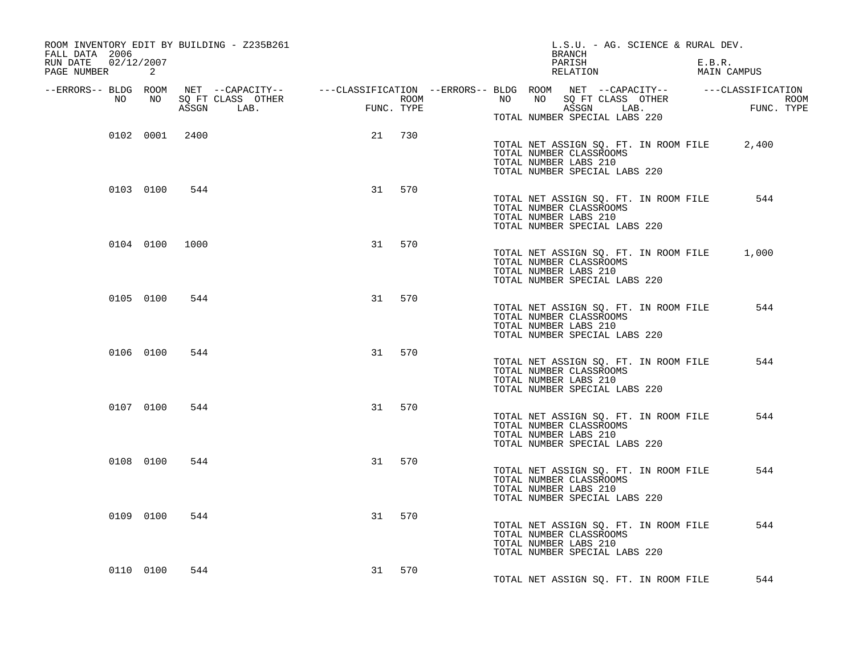| ROOM INVENTORY EDIT BY BUILDING - Z235B261<br>FALL DATA 2006 |           |                |    |        | L.S.U. - AG. SCIENCE & RURAL DEV.<br>BRANCH                                                                                                                                                                                                                  |                       |
|--------------------------------------------------------------|-----------|----------------|----|--------|--------------------------------------------------------------------------------------------------------------------------------------------------------------------------------------------------------------------------------------------------------------|-----------------------|
| RUN DATE 02/12/2007<br>PAGE NUMBER 2                         |           |                |    |        | PARISH<br>RELATION                                                                                                                                                                                                                                           | E.B.R.<br>MAIN CAMPUS |
|                                                              |           |                |    |        | ERRORS-- BLDG ROOM NET --CAPACITY--- --CLASSIFICATION --ERRORS-- BLDG ROOM NET --CAPACITY--------------------<br>NO NO SQ FT CLASS OTHER ROOM ROOM NO SQ FT CLASS OTHER ROOM ROOM ROOM NO SQ FT CLASS OTHER ROOM ASSGN LAB.<br>TOTAL NUMBER SPECIAL LABS 220 |                       |
|                                                              |           | 0102 0001 2400 |    | 21 730 | TOTAL NET ASSIGN SQ. FT. IN ROOM FILE<br>TOTAL NUMBER CLASSROOMS<br>TOTAL NUMBER LABS 210<br>TOTAL NUMBER SPECIAL LABS 220                                                                                                                                   | 2,400                 |
|                                                              |           | 0103 0100 544  |    | 31 570 | TOTAL NET ASSIGN SQ. FT. IN ROOM FILE<br>TOTAL NUMBER CLASSROOMS<br>TOTAL NUMBER LABS 210<br>TOTAL NUMBER SPECIAL LABS 220                                                                                                                                   | 544                   |
|                                                              |           | 0104 0100 1000 |    | 31 570 | TOTAL NET ASSIGN SQ. FT. IN ROOM FILE<br>TOTAL NUMBER CLASSROOMS<br>TOTAL NUMBER LABS 210<br>TOTAL NUMBER SPECIAL LABS 220                                                                                                                                   | 1,000                 |
|                                                              | 0105 0100 | 544            | 31 | 570    | TOTAL NET ASSIGN SO. FT. IN ROOM FILE<br>TOTAL NUMBER CLASSROOMS<br>TOTAL NUMBER LABS 210<br>TOTAL NUMBER SPECIAL LABS 220                                                                                                                                   | 544                   |
| 0106 0100                                                    |           | 544            | 31 | 570    | TOTAL NET ASSIGN SQ. FT. IN ROOM FILE<br>TOTAL NUMBER CLASSROOMS<br>TOTAL NUMBER LABS 210<br>TOTAL NUMBER SPECIAL LABS 220                                                                                                                                   | 544                   |
|                                                              | 0107 0100 | 544            | 31 | 570    | TOTAL NET ASSIGN SQ. FT. IN ROOM FILE<br>TOTAL NUMBER CLASSROOMS<br>TOTAL NUMBER LABS 210<br>TOTAL NUMBER SPECIAL LABS 220                                                                                                                                   | 544                   |
| 0108 0100                                                    |           | 544            | 31 | 570    | TOTAL NET ASSIGN SQ. FT. IN ROOM FILE<br>TOTAL NUMBER CLASSROOMS<br>TOTAL NUMBER LABS 210<br>TOTAL NUMBER SPECIAL LABS 220                                                                                                                                   | 544                   |
|                                                              | 0109 0100 | 544            | 31 | 570    | TOTAL NET ASSIGN SQ. FT. IN ROOM FILE<br>TOTAL NUMBER CLASSROOMS<br>TOTAL NUMBER LABS 210<br>TOTAL NUMBER SPECIAL LABS 220                                                                                                                                   | 544                   |
| 0110 0100                                                    |           | 544            |    | 31 570 | TOTAL NET ASSIGN SQ. FT. IN ROOM FILE                                                                                                                                                                                                                        | 544                   |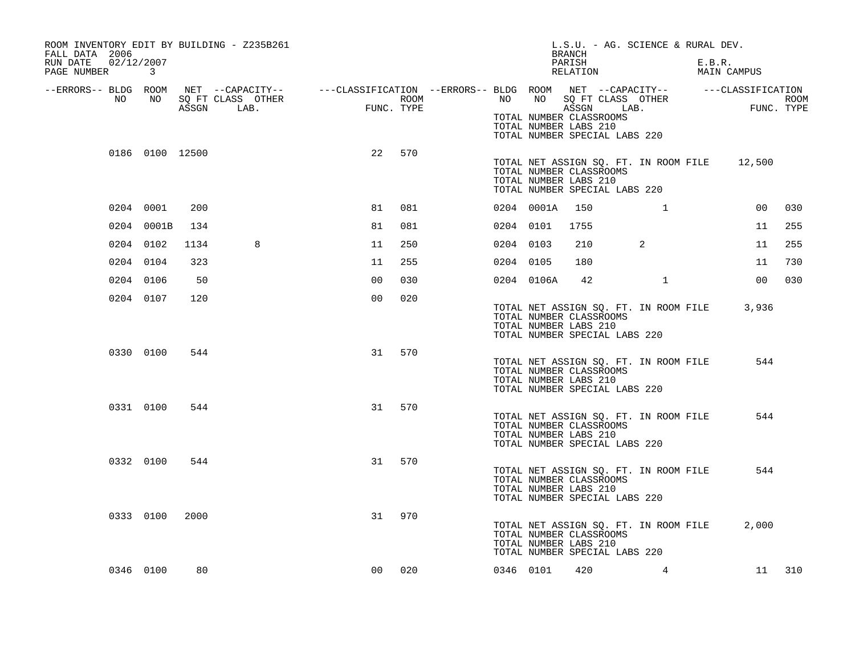| ROOM INVENTORY EDIT BY BUILDING - Z235B261<br>FALL DATA 2006<br>02/12/2007<br>RUN DATE |            |                 |                                                                                                                                                       |                |                    |           |            | L.S.U. - AG. SCIENCE & RURAL DEV.<br><b>BRANCH</b><br>PARISH                                                                      |              | E.B.R. |             |        |
|----------------------------------------------------------------------------------------|------------|-----------------|-------------------------------------------------------------------------------------------------------------------------------------------------------|----------------|--------------------|-----------|------------|-----------------------------------------------------------------------------------------------------------------------------------|--------------|--------|-------------|--------|
| PAGE NUMBER                                                                            | $\sim$ 3   |                 |                                                                                                                                                       |                |                    |           |            | RELATION                                                                                                                          |              |        | MAIN CAMPUS |        |
| --ERRORS-- BLDG ROOM<br>NO                                                             | NO 11      |                 | NET --CAPACITY--    ---CLASSIFICATION --ERRORS-- BLDG ROOM NET --CAPACITY--    ---CLASSIFICATION<br>NET --CHINALITY<br>SQ FT CLASS OTHER<br>ACCON LAR |                | ROOM<br>FUNC. TYPE |           |            | NO NO SQ FT CLASS OTHER                                                                                                           |              |        | FUNC. TYPE  | ROOM   |
|                                                                                        |            |                 |                                                                                                                                                       |                |                    |           |            | ASSGN LAB.<br>TOTAL NUMBER CLASSROOMS<br>TOTAL NUMBER LABS 210<br>TOTAL NUMBER SPECIAL LABS 220                                   |              |        |             |        |
|                                                                                        |            | 0186 0100 12500 |                                                                                                                                                       | 22             | 570                |           |            | TOTAL NET ASSIGN SQ. FT. IN ROOM FILE 12,500<br>TOTAL NUMBER CLASSROOMS<br>TOTAL NUMBER LABS 210<br>TOTAL NUMBER SPECIAL LABS 220 |              |        |             |        |
|                                                                                        | 0204 0001  | 200             |                                                                                                                                                       | 81             | 081                |           | 0204 0001A | 150                                                                                                                               | $\mathbf{1}$ |        | 00          | 030    |
|                                                                                        | 0204 0001B | 134             |                                                                                                                                                       | 81             | 081                | 0204 0101 |            | 1755                                                                                                                              |              |        | 11          | 255    |
| 0204 0102                                                                              |            | 1134            | 8                                                                                                                                                     | 11             | 250                | 0204 0103 |            | 210                                                                                                                               | 2            |        | 11          | 255    |
| 0204 0104                                                                              |            | 323             |                                                                                                                                                       | 11             | 255                | 0204 0105 |            | 180                                                                                                                               |              |        | 11          | 730    |
| 0204 0106                                                                              |            | 50              |                                                                                                                                                       | 0 <sub>0</sub> | 030                |           | 0204 0106A | 42                                                                                                                                | $\mathbf{1}$ |        | 00          | 030    |
|                                                                                        | 0204 0107  | 120             |                                                                                                                                                       | 0 <sub>0</sub> | 020                |           |            | TOTAL NET ASSIGN SQ. FT. IN ROOM FILE<br>TOTAL NUMBER CLASSROOMS<br>TOTAL NUMBER LABS 210<br>TOTAL NUMBER SPECIAL LABS 220        |              |        | 3,936       |        |
|                                                                                        | 0330 0100  | 544             |                                                                                                                                                       | 31             | 570                |           |            | TOTAL NET ASSIGN SQ. FT. IN ROOM FILE<br>TOTAL NUMBER CLASSROOMS<br>TOTAL NUMBER LABS 210<br>TOTAL NUMBER SPECIAL LABS 220        |              |        | 544         |        |
|                                                                                        | 0331 0100  | 544             |                                                                                                                                                       | 31             | 570                |           |            | TOTAL NET ASSIGN SQ. FT. IN ROOM FILE<br>TOTAL NUMBER CLASSROOMS<br>TOTAL NUMBER LABS 210<br>TOTAL NUMBER SPECIAL LABS 220        |              |        | 544         |        |
|                                                                                        | 0332 0100  | 544             |                                                                                                                                                       | 31             | 570                |           |            | TOTAL NET ASSIGN SQ. FT. IN ROOM FILE<br>TOTAL NUMBER CLASSROOMS<br>TOTAL NUMBER LABS 210<br>TOTAL NUMBER SPECIAL LABS 220        |              |        | 544         |        |
|                                                                                        | 0333 0100  | 2000            |                                                                                                                                                       | 31             | 970                |           |            | TOTAL NET ASSIGN SQ. FT. IN ROOM FILE<br>TOTAL NUMBER CLASSROOMS<br>TOTAL NUMBER LABS 210<br>TOTAL NUMBER SPECIAL LABS 220        |              |        | 2,000       |        |
|                                                                                        | 0346 0100  | 80              |                                                                                                                                                       | 00             | 020                |           | 0346 0101  | 420                                                                                                                               | 4            |        |             | 11 310 |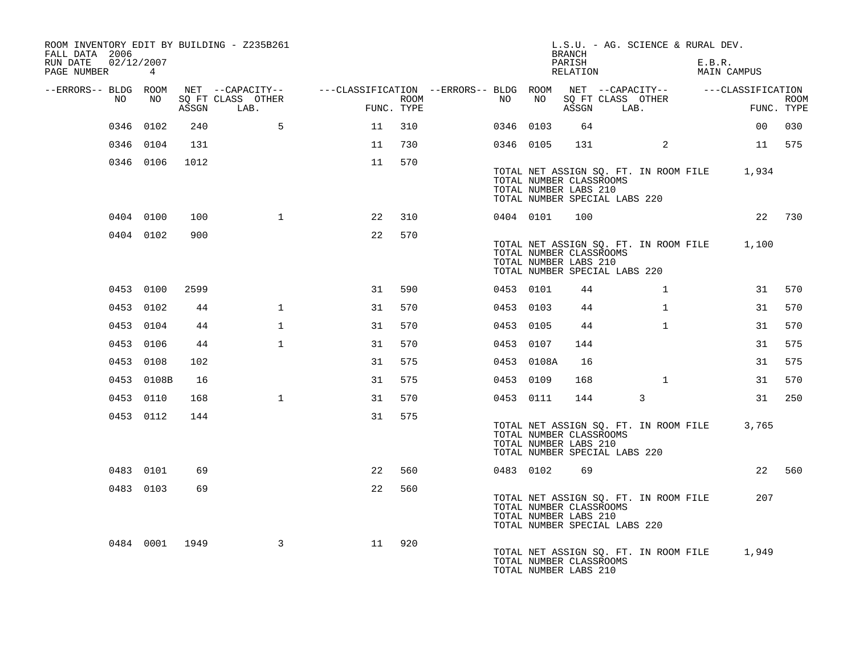| ROOM INVENTORY EDIT BY BUILDING - Z235B261<br>FALL DATA 2006 |                |       |                           |                                                                                                              |      |           |            | <b>BRANCH</b>                                                                     |            | L.S.U. - AG. SCIENCE & RURAL DEV.     |        |                                             |                    |
|--------------------------------------------------------------|----------------|-------|---------------------------|--------------------------------------------------------------------------------------------------------------|------|-----------|------------|-----------------------------------------------------------------------------------|------------|---------------------------------------|--------|---------------------------------------------|--------------------|
| RUN DATE<br>PAGE NUMBER 4                                    | 02/12/2007     |       |                           |                                                                                                              |      |           |            | PARISH<br>RELATION                                                                |            |                                       | E.B.R. | MAIN CAMPUS                                 |                    |
| --ERRORS-- BLDG ROOM<br>NO                                   | NO             | ASSGN | SQ FT CLASS OTHER<br>LAB. | NET --CAPACITY-- - ---CLASSIFICATION --ERRORS-- BLDG ROOM NET --CAPACITY-- - ---CLASSIFICATION<br>FUNC. TYPE | ROOM | NO .      |            | NO SQ FT CLASS OTHER                                                              | ASSGN LAB. |                                       |        |                                             | ROOM<br>FUNC. TYPE |
|                                                              | 0346 0102      | 240   | 5                         | 11                                                                                                           | 310  |           | 0346 0103  | 64                                                                                |            |                                       |        | 0 <sub>0</sub>                              | 030                |
|                                                              | 0346 0104      | 131   |                           | 11                                                                                                           | 730  |           | 0346 0105  |                                                                                   |            | $\overline{2}$                        |        |                                             | 11 575             |
|                                                              | 0346 0106      | 1012  |                           | 11                                                                                                           | 570  |           |            | TOTAL NUMBER CLASSROOMS<br>TOTAL NUMBER LABS 210<br>TOTAL NUMBER SPECIAL LABS 220 |            |                                       |        | TOTAL NET ASSIGN SQ. FT. IN ROOM FILE 1,934 |                    |
|                                                              | 0404 0100      | 100   | $\mathbf{1}$              | 22                                                                                                           | 310  |           | 0404 0101  | 100                                                                               |            |                                       |        |                                             | 22 730             |
|                                                              | 0404 0102      | 900   |                           | 22                                                                                                           | 570  |           |            | TOTAL NUMBER CLASSROOMS<br>TOTAL NUMBER LABS 210<br>TOTAL NUMBER SPECIAL LABS 220 |            |                                       |        | TOTAL NET ASSIGN SQ. FT. IN ROOM FILE 1,100 |                    |
|                                                              | 0453 0100      | 2599  |                           | 31                                                                                                           | 590  |           | 0453 0101  | 44                                                                                |            | $\mathbf{1}$                          |        |                                             | 31 570             |
|                                                              | 0453 0102      | 44    | $\mathbf{1}$              | 31                                                                                                           | 570  | 0453 0103 |            | 44                                                                                |            | $\mathbf{1}$                          |        | 31                                          | 570                |
|                                                              | 0453 0104      | 44    | $\mathbf{1}$              | 31                                                                                                           | 570  | 0453 0105 |            | 44                                                                                |            | $\mathbf{1}$                          |        | 31                                          | 570                |
|                                                              | 0453 0106      | 44    | $\mathbf{1}$              | 31                                                                                                           | 570  | 0453 0107 |            | 144                                                                               |            |                                       |        | 31                                          | 575                |
|                                                              | 0453 0108      | 102   |                           | 31                                                                                                           | 575  |           | 0453 0108A | 16                                                                                |            |                                       |        | 31                                          | 575                |
|                                                              | 0453 0108B     | 16    |                           | 31                                                                                                           | 575  | 0453 0109 |            | 168                                                                               |            | $\mathbf{1}$                          |        | 31                                          | 570                |
|                                                              | 0453 0110      | 168   | $\mathbf{1}$              | 31                                                                                                           | 570  |           | 0453 0111  | 144                                                                               |            | 3                                     |        | 31                                          | 250                |
|                                                              | 0453 0112      | 144   |                           | 31                                                                                                           | 575  |           |            | TOTAL NUMBER CLASSROOMS<br>TOTAL NUMBER LABS 210<br>TOTAL NUMBER SPECIAL LABS 220 |            |                                       |        | TOTAL NET ASSIGN SQ. FT. IN ROOM FILE 3,765 |                    |
|                                                              | 0483 0101      | 69    |                           | 22                                                                                                           | 560  |           | 0483 0102  | 69                                                                                |            |                                       |        |                                             | 22 560             |
|                                                              | 0483 0103      | 69    |                           | 22                                                                                                           | 560  |           |            | TOTAL NUMBER CLASSROOMS<br>TOTAL NUMBER LABS 210<br>TOTAL NUMBER SPECIAL LABS 220 |            | TOTAL NET ASSIGN SQ. FT. IN ROOM FILE |        | 207                                         |                    |
|                                                              | 0484 0001 1949 |       | $\mathbf{3}$              | 11                                                                                                           | 920  |           |            | TOTAL NUMBER CLASSROOMS<br>TOTAL NUMBER LABS 210                                  |            |                                       |        | TOTAL NET ASSIGN SQ. FT. IN ROOM FILE 1,949 |                    |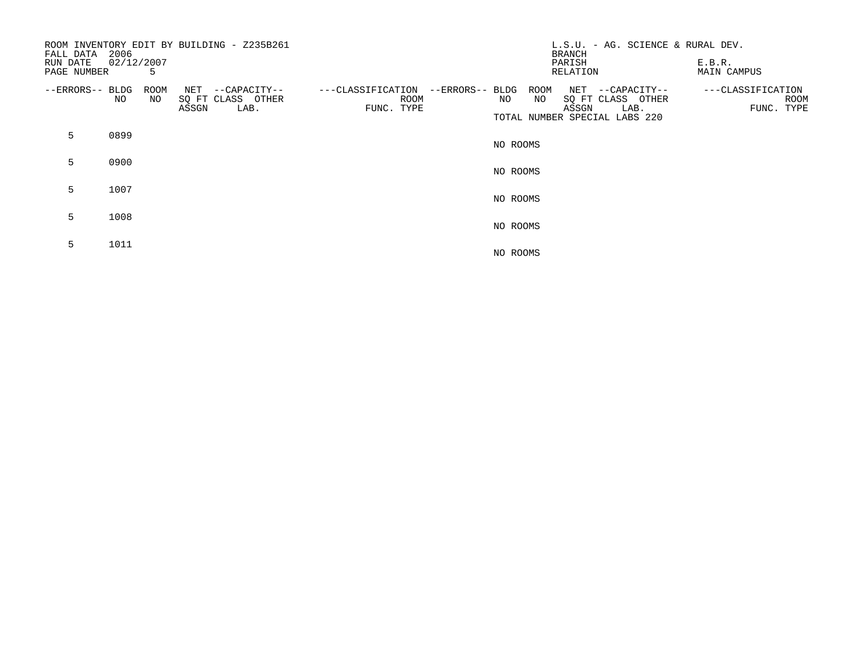| FALL DATA<br>RUN DATE<br>PAGE NUMBER | 2006<br>02/12/2007 | 5          | ROOM INVENTORY EDIT BY BUILDING - Z235B261             |                                         |                 |                   | L.S.U. - AG. SCIENCE & RURAL DEV.<br><b>BRANCH</b><br>PARISH<br>RELATION                | E.B.R.<br>MAIN CAMPUS                   |
|--------------------------------------|--------------------|------------|--------------------------------------------------------|-----------------------------------------|-----------------|-------------------|-----------------------------------------------------------------------------------------|-----------------------------------------|
| --ERRORS-- BLDG                      | NO                 | ROOM<br>NO | NET --CAPACITY--<br>SQ FT CLASS OTHER<br>ASSGN<br>LAB. | ---CLASSIFICATION<br>ROOM<br>FUNC. TYPE | --ERRORS-- BLDG | ROOM<br>NO.<br>NO | NET --CAPACITY--<br>SQ FT CLASS OTHER<br>ASSGN<br>LAB.<br>TOTAL NUMBER SPECIAL LABS 220 | ---CLASSIFICATION<br>ROOM<br>FUNC. TYPE |
| 5                                    | 0899               |            |                                                        |                                         |                 | NO ROOMS          |                                                                                         |                                         |
| 5                                    | 0900               |            |                                                        |                                         |                 | NO ROOMS          |                                                                                         |                                         |
| 5                                    | 1007               |            |                                                        |                                         |                 | NO ROOMS          |                                                                                         |                                         |
| 5                                    | 1008               |            |                                                        |                                         |                 | NO ROOMS          |                                                                                         |                                         |
| 5                                    | 1011               |            |                                                        |                                         |                 | NO ROOMS          |                                                                                         |                                         |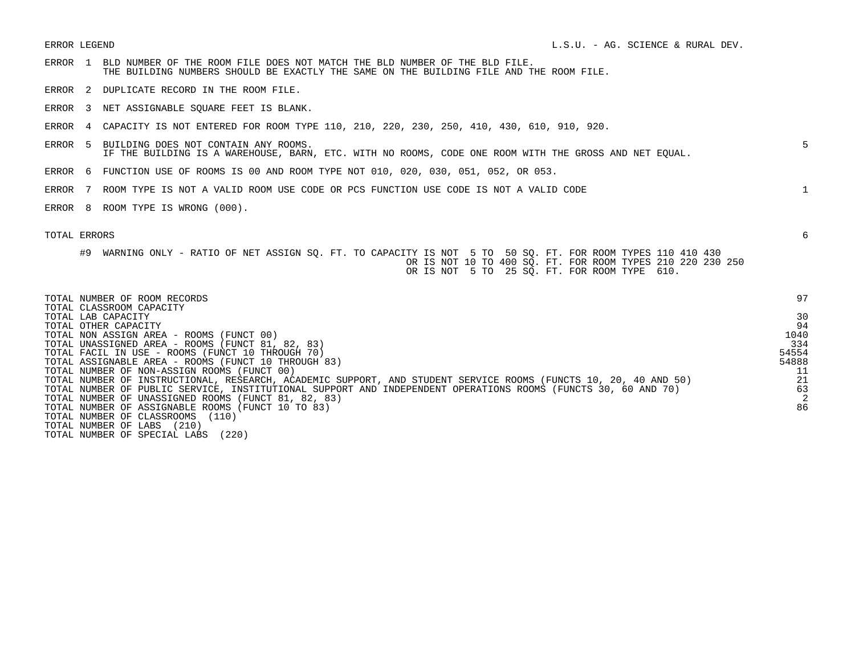- ERROR 1 BLD NUMBER OF THE ROOM FILE DOES NOT MATCH THE BLD NUMBER OF THE BLD FILE. THE BUILDING NUMBERS SHOULD BE EXACTLY THE SAME ON THE BUILDING FILE AND THE ROOM FILE.
- ERROR 2 DUPLICATE RECORD IN THE ROOM FILE.
- ERROR 3 NET ASSIGNABLE SQUARE FEET IS BLANK.
- ERROR 4 CAPACITY IS NOT ENTERED FOR ROOM TYPE 110, 210, 220, 230, 250, 410, 430, 610, 910, 920.
- ERROR 5 BUILDING DOES NOT CONTAIN ANY ROOMS. 5 IF THE BUILDING IS A WAREHOUSE, BARN, ETC. WITH NO ROOMS, CODE ONE ROOM WITH THE GROSS AND NET EQUAL.
- ERROR 6 FUNCTION USE OF ROOMS IS 00 AND ROOM TYPE NOT 010, 020, 030, 051, 052, OR 053.
- ERROR 7 ROOM TYPE IS NOT A VALID ROOM USE CODE OR PCS FUNCTION USE CODE IS NOT A VALID CODE 1
- ERROR 8 ROOM TYPE IS WRONG (000).

## TOTAL ERRORS 6

#9 WARNING ONLY - RATIO OF NET ASSIGN SQ. FT. TO CAPACITY IS NOT 5 TO 50 SQ. FT. FOR ROOM TYPES 110 410 430 OR IS NOT 10 TO 400 SQ. FT. FOR ROOM TYPES 210 220 230 250 OR IS NOT 5 TO 25 SQ. FT. FOR ROOM TYPE 610.

| TOTAL NUMBER OF ROOM RECORDS                                                                                    | 97    |
|-----------------------------------------------------------------------------------------------------------------|-------|
| TOTAL CLASSROOM CAPACITY                                                                                        |       |
| TOTAL LAB CAPACITY                                                                                              | 30    |
| TOTAL OTHER CAPACITY                                                                                            | 94    |
| TOTAL NON ASSIGN AREA - ROOMS (FUNCT 00)                                                                        | 1040  |
| TOTAL UNASSIGNED AREA - ROOMS (FUNCT 81, 82, 83)                                                                | 334   |
| TOTAL FACIL IN USE - ROOMS (FUNCT 10 THROUGH 70)                                                                | 54554 |
| TOTAL ASSIGNABLE AREA - ROOMS (FUNCT 10 THROUGH 83)                                                             | 54888 |
| TOTAL NUMBER OF NON-ASSIGN ROOMS (FUNCT 00)                                                                     | 11    |
| TOTAL NUMBER OF INSTRUCTIONAL, RESEARCH, ACADEMIC SUPPORT, AND STUDENT SERVICE ROOMS (FUNCTS 10, 20, 40 AND 50) | 21    |
| TOTAL NUMBER OF PUBLIC SERVICE, INSTITUTIONAL SUPPORT AND INDEPENDENT OPERATIONS ROOMS (FUNCTS 30, 60 AND 70)   | 63    |
| TOTAL NUMBER OF UNASSIGNED ROOMS (FUNCT 81, 82, 83)                                                             |       |
| TOTAL NUMBER OF ASSIGNABLE ROOMS (FUNCT 10 TO 83)                                                               | 86    |
| TOTAL NUMBER OF CLASSROOMS<br>(110)                                                                             |       |
| TOTAL NUMBER OF LABS<br>(210)                                                                                   |       |
| (220)<br>TOTAL NUMBER OF SPECIAL LABS                                                                           |       |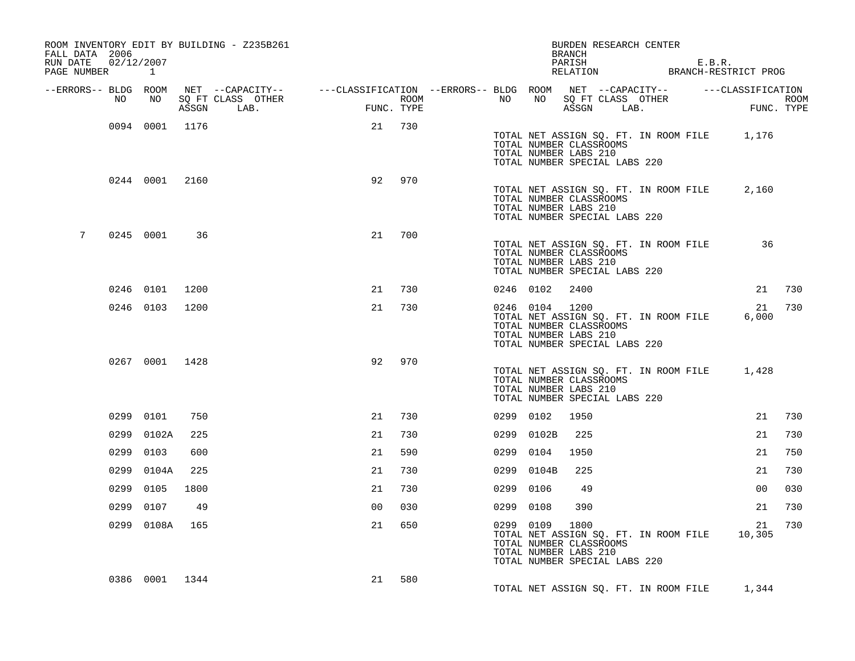| FALL DATA 2006                       |           |                |      | ROOM INVENTORY EDIT BY BUILDING - Z235B261                                                        |                 |            |      |                | BRANCH                                                                                              | BURDEN RESEARCH CENTER                |                                       |                                                |                    |
|--------------------------------------|-----------|----------------|------|---------------------------------------------------------------------------------------------------|-----------------|------------|------|----------------|-----------------------------------------------------------------------------------------------------|---------------------------------------|---------------------------------------|------------------------------------------------|--------------------|
| RUN DATE 02/12/2007<br>PAGE NUMBER 1 |           |                |      |                                                                                                   |                 |            |      |                |                                                                                                     |                                       |                                       | PARISH E.B.R.<br>RELATION BRANCH-RESTRICT PROG |                    |
| --ERRORS-- BLDG ROOM                 |           |                |      | NET --CAPACITY--    ---CLASSIFICATION --ERRORS-- BLDG ROOM  NET --CAPACITY--    ---CLASSIFICATION |                 |            |      |                |                                                                                                     |                                       |                                       |                                                |                    |
|                                      | NO        | NO 11          |      | SQ FT CLASS OTHER<br>ASSGN LAB.                                                                   | <b>EXECUTE:</b> | FUNC. TYPE | ROOM |                |                                                                                                     | NO NO SQ FT CLASS OTHER<br>ASSGN LAB. |                                       | <b>FUN</b>                                     | ROOM<br>FUNC. TYPE |
|                                      |           | 0094 0001 1176 |      |                                                                                                   | 21              | 730        |      |                | TOTAL NUMBER CLASSROOMS<br>TOTAL NUMBER LABS 210<br>TOTAL NUMBER SPECIAL LABS 220                   |                                       |                                       | TOTAL NET ASSIGN SQ. FT. IN ROOM FILE 1,176    |                    |
|                                      |           | 0244 0001 2160 |      |                                                                                                   | 92              | 970        |      |                | TOTAL NUMBER CLASSROOMS<br>TOTAL NUMBER LABS 210<br>TOTAL NUMBER SPECIAL LABS 220                   |                                       |                                       | TOTAL NET ASSIGN SQ. FT. IN ROOM FILE 2,160    |                    |
| $7\phantom{.0}$                      |           | 0245 0001      | 36   |                                                                                                   | 21              | 700        |      |                | TOTAL NUMBER CLASSROOMS<br>TOTAL NUMBER LABS 210<br>TOTAL NUMBER SPECIAL LABS 220                   |                                       |                                       | TOTAL NET ASSIGN SQ. FT. IN ROOM FILE 36       |                    |
|                                      |           | 0246 0101      | 1200 |                                                                                                   | 21              | 730        |      | 0246 0102      | 2400                                                                                                |                                       |                                       | 21                                             | 730                |
|                                      |           | 0246 0103 1200 |      |                                                                                                   | 21              | 730        |      |                | 0246 0104 1200<br>TOTAL NUMBER CLASSROOMS<br>TOTAL NUMBER LABS 210<br>TOTAL NUMBER SPECIAL LABS 220 |                                       | TOTAL NET ASSIGN SQ. FT. IN ROOM FILE | 21<br>6,000                                    | 730                |
|                                      |           | 0267 0001 1428 |      |                                                                                                   | 92              | 970        |      |                | TOTAL NUMBER CLASSROOMS<br>TOTAL NUMBER LABS 210<br>TOTAL NUMBER SPECIAL LABS 220                   |                                       |                                       | TOTAL NET ASSIGN SQ. FT. IN ROOM FILE 1,428    |                    |
|                                      |           | 0299 0101      | 750  |                                                                                                   | 21              | 730        |      | 0299 0102      | 1950                                                                                                |                                       |                                       | 21                                             | 730                |
|                                      |           | 0299 0102A     | 225  |                                                                                                   | 21              | 730        |      | 0299 0102B     | 225                                                                                                 |                                       |                                       | 21                                             | 730                |
|                                      | 0299 0103 |                | 600  |                                                                                                   | 21              | 590        |      | 0299 0104      | 1950                                                                                                |                                       |                                       | 21                                             | 750                |
|                                      |           | 0299 0104A     | 225  |                                                                                                   | 21              | 730        |      | 0299 0104B     | 225                                                                                                 |                                       |                                       | 21                                             | 730                |
|                                      |           | 0299 0105      | 1800 |                                                                                                   | 21              | 730        |      | 0299 0106      | 49                                                                                                  |                                       |                                       | 0 <sub>0</sub>                                 | 030                |
|                                      |           | 0299 0107      | 49   |                                                                                                   | 0 <sub>0</sub>  | 030        |      | 0299 0108      | 390                                                                                                 |                                       |                                       | 21                                             | 730                |
|                                      |           | 0299 0108A 165 |      |                                                                                                   | 21              | 650        |      | 0299 0109 1800 | TOTAL NUMBER CLASSROOMS<br>TOTAL NUMBER LABS 210<br>TOTAL NUMBER SPECIAL LABS 220                   |                                       | TOTAL NET ASSIGN SQ. FT. IN ROOM FILE | 21<br>10,305                                   | 730                |
|                                      |           | 0386 0001 1344 |      |                                                                                                   |                 | 21 580     |      |                |                                                                                                     |                                       |                                       | TOTAL NET ASSIGN SQ. FT. IN ROOM FILE 1,344    |                    |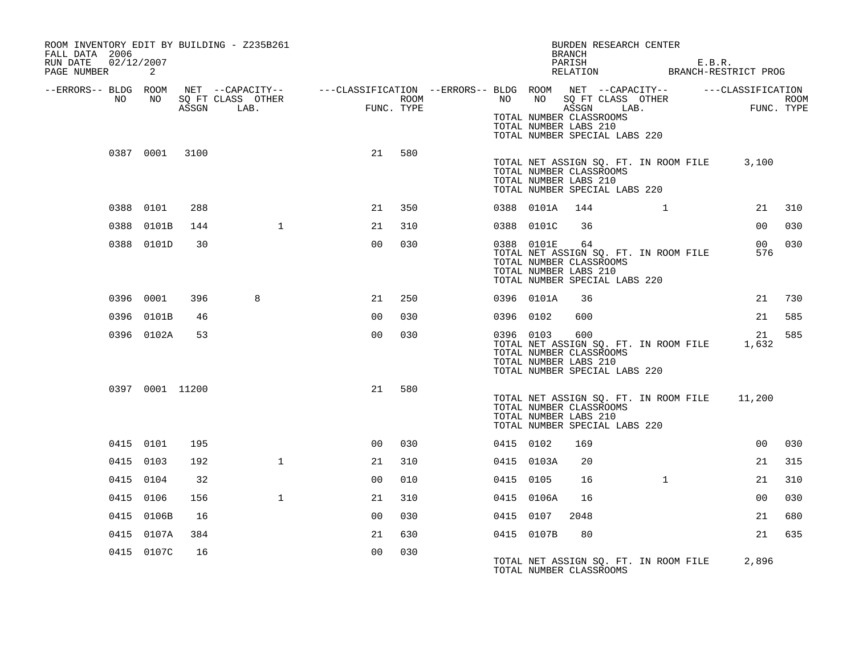| ROOM INVENTORY EDIT BY BUILDING - Z235B261<br>FALL DATA 2006<br>02/12/2007<br>RUN DATE |                 |      |                                                                                                |                                                                                                                                                                         |      |           |            | BURDEN RESEARCH CENTER<br><b>BRANCH</b><br>PARISH<br>PARISH E.B.R.<br>RELATION BRANCH-RESTRICT PROG                               |              | E.B.R. |                        |      |
|----------------------------------------------------------------------------------------|-----------------|------|------------------------------------------------------------------------------------------------|-------------------------------------------------------------------------------------------------------------------------------------------------------------------------|------|-----------|------------|-----------------------------------------------------------------------------------------------------------------------------------|--------------|--------|------------------------|------|
| PAGE NUMBER                                                                            | 2               |      |                                                                                                |                                                                                                                                                                         |      |           |            |                                                                                                                                   |              |        |                        |      |
| --ERRORS-- BLDG ROOM<br>NO                                                             | NO              |      | NET --CAPACITY-- ----CLASSIFICATION --ERRORS-- BLDG ROOM NET --CAPACITY--<br>SQ FT CLASS OTHER |                                                                                                                                                                         | ROOM | NO        |            | NO SQ FT CLASS OTHER                                                                                                              |              |        | ---CLASSIFICATION      | ROOM |
|                                                                                        |                 |      | ASSGN LAB.                                                                                     | enter<br>1990 - Personal Bartham Bartham<br>1990 - Personal Bartham Bartham Bartham Bartham Bartham Bartham Bartham Bartham Bartham Bartham Bartham Barth<br>FUNC. TYPE |      |           |            | ASSGN LAB.<br>TOTAL NUMBER CLASSROOMS<br>TOTAL NUMBER LABS 210<br>TOTAL NUMBER SPECIAL LABS 220                                   |              |        | FUNC. TYPE             |      |
|                                                                                        | 0387 0001       | 3100 |                                                                                                | 21                                                                                                                                                                      | 580  |           |            | TOTAL NET ASSIGN SQ. FT. IN ROOM FILE 3,100<br>TOTAL NUMBER CLASSROOMS<br>TOTAL NUMBER LABS 210<br>TOTAL NUMBER SPECIAL LABS 220  |              |        |                        |      |
|                                                                                        | 0388 0101       | 288  |                                                                                                | 21                                                                                                                                                                      | 350  |           | 0388 0101A | 144                                                                                                                               | $\mathbf{1}$ |        | 21                     | 310  |
|                                                                                        | 0388 0101B      | 144  | $\mathbf{1}$                                                                                   | 21                                                                                                                                                                      | 310  |           | 0388 0101C | 36                                                                                                                                |              |        | 00                     | 030  |
|                                                                                        | 0388 0101D      | 30   |                                                                                                | 0 <sup>0</sup>                                                                                                                                                          | 030  |           | 0388 0101E | 64<br>TOTAL NET ASSIGN SQ. FT. IN ROOM FILE<br>TOTAL NUMBER CLASSROOMS<br>TOTAL NUMBER LABS 210<br>TOTAL NUMBER SPECIAL LABS 220  |              |        | 00 <sup>1</sup><br>576 | 030  |
|                                                                                        | 0396 0001       | 396  | 8                                                                                              | 21                                                                                                                                                                      | 250  |           | 0396 0101A | 36                                                                                                                                |              |        | 21                     | 730  |
|                                                                                        | 0396 0101B      | 46   |                                                                                                | 0 <sub>0</sub>                                                                                                                                                          | 030  | 0396 0102 |            | 600                                                                                                                               |              |        | 21                     | 585  |
|                                                                                        | 0396 0102A      | 53   |                                                                                                | 0 <sub>0</sub>                                                                                                                                                          | 030  | 0396 0103 |            | 600<br>TOTAL NET ASSIGN SQ. FT. IN ROOM FILE<br>TOTAL NUMBER CLASSROOMS<br>TOTAL NUMBER LABS 210<br>TOTAL NUMBER SPECIAL LABS 220 |              |        | 21<br>1,632            | 585  |
|                                                                                        | 0397 0001 11200 |      |                                                                                                | 21                                                                                                                                                                      | 580  |           |            | TOTAL NET ASSIGN SQ. FT. IN ROOM FILE 11,200<br>TOTAL NUMBER CLASSROOMS<br>TOTAL NUMBER LABS 210<br>TOTAL NUMBER SPECIAL LABS 220 |              |        |                        |      |
|                                                                                        | 0415 0101       | 195  |                                                                                                | 0 <sub>0</sub>                                                                                                                                                          | 030  | 0415 0102 |            | 169                                                                                                                               |              |        | 0 <sub>0</sub>         | 030  |
|                                                                                        | 0415 0103       | 192  | $\mathbf{1}$                                                                                   | 21                                                                                                                                                                      | 310  |           | 0415 0103A | 20                                                                                                                                |              |        | 21                     | 315  |
|                                                                                        | 0415 0104       | 32   |                                                                                                | 0 <sub>0</sub>                                                                                                                                                          | 010  | 0415 0105 |            | 16                                                                                                                                | $\mathbf{1}$ |        | 21                     | 310  |
|                                                                                        | 0415 0106       | 156  | $\mathbf{1}$                                                                                   | 21                                                                                                                                                                      | 310  |           | 0415 0106A | 16                                                                                                                                |              |        | 0 <sub>0</sub>         | 030  |
|                                                                                        | 0415 0106B      | 16   |                                                                                                | 0 <sub>0</sub>                                                                                                                                                          | 030  | 0415 0107 |            | 2048                                                                                                                              |              |        | 21                     | 680  |
|                                                                                        | 0415 0107A      | 384  |                                                                                                | 21                                                                                                                                                                      | 630  |           | 0415 0107B | 80                                                                                                                                |              |        | 21                     | 635  |
|                                                                                        | 0415 0107C      | 16   |                                                                                                | 0 <sub>0</sub>                                                                                                                                                          | 030  |           |            | TOTAL NET ASSIGN SQ. FT. IN ROOM FILE<br>TOTAL NUMBER CLASSROOMS                                                                  |              |        | 2,896                  |      |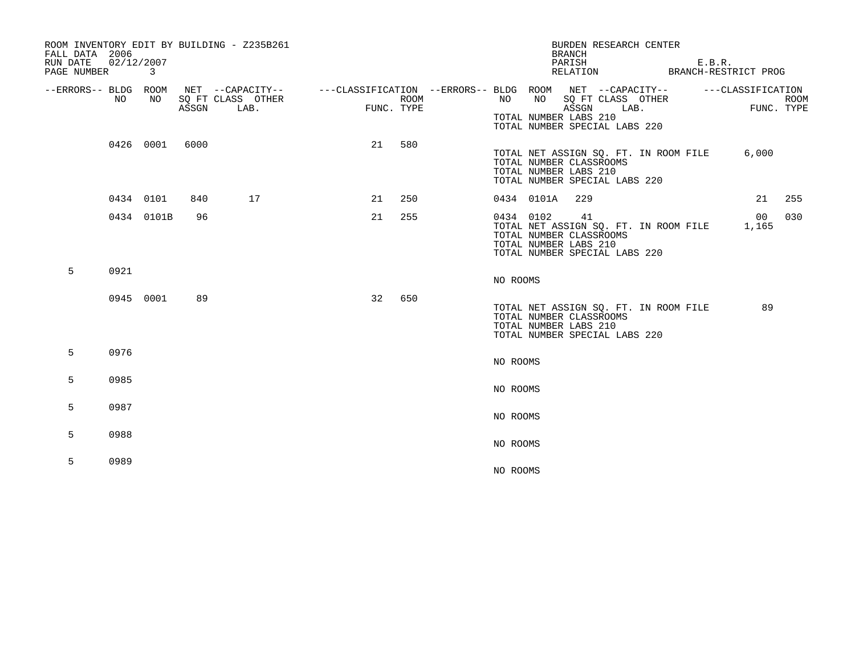| FALL DATA 2006<br>RUN DATE<br>PAGE NUMBER | 02/12/2007 | $\overline{3}$ |       | ROOM INVENTORY EDIT BY BUILDING - Z235B261                                                                                  |    |                    | <b>BRANCH</b><br>PARISH                                       | BURDEN RESEARCH CENTER<br>RELATION                                           | E.B.R.<br>BRANCH-RESTRICT PROG |                          |             |
|-------------------------------------------|------------|----------------|-------|-----------------------------------------------------------------------------------------------------------------------------|----|--------------------|---------------------------------------------------------------|------------------------------------------------------------------------------|--------------------------------|--------------------------|-------------|
| --ERRORS-- BLDG ROOM                      | NO         | NO             | ASSGN | NET --CAPACITY-- - ---CLASSIFICATION --ERRORS-- BLDG ROOM NET --CAPACITY-- - ---CLASSIFICATION<br>SQ FT CLASS OTHER<br>LAB. |    | ROOM<br>FUNC. TYPE | NO<br>NO<br>TOTAL NUMBER LABS 210                             | SQ FT CLASS OTHER<br>ASSGN<br>LAB.<br>TOTAL NUMBER SPECIAL LABS 220          |                                | FUNC. TYPE               | <b>ROOM</b> |
|                                           |            | 0426 0001      | 6000  |                                                                                                                             | 21 | 580                | TOTAL NUMBER CLASSROOMS<br>TOTAL NUMBER LABS 210              | TOTAL NET ASSIGN SQ. FT. IN ROOM FILE<br>TOTAL NUMBER SPECIAL LABS 220       |                                | 6,000                    |             |
|                                           | 0434 0101  |                | 840   | 17                                                                                                                          | 21 | 250                | 0434 0101A                                                    | 229                                                                          |                                | 21                       | 255         |
|                                           |            | 0434 0101B     | 96    |                                                                                                                             | 21 | 255                | 0434 0102<br>TOTAL NUMBER CLASSROOMS<br>TOTAL NUMBER LABS 210 | 41<br>TOTAL NET ASSIGN SQ. FT. IN ROOM FILE<br>TOTAL NUMBER SPECIAL LABS 220 |                                | 00 <sup>1</sup><br>1,165 | 030         |
| 5                                         | 0921       |                |       |                                                                                                                             |    |                    | NO ROOMS                                                      |                                                                              |                                |                          |             |
|                                           |            | 0945 0001      | 89    |                                                                                                                             | 32 | 650                | TOTAL NUMBER CLASSROOMS<br>TOTAL NUMBER LABS 210              | TOTAL NET ASSIGN SQ. FT. IN ROOM FILE<br>TOTAL NUMBER SPECIAL LABS 220       |                                | 89                       |             |
| 5                                         | 0976       |                |       |                                                                                                                             |    |                    | NO ROOMS                                                      |                                                                              |                                |                          |             |
| 5                                         | 0985       |                |       |                                                                                                                             |    |                    | NO ROOMS                                                      |                                                                              |                                |                          |             |
| 5                                         | 0987       |                |       |                                                                                                                             |    |                    | NO ROOMS                                                      |                                                                              |                                |                          |             |
| 5                                         | 0988       |                |       |                                                                                                                             |    |                    | NO ROOMS                                                      |                                                                              |                                |                          |             |
| 5                                         | 0989       |                |       |                                                                                                                             |    |                    | NO ROOMS                                                      |                                                                              |                                |                          |             |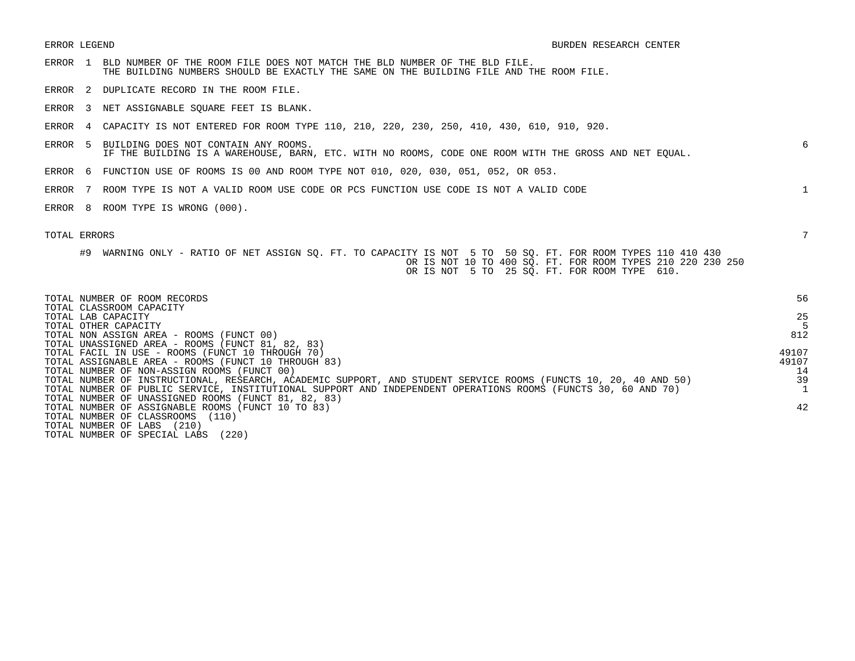ERROR LEGEND BURDEN RESEARCH CENTER ERROR 1 BLD NUMBER OF THE ROOM FILE DOES NOT MATCH THE BLD NUMBER OF THE BLD FILE. THE BUILDING NUMBERS SHOULD BE EXACTLY THE SAME ON THE BUILDING FILE AND THE ROOM FILE. ERROR 2 DUPLICATE RECORD IN THE ROOM FILE. ERROR 3 NET ASSIGNABLE SQUARE FEET IS BLANK. ERROR 4 CAPACITY IS NOT ENTERED FOR ROOM TYPE 110, 210, 220, 230, 250, 410, 430, 610, 910, 920. ERROR 5 BUILDING DOES NOT CONTAIN ANY ROOMS. 6 IF THE BUILDING IS A WAREHOUSE, BARN, ETC. WITH NO ROOMS, CODE ONE ROOM WITH THE GROSS AND NET EQUAL. ERROR 6 FUNCTION USE OF ROOMS IS 00 AND ROOM TYPE NOT 010, 020, 030, 051, 052, OR 053. ERROR 7 ROOM TYPE IS NOT A VALID ROOM USE CODE OR PCS FUNCTION USE CODE IS NOT A VALID CODE 1 ERROR 8 ROOM TYPE IS WRONG (000). TOTAL ERRORS 7 #9 WARNING ONLY - RATIO OF NET ASSIGN SQ. FT. TO CAPACITY IS NOT 5 TO 50 SQ. FT. FOR ROOM TYPES 110 410 430 OR IS NOT 10 TO 400 SQ. FT. FOR ROOM TYPES 210 220 230 250 OR IS NOT 5 TO 25 SQ. FT. FOR ROOM TYPE 610. TOTAL NUMBER OF ROOM RECORDS 56 TOTAL CLASSROOM CAPACITY TOTAL LAB CAPACITY 25 TOTAL OTHER CAPACITY 5 TOTAL NON ASSIGN AREA - ROOMS (FUNCT 00) 812 TOTAL UNASSIGNED AREA - ROOMS (FUNCT 81, 82, 83) TOTAL FACIL IN USE – ROOMS (FUNCT 10 THROUGH 70)<br>TOTAL ASSIGNARLE AREA – ROOMS (FUNCT 10 THROUGH 83) TOTAL ASSIGNABLE AREA - ROOMS (FUNCT 10 THROUGH 83) TOTAL NUMBER OF NON-ASSIGN ROOMS (FUNCT 00) 14 TOTAL NUMBER OF INSTRUCTIONAL, RESEARCH, ACADEMIC SUPPORT, AND STUDENT SERVICE ROOMS (FUNCTS 10, 20, 40 AND 50) 39 TOTAL NUMBER OF PUBLIC SERVICE, INSTITUTIONAL SUPPORT AND INDEPENDENT OPERATIONS ROOMS (FUNCTS 30, 60 AND 70) 1 TOTAL NUMBER OF UNASSIGNED ROOMS (FUNCT 81, 82, 83) TOTAL NUMBER OF ASSIGNABLE ROOMS (FUNCT 10 TO 83) 42 TOTAL NUMBER OF CLASSROOMS (110)

TOTAL NUMBER OF LABS (210)

TOTAL NUMBER OF SPECIAL LABS (220)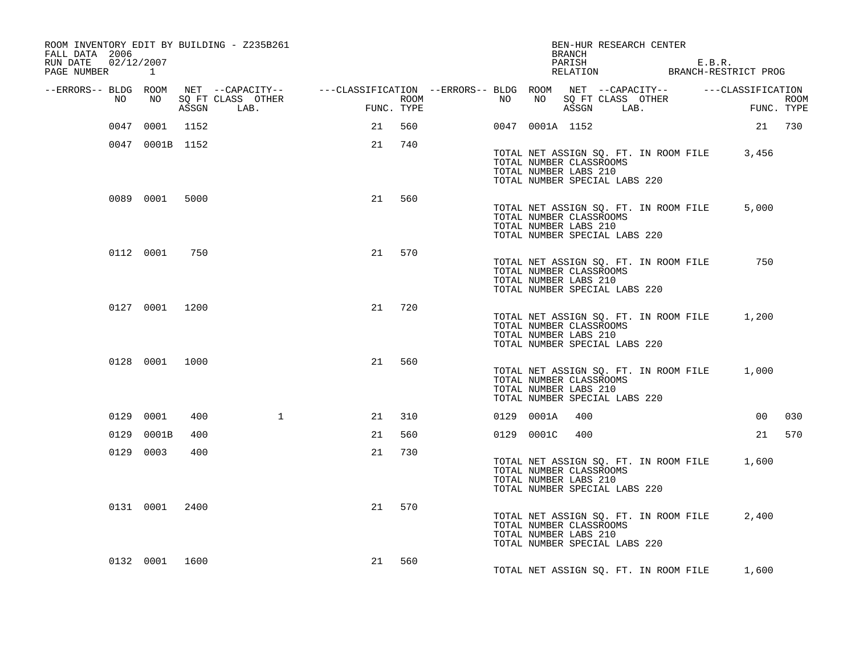| FALL DATA 2006<br>RUN DATE<br>PAGE NUMBER 1 | 02/12/2007 |                |                 | ROOM INVENTORY EDIT BY BUILDING - Z235B261                                                                                  |            |      |    |            | BEN-HUR RESEARCH CENTER<br>BRANCH                                                 |            |                                       | PARISH E.B.R.<br>RELATION BRANCH-RESTRICT PROG |                           |
|---------------------------------------------|------------|----------------|-----------------|-----------------------------------------------------------------------------------------------------------------------------|------------|------|----|------------|-----------------------------------------------------------------------------------|------------|---------------------------------------|------------------------------------------------|---------------------------|
| --ERRORS-- BLDG ROOM                        | NO         | NO             | ASSGN           | NET --CAPACITY-- - ---CLASSIFICATION --ERRORS-- BLDG ROOM NET --CAPACITY-- - ---CLASSIFICATION<br>SQ FT CLASS OTHER<br>LAB. | FUNC. TYPE | ROOM | NO |            | NO SQ FT CLASS OTHER                                                              | ASSGN LAB. |                                       |                                                | <b>ROOM</b><br>FUNC. TYPE |
|                                             |            |                | 0047 0001 1152  |                                                                                                                             | 21         | 560  |    |            | 0047 0001A 1152                                                                   |            |                                       |                                                | 21 730                    |
|                                             |            |                | 0047 0001B 1152 |                                                                                                                             | 21         | 740  |    |            | TOTAL NUMBER CLASSROOMS<br>TOTAL NUMBER LABS 210<br>TOTAL NUMBER SPECIAL LABS 220 |            |                                       | TOTAL NET ASSIGN SQ. FT. IN ROOM FILE 3,456    |                           |
|                                             |            | 0089 0001      | 5000            |                                                                                                                             | 21         | 560  |    |            | TOTAL NUMBER CLASSROOMS<br>TOTAL NUMBER LABS 210<br>TOTAL NUMBER SPECIAL LABS 220 |            | TOTAL NET ASSIGN SQ. FT. IN ROOM FILE | 5,000                                          |                           |
|                                             |            | 0112 0001      | 750             |                                                                                                                             | 21         | 570  |    |            | TOTAL NUMBER CLASSROOMS<br>TOTAL NUMBER LABS 210<br>TOTAL NUMBER SPECIAL LABS 220 |            | TOTAL NET ASSIGN SQ. FT. IN ROOM FILE | 750                                            |                           |
|                                             |            | 0127 0001 1200 |                 |                                                                                                                             | 21         | 720  |    |            | TOTAL NUMBER CLASSROOMS<br>TOTAL NUMBER LABS 210<br>TOTAL NUMBER SPECIAL LABS 220 |            | TOTAL NET ASSIGN SQ. FT. IN ROOM FILE | 1,200                                          |                           |
|                                             |            | 0128 0001 1000 |                 |                                                                                                                             | 21         | 560  |    |            | TOTAL NUMBER CLASSROOMS<br>TOTAL NUMBER LABS 210<br>TOTAL NUMBER SPECIAL LABS 220 |            |                                       | TOTAL NET ASSIGN SQ. FT. IN ROOM FILE 1,000    |                           |
|                                             | 0129 0001  |                | 400             | $\mathbf{1}$                                                                                                                | 21         | 310  |    | 0129 0001A | 400                                                                               |            |                                       | 0 <sub>0</sub>                                 | 030                       |
|                                             |            | 0129 0001B     | 400             |                                                                                                                             | 21         | 560  |    | 0129 0001C | 400                                                                               |            |                                       |                                                | 21 570                    |
|                                             | 0129 0003  |                | 400             |                                                                                                                             | 21         | 730  |    |            | TOTAL NUMBER CLASSROOMS<br>TOTAL NUMBER LABS 210<br>TOTAL NUMBER SPECIAL LABS 220 |            | TOTAL NET ASSIGN SQ. FT. IN ROOM FILE | 1,600                                          |                           |
|                                             |            | 0131 0001 2400 |                 |                                                                                                                             | 21         | 570  |    |            | TOTAL NUMBER CLASSROOMS<br>TOTAL NUMBER LABS 210<br>TOTAL NUMBER SPECIAL LABS 220 |            | TOTAL NET ASSIGN SQ. FT. IN ROOM FILE | 2,400                                          |                           |
|                                             |            | 0132 0001 1600 |                 |                                                                                                                             | 21         | 560  |    |            |                                                                                   |            |                                       | TOTAL NET ASSIGN SQ. FT. IN ROOM FILE 1,600    |                           |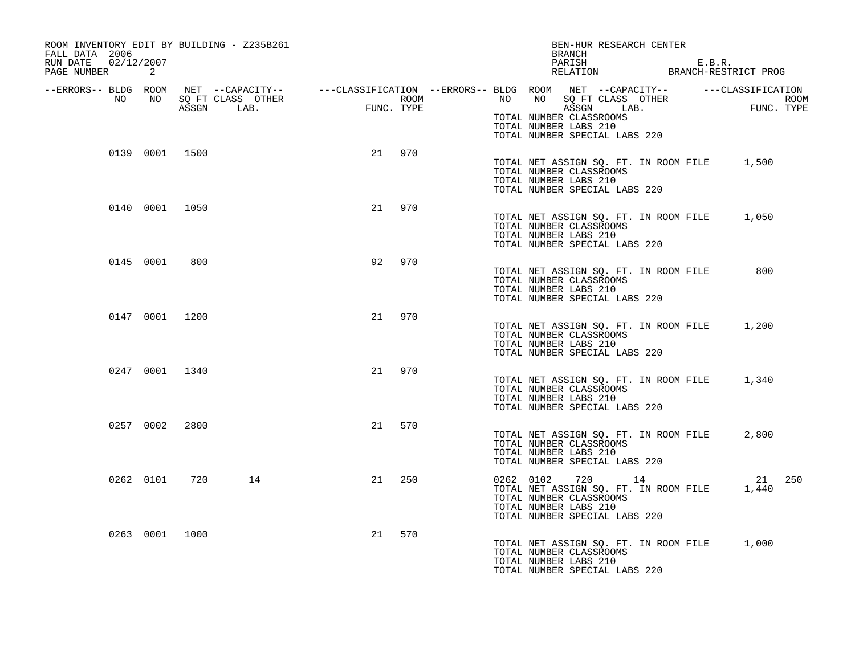| ROOM INVENTORY EDIT BY BUILDING - Z235B261<br>FALL DATA 2006<br>RUN DATE<br>02/12/2007 |           |                |                                                                                                                       |                                            |            |    |                                                  | BRANCH<br>PARISH | BEN-HUR RESEARCH CENTER                                                |                                       | E.B.R.                                         |  |
|----------------------------------------------------------------------------------------|-----------|----------------|-----------------------------------------------------------------------------------------------------------------------|--------------------------------------------|------------|----|--------------------------------------------------|------------------|------------------------------------------------------------------------|---------------------------------------|------------------------------------------------|--|
| PAGE NUMBER                                                                            | 2         |                |                                                                                                                       |                                            |            |    |                                                  |                  |                                                                        |                                       | PARISH E.B.R.<br>RELATION BRANCH-RESTRICT PROG |  |
| --ERRORS-- BLDG ROOM<br>NO .                                                           | NO        |                | NET --CAPACITY--    ---CLASSIFICATION --ERRORS-- BLDG ROOM NET --CAPACITY--    ---CLASSIFICATION<br>SQ FT CLASS OTHER | $\begin{aligned} \text{FUN} \end{aligned}$ | ROOM       | NO |                                                  |                  | NO SQ FT CLASS OTHER                                                   |                                       |                                                |  |
|                                                                                        |           |                | ASSGN LAB.                                                                                                            |                                            | FUNC. TYPE |    | TOTAL NUMBER LABS 210                            |                  | ASSGN LAB.<br>TOTAL NUMBER CLASSROOMS<br>TOTAL NUMBER SPECIAL LABS 220 |                                       | ROOM<br>FUNC. TYPE                             |  |
|                                                                                        |           | 0139 0001 1500 |                                                                                                                       | 21                                         | 970        |    | TOTAL NUMBER CLASSROOMS<br>TOTAL NUMBER LABS 210 |                  | TOTAL NUMBER SPECIAL LABS 220                                          |                                       | TOTAL NET ASSIGN SQ. FT. IN ROOM FILE 1,500    |  |
|                                                                                        |           | 0140 0001 1050 |                                                                                                                       | 21                                         | 970        |    | TOTAL NUMBER CLASSROOMS<br>TOTAL NUMBER LABS 210 |                  | TOTAL NUMBER SPECIAL LABS 220                                          | TOTAL NET ASSIGN SQ. FT. IN ROOM FILE | 1,050                                          |  |
|                                                                                        | 0145 0001 | 800            |                                                                                                                       | 92                                         | 970        |    | TOTAL NUMBER CLASSROOMS<br>TOTAL NUMBER LABS 210 |                  | TOTAL NUMBER SPECIAL LABS 220                                          | TOTAL NET ASSIGN SQ. FT. IN ROOM FILE | 800                                            |  |
|                                                                                        |           | 0147 0001 1200 |                                                                                                                       | 21                                         | 970        |    | TOTAL NUMBER CLASSROOMS<br>TOTAL NUMBER LABS 210 |                  | TOTAL NUMBER SPECIAL LABS 220                                          | TOTAL NET ASSIGN SQ. FT. IN ROOM FILE | 1,200                                          |  |
|                                                                                        |           | 0247 0001 1340 |                                                                                                                       | 21                                         | 970        |    | TOTAL NUMBER CLASSROOMS<br>TOTAL NUMBER LABS 210 |                  | TOTAL NUMBER SPECIAL LABS 220                                          | TOTAL NET ASSIGN SQ. FT. IN ROOM FILE | 1,340                                          |  |
|                                                                                        | 0257 0002 | 2800           |                                                                                                                       | 21                                         | 570        |    | TOTAL NUMBER CLASSROOMS<br>TOTAL NUMBER LABS 210 |                  | TOTAL NUMBER SPECIAL LABS 220                                          | TOTAL NET ASSIGN SQ. FT. IN ROOM FILE | 2,800                                          |  |
|                                                                                        | 0262 0101 | 720            | 14                                                                                                                    | 21                                         | 250        |    | TOTAL NUMBER CLASSROOMS<br>TOTAL NUMBER LABS 210 |                  | 0262 0102 720 14<br>TOTAL NUMBER SPECIAL LABS 220                      | TOTAL NET ASSIGN SQ. FT. IN ROOM FILE | 21 250<br>1,440                                |  |
|                                                                                        |           | 0263 0001 1000 |                                                                                                                       | 21                                         | 570        |    | TOTAL NUMBER CLASSROOMS<br>TOTAL NUMBER LABS 210 |                  | TOTAL NUMBER SPECIAL LABS 220                                          | TOTAL NET ASSIGN SQ. FT. IN ROOM FILE | 1,000                                          |  |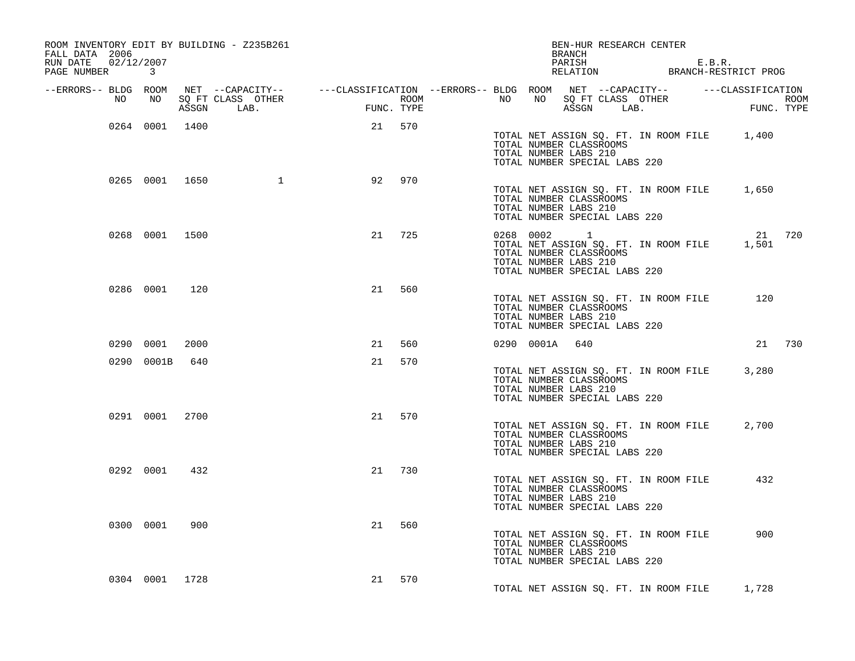| ROOM INVENTORY EDIT BY BUILDING - Z235B261<br>FALL DATA 2006<br>RUN DATE 02/12/2007 |                |      |                                                                                                                                   |                                                           |        |      |    |            | BRANCH                                                          | BEN-HUR RESEARCH CENTER       |                                       | PARISH E.B.R.<br>RELATION BRANCH-RESTRICT PROG          |                    |
|-------------------------------------------------------------------------------------|----------------|------|-----------------------------------------------------------------------------------------------------------------------------------|-----------------------------------------------------------|--------|------|----|------------|-----------------------------------------------------------------|-------------------------------|---------------------------------------|---------------------------------------------------------|--------------------|
| PAGE NUMBER 3                                                                       |                |      |                                                                                                                                   |                                                           |        |      |    |            |                                                                 |                               |                                       |                                                         |                    |
| --ERRORS-- BLDG ROOM<br>NO .                                                        | NO             |      | NET --CAPACITY-- - ---CLASSIFICATION --ERRORS-- BLDG ROOM NET --CAPACITY-- - ---CLASSIFICATION<br>SQ FT CLASS OTHER<br>ASSGN LAB. | $\begin{tabular}{cc} \bf FUI \end{tabular}$<br>FUNC. TYPE |        | ROOM | NO |            |                                                                 |                               |                                       | ROOM NEI --ONEACLIL<br>NO SQ FT CLASS OTHER<br>COOM LAR | ROOM<br>FUNC. TYPE |
|                                                                                     |                |      |                                                                                                                                   |                                                           |        |      |    |            |                                                                 |                               |                                       |                                                         |                    |
|                                                                                     | 0264 0001 1400 |      |                                                                                                                                   |                                                           | 21 570 |      |    |            | TOTAL NUMBER CLASSROOMS<br>TOTAL NUMBER LABS 210                | TOTAL NUMBER SPECIAL LABS 220 |                                       | TOTAL NET ASSIGN SQ. FT. IN ROOM FILE 1,400             |                    |
|                                                                                     | 0265 0001 1650 |      |                                                                                                                                   | 92                                                        | 970    |      |    |            | TOTAL NUMBER CLASSROOMS<br>TOTAL NUMBER LABS 210                | TOTAL NUMBER SPECIAL LABS 220 |                                       | TOTAL NET ASSIGN SQ. FT. IN ROOM FILE 1,650             |                    |
|                                                                                     | 0268 0001 1500 |      |                                                                                                                                   | 21                                                        | 725    |      |    |            | 0268 0002 1<br>TOTAL NUMBER CLASSROOMS<br>TOTAL NUMBER LABS 210 | TOTAL NUMBER SPECIAL LABS 220 | TOTAL NET ASSIGN SQ. FT. IN ROOM FILE | 21 720<br>1,501                                         |                    |
|                                                                                     | 0286 0001      | 120  |                                                                                                                                   | 21                                                        | 560    |      |    |            | TOTAL NUMBER CLASSROOMS<br>TOTAL NUMBER LABS 210                | TOTAL NUMBER SPECIAL LABS 220 | TOTAL NET ASSIGN SQ. FT. IN ROOM FILE | 120                                                     |                    |
|                                                                                     | 0290 0001      | 2000 |                                                                                                                                   | 21                                                        | 560    |      |    | 0290 0001A | 640                                                             |                               |                                       |                                                         | 21 730             |
|                                                                                     | 0290 0001B 640 |      |                                                                                                                                   | 21                                                        | 570    |      |    |            | TOTAL NUMBER CLASSROOMS<br>TOTAL NUMBER LABS 210                | TOTAL NUMBER SPECIAL LABS 220 | TOTAL NET ASSIGN SQ. FT. IN ROOM FILE | 3,280                                                   |                    |
|                                                                                     | 0291 0001 2700 |      |                                                                                                                                   | 21                                                        | 570    |      |    |            | TOTAL NUMBER CLASSROOMS<br>TOTAL NUMBER LABS 210                | TOTAL NUMBER SPECIAL LABS 220 | TOTAL NET ASSIGN SQ. FT. IN ROOM FILE | 2,700                                                   |                    |
|                                                                                     | 0292 0001      | 432  |                                                                                                                                   | 21                                                        | 730    |      |    |            | TOTAL NUMBER CLASSROOMS<br>TOTAL NUMBER LABS 210                | TOTAL NUMBER SPECIAL LABS 220 | TOTAL NET ASSIGN SQ. FT. IN ROOM FILE | 432                                                     |                    |
|                                                                                     | 0300 0001      | 900  |                                                                                                                                   | 21                                                        | 560    |      |    |            | TOTAL NUMBER CLASSROOMS<br>TOTAL NUMBER LABS 210                | TOTAL NUMBER SPECIAL LABS 220 | TOTAL NET ASSIGN SQ. FT. IN ROOM FILE | 900                                                     |                    |
|                                                                                     | 0304 0001 1728 |      |                                                                                                                                   | 21 570                                                    |        |      |    |            |                                                                 |                               | TOTAL NET ASSIGN SQ. FT. IN ROOM FILE | 1,728                                                   |                    |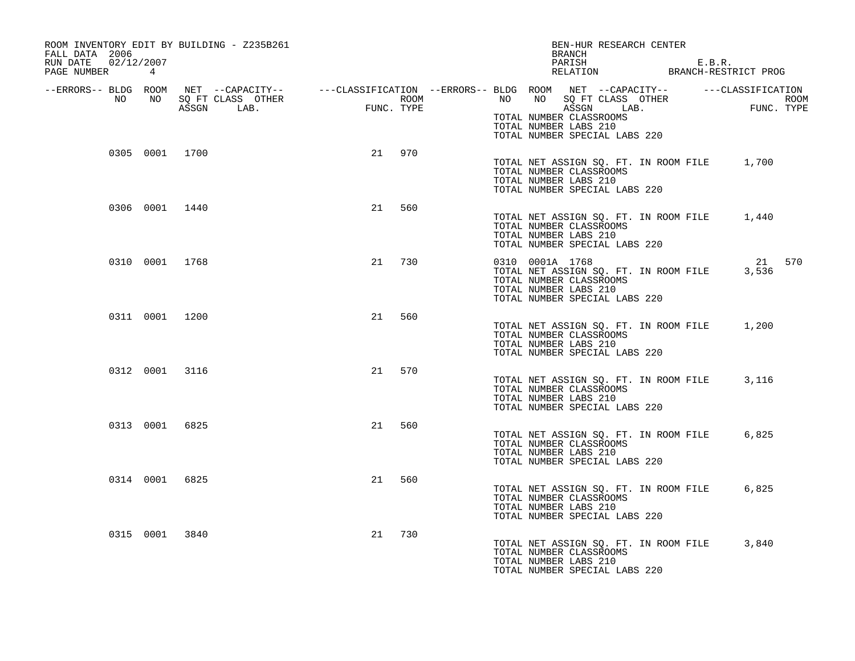| ROOM INVENTORY EDIT BY BUILDING - Z235B261<br>FALL DATA 2006<br>RUN DATE 02/12/2007 |                |                                                                                                                                                       |        |            |             | BRANCH<br>PARISH                                                                                                                              | BEN-HUR RESEARCH CENTER<br>PARISH E.B.R.<br>RELATION BRANCH-RESTRICT PROG |                    |  |
|-------------------------------------------------------------------------------------|----------------|-------------------------------------------------------------------------------------------------------------------------------------------------------|--------|------------|-------------|-----------------------------------------------------------------------------------------------------------------------------------------------|---------------------------------------------------------------------------|--------------------|--|
| PAGE NUMBER 4                                                                       |                |                                                                                                                                                       |        |            |             |                                                                                                                                               |                                                                           |                    |  |
| NO                                                                                  | NO             | --ERRORS-- BLDG ROOM NET --CAPACITY-- ----CLASSIFICATION --ERRORS-- BLDG ROOM NET --CAPACITY-- -----CLASSIFICATION<br>SQ FT CLASS OTHER<br>ASSGN LAB. | FUNC   | FUNC. TYPE | <b>ROOM</b> | NO NO SQ FT CLASS OTHER                                                                                                                       | ASSGN LAB.                                                                | ROOM<br>FUNC. TYPE |  |
|                                                                                     |                |                                                                                                                                                       |        |            |             | TOTAL NUMBER CLASSROOMS<br>TOTAL NUMBER LABS 210<br>TOTAL NUMBER SPECIAL LABS 220                                                             |                                                                           |                    |  |
|                                                                                     | 0305 0001 1700 |                                                                                                                                                       | 21 970 |            |             | TOTAL NET ASSIGN SQ. FT. IN ROOM FILE 1,700<br>TOTAL NUMBER CLASSROOMS<br>TOTAL NUMBER LABS 210<br>TOTAL NUMBER SPECIAL LABS 220              |                                                                           |                    |  |
|                                                                                     | 0306 0001 1440 |                                                                                                                                                       | 21     | 560        |             | TOTAL NET ASSIGN SQ. FT. IN ROOM FILE 1,440<br>TOTAL NUMBER CLASSROOMS<br>TOTAL NUMBER LABS 210<br>TOTAL NUMBER SPECIAL LABS 220              |                                                                           |                    |  |
|                                                                                     | 0310 0001 1768 |                                                                                                                                                       | 21     | 730        |             | 0310 0001A 1768<br>TOTAL NET ASSIGN SQ. FT. IN ROOM FILE<br>TOTAL NUMBER CLASSROOMS<br>TOTAL NUMBER LABS 210<br>TOTAL NUMBER SPECIAL LABS 220 |                                                                           | 21 570<br>3,536    |  |
|                                                                                     | 0311 0001 1200 |                                                                                                                                                       | 21     | 560        |             | TOTAL NET ASSIGN SQ. FT. IN ROOM FILE<br>TOTAL NUMBER CLASSROOMS<br>TOTAL NUMBER LABS 210<br>TOTAL NUMBER SPECIAL LABS 220                    |                                                                           | 1,200              |  |
|                                                                                     | 0312 0001 3116 |                                                                                                                                                       | 21     | 570        |             | TOTAL NET ASSIGN SQ. FT. IN ROOM FILE<br>TOTAL NUMBER CLASSROOMS<br>TOTAL NUMBER LABS 210<br>TOTAL NUMBER SPECIAL LABS 220                    |                                                                           | 3,116              |  |
|                                                                                     | 0313 0001 6825 |                                                                                                                                                       | 21     | 560        |             | TOTAL NET ASSIGN SQ. FT. IN ROOM FILE<br>TOTAL NUMBER CLASSROOMS<br>TOTAL NUMBER LABS 210<br>TOTAL NUMBER SPECIAL LABS 220                    |                                                                           | 6,825              |  |
|                                                                                     | 0314 0001 6825 |                                                                                                                                                       | 21     | 560        |             | TOTAL NET ASSIGN SQ. FT. IN ROOM FILE<br>TOTAL NUMBER CLASSROOMS<br>TOTAL NUMBER LABS 210<br>TOTAL NUMBER SPECIAL LABS 220                    |                                                                           | 6,825              |  |
|                                                                                     | 0315 0001 3840 |                                                                                                                                                       | 21     | 730        |             | TOTAL NET ASSIGN SQ. FT. IN ROOM FILE<br>TOTAL NUMBER CLASSROOMS<br>TOTAL NUMBER LABS 210<br>TOTAL NUMBER SPECIAL LABS 220                    |                                                                           | 3,840              |  |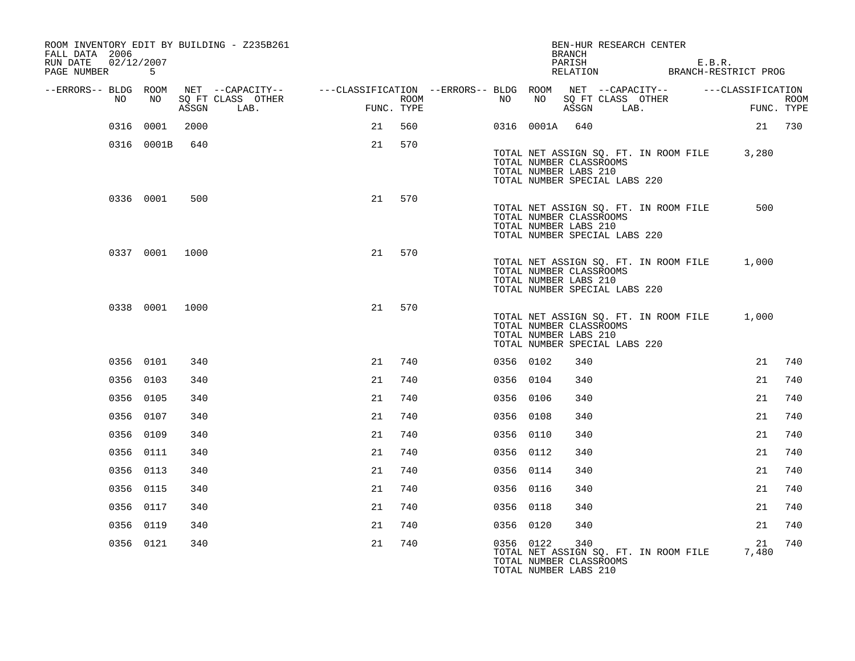| ROOM INVENTORY EDIT BY BUILDING - Z235B261<br>FALL DATA 2006<br>RUN DATE<br>PAGE NUMBER | 02/12/2007<br>-5 |       |                                                                                                          |            |      |           |                | <b>BRANCH</b><br>PARISH                                                           | BEN-HUR RESEARCH CENTER               | E.B.R.<br>RELATION BRANCH-RESTRICT PROG |             |
|-----------------------------------------------------------------------------------------|------------------|-------|----------------------------------------------------------------------------------------------------------|------------|------|-----------|----------------|-----------------------------------------------------------------------------------|---------------------------------------|-----------------------------------------|-------------|
| --ERRORS-- BLDG ROOM<br>NO                                                              | NO               | ASSGN | NET --CAPACITY--    ---CLASSIFICATION --ERRORS-- BLDG ROOM NET --CAPACITY--<br>SQ FT CLASS OTHER<br>LAB. | FUNC. TYPE | ROOM | NO        |                | NO SQ FT CLASS OTHER<br>ASSGN                                                     | LAB.                                  | ---CLASSIFICATION<br>FUNC. TYPE         | <b>ROOM</b> |
|                                                                                         | 0316 0001        | 2000  |                                                                                                          | 21         | 560  |           | 0316 0001A 640 |                                                                                   |                                       |                                         | 21 730      |
|                                                                                         | 0316 0001B       | 640   |                                                                                                          | 21         | 570  |           |                |                                                                                   |                                       |                                         |             |
|                                                                                         |                  |       |                                                                                                          |            |      |           |                | TOTAL NUMBER CLASSROOMS<br>TOTAL NUMBER LABS 210<br>TOTAL NUMBER SPECIAL LABS 220 | TOTAL NET ASSIGN SQ. FT. IN ROOM FILE | 3,280                                   |             |
|                                                                                         | 0336 0001        | 500   |                                                                                                          | 21         | 570  |           |                | TOTAL NUMBER CLASSROOMS<br>TOTAL NUMBER LABS 210<br>TOTAL NUMBER SPECIAL LABS 220 | TOTAL NET ASSIGN SQ. FT. IN ROOM FILE | 500                                     |             |
|                                                                                         | 0337 0001        | 1000  |                                                                                                          | 21         | 570  |           |                | TOTAL NUMBER CLASSROOMS<br>TOTAL NUMBER LABS 210<br>TOTAL NUMBER SPECIAL LABS 220 | TOTAL NET ASSIGN SQ. FT. IN ROOM FILE | 1,000                                   |             |
|                                                                                         | 0338 0001 1000   |       |                                                                                                          | 21         | 570  |           |                | TOTAL NUMBER CLASSROOMS<br>TOTAL NUMBER LABS 210<br>TOTAL NUMBER SPECIAL LABS 220 | TOTAL NET ASSIGN SQ. FT. IN ROOM FILE | 1,000                                   |             |
|                                                                                         | 0356 0101        | 340   |                                                                                                          | 21         | 740  | 0356 0102 |                | 340                                                                               |                                       | 21                                      | 740         |
|                                                                                         | 0356 0103        | 340   |                                                                                                          | 21         | 740  | 0356 0104 |                | 340                                                                               |                                       | 21                                      | 740         |
|                                                                                         | 0356 0105        | 340   |                                                                                                          | 21         | 740  | 0356 0106 |                | 340                                                                               |                                       | 21                                      | 740         |
|                                                                                         | 0356 0107        | 340   |                                                                                                          | 21         | 740  | 0356 0108 |                | 340                                                                               |                                       | 21                                      | 740         |
|                                                                                         | 0356 0109        | 340   |                                                                                                          | 21         | 740  | 0356 0110 |                | 340                                                                               |                                       | 21                                      | 740         |
|                                                                                         | 0356 0111        | 340   |                                                                                                          | 21         | 740  | 0356 0112 |                | 340                                                                               |                                       | 21                                      | 740         |
|                                                                                         | 0356 0113        | 340   |                                                                                                          | 21         | 740  | 0356 0114 |                | 340                                                                               |                                       | 21                                      | 740         |
|                                                                                         | 0356 0115        | 340   |                                                                                                          | 21         | 740  | 0356 0116 |                | 340                                                                               |                                       | 21                                      | 740         |
|                                                                                         | 0356 0117        | 340   |                                                                                                          | 21         | 740  | 0356 0118 |                | 340                                                                               |                                       | 21                                      | 740         |
|                                                                                         | 0356 0119        | 340   |                                                                                                          | 21         | 740  | 0356 0120 |                | 340                                                                               |                                       | 21                                      | 740         |
|                                                                                         | 0356 0121        | 340   |                                                                                                          | 21         | 740  | 0356 0122 |                | 340<br>TOTAL NUMBER CLASSROOMS<br>TOTAL NUMBER LABS 210                           | TOTAL NET ASSIGN SQ. FT. IN ROOM FILE | 21<br>7,480                             | 740         |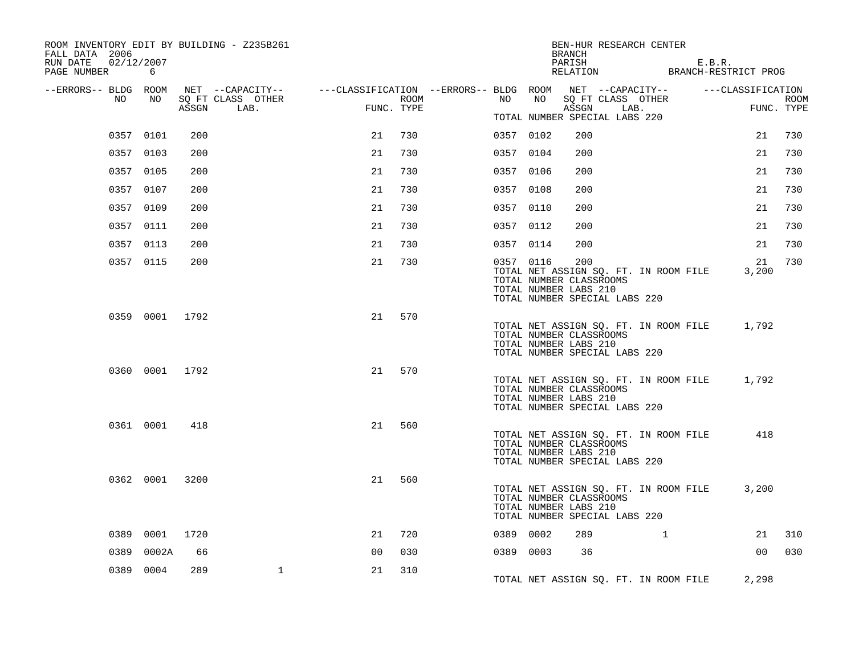| ROOM INVENTORY EDIT BY BUILDING - Z235B261<br>FALL DATA 2006 |                |       |                                                                                                                     |                |      |           |    | BEN-HUR RESEARCH CENTER<br>BRANCH                                                                                                 |              |                                                          |             |             |
|--------------------------------------------------------------|----------------|-------|---------------------------------------------------------------------------------------------------------------------|----------------|------|-----------|----|-----------------------------------------------------------------------------------------------------------------------------------|--------------|----------------------------------------------------------|-------------|-------------|
| RUN DATE<br>02/12/2007<br>PAGE NUMBER                        | 6              |       |                                                                                                                     |                |      |           |    | PARISH                                                                                                                            |              | E.B.R.<br>PARISH E.B.R.<br>RELATION BRANCH-RESTRICT PROG |             |             |
| --ERRORS-- BLDG ROOM<br>NO                                   | NO             |       | NET --CAPACITY-- - ---CLASSIFICATION --ERRORS-- BLDG ROOM NET --CAPACITY-- - ---CLASSIFICATION<br>SQ FT CLASS OTHER |                | ROOM | NO        | NO | SQ FT CLASS OTHER                                                                                                                 |              |                                                          |             | <b>ROOM</b> |
|                                                              |                | ASSGN | LAB.                                                                                                                | FUNC. TYPE     |      |           |    | ASSGN<br>TOTAL NUMBER SPECIAL LABS 220                                                                                            | LAB.         |                                                          | FUNC. TYPE  |             |
|                                                              | 0357 0101      | 200   |                                                                                                                     | 21             | 730  | 0357 0102 |    | 200                                                                                                                               |              |                                                          | 21          | 730         |
| 0357 0103                                                    |                | 200   |                                                                                                                     | 21             | 730  | 0357 0104 |    | 200                                                                                                                               |              |                                                          | 21          | 730         |
| 0357 0105                                                    |                | 200   |                                                                                                                     | 21             | 730  | 0357 0106 |    | 200                                                                                                                               |              |                                                          | 21          | 730         |
| 0357 0107                                                    |                | 200   |                                                                                                                     | 21             | 730  | 0357 0108 |    | 200                                                                                                                               |              |                                                          | 21          | 730         |
| 0357 0109                                                    |                | 200   |                                                                                                                     | 21             | 730  | 0357 0110 |    | 200                                                                                                                               |              |                                                          | 21          | 730         |
| 0357 0111                                                    |                | 200   |                                                                                                                     | 21             | 730  | 0357 0112 |    | 200                                                                                                                               |              |                                                          | 21          | 730         |
| 0357 0113                                                    |                | 200   |                                                                                                                     | 21             | 730  | 0357 0114 |    | 200                                                                                                                               |              |                                                          | 21          | 730         |
|                                                              | 0357 0115      | 200   |                                                                                                                     | 21             | 730  | 0357 0116 |    | 200<br>TOTAL NET ASSIGN SQ. FT. IN ROOM FILE<br>TOTAL NUMBER CLASSROOMS<br>TOTAL NUMBER LABS 210<br>TOTAL NUMBER SPECIAL LABS 220 |              |                                                          | 21<br>3,200 | 730         |
|                                                              | 0359 0001 1792 |       |                                                                                                                     | 21             | 570  |           |    | TOTAL NET ASSIGN SQ. FT. IN ROOM FILE<br>TOTAL NUMBER CLASSROOMS<br>TOTAL NUMBER LABS 210<br>TOTAL NUMBER SPECIAL LABS 220        |              |                                                          | 1,792       |             |
|                                                              | 0360 0001 1792 |       |                                                                                                                     | 21             | 570  |           |    | TOTAL NET ASSIGN SQ. FT. IN ROOM FILE<br>TOTAL NUMBER CLASSROOMS<br>TOTAL NUMBER LABS 210<br>TOTAL NUMBER SPECIAL LABS 220        |              |                                                          | 1,792       |             |
|                                                              | 0361 0001      | 418   |                                                                                                                     | 21             | 560  |           |    | TOTAL NET ASSIGN SQ. FT. IN ROOM FILE<br>TOTAL NUMBER CLASSROOMS<br>TOTAL NUMBER LABS 210<br>TOTAL NUMBER SPECIAL LABS 220        |              |                                                          | 418         |             |
|                                                              | 0362 0001      | 3200  |                                                                                                                     | 21             | 560  |           |    | TOTAL NET ASSIGN SQ. FT. IN ROOM FILE<br>TOTAL NUMBER CLASSROOMS<br>TOTAL NUMBER LABS 210<br>TOTAL NUMBER SPECIAL LABS 220        |              |                                                          | 3,200       |             |
|                                                              | 0389 0001      | 1720  |                                                                                                                     | 21             | 720  | 0389 0002 |    | 289                                                                                                                               | $\mathbf{1}$ |                                                          | 21          | 310         |
| 0389                                                         | 0002A          | 66    |                                                                                                                     | 0 <sup>0</sup> | 030  | 0389 0003 |    | 36                                                                                                                                |              |                                                          | 00          | 030         |
|                                                              | 0389 0004      | 289   | $\mathbf{1}$                                                                                                        | 21             | 310  |           |    | TOTAL NET ASSIGN SQ. FT. IN ROOM FILE                                                                                             |              |                                                          | 2,298       |             |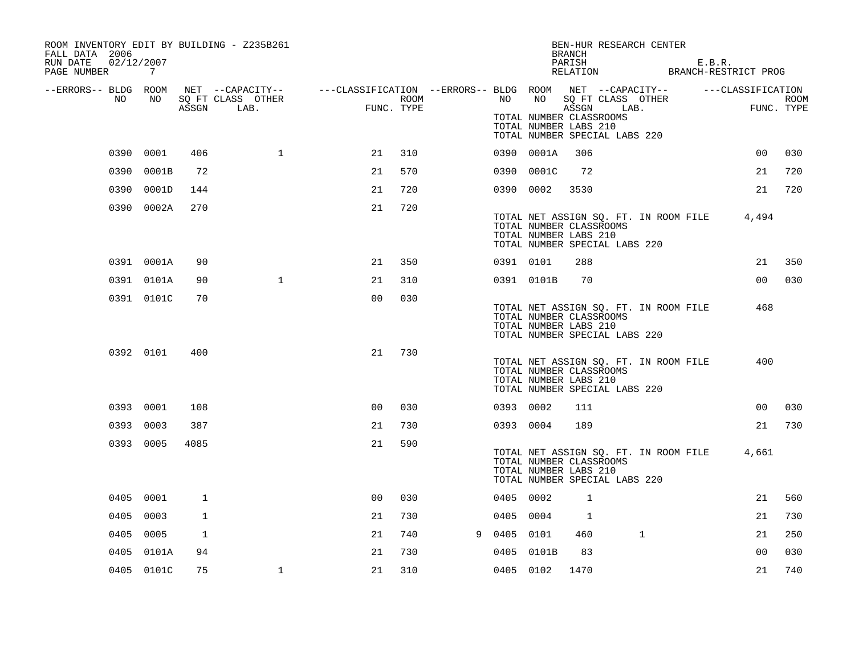| ROOM INVENTORY EDIT BY BUILDING - Z235B261<br>FALL DATA 2006<br>02/12/2007<br>RUN DATE<br>PAGE NUMBER | 7          |       |                           |                                                                           |                    |   |           |            | BEN-HUR RESEARCH CENTER<br><b>BRANCH</b><br>PARISH<br>RELATION BRANCH-RESTRICT PROG                                        |              | E.B.R. |                   |                    |
|-------------------------------------------------------------------------------------------------------|------------|-------|---------------------------|---------------------------------------------------------------------------|--------------------|---|-----------|------------|----------------------------------------------------------------------------------------------------------------------------|--------------|--------|-------------------|--------------------|
| --ERRORS-- BLDG ROOM<br>NO.                                                                           | NO         | ASSGN | SQ FT CLASS OTHER<br>LAB. | NET --CAPACITY-- ----CLASSIFICATION --ERRORS-- BLDG ROOM NET --CAPACITY-- | ROOM<br>FUNC. TYPE |   | NO        | NO         | SQ FT CLASS OTHER<br>ASSGN<br>LAB.<br>TOTAL NUMBER CLASSROOMS<br>TOTAL NUMBER LABS 210<br>TOTAL NUMBER SPECIAL LABS 220    |              |        | ---CLASSIFICATION | ROOM<br>FUNC. TYPE |
|                                                                                                       | 0390 0001  | 406   | $\mathbf{1}$              | 21                                                                        | 310                |   |           | 0390 0001A | 306                                                                                                                        |              |        | 0 <sub>0</sub>    | 030                |
|                                                                                                       | 0390 0001B | 72    |                           | 21                                                                        | 570                |   |           | 0390 0001C | 72                                                                                                                         |              |        | 21                | 720                |
|                                                                                                       | 0390 0001D | 144   |                           | 21                                                                        | 720                |   |           | 0390 0002  | 3530                                                                                                                       |              |        | 21                | 720                |
|                                                                                                       | 0390 0002A | 270   |                           | 21                                                                        | 720                |   |           |            | TOTAL NET ASSIGN SQ. FT. IN ROOM FILE<br>TOTAL NUMBER CLASSROOMS<br>TOTAL NUMBER LABS 210<br>TOTAL NUMBER SPECIAL LABS 220 |              |        | 4,494             |                    |
|                                                                                                       | 0391 0001A | 90    |                           | 21                                                                        | 350                |   | 0391 0101 |            | 288                                                                                                                        |              |        | 21                | 350                |
|                                                                                                       | 0391 0101A | 90    | $\mathbf{1}$              | 21                                                                        | 310                |   |           | 0391 0101B | 70                                                                                                                         |              |        | 00                | 030                |
|                                                                                                       | 0391 0101C | 70    |                           | 0 <sub>0</sub>                                                            | 030                |   |           |            | TOTAL NET ASSIGN SQ. FT. IN ROOM FILE<br>TOTAL NUMBER CLASSROOMS<br>TOTAL NUMBER LABS 210<br>TOTAL NUMBER SPECIAL LABS 220 |              |        | 468               |                    |
|                                                                                                       | 0392 0101  | 400   |                           | 21                                                                        | 730                |   |           |            | TOTAL NET ASSIGN SQ. FT. IN ROOM FILE<br>TOTAL NUMBER CLASSROOMS<br>TOTAL NUMBER LABS 210<br>TOTAL NUMBER SPECIAL LABS 220 |              |        | 400               |                    |
|                                                                                                       | 0393 0001  | 108   |                           | 0 <sub>0</sub>                                                            | 030                |   | 0393 0002 |            | 111                                                                                                                        |              |        | 00                | 030                |
|                                                                                                       | 0393 0003  | 387   |                           | 21                                                                        | 730                |   | 0393 0004 |            | 189                                                                                                                        |              |        | 21                | 730                |
|                                                                                                       | 0393 0005  | 4085  |                           | 21                                                                        | 590                |   |           |            | TOTAL NET ASSIGN SQ. FT. IN ROOM FILE<br>TOTAL NUMBER CLASSROOMS<br>TOTAL NUMBER LABS 210<br>TOTAL NUMBER SPECIAL LABS 220 |              |        | 4,661             |                    |
|                                                                                                       | 0405 0001  | 1     |                           | 0 <sub>0</sub>                                                            | 030                |   | 0405 0002 |            | 1                                                                                                                          |              |        | 21                | 560                |
| 0405                                                                                                  | 0003       | 1     |                           | 21                                                                        | 730                |   | 0405 0004 |            | 1                                                                                                                          |              |        | 21                | 730                |
|                                                                                                       | 0405 0005  | 1     |                           | 21                                                                        | 740                | 9 | 0405 0101 |            | 460                                                                                                                        | $\mathbf{1}$ |        | 21                | 250                |
|                                                                                                       | 0405 0101A | 94    |                           | 21                                                                        | 730                |   |           | 0405 0101B | 83                                                                                                                         |              |        | 0 <sub>0</sub>    | 030                |
|                                                                                                       | 0405 0101C | 75    | $\mathbf{1}$              | 21                                                                        | 310                |   | 0405 0102 |            | 1470                                                                                                                       |              |        | 21                | 740                |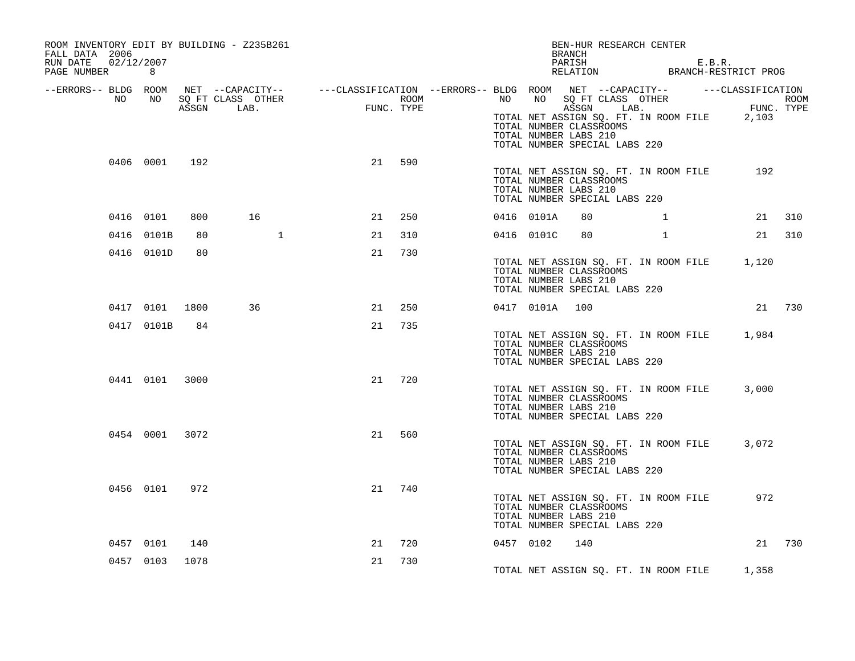| ROOM INVENTORY EDIT BY BUILDING - Z235B261<br>FALL DATA 2006<br>RUN DATE 02/12/2007 |                |      |                                       |    |            |                  |                | BEN-HUR RESEARCH CENTER<br>BRANCH                                                                                                |              |       |        |
|-------------------------------------------------------------------------------------|----------------|------|---------------------------------------|----|------------|------------------|----------------|----------------------------------------------------------------------------------------------------------------------------------|--------------|-------|--------|
| PAGE NUMBER 8                                                                       |                |      |                                       |    |            |                  |                | PARISH E.B.R.<br>RELATION BRANCH-RESTRICT PROG                                                                                   |              |       |        |
| --ERRORS-- BLDG ROOM<br>NO                                                          | NO             |      | SQ FT CLASS OTHER<br>ASSGN LAB. FUNC. |    | FUNC. TYPE | ROOM <b>ROOM</b> |                | NO NO SQ FT CLASS OTHER THE ROOM ROOM ASSGN LAB. FUNC. TYPE                                                                      |              |       |        |
|                                                                                     |                |      |                                       |    |            |                  |                | TOTAL NET ASSIGN SQ. FT. IN ROOM FILE 2,103<br>TOTAL NUMBER CLASSROOMS<br>TOTAL NUMBER LABS 210<br>TOTAL NUMBER SPECIAL LABS 220 |              |       |        |
|                                                                                     | 0406 0001      | 192  |                                       | 21 | 590        |                  |                | TOTAL NET ASSIGN SQ. FT. IN ROOM FILE<br>TOTAL NUMBER CLASSROOMS<br>TOTAL NUMBER LABS 210<br>TOTAL NUMBER SPECIAL LABS 220       |              | 192   |        |
|                                                                                     | 0416 0101      | 800  | 16                                    | 21 | 250        |                  | 0416 0101A     | 80                                                                                                                               | $\mathbf{1}$ |       | 21 310 |
|                                                                                     | 0416 0101B     | 80   | $\mathbf{1}$                          | 21 | 310        |                  | 0416 0101C     | 80                                                                                                                               | $\mathbf{1}$ | 21    | 310    |
|                                                                                     | 0416 0101D     | 80   |                                       | 21 | 730        |                  |                | TOTAL NET ASSIGN SQ. FT. IN ROOM FILE 1,120<br>TOTAL NUMBER CLASSROOMS<br>TOTAL NUMBER LABS 210<br>TOTAL NUMBER SPECIAL LABS 220 |              |       |        |
|                                                                                     | 0417 0101 1800 |      | 36                                    | 21 | 250        |                  | 0417 0101A 100 |                                                                                                                                  |              |       | 21 730 |
|                                                                                     | 0417 0101B     | 84   |                                       | 21 | 735        |                  |                | TOTAL NET ASSIGN SQ. FT. IN ROOM FILE 1,984<br>TOTAL NUMBER CLASSROOMS<br>TOTAL NUMBER LABS 210<br>TOTAL NUMBER SPECIAL LABS 220 |              |       |        |
|                                                                                     | 0441 0101 3000 |      |                                       | 21 | 720        |                  |                | TOTAL NET ASSIGN SQ. FT. IN ROOM FILE<br>TOTAL NUMBER CLASSROOMS<br>TOTAL NUMBER LABS 210<br>TOTAL NUMBER SPECIAL LABS 220       |              | 3,000 |        |
|                                                                                     | 0454 0001 3072 |      |                                       | 21 | 560        |                  |                | TOTAL NET ASSIGN SQ. FT. IN ROOM FILE<br>TOTAL NUMBER CLASSROOMS<br>TOTAL NUMBER LABS 210<br>TOTAL NUMBER SPECIAL LABS 220       |              | 3,072 |        |
|                                                                                     | 0456 0101      | 972  |                                       | 21 | 740        |                  |                | TOTAL NET ASSIGN SQ. FT. IN ROOM FILE<br>TOTAL NUMBER CLASSROOMS<br>TOTAL NUMBER LABS 210<br>TOTAL NUMBER SPECIAL LABS 220       |              | 972   |        |
|                                                                                     | 0457 0101      | 140  |                                       | 21 | 720        |                  | 0457 0102      | 140                                                                                                                              |              |       | 21 730 |
|                                                                                     | 0457 0103      | 1078 |                                       | 21 | 730        |                  |                | TOTAL NET ASSIGN SQ. FT. IN ROOM FILE 1,358                                                                                      |              |       |        |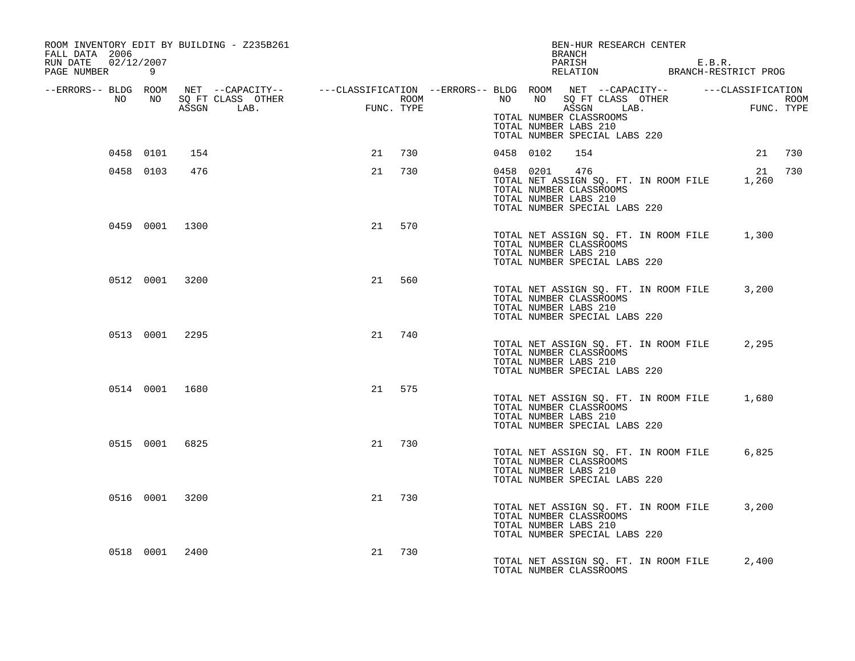| ROOM INVENTORY EDIT BY BUILDING - Z235B261<br>FALL DATA 2006<br>02/12/2007<br>RUN DATE<br>PAGE NUMBER 9 |    |     |                                                                                                                                                                                             |            |     |                  |           |       | BEN-HUR RESEARCH CENTER<br>BRANCH<br>PARISH                                                        |  |                                       | E.B.R.<br>RELATION BRANCH-RESTRICT PROG |                    |
|---------------------------------------------------------------------------------------------------------|----|-----|---------------------------------------------------------------------------------------------------------------------------------------------------------------------------------------------|------------|-----|------------------|-----------|-------|----------------------------------------------------------------------------------------------------|--|---------------------------------------|-----------------------------------------|--------------------|
| --ERRORS-- BLDG ROOM<br>NO                                                                              | NO |     | NET --CAPACITY-- $---CLASSIFICATION --ERRORS-- BLDG R OOM NET --CAPACITY-- --- CLASSIFICATION ---CLASSIFICATION ---CLASSIFICATION ---CIRS OF R.$<br>SQ FT CLASS OTHER<br>A SSCAN LAR. FUNC. | FUNC. TYPE |     | ROOM <b>ROOM</b> |           | NO NO | ASSGN LAB.<br>TOTAL NUMBER CLASSROOMS<br>TOTAL NUMBER LABS 210<br>TOTAL NUMBER SPECIAL LABS 220    |  |                                       | SQ FT CLASS OTHER<br>ACCON LAB          | ROOM<br>FUNC. TYPE |
| 0458 0101                                                                                               |    | 154 |                                                                                                                                                                                             | 21         | 730 |                  | 0458 0102 |       | 154                                                                                                |  |                                       | 21                                      | 730                |
| 0458 0103                                                                                               |    | 476 |                                                                                                                                                                                             | 21         | 730 |                  |           |       | 0458 0201 476<br>TOTAL NUMBER CLASSROOMS<br>TOTAL NUMBER LABS 210<br>TOTAL NUMBER SPECIAL LABS 220 |  | TOTAL NET ASSIGN SQ. FT. IN ROOM FILE | 21<br>1,260                             | 730                |
| 0459 0001 1300                                                                                          |    |     |                                                                                                                                                                                             | 21         | 570 |                  |           |       | TOTAL NUMBER CLASSROOMS<br>TOTAL NUMBER LABS 210<br>TOTAL NUMBER SPECIAL LABS 220                  |  | TOTAL NET ASSIGN SQ. FT. IN ROOM FILE | 1,300                                   |                    |
| 0512 0001 3200                                                                                          |    |     |                                                                                                                                                                                             | 21         | 560 |                  |           |       | TOTAL NUMBER CLASSROOMS<br>TOTAL NUMBER LABS 210<br>TOTAL NUMBER SPECIAL LABS 220                  |  | TOTAL NET ASSIGN SQ. FT. IN ROOM FILE | 3,200                                   |                    |
| 0513 0001 2295                                                                                          |    |     |                                                                                                                                                                                             | 21         | 740 |                  |           |       | TOTAL NUMBER CLASSROOMS<br>TOTAL NUMBER LABS 210<br>TOTAL NUMBER SPECIAL LABS 220                  |  | TOTAL NET ASSIGN SQ. FT. IN ROOM FILE | 2,295                                   |                    |
| 0514 0001 1680                                                                                          |    |     |                                                                                                                                                                                             | 21         | 575 |                  |           |       | TOTAL NUMBER CLASSROOMS<br>TOTAL NUMBER LABS 210<br>TOTAL NUMBER SPECIAL LABS 220                  |  | TOTAL NET ASSIGN SQ. FT. IN ROOM FILE | 1,680                                   |                    |
| 0515 0001 6825                                                                                          |    |     |                                                                                                                                                                                             | 21         | 730 |                  |           |       | TOTAL NUMBER CLASSROOMS<br>TOTAL NUMBER LABS 210<br>TOTAL NUMBER SPECIAL LABS 220                  |  | TOTAL NET ASSIGN SQ. FT. IN ROOM FILE | 6,825                                   |                    |
| 0516 0001 3200                                                                                          |    |     |                                                                                                                                                                                             | 21         | 730 |                  |           |       | TOTAL NUMBER CLASSROOMS<br>TOTAL NUMBER LABS 210<br>TOTAL NUMBER SPECIAL LABS 220                  |  | TOTAL NET ASSIGN SQ. FT. IN ROOM FILE | 3,200                                   |                    |
| 0518 0001 2400                                                                                          |    |     |                                                                                                                                                                                             | 21         | 730 |                  |           |       | TOTAL NUMBER CLASSROOMS                                                                            |  | TOTAL NET ASSIGN SQ. FT. IN ROOM FILE | 2,400                                   |                    |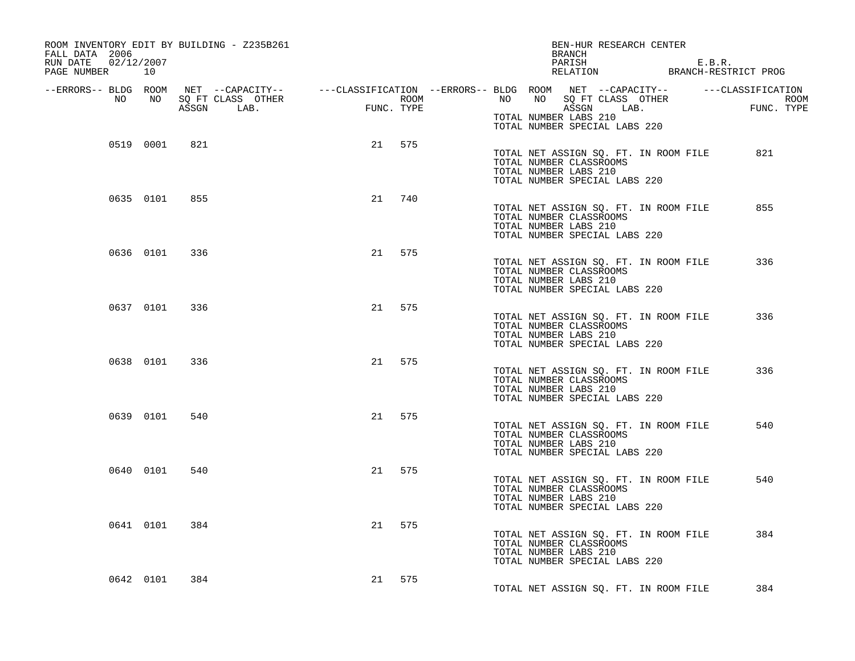| ROOM INVENTORY EDIT BY BUILDING - Z235B261<br>FALL DATA 2006<br>RUN DATE 02/12/2007<br>PAGE NUMBER 10                    |       |     |                                 |                                              |            |                  |                                                  | BEN-HUR RESEARCH CENTER<br>BRANCH<br>PARISH E.B.R.<br>RELATION BRANCH-RESTRICT PROG |                    |
|--------------------------------------------------------------------------------------------------------------------------|-------|-----|---------------------------------|----------------------------------------------|------------|------------------|--------------------------------------------------|-------------------------------------------------------------------------------------|--------------------|
| --ERRORS-- BLDG ROOM NET --CAPACITY-- ----CLASSIFICATION --ERRORS-- BLDG ROOM NET --CAPACITY-- -----CLASSIFICATION<br>NO | NO 11 |     | SQ FT CLASS OTHER<br>ASSGN LAB. | $\begin{aligned} \mathrm{FUN} \end{aligned}$ | FUNC. TYPE | ROOM <b>ROOM</b> |                                                  | NO NO SQ FT CLASS OTHER<br>NO NO SQ FT CLASS OTHER<br>ASSGN LAB.                    | ROOM<br>FUNC. TYPE |
|                                                                                                                          |       |     |                                 |                                              |            |                  |                                                  | TOTAL NUMBER LABS 210<br>TOTAL NUMBER SPECIAL LABS 220                              |                    |
| 0519 0001                                                                                                                |       | 821 |                                 |                                              | 21 575     |                  | TOTAL NUMBER CLASSROOMS<br>TOTAL NUMBER LABS 210 | TOTAL NET ASSIGN SQ. FT. IN ROOM FILE<br>TOTAL NUMBER SPECIAL LABS 220              | 821                |
| 0635 0101                                                                                                                |       | 855 |                                 | 21                                           | 740        |                  | TOTAL NUMBER CLASSROOMS<br>TOTAL NUMBER LABS 210 | TOTAL NET ASSIGN SQ. FT. IN ROOM FILE<br>TOTAL NUMBER SPECIAL LABS 220              | 855                |
| 0636 0101                                                                                                                |       | 336 |                                 |                                              | 21 575     |                  | TOTAL NUMBER CLASSROOMS<br>TOTAL NUMBER LABS 210 | TOTAL NET ASSIGN SQ. FT. IN ROOM FILE<br>TOTAL NUMBER SPECIAL LABS 220              | 336                |
| 0637 0101                                                                                                                |       | 336 |                                 |                                              | 21 575     |                  | TOTAL NUMBER CLASSROOMS<br>TOTAL NUMBER LABS 210 | TOTAL NET ASSIGN SQ. FT. IN ROOM FILE<br>TOTAL NUMBER SPECIAL LABS 220              | 336                |
| 0638 0101                                                                                                                |       | 336 |                                 | 21                                           | 575        |                  | TOTAL NUMBER CLASSROOMS<br>TOTAL NUMBER LABS 210 | TOTAL NET ASSIGN SQ. FT. IN ROOM FILE<br>TOTAL NUMBER SPECIAL LABS 220              | 336                |
| 0639 0101                                                                                                                |       | 540 |                                 |                                              | 21 575     |                  | TOTAL NUMBER CLASSROOMS<br>TOTAL NUMBER LABS 210 | TOTAL NET ASSIGN SQ. FT. IN ROOM FILE<br>TOTAL NUMBER SPECIAL LABS 220              | 540                |
| 0640 0101                                                                                                                |       | 540 |                                 |                                              | 21 575     |                  | TOTAL NUMBER CLASSROOMS<br>TOTAL NUMBER LABS 210 | TOTAL NET ASSIGN SQ. FT. IN ROOM FILE<br>TOTAL NUMBER SPECIAL LABS 220              | 540                |
| 0641 0101                                                                                                                |       | 384 |                                 | 21                                           | 575        |                  | TOTAL NUMBER CLASSROOMS<br>TOTAL NUMBER LABS 210 | TOTAL NET ASSIGN SQ. FT. IN ROOM FILE<br>TOTAL NUMBER SPECIAL LABS 220              | 384                |
| 0642 0101                                                                                                                |       | 384 |                                 |                                              | 21 575     |                  |                                                  | TOTAL NET ASSIGN SQ. FT. IN ROOM FILE                                               | 384                |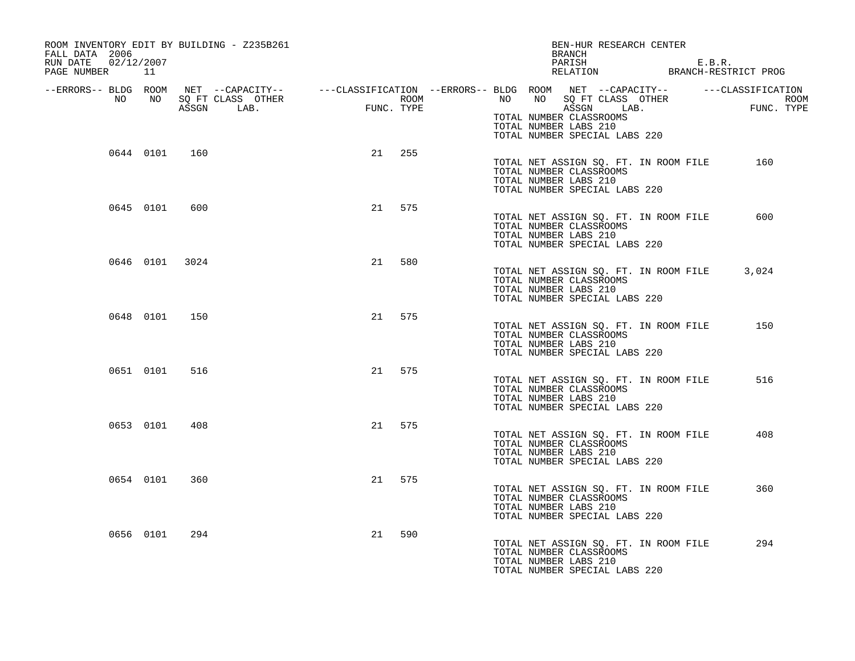| ROOM INVENTORY EDIT BY BUILDING - Z235B261<br>FALL DATA 2006<br>RUN DATE 02/12/2007<br>PAGE NUMBER 11 |                 |                |                                                                                                                                                       |            |            |                  |       | BRANCH                                                                            | BEN-HUR RESEARCH CENTER            |                                       | PARISH E.B.R.<br>RELATION BRANCH-RESTRICT PROG |
|-------------------------------------------------------------------------------------------------------|-----------------|----------------|-------------------------------------------------------------------------------------------------------------------------------------------------------|------------|------------|------------------|-------|-----------------------------------------------------------------------------------|------------------------------------|---------------------------------------|------------------------------------------------|
| NO                                                                                                    | NO <sub>1</sub> |                | --ERRORS-- BLDG ROOM NET --CAPACITY-- ----CLASSIFICATION --ERRORS-- BLDG ROOM NET --CAPACITY-- -----CLASSIFICATION<br>SQ FT CLASS OTHER<br>ASSGN LAB. | <b>FUN</b> | FUNC. TYPE | ROOM <b>ROOM</b> | NO NO | TOTAL NUMBER CLASSROOMS<br>TOTAL NUMBER LABS 210<br>TOTAL NUMBER SPECIAL LABS 220 | NO SQ FT CLASS OTHER<br>ASSGN LAB. |                                       | ROOM<br>FUNC. TYPE                             |
|                                                                                                       | 0644 0101       | 160            |                                                                                                                                                       | 21         | 255        |                  |       | TOTAL NUMBER CLASSROOMS<br>TOTAL NUMBER LABS 210<br>TOTAL NUMBER SPECIAL LABS 220 |                                    | TOTAL NET ASSIGN SQ. FT. IN ROOM FILE | 160                                            |
|                                                                                                       | 0645 0101       | 600            |                                                                                                                                                       | 21         | 575        |                  |       | TOTAL NUMBER CLASSROOMS<br>TOTAL NUMBER LABS 210<br>TOTAL NUMBER SPECIAL LABS 220 |                                    | TOTAL NET ASSIGN SQ. FT. IN ROOM FILE | 600                                            |
|                                                                                                       |                 | 0646 0101 3024 |                                                                                                                                                       | 21         | 580        |                  |       | TOTAL NUMBER CLASSROOMS<br>TOTAL NUMBER LABS 210<br>TOTAL NUMBER SPECIAL LABS 220 |                                    | TOTAL NET ASSIGN SQ. FT. IN ROOM FILE | 3.024                                          |
|                                                                                                       | 0648 0101       | 150            |                                                                                                                                                       |            | 21 575     |                  |       | TOTAL NUMBER CLASSROOMS<br>TOTAL NUMBER LABS 210<br>TOTAL NUMBER SPECIAL LABS 220 |                                    | TOTAL NET ASSIGN SQ. FT. IN ROOM FILE | 150                                            |
|                                                                                                       | 0651 0101       | 516            |                                                                                                                                                       | 21         | 575        |                  |       | TOTAL NUMBER CLASSROOMS<br>TOTAL NUMBER LABS 210<br>TOTAL NUMBER SPECIAL LABS 220 |                                    | TOTAL NET ASSIGN SQ. FT. IN ROOM FILE | 516                                            |
|                                                                                                       | 0653 0101       | 408            |                                                                                                                                                       | 21         | 575        |                  |       | TOTAL NUMBER CLASSROOMS<br>TOTAL NUMBER LABS 210<br>TOTAL NUMBER SPECIAL LABS 220 |                                    | TOTAL NET ASSIGN SQ. FT. IN ROOM FILE | 408                                            |
|                                                                                                       | 0654 0101       | 360            |                                                                                                                                                       |            | 21 575     |                  |       | TOTAL NUMBER CLASSROOMS<br>TOTAL NUMBER LABS 210<br>TOTAL NUMBER SPECIAL LABS 220 |                                    | TOTAL NET ASSIGN SQ. FT. IN ROOM FILE | 360                                            |
|                                                                                                       | 0656 0101       | 294            |                                                                                                                                                       | 21         | 590        |                  |       | TOTAL NUMBER CLASSROOMS<br>TOTAL NUMBER LABS 210<br>TOTAL NUMBER SPECIAL LABS 220 |                                    | TOTAL NET ASSIGN SQ. FT. IN ROOM FILE | 294                                            |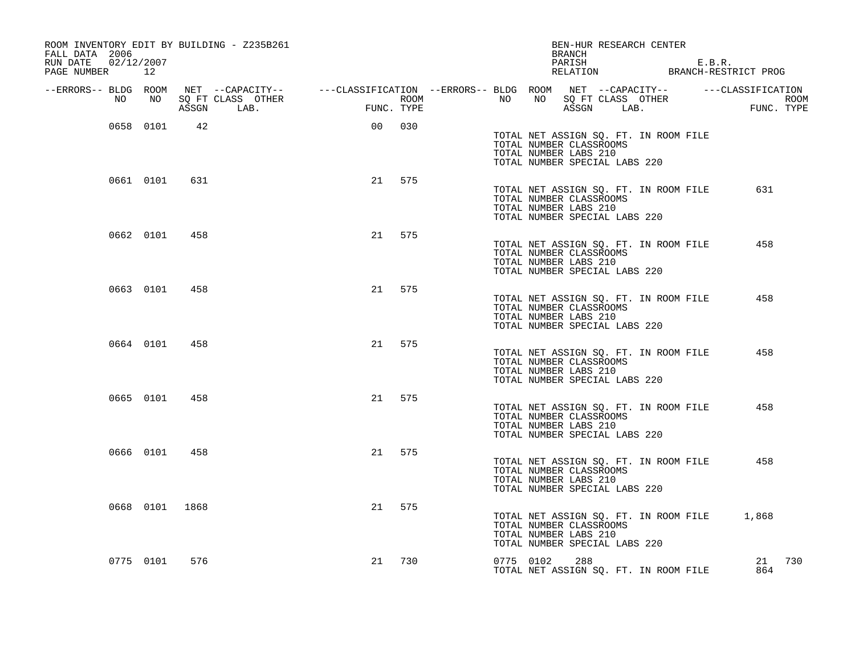| ROOM INVENTORY EDIT BY BUILDING - Z235B261<br>FALL DATA 2006 |           |                |                                                                                                                                   |    |            |                  |    |           | BEN-HUR RESEARCH CENTER<br>BRANCH                                                 |                                 |                                       |                                                          |  |
|--------------------------------------------------------------|-----------|----------------|-----------------------------------------------------------------------------------------------------------------------------------|----|------------|------------------|----|-----------|-----------------------------------------------------------------------------------|---------------------------------|---------------------------------------|----------------------------------------------------------|--|
| 02/12/2007<br>RUN DATE<br>PAGE NUMBER 12                     |           |                |                                                                                                                                   |    |            |                  |    |           | PARISH                                                                            |                                 |                                       | E.B.R.<br>PARISH E.B.R.<br>RELATION BRANCH-RESTRICT PROG |  |
| --ERRORS-- BLDG ROOM<br>NO                                   | NO        |                | NET --CAPACITY-- - ---CLASSIFICATION --ERRORS-- BLDG ROOM NET --CAPACITY-- - ---CLASSIFICATION<br>SQ FT CLASS OTHER<br>ASSGN LAB. |    | FUNC. TYPE | ROOM <b>ROOM</b> | NO | NO        |                                                                                   | SQ FT CLASS OTHER<br>ASSGN LAB. |                                       | ROOM<br>התייחי במודה<br>FUNC. TYPE                       |  |
|                                                              | 0658 0101 | 42             |                                                                                                                                   | 00 | 030        |                  |    |           | TOTAL NUMBER CLASSROOMS<br>TOTAL NUMBER LABS 210<br>TOTAL NUMBER SPECIAL LABS 220 |                                 | TOTAL NET ASSIGN SQ. FT. IN ROOM FILE |                                                          |  |
|                                                              | 0661 0101 | 631            |                                                                                                                                   | 21 | 575        |                  |    |           | TOTAL NUMBER CLASSROOMS<br>TOTAL NUMBER LABS 210<br>TOTAL NUMBER SPECIAL LABS 220 |                                 | TOTAL NET ASSIGN SQ. FT. IN ROOM FILE | 631                                                      |  |
|                                                              | 0662 0101 | 458            |                                                                                                                                   | 21 | 575        |                  |    |           | TOTAL NUMBER CLASSROOMS<br>TOTAL NUMBER LABS 210<br>TOTAL NUMBER SPECIAL LABS 220 |                                 | TOTAL NET ASSIGN SQ. FT. IN ROOM FILE | 458                                                      |  |
|                                                              | 0663 0101 | 458            |                                                                                                                                   |    | 21 575     |                  |    |           | TOTAL NUMBER CLASSROOMS<br>TOTAL NUMBER LABS 210<br>TOTAL NUMBER SPECIAL LABS 220 |                                 | TOTAL NET ASSIGN SQ. FT. IN ROOM FILE | 458                                                      |  |
|                                                              | 0664 0101 | 458            |                                                                                                                                   |    | 21 575     |                  |    |           | TOTAL NUMBER CLASSROOMS<br>TOTAL NUMBER LABS 210<br>TOTAL NUMBER SPECIAL LABS 220 |                                 | TOTAL NET ASSIGN SQ. FT. IN ROOM FILE | 458                                                      |  |
|                                                              | 0665 0101 | 458            |                                                                                                                                   | 21 | 575        |                  |    |           | TOTAL NUMBER CLASSROOMS<br>TOTAL NUMBER LABS 210<br>TOTAL NUMBER SPECIAL LABS 220 |                                 | TOTAL NET ASSIGN SQ. FT. IN ROOM FILE | 458                                                      |  |
|                                                              | 0666 0101 | 458            |                                                                                                                                   | 21 | 575        |                  |    |           | TOTAL NUMBER CLASSROOMS<br>TOTAL NUMBER LABS 210<br>TOTAL NUMBER SPECIAL LABS 220 |                                 | TOTAL NET ASSIGN SQ. FT. IN ROOM FILE | 458                                                      |  |
|                                                              |           | 0668 0101 1868 |                                                                                                                                   | 21 | 575        |                  |    |           | TOTAL NUMBER CLASSROOMS<br>TOTAL NUMBER LABS 210<br>TOTAL NUMBER SPECIAL LABS 220 |                                 | TOTAL NET ASSIGN SQ. FT. IN ROOM FILE | 1,868                                                    |  |
|                                                              | 0775 0101 | 576            |                                                                                                                                   | 21 | 730        |                  |    | 0775 0102 | 288                                                                               |                                 | TOTAL NET ASSIGN SQ. FT. IN ROOM FILE | 21 730<br>864                                            |  |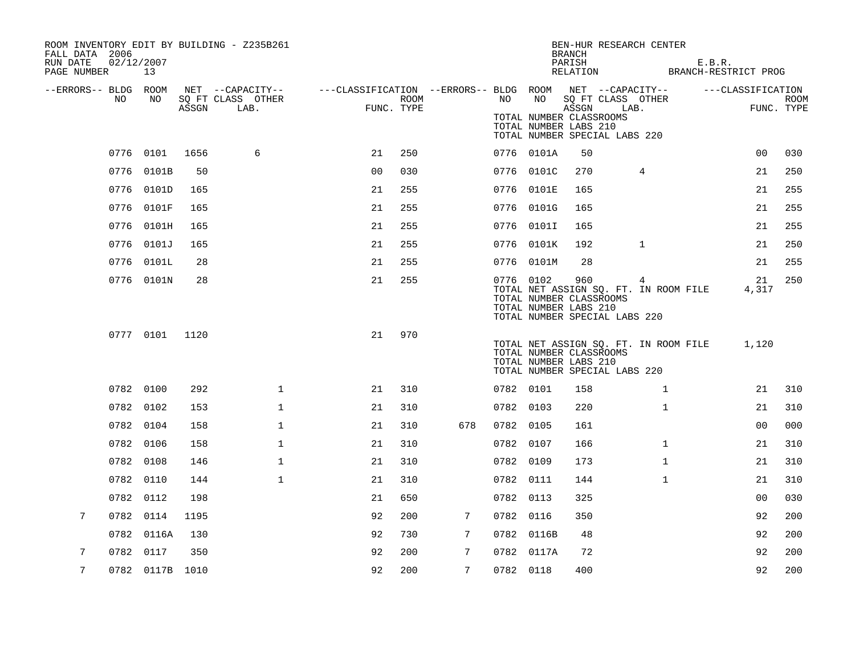| FALL DATA 2006<br>RUN DATE | 02/12/2007      |       | ROOM INVENTORY EDIT BY BUILDING - Z235B261 |                                                         |      |     |           |            | <b>BRANCH</b><br>PARISH                                   | BEN-HUR RESEARCH CENTER                                                     | E.B.R. |                      |      |
|----------------------------|-----------------|-------|--------------------------------------------|---------------------------------------------------------|------|-----|-----------|------------|-----------------------------------------------------------|-----------------------------------------------------------------------------|--------|----------------------|------|
| PAGE NUMBER                | 13              |       |                                            |                                                         |      |     |           |            | RELATION                                                  |                                                                             |        | BRANCH-RESTRICT PROG |      |
| --ERRORS-- BLDG ROOM<br>NO | NO              |       | NET --CAPACITY--<br>SQ FT CLASS OTHER      | ---CLASSIFICATION --ERRORS-- BLDG ROOM NET --CAPACITY-- | ROOM |     | NO        | NO         |                                                           | SQ FT CLASS OTHER                                                           |        | ---CLASSIFICATION    | ROOM |
|                            |                 | ASSGN | LAB.                                       | FUNC. TYPE                                              |      |     |           |            | ASSGN<br>TOTAL NUMBER CLASSROOMS<br>TOTAL NUMBER LABS 210 | LAB.<br>TOTAL NUMBER SPECIAL LABS 220                                       |        | FUNC. TYPE           |      |
|                            |                 |       |                                            |                                                         |      |     |           |            |                                                           |                                                                             |        |                      |      |
|                            | 0776 0101       | 1656  | 6                                          | 21                                                      | 250  |     |           | 0776 0101A | 50                                                        |                                                                             |        | 00                   | 030  |
|                            | 0776 0101B      | 50    |                                            | 0 <sub>0</sub>                                          | 030  |     |           | 0776 0101C | 270                                                       | 4                                                                           |        | 21                   | 250  |
|                            | 0776 0101D      | 165   |                                            | 21                                                      | 255  |     |           | 0776 0101E | 165                                                       |                                                                             |        | 21                   | 255  |
|                            | 0776 0101F      | 165   |                                            | 21                                                      | 255  |     |           | 0776 0101G | 165                                                       |                                                                             |        | 21                   | 255  |
|                            | 0776 0101H      | 165   |                                            | 21                                                      | 255  |     |           | 0776 0101I | 165                                                       |                                                                             |        | 21                   | 255  |
|                            | 0776 0101J      | 165   |                                            | 21                                                      | 255  |     |           | 0776 0101K | 192                                                       | $\mathbf{1}$                                                                |        | 21                   | 250  |
|                            | 0776 0101L      | 28    |                                            | 21                                                      | 255  |     |           | 0776 0101M | 28                                                        |                                                                             |        | 21                   | 255  |
|                            | 0776 0101N      | 28    |                                            | 21                                                      | 255  |     | 0776 0102 |            | 960<br>TOTAL NUMBER CLASSROOMS<br>TOTAL NUMBER LABS 210   | 4<br>TOTAL NET ASSIGN SQ. FT. IN ROOM FILE<br>TOTAL NUMBER SPECIAL LABS 220 |        | 21<br>4,317          | 250  |
|                            | 0777 0101       | 1120  |                                            | 21                                                      | 970  |     |           |            | TOTAL NUMBER CLASSROOMS<br>TOTAL NUMBER LABS 210          | TOTAL NET ASSIGN SQ. FT. IN ROOM FILE<br>TOTAL NUMBER SPECIAL LABS 220      |        | 1,120                |      |
|                            | 0782 0100       | 292   | $\mathbf 1$                                | 21                                                      | 310  |     | 0782 0101 |            | 158                                                       | $\mathbf{1}$                                                                |        | 21                   | 310  |
|                            | 0782 0102       | 153   | $\mathbf 1$                                | 21                                                      | 310  |     | 0782 0103 |            | 220                                                       | $\mathbf{1}$                                                                |        | 21                   | 310  |
|                            | 0782 0104       | 158   | $\mathbf 1$                                | 21                                                      | 310  | 678 | 0782 0105 |            | 161                                                       |                                                                             |        | 00                   | 000  |
|                            | 0782 0106       | 158   | $\mathbf 1$                                | 21                                                      | 310  |     | 0782 0107 |            | 166                                                       | $\mathbf{1}$                                                                |        | 21                   | 310  |
|                            | 0782 0108       | 146   | $\mathbf{1}$                               | 21                                                      | 310  |     | 0782 0109 |            | 173                                                       | $\mathbf{1}$                                                                |        | 21                   | 310  |
|                            | 0782 0110       | 144   | $\mathbf{1}$                               | 21                                                      | 310  |     | 0782 0111 |            | 144                                                       | $\mathbf{1}$                                                                |        | 21                   | 310  |
|                            | 0782 0112       | 198   |                                            | 21                                                      | 650  |     | 0782 0113 |            | 325                                                       |                                                                             |        | 00                   | 030  |
| 7                          | 0782 0114       | 1195  |                                            | 92                                                      | 200  | 7   | 0782 0116 |            | 350                                                       |                                                                             |        | 92                   | 200  |
|                            | 0782 0116A      | 130   |                                            | 92                                                      | 730  | 7   |           | 0782 0116B | 48                                                        |                                                                             |        | 92                   | 200  |
| 7                          | 0782 0117       | 350   |                                            | 92                                                      | 200  | 7   |           | 0782 0117A | 72                                                        |                                                                             |        | 92                   | 200  |
| 7                          | 0782 0117B 1010 |       |                                            | 92                                                      | 200  | 7   | 0782 0118 |            | 400                                                       |                                                                             |        | 92                   | 200  |
|                            |                 |       |                                            |                                                         |      |     |           |            |                                                           |                                                                             |        |                      |      |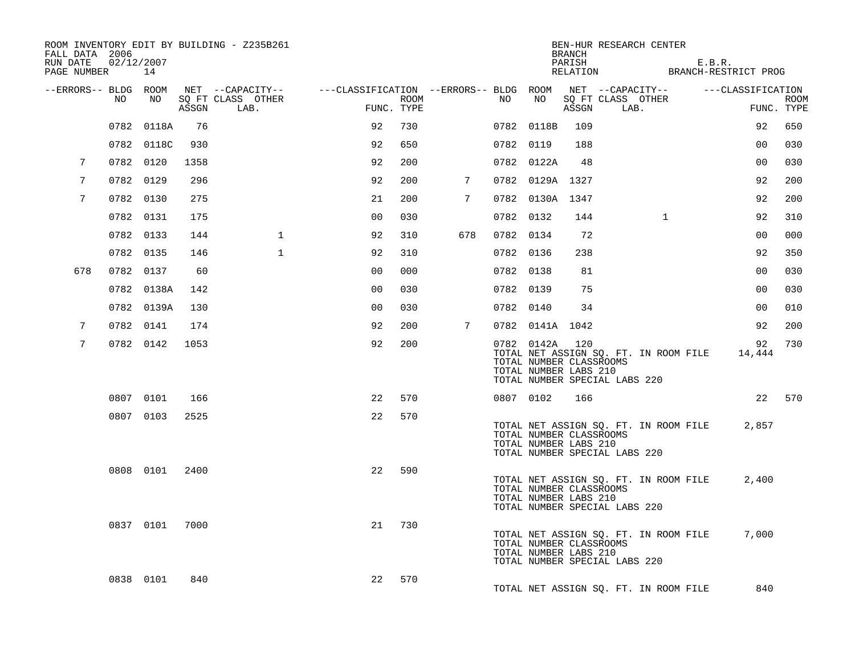| FALL DATA 2006<br>RUN DATE<br>PAGE NUMBER 14 | 02/12/2007 |            |       | ROOM INVENTORY EDIT BY BUILDING - Z235B261                |                |      |     |     |                                                                    | <b>BRANCH</b><br>PARISH | BEN-HUR RESEARCH CENTER<br>PARISH E.B.R.<br>RELATION BRANCH-RESTRICT PROG |              | E.B.R.            |                    |
|----------------------------------------------|------------|------------|-------|-----------------------------------------------------------|----------------|------|-----|-----|--------------------------------------------------------------------|-------------------------|---------------------------------------------------------------------------|--------------|-------------------|--------------------|
| --ERRORS-- BLDG ROOM                         |            |            |       | NET --CAPACITY-- - ---CLASSIFICATION --ERRORS-- BLDG ROOM |                |      |     |     |                                                                    |                         | NET --CAPACITY--                                                          |              | ---CLASSIFICATION |                    |
|                                              | NO         | NO         | ASSGN | SQ FT CLASS OTHER<br>LAB.                                 | FUNC. TYPE     | ROOM |     | NO. | NO                                                                 | ASSGN                   | SQ FT CLASS OTHER<br>LAB.                                                 |              |                   | ROOM<br>FUNC. TYPE |
|                                              | 0782       | 0118A      | 76    |                                                           | 92             | 730  |     |     | 0782 0118B                                                         | 109                     |                                                                           |              | 92                | 650                |
|                                              |            | 0782 0118C | 930   |                                                           | 92             | 650  |     |     | 0782 0119                                                          | 188                     |                                                                           |              | 0 <sub>0</sub>    | 030                |
| 7                                            |            | 0782 0120  | 1358  |                                                           | 92             | 200  |     |     | 0782 0122A                                                         | 48                      |                                                                           |              | 0 <sub>0</sub>    | 030                |
| 7                                            | 0782 0129  |            | 296   |                                                           | 92             | 200  | 7   |     | 0782 0129A 1327                                                    |                         |                                                                           |              | 92                | 200                |
| 7                                            | 0782 0130  |            | 275   |                                                           | 21             | 200  | 7   |     | 0782 0130A 1347                                                    |                         |                                                                           |              | 92                | 200                |
|                                              |            | 0782 0131  | 175   |                                                           | 0 <sub>0</sub> | 030  |     |     | 0782 0132                                                          | 144                     |                                                                           | $\mathbf{1}$ | 92                | 310                |
|                                              | 0782 0133  |            | 144   | $\mathbf{1}$                                              | 92             | 310  | 678 |     | 0782 0134                                                          | 72                      |                                                                           |              | 0 <sub>0</sub>    | 000                |
|                                              | 0782 0135  |            | 146   | $\mathbf{1}$                                              | 92             | 310  |     |     | 0782 0136                                                          | 238                     |                                                                           |              | 92                | 350                |
| 678                                          |            | 0782 0137  | 60    |                                                           | 0 <sub>0</sub> | 000  |     |     | 0782 0138                                                          | 81                      |                                                                           |              | 0 <sub>0</sub>    | 030                |
|                                              |            | 0782 0138A | 142   |                                                           | 00             | 030  |     |     | 0782 0139                                                          | 75                      |                                                                           |              | 0 <sub>0</sub>    | 030                |
|                                              |            | 0782 0139A | 130   |                                                           | 0 <sub>0</sub> | 030  |     |     | 0782 0140                                                          | 34                      |                                                                           |              | 0 <sub>0</sub>    | 010                |
| 7                                            |            | 0782 0141  | 174   |                                                           | 92             | 200  | 7   |     | 0782 0141A 1042                                                    |                         |                                                                           |              | 92                | 200                |
| $7\overline{ }$                              |            | 0782 0142  | 1053  |                                                           | 92             | 200  |     |     | 0782 0142A 120<br>TOTAL NUMBER CLASSROOMS<br>TOTAL NUMBER LABS 210 |                         | TOTAL NET ASSIGN SQ. FT. IN ROOM FILE<br>TOTAL NUMBER SPECIAL LABS 220    |              | 92<br>14,444      | 730                |
|                                              |            | 0807 0101  | 166   |                                                           | 22             | 570  |     |     | 0807 0102                                                          | 166                     |                                                                           |              |                   | 22 570             |
|                                              |            | 0807 0103  | 2525  |                                                           | 22             | 570  |     |     | TOTAL NUMBER CLASSROOMS<br>TOTAL NUMBER LABS 210                   |                         | TOTAL NET ASSIGN SQ. FT. IN ROOM FILE<br>TOTAL NUMBER SPECIAL LABS 220    |              | 2,857             |                    |
|                                              |            | 0808 0101  | 2400  |                                                           | 22             | 590  |     |     | TOTAL NUMBER CLASSROOMS<br>TOTAL NUMBER LABS 210                   |                         | TOTAL NET ASSIGN SQ. FT. IN ROOM FILE<br>TOTAL NUMBER SPECIAL LABS 220    |              | 2,400             |                    |
|                                              |            | 0837 0101  | 7000  |                                                           | 21             | 730  |     |     | TOTAL NUMBER CLASSROOMS<br>TOTAL NUMBER LABS 210                   |                         | TOTAL NET ASSIGN SQ. FT. IN ROOM FILE<br>TOTAL NUMBER SPECIAL LABS 220    |              | 7,000             |                    |
|                                              |            | 0838 0101  | 840   |                                                           | 22             | 570  |     |     |                                                                    |                         | TOTAL NET ASSIGN SQ. FT. IN ROOM FILE                                     |              | 840               |                    |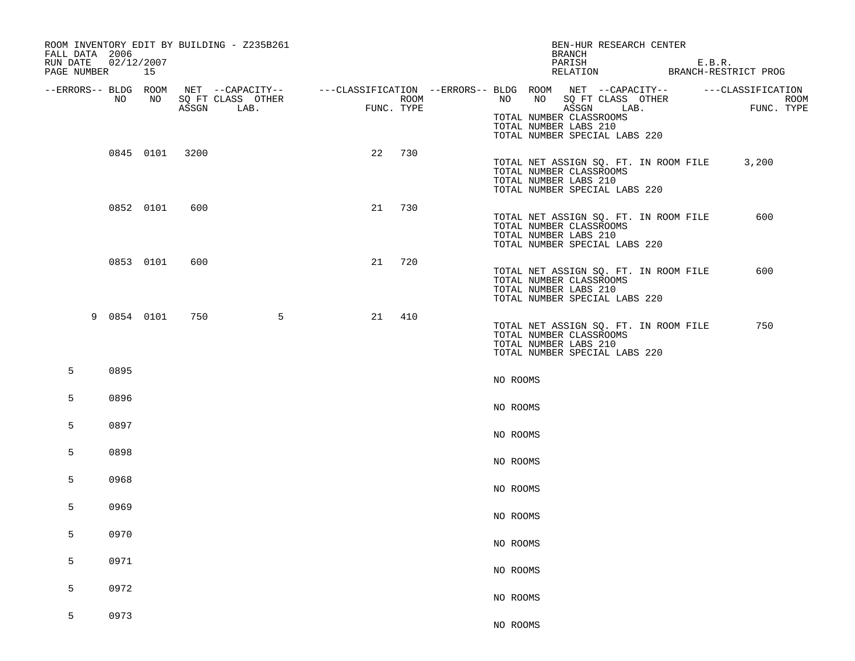| ROOM INVENTORY EDIT BY BUILDING - Z235B261<br>FALL DATA 2006<br>RUN DATE<br>PAGE NUMBER | 02/12/2007<br>15 |       |                                                                                                         |            |      |          | <b>BRANCH</b><br>PARISH                                         | BEN-HUR RESEARCH CENTER<br>RELATION                                    | E.B.R.<br>BRANCH-RESTRICT PROG          |
|-----------------------------------------------------------------------------------------|------------------|-------|---------------------------------------------------------------------------------------------------------|------------|------|----------|-----------------------------------------------------------------|------------------------------------------------------------------------|-----------------------------------------|
| --ERRORS-- BLDG ROOM<br>NO                                                              | NO               | ASSGN | NET --CAPACITY-- - ---CLASSIFICATION --ERRORS-- BLDG ROOM NET --CAPACITY--<br>SQ FT CLASS OTHER<br>LAB. | FUNC. TYPE | ROOM | NO       | NO<br>ASSGN<br>TOTAL NUMBER CLASSROOMS<br>TOTAL NUMBER LABS 210 | SQ FT CLASS OTHER<br>LAB.<br>TOTAL NUMBER SPECIAL LABS 220             | ---CLASSIFICATION<br>ROOM<br>FUNC. TYPE |
|                                                                                         | 0845 0101 3200   |       |                                                                                                         | 22         | 730  |          | TOTAL NUMBER CLASSROOMS<br>TOTAL NUMBER LABS 210                | TOTAL NET ASSIGN SQ. FT. IN ROOM FILE<br>TOTAL NUMBER SPECIAL LABS 220 | 3,200                                   |
|                                                                                         | 0852 0101        | 600   |                                                                                                         | 21         | 730  |          | TOTAL NUMBER CLASSROOMS<br>TOTAL NUMBER LABS 210                | TOTAL NET ASSIGN SQ. FT. IN ROOM FILE<br>TOTAL NUMBER SPECIAL LABS 220 | 600                                     |
|                                                                                         | 0853 0101        | 600   |                                                                                                         | 21         | 720  |          | TOTAL NUMBER CLASSROOMS<br>TOTAL NUMBER LABS 210                | TOTAL NET ASSIGN SQ. FT. IN ROOM FILE<br>TOTAL NUMBER SPECIAL LABS 220 | 600                                     |
|                                                                                         | 9 0854 0101      | 750   | 5                                                                                                       | 21         | 410  |          | TOTAL NUMBER CLASSROOMS<br>TOTAL NUMBER LABS 210                | TOTAL NET ASSIGN SQ. FT. IN ROOM FILE<br>TOTAL NUMBER SPECIAL LABS 220 | 750                                     |
| 5<br>0895                                                                               |                  |       |                                                                                                         |            |      | NO ROOMS |                                                                 |                                                                        |                                         |
| 5<br>0896                                                                               |                  |       |                                                                                                         |            |      | NO ROOMS |                                                                 |                                                                        |                                         |
| 5<br>0897                                                                               |                  |       |                                                                                                         |            |      | NO ROOMS |                                                                 |                                                                        |                                         |
| 5<br>0898                                                                               |                  |       |                                                                                                         |            |      | NO ROOMS |                                                                 |                                                                        |                                         |
| 5<br>0968                                                                               |                  |       |                                                                                                         |            |      | NO ROOMS |                                                                 |                                                                        |                                         |
| 5<br>0969                                                                               |                  |       |                                                                                                         |            |      | NO ROOMS |                                                                 |                                                                        |                                         |
| 5<br>0970                                                                               |                  |       |                                                                                                         |            |      | NO ROOMS |                                                                 |                                                                        |                                         |
| 5<br>0971                                                                               |                  |       |                                                                                                         |            |      | NO ROOMS |                                                                 |                                                                        |                                         |
| 5<br>0972                                                                               |                  |       |                                                                                                         |            |      | NO ROOMS |                                                                 |                                                                        |                                         |
| 0973<br>5                                                                               |                  |       |                                                                                                         |            |      | NO ROOMS |                                                                 |                                                                        |                                         |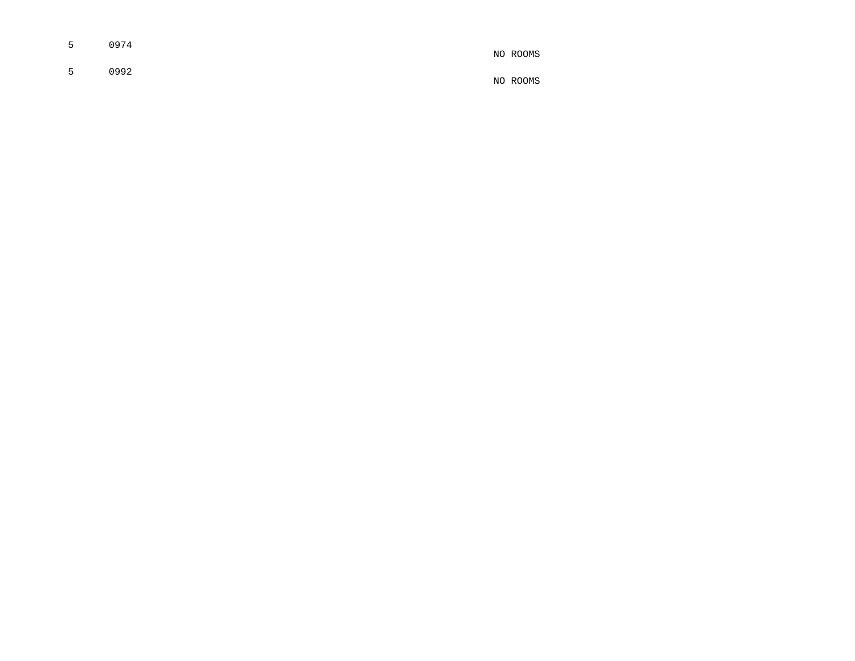| 5                | 0974 | NO ROOMS |
|------------------|------|----------|
| $5^{\circ}$<br>ັ | 0992 |          |

NO ROOMS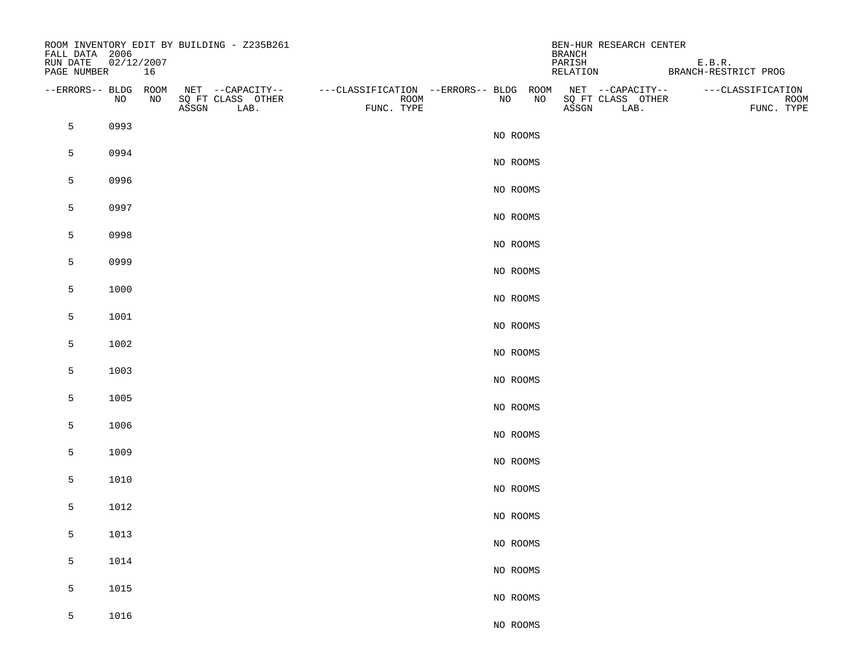| ROOM INVENTORY EDIT BY BUILDING - Z235B261<br>FALL DATA 2006<br>RUN DATE<br>PAGE NUMBER 16 | 02/12/2007 |    |       |                           |                                                          |                    |    |          | BRANCH<br>PARISH<br>RELATION | BEN-HUR RESEARCH CENTER                             | E.B.R.<br>BRANCH-RESTRICT PROG |            |      |
|--------------------------------------------------------------------------------------------|------------|----|-------|---------------------------|----------------------------------------------------------|--------------------|----|----------|------------------------------|-----------------------------------------------------|--------------------------------|------------|------|
| --ERRORS-- BLDG ROOM                                                                       | NO         | NO | ASSGN | SQ FT CLASS OTHER<br>LAB. | NET --CAPACITY-- ----CLASSIFICATION --ERRORS-- BLDG ROOM | ROOM<br>FUNC. TYPE | NO | NO       |                              | NET --CAPACITY--<br>SQ FT CLASS OTHER<br>ASSGN LAB. | ---CLASSIFICATION              | FUNC. TYPE | ROOM |
| 5                                                                                          | 0993       |    |       |                           |                                                          |                    |    | NO ROOMS |                              |                                                     |                                |            |      |
| 5                                                                                          | 0994       |    |       |                           |                                                          |                    |    |          |                              |                                                     |                                |            |      |
| 5                                                                                          | 0996       |    |       |                           |                                                          |                    |    | NO ROOMS |                              |                                                     |                                |            |      |
|                                                                                            |            |    |       |                           |                                                          |                    |    | NO ROOMS |                              |                                                     |                                |            |      |
| 5                                                                                          | 0997       |    |       |                           |                                                          |                    |    | NO ROOMS |                              |                                                     |                                |            |      |
| 5                                                                                          | 0998       |    |       |                           |                                                          |                    |    | NO ROOMS |                              |                                                     |                                |            |      |
| 5                                                                                          | 0999       |    |       |                           |                                                          |                    |    | NO ROOMS |                              |                                                     |                                |            |      |
| 5                                                                                          | 1000       |    |       |                           |                                                          |                    |    |          |                              |                                                     |                                |            |      |
| 5                                                                                          | 1001       |    |       |                           |                                                          |                    |    | NO ROOMS |                              |                                                     |                                |            |      |
|                                                                                            |            |    |       |                           |                                                          |                    |    | NO ROOMS |                              |                                                     |                                |            |      |
| 5                                                                                          | 1002       |    |       |                           |                                                          |                    |    | NO ROOMS |                              |                                                     |                                |            |      |
| 5                                                                                          | 1003       |    |       |                           |                                                          |                    |    | NO ROOMS |                              |                                                     |                                |            |      |
| 5                                                                                          | 1005       |    |       |                           |                                                          |                    |    |          |                              |                                                     |                                |            |      |
| 5                                                                                          | 1006       |    |       |                           |                                                          |                    |    | NO ROOMS |                              |                                                     |                                |            |      |
|                                                                                            |            |    |       |                           |                                                          |                    |    | NO ROOMS |                              |                                                     |                                |            |      |
| 5                                                                                          | 1009       |    |       |                           |                                                          |                    |    | NO ROOMS |                              |                                                     |                                |            |      |
| 5                                                                                          | 1010       |    |       |                           |                                                          |                    |    | NO ROOMS |                              |                                                     |                                |            |      |
| 5                                                                                          | 1012       |    |       |                           |                                                          |                    |    |          |                              |                                                     |                                |            |      |
| 5                                                                                          | 1013       |    |       |                           |                                                          |                    |    | NO ROOMS |                              |                                                     |                                |            |      |
|                                                                                            |            |    |       |                           |                                                          |                    |    | NO ROOMS |                              |                                                     |                                |            |      |
| 5                                                                                          | 1014       |    |       |                           |                                                          |                    |    | NO ROOMS |                              |                                                     |                                |            |      |
| 5                                                                                          | 1015       |    |       |                           |                                                          |                    |    | NO ROOMS |                              |                                                     |                                |            |      |
| 5                                                                                          | 1016       |    |       |                           |                                                          |                    |    | NO ROOMS |                              |                                                     |                                |            |      |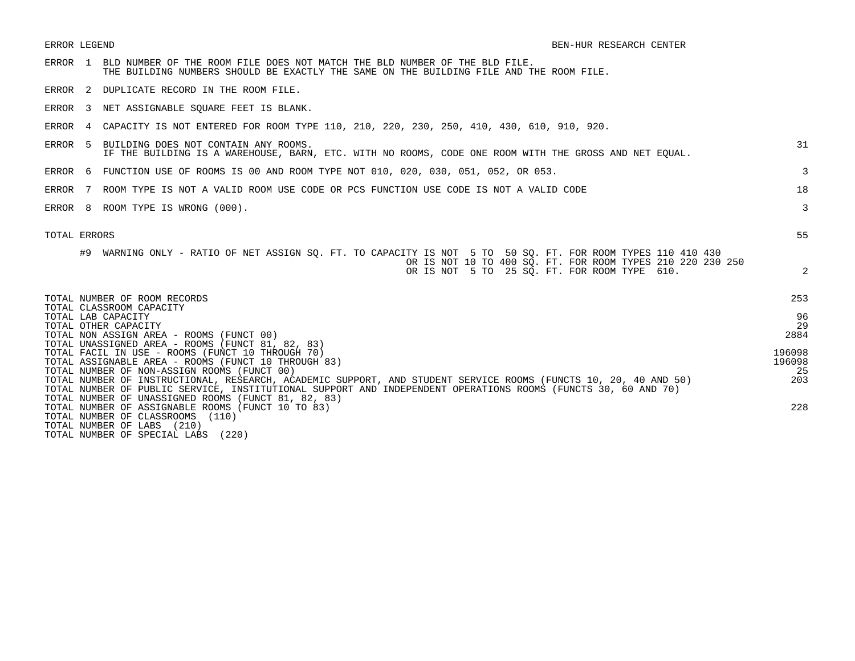|  | ERROR 1 BLD NUMBER OF THE ROOM FILE DOES NOT MATCH THE BLD NUMBER OF THE BLD FILE.<br>THE BUILDING NUMBERS SHOULD BE EXACTLY THE SAME ON THE BUILDING FILE AND THE ROOM FILE. |    |
|--|-------------------------------------------------------------------------------------------------------------------------------------------------------------------------------|----|
|  | ERROR 2 DUPLICATE RECORD IN THE ROOM FILE.                                                                                                                                    |    |
|  | ERROR 3 NET ASSIGNABLE SQUARE FEET IS BLANK.                                                                                                                                  |    |
|  | ERROR 4 CAPACITY IS NOT ENTERED FOR ROOM TYPE 110, 210, 220, 230, 250, 410, 430, 610, 910, 920.                                                                               |    |
|  | ERROR 5 BUILDING DOES NOT CONTAIN ANY ROOMS.<br>IF THE BUILDING IS A WAREHOUSE, BARN, ETC. WITH NO ROOMS, CODE ONE ROOM WITH THE GROSS AND NET EOUAL.                         | 31 |

- ERROR 6 FUNCTION USE OF ROOMS IS 00 AND ROOM TYPE NOT 010, 020, 030, 051, 052, OR 053. 3
- ERROR 7 ROOM TYPE IS NOT A VALID ROOM USE CODE OR PCS FUNCTION USE CODE IS NOT A VALID CODE 18

|  | ERROR 8 ROOM TYPE IS WRONG (000). |  |
|--|-----------------------------------|--|
|  |                                   |  |

TOTAL ERRORS 55

#9 WARNING ONLY - RATIO OF NET ASSIGN SQ. FT. TO CAPACITY IS NOT 5 TO 50 SQ. FT. FOR ROOM TYPES 110 410 430 OR IS NOT 10 TO 400 SQ. FT. FOR ROOM TYPES 210 220 230 250 OR IS NOT 5 TO 25 SQ. FT. FOR ROOM TYPE 610. 2

| TOTAL NUMBER OF ROOM RECORDS                                                                                    | 253    |
|-----------------------------------------------------------------------------------------------------------------|--------|
| TOTAL CLASSROOM CAPACITY<br>TOTAL LAB CAPACITY                                                                  | 96     |
| TOTAL OTHER CAPACITY                                                                                            | 29     |
| TOTAL NON ASSIGN AREA - ROOMS (FUNCT 00)                                                                        | 2884   |
| TOTAL UNASSIGNED AREA - ROOMS (FUNCT 81, 82, 83)                                                                |        |
| TOTAL FACIL IN USE - ROOMS (FUNCT 10 THROUGH 70)                                                                | 196098 |
| TOTAL ASSIGNABLE AREA - ROOMS (FUNCT 10 THROUGH 83)                                                             | 196098 |
| TOTAL NUMBER OF NON-ASSIGN ROOMS (FUNCT 00)                                                                     | 25     |
| TOTAL NUMBER OF INSTRUCTIONAL, RESEARCH, ACADEMIC SUPPORT, AND STUDENT SERVICE ROOMS (FUNCTS 10, 20, 40 AND 50) | 203    |
| TOTAL NUMBER OF PUBLIC SERVICE, INSTITUTIONAL SUPPORT AND INDEPENDENT OPERATIONS ROOMS (FUNCTS 30, 60 AND 70)   |        |
| TOTAL NUMBER OF UNASSIGNED ROOMS (FUNCT 81, 82, 83)                                                             |        |
| TOTAL NUMBER OF ASSIGNABLE ROOMS (FUNCT 10 TO 83)                                                               | 228    |
| TOTAL NUMBER OF CLASSROOMS<br>(110)                                                                             |        |
| TOTAL NUMBER OF LABS<br>(210)                                                                                   |        |
| (220)<br>TOTAL NUMBER OF SPECIAL LABS                                                                           |        |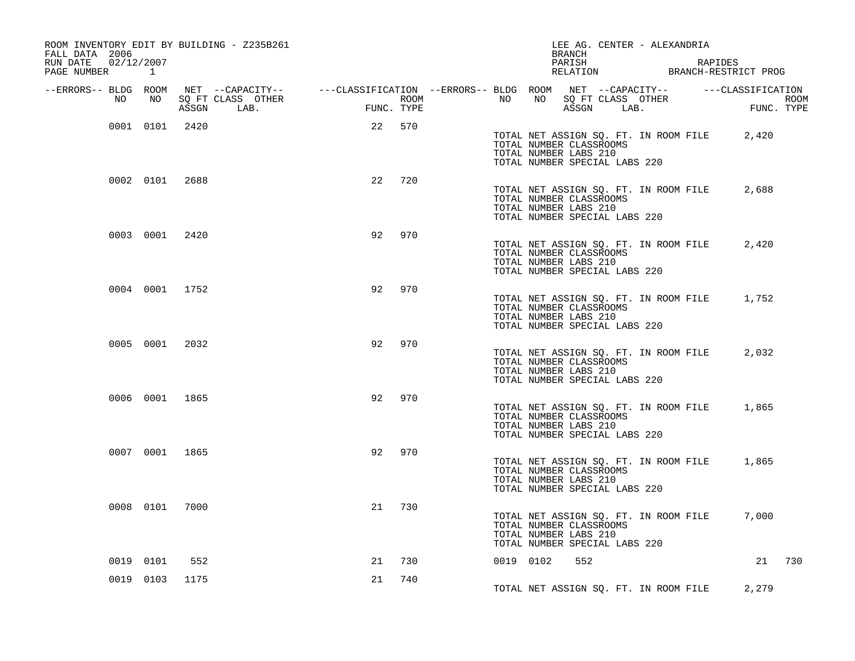| ROOM INVENTORY EDIT BY BUILDING - Z235B261<br>FALL DATA 2006 |                |       |                                                                                                                    |    |            |             |    |           | BRANCH                                           |                               | LEE AG. CENTER - ALEXANDRIA           |                                          |             |
|--------------------------------------------------------------|----------------|-------|--------------------------------------------------------------------------------------------------------------------|----|------------|-------------|----|-----------|--------------------------------------------------|-------------------------------|---------------------------------------|------------------------------------------|-------------|
| RUN DATE 02/12/2007<br>PAGE NUMBER                           | $\sim$ 1       |       |                                                                                                                    |    |            |             |    |           | PARISH                                           |                               |                                       | RAPIDES<br>RELATION BRANCH-RESTRICT PROG |             |
| --ERRORS-- BLDG ROOM<br>NO                                   | NO             |       | NET --CAPACITY-- ----CLASSIFICATION --ERRORS-- BLDG ROOM NET --CAPACITY-- -----CLASSIFICATION<br>SQ FT CLASS OTHER |    |            | <b>ROOM</b> | NO | NO        |                                                  | SQ FT CLASS OTHER             |                                       |                                          | <b>ROOM</b> |
|                                                              |                | ASSGN | LAB.                                                                                                               |    | FUNC. TYPE |             |    |           |                                                  | ASSGN LAB.                    |                                       | FUNC. TYPE                               |             |
|                                                              | 0001 0101 2420 |       |                                                                                                                    | 22 | 570        |             |    |           | TOTAL NUMBER CLASSROOMS<br>TOTAL NUMBER LABS 210 | TOTAL NUMBER SPECIAL LABS 220 | TOTAL NET ASSIGN SQ. FT. IN ROOM FILE | 2,420                                    |             |
|                                                              | 0002 0101 2688 |       |                                                                                                                    | 22 | 720        |             |    |           | TOTAL NUMBER CLASSROOMS<br>TOTAL NUMBER LABS 210 | TOTAL NUMBER SPECIAL LABS 220 | TOTAL NET ASSIGN SQ. FT. IN ROOM FILE | 2,688                                    |             |
|                                                              | 0003 0001 2420 |       |                                                                                                                    | 92 | 970        |             |    |           | TOTAL NUMBER CLASSROOMS<br>TOTAL NUMBER LABS 210 | TOTAL NUMBER SPECIAL LABS 220 | TOTAL NET ASSIGN SQ. FT. IN ROOM FILE | 2,420                                    |             |
|                                                              | 0004 0001 1752 |       |                                                                                                                    | 92 | 970        |             |    |           | TOTAL NUMBER CLASSROOMS<br>TOTAL NUMBER LABS 210 | TOTAL NUMBER SPECIAL LABS 220 | TOTAL NET ASSIGN SQ. FT. IN ROOM FILE | 1,752                                    |             |
|                                                              | 0005 0001 2032 |       |                                                                                                                    | 92 | 970        |             |    |           | TOTAL NUMBER CLASSROOMS<br>TOTAL NUMBER LABS 210 | TOTAL NUMBER SPECIAL LABS 220 | TOTAL NET ASSIGN SQ. FT. IN ROOM FILE | 2,032                                    |             |
|                                                              | 0006 0001 1865 |       |                                                                                                                    | 92 | 970        |             |    |           | TOTAL NUMBER CLASSROOMS<br>TOTAL NUMBER LABS 210 | TOTAL NUMBER SPECIAL LABS 220 | TOTAL NET ASSIGN SQ. FT. IN ROOM FILE | 1,865                                    |             |
|                                                              | 0007 0001 1865 |       |                                                                                                                    | 92 | 970        |             |    |           | TOTAL NUMBER CLASSROOMS<br>TOTAL NUMBER LABS 210 | TOTAL NUMBER SPECIAL LABS 220 | TOTAL NET ASSIGN SQ. FT. IN ROOM FILE | 1,865                                    |             |
|                                                              | 0008 0101 7000 |       |                                                                                                                    | 21 | 730        |             |    |           | TOTAL NUMBER CLASSROOMS<br>TOTAL NUMBER LABS 210 | TOTAL NUMBER SPECIAL LABS 220 | TOTAL NET ASSIGN SQ. FT. IN ROOM FILE | 7,000                                    |             |
|                                                              | 0019 0101      | 552   |                                                                                                                    | 21 | 730        |             |    | 0019 0102 | 552                                              |                               |                                       | 21 730                                   |             |
|                                                              | 0019 0103      | 1175  |                                                                                                                    | 21 | 740        |             |    |           |                                                  |                               | TOTAL NET ASSIGN SQ. FT. IN ROOM FILE | 2,279                                    |             |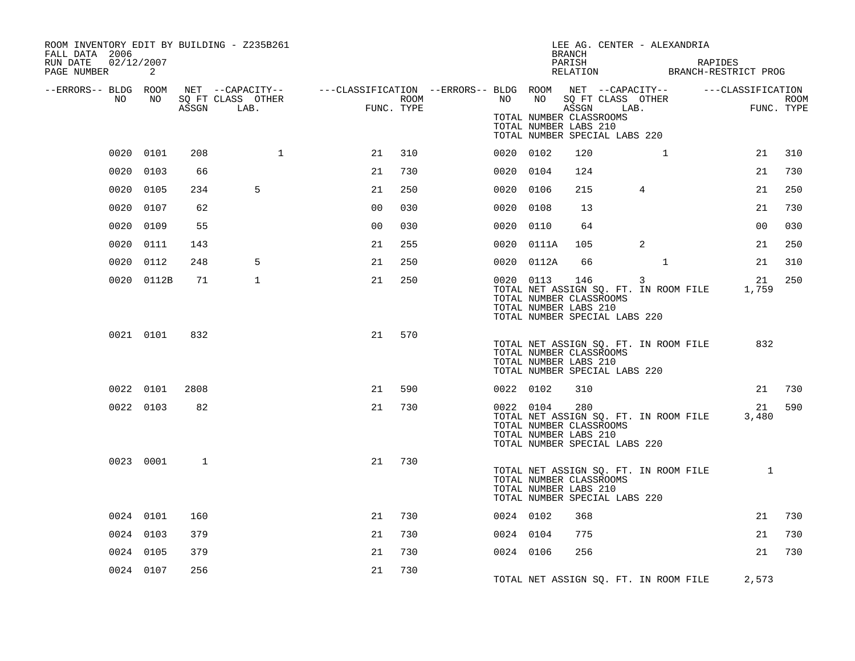| ROOM INVENTORY EDIT BY BUILDING - Z235B261<br>FALL DATA 2006<br>RUN DATE<br>02/12/2007<br>PAGE NUMBER | 2          |      |                                 |                            |      |                                                                                                |            | LEE AG. CENTER - ALEXANDRIA<br><b>BRANCH</b><br>PARISH<br>PARISH REPIDES<br>RELATION BRANCH-RESTRICT PROG                         |              | RAPIDES |                |      |
|-------------------------------------------------------------------------------------------------------|------------|------|---------------------------------|----------------------------|------|------------------------------------------------------------------------------------------------|------------|-----------------------------------------------------------------------------------------------------------------------------------|--------------|---------|----------------|------|
| --ERRORS-- BLDG ROOM                                                                                  |            |      |                                 |                            |      | NET --CAPACITY-- - ---CLASSIFICATION --ERRORS-- BLDG ROOM NET --CAPACITY-- - ---CLASSIFICATION |            |                                                                                                                                   |              |         |                |      |
| NO                                                                                                    | NO         |      | SQ FT CLASS OTHER<br>ASSGN LAB. | יים<br>יוזים<br>FUNC. TYPE | ROOM | NO .                                                                                           | NO         | SQ FT CLASS OTHER<br>ASSGN LAB.<br>TOTAL NUMBER CLASSROOMS<br>TOTAL NUMBER LABS 210<br>TOTAL NUMBER SPECIAL LABS 220              |              |         | FUNC. TYPE     | ROOM |
|                                                                                                       | 0020 0101  | 208  | $\mathbf{1}$                    | 21                         | 310  |                                                                                                | 0020 0102  | 120                                                                                                                               | $\mathbf{1}$ |         | 21             | 310  |
|                                                                                                       | 0020 0103  | 66   |                                 | 21                         | 730  |                                                                                                | 0020 0104  | 124                                                                                                                               |              |         | 21             | 730  |
|                                                                                                       | 0020 0105  | 234  | 5                               | 21                         | 250  |                                                                                                | 0020 0106  | 215                                                                                                                               | 4            |         | 21             | 250  |
|                                                                                                       | 0020 0107  | 62   |                                 | 0 <sub>0</sub>             | 030  |                                                                                                | 0020 0108  | 13                                                                                                                                |              |         | 21             | 730  |
|                                                                                                       | 0020 0109  | 55   |                                 | 0 <sub>0</sub>             | 030  |                                                                                                | 0020 0110  | 64                                                                                                                                |              |         | 0 <sub>0</sub> | 030  |
|                                                                                                       | 0020 0111  | 143  |                                 | 21                         | 255  |                                                                                                | 0020 0111A | 105                                                                                                                               | 2            |         | 21             | 250  |
|                                                                                                       | 0020 0112  | 248  | 5                               | 21                         | 250  |                                                                                                | 0020 0112A | 66                                                                                                                                | $\mathbf{1}$ |         | 21             | 310  |
|                                                                                                       | 0020 0112B | 71   | $\mathbf{1}$                    | 21                         | 250  |                                                                                                | 0020 0113  | 146<br>TOTAL NET ASSIGN SQ. FT. IN ROOM FILE<br>TOTAL NUMBER CLASSROOMS<br>TOTAL NUMBER LABS 210<br>TOTAL NUMBER SPECIAL LABS 220 | 3            |         | 21<br>1,759    | 250  |
|                                                                                                       | 0021 0101  | 832  |                                 | 21                         | 570  |                                                                                                |            | TOTAL NET ASSIGN SQ. FT. IN ROOM FILE<br>TOTAL NUMBER CLASSROOMS<br>TOTAL NUMBER LABS 210<br>TOTAL NUMBER SPECIAL LABS 220        |              |         | 832            |      |
|                                                                                                       | 0022 0101  | 2808 |                                 | 21                         | 590  |                                                                                                | 0022 0102  | 310                                                                                                                               |              |         | 21             | 730  |
|                                                                                                       | 0022 0103  | 82   |                                 | 21                         | 730  |                                                                                                | 0022 0104  | 280<br>TOTAL NET ASSIGN SQ. FT. IN ROOM FILE<br>TOTAL NUMBER CLASSROOMS<br>TOTAL NUMBER LABS 210<br>TOTAL NUMBER SPECIAL LABS 220 |              |         | 21<br>3,480    | 590  |
|                                                                                                       | 0023 0001  | 1    |                                 | 21                         | 730  |                                                                                                |            | TOTAL NET ASSIGN SQ. FT. IN ROOM FILE<br>TOTAL NUMBER CLASSROOMS<br>TOTAL NUMBER LABS 210<br>TOTAL NUMBER SPECIAL LABS 220        |              |         | $\mathbf{1}$   |      |
|                                                                                                       | 0024 0101  | 160  |                                 | 21                         | 730  |                                                                                                | 0024 0102  | 368                                                                                                                               |              |         | 21             | 730  |
|                                                                                                       | 0024 0103  | 379  |                                 | 21                         | 730  |                                                                                                | 0024 0104  | 775                                                                                                                               |              |         | 21             | 730  |
|                                                                                                       | 0024 0105  | 379  |                                 | 21                         | 730  |                                                                                                | 0024 0106  | 256                                                                                                                               |              |         | 21             | 730  |
|                                                                                                       | 0024 0107  | 256  |                                 | 21                         | 730  |                                                                                                |            | TOTAL NET ASSIGN SQ. FT. IN ROOM FILE                                                                                             |              |         | 2,573          |      |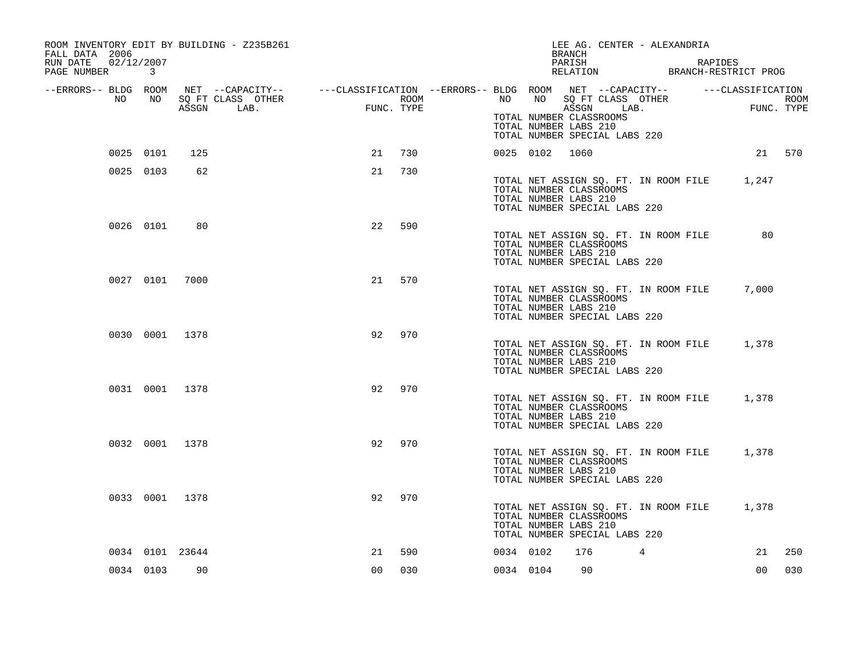| ROOM INVENTORY EDIT BY BUILDING - Z235B261<br>FALL DATA 2006<br>RUN DATE 02/12/2007 |           |                 |                                                                                                                                                                                                            |                |     |           |                | BRANCH<br>PARISH                                 |                               | LEE AG. CENTER - ALEXANDRIA           | RAPIDES                                         |        |
|-------------------------------------------------------------------------------------|-----------|-----------------|------------------------------------------------------------------------------------------------------------------------------------------------------------------------------------------------------------|----------------|-----|-----------|----------------|--------------------------------------------------|-------------------------------|---------------------------------------|-------------------------------------------------|--------|
| PAGE NUMBER 3                                                                       |           |                 |                                                                                                                                                                                                            |                |     |           |                |                                                  |                               |                                       | PARISH RAPIDES<br>RELATION BRANCH-RESTRICT PROG |        |
| --ERRORS-- BLDG ROOM<br>NO                                                          | NO 11     |                 | NET --CAPACITY-- ----CLASSIFICATION --ERRORS-- BLDG ROOM NET --CAPACITY-- -----CLASSIFICATION<br>SQ FT CLASS OTHER ROOM ROOM NO SQ FT CLASS OTHER ROOM ROOM<br>ASSGN LAB. FUNC. TYPE ASSGN LAB. FUNC. TYPE |                |     |           |                |                                                  |                               |                                       |                                                 |        |
|                                                                                     |           |                 |                                                                                                                                                                                                            |                |     |           |                | TOTAL NUMBER CLASSROOMS<br>TOTAL NUMBER LABS 210 | TOTAL NUMBER SPECIAL LABS 220 |                                       |                                                 |        |
|                                                                                     | 0025 0101 | 125             |                                                                                                                                                                                                            | 21             | 730 |           | 0025 0102 1060 |                                                  |                               |                                       |                                                 | 21 570 |
|                                                                                     | 0025 0103 | 62              |                                                                                                                                                                                                            | 21             | 730 |           |                | TOTAL NUMBER CLASSROOMS<br>TOTAL NUMBER LABS 210 | TOTAL NUMBER SPECIAL LABS 220 |                                       | TOTAL NET ASSIGN SQ. FT. IN ROOM FILE 1,247     |        |
|                                                                                     | 0026 0101 | 80              |                                                                                                                                                                                                            | 22             | 590 |           |                | TOTAL NUMBER CLASSROOMS<br>TOTAL NUMBER LABS 210 | TOTAL NUMBER SPECIAL LABS 220 | TOTAL NET ASSIGN SQ. FT. IN ROOM FILE | 80                                              |        |
|                                                                                     |           | 0027 0101 7000  |                                                                                                                                                                                                            | 21             | 570 |           |                | TOTAL NUMBER CLASSROOMS<br>TOTAL NUMBER LABS 210 | TOTAL NUMBER SPECIAL LABS 220 | TOTAL NET ASSIGN SQ. FT. IN ROOM FILE | 7,000                                           |        |
|                                                                                     |           | 0030 0001 1378  |                                                                                                                                                                                                            | 92             | 970 |           |                | TOTAL NUMBER CLASSROOMS<br>TOTAL NUMBER LABS 210 | TOTAL NUMBER SPECIAL LABS 220 | TOTAL NET ASSIGN SQ. FT. IN ROOM FILE | 1,378                                           |        |
|                                                                                     |           | 0031 0001 1378  |                                                                                                                                                                                                            | 92             | 970 |           |                | TOTAL NUMBER CLASSROOMS<br>TOTAL NUMBER LABS 210 | TOTAL NUMBER SPECIAL LABS 220 | TOTAL NET ASSIGN SQ. FT. IN ROOM FILE | 1,378                                           |        |
|                                                                                     |           | 0032 0001 1378  |                                                                                                                                                                                                            | 92             | 970 |           |                | TOTAL NUMBER CLASSROOMS<br>TOTAL NUMBER LABS 210 | TOTAL NUMBER SPECIAL LABS 220 | TOTAL NET ASSIGN SQ. FT. IN ROOM FILE | 1,378                                           |        |
|                                                                                     |           | 0033 0001 1378  |                                                                                                                                                                                                            | 92             | 970 |           |                | TOTAL NUMBER CLASSROOMS<br>TOTAL NUMBER LABS 210 | TOTAL NUMBER SPECIAL LABS 220 |                                       | TOTAL NET ASSIGN SQ. FT. IN ROOM FILE 1,378     |        |
|                                                                                     |           | 0034 0101 23644 |                                                                                                                                                                                                            | 21             | 590 | 0034 0102 |                | 176                                              |                               | 4                                     | 21                                              | 250    |
|                                                                                     | 0034 0103 | 90              |                                                                                                                                                                                                            | 0 <sub>0</sub> | 030 | 0034 0104 |                | 90                                               |                               |                                       | 00 <sup>o</sup>                                 | 030    |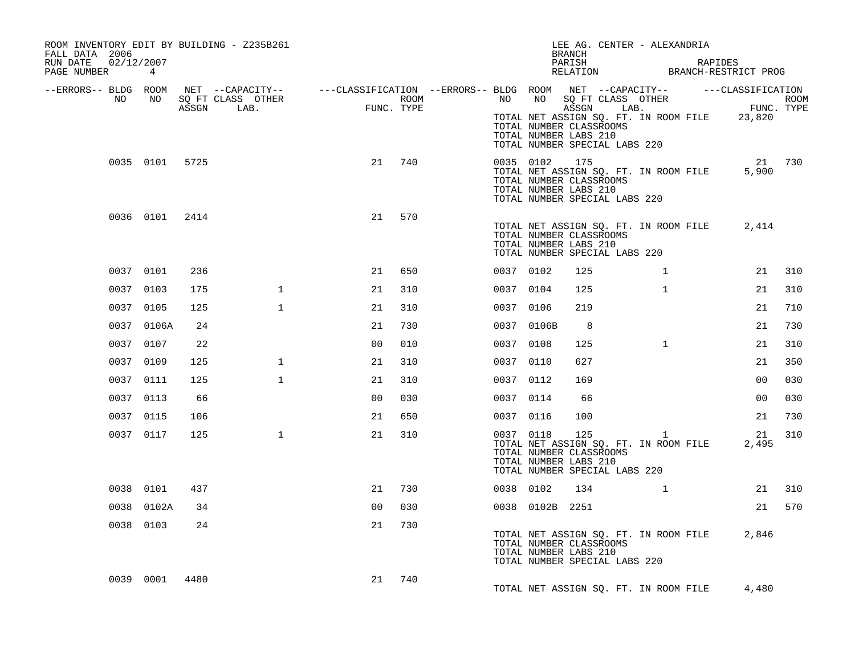| ROOM INVENTORY EDIT BY BUILDING - Z235B261<br>FALL DATA 2006<br>RUN DATE<br>02/12/2007<br>PAGE NUMBER 4 |                |     |              |                                                                                                                                                                                       |     |           |                 | LEE AG. CENTER - ALEXANDRIA<br>BRANCH<br>PARISH RAPIDES<br>RELATION BRANCH-RESTRICT PROG                                          |              |                 |        |
|---------------------------------------------------------------------------------------------------------|----------------|-----|--------------|---------------------------------------------------------------------------------------------------------------------------------------------------------------------------------------|-----|-----------|-----------------|-----------------------------------------------------------------------------------------------------------------------------------|--------------|-----------------|--------|
| --ERRORS-- BLDG ROOM<br>NO                                                                              | NO             |     |              | NO NO SOFT CLASS OTHER ROOM NO SOFT CLASS OTHER ROOM NO SOFT CLASS OTHER ROOM NO SOFT CLASS OTHER ROOM CONTROLL TYPE ASSESS THE PUNC. TYPE TOTAL NET ASSIGN SOFT. IN ROOM FILE 23,820 |     |           |                 | TOTAL NUMBER CLASSROOMS<br>TOTAL NUMBER LABS 210<br>TOTAL NUMBER SPECIAL LABS 220                                                 |              |                 |        |
|                                                                                                         | 0035 0101 5725 |     |              | 21                                                                                                                                                                                    | 740 |           | 0035 0102 175   | TOTAL NET ASSIGN SQ. FT. IN ROOM FILE<br>TOTAL NUMBER CLASSROOMS<br>TOTAL NUMBER LABS 210<br>TOTAL NUMBER SPECIAL LABS 220        |              | 21 730<br>5,900 |        |
|                                                                                                         | 0036 0101 2414 |     |              | 21                                                                                                                                                                                    | 570 |           |                 | TOTAL NET ASSIGN SQ. FT. IN ROOM FILE 2,414<br>TOTAL NUMBER CLASSROOMS<br>TOTAL NUMBER LABS 210<br>TOTAL NUMBER SPECIAL LABS 220  |              |                 |        |
|                                                                                                         | 0037 0101      | 236 |              | 21                                                                                                                                                                                    | 650 | 0037 0102 |                 | 125                                                                                                                               | $\mathbf{1}$ | 21              | 310    |
|                                                                                                         | 0037 0103      | 175 | $\mathbf{1}$ | 21                                                                                                                                                                                    | 310 | 0037 0104 |                 | 125                                                                                                                               | $\mathbf{1}$ | 21              | 310    |
|                                                                                                         | 0037 0105      | 125 | $\mathbf{1}$ | 21                                                                                                                                                                                    | 310 | 0037 0106 |                 | 219                                                                                                                               |              | 21              | 710    |
|                                                                                                         | 0037 0106A     | 24  |              | 21                                                                                                                                                                                    | 730 |           | 0037 0106B      | 8                                                                                                                                 |              | 21              | 730    |
|                                                                                                         | 0037 0107      | 22  |              | 0 <sub>0</sub>                                                                                                                                                                        | 010 | 0037 0108 |                 | 125                                                                                                                               | $\mathbf{1}$ | 21              | 310    |
|                                                                                                         | 0037 0109      | 125 | $\mathbf{1}$ | 21                                                                                                                                                                                    | 310 | 0037 0110 |                 | 627                                                                                                                               |              | 21              | 350    |
|                                                                                                         | 0037 0111      | 125 | $\mathbf{1}$ | 21                                                                                                                                                                                    | 310 | 0037 0112 |                 | 169                                                                                                                               |              | 0 <sub>0</sub>  | 030    |
|                                                                                                         | 0037 0113      | 66  |              | 0 <sub>0</sub>                                                                                                                                                                        | 030 | 0037 0114 |                 | 66                                                                                                                                |              | 00              | 030    |
|                                                                                                         | 0037 0115      | 106 |              | 21                                                                                                                                                                                    | 650 | 0037 0116 |                 | 100                                                                                                                               |              | 21              | 730    |
|                                                                                                         | 0037 0117      | 125 | $\mathbf 1$  | 21                                                                                                                                                                                    | 310 | 0037 0118 |                 | 125<br>TOTAL NET ASSIGN SQ. FT. IN ROOM FILE<br>TOTAL NUMBER CLASSROOMS<br>TOTAL NUMBER LABS 210<br>TOTAL NUMBER SPECIAL LABS 220 | $\sim$ 1     | 21<br>2,495     | 310    |
|                                                                                                         | 0038 0101      | 437 |              | 21                                                                                                                                                                                    | 730 | 0038 0102 |                 | 134                                                                                                                               |              |                 | 21 310 |
|                                                                                                         | 0038 0102A     | 34  |              | 0 <sup>0</sup>                                                                                                                                                                        | 030 |           | 0038 0102B 2251 |                                                                                                                                   |              |                 | 21 570 |
|                                                                                                         | 0038 0103      | 24  |              | 21                                                                                                                                                                                    | 730 |           |                 | TOTAL NET ASSIGN SQ. FT. IN ROOM FILE 2,846<br>TOTAL NUMBER CLASSROOMS<br>TOTAL NUMBER LABS 210<br>TOTAL NUMBER SPECIAL LABS 220  |              |                 |        |
|                                                                                                         | 0039 0001 4480 |     |              | 21                                                                                                                                                                                    | 740 |           |                 | TOTAL NET ASSIGN SQ. FT. IN ROOM FILE                                                                                             |              | 4,480           |        |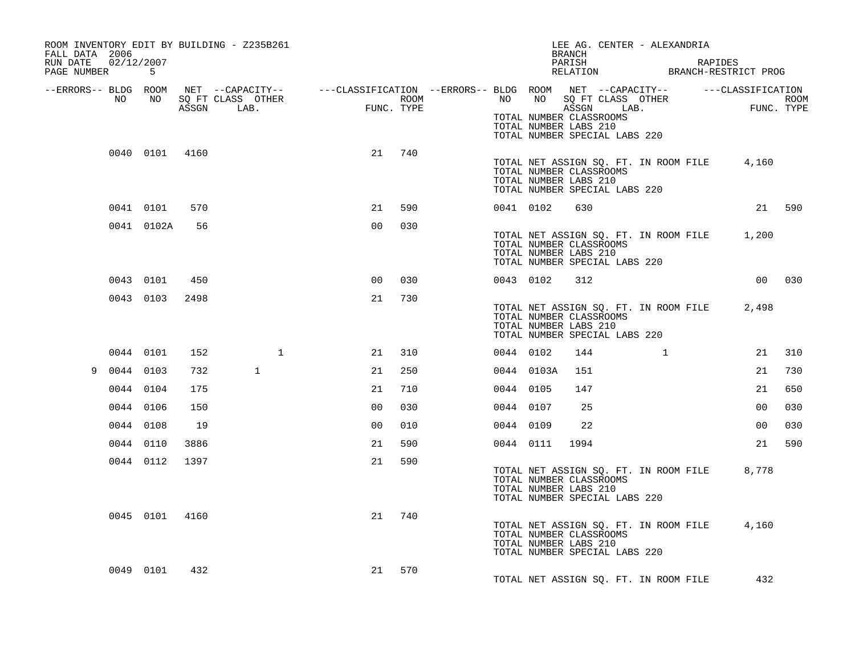| FALL DATA 2006<br>RUN DATE 02/12/2007<br>PAGE NUMBER 5 |             |                |      | ROOM INVENTORY EDIT BY BUILDING - Z235B261 |                                                                                                |                    |           |            | LEE AG. CENTER - ALEXANDRIA<br><b>BRANCH</b><br>PARISH<br>PARISH RAPIDES<br>RELATION BRANCH-RESTRICT PROG                        |                              |                    |     |
|--------------------------------------------------------|-------------|----------------|------|--------------------------------------------|------------------------------------------------------------------------------------------------|--------------------|-----------|------------|----------------------------------------------------------------------------------------------------------------------------------|------------------------------|--------------------|-----|
| --ERRORS-- BLDG ROOM                                   |             |                |      |                                            | NET --CAPACITY-- - ---CLASSIFICATION --ERRORS-- BLDG ROOM NET --CAPACITY-- - ---CLASSIFICATION |                    |           |            |                                                                                                                                  |                              |                    |     |
|                                                        | NO          | NO 11          |      |                                            |                                                                                                | ROOM<br>FUNC. TYPE |           |            | NO NO SQ FT CLASS OTHER<br>ASSGN LAB.<br>TOTAL NUMBER CLASSROOMS<br>TOTAL NUMBER LABS 210<br>TOTAL NUMBER SPECIAL LABS 220       |                              | ROOM<br>FUNC. TYPE |     |
|                                                        |             | 0040 0101 4160 |      |                                            | 21                                                                                             | 740                |           |            | TOTAL NET ASSIGN SQ. FT. IN ROOM FILE 4,160<br>TOTAL NUMBER CLASSROOMS<br>TOTAL NUMBER LABS 210<br>TOTAL NUMBER SPECIAL LABS 220 |                              |                    |     |
|                                                        |             | 0041 0101      | 570  |                                            | 21                                                                                             | 590                |           | 0041 0102  | 630                                                                                                                              |                              | 21 590             |     |
|                                                        |             | 0041 0102A     | 56   |                                            | 0 <sub>0</sub>                                                                                 | 030                |           |            | TOTAL NET ASSIGN SQ. FT. IN ROOM FILE 1,200<br>TOTAL NUMBER CLASSROOMS<br>TOTAL NUMBER LABS 210<br>TOTAL NUMBER SPECIAL LABS 220 |                              |                    |     |
|                                                        |             | 0043 0101      | 450  |                                            | 0 <sub>0</sub>                                                                                 | 030                |           | 0043 0102  | 312                                                                                                                              |                              | 00 030             |     |
|                                                        |             | 0043 0103      | 2498 |                                            | 21                                                                                             | 730                |           |            | TOTAL NET ASSIGN SQ. FT. IN ROOM FILE<br>TOTAL NUMBER CLASSROOMS<br>TOTAL NUMBER LABS 210<br>TOTAL NUMBER SPECIAL LABS 220       |                              | 2,498              |     |
|                                                        |             | 0044 0101      | 152  | $\mathbf{1}$                               | 21                                                                                             | 310                | 0044 0102 |            | 144                                                                                                                              | $\sim$ 1.0 $\sim$ 1.0 $\sim$ | 21                 | 310 |
|                                                        | 9 0044 0103 |                | 732  | $\mathbf{1}$                               | 21                                                                                             | 250                |           | 0044 0103A | 151                                                                                                                              |                              | 21                 | 730 |
|                                                        | 0044 0104   |                | 175  |                                            | 21                                                                                             | 710                | 0044 0105 |            | 147                                                                                                                              |                              | 21                 | 650 |
|                                                        | 0044 0106   |                | 150  |                                            | 0 <sub>0</sub>                                                                                 | 030                | 0044 0107 |            | 25                                                                                                                               |                              | 0 <sub>0</sub>     | 030 |
|                                                        | 0044 0108   |                | 19   |                                            | 0 <sub>0</sub>                                                                                 | 010                | 0044 0109 |            | 22                                                                                                                               |                              | 00                 | 030 |
|                                                        | 0044 0110   |                | 3886 |                                            | 21                                                                                             | 590                |           | 0044 0111  | 1994                                                                                                                             |                              | 21                 | 590 |
|                                                        |             | 0044 0112      | 1397 |                                            | 21                                                                                             | 590                |           |            | TOTAL NET ASSIGN SQ. FT. IN ROOM FILE<br>TOTAL NUMBER CLASSROOMS<br>TOTAL NUMBER LABS 210<br>TOTAL NUMBER SPECIAL LABS 220       |                              | 8,778              |     |
|                                                        |             | 0045 0101 4160 |      |                                            | 21                                                                                             | 740                |           |            | TOTAL NET ASSIGN SQ. FT. IN ROOM FILE<br>TOTAL NUMBER CLASSROOMS<br>TOTAL NUMBER LABS 210<br>TOTAL NUMBER SPECIAL LABS 220       |                              | 4,160              |     |
|                                                        |             | 0049 0101      | 432  |                                            | 21                                                                                             | 570                |           |            | TOTAL NET ASSIGN SQ. FT. IN ROOM FILE                                                                                            |                              | 432                |     |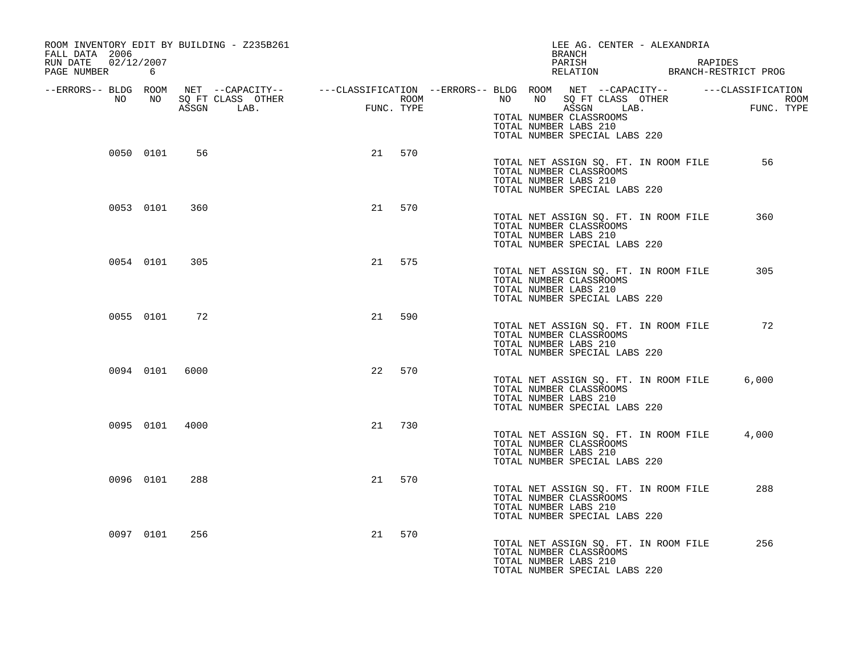| ROOM INVENTORY EDIT BY BUILDING - Z235B261<br>FALL DATA 2006 |           |                |                                                                                                                                   |                                              |                    |       | LEE AG. CENTER - ALEXANDRIA<br>BRANCH                                                                                      |  |                                          |
|--------------------------------------------------------------|-----------|----------------|-----------------------------------------------------------------------------------------------------------------------------------|----------------------------------------------|--------------------|-------|----------------------------------------------------------------------------------------------------------------------------|--|------------------------------------------|
| 02/12/2007<br>RUN DATE<br>PAGE NUMBER 6                      |           |                |                                                                                                                                   |                                              |                    |       | PARISH                                                                                                                     |  | RAPIDES<br>RELATION BRANCH-RESTRICT PROG |
| --ERRORS-- BLDG ROOM<br>NO                                   | NO        |                | NET --CAPACITY-- - ---CLASSIFICATION --ERRORS-- BLDG ROOM NET --CAPACITY-- - ---CLASSIFICATION<br>SQ FT CLASS OTHER<br>ASSGN LAB. | $\begin{aligned} \mathrm{FUN} \end{aligned}$ | ROOM<br>FUNC. TYPE | NO NO | NO SQ FT CLASS OTHER<br>ASSGN LAB.<br>TOTAL NUMBER CLASSROOMS<br>TOTAL NUMBER LABS 210<br>TOTAL NUMBER SPECIAL LABS 220    |  | ROOM<br>FUNC. TYPE                       |
|                                                              | 0050 0101 | 56             |                                                                                                                                   | 21                                           | 570                |       | TOTAL NET ASSIGN SQ. FT. IN ROOM FILE<br>TOTAL NUMBER CLASSROOMS<br>TOTAL NUMBER LABS 210<br>TOTAL NUMBER SPECIAL LABS 220 |  | 56                                       |
|                                                              | 0053 0101 | 360            |                                                                                                                                   | 21                                           | 570                |       | TOTAL NET ASSIGN SQ. FT. IN ROOM FILE<br>TOTAL NUMBER CLASSROOMS<br>TOTAL NUMBER LABS 210<br>TOTAL NUMBER SPECIAL LABS 220 |  | 360                                      |
|                                                              | 0054 0101 | 305            |                                                                                                                                   |                                              | 21 575             |       | TOTAL NET ASSIGN SQ. FT. IN ROOM FILE<br>TOTAL NUMBER CLASSROOMS<br>TOTAL NUMBER LABS 210<br>TOTAL NUMBER SPECIAL LABS 220 |  | 305                                      |
|                                                              | 0055 0101 | 72             |                                                                                                                                   | 21                                           | 590                |       | TOTAL NET ASSIGN SQ. FT. IN ROOM FILE<br>TOTAL NUMBER CLASSROOMS<br>TOTAL NUMBER LABS 210<br>TOTAL NUMBER SPECIAL LABS 220 |  | 72                                       |
|                                                              | 0094 0101 | 6000           |                                                                                                                                   | 22                                           | 570                |       | TOTAL NET ASSIGN SQ. FT. IN ROOM FILE<br>TOTAL NUMBER CLASSROOMS<br>TOTAL NUMBER LABS 210<br>TOTAL NUMBER SPECIAL LABS 220 |  | 6,000                                    |
|                                                              |           | 0095 0101 4000 |                                                                                                                                   | 21                                           | 730                |       | TOTAL NET ASSIGN SQ. FT. IN ROOM FILE<br>TOTAL NUMBER CLASSROOMS<br>TOTAL NUMBER LABS 210<br>TOTAL NUMBER SPECIAL LABS 220 |  | 4,000                                    |
|                                                              | 0096 0101 | 288            |                                                                                                                                   | 21                                           | 570                |       | TOTAL NET ASSIGN SQ. FT. IN ROOM FILE<br>TOTAL NUMBER CLASSROOMS<br>TOTAL NUMBER LABS 210<br>TOTAL NUMBER SPECIAL LABS 220 |  | 288                                      |
|                                                              | 0097 0101 | 256            |                                                                                                                                   | 21                                           | 570                |       | TOTAL NET ASSIGN SQ. FT. IN ROOM FILE<br>TOTAL NUMBER CLASSROOMS<br>TOTAL NUMBER LABS 210<br>TOTAL NUMBER SPECIAL LABS 220 |  | 256                                      |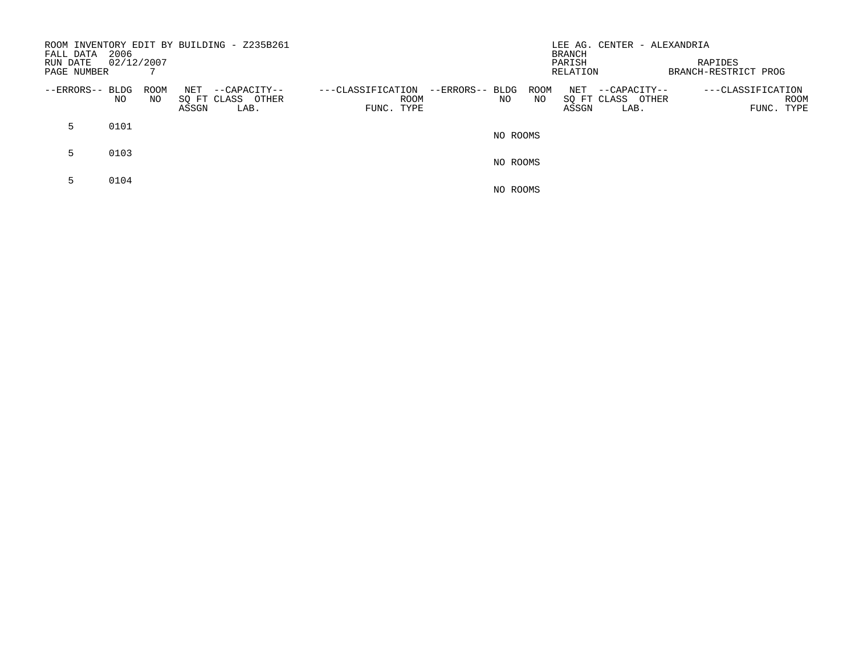| FALL DATA<br>RUN DATE<br>PAGE NUMBER | 2006<br>02/12/2007 |                   |              | ROOM INVENTORY EDIT BY BUILDING - Z235B261 |                                                |                 |          |            | <b>BRANCH</b><br>PARISH<br>RELATION | LEE AG. CENTER - ALEXANDRIA                  | RAPIDES<br>BRANCH-RESTRICT PROG                |
|--------------------------------------|--------------------|-------------------|--------------|--------------------------------------------|------------------------------------------------|-----------------|----------|------------|-------------------------------------|----------------------------------------------|------------------------------------------------|
| --ERRORS-- BLDG                      | ΝO                 | <b>ROOM</b><br>NO | NET<br>ASSGN | --CAPACITY--<br>SQ FT CLASS OTHER<br>LAB.  | ---CLASSIFICATION<br><b>ROOM</b><br>FUNC. TYPE | --ERRORS-- BLDG | NO       | ROOM<br>NO | NET<br>ASSGN                        | --CAPACITY--<br>SQ FT CLASS<br>OTHER<br>LAB. | ---CLASSIFICATION<br><b>ROOM</b><br>FUNC. TYPE |
| 5.                                   | 0101               |                   |              |                                            |                                                |                 | NO ROOMS |            |                                     |                                              |                                                |
| 5.                                   | 0103               |                   |              |                                            |                                                |                 | NO ROOMS |            |                                     |                                              |                                                |
|                                      | 0104               |                   |              |                                            |                                                |                 | NO ROOMS |            |                                     |                                              |                                                |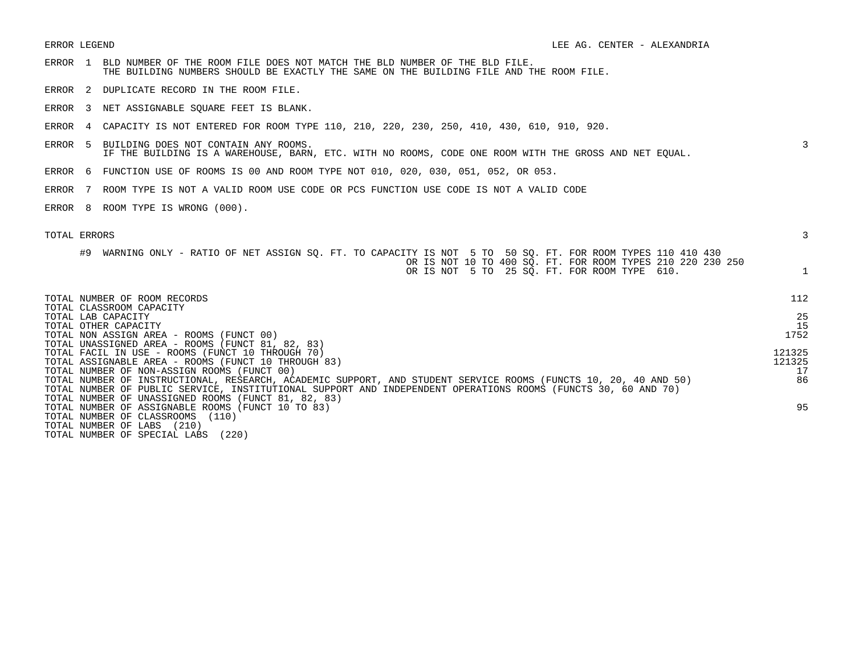- ERROR 1 BLD NUMBER OF THE ROOM FILE DOES NOT MATCH THE BLD NUMBER OF THE BLD FILE. THE BUILDING NUMBERS SHOULD BE EXACTLY THE SAME ON THE BUILDING FILE AND THE ROOM FILE.
- ERROR 2 DUPLICATE RECORD IN THE ROOM FILE.
- ERROR 3 NET ASSIGNABLE SQUARE FEET IS BLANK.
- ERROR 4 CAPACITY IS NOT ENTERED FOR ROOM TYPE 110, 210, 220, 230, 250, 410, 430, 610, 910, 920.
- ERROR 5 BUILDING DOES NOT CONTAIN ANY ROOMS. 3 IF THE BUILDING IS A WAREHOUSE, BARN, ETC. WITH NO ROOMS, CODE ONE ROOM WITH THE GROSS AND NET EQUAL.
- ERROR 6 FUNCTION USE OF ROOMS IS 00 AND ROOM TYPE NOT 010, 020, 030, 051, 052, OR 053.
- ERROR 7 ROOM TYPE IS NOT A VALID ROOM USE CODE OR PCS FUNCTION USE CODE IS NOT A VALID CODE
- ERROR 8 ROOM TYPE IS WRONG (000).

| TOTAL ERRORS                                                                                                                                                                                                                 |                  |
|------------------------------------------------------------------------------------------------------------------------------------------------------------------------------------------------------------------------------|------------------|
| WARNING ONLY - RATIO OF NET ASSIGN SQ. FT. TO CAPACITY IS NOT 5 TO 50 SQ. FT. FOR ROOM TYPES 110 410 430<br>#9<br>OR IS NOT 10 TO 400 SQ. FT. FOR ROOM TYPES 210 220 230 250<br>OR IS NOT 5 TO 25 SQ. FT. FOR ROOM TYPE 610. |                  |
| TOTAL NUMBER OF ROOM RECORDS                                                                                                                                                                                                 | 112              |
| TOTAL CLASSROOM CAPACITY<br>TOTAL LAB CAPACITY                                                                                                                                                                               | 25               |
| TOTAL OTHER CAPACITY                                                                                                                                                                                                         | 15               |
| TOTAL NON ASSIGN AREA - ROOMS (FUNCT 00)                                                                                                                                                                                     | 1752             |
| TOTAL UNASSIGNED AREA - ROOMS (FUNCT 81, 82, 83)                                                                                                                                                                             |                  |
| TOTAL FACIL IN USE - ROOMS (FUNCT 10 THROUGH 70)                                                                                                                                                                             | 121325<br>121325 |
| TOTAL ASSIGNABLE AREA - ROOMS (FUNCT 10 THROUGH 83)<br>TOTAL NUMBER OF NON-ASSIGN ROOMS (FUNCT 00)                                                                                                                           | 17               |
| TOTAL NUMBER OF INSTRUCTIONAL, RESEARCH, ACADEMIC SUPPORT, AND STUDENT SERVICE ROOMS (FUNCTS 10, 20, 40 AND 50)                                                                                                              | 86               |
| TOTAL NUMBER OF PUBLIC SERVICE, INSTITUTIONAL SUPPORT AND INDEPENDENT OPERATIONS ROOMS (FUNCTS 30, 60 AND 70)                                                                                                                |                  |
| TOTAL NUMBER OF UNASSIGNED ROOMS (FUNCT 81, 82, 83)                                                                                                                                                                          |                  |
| TOTAL NUMBER OF ASSIGNABLE ROOMS (FUNCT 10 TO 83)                                                                                                                                                                            | 95               |
| TOTAL NUMBER OF CLASSROOMS (110)                                                                                                                                                                                             |                  |
| TOTAL NUMBER OF LABS<br>(210)                                                                                                                                                                                                |                  |
| (220)<br>TOTAL NUMBER OF SPECIAL LABS                                                                                                                                                                                        |                  |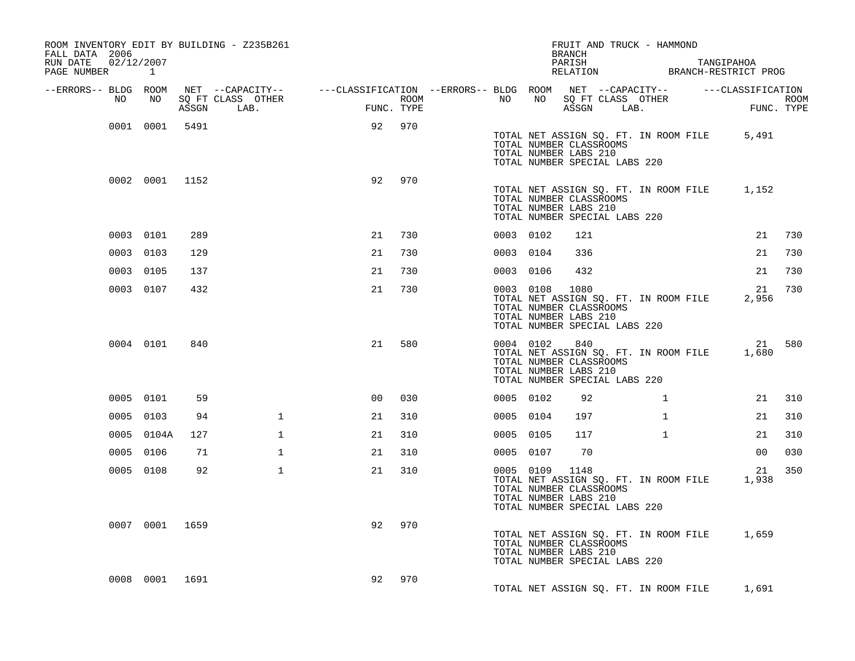| ROOM INVENTORY EDIT BY BUILDING - Z235B261<br>FALL DATA 2006<br>RUN DATE<br>02/12/2007<br>PAGE NUMBER 1 |                |     |                                                                                                |                |            |                  |           |                | FRUIT AND TRUCK - HAMMOND<br>BRANCH                                                                                                |              | PARISH TANGIPAHOA RELATION BRANCH-RESTRICT PROG |                    |
|---------------------------------------------------------------------------------------------------------|----------------|-----|------------------------------------------------------------------------------------------------|----------------|------------|------------------|-----------|----------------|------------------------------------------------------------------------------------------------------------------------------------|--------------|-------------------------------------------------|--------------------|
| --ERRORS-- BLDG ROOM                                                                                    |                |     | NET --CAPACITY-- - ---CLASSIFICATION --ERRORS-- BLDG ROOM NET --CAPACITY-- - ---CLASSIFICATION |                |            |                  |           |                |                                                                                                                                    |              |                                                 |                    |
| NO .                                                                                                    | NO             |     | SQ FT CLASS OTHER<br>ASSGN LAB.                                                                |                | FUNC. TYPE | ROOM <b>ROOM</b> | NO        | NO             | SQ FT CLASS OTHER<br>ASSGN LAB.                                                                                                    |              |                                                 | ROOM<br>FUNC. TYPE |
|                                                                                                         | 0001 0001 5491 |     |                                                                                                | 92             | 970        |                  |           |                | TOTAL NET ASSIGN SQ. FT. IN ROOM FILE<br>TOTAL NUMBER CLASSROOMS<br>TOTAL NUMBER LABS 210<br>TOTAL NUMBER SPECIAL LABS 220         |              | 5,491                                           |                    |
|                                                                                                         | 0002 0001 1152 |     |                                                                                                | 92             | 970        |                  |           |                | TOTAL NET ASSIGN SQ. FT. IN ROOM FILE 1,152<br>TOTAL NUMBER CLASSROOMS<br>TOTAL NUMBER LABS 210<br>TOTAL NUMBER SPECIAL LABS 220   |              |                                                 |                    |
|                                                                                                         | 0003 0101      | 289 |                                                                                                | 21             | 730        |                  | 0003 0102 |                | 121                                                                                                                                |              | 21                                              | 730                |
|                                                                                                         | 0003 0103      | 129 |                                                                                                | 21             | 730        |                  | 0003 0104 |                | 336                                                                                                                                |              | 21                                              | 730                |
|                                                                                                         | 0003 0105      | 137 |                                                                                                | 21             | 730        |                  | 0003 0106 |                | 432                                                                                                                                |              | 21                                              | 730                |
|                                                                                                         | 0003 0107      | 432 |                                                                                                | 21             | 730        |                  |           | 0003 0108      | 1080<br>TOTAL NET ASSIGN SQ. FT. IN ROOM FILE<br>TOTAL NUMBER CLASSROOMS<br>TOTAL NUMBER LABS 210<br>TOTAL NUMBER SPECIAL LABS 220 |              | 21<br>2,956                                     | 730                |
|                                                                                                         | 0004 0101      | 840 |                                                                                                | 21             | 580        |                  |           | 0004 0102      | 840<br>TOTAL NET ASSIGN SQ. FT. IN ROOM FILE<br>TOTAL NUMBER CLASSROOMS<br>TOTAL NUMBER LABS 210<br>TOTAL NUMBER SPECIAL LABS 220  |              | 21<br>1,680                                     | 580                |
|                                                                                                         | 0005 0101      | 59  |                                                                                                | 0 <sup>0</sup> | 030        |                  | 0005 0102 |                | 92                                                                                                                                 | $\mathbf{1}$ | 21                                              | 310                |
|                                                                                                         | 0005 0103      | 94  | $\mathbf{1}$                                                                                   | 21             | 310        |                  | 0005 0104 |                | 197                                                                                                                                | $\mathbf{1}$ | 21                                              | 310                |
|                                                                                                         | 0005 0104A     | 127 | $\mathbf{1}$                                                                                   | 21             | 310        |                  | 0005 0105 |                | 117                                                                                                                                | $\mathbf{1}$ | 21                                              | 310                |
|                                                                                                         | 0005 0106      | 71  | $\mathbf{1}$                                                                                   | 21             | 310        |                  | 0005 0107 |                | 70                                                                                                                                 |              | 00                                              | 030                |
|                                                                                                         | 0005 0108      | 92  | $\mathbf{1}$                                                                                   | 21             | 310        |                  |           | 0005 0109 1148 | TOTAL NET ASSIGN SQ. FT. IN ROOM FILE<br>TOTAL NUMBER CLASSROOMS<br>TOTAL NUMBER LABS 210<br>TOTAL NUMBER SPECIAL LABS 220         |              | 21<br>1,938                                     | 350                |
|                                                                                                         | 0007 0001 1659 |     |                                                                                                | 92             | 970        |                  |           |                | TOTAL NET ASSIGN SQ. FT. IN ROOM FILE 1,659<br>TOTAL NUMBER CLASSROOMS<br>TOTAL NUMBER LABS 210<br>TOTAL NUMBER SPECIAL LABS 220   |              |                                                 |                    |
|                                                                                                         | 0008 0001 1691 |     |                                                                                                | 92             | 970        |                  |           |                | TOTAL NET ASSIGN SQ. FT. IN ROOM FILE 1,691                                                                                        |              |                                                 |                    |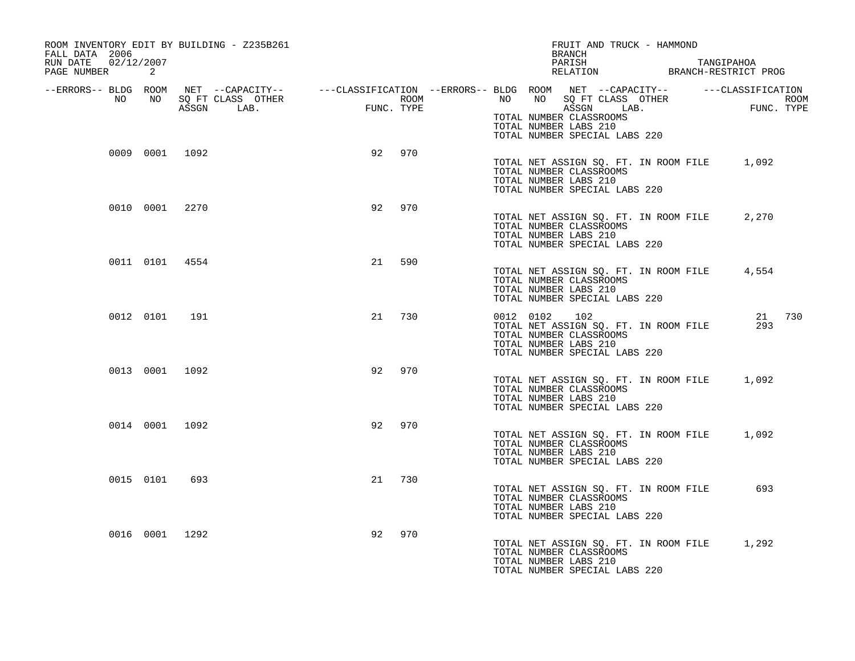| FALL DATA 2006<br>RUN DATE 02/12/2007 |                | ROOM INVENTORY EDIT BY BUILDING - Z235B261 |             |            | FRUIT AND TRUCK - HAMMOND<br>BRANCH<br>PARISH                                                                                                                                                                                    |
|---------------------------------------|----------------|--------------------------------------------|-------------|------------|----------------------------------------------------------------------------------------------------------------------------------------------------------------------------------------------------------------------------------|
| PAGE NUMBER                           | 2              |                                            |             |            | PARISH TANGIPAHOA<br>RELATION BRANCH-RESTRICT PROG                                                                                                                                                                               |
| NO                                    | NO             | SQ FT CLASS OTHER<br>ASSGN LAB.            | <b>FUNC</b> | FUNC. TYPE | --ERRORS-- BLDG ROOM NET --CAPACITY-- ----CLASSIFICATION --ERRORS-- BLDG ROOM NET --CAPACITY-- -----CLASSIFICATION<br>ROOM <b>ROOM</b><br>NO NO SQ FT CLASS OTHER<br>ROOM<br>FUNC. TYPE<br>ASSGN LAB.<br>TOTAL NUMBER CLASSROOMS |
|                                       | 0009 0001 1092 |                                            | 92          | 970        | TOTAL NUMBER LABS 210<br>TOTAL NUMBER SPECIAL LABS 220                                                                                                                                                                           |
|                                       |                |                                            |             |            | TOTAL NET ASSIGN SQ. FT. IN ROOM FILE 1,092<br>TOTAL NUMBER CLASSROOMS<br>TOTAL NUMBER LABS 210<br>TOTAL NUMBER SPECIAL LABS 220                                                                                                 |
|                                       | 0010 0001 2270 |                                            | 92          | 970        | TOTAL NET ASSIGN SQ. FT. IN ROOM FILE<br>2,270<br>TOTAL NUMBER CLASSROOMS<br>TOTAL NUMBER LABS 210<br>TOTAL NUMBER SPECIAL LABS 220                                                                                              |
|                                       | 0011 0101 4554 |                                            | 21          | 590        | TOTAL NET ASSIGN SQ. FT. IN ROOM FILE<br>4,554<br>TOTAL NUMBER CLASSROOMS<br>TOTAL NUMBER LABS 210<br>TOTAL NUMBER SPECIAL LABS 220                                                                                              |
| 0012 0101                             |                | 191                                        | 21          | 730        | 0012 0102 102<br>21 730<br>TOTAL NET ASSIGN SQ. FT. IN ROOM FILE<br>293<br>TOTAL NUMBER CLASSROOMS<br>TOTAL NUMBER LABS 210<br>TOTAL NUMBER SPECIAL LABS 220                                                                     |
|                                       | 0013 0001 1092 |                                            | 92          | 970        | TOTAL NET ASSIGN SQ. FT. IN ROOM FILE 1,092<br>TOTAL NUMBER CLASSROOMS<br>TOTAL NUMBER LABS 210<br>TOTAL NUMBER SPECIAL LABS 220                                                                                                 |
|                                       | 0014 0001 1092 |                                            | 92          | 970        | TOTAL NET ASSIGN SQ. FT. IN ROOM FILE<br>1,092<br>TOTAL NUMBER CLASSROOMS<br>TOTAL NUMBER LABS 210<br>TOTAL NUMBER SPECIAL LABS 220                                                                                              |
| 0015 0101                             |                | 693                                        | 21          | 730        | 693<br>TOTAL NET ASSIGN SQ. FT. IN ROOM FILE<br>TOTAL NUMBER CLASSROOMS<br>TOTAL NUMBER LABS 210<br>TOTAL NUMBER SPECIAL LABS 220                                                                                                |
|                                       | 0016 0001 1292 |                                            | 92          | 970        | TOTAL NET ASSIGN SQ. FT. IN ROOM FILE 1,292<br>TOTAL NUMBER CLASSROOMS<br>TOTAL NUMBER LABS 210<br>TOTAL NUMBER SPECIAL LABS 220                                                                                                 |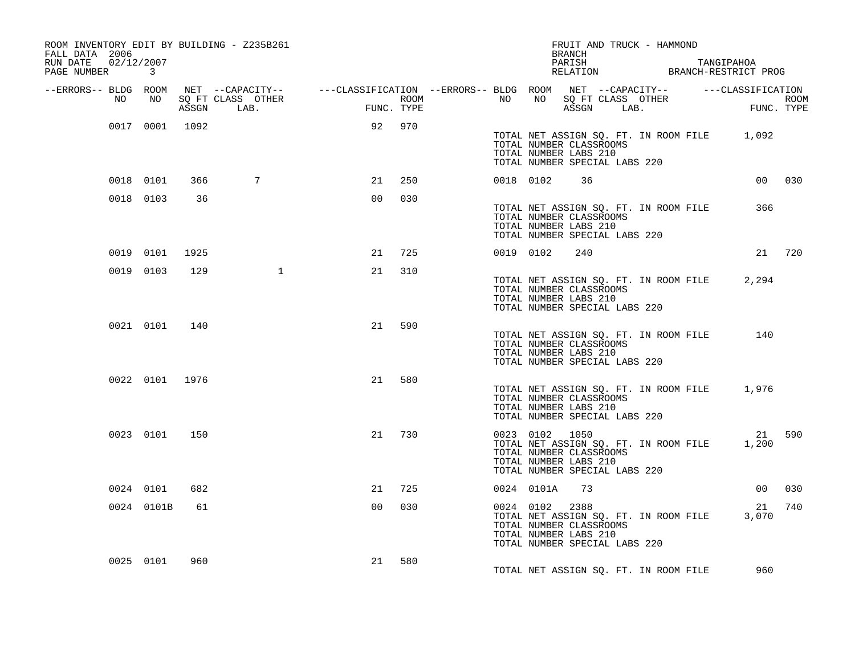| ROOM INVENTORY EDIT BY BUILDING - Z235B261<br>FALL DATA 2006<br>RUN DATE 02/12/2007<br>PAGE NUMBER | 3              |      |                 |                                                                                                                                                                                                  |     |  |                | BRANCH                                                                            | FRUIT AND TRUCK - HAMMOND             | PARISH TANGIPAHOA RELATION BRANCH-RESTRICT PROG |        |
|----------------------------------------------------------------------------------------------------|----------------|------|-----------------|--------------------------------------------------------------------------------------------------------------------------------------------------------------------------------------------------|-----|--|----------------|-----------------------------------------------------------------------------------|---------------------------------------|-------------------------------------------------|--------|
| --ERRORS-- BLDG ROOM<br>NO                                                                         | NO             |      |                 | NET --CAPACITY-- ----CLASSIFICATION --ERRORS---BLDG ROOM NET --CAPACITY-- -----CLASSIFICATION<br>SQ FT CLASS OTHER ROOM NO SQ FT CLASS OTHER ROOM<br>ASSGN LAB. FUNC. TYPE ASSGN LAB. FUNC. TYPE |     |  |                |                                                                                   |                                       |                                                 |        |
|                                                                                                    | 0017 0001 1092 |      |                 | 92 970                                                                                                                                                                                           |     |  |                | TOTAL NUMBER CLASSROOMS<br>TOTAL NUMBER LABS 210<br>TOTAL NUMBER SPECIAL LABS 220 |                                       | TOTAL NET ASSIGN SQ. FT. IN ROOM FILE 1,092     |        |
|                                                                                                    | 0018 0101      | 366  | $7\phantom{.0}$ | 21                                                                                                                                                                                               | 250 |  | 0018 0102      | 36                                                                                |                                       |                                                 | 00 030 |
|                                                                                                    | 0018 0103      | 36   |                 | 0 <sub>0</sub>                                                                                                                                                                                   | 030 |  |                | TOTAL NUMBER CLASSROOMS<br>TOTAL NUMBER LABS 210<br>TOTAL NUMBER SPECIAL LABS 220 | TOTAL NET ASSIGN SQ. FT. IN ROOM FILE | 366                                             |        |
|                                                                                                    | 0019 0101      | 1925 |                 | 21                                                                                                                                                                                               | 725 |  | 0019 0102      | 240                                                                               |                                       | 21                                              | 720    |
|                                                                                                    | 0019 0103      | 129  | $\mathbf{1}$    | 21                                                                                                                                                                                               | 310 |  |                | TOTAL NUMBER CLASSROOMS<br>TOTAL NUMBER LABS 210<br>TOTAL NUMBER SPECIAL LABS 220 | TOTAL NET ASSIGN SQ. FT. IN ROOM FILE | 2,294                                           |        |
|                                                                                                    | 0021 0101      | 140  |                 | 21                                                                                                                                                                                               | 590 |  |                | TOTAL NUMBER CLASSROOMS<br>TOTAL NUMBER LABS 210<br>TOTAL NUMBER SPECIAL LABS 220 | TOTAL NET ASSIGN SQ. FT. IN ROOM FILE | 140                                             |        |
|                                                                                                    | 0022 0101 1976 |      |                 | 21                                                                                                                                                                                               | 580 |  |                | TOTAL NUMBER CLASSROOMS<br>TOTAL NUMBER LABS 210<br>TOTAL NUMBER SPECIAL LABS 220 |                                       | TOTAL NET ASSIGN SQ. FT. IN ROOM FILE 1,976     |        |
|                                                                                                    | 0023 0101      | 150  |                 | 21                                                                                                                                                                                               | 730 |  | 0023 0102 1050 | TOTAL NUMBER CLASSROOMS<br>TOTAL NUMBER LABS 210<br>TOTAL NUMBER SPECIAL LABS 220 |                                       | TOTAL NET ASSIGN SQ. FT. IN ROOM FILE 1,200     | 21 590 |
|                                                                                                    | 0024 0101      | 682  |                 | 21                                                                                                                                                                                               | 725 |  | 0024 0101A     | 73                                                                                |                                       | 00                                              | 030    |
|                                                                                                    | 0024 0101B     | 61   |                 | 0 <sub>0</sub>                                                                                                                                                                                   | 030 |  | 0024 0102 2388 | TOTAL NUMBER CLASSROOMS<br>TOTAL NUMBER LABS 210<br>TOTAL NUMBER SPECIAL LABS 220 | TOTAL NET ASSIGN SQ. FT. IN ROOM FILE | 21<br>3,070                                     | 740    |
|                                                                                                    | 0025 0101      | 960  |                 | 21                                                                                                                                                                                               | 580 |  |                |                                                                                   | TOTAL NET ASSIGN SQ. FT. IN ROOM FILE | 960                                             |        |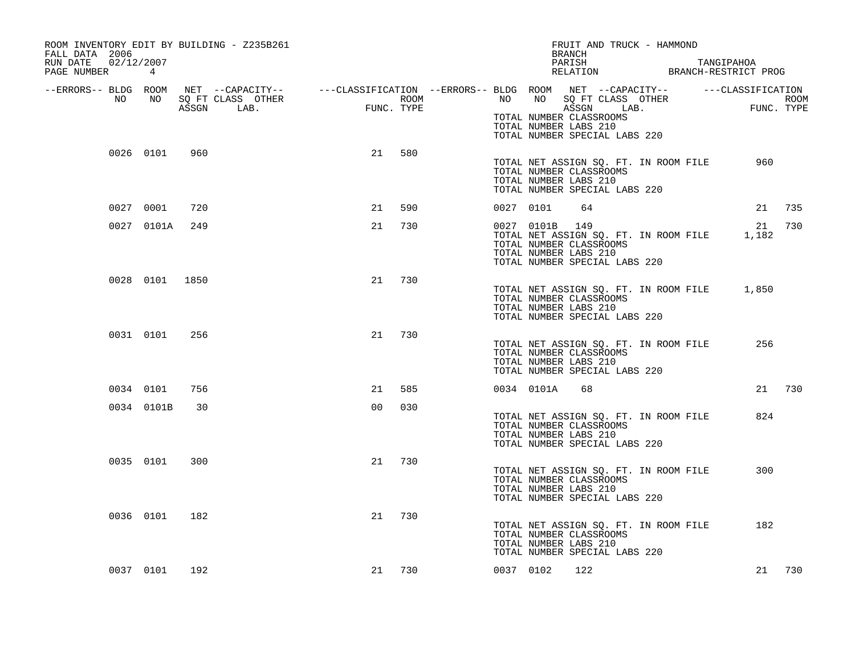| ROOM INVENTORY EDIT BY BUILDING - Z235B261<br>FALL DATA 2006<br>02/12/2007<br>RUN DATE |                |     |                                                                                                                                   |                |            |           |                | FRUIT AND TRUCK - HAMMOND<br>BRANCH<br>PARISH                                                                              |  | TANGIPAHOA  |                    |
|----------------------------------------------------------------------------------------|----------------|-----|-----------------------------------------------------------------------------------------------------------------------------------|----------------|------------|-----------|----------------|----------------------------------------------------------------------------------------------------------------------------|--|-------------|--------------------|
| PAGE NUMBER                                                                            | $\frac{4}{3}$  |     |                                                                                                                                   |                |            |           |                | PARISH IANGIPAROA<br>RELATION BRANCH-RESTRICT PROG                                                                         |  |             |                    |
| --ERRORS-- BLDG ROOM<br>NO                                                             | NO .           |     | NET --CAPACITY-- - ---CLASSIFICATION --ERRORS-- BLDG ROOM NET --CAPACITY-- - ---CLASSIFICATION<br>SQ FT CLASS OTHER<br>ASSGN LAB. |                | ROOM       | NO        | NO             | SQ FT CLASS OTHER<br>ASSGN LAB.                                                                                            |  |             | ROOM<br>FUNC. TYPE |
|                                                                                        |                |     |                                                                                                                                   |                | FUNC. TYPE |           |                | TOTAL NUMBER CLASSROOMS<br>TOTAL NUMBER LABS 210<br>TOTAL NUMBER SPECIAL LABS 220                                          |  |             |                    |
|                                                                                        | 0026 0101      | 960 |                                                                                                                                   | 21             | 580        |           |                | TOTAL NET ASSIGN SQ. FT. IN ROOM FILE<br>TOTAL NUMBER CLASSROOMS<br>TOTAL NUMBER LABS 210<br>TOTAL NUMBER SPECIAL LABS 220 |  | 960         |                    |
|                                                                                        | 0027 0001      | 720 |                                                                                                                                   | 21             | 590        | 0027 0101 |                | 64                                                                                                                         |  | 21          | 735                |
|                                                                                        | 0027 0101A     | 249 |                                                                                                                                   | 21             | 730        |           | 0027 0101B 149 | TOTAL NET ASSIGN SQ. FT. IN ROOM FILE<br>TOTAL NUMBER CLASSROOMS<br>TOTAL NUMBER LABS 210<br>TOTAL NUMBER SPECIAL LABS 220 |  | 21<br>1,182 | 730                |
|                                                                                        | 0028 0101 1850 |     |                                                                                                                                   | 21             | 730        |           |                | TOTAL NET ASSIGN SQ. FT. IN ROOM FILE<br>TOTAL NUMBER CLASSROOMS<br>TOTAL NUMBER LABS 210<br>TOTAL NUMBER SPECIAL LABS 220 |  | 1,850       |                    |
|                                                                                        | 0031 0101      | 256 |                                                                                                                                   | 21             | 730        |           |                | TOTAL NET ASSIGN SQ. FT. IN ROOM FILE<br>TOTAL NUMBER CLASSROOMS<br>TOTAL NUMBER LABS 210<br>TOTAL NUMBER SPECIAL LABS 220 |  | 256         |                    |
|                                                                                        | 0034 0101      | 756 |                                                                                                                                   | 21             | 585        |           | 0034 0101A     | 68                                                                                                                         |  | 21          | 730                |
|                                                                                        | 0034 0101B     | 30  |                                                                                                                                   | 0 <sub>0</sub> | 030        |           |                | TOTAL NET ASSIGN SQ. FT. IN ROOM FILE<br>TOTAL NUMBER CLASSROOMS<br>TOTAL NUMBER LABS 210<br>TOTAL NUMBER SPECIAL LABS 220 |  | 824         |                    |
|                                                                                        | 0035 0101      | 300 |                                                                                                                                   | 21             | 730        |           |                | TOTAL NET ASSIGN SQ. FT. IN ROOM FILE<br>TOTAL NUMBER CLASSROOMS<br>TOTAL NUMBER LABS 210<br>TOTAL NUMBER SPECIAL LABS 220 |  | 300         |                    |
|                                                                                        | 0036 0101      | 182 |                                                                                                                                   | 21             | 730        |           |                | TOTAL NET ASSIGN SQ. FT. IN ROOM FILE<br>TOTAL NUMBER CLASSROOMS<br>TOTAL NUMBER LABS 210<br>TOTAL NUMBER SPECIAL LABS 220 |  | 182         |                    |
|                                                                                        | 0037 0101      | 192 |                                                                                                                                   | 21             | 730        | 0037 0102 |                | 122                                                                                                                        |  | 21          | 730                |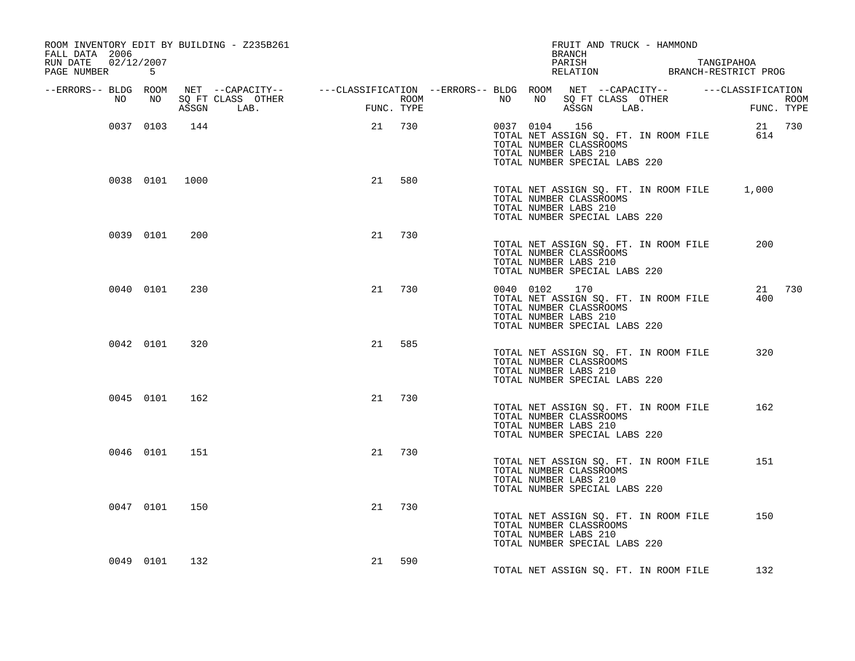| ROOM INVENTORY EDIT BY BUILDING - Z235B261<br>FALL DATA 2006 |                |     |                                                      |    |            |                  |  | FRUIT AND TRUCK - HAMMOND<br>BRANCH                                                                |            |                                       |                                                 |                    |
|--------------------------------------------------------------|----------------|-----|------------------------------------------------------|----|------------|------------------|--|----------------------------------------------------------------------------------------------------|------------|---------------------------------------|-------------------------------------------------|--------------------|
| RUN DATE 02/12/2007<br>PAGE NUMBER 5                         |                |     |                                                      |    |            |                  |  | PARISH                                                                                             |            |                                       | PARISH TANGIPAHOA RELATION BRANCH-RESTRICT PROG |                    |
| --ERRORS-- BLDG ROOM                                         |                |     |                                                      |    |            |                  |  |                                                                                                    |            |                                       |                                                 |                    |
| NO                                                           | NO             |     | NET --CALINER<br>SQ FT CLASS OTHER<br>ACCON LAR FUNC |    | FUNC. TYPE | ROOM <b>ROOM</b> |  | NO NO SQ FT CLASS OTHER                                                                            | ASSGN LAB. |                                       | FIDM                                            | ROOM<br>FUNC. TYPE |
|                                                              | 0037 0103      | 144 |                                                      |    | 21 730     |                  |  | 0037 0104 156<br>TOTAL NUMBER CLASSROOMS<br>TOTAL NUMBER LABS 210<br>TOTAL NUMBER SPECIAL LABS 220 |            | TOTAL NET ASSIGN SQ. FT. IN ROOM FILE | 614                                             | 21 730             |
|                                                              | 0038 0101 1000 |     |                                                      | 21 | 580        |                  |  | TOTAL NUMBER CLASSROOMS<br>TOTAL NUMBER LABS 210<br>TOTAL NUMBER SPECIAL LABS 220                  |            |                                       | TOTAL NET ASSIGN SQ. FT. IN ROOM FILE 1,000     |                    |
|                                                              | 0039 0101      | 200 |                                                      | 21 | 730        |                  |  | TOTAL NUMBER CLASSROOMS<br>TOTAL NUMBER LABS 210<br>TOTAL NUMBER SPECIAL LABS 220                  |            | TOTAL NET ASSIGN SQ. FT. IN ROOM FILE | 200                                             |                    |
|                                                              | 0040 0101      | 230 |                                                      | 21 | 730        |                  |  | 0040 0102 170<br>TOTAL NUMBER CLASSROOMS<br>TOTAL NUMBER LABS 210<br>TOTAL NUMBER SPECIAL LABS 220 |            | TOTAL NET ASSIGN SQ. FT. IN ROOM FILE | 400                                             | 21 730             |
|                                                              | 0042 0101      | 320 |                                                      | 21 | 585        |                  |  | TOTAL NUMBER CLASSROOMS<br>TOTAL NUMBER LABS 210<br>TOTAL NUMBER SPECIAL LABS 220                  |            | TOTAL NET ASSIGN SQ. FT. IN ROOM FILE | 320                                             |                    |
|                                                              | 0045 0101      | 162 |                                                      | 21 | 730        |                  |  | TOTAL NUMBER CLASSROOMS<br>TOTAL NUMBER LABS 210<br>TOTAL NUMBER SPECIAL LABS 220                  |            | TOTAL NET ASSIGN SQ. FT. IN ROOM FILE | 162                                             |                    |
|                                                              | 0046 0101      | 151 |                                                      | 21 | 730        |                  |  | TOTAL NUMBER CLASSROOMS<br>TOTAL NUMBER LABS 210<br>TOTAL NUMBER SPECIAL LABS 220                  |            | TOTAL NET ASSIGN SQ. FT. IN ROOM FILE | 151                                             |                    |
|                                                              | 0047 0101      | 150 |                                                      | 21 | 730        |                  |  | TOTAL NUMBER CLASSROOMS<br>TOTAL NUMBER LABS 210<br>TOTAL NUMBER SPECIAL LABS 220                  |            | TOTAL NET ASSIGN SQ. FT. IN ROOM FILE | 150                                             |                    |
|                                                              | 0049 0101      | 132 |                                                      | 21 | 590        |                  |  |                                                                                                    |            | TOTAL NET ASSIGN SQ. FT. IN ROOM FILE | 132                                             |                    |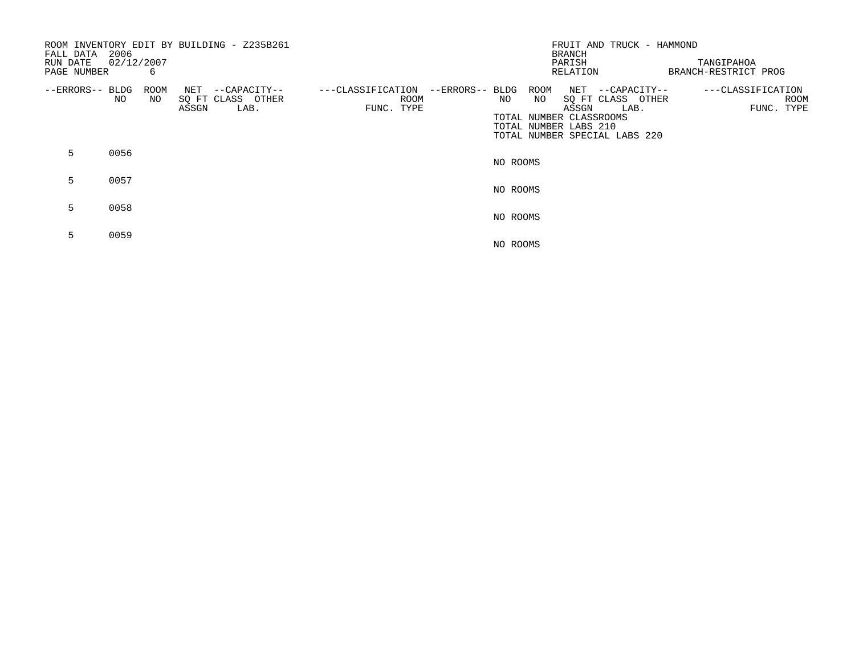| FALL DATA<br>RUN DATE<br>PAGE NUMBER | 2006<br>02/12/2007 | 6                           | ROOM INVENTORY EDIT BY BUILDING - Z235B261 |                   |                    |                 |          | <b>BRANCH</b><br>PARISH<br>RELATION                                     | FRUIT AND TRUCK - HAMMOND                                                      | TANGIPAHOA<br>BRANCH-RESTRICT PROG |                                 |             |
|--------------------------------------|--------------------|-----------------------------|--------------------------------------------|-------------------|--------------------|-----------------|----------|-------------------------------------------------------------------------|--------------------------------------------------------------------------------|------------------------------------|---------------------------------|-------------|
| --ERRORS-- BLDG                      | NO                 | ROOM<br>NET<br>NO.<br>ASSGN | --CAPACITY--<br>SQ FT CLASS OTHER<br>LAB.  | ---CLASSIFICATION | ROOM<br>FUNC. TYPE | --ERRORS-- BLDG | NO.      | ROOM<br>NO<br>ASSGN<br>TOTAL NUMBER CLASSROOMS<br>TOTAL NUMBER LABS 210 | NET --CAPACITY--<br>SQ FT CLASS OTHER<br>LAB.<br>TOTAL NUMBER SPECIAL LABS 220 |                                    | ---CLASSIFICATION<br>FUNC. TYPE | <b>ROOM</b> |
| 5                                    | 0056               |                             |                                            |                   |                    |                 | NO ROOMS |                                                                         |                                                                                |                                    |                                 |             |
| 5.                                   | 0057               |                             |                                            |                   |                    |                 | NO ROOMS |                                                                         |                                                                                |                                    |                                 |             |
| 5                                    | 0058               |                             |                                            |                   |                    |                 | NO ROOMS |                                                                         |                                                                                |                                    |                                 |             |
| 5                                    | 0059               |                             |                                            |                   |                    |                 | NO ROOMS |                                                                         |                                                                                |                                    |                                 |             |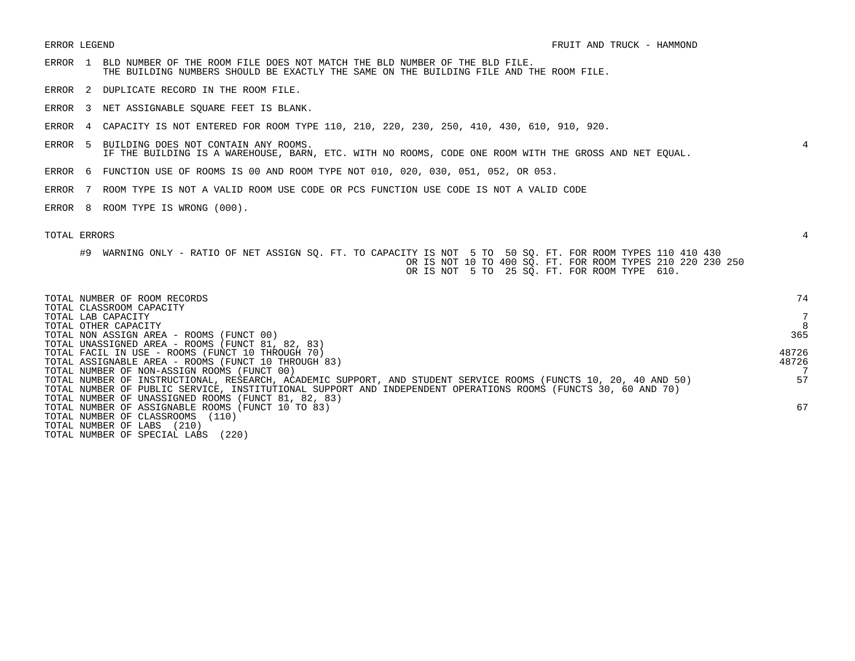- ERROR 1 BLD NUMBER OF THE ROOM FILE DOES NOT MATCH THE BLD NUMBER OF THE BLD FILE. THE BUILDING NUMBERS SHOULD BE EXACTLY THE SAME ON THE BUILDING FILE AND THE ROOM FILE.
- ERROR 2 DUPLICATE RECORD IN THE ROOM FILE.
- ERROR 3 NET ASSIGNABLE SQUARE FEET IS BLANK.
- ERROR 4 CAPACITY IS NOT ENTERED FOR ROOM TYPE 110, 210, 220, 230, 250, 410, 430, 610, 910, 920.
- ERROR 5 BUILDING DOES NOT CONTAIN ANY ROOMS. 4 IF THE BUILDING IS A WAREHOUSE, BARN, ETC. WITH NO ROOMS, CODE ONE ROOM WITH THE GROSS AND NET EQUAL.
- ERROR 6 FUNCTION USE OF ROOMS IS 00 AND ROOM TYPE NOT 010, 020, 030, 051, 052, OR 053.
- ERROR 7 ROOM TYPE IS NOT A VALID ROOM USE CODE OR PCS FUNCTION USE CODE IS NOT A VALID CODE
- ERROR 8 ROOM TYPE IS WRONG (000).

| TOTAL NUMBER OF ROOM RECORDS<br>TOTAL CLASSROOM CAPACITY                                                        | 74    |
|-----------------------------------------------------------------------------------------------------------------|-------|
| TOTAL LAB CAPACITY                                                                                              |       |
| TOTAL OTHER CAPACITY                                                                                            | 8     |
| TOTAL NON ASSIGN AREA - ROOMS (FUNCT 00)                                                                        | 365   |
| TOTAL UNASSIGNED AREA - ROOMS (FUNCT 81, 82, 83)                                                                |       |
| TOTAL FACIL IN USE - ROOMS (FUNCT 10 THROUGH 70)                                                                | 48726 |
| TOTAL ASSIGNABLE AREA - ROOMS (FUNCT 10 THROUGH 83)                                                             | 48726 |
| TOTAL NUMBER OF NON-ASSIGN ROOMS (FUNCT 00)                                                                     |       |
| TOTAL NUMBER OF INSTRUCTIONAL, RESEARCH, ACADEMIC SUPPORT, AND STUDENT SERVICE ROOMS (FUNCTS 10, 20, 40 AND 50) | 57    |
| TOTAL NUMBER OF PUBLIC SERVICE, INSTITUTIONAL SUPPORT AND INDEPENDENT OPERATIONS ROOMS (FUNCTS 30, 60 AND 70)   |       |
| TOTAL NUMBER OF UNASSIGNED ROOMS (FUNCT 81, 82, 83)                                                             |       |
| TOTAL NUMBER OF ASSIGNABLE ROOMS (FUNCT 10 TO 83)                                                               | 67    |
| TOTAL NUMBER OF CLASSROOMS<br>(110)                                                                             |       |
| TOTAL NUMBER OF LABS<br>(210)                                                                                   |       |
| (220)<br>TOTAL NUMBER OF SPECIAL LABS                                                                           |       |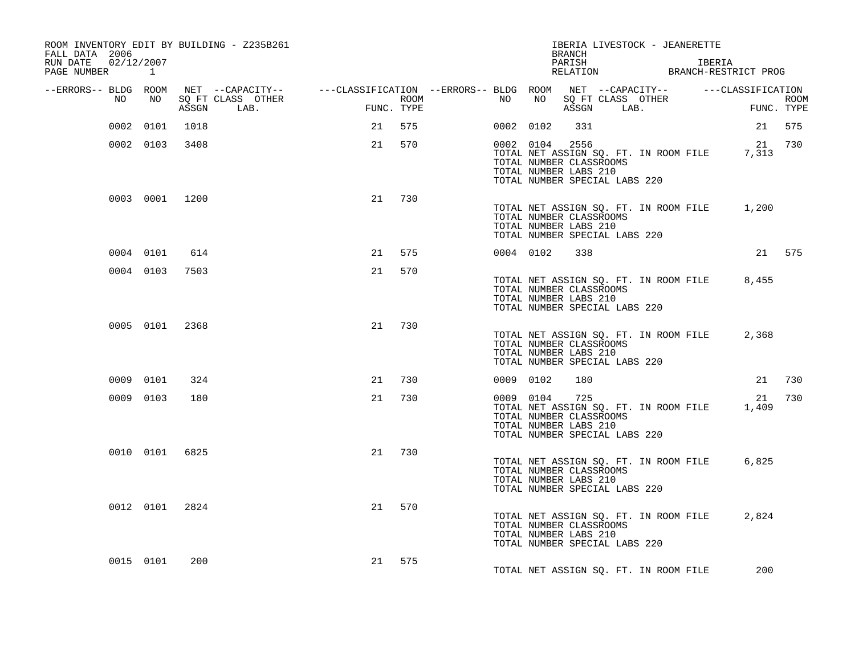| ROOM INVENTORY EDIT BY BUILDING - Z235B261<br>FALL DATA 2006<br>RUN DATE 02/12/2007<br>PAGE NUMBER 1 |                |       |                                                                                                                             |            |      |    |           | <b>BRANCH</b><br>PARISH                                                                   |  | IBERIA LIVESTOCK - JEANERETTE         | IBERIA<br>PARISH IBERIA<br>RELATION BRANCH-RESTRICT PROG |                           |
|------------------------------------------------------------------------------------------------------|----------------|-------|-----------------------------------------------------------------------------------------------------------------------------|------------|------|----|-----------|-------------------------------------------------------------------------------------------|--|---------------------------------------|----------------------------------------------------------|---------------------------|
| --ERRORS-- BLDG ROOM<br>NO                                                                           | NO             | ASSGN | NET --CAPACITY-- - ---CLASSIFICATION --ERRORS-- BLDG ROOM NET --CAPACITY-- - ---CLASSIFICATION<br>SQ FT CLASS OTHER<br>LAB. | FUNC. TYPE | ROOM | NO |           | NO SQ FT CLASS OTHER<br>ASSGN LAB.                                                        |  |                                       |                                                          | <b>ROOM</b><br>FUNC. TYPE |
|                                                                                                      | 0002 0101      | 1018  |                                                                                                                             | 21         | 575  |    | 0002 0102 | 331                                                                                       |  |                                       |                                                          | 21 575                    |
|                                                                                                      | 0002 0103      | 3408  |                                                                                                                             | 21         | 570  |    | 0002 0104 | 2556<br>TOTAL NUMBER CLASSROOMS<br>TOTAL NUMBER LABS 210<br>TOTAL NUMBER SPECIAL LABS 220 |  | TOTAL NET ASSIGN SQ. FT. IN ROOM FILE | 7,313                                                    | 21 730                    |
|                                                                                                      | 0003 0001 1200 |       |                                                                                                                             | 21         | 730  |    |           | TOTAL NUMBER CLASSROOMS<br>TOTAL NUMBER LABS 210<br>TOTAL NUMBER SPECIAL LABS 220         |  |                                       | TOTAL NET ASSIGN SQ. FT. IN ROOM FILE 1,200              |                           |
|                                                                                                      | 0004 0101      | 614   |                                                                                                                             | 21         | 575  |    | 0004 0102 | 338                                                                                       |  |                                       |                                                          | 21 575                    |
|                                                                                                      | 0004 0103      | 7503  |                                                                                                                             | 21         | 570  |    |           | TOTAL NUMBER CLASSROOMS<br>TOTAL NUMBER LABS 210<br>TOTAL NUMBER SPECIAL LABS 220         |  | TOTAL NET ASSIGN SQ. FT. IN ROOM FILE | 8,455                                                    |                           |
|                                                                                                      | 0005 0101 2368 |       |                                                                                                                             | 21         | 730  |    |           | TOTAL NUMBER CLASSROOMS<br>TOTAL NUMBER LABS 210<br>TOTAL NUMBER SPECIAL LABS 220         |  | TOTAL NET ASSIGN SQ. FT. IN ROOM FILE | 2,368                                                    |                           |
|                                                                                                      | 0009 0101      | 324   |                                                                                                                             | 21         | 730  |    | 0009 0102 | 180                                                                                       |  |                                       |                                                          | 21 730                    |
|                                                                                                      | 0009 0103      | 180   |                                                                                                                             | 21         | 730  |    | 0009 0104 | 725<br>TOTAL NUMBER CLASSROOMS<br>TOTAL NUMBER LABS 210<br>TOTAL NUMBER SPECIAL LABS 220  |  | TOTAL NET ASSIGN SQ. FT. IN ROOM FILE | 21<br>1,409                                              | 730                       |
|                                                                                                      | 0010 0101 6825 |       |                                                                                                                             | 21         | 730  |    |           | TOTAL NUMBER CLASSROOMS<br>TOTAL NUMBER LABS 210<br>TOTAL NUMBER SPECIAL LABS 220         |  | TOTAL NET ASSIGN SQ. FT. IN ROOM FILE | 6,825                                                    |                           |
|                                                                                                      | 0012 0101 2824 |       |                                                                                                                             | 21         | 570  |    |           | TOTAL NUMBER CLASSROOMS<br>TOTAL NUMBER LABS 210<br>TOTAL NUMBER SPECIAL LABS 220         |  | TOTAL NET ASSIGN SQ. FT. IN ROOM FILE | 2,824                                                    |                           |
|                                                                                                      | 0015 0101      | 200   |                                                                                                                             | 21         | 575  |    |           |                                                                                           |  | TOTAL NET ASSIGN SQ. FT. IN ROOM FILE | 200                                                      |                           |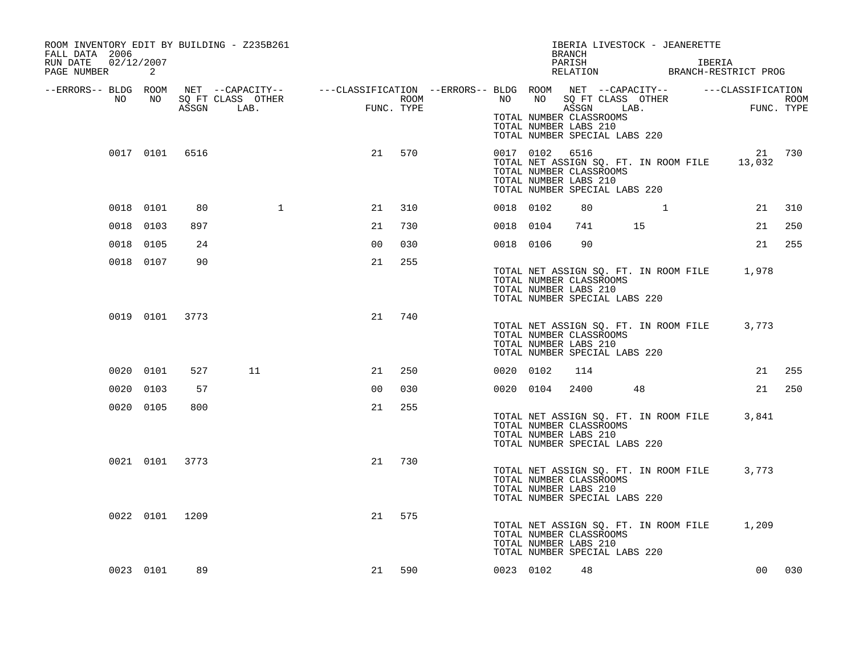| ROOM INVENTORY EDIT BY BUILDING - Z235B261<br>FALL DATA 2006<br>02/12/2007<br>RUN DATE | 2         |                |                   |                                                                                                |            |           |                                                                                                | <b>BRANCH</b><br>PARISH | IBERIA LIVESTOCK - JEANERETTE         | IBERIA<br>RELATION BRANCH-RESTRICT PROG     |      |
|----------------------------------------------------------------------------------------|-----------|----------------|-------------------|------------------------------------------------------------------------------------------------|------------|-----------|------------------------------------------------------------------------------------------------|-------------------------|---------------------------------------|---------------------------------------------|------|
| PAGE NUMBER                                                                            |           |                |                   |                                                                                                |            |           |                                                                                                |                         |                                       |                                             |      |
| --ERRORS-- BLDG ROOM<br>NO                                                             | NO        |                | SQ FT CLASS OTHER | NET --CAPACITY-- - ---CLASSIFICATION --ERRORS-- BLDG ROOM NET --CAPACITY-- - ---CLASSIFICATION | ROOM       | NO        | NO                                                                                             |                         | SQ FT CLASS OTHER                     |                                             | ROOM |
|                                                                                        |           | ASSGN          | LAB.              |                                                                                                | FUNC. TYPE |           | TOTAL NUMBER CLASSROOMS<br>TOTAL NUMBER LABS 210<br>TOTAL NUMBER SPECIAL LABS 220              | ASSGN LAB.              |                                       | FUNC. TYPE                                  |      |
|                                                                                        | 0017 0101 | 6516           |                   | 21                                                                                             | 570        |           | 0017 0102<br>TOTAL NUMBER CLASSROOMS<br>TOTAL NUMBER LABS 210<br>TOTAL NUMBER SPECIAL LABS 220 | 6516                    | TOTAL NET ASSIGN SQ. FT. IN ROOM FILE | 21<br>13,032                                | 730  |
|                                                                                        | 0018 0101 | 80             | 1                 | 21                                                                                             | 310        | 0018 0102 |                                                                                                | 80                      | $\mathbf{1}$                          | 21                                          | 310  |
|                                                                                        | 0018 0103 | 897            |                   | 21                                                                                             | 730        | 0018 0104 |                                                                                                | 741                     | 15                                    | 21                                          | 250  |
|                                                                                        | 0018 0105 | 24             |                   | 0 <sub>0</sub>                                                                                 | 030        | 0018 0106 |                                                                                                | 90                      |                                       | 21                                          | 255  |
|                                                                                        | 0018 0107 | 90             |                   | 21                                                                                             | 255        |           | TOTAL NUMBER CLASSROOMS<br>TOTAL NUMBER LABS 210<br>TOTAL NUMBER SPECIAL LABS 220              |                         |                                       | TOTAL NET ASSIGN SQ. FT. IN ROOM FILE 1,978 |      |
|                                                                                        |           | 0019 0101 3773 |                   | 21                                                                                             | 740        |           | TOTAL NUMBER CLASSROOMS<br>TOTAL NUMBER LABS 210<br>TOTAL NUMBER SPECIAL LABS 220              |                         | TOTAL NET ASSIGN SQ. FT. IN ROOM FILE | 3,773                                       |      |
|                                                                                        | 0020 0101 | 527            | 11                | 21                                                                                             | 250        | 0020 0102 |                                                                                                | 114                     |                                       | 21                                          | 255  |
|                                                                                        | 0020 0103 | 57             |                   | 0 <sub>0</sub>                                                                                 | 030        | 0020 0104 |                                                                                                | 2400                    | 48                                    | 21                                          | 250  |
|                                                                                        | 0020 0105 | 800            |                   | 21                                                                                             | 255        |           | TOTAL NUMBER CLASSROOMS<br>TOTAL NUMBER LABS 210<br>TOTAL NUMBER SPECIAL LABS 220              |                         | TOTAL NET ASSIGN SQ. FT. IN ROOM FILE | 3,841                                       |      |
|                                                                                        |           | 0021 0101 3773 |                   | 21                                                                                             | 730        |           | TOTAL NUMBER CLASSROOMS<br>TOTAL NUMBER LABS 210<br>TOTAL NUMBER SPECIAL LABS 220              |                         | TOTAL NET ASSIGN SQ. FT. IN ROOM FILE | 3,773                                       |      |
|                                                                                        |           | 0022 0101 1209 |                   | 21                                                                                             | 575        |           | TOTAL NUMBER CLASSROOMS<br>TOTAL NUMBER LABS 210<br>TOTAL NUMBER SPECIAL LABS 220              |                         | TOTAL NET ASSIGN SQ. FT. IN ROOM FILE | 1,209                                       |      |
|                                                                                        | 0023 0101 | 89             |                   | 21                                                                                             | 590        | 0023 0102 |                                                                                                | 48                      |                                       | 0 <sub>0</sub>                              | 030  |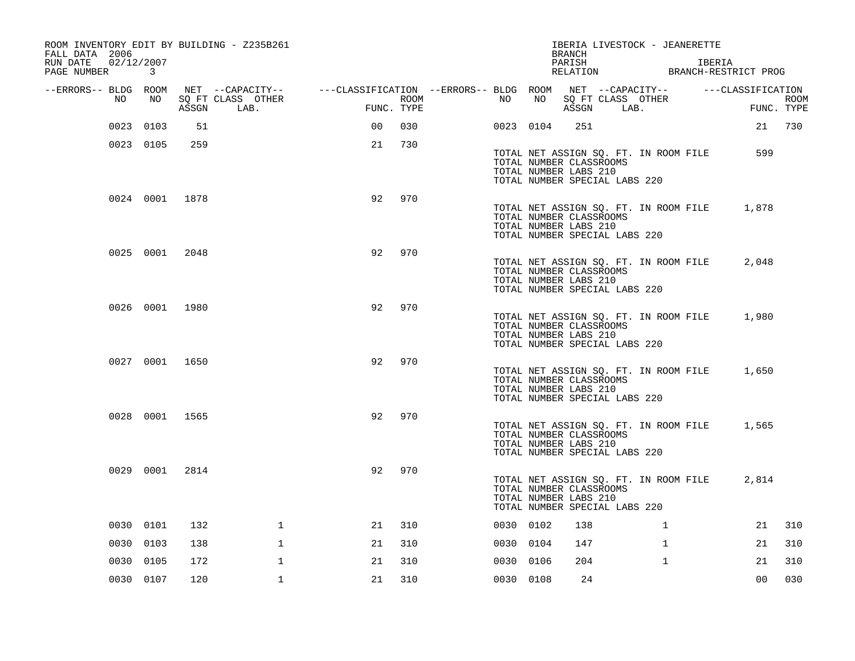| ROOM INVENTORY EDIT BY BUILDING - Z235B261<br>FALL DATA 2006 |                |       |                           |                                        |                    |           |    | <b>BRANCH</b>                                                                     |      | IBERIA LIVESTOCK - JEANERETTE         |                                         |                           |
|--------------------------------------------------------------|----------------|-------|---------------------------|----------------------------------------|--------------------|-----------|----|-----------------------------------------------------------------------------------|------|---------------------------------------|-----------------------------------------|---------------------------|
| 02/12/2007<br>RUN DATE<br>PAGE NUMBER                        | 3              |       |                           |                                        |                    |           |    | PARISH                                                                            |      |                                       | IBERIA<br>RELATION BRANCH-RESTRICT PROG |                           |
| --ERRORS-- BLDG ROOM                                         |                |       | NET --CAPACITY--          | ---CLASSIFICATION --ERRORS-- BLDG ROOM |                    |           |    |                                                                                   |      | NET --CAPACITY--                      | ---CLASSIFICATION                       |                           |
| NO.                                                          | NO             | ASSGN | SQ FT CLASS OTHER<br>LAB. |                                        | ROOM<br>FUNC. TYPE | NO        | NO | ASSGN                                                                             | LAB. | SQ FT CLASS OTHER                     |                                         | <b>ROOM</b><br>FUNC. TYPE |
| 0023                                                         | 0103           | 51    |                           | 0 <sub>0</sub>                         | 030                | 0023 0104 |    | 251                                                                               |      |                                       | 21                                      | 730                       |
|                                                              | 0023 0105      | 259   |                           | 21                                     | 730                |           |    | TOTAL NUMBER CLASSROOMS<br>TOTAL NUMBER LABS 210<br>TOTAL NUMBER SPECIAL LABS 220 |      | TOTAL NET ASSIGN SQ. FT. IN ROOM FILE | 599                                     |                           |
|                                                              | 0024 0001 1878 |       |                           | 92                                     | 970                |           |    | TOTAL NUMBER CLASSROOMS<br>TOTAL NUMBER LABS 210<br>TOTAL NUMBER SPECIAL LABS 220 |      | TOTAL NET ASSIGN SQ. FT. IN ROOM FILE | 1,878                                   |                           |
|                                                              | 0025 0001      | 2048  |                           | 92                                     | 970                |           |    | TOTAL NUMBER CLASSROOMS<br>TOTAL NUMBER LABS 210<br>TOTAL NUMBER SPECIAL LABS 220 |      | TOTAL NET ASSIGN SQ. FT. IN ROOM FILE | 2,048                                   |                           |
|                                                              | 0026 0001 1980 |       |                           | 92                                     | 970                |           |    | TOTAL NUMBER CLASSROOMS<br>TOTAL NUMBER LABS 210<br>TOTAL NUMBER SPECIAL LABS 220 |      | TOTAL NET ASSIGN SQ. FT. IN ROOM FILE | 1,980                                   |                           |
|                                                              | 0027 0001 1650 |       |                           | 92                                     | 970                |           |    | TOTAL NUMBER CLASSROOMS<br>TOTAL NUMBER LABS 210<br>TOTAL NUMBER SPECIAL LABS 220 |      | TOTAL NET ASSIGN SQ. FT. IN ROOM FILE | 1,650                                   |                           |
|                                                              | 0028 0001 1565 |       |                           | 92                                     | 970                |           |    | TOTAL NUMBER CLASSROOMS<br>TOTAL NUMBER LABS 210<br>TOTAL NUMBER SPECIAL LABS 220 |      | TOTAL NET ASSIGN SQ. FT. IN ROOM FILE | 1,565                                   |                           |
|                                                              | 0029 0001      | 2814  |                           | 92                                     | 970                |           |    | TOTAL NUMBER CLASSROOMS<br>TOTAL NUMBER LABS 210<br>TOTAL NUMBER SPECIAL LABS 220 |      | TOTAL NET ASSIGN SQ. FT. IN ROOM FILE | 2,814                                   |                           |
|                                                              | 0030 0101      | 132   | $\mathbf 1$               | 21                                     | 310                | 0030 0102 |    | 138                                                                               |      | $\mathbf{1}$                          | 21                                      | 310                       |
|                                                              | 0030 0103      | 138   | $\mathbf{1}$              | 21                                     | 310                | 0030 0104 |    | 147                                                                               |      | $\mathbf{1}$                          | 21                                      | 310                       |
|                                                              | 0030 0105      | 172   | $\mathbf{1}$              | 21                                     | 310                | 0030 0106 |    | 204                                                                               |      | $\mathbf{1}$                          | 21                                      | 310                       |
|                                                              | 0030 0107      | 120   | $\mathbf{1}$              | 21                                     | 310                | 0030 0108 |    | 24                                                                                |      |                                       | 0 <sub>0</sub>                          | 030                       |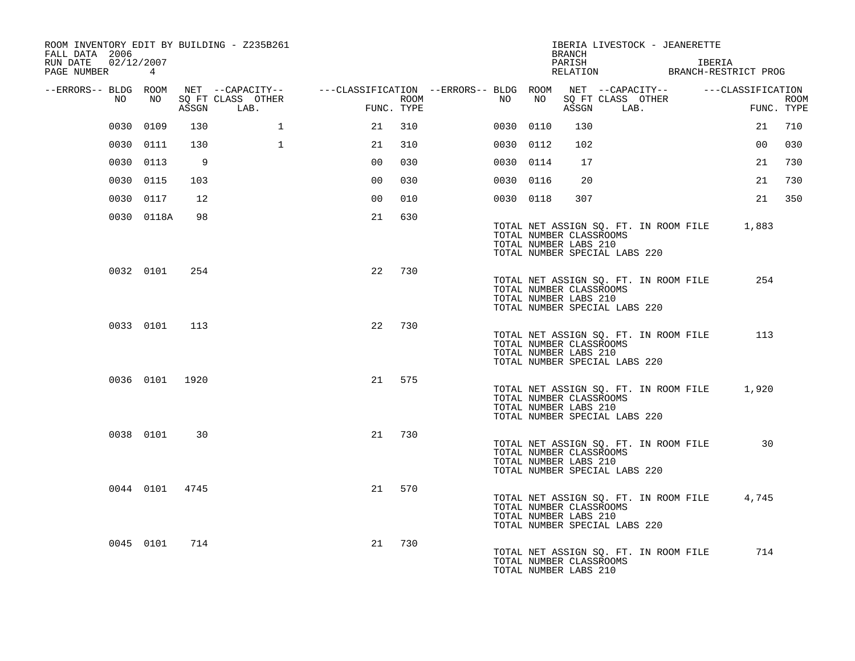| ROOM INVENTORY EDIT BY BUILDING - Z235B261<br>FALL DATA 2006 |                |       |                                               |                                                                       |      |    |                                                  | BRANCH | IBERIA LIVESTOCK - JEANERETTE                                          |        |                                 |             |
|--------------------------------------------------------------|----------------|-------|-----------------------------------------------|-----------------------------------------------------------------------|------|----|--------------------------------------------------|--------|------------------------------------------------------------------------|--------|---------------------------------|-------------|
| 02/12/2007<br>RUN DATE<br>PAGE NUMBER 4                      |                |       |                                               |                                                                       |      |    |                                                  | PARISH |                                                                        | IBERIA | RELATION BRANCH-RESTRICT PROG   |             |
| --ERRORS-- BLDG ROOM<br>NO                                   | NO             | ASSGN | NET --CAPACITY--<br>SQ FT CLASS OTHER<br>LAB. | ---CLASSIFICATION --ERRORS-- BLDG ROOM NET --CAPACITY--<br>FUNC. TYPE | ROOM | NO | NO                                               | ASSGN  | SQ FT CLASS OTHER<br>LAB.                                              |        | ---CLASSIFICATION<br>FUNC. TYPE | <b>ROOM</b> |
|                                                              | 0030 0109      | 130   | $\mathbf 1$                                   | 21                                                                    | 310  |    | 0030 0110                                        | 130    |                                                                        |        | 21                              | 710         |
|                                                              | 0030 0111      | 130   | $\mathbf{1}$                                  | 21                                                                    | 310  |    | 0030 0112                                        | 102    |                                                                        |        | 00                              | 030         |
|                                                              | 0030 0113      | 9     |                                               | 0 <sub>0</sub>                                                        | 030  |    | 0030 0114                                        | 17     |                                                                        |        | 21                              | 730         |
|                                                              | 0030 0115      | 103   |                                               | 0 <sub>0</sub>                                                        | 030  |    | 0030 0116                                        | 20     |                                                                        |        | 21                              | 730         |
|                                                              | 0030 0117      | 12    |                                               | 0 <sub>0</sub>                                                        | 010  |    | 0030 0118                                        | 307    |                                                                        |        | 21                              | 350         |
|                                                              | 0030 0118A     | 98    |                                               | 21                                                                    | 630  |    |                                                  |        |                                                                        |        |                                 |             |
|                                                              |                |       |                                               |                                                                       |      |    | TOTAL NUMBER CLASSROOMS<br>TOTAL NUMBER LABS 210 |        | TOTAL NET ASSIGN SQ. FT. IN ROOM FILE<br>TOTAL NUMBER SPECIAL LABS 220 |        | 1,883                           |             |
|                                                              | 0032 0101      | 254   |                                               | 22                                                                    | 730  |    | TOTAL NUMBER CLASSROOMS<br>TOTAL NUMBER LABS 210 |        | TOTAL NET ASSIGN SQ. FT. IN ROOM FILE<br>TOTAL NUMBER SPECIAL LABS 220 |        | 254                             |             |
|                                                              | 0033 0101      | 113   |                                               | 22                                                                    | 730  |    | TOTAL NUMBER CLASSROOMS<br>TOTAL NUMBER LABS 210 |        | TOTAL NET ASSIGN SQ. FT. IN ROOM FILE<br>TOTAL NUMBER SPECIAL LABS 220 |        | 113                             |             |
|                                                              | 0036 0101 1920 |       |                                               | 21                                                                    | 575  |    | TOTAL NUMBER CLASSROOMS<br>TOTAL NUMBER LABS 210 |        | TOTAL NET ASSIGN SQ. FT. IN ROOM FILE<br>TOTAL NUMBER SPECIAL LABS 220 |        | 1,920                           |             |
|                                                              | 0038 0101      | 30    |                                               | 21                                                                    | 730  |    | TOTAL NUMBER CLASSROOMS<br>TOTAL NUMBER LABS 210 |        | TOTAL NET ASSIGN SQ. FT. IN ROOM FILE<br>TOTAL NUMBER SPECIAL LABS 220 |        | 30                              |             |
|                                                              | 0044 0101 4745 |       |                                               | 21                                                                    | 570  |    | TOTAL NUMBER CLASSROOMS<br>TOTAL NUMBER LABS 210 |        | TOTAL NET ASSIGN SQ. FT. IN ROOM FILE<br>TOTAL NUMBER SPECIAL LABS 220 |        | 4,745                           |             |
|                                                              | 0045 0101      | 714   |                                               | 21                                                                    | 730  |    | TOTAL NUMBER CLASSROOMS<br>TOTAL NUMBER LABS 210 |        | TOTAL NET ASSIGN SO. FT. IN ROOM FILE                                  |        | 714                             |             |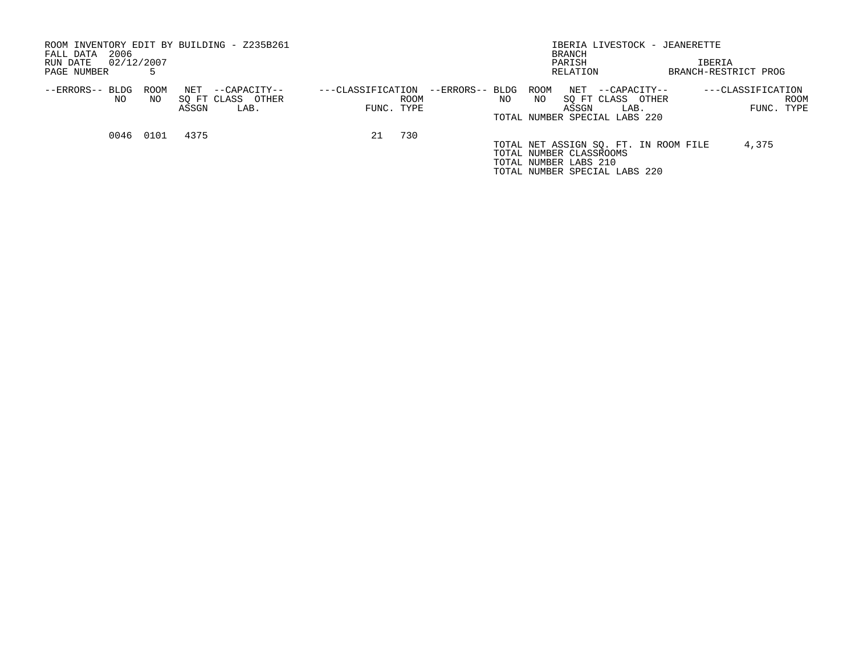| ROOM INVENTORY EDIT BY BUILDING - Z235B261<br>2006<br>FALL DATA |             |                                                           |                   |                           |                 |     |             | <b>BRANCH</b>                                                                                                              |                      |       | IBERIA LIVESTOCK - JEANERETTE |                                 |      |
|-----------------------------------------------------------------|-------------|-----------------------------------------------------------|-------------------|---------------------------|-----------------|-----|-------------|----------------------------------------------------------------------------------------------------------------------------|----------------------|-------|-------------------------------|---------------------------------|------|
| 02/12/2007<br>RUN DATE                                          |             |                                                           |                   |                           |                 |     |             | PARISH                                                                                                                     |                      |       | IBERIA                        |                                 |      |
| PAGE NUMBER                                                     |             |                                                           |                   |                           |                 |     |             | RELATION                                                                                                                   |                      |       | BRANCH-RESTRICT PROG          |                                 |      |
| --ERRORS-- BLDG<br>NO.                                          | ROOM<br>NO. | --CAPACITY--<br>NET<br>SO FT CLASS OTHER<br>ASSGN<br>LAB. | ---CLASSIFICATION | <b>ROOM</b><br>FUNC. TYPE | --ERRORS-- BLDG | NO. | ROOM<br>NO. | NET<br>SO FT CLASS<br>ASSGN<br>TOTAL NUMBER SPECIAL LABS 220                                                               | --CAPACITY--<br>LAB. | OTHER |                               | ---CLASSIFICATION<br>FUNC. TYPE | ROOM |
| 0046                                                            | 0101        | 4375                                                      | 21                | 730                       |                 |     |             | TOTAL NET ASSIGN SQ. FT. IN ROOM FILE<br>TOTAL NUMBER CLASSROOMS<br>TOTAL NUMBER LABS 210<br>TOTAL NUMBER SPECIAL LABS 220 |                      |       |                               | 4,375                           |      |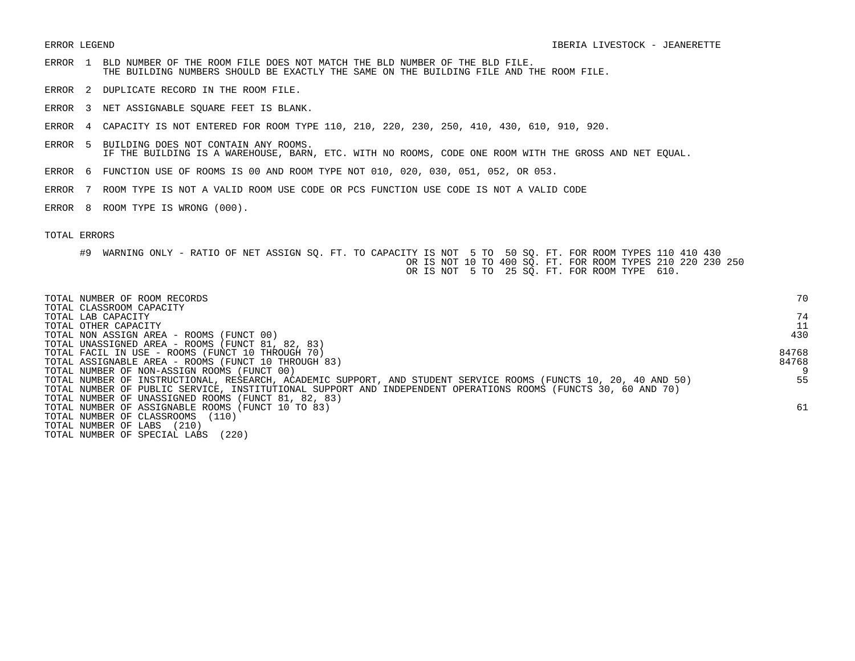- ERROR 1 BLD NUMBER OF THE ROOM FILE DOES NOT MATCH THE BLD NUMBER OF THE BLD FILE. THE BUILDING NUMBERS SHOULD BE EXACTLY THE SAME ON THE BUILDING FILE AND THE ROOM FILE.
- ERROR 2 DUPLICATE RECORD IN THE ROOM FILE.
- ERROR 3 NET ASSIGNABLE SQUARE FEET IS BLANK.
- ERROR 4 CAPACITY IS NOT ENTERED FOR ROOM TYPE 110, 210, 220, 230, 250, 410, 430, 610, 910, 920.
- ERROR 5 BUILDING DOES NOT CONTAIN ANY ROOMS. IF THE BUILDING IS A WAREHOUSE, BARN, ETC. WITH NO ROOMS, CODE ONE ROOM WITH THE GROSS AND NET EQUAL.
- ERROR 6 FUNCTION USE OF ROOMS IS 00 AND ROOM TYPE NOT 010, 020, 030, 051, 052, OR 053.
- ERROR 7 ROOM TYPE IS NOT A VALID ROOM USE CODE OR PCS FUNCTION USE CODE IS NOT A VALID CODE
- ERROR 8 ROOM TYPE IS WRONG (000).

| TOTAL NUMBER OF ROOM RECORDS<br>TOTAL CLASSROOM CAPACITY                                                        | 70    |
|-----------------------------------------------------------------------------------------------------------------|-------|
| TOTAL LAB CAPACITY                                                                                              | 74    |
| TOTAL OTHER CAPACITY                                                                                            |       |
| TOTAL NON ASSIGN AREA - ROOMS (FUNCT 00)                                                                        | 430   |
| TOTAL UNASSIGNED AREA - ROOMS (FUNCT 81, 82, 83)                                                                |       |
| TOTAL FACIL IN USE - ROOMS (FUNCT 10 THROUGH 70)                                                                | 84768 |
| TOTAL ASSIGNABLE AREA - ROOMS (FUNCT 10 THROUGH 83)                                                             | 84768 |
| TOTAL NUMBER OF NON-ASSIGN ROOMS (FUNCT 00)                                                                     |       |
| TOTAL NUMBER OF INSTRUCTIONAL, RESEARCH, ACADEMIC SUPPORT, AND STUDENT SERVICE ROOMS (FUNCTS 10, 20, 40 AND 50) | 55    |
| TOTAL NUMBER OF PUBLIC SERVICE, INSTITUTIONAL SUPPORT AND INDEPENDENT OPERATIONS ROOMS (FUNCTS 30, 60 AND 70)   |       |
| TOTAL NUMBER OF UNASSIGNED ROOMS (FUNCT 81, 82, 83)                                                             |       |
| TOTAL NUMBER OF ASSIGNABLE ROOMS (FUNCT 10 TO 83)                                                               | 61    |
| TOTAL NUMBER OF CLASSROOMS<br>(110)                                                                             |       |
| TOTAL NUMBER OF LABS<br>(210)                                                                                   |       |
| (220)<br>TOTAL NUMBER OF SPECIAL LABS                                                                           |       |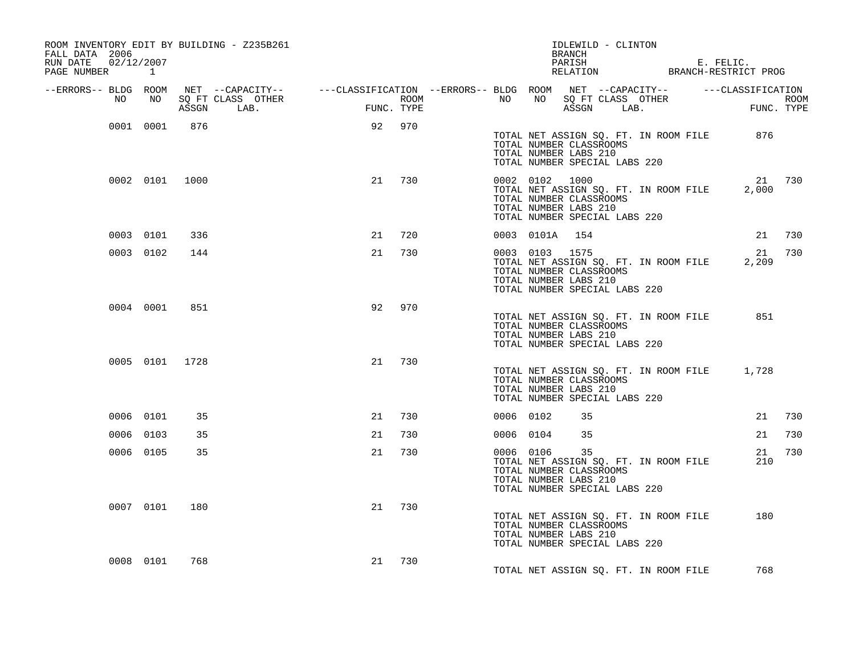| ROOM INVENTORY EDIT BY BUILDING - Z235B261<br>FALL DATA 2006<br>02/12/2007<br>RUN DATE<br>PAGE NUMBER 1 |                |     |                                                                                                |    |            |                  |    |                                                                                                     | IDLEWILD - CLINTON<br>BRANCH |                                       | PARISH E. FELIC.<br>RELATION BRANCH-RESTRICT PROG |                    |
|---------------------------------------------------------------------------------------------------------|----------------|-----|------------------------------------------------------------------------------------------------|----|------------|------------------|----|-----------------------------------------------------------------------------------------------------|------------------------------|---------------------------------------|---------------------------------------------------|--------------------|
| --ERRORS-- BLDG ROOM                                                                                    |                |     | NET --CAPACITY-- - ---CLASSIFICATION --ERRORS-- BLDG ROOM NET --CAPACITY-- - ---CLASSIFICATION |    |            |                  |    |                                                                                                     |                              |                                       |                                                   |                    |
| NO                                                                                                      | NO             |     | SO FT CLASS OTHER<br>ASSGN LAB.                                                                |    | FUNC. TYPE | ROOM <b>ROOM</b> | NO | NO                                                                                                  | ASSGN LAB.                   | SQ FT CLASS OTHER                     | FUN                                               | ROOM<br>FUNC. TYPE |
|                                                                                                         | 0001 0001      | 876 |                                                                                                | 92 | 970        |                  |    | TOTAL NUMBER CLASSROOMS<br>TOTAL NUMBER LABS 210<br>TOTAL NUMBER SPECIAL LABS 220                   |                              | TOTAL NET ASSIGN SQ. FT. IN ROOM FILE | 876                                               |                    |
|                                                                                                         | 0002 0101 1000 |     |                                                                                                | 21 | 730        |                  |    | 0002 0102 1000<br>TOTAL NUMBER CLASSROOMS<br>TOTAL NUMBER LABS 210<br>TOTAL NUMBER SPECIAL LABS 220 |                              | TOTAL NET ASSIGN SQ. FT. IN ROOM FILE | 21<br>2,000                                       | 730                |
|                                                                                                         | 0003 0101      | 336 |                                                                                                | 21 | 720        |                  |    | 0003 0101A 154                                                                                      |                              |                                       | 21                                                | 730                |
|                                                                                                         | 0003 0102      | 144 |                                                                                                | 21 | 730        |                  |    | 0003 0103 1575<br>TOTAL NUMBER CLASSROOMS<br>TOTAL NUMBER LABS 210<br>TOTAL NUMBER SPECIAL LABS 220 |                              | TOTAL NET ASSIGN SQ. FT. IN ROOM FILE | 21<br>2,209                                       | 730                |
|                                                                                                         | 0004 0001      | 851 |                                                                                                | 92 | 970        |                  |    | TOTAL NUMBER CLASSROOMS<br>TOTAL NUMBER LABS 210<br>TOTAL NUMBER SPECIAL LABS 220                   |                              | TOTAL NET ASSIGN SQ. FT. IN ROOM FILE | 851                                               |                    |
|                                                                                                         | 0005 0101 1728 |     |                                                                                                | 21 | 730        |                  |    | TOTAL NUMBER CLASSROOMS<br>TOTAL NUMBER LABS 210<br>TOTAL NUMBER SPECIAL LABS 220                   |                              |                                       | TOTAL NET ASSIGN SQ. FT. IN ROOM FILE 1,728       |                    |
|                                                                                                         | 0006 0101      | 35  |                                                                                                | 21 | 730        |                  |    | 0006 0102                                                                                           | 35                           |                                       | 21                                                | 730                |
|                                                                                                         | 0006 0103      | 35  |                                                                                                | 21 | 730        |                  |    | 0006 0104                                                                                           | 35                           |                                       | 21                                                | 730                |
|                                                                                                         | 0006 0105      | 35  |                                                                                                | 21 | 730        |                  |    | 0006 0106<br>TOTAL NUMBER CLASSROOMS<br>TOTAL NUMBER LABS 210<br>TOTAL NUMBER SPECIAL LABS 220      | 35                           | TOTAL NET ASSIGN SQ. FT. IN ROOM FILE | 21<br>210                                         | 730                |
|                                                                                                         | 0007 0101      | 180 |                                                                                                | 21 | 730        |                  |    | TOTAL NUMBER CLASSROOMS<br>TOTAL NUMBER LABS 210<br>TOTAL NUMBER SPECIAL LABS 220                   |                              | TOTAL NET ASSIGN SQ. FT. IN ROOM FILE | 180                                               |                    |
|                                                                                                         | 0008 0101      | 768 |                                                                                                | 21 | 730        |                  |    |                                                                                                     |                              | TOTAL NET ASSIGN SQ. FT. IN ROOM FILE | 768                                               |                    |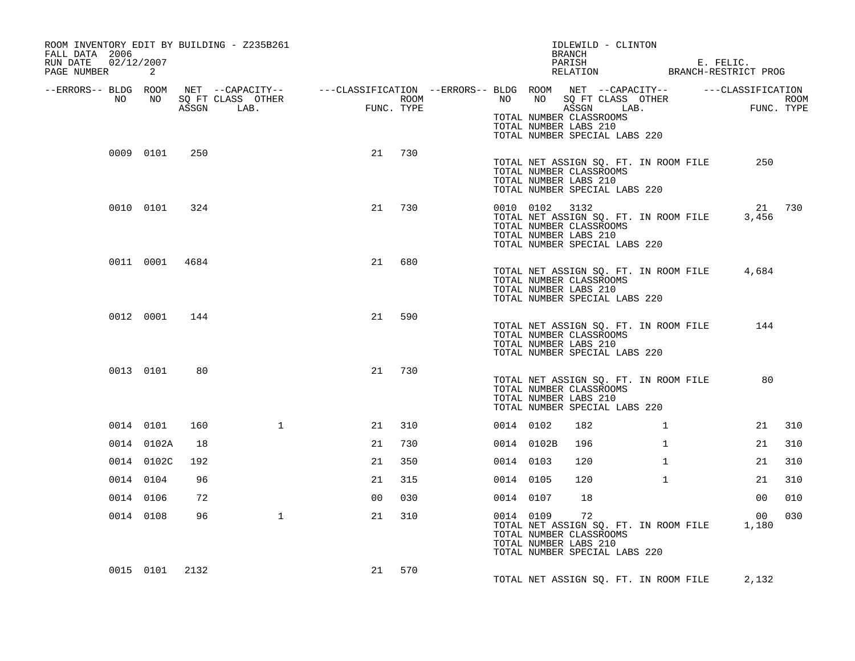| ROOM INVENTORY EDIT BY BUILDING - Z235B261<br>FALL DATA 2006<br>RUN DATE 02/12/2007 |                |     |                                                                                                                              |                |            |           |                | IDLEWILD - CLINTON<br>BRANCH<br>PARISH E. FELIC.<br>RELATION BRANCH-RESTRICT PROG                                                      |              |                    |     |
|-------------------------------------------------------------------------------------|----------------|-----|------------------------------------------------------------------------------------------------------------------------------|----------------|------------|-----------|----------------|----------------------------------------------------------------------------------------------------------------------------------------|--------------|--------------------|-----|
| PAGE NUMBER 2                                                                       |                |     |                                                                                                                              |                |            |           |                |                                                                                                                                        |              |                    |     |
| --ERRORS-- BLDG ROOM<br>NO                                                          | NO             |     | NET --CAPACITY-- $---CLASSIFICATION --ERRORS-- BLDG ROOM NET --CAPACITY-- --- CLASSIFICATION CCTS-1000$<br>SQ FT CLASS OTHER |                | ROOM       |           |                | NO NO SQ FT CLASS OTHER                                                                                                                |              |                    |     |
|                                                                                     |                |     | ASSGN LAB.                                                                                                                   | <b>FUNC</b>    | FUNC. TYPE |           |                | ASSGN LAB.<br>TOTAL NUMBER CLASSROOMS<br>TOTAL NUMBER LABS 210<br>TOTAL NUMBER SPECIAL LABS 220                                        |              | ROOM<br>FUNC. TYPE |     |
|                                                                                     | 0009 0101      | 250 |                                                                                                                              | 21             | 730        |           |                | TOTAL NET ASSIGN SQ. FT. IN ROOM FILE<br>TOTAL NUMBER CLASSROOMS<br>TOTAL NUMBER LABS 210<br>TOTAL NUMBER SPECIAL LABS 220             |              | 250                |     |
|                                                                                     | 0010 0101      | 324 |                                                                                                                              | 21             | 730        |           | 0010 0102 3132 | TOTAL NET ASSIGN SQ. FT. IN ROOM FILE<br>TOTAL NUMBER CLASSROOMS<br>TOTAL NUMBER LABS 210<br>TOTAL NUMBER SPECIAL LABS 220             |              | 21 730<br>3,456    |     |
|                                                                                     | 0011 0001 4684 |     |                                                                                                                              | 21             | 680        |           |                | TOTAL NET ASSIGN SQ. FT. IN ROOM FILE 4,684<br>TOTAL NUMBER CLASSROOMS<br>TOTAL NUMBER LABS 210<br>TOTAL NUMBER SPECIAL LABS 220       |              |                    |     |
|                                                                                     | 0012 0001      | 144 |                                                                                                                              | 21             | 590        |           |                | TOTAL NET ASSIGN SQ. FT. IN ROOM FILE<br>TOTAL NUMBER CLASSROOMS<br>TOTAL NUMBER LABS 210<br>TOTAL NUMBER SPECIAL LABS 220             |              | 144                |     |
|                                                                                     | 0013 0101      | 80  |                                                                                                                              | 21             | 730        |           |                | TOTAL NET ASSIGN SQ. FT. IN ROOM FILE<br>TOTAL NUMBER CLASSROOMS<br>TOTAL NUMBER LABS 210<br>TOTAL NUMBER SPECIAL LABS 220             |              | 80                 |     |
|                                                                                     | 0014 0101      | 160 | $\mathbf{1}$                                                                                                                 | 21             | 310        | 0014 0102 |                | 182                                                                                                                                    | $\mathbf{1}$ | 21                 | 310 |
|                                                                                     | 0014 0102A     | 18  |                                                                                                                              | 21             | 730        |           | 0014 0102B     | 196                                                                                                                                    | $\mathbf{1}$ | 21                 | 310 |
|                                                                                     | 0014 0102C     | 192 |                                                                                                                              | 21             | 350        | 0014 0103 |                | 120                                                                                                                                    | $\mathbf{1}$ | 21                 | 310 |
|                                                                                     | 0014 0104      | 96  |                                                                                                                              | 21             | 315        | 0014 0105 |                | 120                                                                                                                                    | $\mathbf{1}$ | 21                 | 310 |
|                                                                                     | 0014 0106      | 72  |                                                                                                                              | 0 <sub>0</sub> | 030        | 0014 0107 |                | 18                                                                                                                                     |              | 0 <sub>0</sub>     | 010 |
|                                                                                     | 0014 0108      | 96  | $\mathbf{1}$                                                                                                                 | 21             | 310        | 0014 0109 |                | 72<br>TOTAL NET ASSIGN SQ. FT. IN ROOM FILE 1,180<br>TOTAL NUMBER CLASSROOMS<br>TOTAL NUMBER LABS 210<br>TOTAL NUMBER SPECIAL LABS 220 |              | 00                 | 030 |
|                                                                                     | 0015 0101 2132 |     |                                                                                                                              | 21             | 570        |           |                | TOTAL NET ASSIGN SQ. FT. IN ROOM FILE                                                                                                  |              | 2,132              |     |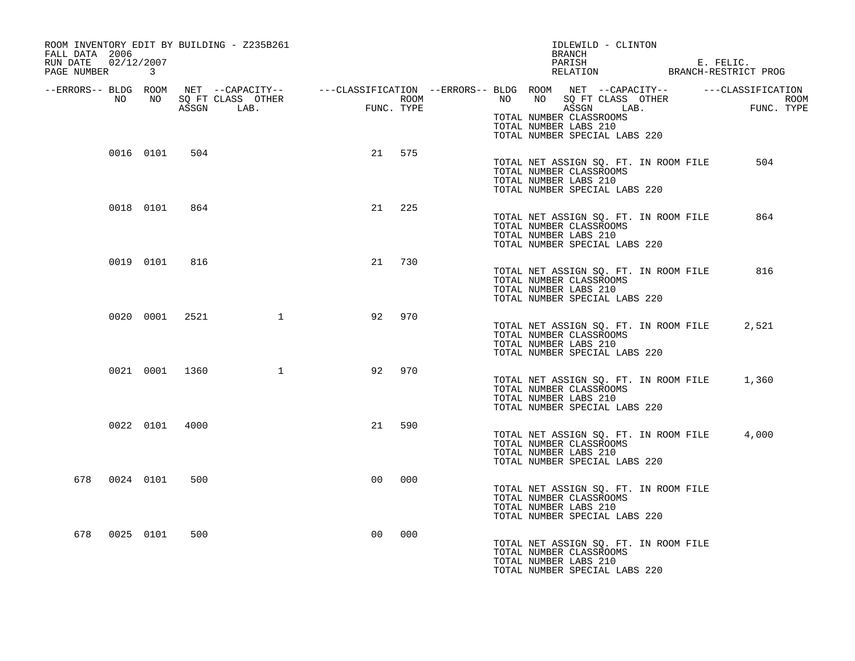| FALL DATA 2006<br>RUN DATE<br>PAGE NUMBER | 02/12/2007 | $\mathbf{3}$ |                | ROOM INVENTORY EDIT BY BUILDING - Z235B261 |                |            | IDLEWILD - CLINTON<br>BRANCH<br>PARISH<br>E. FELIC.<br>RELATION BRANCH-RESTRICT PROG                                                      |  |
|-------------------------------------------|------------|--------------|----------------|--------------------------------------------|----------------|------------|-------------------------------------------------------------------------------------------------------------------------------------------|--|
|                                           |            |              |                |                                            |                |            |                                                                                                                                           |  |
| --ERRORS-- BLDG ROOM                      | NO         | NO           |                | SO FT CLASS OTHER                          |                | ROOM       | NET --CAPACITY-- - ---CLASSIFICATION --ERRORS-- BLDG ROOM NET --CAPACITY-- - ---CLASSIFICATION<br>NO .<br>NO<br>SQ FT CLASS OTHER<br>ROOM |  |
|                                           |            |              | ASSGN          | LAB.                                       |                | FUNC. TYPE | ASSGN LAB.<br>FUNC. TYPE                                                                                                                  |  |
|                                           |            |              |                |                                            |                |            | TOTAL NUMBER CLASSROOMS<br>TOTAL NUMBER LABS 210                                                                                          |  |
|                                           |            |              |                |                                            |                |            | TOTAL NUMBER SPECIAL LABS 220                                                                                                             |  |
|                                           |            | 0016 0101    | 504            |                                            | 21             | 575        |                                                                                                                                           |  |
|                                           |            |              |                |                                            |                |            | TOTAL NET ASSIGN SQ. FT. IN ROOM FILE<br>504<br>TOTAL NUMBER CLASSROOMS                                                                   |  |
|                                           |            |              |                |                                            |                |            | TOTAL NUMBER LABS 210<br>TOTAL NUMBER SPECIAL LABS 220                                                                                    |  |
|                                           |            |              |                |                                            |                |            |                                                                                                                                           |  |
|                                           |            | 0018 0101    | 864            |                                            | 21             | 225        | 864<br>TOTAL NET ASSIGN SQ. FT. IN ROOM FILE                                                                                              |  |
|                                           |            |              |                |                                            |                |            | TOTAL NUMBER CLASSROOMS<br>TOTAL NUMBER LABS 210                                                                                          |  |
|                                           |            |              |                |                                            |                |            | TOTAL NUMBER SPECIAL LABS 220                                                                                                             |  |
|                                           |            | 0019 0101    | 816            |                                            | 21             | 730        |                                                                                                                                           |  |
|                                           |            |              |                |                                            |                |            | 816<br>TOTAL NET ASSIGN SQ. FT. IN ROOM FILE<br>TOTAL NUMBER CLASSROOMS                                                                   |  |
|                                           |            |              |                |                                            |                |            | TOTAL NUMBER LABS 210                                                                                                                     |  |
|                                           |            |              |                |                                            |                |            | TOTAL NUMBER SPECIAL LABS 220                                                                                                             |  |
|                                           |            | 0020 0001    | 2521           | $\mathbf{1}$                               | 92             | 970        | 2,521                                                                                                                                     |  |
|                                           |            |              |                |                                            |                |            | TOTAL NET ASSIGN SQ. FT. IN ROOM FILE<br>TOTAL NUMBER CLASSROOMS                                                                          |  |
|                                           |            |              |                |                                            |                |            | TOTAL NUMBER LABS 210<br>TOTAL NUMBER SPECIAL LABS 220                                                                                    |  |
|                                           |            |              |                | $\mathbf{1}$                               |                |            |                                                                                                                                           |  |
|                                           |            |              | 0021 0001 1360 |                                            | 92             | 970        | TOTAL NET ASSIGN SQ. FT. IN ROOM FILE<br>1,360                                                                                            |  |
|                                           |            |              |                |                                            |                |            | TOTAL NUMBER CLASSROOMS<br>TOTAL NUMBER LABS 210                                                                                          |  |
|                                           |            |              |                |                                            |                |            | TOTAL NUMBER SPECIAL LABS 220                                                                                                             |  |
|                                           |            | 0022 0101    | 4000           |                                            | 21             | 590        |                                                                                                                                           |  |
|                                           |            |              |                |                                            |                |            | TOTAL NET ASSIGN SQ. FT. IN ROOM FILE<br>4,000<br>TOTAL NUMBER CLASSROOMS                                                                 |  |
|                                           |            |              |                |                                            |                |            | TOTAL NUMBER LABS 210                                                                                                                     |  |
|                                           |            |              |                |                                            |                |            | TOTAL NUMBER SPECIAL LABS 220                                                                                                             |  |
| 678                                       |            | 0024 0101    | 500            |                                            | 00             | 000        | TOTAL NET ASSIGN SQ. FT. IN ROOM FILE                                                                                                     |  |
|                                           |            |              |                |                                            |                |            | TOTAL NUMBER CLASSROOMS                                                                                                                   |  |
|                                           |            |              |                |                                            |                |            | TOTAL NUMBER LABS 210<br>TOTAL NUMBER SPECIAL LABS 220                                                                                    |  |
| 678                                       |            | 0025 0101    | 500            |                                            | 0 <sup>0</sup> | 000        |                                                                                                                                           |  |
|                                           |            |              |                |                                            |                |            | TOTAL NET ASSIGN SQ. FT. IN ROOM FILE                                                                                                     |  |
|                                           |            |              |                |                                            |                |            | TOTAL NUMBER CLASSROOMS<br>TOTAL NUMBER LABS 210                                                                                          |  |
|                                           |            |              |                |                                            |                |            | TOTAL NUMBER SPECIAL LABS 220                                                                                                             |  |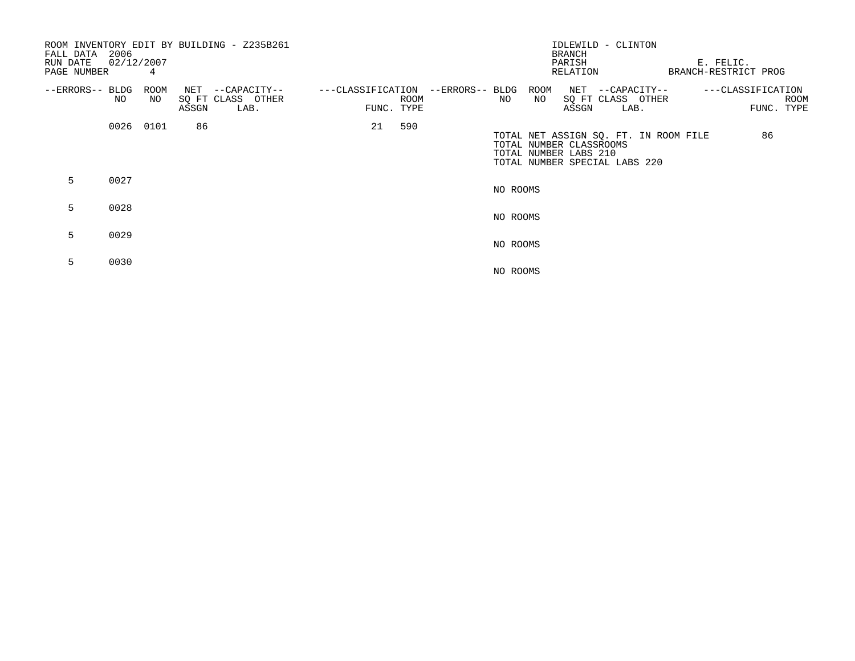| FALL DATA<br>RUN DATE<br>PAGE NUMBER | 2006<br>02/12/2007 | 4           |       | ROOM INVENTORY EDIT BY BUILDING - Z235B261 |    |            |                                   |          |            | IDLEWILD - CLINTON<br><b>BRANCH</b><br>PARISH<br>RELATION |                                                                        | E. FELIC.<br>BRANCH-RESTRICT PROG |            |      |
|--------------------------------------|--------------------|-------------|-------|--------------------------------------------|----|------------|-----------------------------------|----------|------------|-----------------------------------------------------------|------------------------------------------------------------------------|-----------------------------------|------------|------|
| --ERRORS-- BLDG                      | NO                 | ROOM<br>NO. |       | NET --CAPACITY--<br>SQ FT CLASS OTHER      |    | ROOM       | ---CLASSIFICATION --ERRORS-- BLDG | NO       | ROOM<br>NO |                                                           | NET --CAPACITY--<br>SQ FT CLASS OTHER                                  | ---CLASSIFICATION                 |            | ROOM |
|                                      |                    |             | ASSGN | LAB.                                       |    | FUNC. TYPE |                                   |          |            | ASSGN                                                     | LAB.                                                                   |                                   | FUNC. TYPE |      |
|                                      | 0026 0101          |             | 86    |                                            | 21 | 590        |                                   |          |            | TOTAL NUMBER CLASSROOMS<br>TOTAL NUMBER LABS 210          | TOTAL NET ASSIGN SQ. FT. IN ROOM FILE<br>TOTAL NUMBER SPECIAL LABS 220 |                                   | 86         |      |
| 5                                    | 0027               |             |       |                                            |    |            |                                   | NO ROOMS |            |                                                           |                                                                        |                                   |            |      |
| 5                                    | 0028               |             |       |                                            |    |            |                                   | NO ROOMS |            |                                                           |                                                                        |                                   |            |      |
| 5                                    | 0029               |             |       |                                            |    |            |                                   | NO ROOMS |            |                                                           |                                                                        |                                   |            |      |
| 5.                                   | 0030               |             |       |                                            |    |            |                                   | NO ROOMS |            |                                                           |                                                                        |                                   |            |      |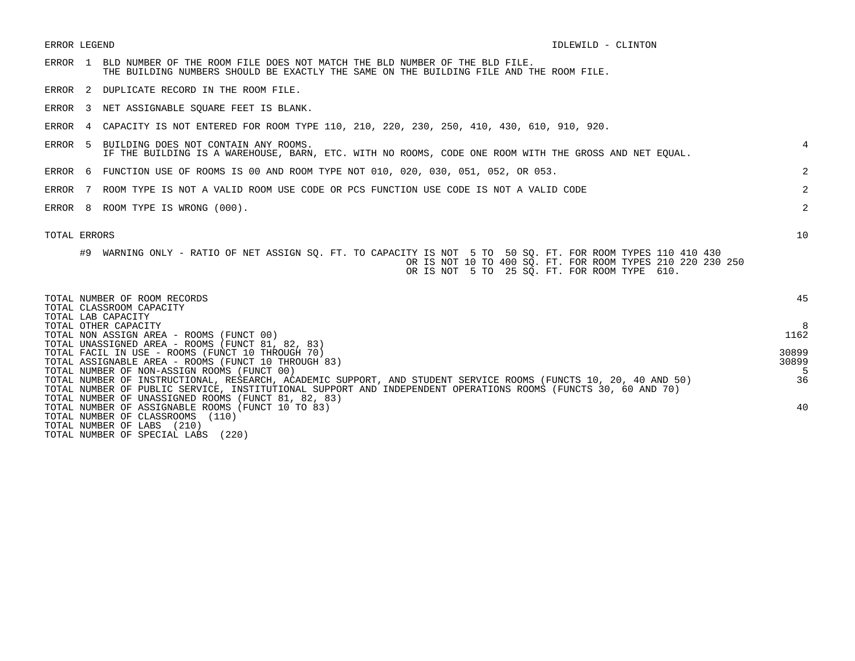| <b>ERROR LEGEND</b> |                                                                                                                                                                                                                                  | IDLEWILD - CLINTON                                         |
|---------------------|----------------------------------------------------------------------------------------------------------------------------------------------------------------------------------------------------------------------------------|------------------------------------------------------------|
| ERROR 1             | BLD NUMBER OF THE ROOM FILE DOES NOT MATCH THE BLD NUMBER OF THE BLD FILE.<br>THE BUILDING NUMBERS SHOULD BE EXACTLY THE SAME ON THE BUILDING FILE AND THE ROOM FILE.                                                            |                                                            |
| ERROR <sub>2</sub>  | DUPLICATE RECORD IN THE ROOM FILE.                                                                                                                                                                                               |                                                            |
| ERROR<br>- 3        | NET ASSIGNABLE SQUARE FEET IS BLANK.                                                                                                                                                                                             |                                                            |
| ERROR               | CAPACITY IS NOT ENTERED FOR ROOM TYPE 110, 210, 220, 230, 250, 410, 430, 610, 910, 920.                                                                                                                                          |                                                            |
| ERROR <sub>5</sub>  | BUILDING DOES NOT CONTAIN ANY ROOMS.<br>IF THE BUILDING IS A WAREHOUSE, BARN, ETC. WITH NO ROOMS, CODE ONE ROOM WITH THE GROSS AND NET EOUAL.                                                                                    |                                                            |
| ERROR <sub>6</sub>  | FUNCTION USE OF ROOMS IS 00 AND ROOM TYPE NOT 010, 020, 030, 051, 052, OR 053.                                                                                                                                                   | 2                                                          |
| ERROR <sub>7</sub>  | ROOM TYPE IS NOT A VALID ROOM USE CODE OR PCS FUNCTION USE CODE IS NOT A VALID CODE                                                                                                                                              | $\overline{2}$                                             |
| ERROR <sub>8</sub>  | ROOM TYPE IS WRONG (000).                                                                                                                                                                                                        | 2                                                          |
| TOTAL ERRORS        |                                                                                                                                                                                                                                  | 10                                                         |
| #9                  | WARNING ONLY - RATIO OF NET ASSIGN SQ. FT. TO CAPACITY IS NOT 5 TO 50 SQ. FT. FOR ROOM TYPES 110 410 430<br>OR IS NOT 5 TO 25 SO. FT. FOR ROOM TYPE 610.                                                                         | OR IS NOT 10 TO 400 SQ. FT. FOR ROOM TYPES 210 220 230 250 |
|                     | TOTAL NUMBER OF ROOM RECORDS                                                                                                                                                                                                     | 45                                                         |
| TOTAL LAB CAPACITY  | TOTAL CLASSROOM CAPACITY<br>TOTAL OTHER CAPACITY<br>TOTAL NON ASSIGN AREA - ROOMS (FUNCT 00)<br>TOTAL UNASSIGNED AREA - ROOMS (FUNCT 81, 82, 83)                                                                                 | 1162                                                       |
|                     | TOTAL FACIL IN USE - ROOMS (FUNCT 10 THROUGH 70)<br>TOTAL ASSIGNABLE AREA - ROOMS (FUNCT 10 THROUGH 83)                                                                                                                          | 30899<br>30899                                             |
|                     | TOTAL NUMBER OF NON-ASSIGN ROOMS (FUNCT 00)                                                                                                                                                                                      | -5<br>36                                                   |
|                     | TOTAL NUMBER OF INSTRUCTIONAL, RESEARCH, ACADEMIC SUPPORT, AND STUDENT SERVICE ROOMS (FUNCTS 10, 20, 40 AND 50)<br>TOTAL NUMBER OF PUBLIC SERVICE, INSTITUTIONAL SUPPORT AND INDEPENDENT OPERATIONS ROOMS (FUNCTS 30, 60 AND 70) |                                                            |
|                     | TOTAL NUMBER OF UNASSIGNED ROOMS (FUNCT 81, 82, 83)<br>TOTAL NUMBER OF ASSIGNABLE ROOMS (FUNCT 10 TO 83)                                                                                                                         | 40                                                         |
|                     | TOTAL NUMBER OF CLASSROOMS<br>(110)<br>TOTAL NUMBER OF LABS<br>(210)                                                                                                                                                             |                                                            |

TOTAL NUMBER OF SPECIAL LABS (220)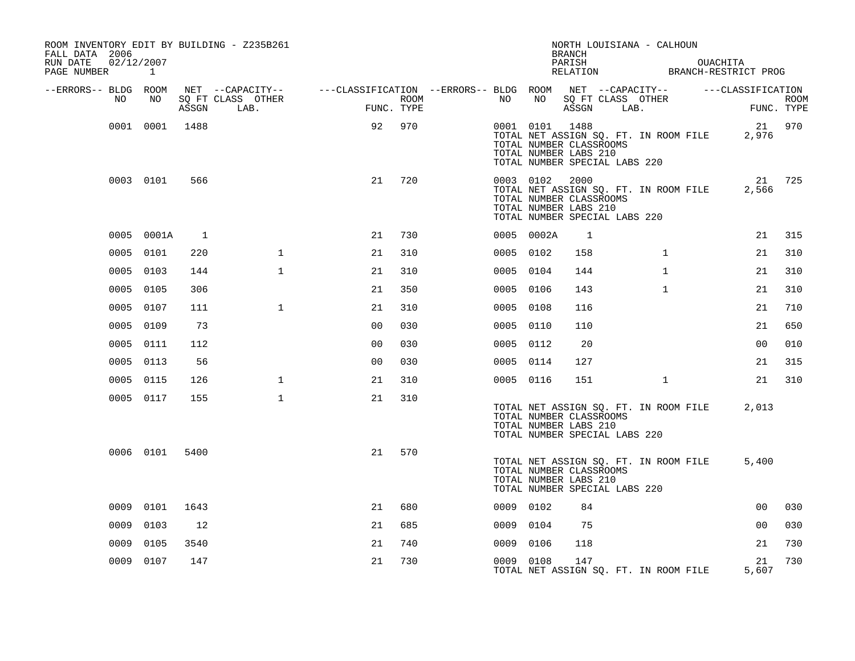| ROOM INVENTORY EDIT BY BUILDING - Z235B261<br>FALL DATA 2006 |                            |       |                                                                           |                |             |           |                | <b>BRANCH</b>                                                                             |      | NORTH LOUISIANA - CALHOUN             |                                                              |                    |
|--------------------------------------------------------------|----------------------------|-------|---------------------------------------------------------------------------|----------------|-------------|-----------|----------------|-------------------------------------------------------------------------------------------|------|---------------------------------------|--------------------------------------------------------------|--------------------|
| RUN DATE<br>PAGE NUMBER                                      | 02/12/2007<br>$\mathbf{1}$ |       |                                                                           |                |             |           |                | PARISH                                                                                    |      |                                       | OUACHITA<br>PARISH OUACHITA<br>RELATION BRANCH-RESTRICT PROG |                    |
| --ERRORS-- BLDG ROOM                                         |                            |       | NET --CAPACITY-- ----CLASSIFICATION --ERRORS-- BLDG ROOM NET --CAPACITY-- |                |             |           |                |                                                                                           |      |                                       | ---CLASSIFICATION                                            |                    |
| NO                                                           | NO                         | ASSGN | SQ FT CLASS OTHER<br>LAB.                                                 | FUNC. TYPE     | <b>ROOM</b> | NO        | NO             | SQ FT CLASS OTHER<br>ASSGN                                                                | LAB. |                                       |                                                              | ROOM<br>FUNC. TYPE |
|                                                              | 0001 0001                  | 1488  |                                                                           | 92             | 970         |           | 0001 0101 1488 | TOTAL NUMBER CLASSROOMS<br>TOTAL NUMBER LABS 210<br>TOTAL NUMBER SPECIAL LABS 220         |      | TOTAL NET ASSIGN SQ. FT. IN ROOM FILE | 2,976                                                        | 21 970             |
|                                                              | 0003 0101                  | 566   |                                                                           | 21             | 720         |           | 0003 0102      | 2000<br>TOTAL NUMBER CLASSROOMS<br>TOTAL NUMBER LABS 210<br>TOTAL NUMBER SPECIAL LABS 220 |      | TOTAL NET ASSIGN SQ. FT. IN ROOM FILE | 21<br>2,566                                                  | 725                |
|                                                              | 0005 0001A                 | 1     |                                                                           | 21             | 730         |           | 0005 0002A     | 1                                                                                         |      |                                       | 21                                                           | 315                |
|                                                              | 0005 0101                  | 220   | $\mathbf{1}$                                                              | 21             | 310         | 0005 0102 |                | 158                                                                                       |      | $\mathbf{1}$                          | 21                                                           | 310                |
|                                                              | 0005 0103                  | 144   | $\mathbf{1}$                                                              | 21             | 310         | 0005 0104 |                | 144                                                                                       |      | $\mathbf{1}$                          | 21                                                           | 310                |
|                                                              | 0005 0105                  | 306   |                                                                           | 21             | 350         | 0005 0106 |                | 143                                                                                       |      | $\mathbf{1}$                          | 21                                                           | 310                |
|                                                              | 0005 0107                  | 111   | $\mathbf{1}$                                                              | 21             | 310         | 0005 0108 |                | 116                                                                                       |      |                                       | 21                                                           | 710                |
|                                                              | 0005 0109                  | 73    |                                                                           | 0 <sub>0</sub> | 030         | 0005 0110 |                | 110                                                                                       |      |                                       | 21                                                           | 650                |
|                                                              | 0005 0111                  | 112   |                                                                           | 0 <sub>0</sub> | 030         | 0005 0112 |                | 20                                                                                        |      |                                       | 0 <sub>0</sub>                                               | 010                |
|                                                              | 0005 0113                  | 56    |                                                                           | 0 <sub>0</sub> | 030         | 0005 0114 |                | 127                                                                                       |      |                                       | 21                                                           | 315                |
|                                                              | 0005 0115                  | 126   | $\mathbf{1}$                                                              | 21             | 310         | 0005 0116 |                | 151                                                                                       |      | $\mathbf{1}$                          | 21                                                           | 310                |
|                                                              | 0005 0117                  | 155   | $\mathbf{1}$                                                              | 21             | 310         |           |                | TOTAL NUMBER CLASSROOMS<br>TOTAL NUMBER LABS 210<br>TOTAL NUMBER SPECIAL LABS 220         |      | TOTAL NET ASSIGN SQ. FT. IN ROOM FILE | 2,013                                                        |                    |
|                                                              | 0006 0101                  | 5400  |                                                                           | 21             | 570         |           |                | TOTAL NUMBER CLASSROOMS<br>TOTAL NUMBER LABS 210<br>TOTAL NUMBER SPECIAL LABS 220         |      | TOTAL NET ASSIGN SQ. FT. IN ROOM FILE | 5,400                                                        |                    |
| 0009                                                         | 0101                       | 1643  |                                                                           | 21             | 680         | 0009 0102 |                | 84                                                                                        |      |                                       | 0 <sub>0</sub>                                               | 030                |
| 0009                                                         | 0103                       | 12    |                                                                           | 21             | 685         | 0009      | 0104           | 75                                                                                        |      |                                       | 0 <sub>0</sub>                                               | 030                |
| 0009                                                         | 0105                       | 3540  |                                                                           | 21             | 740         | 0009 0106 |                | 118                                                                                       |      |                                       | 21                                                           | 730                |
|                                                              | 0009 0107                  | 147   |                                                                           | 21             | 730         | 0009 0108 |                | 147                                                                                       |      | TOTAL NET ASSIGN SQ. FT. IN ROOM FILE | 21<br>5,607                                                  | 730                |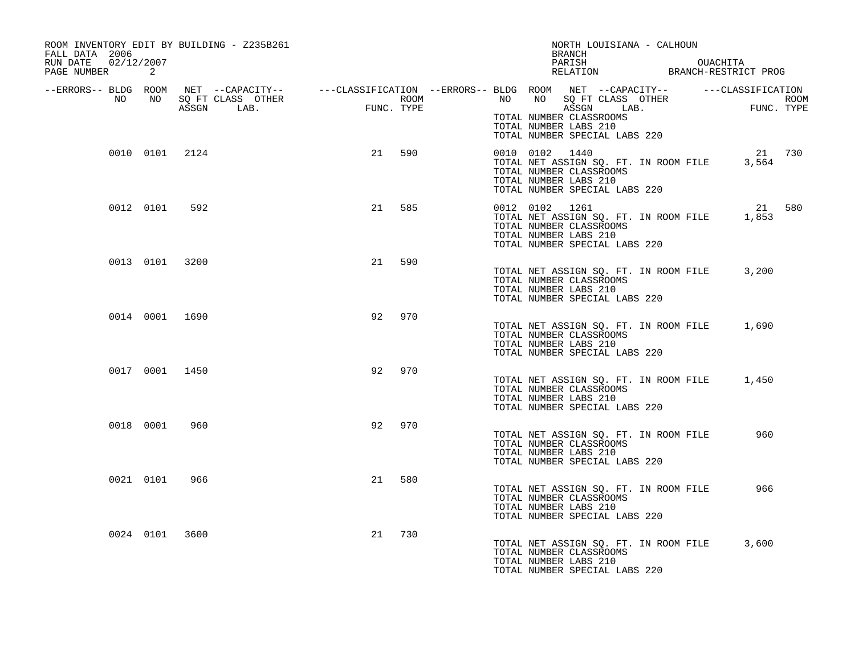| ROOM INVENTORY EDIT BY BUILDING - Z235B261<br>FALL DATA 2006<br>RUN DATE 02/12/2007 |                |     |                                 |      |            | NORTH LOUISIANA - CALHOUN<br>BRANCH                                                                                                                                                                                                                   |
|-------------------------------------------------------------------------------------|----------------|-----|---------------------------------|------|------------|-------------------------------------------------------------------------------------------------------------------------------------------------------------------------------------------------------------------------------------------------------|
| PAGE NUMBER                                                                         | 2              |     |                                 |      |            | PARISH OUACHITA<br>RELATION BRANCH-RESTRICT PROG                                                                                                                                                                                                      |
| NO                                                                                  | NO             |     | SQ FT CLASS OTHER<br>ASSGN LAB. | FUNC | FUNC. TYPE | --ERRORS-- BLDG ROOM NET --CAPACITY-- -----CLASSIFICATION --ERRORS-- BLDG ROOM NET --CAPACITY-- -----CLASSIFICATION<br><b>ROOM</b><br>NO NO SQ FT CLASS OTHER<br>ROOM<br>FUNC. TYPE<br>ASSGN LAB.<br>TOTAL NUMBER CLASSROOMS<br>TOTAL NUMBER LABS 210 |
|                                                                                     | 0010 0101 2124 |     |                                 | 21   | 590        | TOTAL NUMBER SPECIAL LABS 220<br>0010 0102 1440<br>21 730<br>TOTAL NET ASSIGN SQ. FT. IN ROOM FILE 3,564<br>TOTAL NUMBER CLASSROOMS<br>TOTAL NUMBER LABS 210<br>TOTAL NUMBER SPECIAL LABS 220                                                         |
| 0012 0101                                                                           |                | 592 |                                 | 21   | 585        | 0012 0102 1261<br>21 580<br>TOTAL NET ASSIGN SQ. FT. IN ROOM FILE 1,853<br>TOTAL NUMBER CLASSROOMS<br>TOTAL NUMBER LABS 210<br>TOTAL NUMBER SPECIAL LABS 220                                                                                          |
|                                                                                     | 0013 0101 3200 |     |                                 |      | 21 590     | 3,200<br>TOTAL NET ASSIGN SQ. FT. IN ROOM FILE<br>TOTAL NUMBER CLASSROOMS<br>TOTAL NUMBER LABS 210<br>TOTAL NUMBER SPECIAL LABS 220                                                                                                                   |
|                                                                                     | 0014 0001 1690 |     |                                 | 92   | 970        | 1,690<br>TOTAL NET ASSIGN SQ. FT. IN ROOM FILE<br>TOTAL NUMBER CLASSROOMS<br>TOTAL NUMBER LABS 210<br>TOTAL NUMBER SPECIAL LABS 220                                                                                                                   |
|                                                                                     | 0017 0001 1450 |     |                                 | 92   | 970        | TOTAL NET ASSIGN SQ. FT. IN ROOM FILE 1,450<br>TOTAL NUMBER CLASSROOMS<br>TOTAL NUMBER LABS 210<br>TOTAL NUMBER SPECIAL LABS 220                                                                                                                      |
| 0018 0001                                                                           |                | 960 |                                 | 92   | 970        | 960<br>TOTAL NET ASSIGN SQ. FT. IN ROOM FILE<br>TOTAL NUMBER CLASSROOMS<br>TOTAL NUMBER LABS 210<br>TOTAL NUMBER SPECIAL LABS 220                                                                                                                     |
|                                                                                     | 0021 0101      | 966 |                                 | 21   | 580        | 966<br>TOTAL NET ASSIGN SQ. FT. IN ROOM FILE<br>TOTAL NUMBER CLASSROOMS<br>TOTAL NUMBER LABS 210<br>TOTAL NUMBER SPECIAL LABS 220                                                                                                                     |
|                                                                                     | 0024 0101 3600 |     |                                 | 21   | 730        | 3,600<br>TOTAL NET ASSIGN SQ. FT. IN ROOM FILE<br>TOTAL NUMBER CLASSROOMS<br>TOTAL NUMBER LABS 210<br>TOTAL NUMBER SPECIAL LABS 220                                                                                                                   |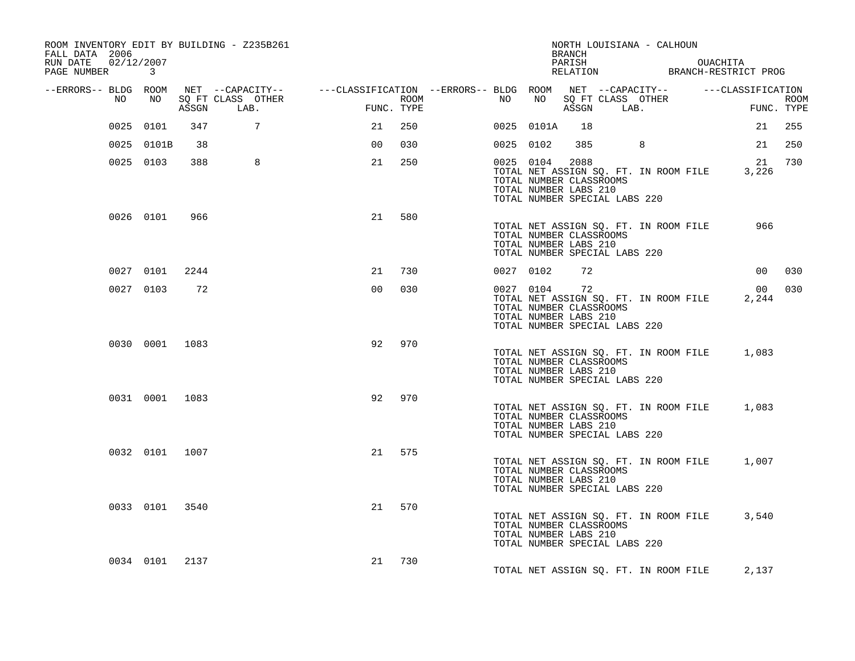| ROOM INVENTORY EDIT BY BUILDING - Z235B261<br>FALL DATA 2006<br>02/12/2007<br>RUN DATE<br>PAGE NUMBER | $\mathbf{3}$   |       |                                               |                                                          |                    |           |            | <b>BRANCH</b><br>PARISH                                                                   |      | NORTH LOUISIANA - CALHOUN             | OUACHITA<br>RELATION BRANCH-RESTRICT PROG |                    |
|-------------------------------------------------------------------------------------------------------|----------------|-------|-----------------------------------------------|----------------------------------------------------------|--------------------|-----------|------------|-------------------------------------------------------------------------------------------|------|---------------------------------------|-------------------------------------------|--------------------|
|                                                                                                       |                |       |                                               |                                                          |                    |           |            |                                                                                           |      |                                       |                                           |                    |
| --ERRORS-- BLDG ROOM<br>NO                                                                            | NO             | ASSGN | NET --CAPACITY--<br>SQ FT CLASS OTHER<br>LAB. | ---CLASSIFICATION --ERRORS-- BLDG ROOM  NET --CAPACITY-- | ROOM<br>FUNC. TYPE | NO.       | NO         | SQ FT CLASS OTHER<br>ASSGN                                                                | LAB. |                                       | ---CLASSIFICATION                         | ROOM<br>FUNC. TYPE |
|                                                                                                       | 0025 0101      | 347   | $7\phantom{.0}$                               | 21                                                       | 250                |           | 0025 0101A | 18                                                                                        |      |                                       | 21                                        | 255                |
|                                                                                                       | 0025 0101B     | 38    |                                               | 00                                                       | 030                | 0025 0102 |            | 385                                                                                       |      | 8                                     | 21                                        | 250                |
|                                                                                                       | 0025 0103      | 388   | 8                                             | 21                                                       | 250                |           | 0025 0104  | 2088<br>TOTAL NUMBER CLASSROOMS<br>TOTAL NUMBER LABS 210<br>TOTAL NUMBER SPECIAL LABS 220 |      | TOTAL NET ASSIGN SQ. FT. IN ROOM FILE | 21<br>3,226                               | 730                |
|                                                                                                       | 0026 0101      | 966   |                                               | 21                                                       | 580                |           |            | TOTAL NUMBER CLASSROOMS<br>TOTAL NUMBER LABS 210<br>TOTAL NUMBER SPECIAL LABS 220         |      | TOTAL NET ASSIGN SQ. FT. IN ROOM FILE | 966                                       |                    |
|                                                                                                       | 0027 0101      | 2244  |                                               | 21                                                       | 730                | 0027 0102 |            | 72                                                                                        |      |                                       | 00 <sub>o</sub>                           | 030                |
|                                                                                                       | 0027 0103      | 72    |                                               | 0 <sub>0</sub>                                           | 030                |           | 0027 0104  | 72<br>TOTAL NUMBER CLASSROOMS<br>TOTAL NUMBER LABS 210<br>TOTAL NUMBER SPECIAL LABS 220   |      | TOTAL NET ASSIGN SQ. FT. IN ROOM FILE | 00<br>2,244                               | 030                |
|                                                                                                       | 0030 0001      | 1083  |                                               | 92                                                       | 970                |           |            | TOTAL NUMBER CLASSROOMS<br>TOTAL NUMBER LABS 210<br>TOTAL NUMBER SPECIAL LABS 220         |      | TOTAL NET ASSIGN SQ. FT. IN ROOM FILE | 1,083                                     |                    |
|                                                                                                       | 0031 0001      | 1083  |                                               | 92                                                       | 970                |           |            | TOTAL NUMBER CLASSROOMS<br>TOTAL NUMBER LABS 210<br>TOTAL NUMBER SPECIAL LABS 220         |      | TOTAL NET ASSIGN SQ. FT. IN ROOM FILE | 1,083                                     |                    |
|                                                                                                       | 0032 0101 1007 |       |                                               | 21                                                       | 575                |           |            | TOTAL NUMBER CLASSROOMS<br>TOTAL NUMBER LABS 210<br>TOTAL NUMBER SPECIAL LABS 220         |      | TOTAL NET ASSIGN SQ. FT. IN ROOM FILE | 1,007                                     |                    |
|                                                                                                       | 0033 0101      | 3540  |                                               | 21                                                       | 570                |           |            | TOTAL NUMBER CLASSROOMS<br>TOTAL NUMBER LABS 210<br>TOTAL NUMBER SPECIAL LABS 220         |      | TOTAL NET ASSIGN SQ. FT. IN ROOM FILE | 3,540                                     |                    |
|                                                                                                       | 0034 0101      | 2137  |                                               | 21                                                       | 730                |           |            |                                                                                           |      | TOTAL NET ASSIGN SQ. FT. IN ROOM FILE | 2,137                                     |                    |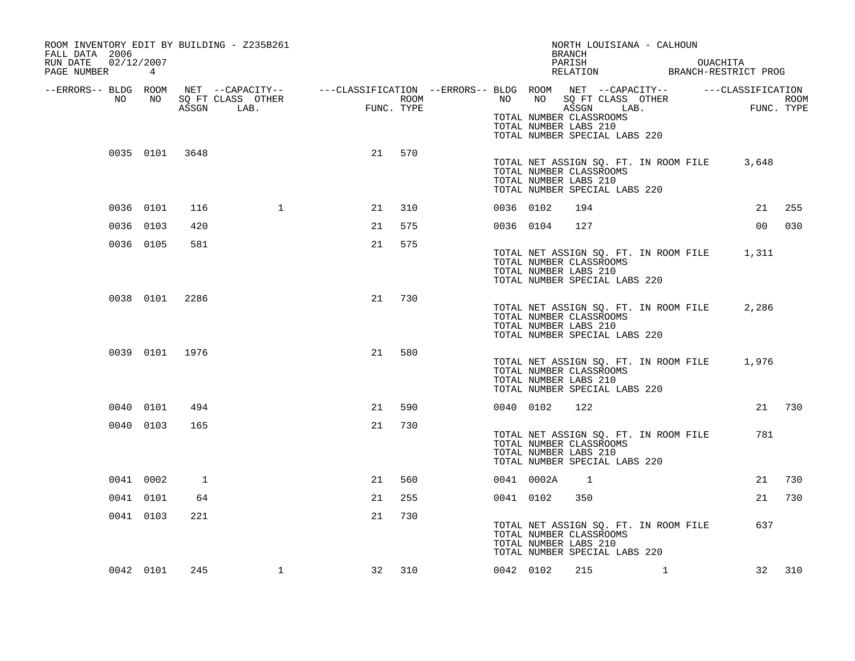| ROOM INVENTORY EDIT BY BUILDING - Z235B261<br>FALL DATA 2006<br>02/12/2007<br>RUN DATE<br>PAGE NUMBER 4 |           |                |              |                                                                                                |            |             |           |            | NORTH LOUISIANA - CALHOUN<br>BRANCH<br>PARISH OUACHITA<br>RELATION BRANCH-RESTRICT PROG                                          |                |       |        |
|---------------------------------------------------------------------------------------------------------|-----------|----------------|--------------|------------------------------------------------------------------------------------------------|------------|-------------|-----------|------------|----------------------------------------------------------------------------------------------------------------------------------|----------------|-------|--------|
| --ERRORS-- BLDG ROOM<br>NO                                                                              | NO        |                |              | NET --CAPACITY-- - ---CLASSIFICATION --ERRORS-- BLDG ROOM NET --CAPACITY-- - ---CLASSIFICATION | FUNC. TYPE | <b>ROOM</b> |           |            | NO NO SQFTCLASS OTHER THE ROOM ASSGN LAB. FUNC. TYPE<br>TOTAL NUMBER CLASSROOMS                                                  |                |       |        |
|                                                                                                         |           |                |              |                                                                                                |            |             |           |            | TOTAL NUMBER LABS 210<br>TOTAL NUMBER SPECIAL LABS 220                                                                           |                |       |        |
|                                                                                                         |           | 0035 0101 3648 |              | 21                                                                                             | 570        |             |           |            | TOTAL NET ASSIGN SQ. FT. IN ROOM FILE 3,648<br>TOTAL NUMBER CLASSROOMS<br>TOTAL NUMBER LABS 210<br>TOTAL NUMBER SPECIAL LABS 220 |                |       |        |
|                                                                                                         | 0036 0101 | 116            | 1            | 21                                                                                             | 310        |             | 0036 0102 |            | 194                                                                                                                              |                |       | 21 255 |
|                                                                                                         | 0036 0103 | 420            |              | 21                                                                                             | 575        |             | 0036 0104 |            | 127                                                                                                                              |                | 00    | 030    |
|                                                                                                         | 0036 0105 | 581            |              | 21                                                                                             | 575        |             |           |            | TOTAL NET ASSIGN SQ. FT. IN ROOM FILE 1,311<br>TOTAL NUMBER CLASSROOMS<br>TOTAL NUMBER LABS 210<br>TOTAL NUMBER SPECIAL LABS 220 |                |       |        |
|                                                                                                         |           | 0038 0101 2286 |              | 21                                                                                             | 730        |             |           |            | TOTAL NET ASSIGN SQ. FT. IN ROOM FILE<br>TOTAL NUMBER CLASSROOMS<br>TOTAL NUMBER LABS 210<br>TOTAL NUMBER SPECIAL LABS 220       |                | 2,286 |        |
|                                                                                                         |           | 0039 0101 1976 |              | 21                                                                                             | 580        |             |           |            | TOTAL NET ASSIGN SQ. FT. IN ROOM FILE 1,976<br>TOTAL NUMBER CLASSROOMS<br>TOTAL NUMBER LABS 210<br>TOTAL NUMBER SPECIAL LABS 220 |                |       |        |
|                                                                                                         | 0040 0101 | 494            |              | 21                                                                                             | 590        |             | 0040 0102 |            | 122                                                                                                                              |                |       | 21 730 |
|                                                                                                         | 0040 0103 | 165            |              | 21                                                                                             | 730        |             |           |            | TOTAL NET ASSIGN SQ. FT. IN ROOM FILE<br>TOTAL NUMBER CLASSROOMS<br>TOTAL NUMBER LABS 210<br>TOTAL NUMBER SPECIAL LABS 220       |                | 781   |        |
|                                                                                                         | 0041 0002 | 1              |              | 21                                                                                             | 560        |             |           | 0041 0002A | $\overline{1}$                                                                                                                   |                | 21    | 730    |
|                                                                                                         | 0041 0101 | 64             |              | 21                                                                                             | 255        |             |           | 0041 0102  | 350                                                                                                                              |                | 21    | 730    |
|                                                                                                         | 0041 0103 | 221            |              | 21                                                                                             | 730        |             |           |            | TOTAL NET ASSIGN SQ. FT. IN ROOM FILE<br>TOTAL NUMBER CLASSROOMS<br>TOTAL NUMBER LABS 210<br>TOTAL NUMBER SPECIAL LABS 220       |                | 637   |        |
|                                                                                                         | 0042 0101 | 245            | $\mathbf{1}$ |                                                                                                | 32 310     |             | 0042 0102 |            | 215                                                                                                                              | $\overline{1}$ |       | 32 310 |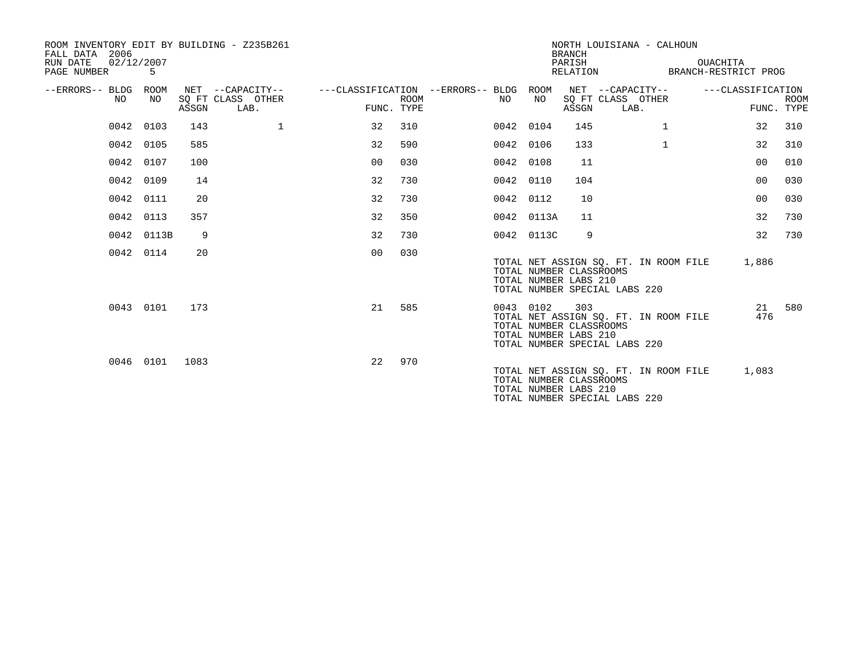| ROOM INVENTORY EDIT BY BUILDING - Z235B261<br>FALL DATA 2006<br>02/12/2007<br>RUN DATE<br>PAGE NUMBER | 5          |       |                                               |                                                      |             |           |            | <b>BRANCH</b><br>PARISH<br>RELATION                     | NORTH LOUISIANA - CALHOUN                                              | OUACHITA<br>BRANCH-RESTRICT PROG |                           |
|-------------------------------------------------------------------------------------------------------|------------|-------|-----------------------------------------------|------------------------------------------------------|-------------|-----------|------------|---------------------------------------------------------|------------------------------------------------------------------------|----------------------------------|---------------------------|
| --ERRORS-- BLDG ROOM<br>NO.                                                                           | NO         | ASSGN | NET --CAPACITY--<br>SO FT CLASS OTHER<br>LAB. | ---CLASSIFICATION --ERRORS-- BLDG ROOM<br>FUNC. TYPE | <b>ROOM</b> | NO        | NO         | ASSGN                                                   | NET --CAPACITY--<br>SO FT CLASS OTHER<br>LAB.                          | ---CLASSIFICATION                | <b>ROOM</b><br>FUNC. TYPE |
| 0042                                                                                                  | 0103       | 143   | $\mathbf 1$                                   | 32                                                   | 310         | 0042 0104 |            | 145                                                     | $\mathbf{1}$                                                           | 32                               | 310                       |
| 0042                                                                                                  | 0105       | 585   |                                               | 32                                                   | 590         | 0042      | 0106       | 133                                                     | $\mathbf{1}$                                                           | 32                               | 310                       |
|                                                                                                       | 0042 0107  | 100   |                                               | 0 <sup>0</sup>                                       | 030         | 0042 0108 |            | 11                                                      |                                                                        | 0 <sub>0</sub>                   | 010                       |
| 0042                                                                                                  | 0109       | 14    |                                               | 32                                                   | 730         | 0042 0110 |            | 104                                                     |                                                                        | 00                               | 030                       |
| 0042                                                                                                  | 0111       | 20    |                                               | 32                                                   | 730         | 0042      | 0112       | 10                                                      |                                                                        | 0 <sub>0</sub>                   | 030                       |
| 0042                                                                                                  | 0113       | 357   |                                               | 32                                                   | 350         |           | 0042 0113A | 11                                                      |                                                                        | 32                               | 730                       |
|                                                                                                       | 0042 0113B | 9     |                                               | 32                                                   | 730         |           | 0042 0113C | 9                                                       |                                                                        | 32                               | 730                       |
| 0042                                                                                                  | 0114       | 20    |                                               | 0 <sub>0</sub>                                       | 030         |           |            | TOTAL NUMBER CLASSROOMS<br>TOTAL NUMBER LABS 210        | TOTAL NET ASSIGN SO. FT. IN ROOM FILE<br>TOTAL NUMBER SPECIAL LABS 220 | 1,886                            |                           |
|                                                                                                       | 0043 0101  | 173   |                                               | 21                                                   | 585         | 0043 0102 |            | 303<br>TOTAL NUMBER CLASSROOMS<br>TOTAL NUMBER LABS 210 | TOTAL NET ASSIGN SQ. FT. IN ROOM FILE<br>TOTAL NUMBER SPECIAL LABS 220 | 21<br>476                        | 580                       |
|                                                                                                       | 0046 0101  | 1083  |                                               | 22                                                   | 970         |           |            | TOTAL NUMBER CLASSROOMS<br>TOTAL NUMBER LABS 210        | TOTAL NET ASSIGN SQ. FT. IN ROOM FILE<br>TOTAL NUMBER SPECIAL LABS 220 | 1,083                            |                           |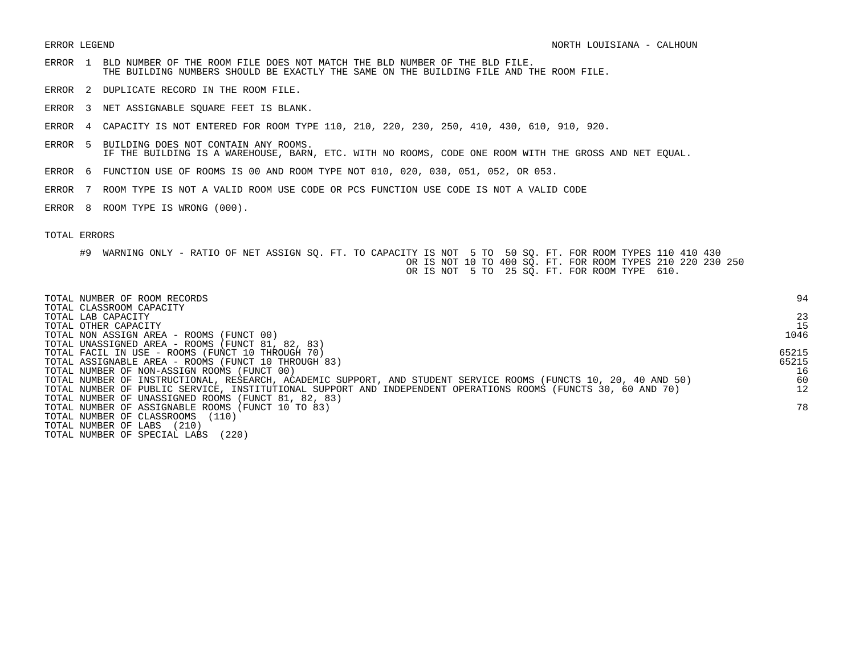- ERROR 1 BLD NUMBER OF THE ROOM FILE DOES NOT MATCH THE BLD NUMBER OF THE BLD FILE. THE BUILDING NUMBERS SHOULD BE EXACTLY THE SAME ON THE BUILDING FILE AND THE ROOM FILE.
- ERROR 2 DUPLICATE RECORD IN THE ROOM FILE.
- ERROR 3 NET ASSIGNABLE SQUARE FEET IS BLANK.
- ERROR 4 CAPACITY IS NOT ENTERED FOR ROOM TYPE 110, 210, 220, 230, 250, 410, 430, 610, 910, 920.
- ERROR 5 BUILDING DOES NOT CONTAIN ANY ROOMS. IF THE BUILDING IS A WAREHOUSE, BARN, ETC. WITH NO ROOMS, CODE ONE ROOM WITH THE GROSS AND NET EQUAL.
- ERROR 6 FUNCTION USE OF ROOMS IS 00 AND ROOM TYPE NOT 010, 020, 030, 051, 052, OR 053.
- ERROR 7 ROOM TYPE IS NOT A VALID ROOM USE CODE OR PCS FUNCTION USE CODE IS NOT A VALID CODE
- ERROR 8 ROOM TYPE IS WRONG (000).

| TOTAL NUMBER OF ROOM RECORDS<br>TOTAL CLASSROOM CAPACITY                                                        | 94    |
|-----------------------------------------------------------------------------------------------------------------|-------|
| TOTAL LAB CAPACITY                                                                                              | 23    |
| TOTAL OTHER CAPACITY                                                                                            | 15    |
| TOTAL NON ASSIGN AREA - ROOMS (FUNCT 00)                                                                        | 1046  |
| TOTAL UNASSIGNED AREA - ROOMS (FUNCT 81, 82, 83)                                                                |       |
| TOTAL FACIL IN USE - ROOMS (FUNCT 10 THROUGH 70)                                                                | 65215 |
| TOTAL ASSIGNABLE AREA - ROOMS (FUNCT 10 THROUGH 83)                                                             | 65215 |
| TOTAL NUMBER OF NON-ASSIGN ROOMS (FUNCT 00)                                                                     | 16    |
| TOTAL NUMBER OF INSTRUCTIONAL, RESEARCH, ACADEMIC SUPPORT, AND STUDENT SERVICE ROOMS (FUNCTS 10, 20, 40 AND 50) | 60    |
| TOTAL NUMBER OF PUBLIC SERVICE, INSTITUTIONAL SUPPORT AND INDEPENDENT OPERATIONS ROOMS (FUNCTS 30, 60 AND 70)   | 12    |
| TOTAL NUMBER OF UNASSIGNED ROOMS (FUNCT 81, 82, 83)                                                             |       |
| TOTAL NUMBER OF ASSIGNABLE ROOMS (FUNCT 10 TO 83)                                                               | 78    |
| TOTAL NUMBER OF CLASSROOMS<br>(110)                                                                             |       |
| TOTAL NUMBER OF LABS<br>(210)                                                                                   |       |
| (220)<br>TOTAL NUMBER OF SPECIAL LABS                                                                           |       |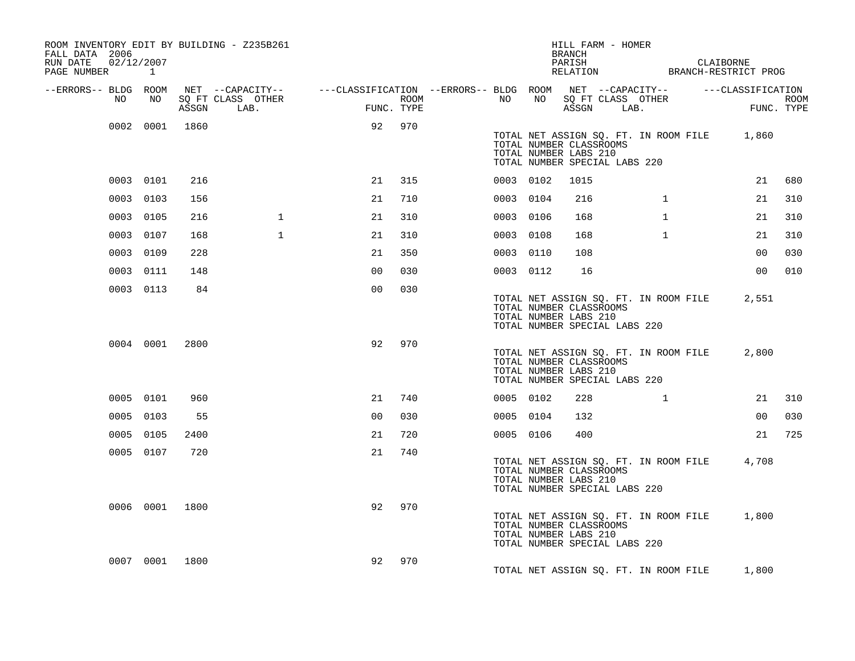| ROOM INVENTORY EDIT BY BUILDING - Z235B261<br>FALL DATA 2006<br>RUN DATE<br>PAGE NUMBER 1 | 02/12/2007     |       |                                                                                                                     |                |      |           |    | HILL FARM - HOMER<br><b>BRANCH</b><br>PARISH                                      |      |              |                                       | CLAIBORNE<br>RELATION BRANCH-RESTRICT PROG  |            |
|-------------------------------------------------------------------------------------------|----------------|-------|---------------------------------------------------------------------------------------------------------------------|----------------|------|-----------|----|-----------------------------------------------------------------------------------|------|--------------|---------------------------------------|---------------------------------------------|------------|
| --ERRORS-- BLDG ROOM<br>NO                                                                | NO             |       | NET --CAPACITY-- - ---CLASSIFICATION --ERRORS-- BLDG ROOM NET --CAPACITY-- - ---CLASSIFICATION<br>SQ FT CLASS OTHER |                | ROOM | NO        | NO | SQ FT CLASS OTHER                                                                 |      |              |                                       |                                             | ROOM       |
|                                                                                           |                | ASSGN | LAB.                                                                                                                | FUNC. TYPE     |      |           |    | ASSGN                                                                             | LAB. |              |                                       |                                             | FUNC. TYPE |
|                                                                                           | 0002 0001 1860 |       |                                                                                                                     | 92             | 970  |           |    | TOTAL NUMBER CLASSROOMS<br>TOTAL NUMBER LABS 210<br>TOTAL NUMBER SPECIAL LABS 220 |      |              |                                       | TOTAL NET ASSIGN SQ. FT. IN ROOM FILE 1,860 |            |
|                                                                                           | 0003 0101      | 216   |                                                                                                                     | 21             | 315  | 0003 0102 |    | 1015                                                                              |      |              |                                       | 21                                          | 680        |
|                                                                                           | 0003 0103      | 156   |                                                                                                                     | 21             | 710  | 0003 0104 |    | 216                                                                               |      | $\mathbf{1}$ |                                       | 21                                          | 310        |
|                                                                                           | 0003 0105      | 216   | $\mathbf{1}$                                                                                                        | 21             | 310  | 0003 0106 |    | 168                                                                               |      | $\mathbf{1}$ |                                       | 21                                          | 310        |
|                                                                                           | 0003 0107      | 168   | $\mathbf{1}$                                                                                                        | 21             | 310  | 0003 0108 |    | 168                                                                               |      | $\mathbf{1}$ |                                       | 21                                          | 310        |
|                                                                                           | 0003 0109      | 228   |                                                                                                                     | 21             | 350  | 0003 0110 |    | 108                                                                               |      |              |                                       | 0 <sub>0</sub>                              | 030        |
|                                                                                           | 0003 0111      | 148   |                                                                                                                     | 0 <sub>0</sub> | 030  | 0003 0112 |    | 16                                                                                |      |              |                                       | 0 <sub>0</sub>                              | 010        |
|                                                                                           | 0003 0113      | 84    |                                                                                                                     | 0 <sub>0</sub> | 030  |           |    | TOTAL NUMBER CLASSROOMS<br>TOTAL NUMBER LABS 210<br>TOTAL NUMBER SPECIAL LABS 220 |      |              | TOTAL NET ASSIGN SQ. FT. IN ROOM FILE | 2,551                                       |            |
|                                                                                           | 0004 0001      | 2800  |                                                                                                                     | 92             | 970  |           |    | TOTAL NUMBER CLASSROOMS<br>TOTAL NUMBER LABS 210<br>TOTAL NUMBER SPECIAL LABS 220 |      |              | TOTAL NET ASSIGN SQ. FT. IN ROOM FILE | 2,800                                       |            |
|                                                                                           | 0005 0101      | 960   |                                                                                                                     | 21             | 740  | 0005 0102 |    | 228                                                                               |      | $\mathbf{1}$ |                                       | 21                                          | 310        |
|                                                                                           | 0005 0103      | 55    |                                                                                                                     | 0 <sub>0</sub> | 030  | 0005 0104 |    | 132                                                                               |      |              |                                       | 0 <sub>0</sub>                              | 030        |
|                                                                                           | 0005 0105      | 2400  |                                                                                                                     | 21             | 720  | 0005 0106 |    | 400                                                                               |      |              |                                       | 21                                          | 725        |
|                                                                                           | 0005 0107      | 720   |                                                                                                                     | 21             | 740  |           |    | TOTAL NUMBER CLASSROOMS<br>TOTAL NUMBER LABS 210<br>TOTAL NUMBER SPECIAL LABS 220 |      |              | TOTAL NET ASSIGN SQ. FT. IN ROOM FILE | 4,708                                       |            |
|                                                                                           | 0006 0001 1800 |       |                                                                                                                     | 92             | 970  |           |    | TOTAL NUMBER CLASSROOMS<br>TOTAL NUMBER LABS 210<br>TOTAL NUMBER SPECIAL LABS 220 |      |              | TOTAL NET ASSIGN SQ. FT. IN ROOM FILE | 1,800                                       |            |
|                                                                                           | 0007 0001 1800 |       |                                                                                                                     | 92             | 970  |           |    |                                                                                   |      |              |                                       | TOTAL NET ASSIGN SQ. FT. IN ROOM FILE 1,800 |            |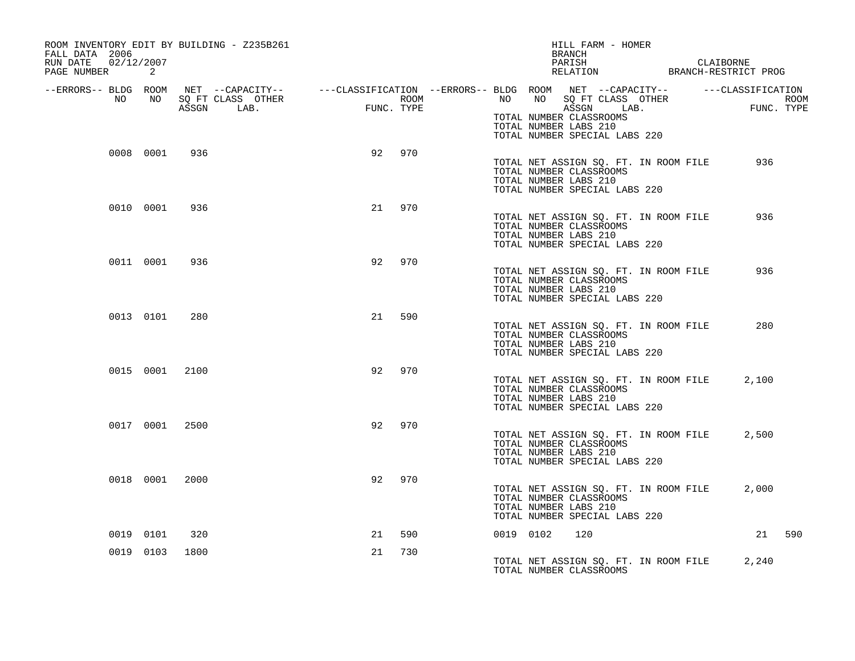| ROOM INVENTORY EDIT BY BUILDING - Z235B261<br>FALL DATA 2006<br>RUN DATE 02/12/2007 |           |                |                                                                                                                                     |    |            |             |           |    | HILL FARM - HOMER<br>BRANCH<br>PARISH<br>PARISH CLAIBORNE<br>RELATION BRANCH-RESTRICT PROG                                 |  | CLAIBORNE |                    |
|-------------------------------------------------------------------------------------|-----------|----------------|-------------------------------------------------------------------------------------------------------------------------------------|----|------------|-------------|-----------|----|----------------------------------------------------------------------------------------------------------------------------|--|-----------|--------------------|
| PAGE NUMBER                                                                         | 2         |                |                                                                                                                                     |    |            |             |           |    |                                                                                                                            |  |           |                    |
| --ERRORS-- BLDG ROOM<br>NO                                                          | NO NO     |                | NET --CAPACITY--    ---CLASSIFICATION --ERRORS-- BLDG ROOM NET --CAPACITY--    ---CLASSIFICATION<br>SQ FT CLASS OTHER<br>ASSGN LAB. |    | FUNC. TYPE | <b>ROOM</b> | NO        | NO | SQ FT CLASS OTHER<br>ASSGN LAB.<br>TOTAL NUMBER CLASSROOMS<br>TOTAL NUMBER LABS 210<br>TOTAL NUMBER SPECIAL LABS 220       |  |           | ROOM<br>FUNC. TYPE |
|                                                                                     | 0008 0001 | 936            |                                                                                                                                     | 92 | 970        |             |           |    | TOTAL NET ASSIGN SQ. FT. IN ROOM FILE<br>TOTAL NUMBER CLASSROOMS<br>TOTAL NUMBER LABS 210<br>TOTAL NUMBER SPECIAL LABS 220 |  |           | 936                |
|                                                                                     | 0010 0001 | 936            |                                                                                                                                     | 21 | 970        |             |           |    | TOTAL NET ASSIGN SQ. FT. IN ROOM FILE<br>TOTAL NUMBER CLASSROOMS<br>TOTAL NUMBER LABS 210<br>TOTAL NUMBER SPECIAL LABS 220 |  |           | 936                |
|                                                                                     | 0011 0001 | 936            |                                                                                                                                     | 92 | 970        |             |           |    | TOTAL NET ASSIGN SQ. FT. IN ROOM FILE<br>TOTAL NUMBER CLASSROOMS<br>TOTAL NUMBER LABS 210<br>TOTAL NUMBER SPECIAL LABS 220 |  |           | 936                |
|                                                                                     | 0013 0101 | 280            |                                                                                                                                     | 21 | 590        |             |           |    | TOTAL NET ASSIGN SQ. FT. IN ROOM FILE<br>TOTAL NUMBER CLASSROOMS<br>TOTAL NUMBER LABS 210<br>TOTAL NUMBER SPECIAL LABS 220 |  |           | 280                |
|                                                                                     | 0015 0001 | 2100           |                                                                                                                                     | 92 | 970        |             |           |    | TOTAL NET ASSIGN SQ. FT. IN ROOM FILE<br>TOTAL NUMBER CLASSROOMS<br>TOTAL NUMBER LABS 210<br>TOTAL NUMBER SPECIAL LABS 220 |  | 2,100     |                    |
|                                                                                     |           | 0017 0001 2500 |                                                                                                                                     | 92 | 970        |             |           |    | TOTAL NET ASSIGN SQ. FT. IN ROOM FILE<br>TOTAL NUMBER CLASSROOMS<br>TOTAL NUMBER LABS 210<br>TOTAL NUMBER SPECIAL LABS 220 |  | 2,500     |                    |
|                                                                                     | 0018 0001 | 2000           |                                                                                                                                     | 92 | 970        |             |           |    | TOTAL NET ASSIGN SQ. FT. IN ROOM FILE<br>TOTAL NUMBER CLASSROOMS<br>TOTAL NUMBER LABS 210<br>TOTAL NUMBER SPECIAL LABS 220 |  | 2,000     |                    |
|                                                                                     | 0019 0101 | 320            |                                                                                                                                     | 21 | 590        |             | 0019 0102 |    | 120                                                                                                                        |  |           | 21 590             |
|                                                                                     | 0019 0103 | 1800           |                                                                                                                                     | 21 | 730        |             |           |    | TOTAL NET ASSIGN SQ. FT. IN ROOM FILE<br>TOTAL NUMBER CLASSROOMS                                                           |  | 2,240     |                    |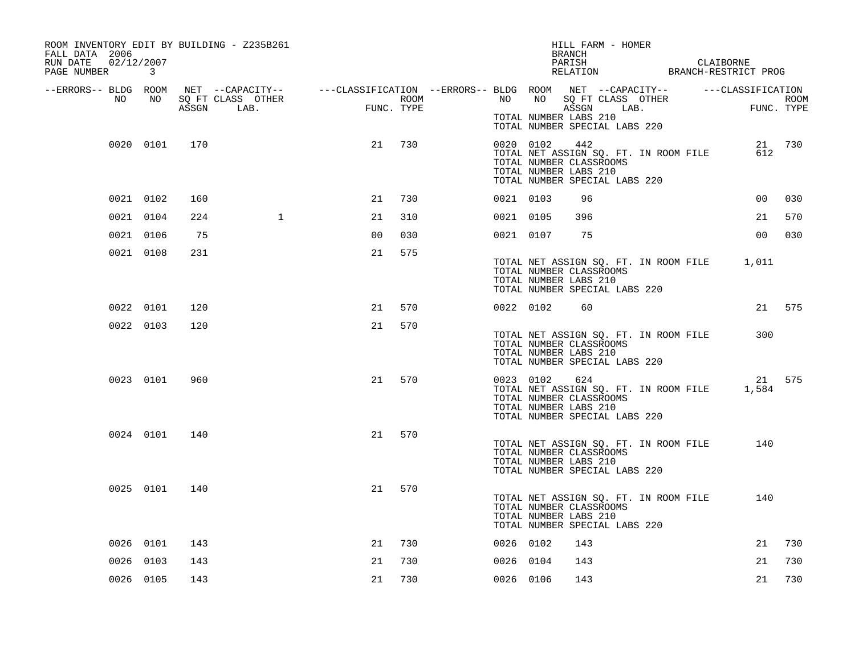| ROOM INVENTORY EDIT BY BUILDING - Z235B261<br>FALL DATA 2006<br>RUN DATE<br>02/12/2007<br>PAGE NUMBER 3 |           |     |                                                                                                                     |                          |      |           |                                                                   | BRANCH | HILL FARM - HOMER                                                      |  | PARISH CLAIBORNE RELATION BRANCH-RESTRICT PROG |            |
|---------------------------------------------------------------------------------------------------------|-----------|-----|---------------------------------------------------------------------------------------------------------------------|--------------------------|------|-----------|-------------------------------------------------------------------|--------|------------------------------------------------------------------------|--|------------------------------------------------|------------|
| --ERRORS-- BLDG ROOM<br>NO                                                                              | NO        |     | NET --CAPACITY-- - ---CLASSIFICATION --ERRORS-- BLDG ROOM NET --CAPACITY-- - ---CLASSIFICATION<br>SQ FT CLASS OTHER |                          | ROOM | NO        | NO 11                                                             |        | SQ FT CLASS OTHER                                                      |  |                                                | ROOM       |
|                                                                                                         |           |     | ASSGN LAB.                                                                                                          | <b>FUN</b><br>FUNC. TYPE |      |           | TOTAL NUMBER LABS 210                                             |        | ASSGN LAB.<br>TOTAL NUMBER SPECIAL LABS 220                            |  |                                                | FUNC. TYPE |
|                                                                                                         | 0020 0101 | 170 |                                                                                                                     | 21                       | 730  |           | 0020 0102 442<br>TOTAL NUMBER CLASSROOMS<br>TOTAL NUMBER LABS 210 |        | TOTAL NET ASSIGN SQ. FT. IN ROOM FILE<br>TOTAL NUMBER SPECIAL LABS 220 |  | 612                                            | 21 730     |
|                                                                                                         | 0021 0102 | 160 |                                                                                                                     | 21                       | 730  | 0021 0103 |                                                                   | 96     |                                                                        |  | 0 <sub>0</sub>                                 | 030        |
|                                                                                                         | 0021 0104 | 224 | $\mathbf{1}$                                                                                                        | 21                       | 310  | 0021 0105 |                                                                   | 396    |                                                                        |  | 21                                             | 570        |
|                                                                                                         | 0021 0106 | 75  |                                                                                                                     | 0 <sub>0</sub>           | 030  | 0021 0107 |                                                                   | 75     |                                                                        |  | 0 <sub>0</sub>                                 | 030        |
|                                                                                                         | 0021 0108 | 231 |                                                                                                                     | 21                       | 575  |           | TOTAL NUMBER CLASSROOMS<br>TOTAL NUMBER LABS 210                  |        | TOTAL NUMBER SPECIAL LABS 220                                          |  | TOTAL NET ASSIGN SQ. FT. IN ROOM FILE 1,011    |            |
|                                                                                                         | 0022 0101 | 120 |                                                                                                                     | 21                       | 570  |           | 0022 0102                                                         | 60     |                                                                        |  |                                                | 21 575     |
|                                                                                                         | 0022 0103 | 120 |                                                                                                                     | 21                       | 570  |           | TOTAL NUMBER CLASSROOMS<br>TOTAL NUMBER LABS 210                  |        | TOTAL NET ASSIGN SQ. FT. IN ROOM FILE<br>TOTAL NUMBER SPECIAL LABS 220 |  | 300                                            |            |
|                                                                                                         | 0023 0101 | 960 |                                                                                                                     | 21                       | 570  |           | 0023 0102 624<br>TOTAL NUMBER CLASSROOMS<br>TOTAL NUMBER LABS 210 |        | TOTAL NET ASSIGN SQ. FT. IN ROOM FILE<br>TOTAL NUMBER SPECIAL LABS 220 |  | 1,584                                          | 21 575     |
|                                                                                                         | 0024 0101 | 140 |                                                                                                                     | 21                       | 570  |           | TOTAL NUMBER CLASSROOMS<br>TOTAL NUMBER LABS 210                  |        | TOTAL NET ASSIGN SQ. FT. IN ROOM FILE<br>TOTAL NUMBER SPECIAL LABS 220 |  | 140                                            |            |
|                                                                                                         | 0025 0101 | 140 |                                                                                                                     | 21                       | 570  |           | TOTAL NUMBER CLASSROOMS<br>TOTAL NUMBER LABS 210                  |        | TOTAL NET ASSIGN SQ. FT. IN ROOM FILE<br>TOTAL NUMBER SPECIAL LABS 220 |  | 140                                            |            |
|                                                                                                         | 0026 0101 | 143 |                                                                                                                     | 21                       | 730  | 0026 0102 |                                                                   | 143    |                                                                        |  | 21                                             | 730        |
|                                                                                                         | 0026 0103 | 143 |                                                                                                                     | 21                       | 730  | 0026 0104 |                                                                   | 143    |                                                                        |  | 21                                             | 730        |
|                                                                                                         | 0026 0105 | 143 |                                                                                                                     | 21                       | 730  | 0026 0106 |                                                                   | 143    |                                                                        |  | 21                                             | 730        |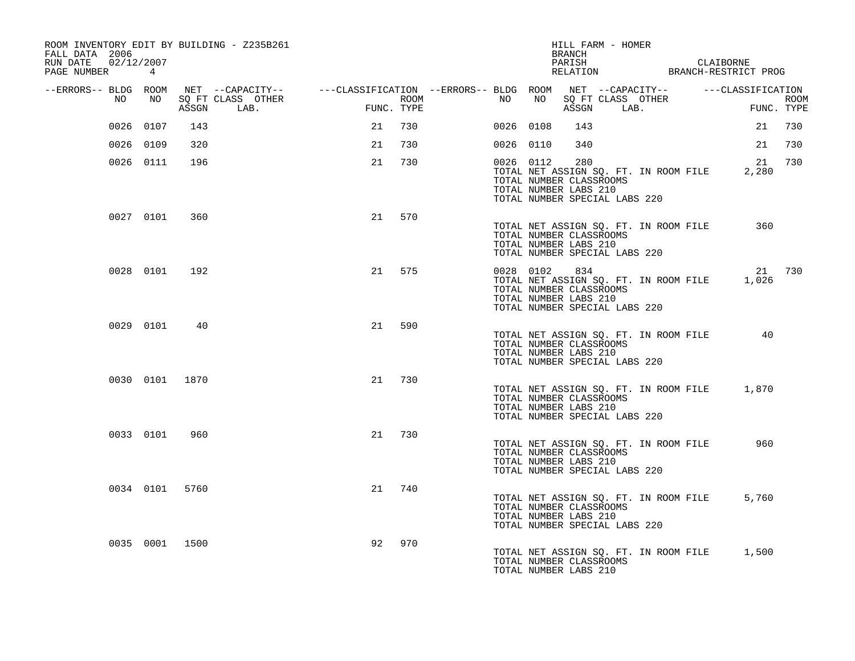| ROOM INVENTORY EDIT BY BUILDING - Z235B261<br>FALL DATA 2006 |                |       |                                                                                                                     |            |      |           |    | HILL FARM - HOMER<br>BRANCH                                                                                                                 |  |                                                                |             |
|--------------------------------------------------------------|----------------|-------|---------------------------------------------------------------------------------------------------------------------|------------|------|-----------|----|---------------------------------------------------------------------------------------------------------------------------------------------|--|----------------------------------------------------------------|-------------|
| RUN DATE 02/12/2007<br>PAGE NUMBER 4                         |                |       |                                                                                                                     |            |      |           |    | PARISH                                                                                                                                      |  | CLAIBORNE<br>PARISH CLAIBORNE<br>RELATION BRANCH-RESTRICT PROG |             |
| --ERRORS-- BLDG ROOM<br>NO                                   | NO             |       | NET --CAPACITY-- - ---CLASSIFICATION --ERRORS-- BLDG ROOM NET --CAPACITY-- - ---CLASSIFICATION<br>SO FT CLASS OTHER |            | ROOM | NO        | NO | SQ FT CLASS OTHER                                                                                                                           |  |                                                                | <b>ROOM</b> |
|                                                              |                | ASSGN | LAB.                                                                                                                | FUNC. TYPE |      |           |    | ASSGN LAB.                                                                                                                                  |  |                                                                | FUNC. TYPE  |
|                                                              | 0026 0107      | 143   |                                                                                                                     | 21         | 730  | 0026 0108 |    | 143                                                                                                                                         |  | 21                                                             | 730         |
|                                                              | 0026 0109      | 320   |                                                                                                                     | 21         | 730  | 0026 0110 |    | 340                                                                                                                                         |  | 21                                                             | 730         |
|                                                              | 0026 0111      | 196   |                                                                                                                     | 21         | 730  | 0026 0112 |    | 280<br>TOTAL NET ASSIGN SQ. FT. IN ROOM FILE<br>TOTAL NUMBER CLASSROOMS<br>TOTAL NUMBER LABS 210<br>TOTAL NUMBER SPECIAL LABS 220           |  | 21<br>2,280                                                    | 730         |
|                                                              | 0027 0101      | 360   |                                                                                                                     | 21         | 570  |           |    | TOTAL NET ASSIGN SQ. FT. IN ROOM FILE<br>TOTAL NUMBER CLASSROOMS<br>TOTAL NUMBER LABS 210<br>TOTAL NUMBER SPECIAL LABS 220                  |  | 360                                                            |             |
|                                                              | 0028 0101      | 192   |                                                                                                                     | 21         | 575  |           |    | 0028 0102 834<br>TOTAL NET ASSIGN SQ. FT. IN ROOM FILE<br>TOTAL NUMBER CLASSROOMS<br>TOTAL NUMBER LABS 210<br>TOTAL NUMBER SPECIAL LABS 220 |  | 1,026                                                          | 21 730      |
|                                                              | 0029 0101      | 40    |                                                                                                                     | 21         | 590  |           |    | TOTAL NET ASSIGN SQ. FT. IN ROOM FILE<br>TOTAL NUMBER CLASSROOMS<br>TOTAL NUMBER LABS 210<br>TOTAL NUMBER SPECIAL LABS 220                  |  | 40                                                             |             |
|                                                              | 0030 0101 1870 |       |                                                                                                                     | 21         | 730  |           |    | TOTAL NET ASSIGN SQ. FT. IN ROOM FILE<br>TOTAL NUMBER CLASSROOMS<br>TOTAL NUMBER LABS 210<br>TOTAL NUMBER SPECIAL LABS 220                  |  | 1,870                                                          |             |
|                                                              | 0033 0101      | 960   |                                                                                                                     | 21         | 730  |           |    | TOTAL NET ASSIGN SQ. FT. IN ROOM FILE<br>TOTAL NUMBER CLASSROOMS<br>TOTAL NUMBER LABS 210<br>TOTAL NUMBER SPECIAL LABS 220                  |  | 960                                                            |             |
|                                                              | 0034 0101 5760 |       |                                                                                                                     | 21         | 740  |           |    | TOTAL NET ASSIGN SQ. FT. IN ROOM FILE<br>TOTAL NUMBER CLASSROOMS<br>TOTAL NUMBER LABS 210<br>TOTAL NUMBER SPECIAL LABS 220                  |  | 5,760                                                          |             |
|                                                              | 0035 0001 1500 |       |                                                                                                                     | 92         | 970  |           |    | TOTAL NUMBER CLASSROOMS<br>TOTAL NUMBER LABS 210                                                                                            |  | TOTAL NET ASSIGN SQ. FT. IN ROOM FILE 1,500                    |             |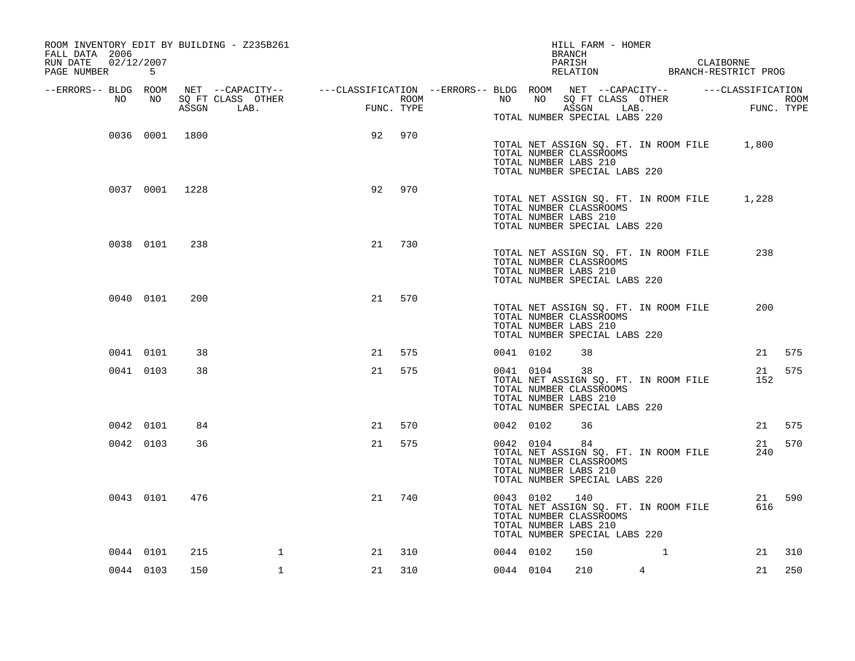| ROOM INVENTORY EDIT BY BUILDING - Z235B261<br>FALL DATA 2006<br>RUN DATE<br>02/12/2007<br>PAGE NUMBER 5 |                |       |                                                                                                                     |                |            |           |                                                                                                | HILL FARM - HOMER<br>BRANCH<br>PARISH |   |                                       | CLAIBORNE<br>PARISH CLAIBORNE<br>RELATION BRANCH-RESTRICT PROG |            |
|---------------------------------------------------------------------------------------------------------|----------------|-------|---------------------------------------------------------------------------------------------------------------------|----------------|------------|-----------|------------------------------------------------------------------------------------------------|---------------------------------------|---|---------------------------------------|----------------------------------------------------------------|------------|
| --ERRORS-- BLDG ROOM                                                                                    |                |       |                                                                                                                     |                |            |           |                                                                                                |                                       |   |                                       |                                                                |            |
| NO                                                                                                      | NO             |       | NET --CAPACITY-- - ---CLASSIFICATION --ERRORS-- BLDG ROOM NET --CAPACITY-- - ---CLASSIFICATION<br>SQ FT CLASS OTHER | $\overline{a}$ | ROOM       | NO        | NO                                                                                             | SQ FT CLASS OTHER                     |   |                                       | $\overline{a}$                                                 | ROOM       |
|                                                                                                         |                | ASSGN | LAB.                                                                                                                |                | FUNC. TYPE |           | TOTAL NUMBER SPECIAL LABS 220                                                                  | ASSGN LAB.                            |   |                                       |                                                                | FUNC. TYPE |
|                                                                                                         | 0036 0001 1800 |       |                                                                                                                     | 92             | 970        |           | TOTAL NUMBER CLASSROOMS<br>TOTAL NUMBER LABS 210<br>TOTAL NUMBER SPECIAL LABS 220              |                                       |   |                                       | TOTAL NET ASSIGN SQ. FT. IN ROOM FILE 1,800                    |            |
|                                                                                                         | 0037 0001 1228 |       |                                                                                                                     | 92             | 970        |           | TOTAL NUMBER CLASSROOMS<br>TOTAL NUMBER LABS 210<br>TOTAL NUMBER SPECIAL LABS 220              |                                       |   | TOTAL NET ASSIGN SQ. FT. IN ROOM FILE | 1,228                                                          |            |
|                                                                                                         | 0038 0101      | 238   |                                                                                                                     | 21             | 730        |           | TOTAL NUMBER CLASSROOMS<br>TOTAL NUMBER LABS 210<br>TOTAL NUMBER SPECIAL LABS 220              |                                       |   | TOTAL NET ASSIGN SQ. FT. IN ROOM FILE | 238                                                            |            |
|                                                                                                         | 0040 0101      | 200   |                                                                                                                     | 21             | 570        |           | TOTAL NUMBER CLASSROOMS<br>TOTAL NUMBER LABS 210<br>TOTAL NUMBER SPECIAL LABS 220              |                                       |   | TOTAL NET ASSIGN SQ. FT. IN ROOM FILE | 200                                                            |            |
|                                                                                                         | 0041 0101      | 38    |                                                                                                                     | 21             | 575        |           | 0041 0102                                                                                      | 38                                    |   |                                       |                                                                | 21 575     |
|                                                                                                         | 0041 0103      | 38    |                                                                                                                     | 21             | 575        |           | 0041 0104<br>TOTAL NUMBER CLASSROOMS<br>TOTAL NUMBER LABS 210<br>TOTAL NUMBER SPECIAL LABS 220 | 38                                    |   | TOTAL NET ASSIGN SQ. FT. IN ROOM FILE | 21<br>152                                                      | 575        |
|                                                                                                         | 0042 0101      | 84    |                                                                                                                     | 21             | 570        |           | 0042 0102                                                                                      | 36                                    |   |                                       |                                                                | 21 575     |
|                                                                                                         | 0042 0103      | 36    |                                                                                                                     | 21             | 575        |           | 0042 0104<br>TOTAL NUMBER CLASSROOMS<br>TOTAL NUMBER LABS 210<br>TOTAL NUMBER SPECIAL LABS 220 | 84                                    |   | TOTAL NET ASSIGN SQ. FT. IN ROOM FILE | 240                                                            | 570<br>21  |
|                                                                                                         | 0043 0101      | 476   |                                                                                                                     | 21             | 740        |           | 0043 0102<br>TOTAL NUMBER CLASSROOMS<br>TOTAL NUMBER LABS 210<br>TOTAL NUMBER SPECIAL LABS 220 | 140                                   |   | TOTAL NET ASSIGN SQ. FT. IN ROOM FILE | 616                                                            | 590<br>21  |
|                                                                                                         | 0044 0101      | 215   | $\mathbf{1}$                                                                                                        | 21             | 310        | 0044 0102 |                                                                                                | 150                                   | 1 |                                       | 21                                                             | 310        |
|                                                                                                         | 0044 0103      | 150   | $\mathbf{1}$                                                                                                        | 21             | 310        | 0044 0104 |                                                                                                | 210                                   | 4 |                                       | 21                                                             | 250        |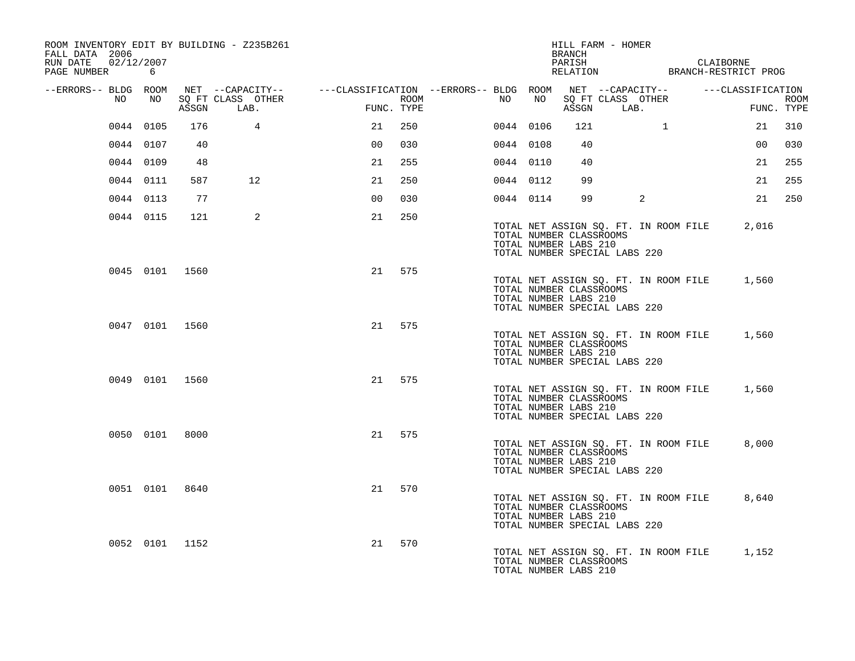| ROOM INVENTORY EDIT BY BUILDING - Z235B261<br>FALL DATA 2006<br>RUN DATE<br>02/12/2007 |                |       |                                                                                                 |                |            |           |    | HILL FARM - HOMER<br>BRANCH<br>PARISH                                             |            |                   |                                       | CLAIBORNE                                   |                |             |
|----------------------------------------------------------------------------------------|----------------|-------|-------------------------------------------------------------------------------------------------|----------------|------------|-----------|----|-----------------------------------------------------------------------------------|------------|-------------------|---------------------------------------|---------------------------------------------|----------------|-------------|
| PAGE NUMBER 6                                                                          |                |       |                                                                                                 |                |            |           |    |                                                                                   |            |                   |                                       | RELATION BRANCH-RESTRICT PROG               |                |             |
| --ERRORS-- BLDG ROOM<br>NO                                                             | NO             |       | NET --CAPACITY-- - ---CLASSIFICATION --ERRORS-- BLDG ROOM NET --CAPACITY--<br>SQ FT CLASS OTHER |                | ROOM       | NO        | NO |                                                                                   |            | SQ FT CLASS OTHER |                                       | ---CLASSIFICATION                           |                | <b>ROOM</b> |
|                                                                                        |                | ASSGN | LAB.                                                                                            |                | FUNC. TYPE |           |    |                                                                                   | ASSGN LAB. |                   |                                       |                                             | FUNC. TYPE     |             |
|                                                                                        | 0044 0105      | 176   | $\overline{4}$                                                                                  | 21             | 250        | 0044 0106 |    | 121                                                                               |            | $\mathbf{1}$      |                                       |                                             | 21             | 310         |
|                                                                                        | 0044 0107      | 40    |                                                                                                 | 0 <sub>0</sub> | 030        | 0044 0108 |    | 40                                                                                |            |                   |                                       |                                             | 0 <sub>0</sub> | 030         |
|                                                                                        | 0044 0109      | 48    |                                                                                                 | 21             | 255        | 0044 0110 |    | 40                                                                                |            |                   |                                       |                                             | 21             | 255         |
|                                                                                        | 0044 0111      | 587   | 12                                                                                              | 21             | 250        | 0044 0112 |    | 99                                                                                |            |                   |                                       |                                             | 21             | 255         |
|                                                                                        | 0044 0113      | 77    |                                                                                                 | 0 <sub>0</sub> | 030        | 0044 0114 |    | 99                                                                                |            | 2                 |                                       |                                             | 21             | 250         |
|                                                                                        | 0044 0115      | 121   | 2                                                                                               | 21             | 250        |           |    | TOTAL NUMBER CLASSROOMS                                                           |            |                   | TOTAL NET ASSIGN SQ. FT. IN ROOM FILE |                                             | 2,016          |             |
|                                                                                        |                |       |                                                                                                 |                |            |           |    | TOTAL NUMBER LABS 210<br>TOTAL NUMBER SPECIAL LABS 220                            |            |                   |                                       |                                             |                |             |
|                                                                                        | 0045 0101 1560 |       |                                                                                                 | 21             | 575        |           |    | TOTAL NUMBER CLASSROOMS<br>TOTAL NUMBER LABS 210<br>TOTAL NUMBER SPECIAL LABS 220 |            |                   | TOTAL NET ASSIGN SQ. FT. IN ROOM FILE |                                             | 1,560          |             |
|                                                                                        | 0047 0101 1560 |       |                                                                                                 | 21             | 575        |           |    | TOTAL NUMBER CLASSROOMS<br>TOTAL NUMBER LABS 210<br>TOTAL NUMBER SPECIAL LABS 220 |            |                   | TOTAL NET ASSIGN SQ. FT. IN ROOM FILE |                                             | 1,560          |             |
|                                                                                        | 0049 0101 1560 |       |                                                                                                 | 21             | 575        |           |    | TOTAL NUMBER CLASSROOMS<br>TOTAL NUMBER LABS 210<br>TOTAL NUMBER SPECIAL LABS 220 |            |                   | TOTAL NET ASSIGN SQ. FT. IN ROOM FILE |                                             | 1,560          |             |
|                                                                                        | 0050 0101 8000 |       |                                                                                                 | 21             | 575        |           |    | TOTAL NUMBER CLASSROOMS<br>TOTAL NUMBER LABS 210<br>TOTAL NUMBER SPECIAL LABS 220 |            |                   | TOTAL NET ASSIGN SQ. FT. IN ROOM FILE |                                             | 8,000          |             |
|                                                                                        | 0051 0101 8640 |       |                                                                                                 | 21             | 570        |           |    | TOTAL NUMBER CLASSROOMS<br>TOTAL NUMBER LABS 210<br>TOTAL NUMBER SPECIAL LABS 220 |            |                   | TOTAL NET ASSIGN SQ. FT. IN ROOM FILE |                                             | 8,640          |             |
|                                                                                        | 0052 0101 1152 |       |                                                                                                 | 21             | 570        |           |    | TOTAL NUMBER CLASSROOMS<br>TOTAL NUMBER LABS 210                                  |            |                   |                                       | TOTAL NET ASSIGN SO. FT. IN ROOM FILE 1,152 |                |             |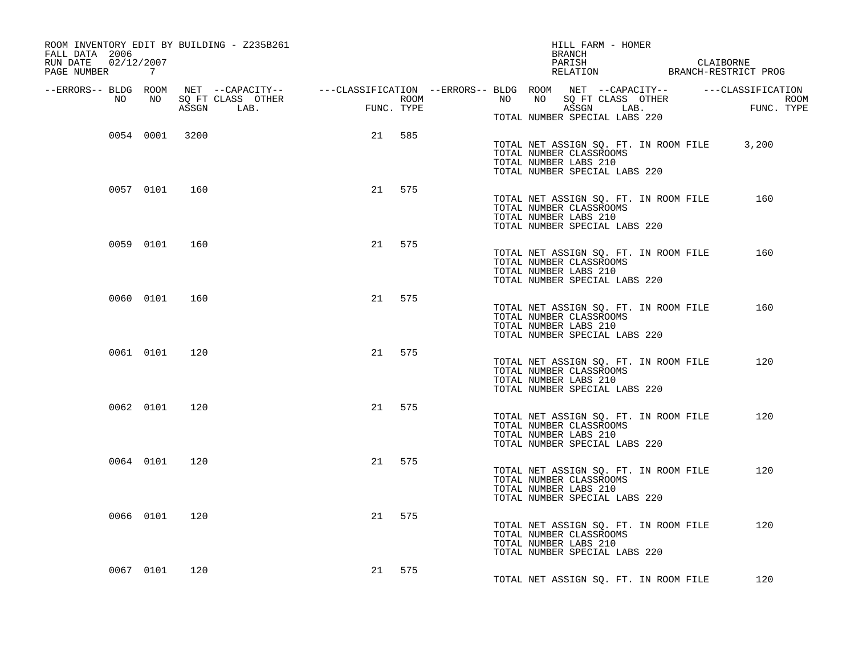| ROOM INVENTORY EDIT BY BUILDING - Z235B261<br>FALL DATA 2006<br>RUN DATE 02/12/2007<br>PAGE NUMBER 7 |                                                                                                                                    |                           | HILL FARM - HOMER<br>BRANCH<br>PARISH                                                                                      | CLAIBORNE<br>PARISH CLAIBORNE<br>RELATION BRANCH-RESTRICT PROG |
|------------------------------------------------------------------------------------------------------|------------------------------------------------------------------------------------------------------------------------------------|---------------------------|----------------------------------------------------------------------------------------------------------------------------|----------------------------------------------------------------|
| --ERRORS-- BLDG ROOM                                                                                 | NET --CAPACITY-- - ---CLASSIFICATION --ERRORS-- BLDG ROOM NET --CAPACITY-- - ---CLASSIFICATION                                     |                           |                                                                                                                            |                                                                |
| NO<br>NO                                                                                             | SQ FT CLASS OTHER<br>andro<br>1990 - Jacob Barristo, amerikansk fotball<br>1990 - Jacob Barristo, amerikansk fotball<br>ASSGN LAB. | <b>ROOM</b><br>FUNC. TYPE | SQ FT CLASS OTHER ASSGN LAB. FU<br>NO<br>NO .<br>TOTAL NUMBER SPECIAL LABS 220                                             | ROOM<br>FUNC. TYPE                                             |
| 0054 0001<br>3200                                                                                    |                                                                                                                                    | 21 585                    | TOTAL NET ASSIGN SQ. FT. IN ROOM FILE<br>TOTAL NUMBER CLASSROOMS<br>TOTAL NUMBER LABS 210<br>TOTAL NUMBER SPECIAL LABS 220 | 3,200                                                          |
| 0057 0101 160                                                                                        |                                                                                                                                    | 21 575                    | TOTAL NET ASSIGN SQ. FT. IN ROOM FILE<br>TOTAL NUMBER CLASSROOMS<br>TOTAL NUMBER LABS 210<br>TOTAL NUMBER SPECIAL LABS 220 | 160                                                            |
| 0059 0101                                                                                            | 21<br>160                                                                                                                          | 575                       | TOTAL NET ASSIGN SQ. FT. IN ROOM FILE<br>TOTAL NUMBER CLASSROOMS<br>TOTAL NUMBER LABS 210<br>TOTAL NUMBER SPECIAL LABS 220 | 160                                                            |
| 0060 0101                                                                                            | 21<br>160                                                                                                                          | 575                       | TOTAL NET ASSIGN SQ. FT. IN ROOM FILE<br>TOTAL NUMBER CLASSROOMS<br>TOTAL NUMBER LABS 210<br>TOTAL NUMBER SPECIAL LABS 220 | 160                                                            |
| 0061 0101                                                                                            | 120<br>21                                                                                                                          | 575                       | TOTAL NET ASSIGN SQ. FT. IN ROOM FILE<br>TOTAL NUMBER CLASSROOMS<br>TOTAL NUMBER LABS 210<br>TOTAL NUMBER SPECIAL LABS 220 | 120                                                            |
| 0062 0101                                                                                            | 120                                                                                                                                | 21 575                    | TOTAL NET ASSIGN SQ. FT. IN ROOM FILE<br>TOTAL NUMBER CLASSROOMS<br>TOTAL NUMBER LABS 210<br>TOTAL NUMBER SPECIAL LABS 220 | 120                                                            |
| 0064 0101                                                                                            | 120<br>21                                                                                                                          | 575                       | TOTAL NET ASSIGN SQ. FT. IN ROOM FILE<br>TOTAL NUMBER CLASSROOMS<br>TOTAL NUMBER LABS 210<br>TOTAL NUMBER SPECIAL LABS 220 | 120                                                            |
| 0066 0101                                                                                            | 120<br>21                                                                                                                          | 575                       | TOTAL NET ASSIGN SQ. FT. IN ROOM FILE<br>TOTAL NUMBER CLASSROOMS<br>TOTAL NUMBER LABS 210<br>TOTAL NUMBER SPECIAL LABS 220 | 120                                                            |
| 0067 0101                                                                                            | 120                                                                                                                                | 21 575                    | TOTAL NET ASSIGN SQ. FT. IN ROOM FILE                                                                                      | 120                                                            |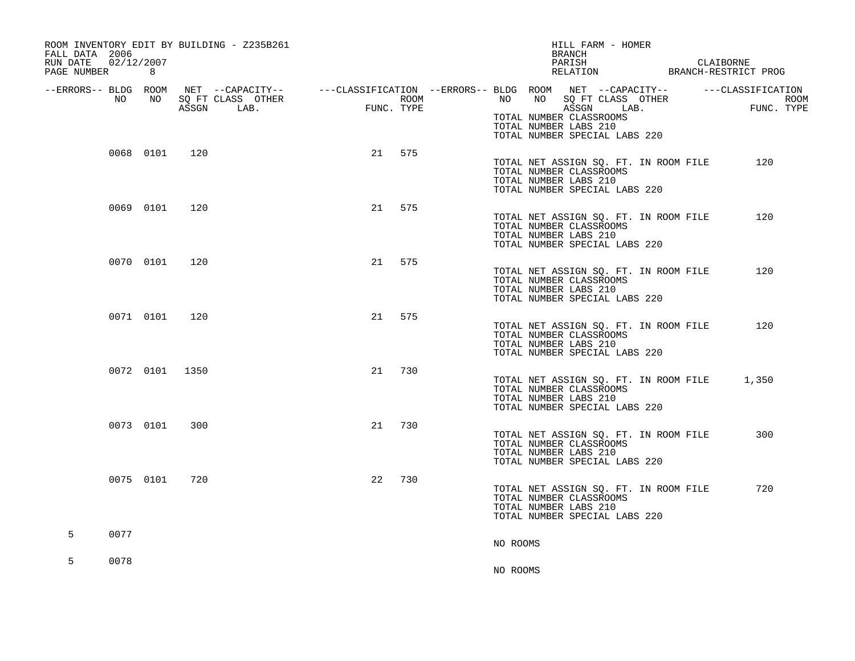| ROOM INVENTORY EDIT BY BUILDING - Z235B261<br>FALL DATA 2006 |                |       |                                                                                                                              |                            |      |          | HILL FARM - HOMER<br>BRANCH                                                                                                |  |                    |
|--------------------------------------------------------------|----------------|-------|------------------------------------------------------------------------------------------------------------------------------|----------------------------|------|----------|----------------------------------------------------------------------------------------------------------------------------|--|--------------------|
| 02/12/2007<br>RUN DATE<br>PAGE NUMBER 8                      |                |       |                                                                                                                              |                            |      |          | PARISH<br>RELATION BRANCH-RESTRICT PROG                                                                                    |  | CLAIBORNE          |
| --ERRORS-- BLDG ROOM<br>NO                                   | NO             | ASSGN | NET --CAPACITY-- -----CLASSIFICATION --ERRORS-- BLDG ROOM NET --CAPACITY-- ------CLASSIFICATION<br>SQ FT CLASS OTHER<br>LAB. | $F_{\rm{H}}$<br>FUNC. TYPE | ROOM | NO       | NO SQ FT CLASS OTHER<br>ASSGN LAB.                                                                                         |  | ROOM<br>FUNC. TYPE |
|                                                              |                |       |                                                                                                                              |                            |      |          | TOTAL NUMBER CLASSROOMS<br>TOTAL NUMBER LABS 210<br>TOTAL NUMBER SPECIAL LABS 220                                          |  |                    |
|                                                              | 0068 0101      | 120   |                                                                                                                              | 21                         | 575  |          | TOTAL NET ASSIGN SQ. FT. IN ROOM FILE<br>TOTAL NUMBER CLASSROOMS<br>TOTAL NUMBER LABS 210<br>TOTAL NUMBER SPECIAL LABS 220 |  | 120                |
|                                                              | 0069 0101      | 120   |                                                                                                                              | 21                         | 575  |          | TOTAL NET ASSIGN SQ. FT. IN ROOM FILE<br>TOTAL NUMBER CLASSROOMS<br>TOTAL NUMBER LABS 210<br>TOTAL NUMBER SPECIAL LABS 220 |  | 120                |
|                                                              | 0070 0101      | 120   |                                                                                                                              | 21                         | 575  |          | TOTAL NET ASSIGN SQ. FT. IN ROOM FILE<br>TOTAL NUMBER CLASSROOMS<br>TOTAL NUMBER LABS 210<br>TOTAL NUMBER SPECIAL LABS 220 |  | 120                |
|                                                              | 0071 0101      | 120   |                                                                                                                              | 21                         | 575  |          | TOTAL NET ASSIGN SQ. FT. IN ROOM FILE<br>TOTAL NUMBER CLASSROOMS<br>TOTAL NUMBER LABS 210<br>TOTAL NUMBER SPECIAL LABS 220 |  | 120                |
|                                                              | 0072 0101 1350 |       |                                                                                                                              | 21                         | 730  |          | TOTAL NET ASSIGN SQ. FT. IN ROOM FILE<br>TOTAL NUMBER CLASSROOMS<br>TOTAL NUMBER LABS 210<br>TOTAL NUMBER SPECIAL LABS 220 |  | 1,350              |
|                                                              | 0073 0101      | 300   |                                                                                                                              | 21                         | 730  |          | TOTAL NET ASSIGN SQ. FT. IN ROOM FILE<br>TOTAL NUMBER CLASSROOMS<br>TOTAL NUMBER LABS 210<br>TOTAL NUMBER SPECIAL LABS 220 |  | 300                |
|                                                              | 0075 0101      | 720   |                                                                                                                              | 22                         | 730  |          | TOTAL NET ASSIGN SQ. FT. IN ROOM FILE<br>TOTAL NUMBER CLASSROOMS<br>TOTAL NUMBER LABS 210<br>TOTAL NUMBER SPECIAL LABS 220 |  | 720                |
| 0077<br>5                                                    |                |       |                                                                                                                              |                            |      | NO ROOMS |                                                                                                                            |  |                    |
| 5<br>0078                                                    |                |       |                                                                                                                              |                            |      | NO ROOMS |                                                                                                                            |  |                    |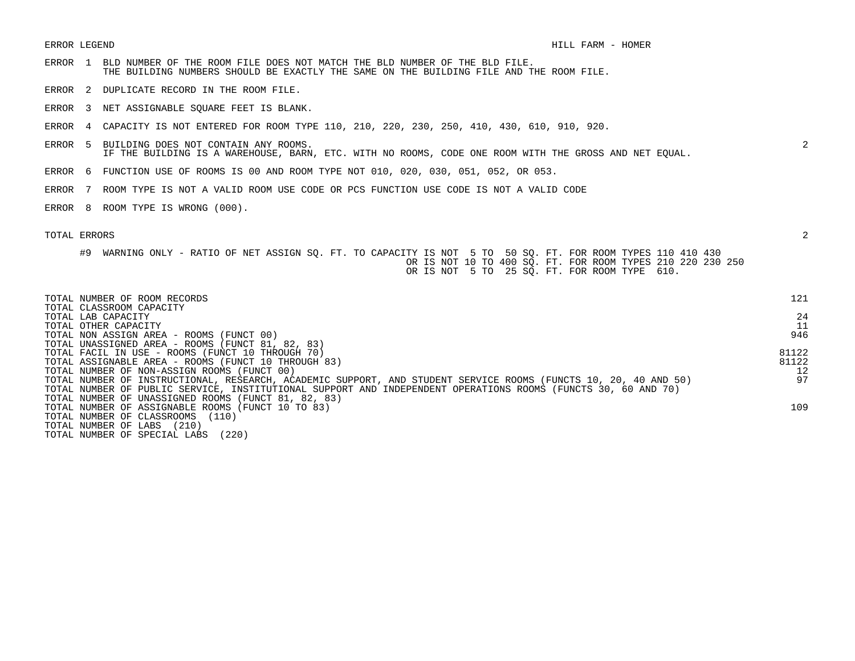- ERROR 1 BLD NUMBER OF THE ROOM FILE DOES NOT MATCH THE BLD NUMBER OF THE BLD FILE. THE BUILDING NUMBERS SHOULD BE EXACTLY THE SAME ON THE BUILDING FILE AND THE ROOM FILE.
- ERROR 2 DUPLICATE RECORD IN THE ROOM FILE.
- ERROR 3 NET ASSIGNABLE SQUARE FEET IS BLANK.
- ERROR 4 CAPACITY IS NOT ENTERED FOR ROOM TYPE 110, 210, 220, 230, 250, 410, 430, 610, 910, 920.
- ERROR 5 BUILDING DOES NOT CONTAIN ANY ROOMS. 2 IF THE BUILDING IS A WAREHOUSE, BARN, ETC. WITH NO ROOMS, CODE ONE ROOM WITH THE GROSS AND NET EQUAL.
- ERROR 6 FUNCTION USE OF ROOMS IS 00 AND ROOM TYPE NOT 010, 020, 030, 051, 052, OR 053.
- ERROR 7 ROOM TYPE IS NOT A VALID ROOM USE CODE OR PCS FUNCTION USE CODE IS NOT A VALID CODE
- ERROR 8 ROOM TYPE IS WRONG (000).

| TOTAL NUMBER OF ROOM RECORDS<br>TOTAL CLASSROOM CAPACITY                                                        | 121   |
|-----------------------------------------------------------------------------------------------------------------|-------|
| TOTAL LAB CAPACITY                                                                                              | 24    |
| TOTAL OTHER CAPACITY                                                                                            |       |
| TOTAL NON ASSIGN AREA - ROOMS (FUNCT 00)                                                                        | 946   |
| TOTAL UNASSIGNED AREA - ROOMS (FUNCT 81, 82, 83)                                                                |       |
| TOTAL FACIL IN USE - ROOMS (FUNCT 10 THROUGH 70)                                                                | 81122 |
| TOTAL ASSIGNABLE AREA - ROOMS (FUNCT 10 THROUGH 83)                                                             | 81122 |
| TOTAL NUMBER OF NON-ASSIGN ROOMS (FUNCT 00)                                                                     | 12    |
| TOTAL NUMBER OF INSTRUCTIONAL, RESEARCH, ACADEMIC SUPPORT, AND STUDENT SERVICE ROOMS (FUNCTS 10, 20, 40 AND 50) | 97    |
| TOTAL NUMBER OF PUBLIC SERVICE, INSTITUTIONAL SUPPORT AND INDEPENDENT OPERATIONS ROOMS (FUNCTS 30, 60 AND 70)   |       |
| TOTAL NUMBER OF UNASSIGNED ROOMS (FUNCT 81, 82, 83)                                                             |       |
| TOTAL NUMBER OF ASSIGNABLE ROOMS (FUNCT 10 TO 83)                                                               | 109   |
| TOTAL NUMBER OF CLASSROOMS<br>(110)                                                                             |       |
| TOTAL NUMBER OF LABS<br>(210)                                                                                   |       |
| (220)<br>TOTAL NUMBER OF SPECIAL LABS                                                                           |       |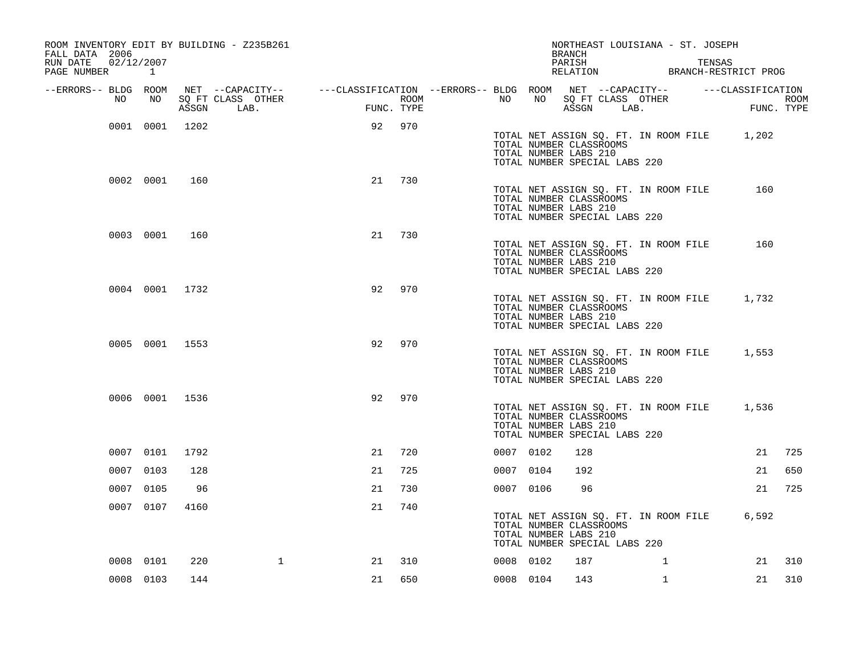| ROOM INVENTORY EDIT BY BUILDING - Z235B261<br>FALL DATA 2006 |                |                |                                                                                                                     |    |            |      |           |           | NORTHEAST LOUISIANA - ST. JOSEPH<br><b>BRANCH</b>                                                                          |              |                                                          |            |
|--------------------------------------------------------------|----------------|----------------|---------------------------------------------------------------------------------------------------------------------|----|------------|------|-----------|-----------|----------------------------------------------------------------------------------------------------------------------------|--------------|----------------------------------------------------------|------------|
| RUN DATE<br>02/12/2007<br>PAGE NUMBER 1                      |                |                |                                                                                                                     |    |            |      |           |           | PARISH                                                                                                                     |              | TENSAS<br>PARISH IBNORY<br>RELATION BRANCH-RESTRICT PROG |            |
| --ERRORS-- BLDG ROOM<br>NO.                                  | NO             |                | NET --CAPACITY-- - ---CLASSIFICATION --ERRORS-- BLDG ROOM NET --CAPACITY-- - ---CLASSIFICATION<br>SQ FT CLASS OTHER |    |            | ROOM | NO .      | NO        | SQ FT CLASS OTHER                                                                                                          |              |                                                          | ROOM       |
|                                                              |                |                | ASSGN LAB.                                                                                                          |    | FUNC. TYPE |      |           |           | ASSGN LAB.                                                                                                                 |              |                                                          | FUNC. TYPE |
|                                                              |                | 0001 0001 1202 |                                                                                                                     | 92 | 970        |      |           |           | TOTAL NUMBER CLASSROOMS<br>TOTAL NUMBER LABS 210<br>TOTAL NUMBER SPECIAL LABS 220                                          |              | TOTAL NET ASSIGN SQ. FT. IN ROOM FILE 1,202              |            |
|                                                              | 0002 0001      | 160            |                                                                                                                     | 21 | 730        |      |           |           | TOTAL NET ASSIGN SQ. FT. IN ROOM FILE<br>TOTAL NUMBER CLASSROOMS<br>TOTAL NUMBER LABS 210<br>TOTAL NUMBER SPECIAL LABS 220 |              | 160                                                      |            |
|                                                              | 0003 0001      | 160            |                                                                                                                     | 21 | 730        |      |           |           | TOTAL NET ASSIGN SQ. FT. IN ROOM FILE<br>TOTAL NUMBER CLASSROOMS<br>TOTAL NUMBER LABS 210<br>TOTAL NUMBER SPECIAL LABS 220 |              | 160                                                      |            |
|                                                              |                | 0004 0001 1732 |                                                                                                                     | 92 | 970        |      |           |           | TOTAL NET ASSIGN SQ. FT. IN ROOM FILE<br>TOTAL NUMBER CLASSROOMS<br>TOTAL NUMBER LABS 210<br>TOTAL NUMBER SPECIAL LABS 220 |              | 1,732                                                    |            |
|                                                              | 0005 0001 1553 |                |                                                                                                                     | 92 | 970        |      |           |           | TOTAL NET ASSIGN SQ. FT. IN ROOM FILE<br>TOTAL NUMBER CLASSROOMS<br>TOTAL NUMBER LABS 210<br>TOTAL NUMBER SPECIAL LABS 220 |              | 1,553                                                    |            |
|                                                              | 0006 0001 1536 |                |                                                                                                                     | 92 | 970        |      |           |           | TOTAL NUMBER CLASSROOMS<br>TOTAL NUMBER LABS 210<br>TOTAL NUMBER SPECIAL LABS 220                                          |              | TOTAL NET ASSIGN SQ. FT. IN ROOM FILE 1,536              |            |
|                                                              | 0007 0101      | 1792           |                                                                                                                     | 21 | 720        |      | 0007 0102 |           | 128                                                                                                                        |              | 21                                                       | 725        |
|                                                              | 0007 0103      | 128            |                                                                                                                     | 21 | 725        |      | 0007 0104 |           | 192                                                                                                                        |              | 21                                                       | 650        |
|                                                              | 0007 0105      | 96             |                                                                                                                     | 21 | 730        |      | 0007 0106 |           | 96                                                                                                                         |              | 21                                                       | 725        |
|                                                              | 0007 0107      | 4160           |                                                                                                                     | 21 | 740        |      |           |           | TOTAL NET ASSIGN SQ. FT. IN ROOM FILE<br>TOTAL NUMBER CLASSROOMS<br>TOTAL NUMBER LABS 210<br>TOTAL NUMBER SPECIAL LABS 220 |              | 6,592                                                    |            |
|                                                              | 0008 0101      | 220            | $\mathbf{1}$                                                                                                        | 21 | 310        |      | 0008 0102 |           | 187                                                                                                                        | $\mathbf{1}$ | 21                                                       | 310        |
|                                                              | 0008 0103      | 144            |                                                                                                                     | 21 | 650        |      |           | 0008 0104 | 143                                                                                                                        | $\mathbf{1}$ | 21                                                       | 310        |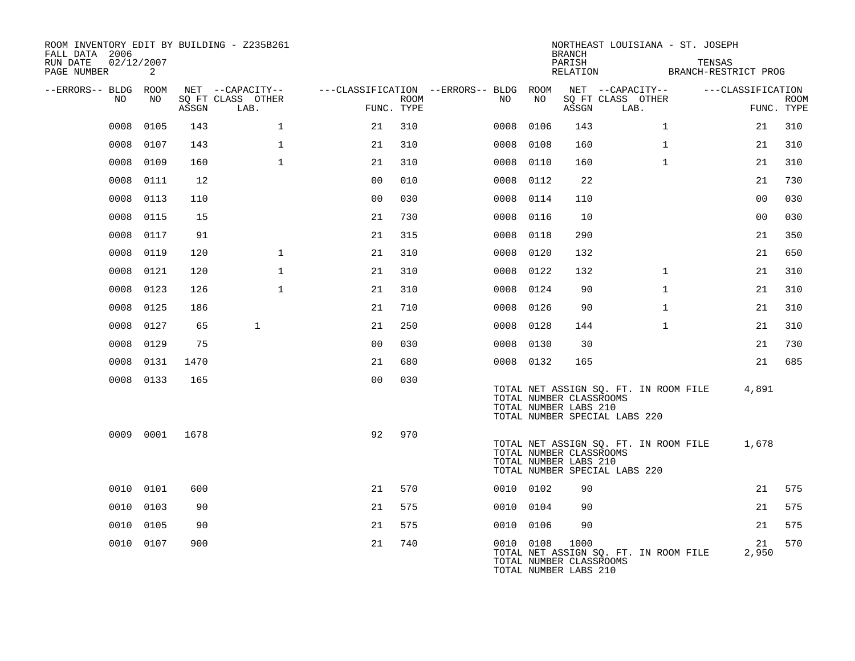| ROOM INVENTORY EDIT BY BUILDING - Z235B261<br>FALL DATA 2006<br>RUN DATE<br>PAGE NUMBER | 02/12/2007<br>2 |       |                                       |                |      |                                          |            | <b>BRANCH</b><br>PARISH<br>RELATION                      | NORTHEAST LOUISIANA - ST. JOSEPH                                       |              | TENSAS<br>BRANCH-RESTRICT PROG |             |
|-----------------------------------------------------------------------------------------|-----------------|-------|---------------------------------------|----------------|------|------------------------------------------|------------|----------------------------------------------------------|------------------------------------------------------------------------|--------------|--------------------------------|-------------|
| --ERRORS-- BLDG ROOM<br>NO.                                                             | NO.             |       | NET --CAPACITY--<br>SO FT CLASS OTHER |                | ROOM | ---CLASSIFICATION --ERRORS-- BLDG<br>NO. | ROOM<br>NO |                                                          | NET --CAPACITY--<br>SQ FT CLASS OTHER                                  |              | ---CLASSIFICATION              | <b>ROOM</b> |
|                                                                                         |                 | ASSGN | LAB.                                  | FUNC. TYPE     |      |                                          |            | ASSGN                                                    | LAB.                                                                   |              |                                | FUNC. TYPE  |
| 0008                                                                                    | 0105            | 143   | $\mathbf 1$                           | 21             | 310  | 0008                                     | 0106       | 143                                                      | $\mathbf{1}$                                                           |              | 21                             | 310         |
| 0008                                                                                    | 0107            | 143   | $\mathbf 1$                           | 21             | 310  | 0008                                     | 0108       | 160                                                      |                                                                        | $\mathbf{1}$ | 21                             | 310         |
| 0008                                                                                    | 0109            | 160   | $\mathbf{1}$                          | 21             | 310  | 0008                                     | 0110       | 160                                                      |                                                                        | $\mathbf{1}$ | 21                             | 310         |
| 0008                                                                                    | 0111            | 12    |                                       | 0 <sub>0</sub> | 010  | 0008                                     | 0112       | 22                                                       |                                                                        |              | 21                             | 730         |
| 0008                                                                                    | 0113            | 110   |                                       | 0 <sub>0</sub> | 030  | 0008                                     | 0114       | 110                                                      |                                                                        |              | 00                             | 030         |
| 0008                                                                                    | 0115            | 15    |                                       | 21             | 730  | 0008                                     | 0116       | 10                                                       |                                                                        |              | 0 <sub>0</sub>                 | 030         |
| 0008                                                                                    | 0117            | 91    |                                       | 21             | 315  | 0008                                     | 0118       | 290                                                      |                                                                        |              | 21                             | 350         |
| 0008                                                                                    | 0119            | 120   | $\mathbf{1}$                          | 21             | 310  | 0008                                     | 0120       | 132                                                      |                                                                        |              | 21                             | 650         |
| 0008                                                                                    | 0121            | 120   | $\mathbf{1}$                          | 21             | 310  | 0008                                     | 0122       | 132                                                      |                                                                        | $\mathbf{1}$ | 21                             | 310         |
| 0008                                                                                    | 0123            | 126   | $\mathbf{1}$                          | 21             | 310  | 0008                                     | 0124       | 90                                                       |                                                                        | $\mathbf{1}$ | 21                             | 310         |
| 0008                                                                                    | 0125            | 186   |                                       | 21             | 710  | 0008                                     | 0126       | 90                                                       |                                                                        | $\mathbf{1}$ | 21                             | 310         |
| 0008                                                                                    | 0127            | 65    | $\mathbf{1}$                          | 21             | 250  | 0008                                     | 0128       | 144                                                      | $\mathbf{1}$                                                           |              | 21                             | 310         |
| 0008                                                                                    | 0129            | 75    |                                       | 0 <sub>0</sub> | 030  |                                          | 0008 0130  | 30                                                       |                                                                        |              | 21                             | 730         |
| 0008                                                                                    | 0131            | 1470  |                                       | 21             | 680  |                                          | 0008 0132  | 165                                                      |                                                                        |              | 21                             | 685         |
|                                                                                         | 0008 0133       | 165   |                                       | 0 <sub>0</sub> | 030  |                                          |            | TOTAL NUMBER CLASSROOMS<br>TOTAL NUMBER LABS 210         | TOTAL NET ASSIGN SQ. FT. IN ROOM FILE<br>TOTAL NUMBER SPECIAL LABS 220 |              | 4,891                          |             |
|                                                                                         | 0009 0001       | 1678  |                                       | 92             | 970  |                                          |            | TOTAL NUMBER CLASSROOMS<br>TOTAL NUMBER LABS 210         | TOTAL NET ASSIGN SO. FT. IN ROOM FILE<br>TOTAL NUMBER SPECIAL LABS 220 |              | 1,678                          |             |
|                                                                                         | 0010 0101       | 600   |                                       | 21             | 570  |                                          | 0010 0102  | 90                                                       |                                                                        |              | 21                             | 575         |
| 0010                                                                                    | 0103            | 90    |                                       | 21             | 575  |                                          | 0010 0104  | 90                                                       |                                                                        |              | 21                             | 575         |
| 0010                                                                                    | 0105            | 90    |                                       | 21             | 575  | 0010                                     | 0106       | 90                                                       |                                                                        |              | 21                             | 575         |
|                                                                                         | 0010 0107       | 900   |                                       | 21             | 740  |                                          | 0010 0108  | 1000<br>TOTAL NUMBER CLASSROOMS<br>TOTAL NUMBER LABS 210 | TOTAL NET ASSIGN SQ. FT. IN ROOM FILE                                  |              | 21<br>2,950                    | 570         |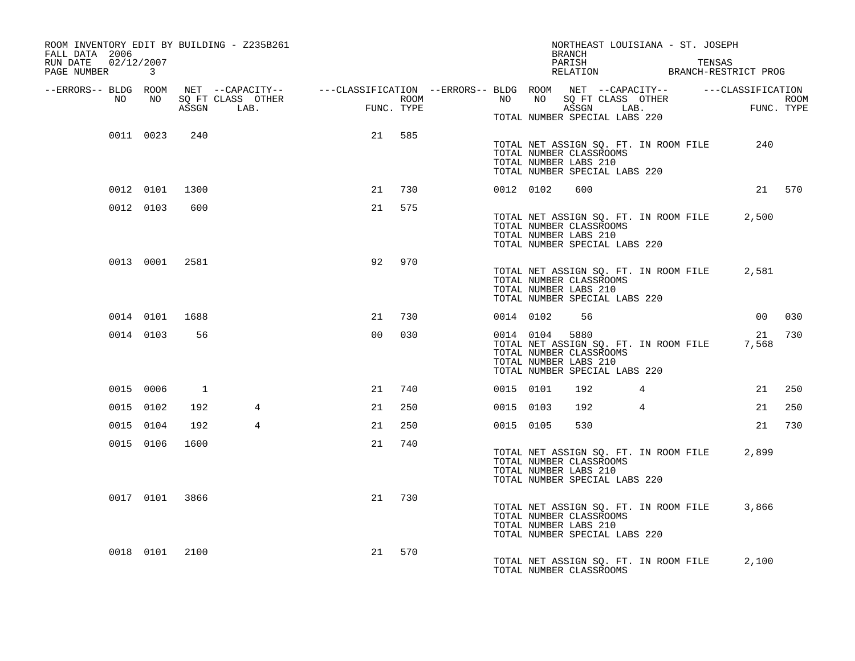| ROOM INVENTORY EDIT BY BUILDING - Z235B261<br>FALL DATA 2006 |           |                |                                                                                                |                |            |                  |           |           | NORTHEAST LOUISIANA - ST. JOSEPH<br><b>BRANCH</b>                                                                                  |            |                                                          |                    |
|--------------------------------------------------------------|-----------|----------------|------------------------------------------------------------------------------------------------|----------------|------------|------------------|-----------|-----------|------------------------------------------------------------------------------------------------------------------------------------|------------|----------------------------------------------------------|--------------------|
| RUN DATE 02/12/2007<br>PAGE NUMBER 3                         |           |                |                                                                                                |                |            |                  |           |           | PARISH                                                                                                                             |            | TENSAS<br>PARISH TENSAS<br>RELATION BRANCH-RESTRICT PROG |                    |
| --ERRORS-- BLDG ROOM<br>NO .                                 |           |                | NET --CAPACITY-- - ---CLASSIFICATION --ERRORS-- BLDG ROOM NET --CAPACITY-- - ---CLASSIFICATION |                |            |                  | NO        |           | NO SQ FT CLASS OTHER                                                                                                               |            |                                                          |                    |
|                                                              | NO        | ASSGN          | SQ FT CLASS OTHER<br>LAB.                                                                      |                | FUNC. TYPE | ROOM <b>ROOM</b> |           |           | ASSGN LAB.<br>TOTAL NUMBER SPECIAL LABS 220                                                                                        |            |                                                          | ROOM<br>FUNC. TYPE |
|                                                              | 0011 0023 | 240            |                                                                                                | 21             | 585        |                  |           |           | TOTAL NET ASSIGN SQ. FT. IN ROOM FILE<br>TOTAL NUMBER CLASSROOMS<br>TOTAL NUMBER LABS 210<br>TOTAL NUMBER SPECIAL LABS 220         |            | 240                                                      |                    |
|                                                              | 0012 0101 | 1300           |                                                                                                | 21             | 730        |                  | 0012 0102 |           | 600                                                                                                                                |            |                                                          | 21 570             |
|                                                              | 0012 0103 | 600            |                                                                                                | 21             | 575        |                  |           |           | TOTAL NET ASSIGN SQ. FT. IN ROOM FILE<br>TOTAL NUMBER CLASSROOMS<br>TOTAL NUMBER LABS 210<br>TOTAL NUMBER SPECIAL LABS 220         |            | 2,500                                                    |                    |
|                                                              |           | 0013 0001 2581 |                                                                                                | 92             | 970        |                  |           |           | TOTAL NET ASSIGN SQ. FT. IN ROOM FILE<br>TOTAL NUMBER CLASSROOMS<br>TOTAL NUMBER LABS 210<br>TOTAL NUMBER SPECIAL LABS 220         |            | 2,581                                                    |                    |
|                                                              | 0014 0101 | 1688           |                                                                                                | 21             | 730        |                  | 0014 0102 |           | 56                                                                                                                                 |            | 00                                                       | 030                |
|                                                              | 0014 0103 | 56             |                                                                                                | 0 <sub>0</sub> | 030        |                  |           | 0014 0104 | 5880<br>TOTAL NET ASSIGN SQ. FT. IN ROOM FILE<br>TOTAL NUMBER CLASSROOMS<br>TOTAL NUMBER LABS 210<br>TOTAL NUMBER SPECIAL LABS 220 |            | 21<br>7,568                                              | 730                |
|                                                              | 0015 0006 | $\overline{1}$ |                                                                                                | 21             | 740        |                  | 0015 0101 |           | 192                                                                                                                                | $4\degree$ | 21                                                       | 250                |
|                                                              | 0015 0102 | 192            | 4                                                                                              | 21             | 250        |                  | 0015 0103 |           | 192                                                                                                                                | 4          | 21                                                       | 250                |
|                                                              | 0015 0104 | 192            | 4                                                                                              | 21             | 250        |                  | 0015 0105 |           | 530                                                                                                                                |            | 21                                                       | 730                |
|                                                              | 0015 0106 | 1600           |                                                                                                | 21             | 740        |                  |           |           | TOTAL NET ASSIGN SQ. FT. IN ROOM FILE<br>TOTAL NUMBER CLASSROOMS<br>TOTAL NUMBER LABS 210<br>TOTAL NUMBER SPECIAL LABS 220         |            | 2,899                                                    |                    |
|                                                              |           | 0017 0101 3866 |                                                                                                | 21             | 730        |                  |           |           | TOTAL NET ASSIGN SQ. FT. IN ROOM FILE<br>TOTAL NUMBER CLASSROOMS<br>TOTAL NUMBER LABS 210<br>TOTAL NUMBER SPECIAL LABS 220         |            | 3,866                                                    |                    |
|                                                              | 0018 0101 | 2100           |                                                                                                | 21             | 570        |                  |           |           | TOTAL NET ASSIGN SQ. FT. IN ROOM FILE<br>TOTAL NUMBER CLASSROOMS                                                                   |            | 2,100                                                    |                    |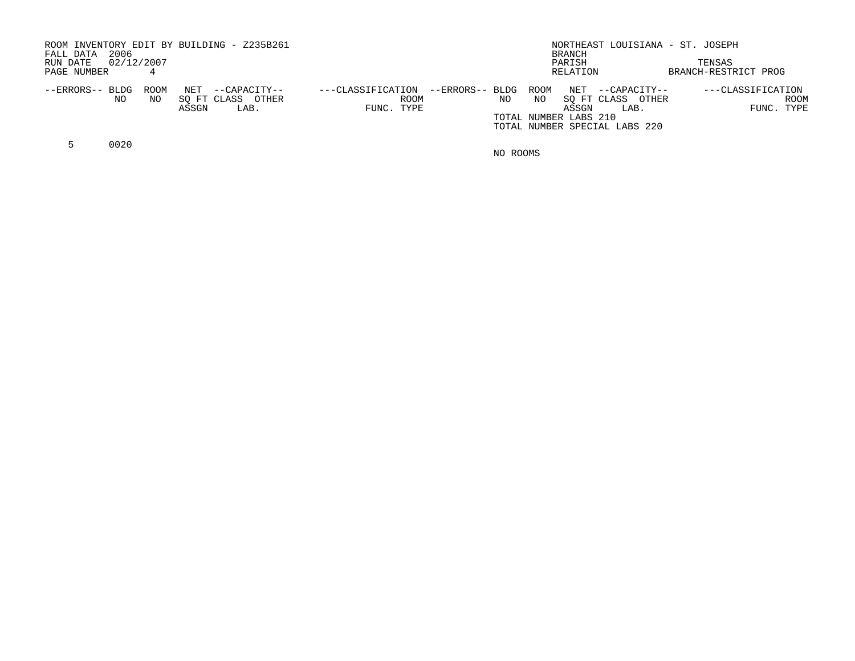| ROOM INVENTORY EDIT BY BUILDING - Z235B261<br>2006<br>FALL DATA |                                    |                           |                                      | NORTHEAST LOUISIANA - ST. JOSEPH<br><b>BRANCH</b> |                           |
|-----------------------------------------------------------------|------------------------------------|---------------------------|--------------------------------------|---------------------------------------------------|---------------------------|
| 02/12/2007<br>RUN DATE                                          |                                    |                           |                                      | PARISH                                            | TENSAS                    |
| PAGE NUMBER                                                     |                                    |                           |                                      | RELATION                                          | BRANCH-RESTRICT PROG      |
| ROOM<br>--ERRORS-- BLDG<br>NO.<br>NO.                           | NET<br>--CAPACITY--<br>SO FT CLASS | ---CLASSIFICATION<br>ROOM | --ERRORS-- BLDG<br>ROOM<br>ΝO<br>NO. | NET<br>--CAPACITY--                               | ---CLASSIFICATION<br>ROOM |
|                                                                 | OTHER<br>ASSGN<br>LAB.             | FUNC. TYPE                |                                      | SO FT CLASS<br>OTHER<br>ASSGN<br>LAB.             | FUNC. TYPE                |
|                                                                 |                                    |                           | TOTAL NUMBER LABS 210                | TOTAL NUMBER SPECIAL LABS 220                     |                           |
|                                                                 |                                    |                           |                                      |                                                   |                           |

5 0020

NO ROOMS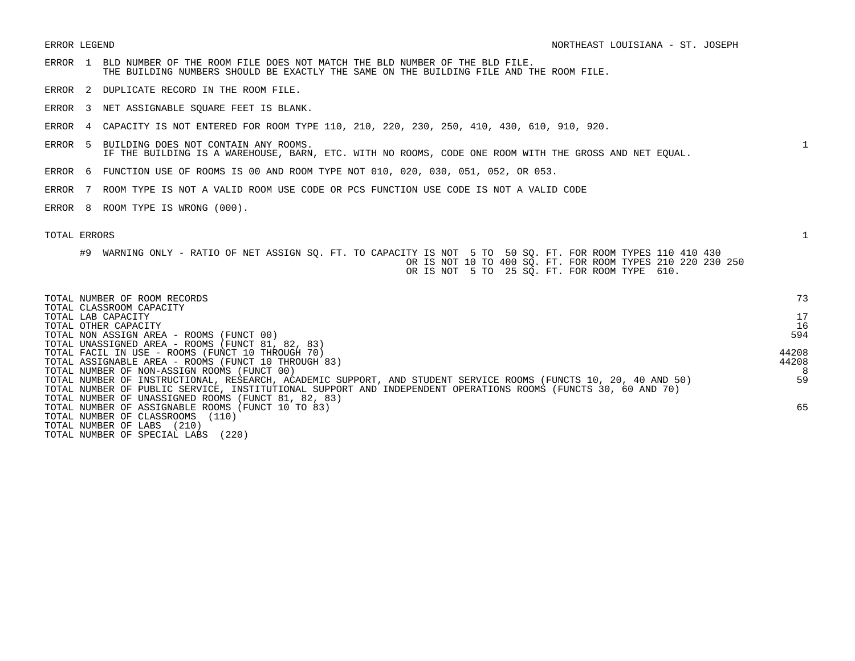- ERROR 1 BLD NUMBER OF THE ROOM FILE DOES NOT MATCH THE BLD NUMBER OF THE BLD FILE. THE BUILDING NUMBERS SHOULD BE EXACTLY THE SAME ON THE BUILDING FILE AND THE ROOM FILE.
- ERROR 2 DUPLICATE RECORD IN THE ROOM FILE.
- ERROR 3 NET ASSIGNABLE SQUARE FEET IS BLANK.
- ERROR 4 CAPACITY IS NOT ENTERED FOR ROOM TYPE 110, 210, 220, 230, 250, 410, 430, 610, 910, 920.
- ERROR 5 BUILDING DOES NOT CONTAIN ANY ROOMS. 1 IF THE BUILDING IS A WAREHOUSE, BARN, ETC. WITH NO ROOMS, CODE ONE ROOM WITH THE GROSS AND NET EQUAL.
- ERROR 6 FUNCTION USE OF ROOMS IS 00 AND ROOM TYPE NOT 010, 020, 030, 051, 052, OR 053.
- ERROR 7 ROOM TYPE IS NOT A VALID ROOM USE CODE OR PCS FUNCTION USE CODE IS NOT A VALID CODE
- ERROR 8 ROOM TYPE IS WRONG (000).

| #9  WARNING ONLY – RATIO OF NET ASSIGN SO. FT. TO CAPACITY IS NOT  5 TO  50 SO. FT. FOR ROOM TYPES 110 410 430 |  |  |  |  |  |  |  |  |                                                            |  |  |  |
|----------------------------------------------------------------------------------------------------------------|--|--|--|--|--|--|--|--|------------------------------------------------------------|--|--|--|
|                                                                                                                |  |  |  |  |  |  |  |  | OR IS NOT 10 TO 400 SO. FT. FOR ROOM TYPES 210 220 230 250 |  |  |  |
|                                                                                                                |  |  |  |  |  |  |  |  | OR IS NOT 5 TO 25 SO. FT. FOR ROOM TYPE 610.               |  |  |  |

| TOTAL NUMBER OF ROOM RECORDS                                                                                    | 73    |
|-----------------------------------------------------------------------------------------------------------------|-------|
| TOTAL CLASSROOM CAPACITY                                                                                        |       |
| TOTAL LAB CAPACITY                                                                                              | 17    |
| TOTAL OTHER CAPACITY                                                                                            | 16    |
| TOTAL NON ASSIGN AREA - ROOMS (FUNCT 00)                                                                        | 594   |
| TOTAL UNASSIGNED AREA - ROOMS (FUNCT 81, 82, 83)                                                                |       |
| TOTAL FACIL IN USE - ROOMS (FUNCT 10 THROUGH 70)                                                                | 44208 |
| TOTAL ASSIGNABLE AREA - ROOMS (FUNCT 10 THROUGH 83)                                                             | 44208 |
| TOTAL NUMBER OF NON-ASSIGN ROOMS (FUNCT 00)                                                                     | 8     |
| TOTAL NUMBER OF INSTRUCTIONAL, RESEARCH, ACADEMIC SUPPORT, AND STUDENT SERVICE ROOMS (FUNCTS 10, 20, 40 AND 50) | 59    |
| TOTAL NUMBER OF PUBLIC SERVICE, INSTITUTIONAL SUPPORT AND INDEPENDENT OPERATIONS ROOMS (FUNCTS 30, 60 AND 70)   |       |
| TOTAL NUMBER OF UNASSIGNED ROOMS (FUNCT 81, 82, 83)                                                             |       |
| TOTAL NUMBER OF ASSIGNABLE ROOMS (FUNCT 10 TO 83)                                                               | 65    |
| TOTAL NUMBER OF CLASSROOMS<br>(110)                                                                             |       |
| TOTAL NUMBER OF LABS<br>(210)                                                                                   |       |
| (220)<br>TOTAL NUMBER OF SPECIAL LABS                                                                           |       |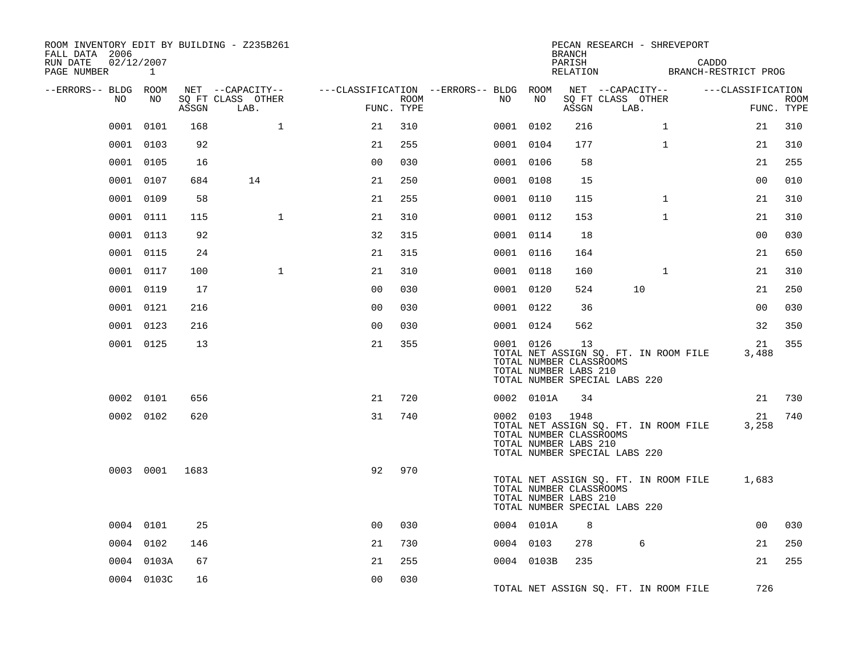| ROOM INVENTORY EDIT BY BUILDING - Z235B261<br>FALL DATA 2006<br>RUN DATE<br>PAGE NUMBER | 02/12/2007<br>$\mathbf{1}$ |       |                                               |                                                      |             |           |                                                                    | <b>BRANCH</b><br>PARISH<br>RELATION | PECAN RESEARCH - SHREVEPORT                                            |              | CADDO<br>BRANCH-RESTRICT PROG |                |             |
|-----------------------------------------------------------------------------------------|----------------------------|-------|-----------------------------------------------|------------------------------------------------------|-------------|-----------|--------------------------------------------------------------------|-------------------------------------|------------------------------------------------------------------------|--------------|-------------------------------|----------------|-------------|
| --ERRORS-- BLDG ROOM<br>NO                                                              | NO                         | ASSGN | NET --CAPACITY--<br>SQ FT CLASS OTHER<br>LAB. | ---CLASSIFICATION --ERRORS-- BLDG ROOM<br>FUNC. TYPE | <b>ROOM</b> | NO        | NO                                                                 | ASSGN                               | NET --CAPACITY--<br>SQ FT CLASS OTHER<br>LAB.                          |              | ---CLASSIFICATION             | FUNC. TYPE     | <b>ROOM</b> |
| 0001                                                                                    | 0101                       | 168   | $\mathbf{1}$                                  | 21                                                   | 310         | 0001 0102 |                                                                    | 216                                 |                                                                        | $\mathbf{1}$ |                               | 21             | 310         |
|                                                                                         | 0001 0103                  | 92    |                                               | 21                                                   | 255         | 0001 0104 |                                                                    | 177                                 |                                                                        | $\mathbf{1}$ |                               | 21             | 310         |
|                                                                                         | 0001 0105                  | 16    |                                               | 0 <sub>0</sub>                                       | 030         | 0001 0106 |                                                                    | 58                                  |                                                                        |              |                               | 21             | 255         |
|                                                                                         | 0001 0107                  | 684   | 14                                            | 21                                                   | 250         | 0001 0108 |                                                                    | 15                                  |                                                                        |              |                               | 0 <sub>0</sub> | 010         |
| 0001                                                                                    | 0109                       | 58    |                                               | 21                                                   | 255         | 0001 0110 |                                                                    | 115                                 |                                                                        | $\mathbf{1}$ |                               | 21             | 310         |
| 0001                                                                                    | 0111                       | 115   | $\mathbf{1}$                                  | 21                                                   | 310         | 0001 0112 |                                                                    | 153                                 |                                                                        | $\mathbf{1}$ |                               | 21             | 310         |
|                                                                                         | 0001 0113                  | 92    |                                               | 32                                                   | 315         | 0001 0114 |                                                                    | 18                                  |                                                                        |              |                               | 0 <sub>0</sub> | 030         |
|                                                                                         | 0001 0115                  | 24    |                                               | 21                                                   | 315         | 0001 0116 |                                                                    | 164                                 |                                                                        |              |                               | 21             | 650         |
| 0001                                                                                    | 0117                       | 100   | $\mathbf{1}$                                  | 21                                                   | 310         | 0001 0118 |                                                                    | 160                                 |                                                                        | $\mathbf{1}$ |                               | 21             | 310         |
| 0001                                                                                    | 0119                       | 17    |                                               | 0 <sub>0</sub>                                       | 030         | 0001 0120 |                                                                    | 524                                 | 10                                                                     |              |                               | 21             | 250         |
|                                                                                         | 0001 0121                  | 216   |                                               | 0 <sub>0</sub>                                       | 030         | 0001 0122 |                                                                    | 36                                  |                                                                        |              |                               | 00             | 030         |
|                                                                                         | 0001 0123                  | 216   |                                               | 0 <sub>0</sub>                                       | 030         | 0001 0124 |                                                                    | 562                                 |                                                                        |              |                               | 32             | 350         |
|                                                                                         | 0001 0125                  | 13    |                                               | 21                                                   | 355         | 0001 0126 | TOTAL NUMBER CLASSROOMS<br>TOTAL NUMBER LABS 210                   | 13                                  | TOTAL NET ASSIGN SQ. FT. IN ROOM FILE<br>TOTAL NUMBER SPECIAL LABS 220 |              |                               | 21<br>3,488    | 355         |
|                                                                                         | 0002 0101                  | 656   |                                               | 21                                                   | 720         |           | 0002 0101A                                                         | 34                                  |                                                                        |              |                               | 21             | 730         |
|                                                                                         | 0002 0102                  | 620   |                                               | 31                                                   | 740         |           | 0002 0103 1948<br>TOTAL NUMBER CLASSROOMS<br>TOTAL NUMBER LABS 210 |                                     | TOTAL NET ASSIGN SQ. FT. IN ROOM FILE<br>TOTAL NUMBER SPECIAL LABS 220 |              |                               | 21<br>3,258    | 740         |
|                                                                                         | 0003 0001                  | 1683  |                                               | 92                                                   | 970         |           | TOTAL NUMBER CLASSROOMS<br>TOTAL NUMBER LABS 210                   |                                     | TOTAL NET ASSIGN SQ. FT. IN ROOM FILE<br>TOTAL NUMBER SPECIAL LABS 220 |              |                               | 1,683          |             |
|                                                                                         | 0004 0101                  | 25    |                                               | 0 <sub>0</sub>                                       | 030         |           | 0004 0101A                                                         | 8                                   |                                                                        |              |                               | 0 <sub>0</sub> | 030         |
|                                                                                         | 0004 0102                  | 146   |                                               | 21                                                   | 730         | 0004 0103 |                                                                    | 278                                 | 6                                                                      |              |                               | 21             | 250         |
|                                                                                         | 0004 0103A                 | 67    |                                               | 21                                                   | 255         |           | 0004 0103B                                                         | 235                                 |                                                                        |              |                               | 21             | 255         |
|                                                                                         | 0004 0103C                 | 16    |                                               | 0 <sub>0</sub>                                       | 030         |           |                                                                    |                                     | TOTAL NET ASSIGN SQ. FT. IN ROOM FILE                                  |              |                               | 726            |             |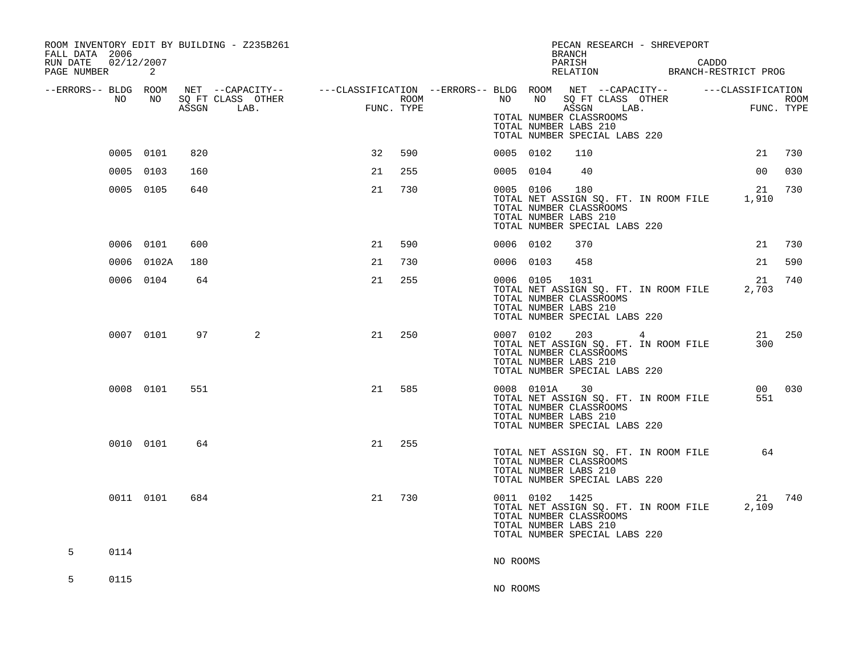| ROOM INVENTORY EDIT BY BUILDING - Z235B261<br>FALL DATA 2006 |            |     |                   |                                                           |     |             |           | BRANCH                                                                                                | PECAN RESEARCH - SHREVEPORT                              |                 |            |
|--------------------------------------------------------------|------------|-----|-------------------|-----------------------------------------------------------|-----|-------------|-----------|-------------------------------------------------------------------------------------------------------|----------------------------------------------------------|-----------------|------------|
| RUN DATE 02/12/2007<br>PAGE NUMBER                           | 2          |     |                   |                                                           |     |             |           |                                                                                                       | PARISH CADDO RELATION BRANCH-RESTRICT PROG               |                 |            |
| --ERRORS-- BLDG ROOM<br>NO                                   | NO 11      |     | SQ FT CLASS OTHER |                                                           |     | <b>ROOM</b> |           |                                                                                                       | NO NO SOFT CLASS OTHER<br>ASSGN LAB. FU                  |                 | ROOM       |
|                                                              |            |     | ASSGN LAB.        | $\begin{aligned} \text{FUNC} \end{aligned}$<br>FUNC. TYPE |     |             |           | TOTAL NUMBER CLASSROOMS<br>TOTAL NUMBER LABS 210<br>TOTAL NUMBER SPECIAL LABS 220                     |                                                          |                 | FUNC. TYPE |
|                                                              | 0005 0101  | 820 |                   | 32                                                        | 590 |             | 0005 0102 | 110                                                                                                   |                                                          | 21              | 730        |
|                                                              | 0005 0103  | 160 |                   | 21                                                        | 255 |             | 0005 0104 | 40                                                                                                    |                                                          | 00              | 030        |
|                                                              | 0005 0105  | 640 |                   | 21                                                        | 730 |             | 0005 0106 | 180<br>TOTAL NUMBER CLASSROOMS<br>TOTAL NUMBER LABS 210<br>TOTAL NUMBER SPECIAL LABS 220              | TOTAL NET ASSIGN SQ. FT. IN ROOM FILE 1,910              | 21              | 730        |
|                                                              | 0006 0101  | 600 |                   | 21                                                        | 590 |             | 0006 0102 | 370                                                                                                   |                                                          | 21              | 730        |
|                                                              | 0006 0102A | 180 |                   | 21                                                        | 730 |             | 0006 0103 | 458                                                                                                   |                                                          | 21              | 590        |
|                                                              | 0006 0104  | 64  |                   | 21                                                        | 255 |             |           | 0006 0105 1031<br>TOTAL NUMBER CLASSROOMS<br>TOTAL NUMBER LABS 210<br>TOTAL NUMBER SPECIAL LABS 220   | TOTAL NET ASSIGN SQ. FT. IN ROOM FILE                    | 21<br>2,703     | 740        |
|                                                              | 0007 0101  | 97  | 2                 | 21                                                        | 250 |             |           | TOTAL NUMBER CLASSROOMS<br>TOTAL NUMBER LABS 210<br>TOTAL NUMBER SPECIAL LABS 220                     | 0007 0102 203 4<br>TOTAL NET ASSIGN SQ. FT. IN ROOM FILE | 300             | 21 250     |
|                                                              | 0008 0101  | 551 |                   | 21                                                        | 585 |             |           | 0008 0101A<br>30<br>TOTAL NUMBER CLASSROOMS<br>TOTAL NUMBER LABS 210<br>TOTAL NUMBER SPECIAL LABS 220 | TOTAL NET ASSIGN SQ. FT. IN ROOM FILE                    | 551             | 00 030     |
|                                                              | 0010 0101  | 64  |                   | 21                                                        | 255 |             |           | TOTAL NUMBER CLASSROOMS<br>TOTAL NUMBER LABS 210<br>TOTAL NUMBER SPECIAL LABS 220                     | TOTAL NET ASSIGN SQ. FT. IN ROOM FILE                    | 64              |            |
|                                                              | 0011 0101  | 684 |                   | 21                                                        | 730 |             |           | 0011 0102 1425<br>TOTAL NUMBER CLASSROOMS<br>TOTAL NUMBER LABS 210<br>TOTAL NUMBER SPECIAL LABS 220   | TOTAL NET ASSIGN SQ. FT. IN ROOM FILE                    | 21 740<br>2,109 |            |
| 0114<br>5                                                    |            |     |                   |                                                           |     |             | NO ROOMS  |                                                                                                       |                                                          |                 |            |
| 5<br>0115                                                    |            |     |                   |                                                           |     |             |           |                                                                                                       |                                                          |                 |            |
|                                                              |            |     |                   |                                                           |     |             | NO ROOMS  |                                                                                                       |                                                          |                 |            |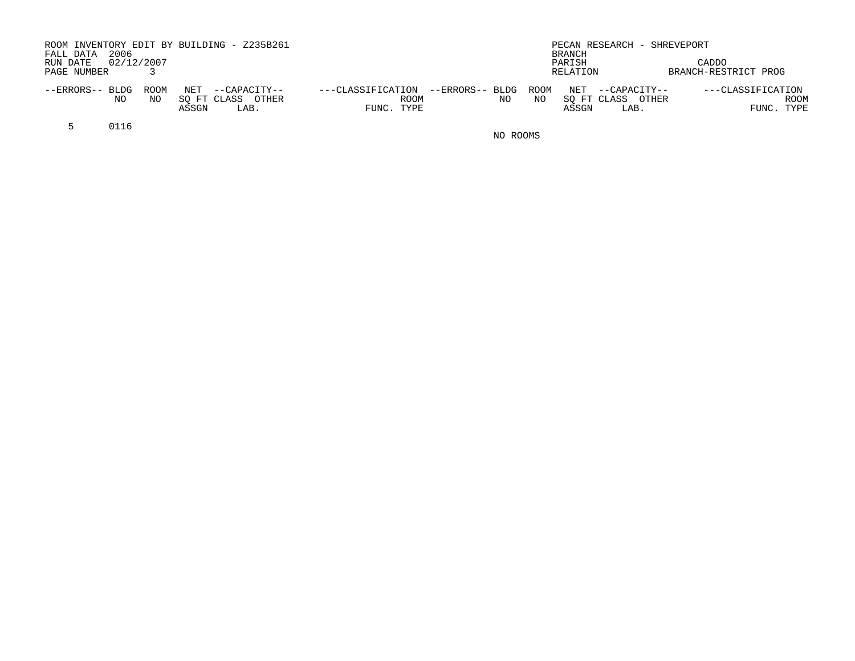| ROOM INVENTORY EDIT BY BUILDING - Z235B261<br>PECAN RESEARCH - SHREVEPORT<br>2006<br>FALL DATA<br>BRANCH |                                                                              |                                                                    |                                         |  |  |  |  |  |  |  |  |
|----------------------------------------------------------------------------------------------------------|------------------------------------------------------------------------------|--------------------------------------------------------------------|-----------------------------------------|--|--|--|--|--|--|--|--|
| 02/12/2007<br>RUN DATE<br>PARISH<br>CADDO<br>BRANCH-RESTRICT PROG<br>RELATION<br>PAGE NUMBER             |                                                                              |                                                                    |                                         |  |  |  |  |  |  |  |  |
| ROOM<br>NET<br>--ERRORS-- BLDG<br>--CAPACITY--<br>SO FT CLASS<br>NO.<br>OTHER<br>NO.<br>ASSGN<br>LAB.    | --ERRORS-- BLDG ROOM<br>---CLASSIFICATION<br><b>ROOM</b><br>NΟ<br>FUNC. TYPE | NET<br>--CAPACITY--<br>ΝO<br>SO FT CLASS<br>OTHER<br>ASSGN<br>LAB. | ---CLASSIFICATION<br>ROOM<br>FUNC. TYPE |  |  |  |  |  |  |  |  |

5 0116

NO ROOMS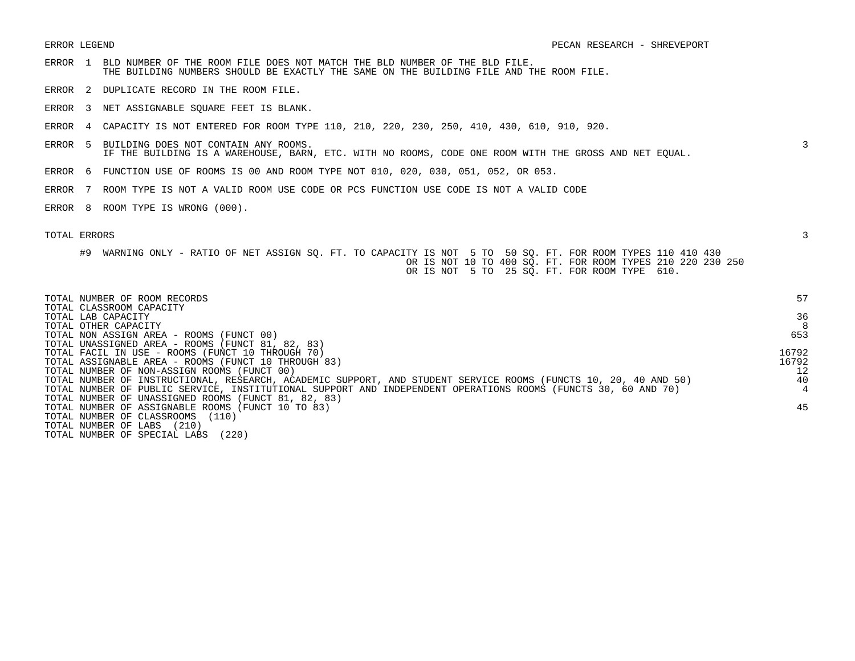- ERROR 1 BLD NUMBER OF THE ROOM FILE DOES NOT MATCH THE BLD NUMBER OF THE BLD FILE. THE BUILDING NUMBERS SHOULD BE EXACTLY THE SAME ON THE BUILDING FILE AND THE ROOM FILE.
- ERROR 2 DUPLICATE RECORD IN THE ROOM FILE.
- ERROR 3 NET ASSIGNABLE SQUARE FEET IS BLANK.
- ERROR 4 CAPACITY IS NOT ENTERED FOR ROOM TYPE 110, 210, 220, 230, 250, 410, 430, 610, 910, 920.
- ERROR 5 BUILDING DOES NOT CONTAIN ANY ROOMS. 3 IF THE BUILDING IS A WAREHOUSE, BARN, ETC. WITH NO ROOMS, CODE ONE ROOM WITH THE GROSS AND NET EQUAL.
- ERROR 6 FUNCTION USE OF ROOMS IS 00 AND ROOM TYPE NOT 010, 020, 030, 051, 052, OR 053.
- ERROR 7 ROOM TYPE IS NOT A VALID ROOM USE CODE OR PCS FUNCTION USE CODE IS NOT A VALID CODE
- ERROR 8 ROOM TYPE IS WRONG (000).

#9 WARNING ONLY - RATIO OF NET ASSIGN SQ. FT. TO CAPACITY IS NOT 5 TO 50 SQ. FT. FOR ROOM TYPES 110 410 430 OR IS NOT 10 TO 400 SQ. FT. FOR ROOM TYPES 210 220 230 250 OR IS NOT 5 TO 25 SQ. FT. FOR ROOM TYPE 610.

| TOTAL NUMBER OF ROOM RECORDS                                                                                    | 57    |
|-----------------------------------------------------------------------------------------------------------------|-------|
| TOTAL CLASSROOM CAPACITY                                                                                        |       |
| TOTAL LAB CAPACITY                                                                                              | 36    |
| TOTAL OTHER CAPACITY                                                                                            |       |
| TOTAL NON ASSIGN AREA - ROOMS (FUNCT 00)                                                                        | 653   |
| TOTAL UNASSIGNED AREA - ROOMS (FUNCT 81, 82, 83)                                                                |       |
| TOTAL FACIL IN USE - ROOMS (FUNCT 10 THROUGH 70)                                                                | 16792 |
| TOTAL ASSIGNABLE AREA - ROOMS (FUNCT 10 THROUGH 83)                                                             | 16792 |
| TOTAL NUMBER OF NON-ASSIGN ROOMS (FUNCT 00)                                                                     | 12    |
| TOTAL NUMBER OF INSTRUCTIONAL, RESEARCH, ACADEMIC SUPPORT, AND STUDENT SERVICE ROOMS (FUNCTS 10, 20, 40 AND 50) | 40    |
| TOTAL NUMBER OF PUBLIC SERVICE, INSTITUTIONAL SUPPORT AND INDEPENDENT OPERATIONS ROOMS (FUNCTS 30, 60 AND 70)   |       |
| TOTAL NUMBER OF UNASSIGNED ROOMS (FUNCT 81, 82, 83)                                                             |       |
| TOTAL NUMBER OF ASSIGNABLE ROOMS (FUNCT 10 TO 83)                                                               | 45    |
| TOTAL NUMBER OF CLASSROOMS<br>(110)                                                                             |       |
| TOTAL NUMBER OF LABS<br>(210)                                                                                   |       |
| (220)<br>TOTAL NUMBER OF SPECIAL LABS                                                                           |       |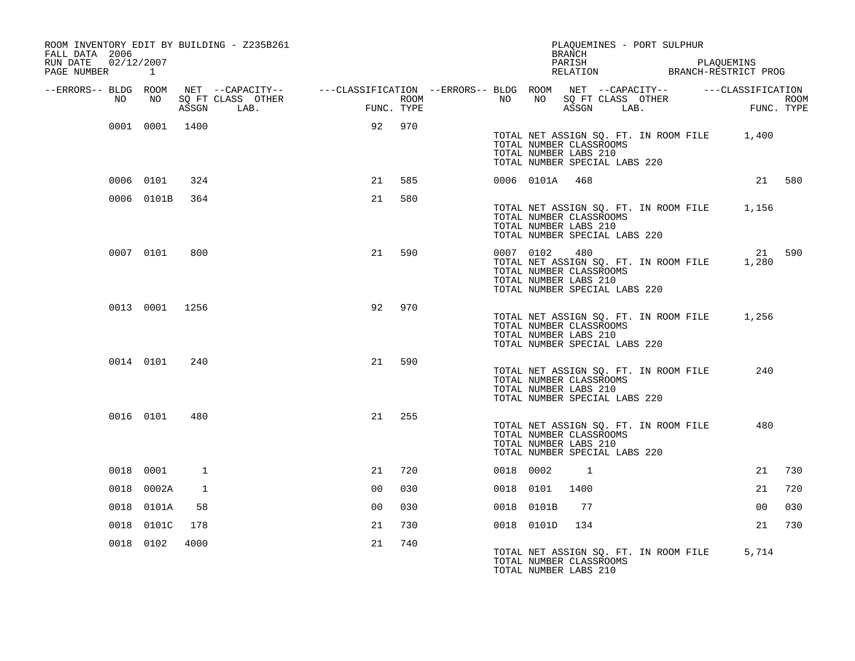| ROOM INVENTORY EDIT BY BUILDING - Z235B261<br>FALL DATA 2006<br>RUN DATE 02/12/2007<br>PAGE NUMBER 1 |                |      |                                                                                                                                                                                        |                |        |           |                                                                                                | <b>BRANCH</b> | PLAQUEMINES - PORT SULPHUR            | PARISH PIAQUEMINS<br>RELATION BRANCH-RESTRICT PROG |        |
|------------------------------------------------------------------------------------------------------|----------------|------|----------------------------------------------------------------------------------------------------------------------------------------------------------------------------------------|----------------|--------|-----------|------------------------------------------------------------------------------------------------|---------------|---------------------------------------|----------------------------------------------------|--------|
|                                                                                                      |                |      |                                                                                                                                                                                        |                |        |           |                                                                                                |               |                                       |                                                    |        |
| --ERRORS-- BLDG ROOM<br>NO                                                                           | NO             |      | NET --CAPACITY-- ---CLASSIFICATION --ERRORS---BLDG ROOM NET --CAPACITY-- -----CLASSIFICATION<br>SQ FT CLASS OTHER ROOM ROOM NO SQ FT CLASS OTHER ROOM ASSGN LAB. FUNC. TYPE ASSGN LAB. | FUNC. TYPE     |        |           |                                                                                                |               |                                       |                                                    |        |
|                                                                                                      | 0001 0001 1400 |      |                                                                                                                                                                                        |                | 92 970 |           | TOTAL NUMBER CLASSROOMS<br>TOTAL NUMBER LABS 210<br>TOTAL NUMBER SPECIAL LABS 220              |               |                                       | TOTAL NET ASSIGN SQ. FT. IN ROOM FILE 1,400        |        |
|                                                                                                      | 0006 0101      | 324  |                                                                                                                                                                                        | 21             | 585    |           | 0006 0101A 468                                                                                 |               |                                       |                                                    | 21 580 |
|                                                                                                      | 0006 0101B     | 364  |                                                                                                                                                                                        | 21             | 580    |           | TOTAL NUMBER CLASSROOMS<br>TOTAL NUMBER LABS 210<br>TOTAL NUMBER SPECIAL LABS 220              |               |                                       | TOTAL NET ASSIGN SQ. FT. IN ROOM FILE 1,156        |        |
|                                                                                                      | 0007 0101      | 800  |                                                                                                                                                                                        | 21             | 590    |           | 0007 0102<br>TOTAL NUMBER CLASSROOMS<br>TOTAL NUMBER LABS 210<br>TOTAL NUMBER SPECIAL LABS 220 | 480           | TOTAL NET ASSIGN SQ. FT. IN ROOM FILE | 21 590<br>1,280                                    |        |
|                                                                                                      | 0013 0001 1256 |      |                                                                                                                                                                                        | 92             | 970    |           | TOTAL NUMBER CLASSROOMS<br>TOTAL NUMBER LABS 210<br>TOTAL NUMBER SPECIAL LABS 220              |               |                                       | TOTAL NET ASSIGN SQ. FT. IN ROOM FILE 1,256        |        |
|                                                                                                      | 0014 0101      | 240  |                                                                                                                                                                                        | 21             | 590    |           | TOTAL NUMBER CLASSROOMS<br>TOTAL NUMBER LABS 210<br>TOTAL NUMBER SPECIAL LABS 220              |               | TOTAL NET ASSIGN SQ. FT. IN ROOM FILE | 240                                                |        |
|                                                                                                      | 0016 0101      | 480  |                                                                                                                                                                                        | 21             | 255    |           | TOTAL NUMBER CLASSROOMS<br>TOTAL NUMBER LABS 210<br>TOTAL NUMBER SPECIAL LABS 220              |               | TOTAL NET ASSIGN SQ. FT. IN ROOM FILE | 480                                                |        |
|                                                                                                      | 0018 0001      | 1    |                                                                                                                                                                                        | 21             | 720    | 0018 0002 |                                                                                                | $\sim$ 1      |                                       | 21                                                 | 730    |
|                                                                                                      | 0018 0002A     | 1    |                                                                                                                                                                                        | 0 <sub>0</sub> | 030    |           | 0018 0101                                                                                      | 1400          |                                       | 21                                                 | 720    |
|                                                                                                      | 0018 0101A     | 58   |                                                                                                                                                                                        | 0 <sub>0</sub> | 030    |           | 0018 0101B                                                                                     | 77            |                                       | 0 <sub>0</sub>                                     | 030    |
|                                                                                                      | 0018 0101C     | 178  |                                                                                                                                                                                        | 21             | 730    |           | 0018 0101D                                                                                     | 134           |                                       | 21                                                 | 730    |
|                                                                                                      | 0018 0102      | 4000 |                                                                                                                                                                                        | 21             | 740    |           | TOTAL NUMBER CLASSROOMS<br>TOTAL NUMBER LABS 210                                               |               | TOTAL NET ASSIGN SQ. FT. IN ROOM FILE | 5,714                                              |        |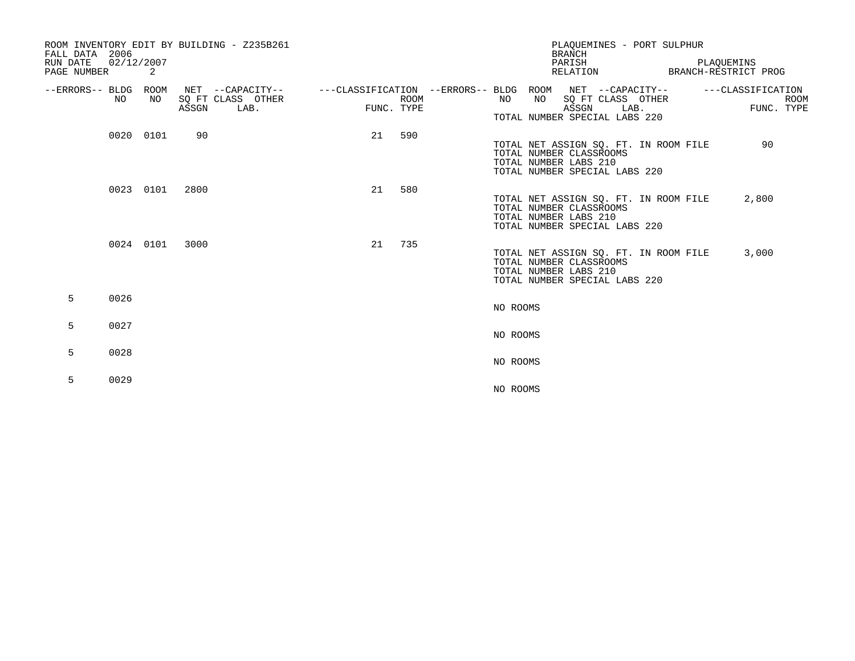| FALL DATA<br>RUN DATE<br>PAGE NUMBER | 2006<br>02/12/2007 | 2         |       | ROOM INVENTORY EDIT BY BUILDING - Z235B261 |            |             |                                                         |          |                                                                                   | <b>BRANCH</b><br>PARISH | RELATION | PLAOUEMINES - PORT SULPHUR            | PLAOUEMINS<br>BRANCH-RESTRICT PROG |            |             |
|--------------------------------------|--------------------|-----------|-------|--------------------------------------------|------------|-------------|---------------------------------------------------------|----------|-----------------------------------------------------------------------------------|-------------------------|----------|---------------------------------------|------------------------------------|------------|-------------|
| --ERRORS-- BLDG ROOM                 |                    |           |       | NET --CAPACITY--                           |            |             | ---CLASSIFICATION --ERRORS-- BLDG ROOM NET --CAPACITY-- |          |                                                                                   |                         |          |                                       | ---CLASSIFICATION                  |            |             |
|                                      | NO                 | NO.       | ASSGN | SQ FT CLASS OTHER<br>LAB.                  | FUNC. TYPE | <b>ROOM</b> |                                                         | NO       | NO<br>TOTAL NUMBER SPECIAL LABS 220                                               | ASSGN                   |          | SQ FT CLASS OTHER<br>LAB.             |                                    | FUNC. TYPE | <b>ROOM</b> |
|                                      | 0020 0101          |           | 90    |                                            | 21         | 590         |                                                         |          | TOTAL NUMBER CLASSROOMS<br>TOTAL NUMBER LABS 210<br>TOTAL NUMBER SPECIAL LABS 220 |                         |          | TOTAL NET ASSIGN SQ. FT. IN ROOM FILE |                                    | 90         |             |
|                                      |                    | 0023 0101 | 2800  |                                            | 21         | 580         |                                                         |          | TOTAL NUMBER CLASSROOMS<br>TOTAL NUMBER LABS 210<br>TOTAL NUMBER SPECIAL LABS 220 |                         |          | TOTAL NET ASSIGN SQ. FT. IN ROOM FILE |                                    | 2,800      |             |
|                                      |                    | 0024 0101 | 3000  |                                            | 21         | 735         |                                                         |          | TOTAL NUMBER CLASSROOMS<br>TOTAL NUMBER LABS 210<br>TOTAL NUMBER SPECIAL LABS 220 |                         |          | TOTAL NET ASSIGN SO. FT. IN ROOM FILE |                                    | 3,000      |             |
| 5                                    | 0026               |           |       |                                            |            |             |                                                         | NO ROOMS |                                                                                   |                         |          |                                       |                                    |            |             |
| 5                                    | 0027               |           |       |                                            |            |             |                                                         | NO ROOMS |                                                                                   |                         |          |                                       |                                    |            |             |
| 5                                    | 0028               |           |       |                                            |            |             |                                                         | NO ROOMS |                                                                                   |                         |          |                                       |                                    |            |             |
| 5                                    | 0029               |           |       |                                            |            |             |                                                         | NO ROOMS |                                                                                   |                         |          |                                       |                                    |            |             |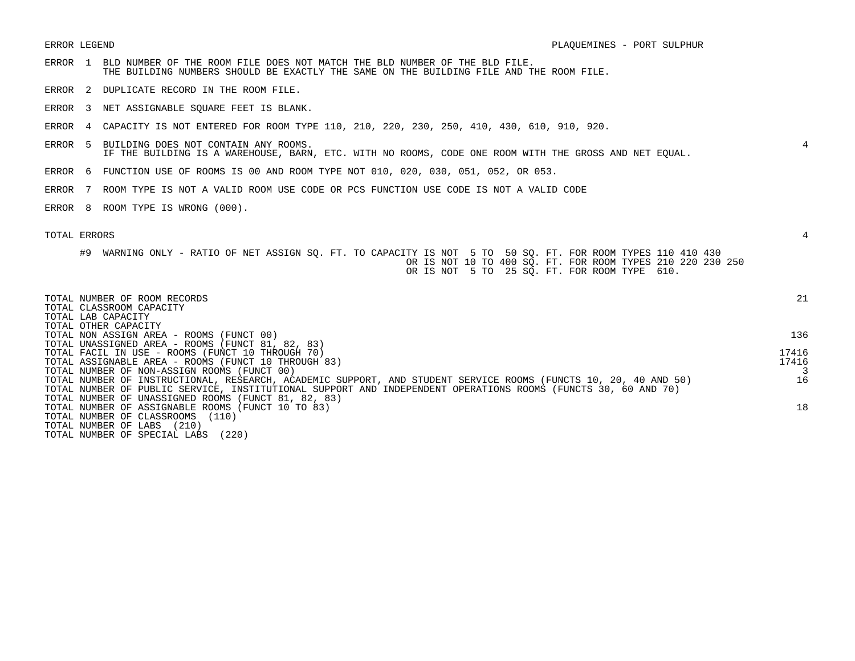- ERROR 1 BLD NUMBER OF THE ROOM FILE DOES NOT MATCH THE BLD NUMBER OF THE BLD FILE. THE BUILDING NUMBERS SHOULD BE EXACTLY THE SAME ON THE BUILDING FILE AND THE ROOM FILE.
- ERROR 2 DUPLICATE RECORD IN THE ROOM FILE.
- ERROR 3 NET ASSIGNABLE SQUARE FEET IS BLANK.
- ERROR 4 CAPACITY IS NOT ENTERED FOR ROOM TYPE 110, 210, 220, 230, 250, 410, 430, 610, 910, 920.
- ERROR 5 BUILDING DOES NOT CONTAIN ANY ROOMS. 4 IF THE BUILDING IS A WAREHOUSE, BARN, ETC. WITH NO ROOMS, CODE ONE ROOM WITH THE GROSS AND NET EQUAL.
- ERROR 6 FUNCTION USE OF ROOMS IS 00 AND ROOM TYPE NOT 010, 020, 030, 051, 052, OR 053.
- ERROR 7 ROOM TYPE IS NOT A VALID ROOM USE CODE OR PCS FUNCTION USE CODE IS NOT A VALID CODE
- ERROR 8 ROOM TYPE IS WRONG (000).

#9 WARNING ONLY - RATIO OF NET ASSIGN SQ. FT. TO CAPACITY IS NOT 5 TO 50 SQ. FT. FOR ROOM TYPES 110 410 430 OR IS NOT 10 TO 400 SQ. FT. FOR ROOM TYPES 210 220 230 250 OR IS NOT 5 TO 25 SQ. FT. FOR ROOM TYPE 610.

| TOTAL NUMBER OF ROOM RECORDS<br>TOTAL CLASSROOM CAPACITY<br>TOTAL LAB CAPACITY                                  | 21    |
|-----------------------------------------------------------------------------------------------------------------|-------|
| TOTAL OTHER CAPACITY<br>TOTAL NON ASSIGN AREA - ROOMS (FUNCT 00)                                                | 136   |
| TOTAL UNASSIGNED AREA - ROOMS (FUNCT 81, 82, 83)                                                                |       |
| TOTAL FACIL IN USE - ROOMS (FUNCT 10 THROUGH 70)                                                                | 17416 |
| TOTAL ASSIGNABLE AREA - ROOMS (FUNCT 10 THROUGH 83)                                                             | 17416 |
| TOTAL NUMBER OF NON-ASSIGN ROOMS (FUNCT 00)                                                                     |       |
| TOTAL NUMBER OF INSTRUCTIONAL, RESEARCH, ACADEMIC SUPPORT, AND STUDENT SERVICE ROOMS (FUNCTS 10, 20, 40 AND 50) | 16    |
| TOTAL NUMBER OF PUBLIC SERVICE, INSTITUTIONAL SUPPORT AND INDEPENDENT OPERATIONS ROOMS (FUNCTS 30, 60 AND 70)   |       |
| TOTAL NUMBER OF UNASSIGNED ROOMS (FUNCT 81, 82, 83)                                                             |       |
| TOTAL NUMBER OF ASSIGNABLE ROOMS (FUNCT 10 TO 83)                                                               | 18    |
| TOTAL NUMBER OF CLASSROOMS<br>(110)                                                                             |       |
| TOTAL NUMBER OF LABS<br>(210)                                                                                   |       |
| (220)<br>TOTAL NUMBER OF SPECIAL LABS                                                                           |       |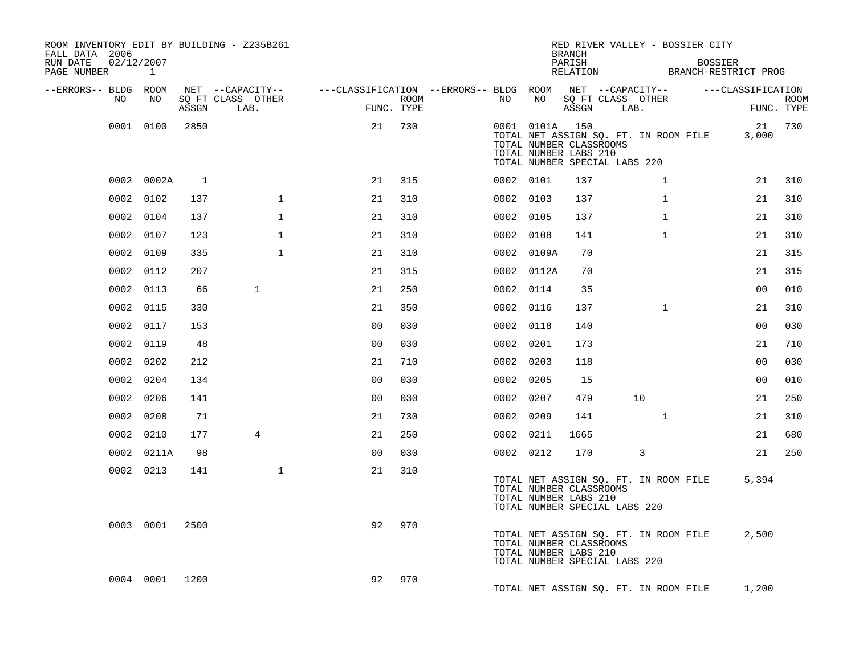| ROOM INVENTORY EDIT BY BUILDING - Z235B261<br>FALL DATA 2006<br>RUN DATE<br>PAGE NUMBER | 02/12/2007<br>$\mathbf{1}$ |       |                                               |                |                    |           |                | <b>BRANCH</b><br>PARISH<br>RELATION              | RED RIVER VALLEY - BOSSIER CITY<br><b>BOSSIER</b><br>BRANCH-RESTRICT PROG            |                   |                           |
|-----------------------------------------------------------------------------------------|----------------------------|-------|-----------------------------------------------|----------------|--------------------|-----------|----------------|--------------------------------------------------|--------------------------------------------------------------------------------------|-------------------|---------------------------|
| --ERRORS-- BLDG ROOM<br>NO.                                                             | NO                         | ASSGN | NET --CAPACITY--<br>SQ FT CLASS OTHER<br>LAB. |                | ROOM<br>FUNC. TYPE | NO        | NO             | ASSGN                                            | ---CLASSIFICATION --ERRORS-- BLDG ROOM NET --CAPACITY--<br>SQ FT CLASS OTHER<br>LAB. | ---CLASSIFICATION | <b>ROOM</b><br>FUNC. TYPE |
|                                                                                         | 0001 0100                  | 2850  |                                               | 21             | 730                |           | 0001 0101A 150 | TOTAL NUMBER CLASSROOMS<br>TOTAL NUMBER LABS 210 | TOTAL NET ASSIGN SQ. FT. IN ROOM FILE<br>TOTAL NUMBER SPECIAL LABS 220               | 21<br>3,000       | 730                       |
|                                                                                         | 0002 0002A                 | 1     |                                               | 21             | 315                | 0002 0101 |                | 137                                              | $\mathbf{1}$                                                                         | 21                | 310                       |
|                                                                                         | 0002 0102                  | 137   | $\mathbf{1}$                                  | 21             | 310                | 0002 0103 |                | 137                                              | $\mathbf{1}$                                                                         | 21                | 310                       |
|                                                                                         | 0002 0104                  | 137   | $\mathbf{1}$                                  | 21             | 310                | 0002 0105 |                | 137                                              | $\mathbf{1}$                                                                         | 21                | 310                       |
|                                                                                         | 0002 0107                  | 123   | $\mathbf{1}$                                  | 21             | 310                | 0002 0108 |                | 141                                              | $\mathbf{1}$                                                                         | 21                | 310                       |
| 0002                                                                                    | 0109                       | 335   | $\mathbf{1}$                                  | 21             | 310                |           | 0002 0109A     | 70                                               |                                                                                      | 21                | 315                       |
|                                                                                         | 0002 0112                  | 207   |                                               | 21             | 315                |           | 0002 0112A     | 70                                               |                                                                                      | 21                | 315                       |
| 0002                                                                                    | 0113                       | 66    | $\mathbf{1}$                                  | 21             | 250                | 0002 0114 |                | 35                                               |                                                                                      | 0 <sub>0</sub>    | 010                       |
|                                                                                         | 0002 0115                  | 330   |                                               | 21             | 350                | 0002 0116 |                | 137                                              | $\mathbf{1}$                                                                         | 21                | 310                       |
|                                                                                         | 0002 0117                  | 153   |                                               | 0 <sub>0</sub> | 030                | 0002 0118 |                | 140                                              |                                                                                      | 0 <sub>0</sub>    | 030                       |
|                                                                                         | 0002 0119                  | 48    |                                               | 0 <sub>0</sub> | 030                | 0002 0201 |                | 173                                              |                                                                                      | 21                | 710                       |
|                                                                                         | 0002 0202                  | 212   |                                               | 21             | 710                | 0002 0203 |                | 118                                              |                                                                                      | 0 <sub>0</sub>    | 030                       |
|                                                                                         | 0002 0204                  | 134   |                                               | 0 <sub>0</sub> | 030                | 0002 0205 |                | 15                                               |                                                                                      | 00                | 010                       |
|                                                                                         | 0002 0206                  | 141   |                                               | 0 <sub>0</sub> | 030                | 0002 0207 |                | 479                                              | 10                                                                                   | 21                | 250                       |
| 0002                                                                                    | 0208                       | 71    |                                               | 21             | 730                | 0002 0209 |                | 141                                              | $\mathbf{1}$                                                                         | 21                | 310                       |
|                                                                                         | 0002 0210                  | 177   | 4                                             | 21             | 250                | 0002 0211 |                | 1665                                             |                                                                                      | 21                | 680                       |
|                                                                                         | 0002 0211A                 | 98    |                                               | 0 <sub>0</sub> | 030                | 0002 0212 |                | 170                                              | 3                                                                                    | 21                | 250                       |
|                                                                                         | 0002 0213                  | 141   | $\mathbf{1}$                                  | 21             | 310                |           |                | TOTAL NUMBER CLASSROOMS<br>TOTAL NUMBER LABS 210 | TOTAL NET ASSIGN SQ. FT. IN ROOM FILE<br>TOTAL NUMBER SPECIAL LABS 220               | 5,394             |                           |
|                                                                                         | 0003 0001                  | 2500  |                                               | 92             | 970                |           |                | TOTAL NUMBER CLASSROOMS<br>TOTAL NUMBER LABS 210 | TOTAL NET ASSIGN SQ. FT. IN ROOM FILE<br>TOTAL NUMBER SPECIAL LABS 220               | 2,500             |                           |
|                                                                                         | 0004 0001                  | 1200  |                                               | 92             | 970                |           |                |                                                  | TOTAL NET ASSIGN SQ. FT. IN ROOM FILE                                                | 1,200             |                           |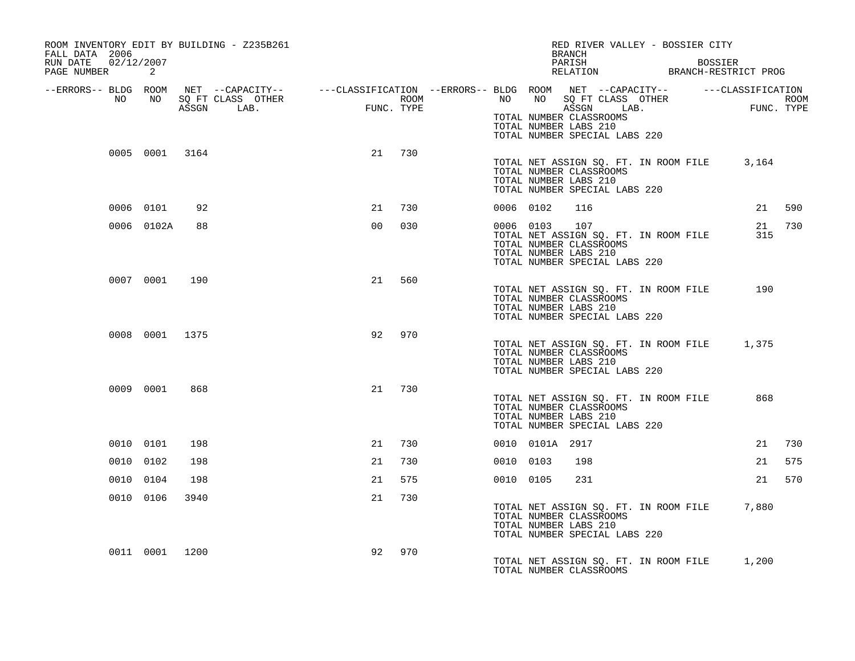| ROOM INVENTORY EDIT BY BUILDING - Z235B261<br>FALL DATA 2006 |                |      |                                                                                                                     |                                                                                                                                                                                                                                                                                                                                                                                        |            |           |                 | RED RIVER VALLEY - BOSSIER CITY<br>BRANCH                                                                                         |                |            |        |
|--------------------------------------------------------------|----------------|------|---------------------------------------------------------------------------------------------------------------------|----------------------------------------------------------------------------------------------------------------------------------------------------------------------------------------------------------------------------------------------------------------------------------------------------------------------------------------------------------------------------------------|------------|-----------|-----------------|-----------------------------------------------------------------------------------------------------------------------------------|----------------|------------|--------|
| RUN DATE<br>02/12/2007<br>PAGE NUMBER                        | 2              |      |                                                                                                                     |                                                                                                                                                                                                                                                                                                                                                                                        |            |           |                 | PARISH<br>PARISH BUSSIER<br>RELATION BRANCH-RESTRICT PROG                                                                         | <b>BOSSIER</b> |            |        |
| --ERRORS-- BLDG ROOM<br>NO                                   | NO             |      | NET --CAPACITY-- - ---CLASSIFICATION --ERRORS-- BLDG ROOM NET --CAPACITY-- - ---CLASSIFICATION<br>SO FT CLASS OTHER |                                                                                                                                                                                                                                                                                                                                                                                        | ROOM       | NO NO     |                 | NO SQ FT CLASS OTHER                                                                                                              |                |            | ROOM   |
|                                                              |                |      | ASSGN LAB.                                                                                                          | $\begin{tabular}{c} \bf 1 & \bf 2 & \bf 3 \\ \bf 5 & \bf 6 & \bf 7 \\ \bf 7 & \bf 8 & \bf 1 \\ \bf 9 & \bf 1 & \bf 1 \\ \bf 1 & \bf 1 & \bf 2 \\ \bf 1 & \bf 3 & \bf 3 \\ \bf 1 & \bf 1 & \bf 1 \\ \bf 1 & \bf 1 & \bf 2 \\ \bf 1 & \bf 1 & \bf 3 \\ \bf 1 & \bf 1 & \bf 1 \\ \bf 1 & \bf 1 & \bf 1 \\ \bf 1 & \bf 1 & \bf 1 \\ \bf 1 & \bf 1 & \bf 1 \\ \bf 1 & \bf 1 & \bf 1 \\ \bf$ | FUNC. TYPE |           |                 | ASSGN LAB.<br>TOTAL NUMBER CLASSROOMS<br>TOTAL NUMBER LABS 210<br>TOTAL NUMBER SPECIAL LABS 220                                   |                | FUNC. TYPE |        |
|                                                              | 0005 0001 3164 |      |                                                                                                                     | 21                                                                                                                                                                                                                                                                                                                                                                                     | 730        |           |                 | TOTAL NET ASSIGN SQ. FT. IN ROOM FILE 3,164<br>TOTAL NUMBER CLASSROOMS<br>TOTAL NUMBER LABS 210<br>TOTAL NUMBER SPECIAL LABS 220  |                |            |        |
|                                                              | 0006 0101      | 92   |                                                                                                                     | 21                                                                                                                                                                                                                                                                                                                                                                                     | 730        | 0006 0102 |                 | 116                                                                                                                               |                |            | 21 590 |
|                                                              | 0006 0102A     | 88   |                                                                                                                     | 00                                                                                                                                                                                                                                                                                                                                                                                     | 030        |           | 0006 0103       | 107<br>TOTAL NET ASSIGN SQ. FT. IN ROOM FILE<br>TOTAL NUMBER CLASSROOMS<br>TOTAL NUMBER LABS 210<br>TOTAL NUMBER SPECIAL LABS 220 |                | 21<br>315  | 730    |
|                                                              | 0007 0001      | 190  |                                                                                                                     | 21                                                                                                                                                                                                                                                                                                                                                                                     | 560        |           |                 | TOTAL NET ASSIGN SQ. FT. IN ROOM FILE<br>TOTAL NUMBER CLASSROOMS<br>TOTAL NUMBER LABS 210<br>TOTAL NUMBER SPECIAL LABS 220        |                | 190        |        |
|                                                              | 0008 0001 1375 |      |                                                                                                                     | 92                                                                                                                                                                                                                                                                                                                                                                                     | 970        |           |                 | TOTAL NET ASSIGN SQ. FT. IN ROOM FILE<br>TOTAL NUMBER CLASSROOMS<br>TOTAL NUMBER LABS 210<br>TOTAL NUMBER SPECIAL LABS 220        |                | 1,375      |        |
|                                                              | 0009 0001      | 868  |                                                                                                                     | 21                                                                                                                                                                                                                                                                                                                                                                                     | 730        |           |                 | TOTAL NET ASSIGN SQ. FT. IN ROOM FILE<br>TOTAL NUMBER CLASSROOMS<br>TOTAL NUMBER LABS 210<br>TOTAL NUMBER SPECIAL LABS 220        |                | 868        |        |
|                                                              | 0010 0101      | 198  |                                                                                                                     | 21                                                                                                                                                                                                                                                                                                                                                                                     | 730        |           | 0010 0101A 2917 |                                                                                                                                   |                | 21         | 730    |
|                                                              | 0010 0102      | 198  |                                                                                                                     | 21                                                                                                                                                                                                                                                                                                                                                                                     | 730        | 0010 0103 |                 | 198                                                                                                                               |                | 21         | 575    |
|                                                              | 0010 0104      | 198  |                                                                                                                     | 21                                                                                                                                                                                                                                                                                                                                                                                     | 575        | 0010 0105 |                 | 231                                                                                                                               |                | 21         | 570    |
|                                                              | 0010 0106      | 3940 |                                                                                                                     | 21                                                                                                                                                                                                                                                                                                                                                                                     | 730        |           |                 | TOTAL NET ASSIGN SQ. FT. IN ROOM FILE<br>TOTAL NUMBER CLASSROOMS<br>TOTAL NUMBER LABS 210<br>TOTAL NUMBER SPECIAL LABS 220        |                | 7,880      |        |
|                                                              | 0011 0001 1200 |      |                                                                                                                     | 92                                                                                                                                                                                                                                                                                                                                                                                     | 970        |           |                 | TOTAL NET ASSIGN SQ. FT. IN ROOM FILE<br>TOTAL NUMBER CLASSROOMS                                                                  |                | 1,200      |        |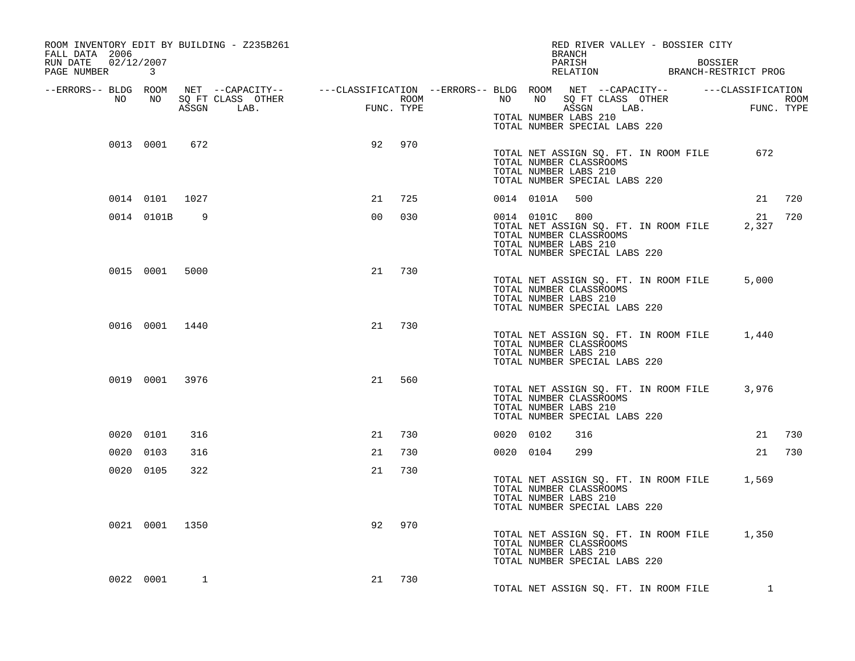| ROOM INVENTORY EDIT BY BUILDING - Z235B261<br>FALL DATA 2006<br>RUN DATE 02/12/2007<br>PAGE NUMBER 3 |                |                |                                                                                                                     |                |            |                  |           |                                                                                                     | BRANCH<br>PARISH |  | RED RIVER VALLEY - BOSSIER CITY       | <b>BOSSIER</b><br>PARISH BOSSIER<br>RELATION BRANCH-RESTRICT PROG |                    |
|------------------------------------------------------------------------------------------------------|----------------|----------------|---------------------------------------------------------------------------------------------------------------------|----------------|------------|------------------|-----------|-----------------------------------------------------------------------------------------------------|------------------|--|---------------------------------------|-------------------------------------------------------------------|--------------------|
|                                                                                                      |                |                | --ERRORS-- BLDG ROOM NET --CAPACITY-- -----CLASSIFICATION --ERRORS-- BLDG ROOM NET --CAPACITY-- -----CLASSIFICATION |                |            |                  |           |                                                                                                     |                  |  |                                       |                                                                   |                    |
| NO                                                                                                   | NO 11          |                | SQ FT CLASS OTHER<br>ASSGN LAB.                                                                                     | FUNC           | FUNC. TYPE | ROOM <b>ROOM</b> |           | NO NO SQ FT CLASS OTHER<br>TOTAL NUMBER LABS 210                                                    | ASSGN LAB.       |  |                                       | <b>FUNC</b>                                                       | ROOM<br>FUNC. TYPE |
|                                                                                                      |                |                |                                                                                                                     |                |            |                  |           | TOTAL NUMBER SPECIAL LABS 220                                                                       |                  |  |                                       |                                                                   |                    |
|                                                                                                      | 0013 0001      | 672            |                                                                                                                     | 92             | 970        |                  |           | TOTAL NUMBER CLASSROOMS<br>TOTAL NUMBER LABS 210<br>TOTAL NUMBER SPECIAL LABS 220                   |                  |  |                                       | 672<br>TOTAL NET ASSIGN SQ. FT. IN ROOM FILE                      |                    |
|                                                                                                      | 0014 0101 1027 |                |                                                                                                                     | 21             | 725        |                  |           | 0014 0101A 500                                                                                      |                  |  |                                       |                                                                   | 21 720             |
|                                                                                                      | 0014 0101B     | 9              |                                                                                                                     | 0 <sub>0</sub> | 030        |                  |           | 0014 0101C 800<br>TOTAL NUMBER CLASSROOMS<br>TOTAL NUMBER LABS 210<br>TOTAL NUMBER SPECIAL LABS 220 |                  |  | TOTAL NET ASSIGN SQ. FT. IN ROOM FILE | 21<br>2,327                                                       | 720                |
|                                                                                                      | 0015 0001 5000 |                |                                                                                                                     | 21             | 730        |                  |           | TOTAL NUMBER CLASSROOMS<br>TOTAL NUMBER LABS 210<br>TOTAL NUMBER SPECIAL LABS 220                   |                  |  | TOTAL NET ASSIGN SQ. FT. IN ROOM FILE | 5,000                                                             |                    |
|                                                                                                      | 0016 0001 1440 |                |                                                                                                                     | 21             | 730        |                  |           | TOTAL NUMBER CLASSROOMS<br>TOTAL NUMBER LABS 210<br>TOTAL NUMBER SPECIAL LABS 220                   |                  |  |                                       | TOTAL NET ASSIGN SQ. FT. IN ROOM FILE 1,440                       |                    |
|                                                                                                      |                | 0019 0001 3976 |                                                                                                                     | 21             | 560        |                  |           | TOTAL NUMBER CLASSROOMS<br>TOTAL NUMBER LABS 210<br>TOTAL NUMBER SPECIAL LABS 220                   |                  |  |                                       | TOTAL NET ASSIGN SQ. FT. IN ROOM FILE 3,976                       |                    |
|                                                                                                      | 0020 0101      | 316            |                                                                                                                     | 21             | 730        |                  | 0020 0102 |                                                                                                     | 316              |  |                                       |                                                                   | 21 730             |
|                                                                                                      | 0020 0103      | 316            |                                                                                                                     | 21             | 730        |                  | 0020 0104 |                                                                                                     | 299              |  |                                       | 21                                                                | 730                |
|                                                                                                      | 0020 0105      | 322            |                                                                                                                     | 21             | 730        |                  |           | TOTAL NUMBER CLASSROOMS<br>TOTAL NUMBER LABS 210<br>TOTAL NUMBER SPECIAL LABS 220                   |                  |  |                                       | TOTAL NET ASSIGN SQ. FT. IN ROOM FILE 1,569                       |                    |
|                                                                                                      | 0021 0001 1350 |                |                                                                                                                     | 92             | 970        |                  |           | TOTAL NUMBER CLASSROOMS<br>TOTAL NUMBER LABS 210<br>TOTAL NUMBER SPECIAL LABS 220                   |                  |  |                                       | TOTAL NET ASSIGN SQ. FT. IN ROOM FILE 1,350                       |                    |
|                                                                                                      | 0022 0001      | 1              |                                                                                                                     | 21             | 730        |                  |           |                                                                                                     |                  |  | TOTAL NET ASSIGN SQ. FT. IN ROOM FILE | 1                                                                 |                    |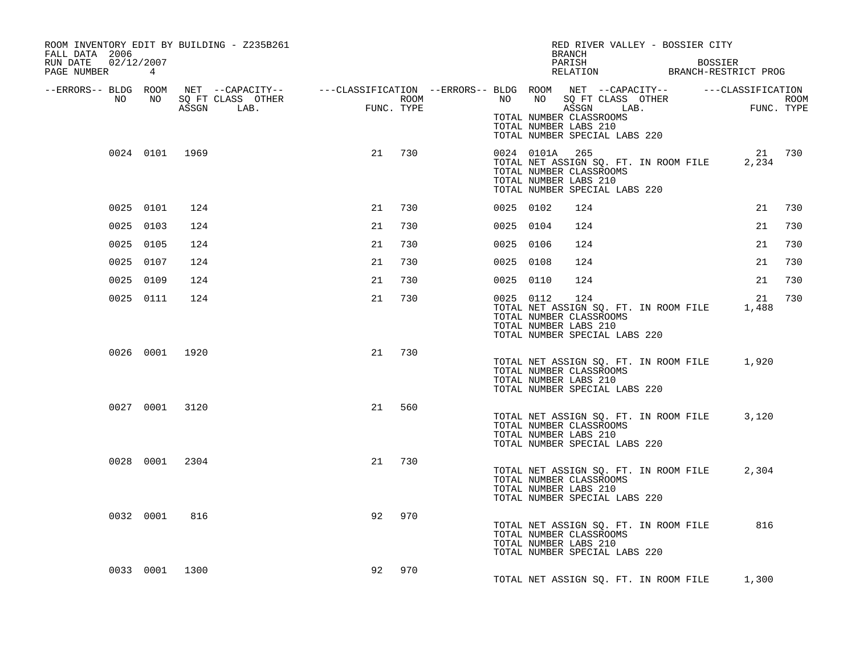| ROOM INVENTORY EDIT BY BUILDING - Z235B261<br>FALL DATA 2006 |           |                |                                 |                                                  |            |                  |           |                | RED RIVER VALLEY - BOSSIER CITY<br>BRANCH                                                                                                       |                |             |     |
|--------------------------------------------------------------|-----------|----------------|---------------------------------|--------------------------------------------------|------------|------------------|-----------|----------------|-------------------------------------------------------------------------------------------------------------------------------------------------|----------------|-------------|-----|
| RUN DATE 02/12/2007<br>PAGE NUMBER 4                         |           |                |                                 |                                                  |            |                  |           |                | PARISH<br>PARISH BOSSIER<br>RELATION BRANCH-RESTRICT PROG                                                                                       | <b>BOSSIER</b> |             |     |
| --ERRORS-- BLDG ROOM                                         |           |                |                                 |                                                  |            |                  |           |                |                                                                                                                                                 |                |             |     |
| NO                                                           | NO 11     |                | SQ FT CLASS OTHER<br>ASSGN LAB. | $\begin{aligned} \textbf{FUNC}\,. \end{aligned}$ | FUNC. TYPE | ROOM <b>ROOM</b> |           |                | NO NO SOFT CLASS OTHER ROOM<br>NO NO SOFT CLASS OTHER ROOM<br>TOTAL NUMBER CLASSROOMS<br>TOTAL NUMBER LABS 210<br>TOTAL NUMBER SPECIAL LABS 220 |                |             |     |
|                                                              |           | 0024 0101 1969 |                                 | 21                                               | 730        |                  |           | 0024 0101A 265 | TOTAL NET ASSIGN SQ. FT. IN ROOM FILE 2,234<br>TOTAL NUMBER CLASSROOMS<br>TOTAL NUMBER LABS 210<br>TOTAL NUMBER SPECIAL LABS 220                |                | 21 730      |     |
|                                                              | 0025 0101 | 124            |                                 | 21                                               | 730        |                  | 0025 0102 |                | 124                                                                                                                                             |                | 21          | 730 |
|                                                              | 0025 0103 | 124            |                                 | 21                                               | 730        |                  | 0025 0104 |                | 124                                                                                                                                             |                | 21          | 730 |
|                                                              | 0025 0105 | 124            |                                 | 21                                               | 730        |                  | 0025 0106 |                | 124                                                                                                                                             |                | 21          | 730 |
|                                                              | 0025 0107 | 124            |                                 | 21                                               | 730        |                  | 0025 0108 |                | 124                                                                                                                                             |                | 21          | 730 |
|                                                              | 0025 0109 | 124            |                                 | 21                                               | 730        |                  | 0025 0110 |                | 124                                                                                                                                             |                | 21          | 730 |
|                                                              | 0025 0111 | 124            |                                 | 21                                               | 730        |                  | 0025 0112 |                | 124<br>TOTAL NET ASSIGN SQ. FT. IN ROOM FILE<br>TOTAL NUMBER CLASSROOMS<br>TOTAL NUMBER LABS 210<br>TOTAL NUMBER SPECIAL LABS 220               |                | 21<br>1,488 | 730 |
|                                                              |           | 0026 0001 1920 |                                 | 21                                               | 730        |                  |           |                | TOTAL NET ASSIGN SQ. FT. IN ROOM FILE<br>TOTAL NUMBER CLASSROOMS<br>TOTAL NUMBER LABS 210<br>TOTAL NUMBER SPECIAL LABS 220                      |                | 1,920       |     |
|                                                              |           | 0027 0001 3120 |                                 | 21                                               | 560        |                  |           |                | TOTAL NET ASSIGN SQ. FT. IN ROOM FILE<br>TOTAL NUMBER CLASSROOMS<br>TOTAL NUMBER LABS 210<br>TOTAL NUMBER SPECIAL LABS 220                      |                | 3,120       |     |
|                                                              |           | 0028 0001 2304 |                                 | 21                                               | 730        |                  |           |                | TOTAL NET ASSIGN SQ. FT. IN ROOM FILE<br>TOTAL NUMBER CLASSROOMS<br>TOTAL NUMBER LABS 210<br>TOTAL NUMBER SPECIAL LABS 220                      |                | 2,304       |     |
|                                                              | 0032 0001 | 816            |                                 | 92                                               | 970        |                  |           |                | TOTAL NET ASSIGN SQ. FT. IN ROOM FILE<br>TOTAL NUMBER CLASSROOMS<br>TOTAL NUMBER LABS 210<br>TOTAL NUMBER SPECIAL LABS 220                      |                | 816         |     |
|                                                              |           | 0033 0001 1300 |                                 | 92                                               | 970        |                  |           |                | TOTAL NET ASSIGN SQ. FT. IN ROOM FILE                                                                                                           |                | 1,300       |     |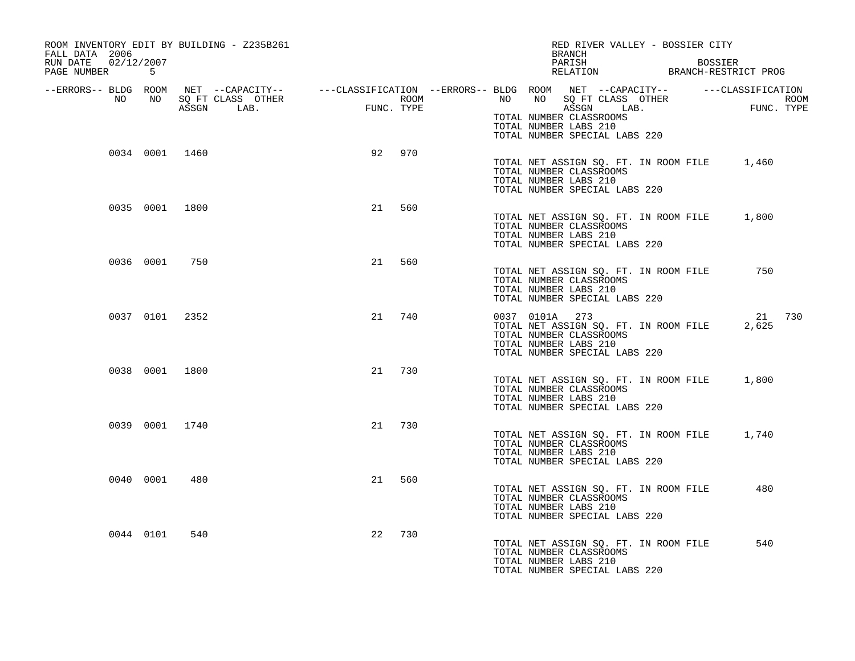| ROOM INVENTORY EDIT BY BUILDING - Z235B261<br>FALL DATA 2006<br>RUN DATE 02/12/2007 |           |                |                                 |                                             |            | RED RIVER VALLEY - BOSSIER CITY<br>BRANCH                                                                                                                                                                                                                                                                 |
|-------------------------------------------------------------------------------------|-----------|----------------|---------------------------------|---------------------------------------------|------------|-----------------------------------------------------------------------------------------------------------------------------------------------------------------------------------------------------------------------------------------------------------------------------------------------------------|
| PAGE NUMBER 5                                                                       |           |                |                                 |                                             |            | PARISH<br><b>BOSSIER</b><br>PARISH BOSSIER<br>RELATION BRANCH-RESTRICT PROG                                                                                                                                                                                                                               |
| NO                                                                                  | NO        |                | SQ FT CLASS OTHER<br>ASSGN LAB. | $\begin{aligned} \text{FUNC} \end{aligned}$ | FUNC. TYPE | --ERRORS-- BLDG ROOM NET --CAPACITY-- ----CLASSIFICATION --ERRORS-- BLDG ROOM NET --CAPACITY-- -----CLASSIFICATION<br><b>ROOM</b><br>NO NO<br>NO SQ FT CLASS OTHER<br>ROOM<br><b>FUN</b><br>ASSGN LAB.<br>FUNC. TYPE<br>TOTAL NUMBER CLASSROOMS<br>TOTAL NUMBER LABS 210<br>TOTAL NUMBER SPECIAL LABS 220 |
|                                                                                     |           | 0034 0001 1460 |                                 | 92                                          | 970        | TOTAL NET ASSIGN SQ. FT. IN ROOM FILE 1,460<br>TOTAL NUMBER CLASSROOMS<br>TOTAL NUMBER LABS 210<br>TOTAL NUMBER SPECIAL LABS 220                                                                                                                                                                          |
|                                                                                     |           | 0035 0001 1800 |                                 | 21                                          | 560        | TOTAL NET ASSIGN SQ. FT. IN ROOM FILE<br>1,800<br>TOTAL NUMBER CLASSROOMS<br>TOTAL NUMBER LABS 210<br>TOTAL NUMBER SPECIAL LABS 220                                                                                                                                                                       |
|                                                                                     |           | 0036 0001 750  |                                 | 21                                          | 560        | 750<br>TOTAL NET ASSIGN SQ. FT. IN ROOM FILE<br>TOTAL NUMBER CLASSROOMS<br>TOTAL NUMBER LABS 210<br>TOTAL NUMBER SPECIAL LABS 220                                                                                                                                                                         |
|                                                                                     |           | 0037 0101 2352 |                                 | 21                                          | 740        | 0037 0101A 273<br>21 730<br>2,625<br>TOTAL NET ASSIGN SQ. FT. IN ROOM FILE<br>TOTAL NUMBER CLASSROOMS<br>TOTAL NUMBER LABS 210<br>TOTAL NUMBER SPECIAL LABS 220                                                                                                                                           |
|                                                                                     |           | 0038 0001 1800 |                                 | 21                                          | 730        | TOTAL NET ASSIGN SQ. FT. IN ROOM FILE<br>1,800<br>TOTAL NUMBER CLASSROOMS<br>TOTAL NUMBER LABS 210<br>TOTAL NUMBER SPECIAL LABS 220                                                                                                                                                                       |
|                                                                                     |           | 0039 0001 1740 |                                 | 21                                          | 730        | TOTAL NET ASSIGN SQ. FT. IN ROOM FILE<br>1,740<br>TOTAL NUMBER CLASSROOMS<br>TOTAL NUMBER LABS 210<br>TOTAL NUMBER SPECIAL LABS 220                                                                                                                                                                       |
|                                                                                     | 0040 0001 | 480            |                                 | 21                                          | 560        | TOTAL NET ASSIGN SQ. FT. IN ROOM FILE<br>480<br>TOTAL NUMBER CLASSROOMS<br>TOTAL NUMBER LABS 210<br>TOTAL NUMBER SPECIAL LABS 220                                                                                                                                                                         |
|                                                                                     | 0044 0101 | 540            |                                 | 22                                          | 730        | 540<br>TOTAL NET ASSIGN SQ. FT. IN ROOM FILE<br>TOTAL NUMBER CLASSROOMS<br>TOTAL NUMBER LABS 210<br>TOTAL NUMBER SPECIAL LABS 220                                                                                                                                                                         |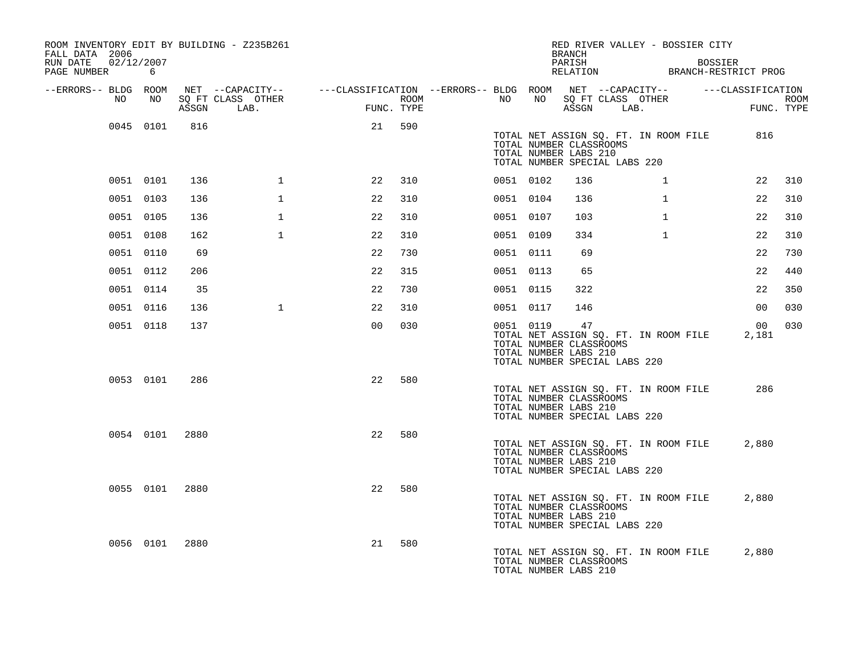| ROOM INVENTORY EDIT BY BUILDING - Z235B261<br>FALL DATA 2006 |           |      |                   |                                                                                                |      |           |           | BRANCH                                                                                  | RED RIVER VALLEY - BOSSIER CITY       |                |                          |      |
|--------------------------------------------------------------|-----------|------|-------------------|------------------------------------------------------------------------------------------------|------|-----------|-----------|-----------------------------------------------------------------------------------------|---------------------------------------|----------------|--------------------------|------|
| 02/12/2007<br>RUN DATE<br>PAGE NUMBER                        | 6         |      |                   |                                                                                                |      |           |           | PARISH                                                                                  | RELATION BRANCH-RESTRICT PROG         | <b>BOSSIER</b> |                          |      |
| --ERRORS-- BLDG ROOM<br>NO                                   | NO        |      | SQ FT CLASS OTHER | NET --CAPACITY-- - ---CLASSIFICATION --ERRORS-- BLDG ROOM NET --CAPACITY-- - ---CLASSIFICATION | ROOM | NO .      | NO        | SQ FT CLASS OTHER                                                                       |                                       |                |                          | ROOM |
|                                                              |           |      | ASSGN LAB.        | FUNC. TYPE                                                                                     |      |           |           | ASSGN LAB.                                                                              |                                       |                | FUNC. TYPE               |      |
|                                                              | 0045 0101 | 816  |                   | 21                                                                                             | 590  |           |           | TOTAL NUMBER CLASSROOMS<br>TOTAL NUMBER LABS 210<br>TOTAL NUMBER SPECIAL LABS 220       | TOTAL NET ASSIGN SQ. FT. IN ROOM FILE |                | 816                      |      |
|                                                              | 0051 0101 | 136  | $\mathbf{1}$      | 22                                                                                             | 310  | 0051 0102 |           | 136                                                                                     | $\mathbf{1}$                          |                | 22                       | 310  |
|                                                              | 0051 0103 | 136  | $\mathbf{1}$      | 22                                                                                             | 310  | 0051 0104 |           | 136                                                                                     | $\mathbf{1}$                          |                | 22                       | 310  |
|                                                              | 0051 0105 | 136  | $\mathbf{1}$      | 22                                                                                             | 310  | 0051 0107 |           | 103                                                                                     | $\mathbf{1}$                          |                | 22                       | 310  |
|                                                              | 0051 0108 | 162  | $\mathbf{1}$      | 22                                                                                             | 310  | 0051 0109 |           | 334                                                                                     | $\mathbf{1}$                          |                | 22                       | 310  |
|                                                              | 0051 0110 | 69   |                   | 22                                                                                             | 730  | 0051 0111 |           | 69                                                                                      |                                       |                | 22                       | 730  |
|                                                              | 0051 0112 | 206  |                   | 22                                                                                             | 315  | 0051 0113 |           | 65                                                                                      |                                       |                | 22                       | 440  |
|                                                              | 0051 0114 | 35   |                   | 22                                                                                             | 730  | 0051 0115 |           | 322                                                                                     |                                       |                | 22                       | 350  |
|                                                              | 0051 0116 | 136  | $\mathbf{1}$      | 22                                                                                             | 310  | 0051 0117 |           | 146                                                                                     |                                       |                | 00                       | 030  |
|                                                              | 0051 0118 | 137  |                   | 0 <sub>0</sub>                                                                                 | 030  |           | 0051 0119 | 47<br>TOTAL NUMBER CLASSROOMS<br>TOTAL NUMBER LABS 210<br>TOTAL NUMBER SPECIAL LABS 220 | TOTAL NET ASSIGN SQ. FT. IN ROOM FILE |                | 00 <sup>o</sup><br>2,181 | 030  |
|                                                              | 0053 0101 | 286  |                   | 22                                                                                             | 580  |           |           | TOTAL NUMBER CLASSROOMS<br>TOTAL NUMBER LABS 210<br>TOTAL NUMBER SPECIAL LABS 220       | TOTAL NET ASSIGN SQ. FT. IN ROOM FILE |                | 286                      |      |
|                                                              | 0054 0101 | 2880 |                   | 22                                                                                             | 580  |           |           | TOTAL NUMBER CLASSROOMS<br>TOTAL NUMBER LABS 210<br>TOTAL NUMBER SPECIAL LABS 220       | TOTAL NET ASSIGN SQ. FT. IN ROOM FILE |                | 2,880                    |      |
|                                                              | 0055 0101 | 2880 |                   | 22                                                                                             | 580  |           |           | TOTAL NUMBER CLASSROOMS<br>TOTAL NUMBER LABS 210<br>TOTAL NUMBER SPECIAL LABS 220       | TOTAL NET ASSIGN SQ. FT. IN ROOM FILE |                | 2,880                    |      |
|                                                              | 0056 0101 | 2880 |                   | 21                                                                                             | 580  |           |           | TOTAL NUMBER CLASSROOMS<br>TOTAL NUMBER LABS 210                                        | TOTAL NET ASSIGN SQ. FT. IN ROOM FILE |                | 2,880                    |      |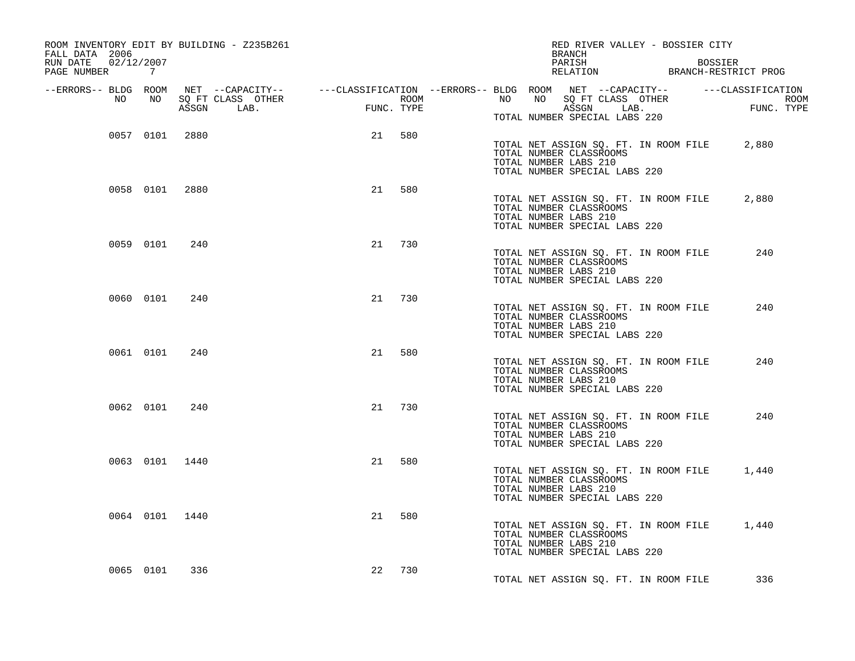| ROOM INVENTORY EDIT BY BUILDING - Z235B261<br>FALL DATA 2006<br>RUN DATE 02/12/2007<br>PAGE NUMBER 7 |                |                                 |        |            |                  | RED RIVER VALLEY - BOSSIER CITY<br>BRANCH<br>PARISH<br><b>BOSSIER</b><br>PARISH BOSSIER<br>RELATION BRANCH-RESTRICT PROG                                                                |
|------------------------------------------------------------------------------------------------------|----------------|---------------------------------|--------|------------|------------------|-----------------------------------------------------------------------------------------------------------------------------------------------------------------------------------------|
| NO                                                                                                   | NO 11          | SQ FT CLASS OTHER<br>ASSGN LAB. |        | FUNC. TYPE | ROOM <b>ROOM</b> | --ERRORS-- BLDG ROOM NET --CAPACITY-- ----CLASSIFICATION --ERRORS-- BLDG ROOM NET --CAPACITY-- -----CLASSIFICATION<br>NO SQ FT CLASS OTHER<br>ASSGN LAB. FU<br>NO<br>ROOM<br>FUNC. TYPE |
|                                                                                                      |                |                                 |        |            |                  | TOTAL NUMBER SPECIAL LABS 220                                                                                                                                                           |
|                                                                                                      | 0057 0101 2880 |                                 | 21 580 |            |                  | TOTAL NET ASSIGN SQ. FT. IN ROOM FILE<br>2,880<br>TOTAL NUMBER CLASSROOMS<br>TOTAL NUMBER LABS 210<br>TOTAL NUMBER SPECIAL LABS 220                                                     |
|                                                                                                      | 0058 0101 2880 |                                 | 21     | 580        |                  | TOTAL NET ASSIGN SQ. FT. IN ROOM FILE<br>2,880<br>TOTAL NUMBER CLASSROOMS<br>TOTAL NUMBER LABS 210<br>TOTAL NUMBER SPECIAL LABS 220                                                     |
| 0059 0101                                                                                            | 240            |                                 | 21     | 730        |                  | 240<br>TOTAL NET ASSIGN SQ. FT. IN ROOM FILE<br>TOTAL NUMBER CLASSROOMS<br>TOTAL NUMBER LABS 210<br>TOTAL NUMBER SPECIAL LABS 220                                                       |
| 0060 0101                                                                                            | 240            |                                 | 21     | 730        |                  | 240<br>TOTAL NET ASSIGN SQ. FT. IN ROOM FILE<br>TOTAL NUMBER CLASSROOMS<br>TOTAL NUMBER LABS 210<br>TOTAL NUMBER SPECIAL LABS 220                                                       |
| 0061 0101                                                                                            | 240            |                                 | 21     | 580        |                  | 240<br>TOTAL NET ASSIGN SQ. FT. IN ROOM FILE<br>TOTAL NUMBER CLASSROOMS<br>TOTAL NUMBER LABS 210<br>TOTAL NUMBER SPECIAL LABS 220                                                       |
| 0062 0101                                                                                            | 240            |                                 | 21     | 730        |                  | 240<br>TOTAL NET ASSIGN SQ. FT. IN ROOM FILE<br>TOTAL NUMBER CLASSROOMS<br>TOTAL NUMBER LABS 210<br>TOTAL NUMBER SPECIAL LABS 220                                                       |
|                                                                                                      | 0063 0101 1440 |                                 | 21     | 580        |                  | 1,440<br>TOTAL NET ASSIGN SQ. FT. IN ROOM FILE<br>TOTAL NUMBER CLASSROOMS<br>TOTAL NUMBER LABS 210<br>TOTAL NUMBER SPECIAL LABS 220                                                     |
|                                                                                                      | 0064 0101 1440 |                                 | 21     | 580        |                  | TOTAL NET ASSIGN SQ. FT. IN ROOM FILE 1,440<br>TOTAL NUMBER CLASSROOMS<br>TOTAL NUMBER LABS 210<br>TOTAL NUMBER SPECIAL LABS 220                                                        |
| 0065 0101                                                                                            | 336            |                                 | 22     | 730        |                  | TOTAL NET ASSIGN SQ. FT. IN ROOM FILE<br>336                                                                                                                                            |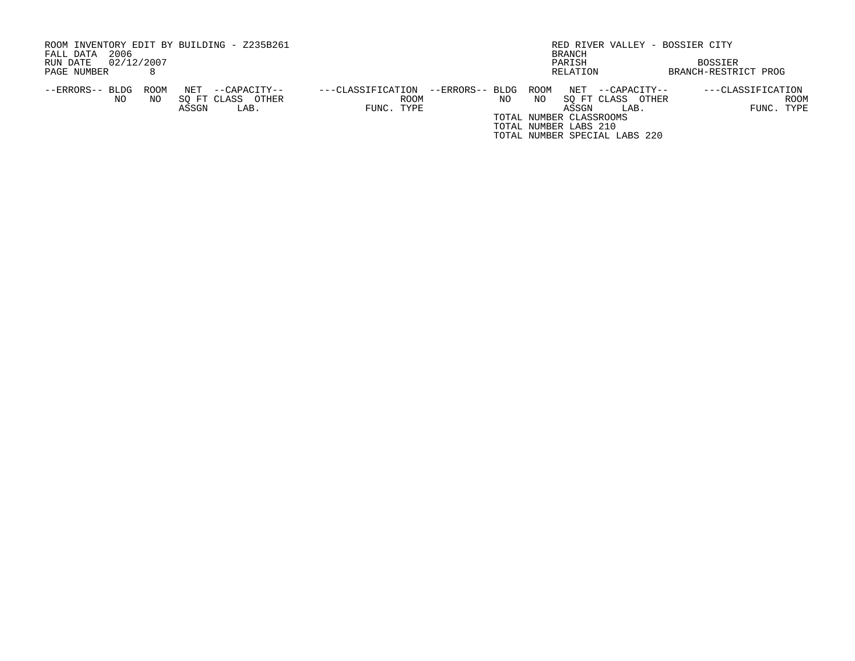| ROOM INVENTORY EDIT BY BUILDING - Z235B261     |                                      |                               | RED RIVER VALLEY - BOSSIER CITY   |
|------------------------------------------------|--------------------------------------|-------------------------------|-----------------------------------|
| 2006<br>FALL DATA                              |                                      | <b>BRANCH</b>                 |                                   |
| 02/12/2007<br>RUN DATE                         |                                      | PARISH                        | BOSSIER                           |
| PAGE NUMBER                                    |                                      | RELATION                      | BRANCH-RESTRICT PROG              |
| ROOM<br>NET<br>--ERRORS-- BLDG<br>--CAPACITY-- | ---CLASSIFICATION<br>--ERRORS-- BLDG | ROOM<br>NET                   | ---CLASSIFICATION<br>--CAPACITY-- |
| SO FT CLASS OTHER<br>NO.<br>NO.                | <b>ROOM</b>                          | NO<br>NO.<br>SO FT CLASS      | ROOM<br>OTHER                     |
| ASSGN<br>LAB.                                  | FUNC. TYPE                           | ASSGN                         | FUNC. TYPE<br>LAB.                |
|                                                |                                      | TOTAL NUMBER CLASSROOMS       |                                   |
|                                                |                                      | TOTAL NUMBER LABS 210         |                                   |
|                                                |                                      | TOTAL NUMBER SPECIAL LABS 220 |                                   |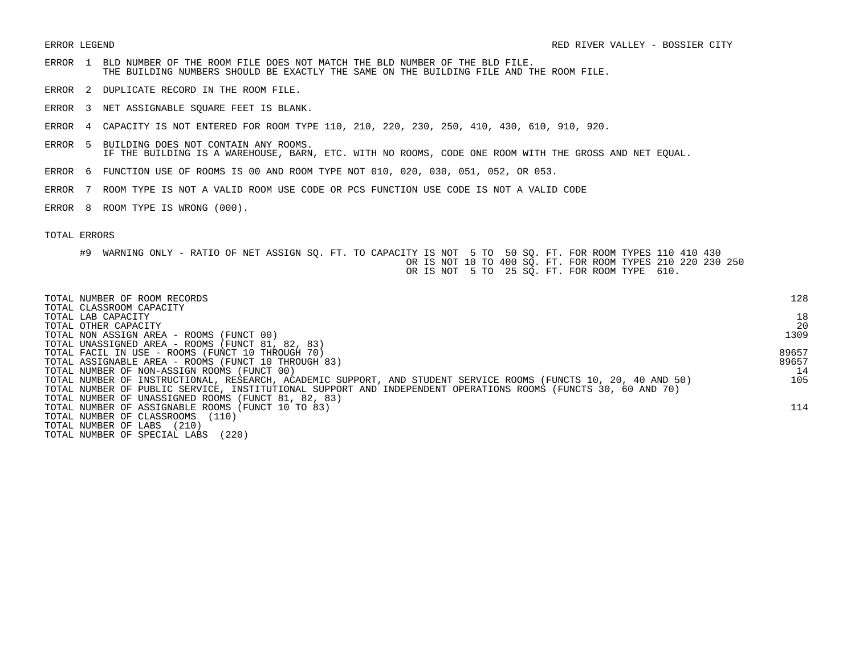- ERROR 1 BLD NUMBER OF THE ROOM FILE DOES NOT MATCH THE BLD NUMBER OF THE BLD FILE. THE BUILDING NUMBERS SHOULD BE EXACTLY THE SAME ON THE BUILDING FILE AND THE ROOM FILE.
- ERROR 2 DUPLICATE RECORD IN THE ROOM FILE.
- ERROR 3 NET ASSIGNABLE SQUARE FEET IS BLANK.
- ERROR 4 CAPACITY IS NOT ENTERED FOR ROOM TYPE 110, 210, 220, 230, 250, 410, 430, 610, 910, 920.
- ERROR 5 BUILDING DOES NOT CONTAIN ANY ROOMS. IF THE BUILDING IS A WAREHOUSE, BARN, ETC. WITH NO ROOMS, CODE ONE ROOM WITH THE GROSS AND NET EQUAL.
- ERROR 6 FUNCTION USE OF ROOMS IS 00 AND ROOM TYPE NOT 010, 020, 030, 051, 052, OR 053.
- ERROR 7 ROOM TYPE IS NOT A VALID ROOM USE CODE OR PCS FUNCTION USE CODE IS NOT A VALID CODE
- ERROR 8 ROOM TYPE IS WRONG (000).

#9 WARNING ONLY - RATIO OF NET ASSIGN SQ. FT. TO CAPACITY IS NOT 5 TO 50 SQ. FT. FOR ROOM TYPES 110 410 430 OR IS NOT 10 TO 400 SQ. FT. FOR ROOM TYPES 210 220 230 250 OR IS NOT 5 TO 25 SQ. FT. FOR ROOM TYPE 610.

| TOTAL NUMBER OF ROOM RECORDS<br>TOTAL CLASSROOM CAPACITY                                                        | 128   |
|-----------------------------------------------------------------------------------------------------------------|-------|
| TOTAL LAB CAPACITY                                                                                              | 18    |
| TOTAL OTHER CAPACITY                                                                                            | 20    |
| TOTAL NON ASSIGN AREA - ROOMS (FUNCT 00)                                                                        | 1309  |
| TOTAL UNASSIGNED AREA - ROOMS (FUNCT 81, 82, 83)                                                                |       |
| TOTAL FACIL IN USE - ROOMS (FUNCT 10 THROUGH 70)                                                                | 89657 |
| TOTAL ASSIGNABLE AREA - ROOMS (FUNCT 10 THROUGH 83)                                                             | 89657 |
| TOTAL NUMBER OF NON-ASSIGN ROOMS (FUNCT 00)                                                                     | 14    |
| TOTAL NUMBER OF INSTRUCTIONAL, RESEARCH, ACADEMIC SUPPORT, AND STUDENT SERVICE ROOMS (FUNCTS 10, 20, 40 AND 50) | 105   |
| TOTAL NUMBER OF PUBLIC SERVICE, INSTITUTIONAL SUPPORT AND INDEPENDENT OPERATIONS ROOMS (FUNCTS 30, 60 AND 70)   |       |
| TOTAL NUMBER OF UNASSIGNED ROOMS (FUNCT 81, 82, 83)                                                             |       |
| TOTAL NUMBER OF ASSIGNABLE ROOMS (FUNCT 10 TO 83)                                                               | 114   |
| TOTAL NUMBER OF CLASSROOMS<br>(110)                                                                             |       |
| TOTAL NUMBER OF LABS<br>(210)                                                                                   |       |
| (220)<br>TOTAL NUMBER OF SPECIAL LABS                                                                           |       |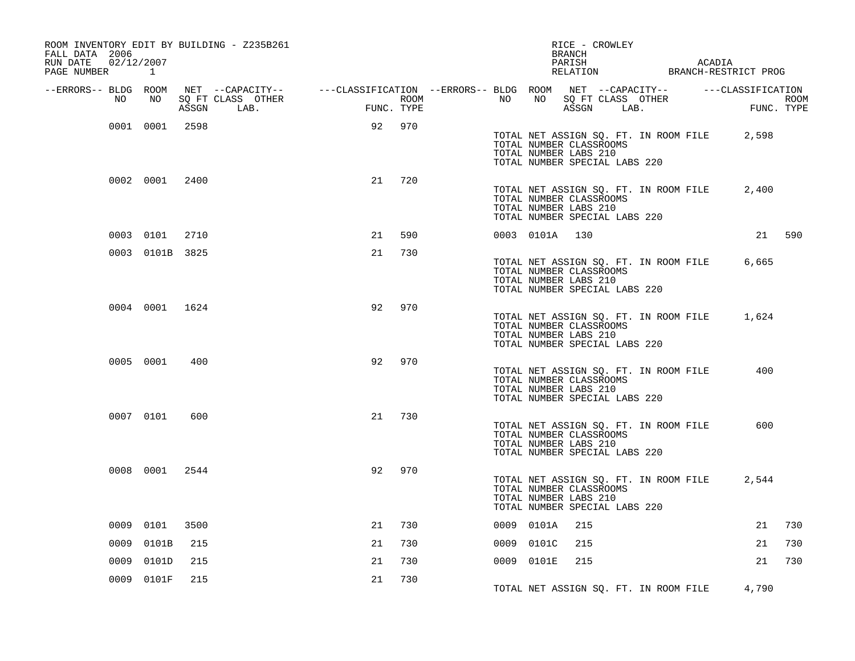| ROOM INVENTORY EDIT BY BUILDING - Z235B261<br>FALL DATA 2006 |                 |      |                                                                                                |            |     |                  |      |                                                                                   | BRANCH | RICE - CROWLEY |                                       |                                         |                    |
|--------------------------------------------------------------|-----------------|------|------------------------------------------------------------------------------------------------|------------|-----|------------------|------|-----------------------------------------------------------------------------------|--------|----------------|---------------------------------------|-----------------------------------------|--------------------|
| 02/12/2007<br>RUN DATE<br>PAGE NUMBER 1                      |                 |      |                                                                                                |            |     |                  |      |                                                                                   | PARISH |                |                                       | ACADIA<br>RELATION BRANCH-RESTRICT PROG |                    |
| --ERRORS-- BLDG ROOM                                         |                 |      | NET --CAPACITY-- - ---CLASSIFICATION --ERRORS-- BLDG ROOM NET --CAPACITY-- - ---CLASSIFICATION |            |     |                  |      | NO                                                                                |        |                |                                       |                                         |                    |
| NO                                                           | NO              |      | SQ FT CLASS OTHER<br>ASSGN LAB.                                                                | FUNC. TYPE |     | ROOM <b>ROOM</b> | NO   |                                                                                   |        | ASSGN LAB.     | SQ FT CLASS OTHER                     |                                         | ROOM<br>FUNC. TYPE |
|                                                              | 0001 0001 2598  |      |                                                                                                | 92         | 970 |                  |      | TOTAL NUMBER CLASSROOMS<br>TOTAL NUMBER LABS 210<br>TOTAL NUMBER SPECIAL LABS 220 |        |                | TOTAL NET ASSIGN SQ. FT. IN ROOM FILE | 2,598                                   |                    |
|                                                              | 0002 0001 2400  |      |                                                                                                | 21         | 720 |                  |      | TOTAL NUMBER CLASSROOMS<br>TOTAL NUMBER LABS 210<br>TOTAL NUMBER SPECIAL LABS 220 |        |                | TOTAL NET ASSIGN SQ. FT. IN ROOM FILE | 2,400                                   |                    |
|                                                              | 0003 0101       | 2710 |                                                                                                | 21         | 590 |                  |      | 0003 0101A 130                                                                    |        |                |                                       |                                         | 21 590             |
|                                                              | 0003 0101B 3825 |      |                                                                                                | 21         | 730 |                  |      | TOTAL NUMBER CLASSROOMS<br>TOTAL NUMBER LABS 210<br>TOTAL NUMBER SPECIAL LABS 220 |        |                | TOTAL NET ASSIGN SQ. FT. IN ROOM FILE | 6,665                                   |                    |
|                                                              | 0004 0001 1624  |      |                                                                                                | 92         | 970 |                  |      | TOTAL NUMBER CLASSROOMS<br>TOTAL NUMBER LABS 210<br>TOTAL NUMBER SPECIAL LABS 220 |        |                | TOTAL NET ASSIGN SQ. FT. IN ROOM FILE | 1,624                                   |                    |
|                                                              | 0005 0001       | 400  |                                                                                                | 92         | 970 |                  |      | TOTAL NUMBER CLASSROOMS<br>TOTAL NUMBER LABS 210<br>TOTAL NUMBER SPECIAL LABS 220 |        |                | TOTAL NET ASSIGN SQ. FT. IN ROOM FILE | 400                                     |                    |
|                                                              | 0007 0101       | 600  |                                                                                                | 21         | 730 |                  |      | TOTAL NUMBER CLASSROOMS<br>TOTAL NUMBER LABS 210<br>TOTAL NUMBER SPECIAL LABS 220 |        |                | TOTAL NET ASSIGN SQ. FT. IN ROOM FILE | 600                                     |                    |
|                                                              | 0008 0001       | 2544 |                                                                                                | 92         | 970 |                  |      | TOTAL NUMBER CLASSROOMS<br>TOTAL NUMBER LABS 210<br>TOTAL NUMBER SPECIAL LABS 220 |        |                | TOTAL NET ASSIGN SQ. FT. IN ROOM FILE | 2,544                                   |                    |
|                                                              | 0009 0101       | 3500 |                                                                                                | 21         | 730 |                  |      | 0009 0101A                                                                        | 215    |                |                                       | 21                                      | 730                |
| 0009                                                         | 0101B           | 215  |                                                                                                | 21         | 730 |                  | 0009 | 0101C                                                                             | 215    |                |                                       | 21                                      | 730                |
| 0009                                                         | 0101D           | 215  |                                                                                                | 21         | 730 |                  |      | 0009 0101E                                                                        | 215    |                |                                       | 21                                      | 730                |
|                                                              | 0009 0101F      | 215  |                                                                                                | 21         | 730 |                  |      |                                                                                   |        |                | TOTAL NET ASSIGN SQ. FT. IN ROOM FILE | 4,790                                   |                    |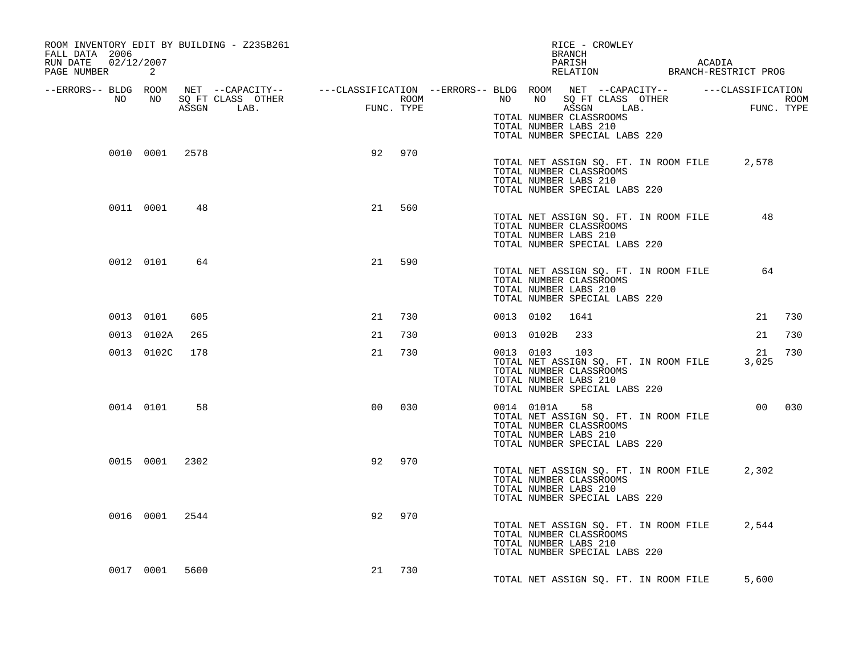| FALL DATA 2006<br>RUN DATE 02/12/2007<br>PAGE NUMBER<br>2 | ROOM INVENTORY EDIT BY BUILDING - Z235B261 |                       | RICE - CROWLEY<br>BRANCH<br>PARISH<br>ACADIA<br>PARISH ACADIA<br>RELATION BRANCH-RESTRICT PROG                                                                       |
|-----------------------------------------------------------|--------------------------------------------|-----------------------|----------------------------------------------------------------------------------------------------------------------------------------------------------------------|
| --ERRORS-- BLDG ROOM<br>NO<br>NO 11                       | SQ FT CLASS OTHER                          | <b>EXECUTE</b>        | NET --CAPACITY-- - ---CLASSIFICATION --ERRORS-- BLDG ROOM NET --CAPACITY-- - ---CLASSIFICATION<br>NO SQ FT CLASS OTHER<br>ROOM <b>ROOM</b><br>NO NO<br>ROOM          |
|                                                           | ASSGN LAB.                                 | FUNC. TYPE            | FUNC. TYPE<br>ASSGN LAB.<br>TOTAL NUMBER CLASSROOMS<br>TOTAL NUMBER LABS 210<br>TOTAL NUMBER SPECIAL LABS 220                                                        |
| 0010 0001 2578                                            |                                            | 92<br>970             | TOTAL NET ASSIGN SQ. FT. IN ROOM FILE 2,578<br>TOTAL NUMBER CLASSROOMS<br>TOTAL NUMBER LABS 210<br>TOTAL NUMBER SPECIAL LABS 220                                     |
| 0011 0001                                                 | 48                                         | 21<br>560             | 48<br>TOTAL NET ASSIGN SQ. FT. IN ROOM FILE<br>TOTAL NUMBER CLASSROOMS<br>TOTAL NUMBER LABS 210<br>TOTAL NUMBER SPECIAL LABS 220                                     |
| 0012 0101                                                 | 64                                         | 590<br>21             | 64<br>TOTAL NET ASSIGN SQ. FT. IN ROOM FILE<br>TOTAL NUMBER CLASSROOMS<br>TOTAL NUMBER LABS 210<br>TOTAL NUMBER SPECIAL LABS 220                                     |
| 0013 0101                                                 | 605                                        | 730<br>21             | 0013 0102<br>21<br>730<br>1641                                                                                                                                       |
| 0013 0102A                                                | 265                                        | 21<br>730             | 0013 0102B<br>21<br>730<br>233                                                                                                                                       |
| 0013 0102C                                                | 178                                        | 21<br>730             | 0013 0103<br>730<br>103<br>21<br>TOTAL NET ASSIGN SQ. FT. IN ROOM FILE<br>3.025<br>TOTAL NUMBER CLASSROOMS<br>TOTAL NUMBER LABS 210<br>TOTAL NUMBER SPECIAL LABS 220 |
| 0014 0101                                                 | 58                                         | 0 <sup>0</sup><br>030 | 00 030<br>0014 0101A 58<br>TOTAL NET ASSIGN SQ. FT. IN ROOM FILE<br>TOTAL NUMBER CLASSROOMS<br>TOTAL NUMBER LABS 210<br>TOTAL NUMBER SPECIAL LABS 220                |
| 0015 0001 2302                                            |                                            | 92<br>970             | TOTAL NET ASSIGN SQ. FT. IN ROOM FILE<br>2,302<br>TOTAL NUMBER CLASSROOMS<br>TOTAL NUMBER LABS 210<br>TOTAL NUMBER SPECIAL LABS 220                                  |
| 0016 0001 2544                                            |                                            | 92<br>970             | TOTAL NET ASSIGN SQ. FT. IN ROOM FILE<br>2,544<br>TOTAL NUMBER CLASSROOMS<br>TOTAL NUMBER LABS 210<br>TOTAL NUMBER SPECIAL LABS 220                                  |
| 0017 0001 5600                                            |                                            | 21<br>730             | TOTAL NET ASSIGN SO. FT. IN ROOM FILE<br>5,600                                                                                                                       |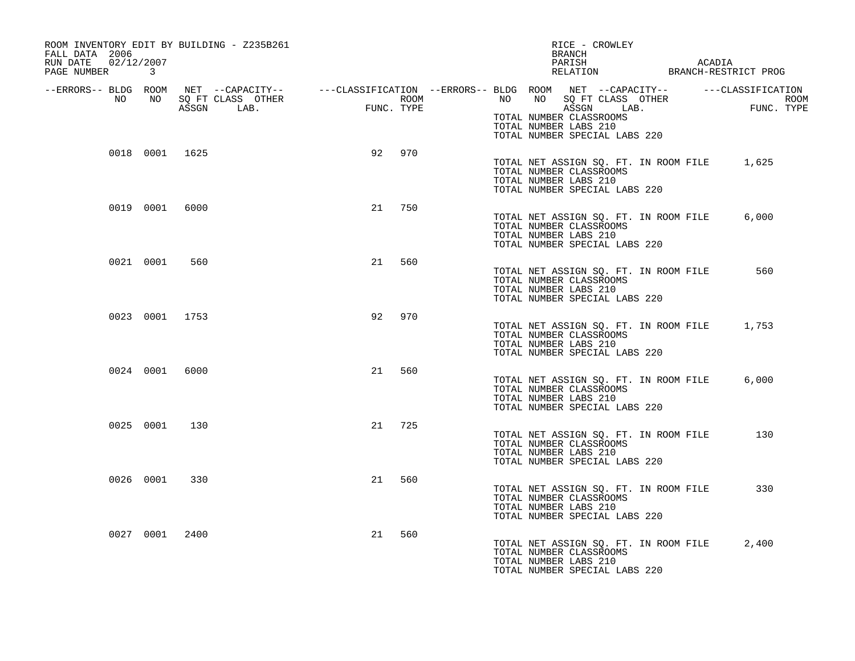| ROOM INVENTORY EDIT BY BUILDING - Z235B261<br>FALL DATA 2006<br>RUN DATE 02/12/2007 |           |                |                                                                                                                                                       |     |            |                  |       |                                                                                                                    | BRANCH<br>PARISH | RICE - CROWLEY |                                       | ACADIA                                      |
|-------------------------------------------------------------------------------------|-----------|----------------|-------------------------------------------------------------------------------------------------------------------------------------------------------|-----|------------|------------------|-------|--------------------------------------------------------------------------------------------------------------------|------------------|----------------|---------------------------------------|---------------------------------------------|
| PAGE NUMBER 3                                                                       |           |                |                                                                                                                                                       |     |            |                  |       |                                                                                                                    |                  |                |                                       | RELATION BRANCH-RESTRICT PROG               |
| NO                                                                                  | NO        |                | --ERRORS-- BLDG ROOM NET --CAPACITY-- ----CLASSIFICATION --ERRORS-- BLDG ROOM NET --CAPACITY-- -----CLASSIFICATION<br>SQ FT CLASS OTHER<br>ASSGN LAB. | FUN | FUNC. TYPE | ROOM <b>ROOM</b> | NO NO | TOTAL NUMBER CLASSROOMS<br>TOTAL NUMBER LABS 210                                                                   |                  | ASSGN LAB.     | NO SQ FT CLASS OTHER                  | ROOM<br>FUNC. TYPE                          |
|                                                                                     |           | 0018 0001 1625 |                                                                                                                                                       | 92  | 970        |                  |       | TOTAL NUMBER SPECIAL LABS 220<br>TOTAL NUMBER CLASSROOMS<br>TOTAL NUMBER LABS 210<br>TOTAL NUMBER SPECIAL LABS 220 |                  |                |                                       | TOTAL NET ASSIGN SQ. FT. IN ROOM FILE 1,625 |
|                                                                                     |           | 0019 0001 6000 |                                                                                                                                                       | 21  | 750        |                  |       | TOTAL NUMBER CLASSROOMS<br>TOTAL NUMBER LABS 210<br>TOTAL NUMBER SPECIAL LABS 220                                  |                  |                | TOTAL NET ASSIGN SQ. FT. IN ROOM FILE | 6.000                                       |
|                                                                                     | 0021 0001 | 560            |                                                                                                                                                       | 21  | 560        |                  |       | TOTAL NUMBER CLASSROOMS<br>TOTAL NUMBER LABS 210<br>TOTAL NUMBER SPECIAL LABS 220                                  |                  |                | TOTAL NET ASSIGN SQ. FT. IN ROOM FILE | 560                                         |
|                                                                                     |           | 0023 0001 1753 |                                                                                                                                                       | 92  | 970        |                  |       | TOTAL NUMBER CLASSROOMS<br>TOTAL NUMBER LABS 210<br>TOTAL NUMBER SPECIAL LABS 220                                  |                  |                | TOTAL NET ASSIGN SQ. FT. IN ROOM FILE | 1,753                                       |
|                                                                                     |           | 0024 0001 6000 |                                                                                                                                                       | 21  | 560        |                  |       | TOTAL NUMBER CLASSROOMS<br>TOTAL NUMBER LABS 210<br>TOTAL NUMBER SPECIAL LABS 220                                  |                  |                | TOTAL NET ASSIGN SQ. FT. IN ROOM FILE | 6,000                                       |
|                                                                                     | 0025 0001 | 130            |                                                                                                                                                       | 21  | 725        |                  |       | TOTAL NUMBER CLASSROOMS<br>TOTAL NUMBER LABS 210<br>TOTAL NUMBER SPECIAL LABS 220                                  |                  |                | TOTAL NET ASSIGN SQ. FT. IN ROOM FILE | 130                                         |
|                                                                                     | 0026 0001 | 330            |                                                                                                                                                       | 21  | 560        |                  |       | TOTAL NUMBER CLASSROOMS<br>TOTAL NUMBER LABS 210<br>TOTAL NUMBER SPECIAL LABS 220                                  |                  |                | TOTAL NET ASSIGN SQ. FT. IN ROOM FILE | 330                                         |
|                                                                                     | 0027 0001 | 2400           |                                                                                                                                                       | 21  | 560        |                  |       | TOTAL NUMBER CLASSROOMS<br>TOTAL NUMBER LABS 210<br>TOTAL NUMBER SPECIAL LABS 220                                  |                  |                | TOTAL NET ASSIGN SQ. FT. IN ROOM FILE | 2,400                                       |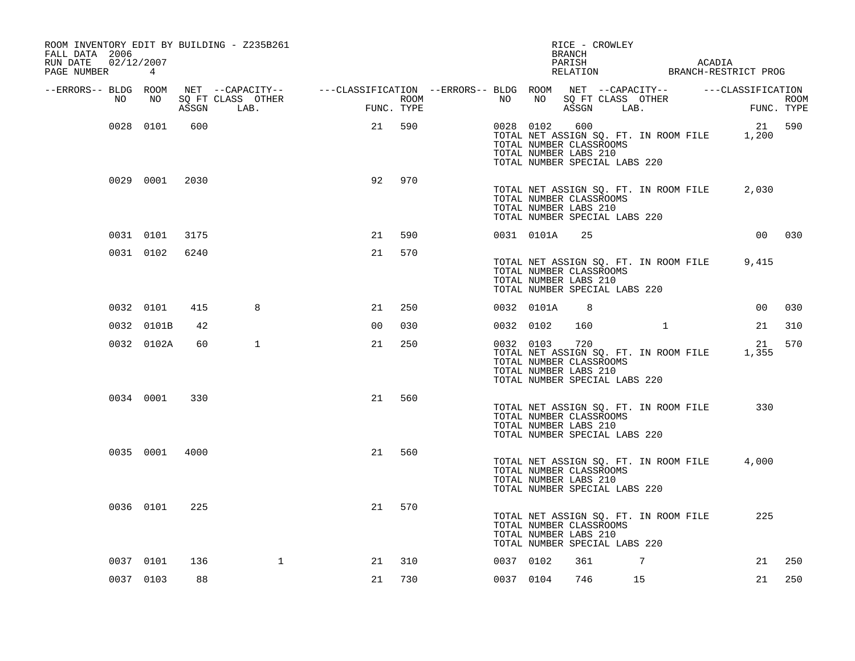| ROOM INVENTORY EDIT BY BUILDING - Z235B261<br>FALL DATA 2006 |            |      |                                                                                                |    |            |                  |           |            | RICE - CROWLEY<br>BRANCH                                                                 |                                       |        |                               |                           |
|--------------------------------------------------------------|------------|------|------------------------------------------------------------------------------------------------|----|------------|------------------|-----------|------------|------------------------------------------------------------------------------------------|---------------------------------------|--------|-------------------------------|---------------------------|
| RUN DATE<br>02/12/2007<br>PAGE NUMBER 4                      |            |      |                                                                                                |    |            |                  |           |            | PARISH                                                                                   |                                       | ACADIA | RELATION BRANCH-RESTRICT PROG |                           |
| --ERRORS-- BLDG ROOM                                         |            |      | NET --CAPACITY-- - ---CLASSIFICATION --ERRORS-- BLDG ROOM NET --CAPACITY-- - ---CLASSIFICATION |    |            |                  |           |            |                                                                                          |                                       |        |                               |                           |
| NO                                                           | NO         |      | SQ FT CLASS OTHER<br>ASSGN LAB.                                                                |    | FUNC. TYPE | ROOM <b>ROOM</b> | NO        | NO         | ASSGN LAB.                                                                               | SQ FT CLASS OTHER                     |        |                               | <b>ROOM</b><br>FUNC. TYPE |
|                                                              | 0028 0101  | 600  |                                                                                                | 21 | 590        |                  |           | 0028 0102  | 600<br>TOTAL NUMBER CLASSROOMS<br>TOTAL NUMBER LABS 210<br>TOTAL NUMBER SPECIAL LABS 220 | TOTAL NET ASSIGN SQ. FT. IN ROOM FILE |        | 21 590<br>1,200               |                           |
|                                                              | 0029 0001  | 2030 |                                                                                                | 92 | 970        |                  |           |            | TOTAL NUMBER CLASSROOMS<br>TOTAL NUMBER LABS 210<br>TOTAL NUMBER SPECIAL LABS 220        | TOTAL NET ASSIGN SQ. FT. IN ROOM FILE |        | 2,030                         |                           |
|                                                              | 0031 0101  | 3175 |                                                                                                | 21 | 590        |                  |           | 0031 0101A | 25                                                                                       |                                       |        |                               | 00 030                    |
|                                                              | 0031 0102  | 6240 |                                                                                                | 21 | 570        |                  |           |            | TOTAL NUMBER CLASSROOMS<br>TOTAL NUMBER LABS 210<br>TOTAL NUMBER SPECIAL LABS 220        | TOTAL NET ASSIGN SQ. FT. IN ROOM FILE |        | 9,415                         |                           |
|                                                              | 0032 0101  | 415  | 8                                                                                              | 21 | 250        |                  |           | 0032 0101A | 8                                                                                        |                                       |        | 00                            | 030                       |
|                                                              | 0032 0101B | 42   |                                                                                                | 00 | 030        |                  |           | 0032 0102  | 160                                                                                      | $\mathbf{1}$                          |        | 21                            | 310                       |
|                                                              | 0032 0102A | 60   | $\mathbf{1}$                                                                                   | 21 | 250        |                  |           | 0032 0103  | 720<br>TOTAL NUMBER CLASSROOMS<br>TOTAL NUMBER LABS 210<br>TOTAL NUMBER SPECIAL LABS 220 | TOTAL NET ASSIGN SQ. FT. IN ROOM FILE |        | 21<br>1,355                   | 570                       |
|                                                              | 0034 0001  | 330  |                                                                                                | 21 | 560        |                  |           |            | TOTAL NUMBER CLASSROOMS<br>TOTAL NUMBER LABS 210<br>TOTAL NUMBER SPECIAL LABS 220        | TOTAL NET ASSIGN SQ. FT. IN ROOM FILE |        | 330                           |                           |
|                                                              | 0035 0001  | 4000 |                                                                                                | 21 | 560        |                  |           |            | TOTAL NUMBER CLASSROOMS<br>TOTAL NUMBER LABS 210<br>TOTAL NUMBER SPECIAL LABS 220        | TOTAL NET ASSIGN SQ. FT. IN ROOM FILE |        | 4,000                         |                           |
|                                                              | 0036 0101  | 225  |                                                                                                | 21 | 570        |                  |           |            | TOTAL NUMBER CLASSROOMS<br>TOTAL NUMBER LABS 210<br>TOTAL NUMBER SPECIAL LABS 220        | TOTAL NET ASSIGN SQ. FT. IN ROOM FILE |        | 225                           |                           |
|                                                              | 0037 0101  | 136  | $\mathbf{1}$                                                                                   | 21 | 310        |                  | 0037 0102 |            | 361                                                                                      | 7                                     |        | 21                            | 250                       |
|                                                              | 0037 0103  | 88   |                                                                                                | 21 | 730        |                  |           | 0037 0104  | 746                                                                                      | 15                                    |        | 21                            | 250                       |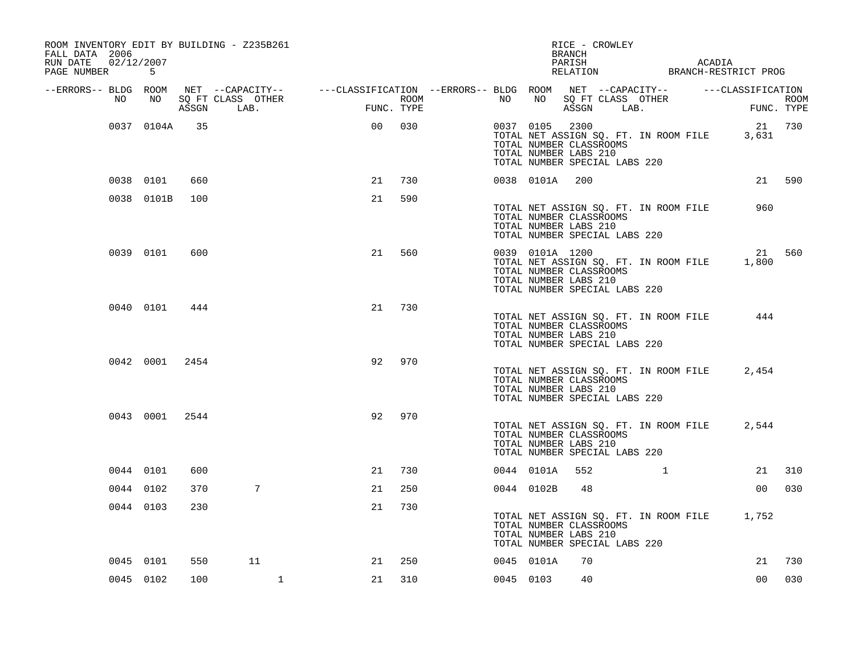| ROOM INVENTORY EDIT BY BUILDING - Z235B261<br>FALL DATA 2006 |                |     |                                                                                                                       |                |            |      |    |                                                                                                      | RICE - CROWLEY<br>BRANCH |                                       |                                             |        |
|--------------------------------------------------------------|----------------|-----|-----------------------------------------------------------------------------------------------------------------------|----------------|------------|------|----|------------------------------------------------------------------------------------------------------|--------------------------|---------------------------------------|---------------------------------------------|--------|
| RUN DATE 02/12/2007<br>PAGE NUMBER 5                         |                |     |                                                                                                                       |                |            |      |    |                                                                                                      | PARISH                   |                                       | ACADIA                                      |        |
| --ERRORS-- BLDG ROOM<br>NO                                   | NO 11          |     | NET --CAPACITY--    ---CLASSIFICATION --ERRORS-- BLDG ROOM NET --CAPACITY--    ---CLASSIFICATION<br>SQ FT CLASS OTHER |                |            |      | NO | NO                                                                                                   |                          | SQ FT CLASS OTHER                     |                                             | ROOM   |
|                                                              |                |     | ASSGN LAB.                                                                                                            |                | FUNC. TYPE | ROOM |    |                                                                                                      | ASSGN LAB.               |                                       | FUNC. TYPE                                  |        |
|                                                              | 0037 0104A     | 35  |                                                                                                                       | 0 <sub>0</sub> | 030        |      |    | 0037 0105 2300<br>TOTAL NUMBER CLASSROOMS<br>TOTAL NUMBER LABS 210<br>TOTAL NUMBER SPECIAL LABS 220  |                          | TOTAL NET ASSIGN SQ. FT. IN ROOM FILE | 21 730<br>3,631                             |        |
|                                                              | 0038 0101      | 660 |                                                                                                                       | 21             | 730        |      |    | 0038 0101A 200                                                                                       |                          |                                       |                                             | 21 590 |
|                                                              | 0038 0101B     | 100 |                                                                                                                       | 21             | 590        |      |    | TOTAL NUMBER CLASSROOMS<br>TOTAL NUMBER LABS 210<br>TOTAL NUMBER SPECIAL LABS 220                    |                          | TOTAL NET ASSIGN SQ. FT. IN ROOM FILE | 960                                         |        |
|                                                              | 0039 0101      | 600 |                                                                                                                       | 21             | 560        |      |    | 0039 0101A 1200<br>TOTAL NUMBER CLASSROOMS<br>TOTAL NUMBER LABS 210<br>TOTAL NUMBER SPECIAL LABS 220 |                          | TOTAL NET ASSIGN SQ. FT. IN ROOM FILE | 1,800                                       | 21 560 |
|                                                              | 0040 0101      | 444 |                                                                                                                       | 21             | 730        |      |    | TOTAL NUMBER CLASSROOMS<br>TOTAL NUMBER LABS 210<br>TOTAL NUMBER SPECIAL LABS 220                    |                          | TOTAL NET ASSIGN SQ. FT. IN ROOM FILE | 444                                         |        |
|                                                              | 0042 0001 2454 |     |                                                                                                                       | 92             | 970        |      |    | TOTAL NUMBER CLASSROOMS<br>TOTAL NUMBER LABS 210<br>TOTAL NUMBER SPECIAL LABS 220                    |                          | TOTAL NET ASSIGN SQ. FT. IN ROOM FILE | 2,454                                       |        |
|                                                              | 0043 0001 2544 |     |                                                                                                                       | 92             | 970        |      |    | TOTAL NUMBER CLASSROOMS<br>TOTAL NUMBER LABS 210<br>TOTAL NUMBER SPECIAL LABS 220                    |                          | TOTAL NET ASSIGN SQ. FT. IN ROOM FILE | 2,544                                       |        |
|                                                              | 0044 0101      | 600 |                                                                                                                       | 21             | 730        |      |    | 0044 0101A 552                                                                                       |                          |                                       |                                             | 21 310 |
|                                                              | 0044 0102      | 370 | $7\overline{ }$                                                                                                       | 21             | 250        |      |    | 0044 0102B                                                                                           | 48                       |                                       | 00                                          | 030    |
|                                                              | 0044 0103      | 230 |                                                                                                                       | 21             | 730        |      |    | TOTAL NUMBER CLASSROOMS<br>TOTAL NUMBER LABS 210<br>TOTAL NUMBER SPECIAL LABS 220                    |                          |                                       | TOTAL NET ASSIGN SQ. FT. IN ROOM FILE 1,752 |        |
|                                                              | 0045 0101      | 550 | 11                                                                                                                    | 21             | 250        |      |    | 0045 0101A                                                                                           | 70                       |                                       | 21                                          | 730    |
|                                                              | 0045 0102      | 100 | $\mathbf{1}$                                                                                                          | 21             | 310        |      |    | 0045 0103                                                                                            | 40                       |                                       | 00                                          | 030    |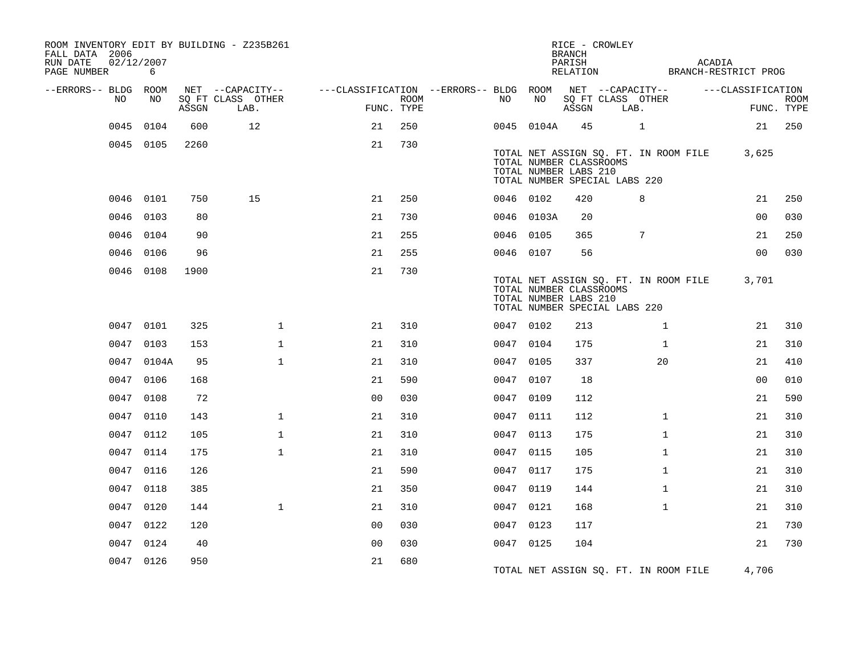| ROOM INVENTORY EDIT BY BUILDING - Z235B261<br>FALL DATA 2006<br>RUN DATE<br>PAGE NUMBER | 02/12/2007<br>6 |       |                           |                                                         |             |           |            | RICE - CROWLEY<br><b>BRANCH</b><br>PARISH<br>RELATION                             |      |              | ACADIA                                | BRANCH-RESTRICT PROG |             |
|-----------------------------------------------------------------------------------------|-----------------|-------|---------------------------|---------------------------------------------------------|-------------|-----------|------------|-----------------------------------------------------------------------------------|------|--------------|---------------------------------------|----------------------|-------------|
| --ERRORS-- BLDG ROOM                                                                    |                 |       | NET --CAPACITY--          | ---CLASSIFICATION --ERRORS-- BLDG ROOM NET --CAPACITY-- |             |           |            |                                                                                   |      |              |                                       | ---CLASSIFICATION    |             |
| NO                                                                                      | NO              | ASSGN | SQ FT CLASS OTHER<br>LAB. | FUNC. TYPE                                              | <b>ROOM</b> | NO        | NO         | SQ FT CLASS OTHER<br>ASSGN                                                        | LAB. |              |                                       | FUNC. TYPE           | <b>ROOM</b> |
| 0045                                                                                    | 0104            | 600   | 12                        | 21                                                      | 250         |           | 0045 0104A | 45                                                                                |      | $\mathbf 1$  |                                       |                      | 21 250      |
|                                                                                         | 0045 0105       | 2260  |                           | 21                                                      | 730         |           |            |                                                                                   |      |              |                                       |                      |             |
|                                                                                         |                 |       |                           |                                                         |             |           |            | TOTAL NUMBER CLASSROOMS<br>TOTAL NUMBER LABS 210<br>TOTAL NUMBER SPECIAL LABS 220 |      |              | TOTAL NET ASSIGN SQ. FT. IN ROOM FILE | 3,625                |             |
|                                                                                         | 0046 0101       | 750   | 15                        | 21                                                      | 250         | 0046 0102 |            | 420                                                                               |      | 8            |                                       | 21                   | 250         |
|                                                                                         | 0046 0103       | 80    |                           | 21                                                      | 730         |           | 0046 0103A | 20                                                                                |      |              |                                       | 0 <sub>0</sub>       | 030         |
|                                                                                         | 0046 0104       | 90    |                           | 21                                                      | 255         | 0046 0105 |            | 365                                                                               |      | 7            |                                       | 21                   | 250         |
|                                                                                         | 0046 0106       | 96    |                           | 21                                                      | 255         | 0046 0107 |            | 56                                                                                |      |              |                                       | 00                   | 030         |
|                                                                                         | 0046 0108       | 1900  |                           | 21                                                      | 730         |           |            | TOTAL NUMBER CLASSROOMS<br>TOTAL NUMBER LABS 210<br>TOTAL NUMBER SPECIAL LABS 220 |      |              | TOTAL NET ASSIGN SQ. FT. IN ROOM FILE | 3,701                |             |
|                                                                                         | 0047 0101       | 325   | $\mathbf{1}$              | 21                                                      | 310         | 0047 0102 |            | 213                                                                               |      | $\mathbf{1}$ |                                       | 21                   | 310         |
|                                                                                         | 0047 0103       | 153   | $\mathbf 1$               | 21                                                      | 310         | 0047 0104 |            | 175                                                                               |      | $\mathbf{1}$ |                                       | 21                   | 310         |
|                                                                                         | 0047 0104A      | 95    | $\mathbf{1}$              | 21                                                      | 310         | 0047 0105 |            | 337                                                                               |      | 20           |                                       | 21                   | 410         |
|                                                                                         | 0047 0106       | 168   |                           | 21                                                      | 590         | 0047 0107 |            | 18                                                                                |      |              |                                       | 00                   | 010         |
|                                                                                         | 0047 0108       | 72    |                           | 0 <sub>0</sub>                                          | 030         | 0047 0109 |            | 112                                                                               |      |              |                                       | 21                   | 590         |
|                                                                                         | 0047 0110       | 143   | $\mathbf 1$               | 21                                                      | 310         | 0047 0111 |            | 112                                                                               |      | $\mathbf{1}$ |                                       | 21                   | 310         |
|                                                                                         | 0047 0112       | 105   | $\mathbf{1}$              | 21                                                      | 310         | 0047 0113 |            | 175                                                                               |      | $\mathbf{1}$ |                                       | 21                   | 310         |
|                                                                                         | 0047 0114       | 175   | $\mathbf{1}$              | 21                                                      | 310         | 0047 0115 |            | 105                                                                               |      | $\mathbf{1}$ |                                       | 21                   | 310         |
|                                                                                         | 0047 0116       | 126   |                           | 21                                                      | 590         | 0047 0117 |            | 175                                                                               |      | $\mathbf{1}$ |                                       | 21                   | 310         |
|                                                                                         | 0047 0118       | 385   |                           | 21                                                      | 350         | 0047 0119 |            | 144                                                                               |      | $\mathbf{1}$ |                                       | 21                   | 310         |
|                                                                                         | 0047 0120       | 144   | $\mathbf{1}$              | 21                                                      | 310         | 0047 0121 |            | 168                                                                               |      | $\mathbf{1}$ |                                       | 21                   | 310         |
|                                                                                         | 0047 0122       | 120   |                           | 0 <sub>0</sub>                                          | 030         | 0047 0123 |            | 117                                                                               |      |              |                                       | 21                   | 730         |
|                                                                                         | 0047 0124       | 40    |                           | 0 <sub>0</sub>                                          | 030         | 0047 0125 |            | 104                                                                               |      |              |                                       | 21                   | 730         |
|                                                                                         | 0047 0126       | 950   |                           | 21                                                      | 680         |           |            |                                                                                   |      |              | TOTAL NET ASSIGN SQ. FT. IN ROOM FILE | 4,706                |             |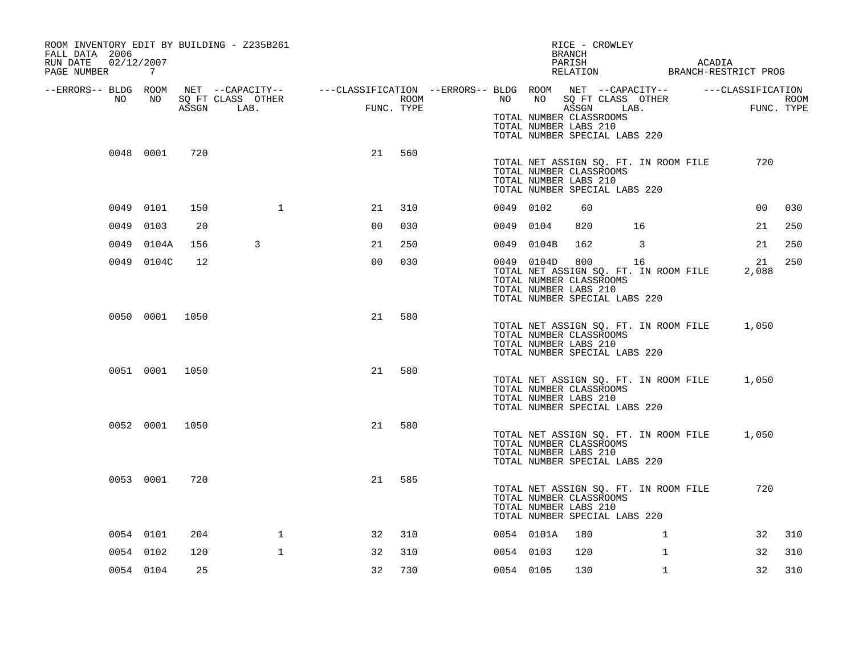| ROOM INVENTORY EDIT BY BUILDING - Z235B261<br>FALL DATA 2006<br>02/12/2007<br>RUN DATE<br>PAGE NUMBER | 7              |       |                   |                                                                             |            |           |            | RICE - CROWLEY<br><b>BRANCH</b><br>PARISH<br>RELATION BRANCH-RESTRICT PROG                                                        |              | ACADIA |                   |            |
|-------------------------------------------------------------------------------------------------------|----------------|-------|-------------------|-----------------------------------------------------------------------------|------------|-----------|------------|-----------------------------------------------------------------------------------------------------------------------------------|--------------|--------|-------------------|------------|
| --ERRORS-- BLDG ROOM<br>NO                                                                            | NO             |       | SQ FT CLASS OTHER | NET --CAPACITY--    ---CLASSIFICATION --ERRORS-- BLDG ROOM NET --CAPACITY-- | ROOM       | NO        | NO         | SQ FT CLASS OTHER                                                                                                                 |              |        | ---CLASSIFICATION | ROOM       |
|                                                                                                       |                | ASSGN | LAB.              |                                                                             | FUNC. TYPE |           |            | ASSGN<br>LAB.<br>TOTAL NUMBER CLASSROOMS<br>TOTAL NUMBER LABS 210<br>TOTAL NUMBER SPECIAL LABS 220                                |              |        |                   | FUNC. TYPE |
|                                                                                                       | 0048 0001      | 720   |                   | 21                                                                          | 560        |           |            | TOTAL NET ASSIGN SQ. FT. IN ROOM FILE<br>TOTAL NUMBER CLASSROOMS<br>TOTAL NUMBER LABS 210<br>TOTAL NUMBER SPECIAL LABS 220        |              |        | 720               |            |
|                                                                                                       | 0049 0101      | 150   | $\mathbf{1}$      | 21                                                                          | 310        | 0049 0102 |            | 60                                                                                                                                |              |        | 00                | 030        |
|                                                                                                       | 0049 0103      | 20    |                   | 0 <sub>0</sub>                                                              | 030        | 0049 0104 |            | 820                                                                                                                               | 16           |        | 21                | 250        |
|                                                                                                       | 0049 0104A     | 156   | 3                 | 21                                                                          | 250        |           | 0049 0104B | 162                                                                                                                               | 3            |        | 21                | 250        |
|                                                                                                       | 0049 0104C     | 12    |                   | 0 <sub>0</sub>                                                              | 030        |           | 0049 0104D | 800<br>TOTAL NET ASSIGN SQ. FT. IN ROOM FILE<br>TOTAL NUMBER CLASSROOMS<br>TOTAL NUMBER LABS 210<br>TOTAL NUMBER SPECIAL LABS 220 | 16           |        | 21<br>2,088       | 250        |
|                                                                                                       | 0050 0001 1050 |       |                   | 21                                                                          | 580        |           |            | TOTAL NET ASSIGN SQ. FT. IN ROOM FILE<br>TOTAL NUMBER CLASSROOMS<br>TOTAL NUMBER LABS 210<br>TOTAL NUMBER SPECIAL LABS 220        |              |        | 1,050             |            |
|                                                                                                       | 0051 0001 1050 |       |                   | 21                                                                          | 580        |           |            | TOTAL NET ASSIGN SQ. FT. IN ROOM FILE<br>TOTAL NUMBER CLASSROOMS<br>TOTAL NUMBER LABS 210<br>TOTAL NUMBER SPECIAL LABS 220        |              |        | 1,050             |            |
|                                                                                                       | 0052 0001      | 1050  |                   | 21                                                                          | 580        |           |            | TOTAL NET ASSIGN SQ. FT. IN ROOM FILE<br>TOTAL NUMBER CLASSROOMS<br>TOTAL NUMBER LABS 210<br>TOTAL NUMBER SPECIAL LABS 220        |              |        | 1,050             |            |
|                                                                                                       | 0053 0001      | 720   |                   | 21                                                                          | 585        |           |            | TOTAL NET ASSIGN SQ. FT. IN ROOM FILE<br>TOTAL NUMBER CLASSROOMS<br>TOTAL NUMBER LABS 210<br>TOTAL NUMBER SPECIAL LABS 220        |              |        | 720               |            |
|                                                                                                       | 0054 0101      | 204   | $\mathbf{1}$      | 32                                                                          | 310        |           | 0054 0101A | 180                                                                                                                               | $\mathbf{1}$ |        | 32                | 310        |
|                                                                                                       | 0054 0102      | 120   | $\mathbf{1}$      | 32                                                                          | 310        | 0054 0103 |            | 120                                                                                                                               | $\mathbf{1}$ |        | 32                | 310        |
|                                                                                                       | 0054 0104      | 25    |                   | 32                                                                          | 730        | 0054 0105 |            | 130                                                                                                                               | $\mathbf{1}$ |        | 32                | 310        |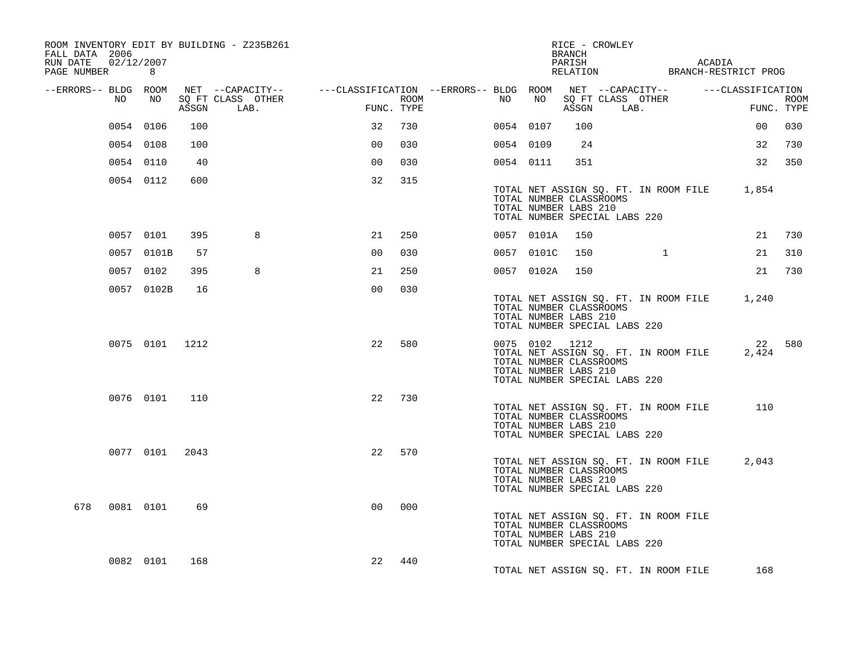| FALL DATA 2006<br>RUN DATE<br>PAGE NUMBER 8 | 02/12/2007 |                |       | ROOM INVENTORY EDIT BY BUILDING - Z235B261                                                                                  |                                   |      |           |            | RICE - CROWLEY<br>BRANCH<br>PARISH                                 |                                                                        |              | ACADIA | RELATION BRANCH-RESTRICT PROG               |                           |
|---------------------------------------------|------------|----------------|-------|-----------------------------------------------------------------------------------------------------------------------------|-----------------------------------|------|-----------|------------|--------------------------------------------------------------------|------------------------------------------------------------------------|--------------|--------|---------------------------------------------|---------------------------|
| --ERRORS-- BLDG ROOM                        | NO         | NO             | ASSGN | NET --CAPACITY-- - ---CLASSIFICATION --ERRORS-- BLDG ROOM NET --CAPACITY-- - ---CLASSIFICATION<br>SQ FT CLASS OTHER<br>LAB. | and a strategic and<br>FUNC. TYPE | ROOM | NO        | NO         | ASSGN                                                              | SQ FT CLASS OTHER<br>LAB.                                              |              |        |                                             | <b>ROOM</b><br>FUNC. TYPE |
|                                             | 0054 0106  |                | 100   |                                                                                                                             | 32                                | 730  | 0054 0107 |            | 100                                                                |                                                                        |              |        | 0 <sub>0</sub>                              | 030                       |
|                                             | 0054 0108  |                | 100   |                                                                                                                             | 0 <sub>0</sub>                    | 030  | 0054 0109 |            | 24                                                                 |                                                                        |              |        | 32                                          | 730                       |
|                                             | 0054 0110  |                | 40    |                                                                                                                             | 0 <sub>0</sub>                    | 030  | 0054 0111 |            | 351                                                                |                                                                        |              |        | 32                                          | 350                       |
|                                             |            | 0054 0112      | 600   |                                                                                                                             | 32                                | 315  |           |            | TOTAL NUMBER CLASSROOMS<br>TOTAL NUMBER LABS 210                   | TOTAL NUMBER SPECIAL LABS 220                                          |              |        | TOTAL NET ASSIGN SQ. FT. IN ROOM FILE 1,854 |                           |
|                                             |            | 0057 0101      | 395   | 8                                                                                                                           | 21                                | 250  |           | 0057 0101A | 150                                                                |                                                                        |              |        | 21                                          | 730                       |
|                                             |            | 0057 0101B     | 57    |                                                                                                                             | 0 <sub>0</sub>                    | 030  |           | 0057 0101C | 150                                                                |                                                                        | $\mathbf{1}$ |        | 21                                          | 310                       |
|                                             | 0057 0102  |                | 395   | 8                                                                                                                           | 21                                | 250  |           | 0057 0102A | 150                                                                |                                                                        |              |        | 21                                          | 730                       |
|                                             |            | 0057 0102B     | 16    |                                                                                                                             | 0 <sub>0</sub>                    | 030  |           |            | TOTAL NUMBER CLASSROOMS<br>TOTAL NUMBER LABS 210                   | TOTAL NUMBER SPECIAL LABS 220                                          |              |        | TOTAL NET ASSIGN SQ. FT. IN ROOM FILE 1,240 |                           |
|                                             |            | 0075 0101 1212 |       |                                                                                                                             | 22                                | 580  |           |            | 0075 0102 1212<br>TOTAL NUMBER CLASSROOMS<br>TOTAL NUMBER LABS 210 | TOTAL NET ASSIGN SQ. FT. IN ROOM FILE<br>TOTAL NUMBER SPECIAL LABS 220 |              |        | 22 580<br>2,424                             |                           |
|                                             |            | 0076 0101      | 110   |                                                                                                                             | 22                                | 730  |           |            | TOTAL NUMBER CLASSROOMS<br>TOTAL NUMBER LABS 210                   | TOTAL NET ASSIGN SQ. FT. IN ROOM FILE<br>TOTAL NUMBER SPECIAL LABS 220 |              |        | 110                                         |                           |
|                                             |            | 0077 0101 2043 |       |                                                                                                                             | 22                                | 570  |           |            | TOTAL NUMBER CLASSROOMS<br>TOTAL NUMBER LABS 210                   | TOTAL NET ASSIGN SQ. FT. IN ROOM FILE<br>TOTAL NUMBER SPECIAL LABS 220 |              |        | 2,043                                       |                           |
| 678                                         |            | 0081 0101      | 69    |                                                                                                                             | 0 <sub>0</sub>                    | 000  |           |            | TOTAL NUMBER CLASSROOMS<br>TOTAL NUMBER LABS 210                   | TOTAL NET ASSIGN SQ. FT. IN ROOM FILE<br>TOTAL NUMBER SPECIAL LABS 220 |              |        |                                             |                           |
|                                             |            | 0082 0101      | 168   |                                                                                                                             | 22                                | 440  |           |            |                                                                    | TOTAL NET ASSIGN SQ. FT. IN ROOM FILE                                  |              |        | 168                                         |                           |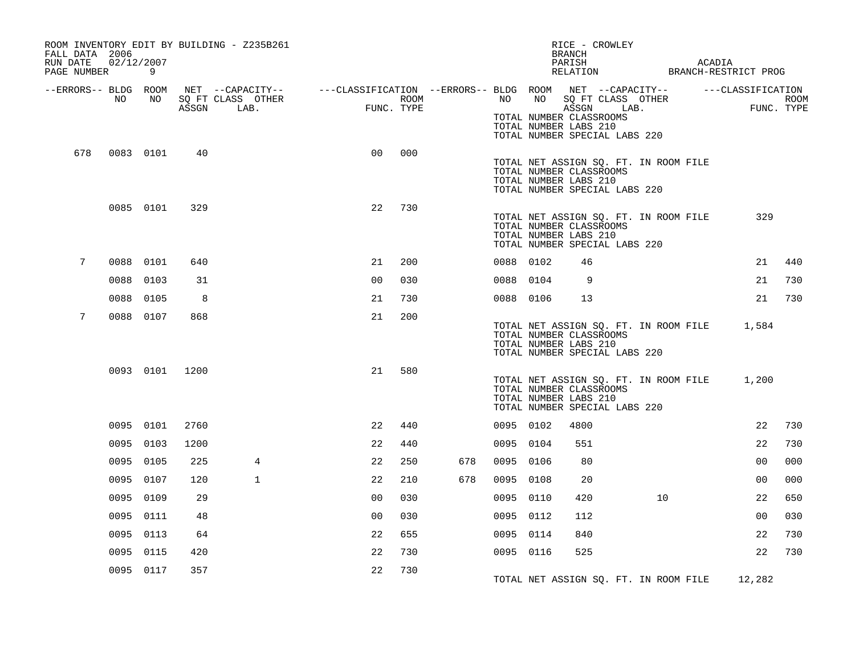| FALL DATA 2006<br>RUN DATE | 02/12/2007 |           |      | ROOM INVENTORY EDIT BY BUILDING - Z235B261 |                                                                             |                    |     |           |    | RICE - CROWLEY<br>BRANCH<br>PARISH                                                                                         |      | ACADIA            |                    |
|----------------------------|------------|-----------|------|--------------------------------------------|-----------------------------------------------------------------------------|--------------------|-----|-----------|----|----------------------------------------------------------------------------------------------------------------------------|------|-------------------|--------------------|
| PAGE NUMBER                |            | 9         |      |                                            |                                                                             |                    |     |           |    | RELATION BRANCH-RESTRICT PROG                                                                                              |      |                   |                    |
| --ERRORS-- BLDG ROOM       | NO.        | NO        |      | SQ FT CLASS OTHER<br>ASSGN LAB.            | NET --CAPACITY--    ---CLASSIFICATION --ERRORS-- BLDG ROOM NET --CAPACITY-- | ROOM<br>FUNC. TYPE |     | NO        | NO | SQ FT CLASS OTHER<br>ASSGN<br>TOTAL NUMBER CLASSROOMS<br>TOTAL NUMBER LABS 210<br>TOTAL NUMBER SPECIAL LABS 220            | LAB. | ---CLASSIFICATION | ROOM<br>FUNC. TYPE |
| 678                        |            | 0083 0101 | 40   |                                            | 0 <sub>0</sub>                                                              | 000                |     |           |    | TOTAL NET ASSIGN SQ. FT. IN ROOM FILE<br>TOTAL NUMBER CLASSROOMS<br>TOTAL NUMBER LABS 210<br>TOTAL NUMBER SPECIAL LABS 220 |      |                   |                    |
|                            |            | 0085 0101 | 329  |                                            | 22                                                                          | 730                |     |           |    | TOTAL NET ASSIGN SQ. FT. IN ROOM FILE<br>TOTAL NUMBER CLASSROOMS<br>TOTAL NUMBER LABS 210<br>TOTAL NUMBER SPECIAL LABS 220 |      | 329               |                    |
| 7                          |            | 0088 0101 | 640  |                                            | 21                                                                          | 200                |     | 0088 0102 |    | 46                                                                                                                         |      | 21                | 440                |
|                            |            | 0088 0103 | 31   |                                            | 0 <sub>0</sub>                                                              | 030                |     | 0088 0104 |    | 9                                                                                                                          |      | 21                | 730                |
|                            |            | 0088 0105 | 8    |                                            | 21                                                                          | 730                |     | 0088 0106 |    | 13                                                                                                                         |      | 21                | 730                |
| 7                          |            | 0088 0107 | 868  |                                            | 21                                                                          | 200                |     |           |    | TOTAL NET ASSIGN SQ. FT. IN ROOM FILE<br>TOTAL NUMBER CLASSROOMS<br>TOTAL NUMBER LABS 210<br>TOTAL NUMBER SPECIAL LABS 220 |      | 1,584             |                    |
|                            |            | 0093 0101 | 1200 |                                            | 21                                                                          | 580                |     |           |    | TOTAL NET ASSIGN SQ. FT. IN ROOM FILE<br>TOTAL NUMBER CLASSROOMS<br>TOTAL NUMBER LABS 210<br>TOTAL NUMBER SPECIAL LABS 220 |      | 1,200             |                    |
|                            |            | 0095 0101 | 2760 |                                            | 22                                                                          | 440                |     | 0095 0102 |    | 4800                                                                                                                       |      | 22                | 730                |
|                            |            | 0095 0103 | 1200 |                                            | 22                                                                          | 440                |     | 0095 0104 |    | 551                                                                                                                        |      | 22                | 730                |
|                            |            | 0095 0105 | 225  | 4                                          | 22                                                                          | 250                | 678 | 0095 0106 |    | 80                                                                                                                         |      | 0 <sub>0</sub>    | 000                |
|                            |            | 0095 0107 | 120  | $\mathbf{1}$                               | 22                                                                          | 210                | 678 | 0095 0108 |    | 20                                                                                                                         |      | 0 <sub>0</sub>    | 000                |
|                            |            | 0095 0109 | 29   |                                            | 0 <sub>0</sub>                                                              | 030                |     | 0095 0110 |    | 420                                                                                                                        | 10   | 22                | 650                |
|                            |            | 0095 0111 | 48   |                                            | 0 <sub>0</sub>                                                              | 030                |     | 0095 0112 |    | 112                                                                                                                        |      | 00                | 030                |
|                            |            | 0095 0113 | 64   |                                            | 22                                                                          | 655                |     | 0095 0114 |    | 840                                                                                                                        |      | 22                | 730                |
|                            |            | 0095 0115 | 420  |                                            | 22                                                                          | 730                |     | 0095 0116 |    | 525                                                                                                                        |      | 22                | 730                |
|                            |            | 0095 0117 | 357  |                                            | 22                                                                          | 730                |     |           |    | TOTAL NET ASSIGN SQ. FT. IN ROOM FILE                                                                                      |      | 12,282            |                    |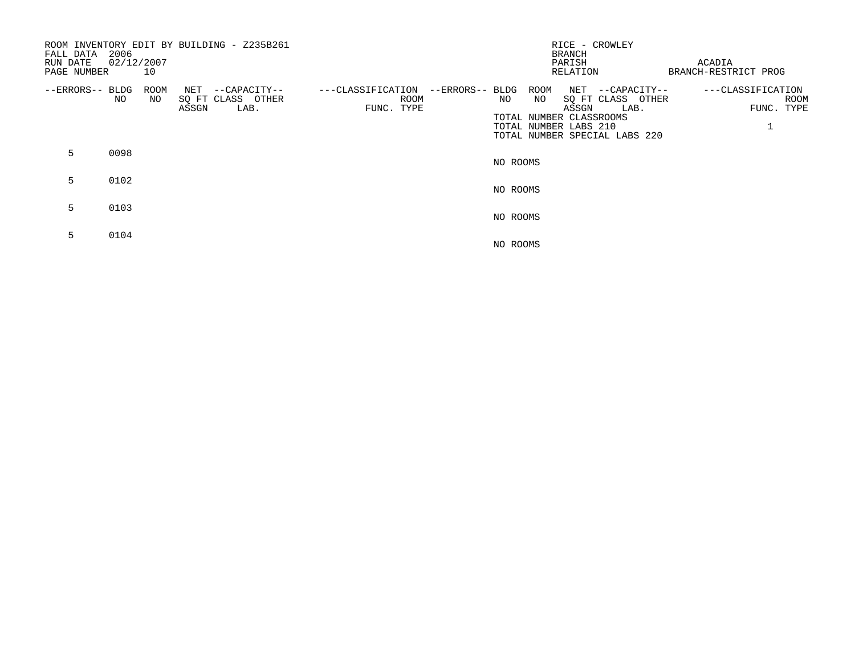| FALL DATA<br>RUN DATE<br>PAGE NUMBER | 2006<br>02/12/2007 | 10          | ROOM INVENTORY EDIT BY BUILDING - Z235B261             |                                                         | RICE - CROWLEY<br><b>BRANCH</b><br>PARISH<br>RELATION                                                                                                            | ACADIA<br>BRANCH-RESTRICT PROG          |
|--------------------------------------|--------------------|-------------|--------------------------------------------------------|---------------------------------------------------------|------------------------------------------------------------------------------------------------------------------------------------------------------------------|-----------------------------------------|
| --ERRORS-- BLDG                      | NO.                | ROOM<br>NO. | NET --CAPACITY--<br>SQ FT CLASS OTHER<br>ASSGN<br>LAB. | ---CLASSIFICATION --ERRORS-- BLDG<br>ROOM<br>FUNC. TYPE | ROOM<br>NET --CAPACITY--<br>NO<br>SQ FT CLASS OTHER<br>NO.<br>ASSGN<br>LAB.<br>TOTAL NUMBER CLASSROOMS<br>TOTAL NUMBER LABS 210<br>TOTAL NUMBER SPECIAL LABS 220 | ---CLASSIFICATION<br>ROOM<br>FUNC. TYPE |
| 5                                    | 0098               |             |                                                        |                                                         | NO ROOMS                                                                                                                                                         |                                         |
| 5                                    | 0102               |             |                                                        |                                                         | NO ROOMS                                                                                                                                                         |                                         |
| 5                                    | 0103               |             |                                                        |                                                         | NO ROOMS                                                                                                                                                         |                                         |
| 5.                                   | 0104               |             |                                                        |                                                         | NO ROOMS                                                                                                                                                         |                                         |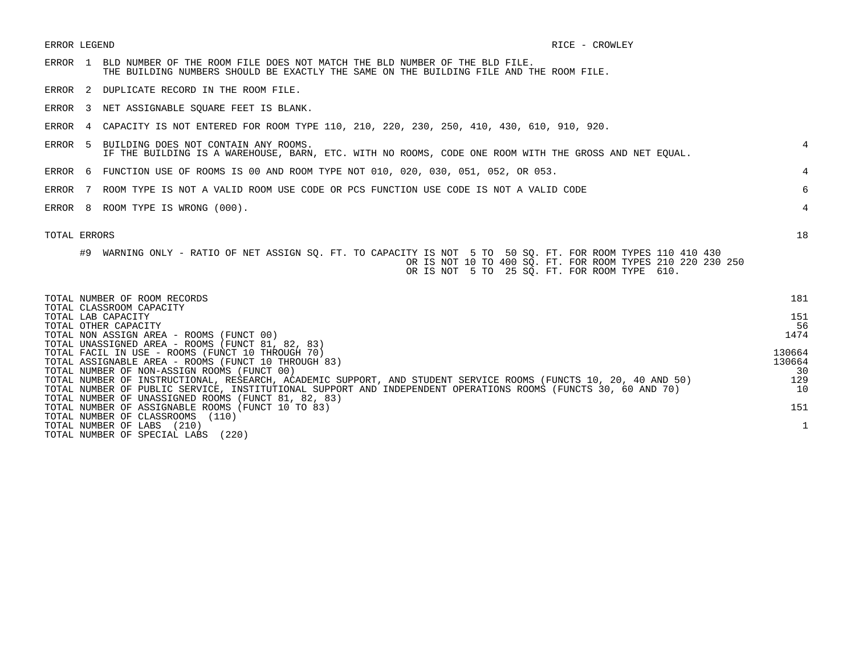| ERROR LEGEND       |                                                                                                                                                                                                                                                                                                                                                                                                                                                                                                                                                           | RICE - CROWLEY                                             |  |  |  |  |  |  |  |  |  |  |
|--------------------|-----------------------------------------------------------------------------------------------------------------------------------------------------------------------------------------------------------------------------------------------------------------------------------------------------------------------------------------------------------------------------------------------------------------------------------------------------------------------------------------------------------------------------------------------------------|------------------------------------------------------------|--|--|--|--|--|--|--|--|--|--|
| ERROR <sub>1</sub> | BLD NUMBER OF THE ROOM FILE DOES NOT MATCH THE BLD NUMBER OF THE BLD FILE.<br>THE BUILDING NUMBERS SHOULD BE EXACTLY THE SAME ON THE BUILDING FILE AND THE ROOM FILE.                                                                                                                                                                                                                                                                                                                                                                                     |                                                            |  |  |  |  |  |  |  |  |  |  |
| ERROR <sub>2</sub> | DUPLICATE RECORD IN THE ROOM FILE.                                                                                                                                                                                                                                                                                                                                                                                                                                                                                                                        |                                                            |  |  |  |  |  |  |  |  |  |  |
| ERROR <sub>3</sub> | NET ASSIGNABLE SQUARE FEET IS BLANK.                                                                                                                                                                                                                                                                                                                                                                                                                                                                                                                      |                                                            |  |  |  |  |  |  |  |  |  |  |
| ERROR              | CAPACITY IS NOT ENTERED FOR ROOM TYPE 110, 210, 220, 230, 250, 410, 430, 610, 910, 920.                                                                                                                                                                                                                                                                                                                                                                                                                                                                   |                                                            |  |  |  |  |  |  |  |  |  |  |
| ERROR<br>- 5       | BUILDING DOES NOT CONTAIN ANY ROOMS.<br>IF THE BUILDING IS A WAREHOUSE, BARN, ETC. WITH NO ROOMS, CODE ONE ROOM WITH THE GROSS AND NET EQUAL.                                                                                                                                                                                                                                                                                                                                                                                                             | 4                                                          |  |  |  |  |  |  |  |  |  |  |
| ERROR<br>- 6       | FUNCTION USE OF ROOMS IS 00 AND ROOM TYPE NOT 010, 020, 030, 051, 052, OR 053.                                                                                                                                                                                                                                                                                                                                                                                                                                                                            | 4                                                          |  |  |  |  |  |  |  |  |  |  |
| ERROR              | ROOM TYPE IS NOT A VALID ROOM USE CODE OR PCS FUNCTION USE CODE IS NOT A VALID CODE                                                                                                                                                                                                                                                                                                                                                                                                                                                                       | 6                                                          |  |  |  |  |  |  |  |  |  |  |
| ERROR<br>-8        | ROOM TYPE IS WRONG (000).                                                                                                                                                                                                                                                                                                                                                                                                                                                                                                                                 | 4                                                          |  |  |  |  |  |  |  |  |  |  |
| TOTAL ERRORS       |                                                                                                                                                                                                                                                                                                                                                                                                                                                                                                                                                           | 18                                                         |  |  |  |  |  |  |  |  |  |  |
| #9                 | WARNING ONLY - RATIO OF NET ASSIGN SQ. FT. TO CAPACITY IS NOT 5 TO 50 SQ. FT. FOR ROOM TYPES 110 410 430<br>OR IS NOT 5 TO 25 SO. FT. FOR ROOM TYPE 610.                                                                                                                                                                                                                                                                                                                                                                                                  | OR IS NOT 10 TO 400 SQ. FT. FOR ROOM TYPES 210 220 230 250 |  |  |  |  |  |  |  |  |  |  |
|                    | TOTAL NUMBER OF ROOM RECORDS                                                                                                                                                                                                                                                                                                                                                                                                                                                                                                                              | 181                                                        |  |  |  |  |  |  |  |  |  |  |
| TOTAL LAB CAPACITY | TOTAL CLASSROOM CAPACITY                                                                                                                                                                                                                                                                                                                                                                                                                                                                                                                                  | 151<br>56<br>1474                                          |  |  |  |  |  |  |  |  |  |  |
|                    | TOTAL OTHER CAPACITY<br>TOTAL NON ASSIGN AREA - ROOMS (FUNCT 00)<br>TOTAL UNASSIGNED AREA - ROOMS (FUNCT 81, 82, 83)<br>TOTAL FACIL IN USE - ROOMS (FUNCT 10 THROUGH 70)<br>130664<br>TOTAL ASSIGNABLE AREA - ROOMS (FUNCT 10 THROUGH 83)<br>130664<br>TOTAL NUMBER OF NON-ASSIGN ROOMS (FUNCT 00)<br>30<br>TOTAL NUMBER OF INSTRUCTIONAL, RESEARCH, ACADEMIC SUPPORT, AND STUDENT SERVICE ROOMS (FUNCTS 10, 20, 40 AND 50)<br>129<br>TOTAL NUMBER OF PUBLIC SERVICE, INSTITUTIONAL SUPPORT AND INDEPENDENT OPERATIONS ROOMS (FUNCTS 30, 60 AND 70)<br>10 |                                                            |  |  |  |  |  |  |  |  |  |  |
|                    | TOTAL NUMBER OF UNASSIGNED ROOMS (FUNCT 81, 82, 83)<br>TOTAL NUMBER OF ASSIGNABLE ROOMS (FUNCT 10 TO 83)                                                                                                                                                                                                                                                                                                                                                                                                                                                  | 151                                                        |  |  |  |  |  |  |  |  |  |  |
|                    | TOTAL NUMBER OF CLASSROOMS<br>(110)<br>TOTAL NUMBER OF LABS (210)<br>TOTAL NUMBER OF SPECIAL LABS<br>(220)                                                                                                                                                                                                                                                                                                                                                                                                                                                | 1                                                          |  |  |  |  |  |  |  |  |  |  |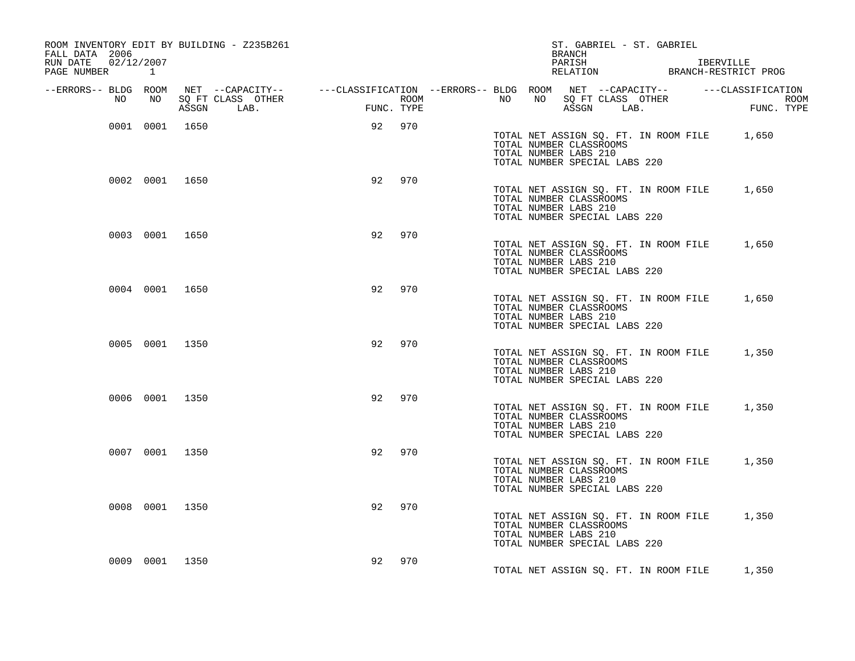| ROOM INVENTORY EDIT BY BUILDING - Z235B261<br>FALL DATA 2006 |    |                |      |    |            |  | BRANCH                                                                            | ST. GABRIEL - ST. GABRIEL             |                                                                                                                                                                                                                                                                                   |
|--------------------------------------------------------------|----|----------------|------|----|------------|--|-----------------------------------------------------------------------------------|---------------------------------------|-----------------------------------------------------------------------------------------------------------------------------------------------------------------------------------------------------------------------------------------------------------------------------------|
| RUN DATE 02/12/2007<br>PAGE NUMBER 1                         |    |                |      |    |            |  | PARISH                                                                            |                                       |                                                                                                                                                                                                                                                                                   |
| --ERRORS-- BLDG ROOM<br>NO                                   | NO |                |      |    |            |  |                                                                                   |                                       | NET --CAPACITY-- ----CLASSIFICATION --ERRORS---BLDG ROOM NET --CAPACITY-- ------CLASSIFICATION<br>SQ FT CLASS OTHER ROOM NO SQ FT CLASS OTHER ROOM POOM NO SQ FT CLASS OTHER ROOM PUNC.<br>ASSGN LAB.     FUNC. TYPE ASSGN LAB.<br>NO NO SQFTCLASS OTHER THE ROOM ROOM ASSGN LAB. |
|                                                              |    | ASSGN          | LAB. |    | FUNC. TYPE |  |                                                                                   | ASSGN LAB.                            | FUNC. TYPE                                                                                                                                                                                                                                                                        |
|                                                              |    | 0001 0001 1650 |      |    | 92 970     |  | TOTAL NUMBER CLASSROOMS<br>TOTAL NUMBER LABS 210<br>TOTAL NUMBER SPECIAL LABS 220 |                                       | TOTAL NET ASSIGN SQ. FT. IN ROOM FILE 1,650                                                                                                                                                                                                                                       |
|                                                              |    | 0002 0001 1650 |      | 92 | 970        |  | TOTAL NUMBER CLASSROOMS<br>TOTAL NUMBER LABS 210<br>TOTAL NUMBER SPECIAL LABS 220 |                                       | TOTAL NET ASSIGN SQ. FT. IN ROOM FILE 1,650                                                                                                                                                                                                                                       |
|                                                              |    | 0003 0001 1650 |      | 92 | 970        |  | TOTAL NUMBER CLASSROOMS<br>TOTAL NUMBER LABS 210<br>TOTAL NUMBER SPECIAL LABS 220 |                                       | TOTAL NET ASSIGN SQ. FT. IN ROOM FILE 1,650                                                                                                                                                                                                                                       |
|                                                              |    | 0004 0001 1650 |      | 92 | 970        |  | TOTAL NUMBER CLASSROOMS<br>TOTAL NUMBER LABS 210<br>TOTAL NUMBER SPECIAL LABS 220 | TOTAL NET ASSIGN SQ. FT. IN ROOM FILE | 1,650                                                                                                                                                                                                                                                                             |
|                                                              |    | 0005 0001 1350 |      | 92 | 970        |  | TOTAL NUMBER CLASSROOMS<br>TOTAL NUMBER LABS 210<br>TOTAL NUMBER SPECIAL LABS 220 | TOTAL NET ASSIGN SQ. FT. IN ROOM FILE | 1,350                                                                                                                                                                                                                                                                             |
|                                                              |    | 0006 0001 1350 |      | 92 | 970        |  | TOTAL NUMBER CLASSROOMS<br>TOTAL NUMBER LABS 210<br>TOTAL NUMBER SPECIAL LABS 220 | TOTAL NET ASSIGN SQ. FT. IN ROOM FILE | 1,350                                                                                                                                                                                                                                                                             |
|                                                              |    | 0007 0001 1350 |      | 92 | 970        |  | TOTAL NUMBER CLASSROOMS<br>TOTAL NUMBER LABS 210<br>TOTAL NUMBER SPECIAL LABS 220 |                                       | TOTAL NET ASSIGN SQ. FT. IN ROOM FILE 1,350                                                                                                                                                                                                                                       |
|                                                              |    | 0008 0001 1350 |      | 92 | 970        |  | TOTAL NUMBER CLASSROOMS<br>TOTAL NUMBER LABS 210<br>TOTAL NUMBER SPECIAL LABS 220 |                                       | TOTAL NET ASSIGN SQ. FT. IN ROOM FILE 1,350                                                                                                                                                                                                                                       |
|                                                              |    | 0009 0001 1350 |      | 92 | 970        |  |                                                                                   |                                       | TOTAL NET ASSIGN SQ. FT. IN ROOM FILE 1,350                                                                                                                                                                                                                                       |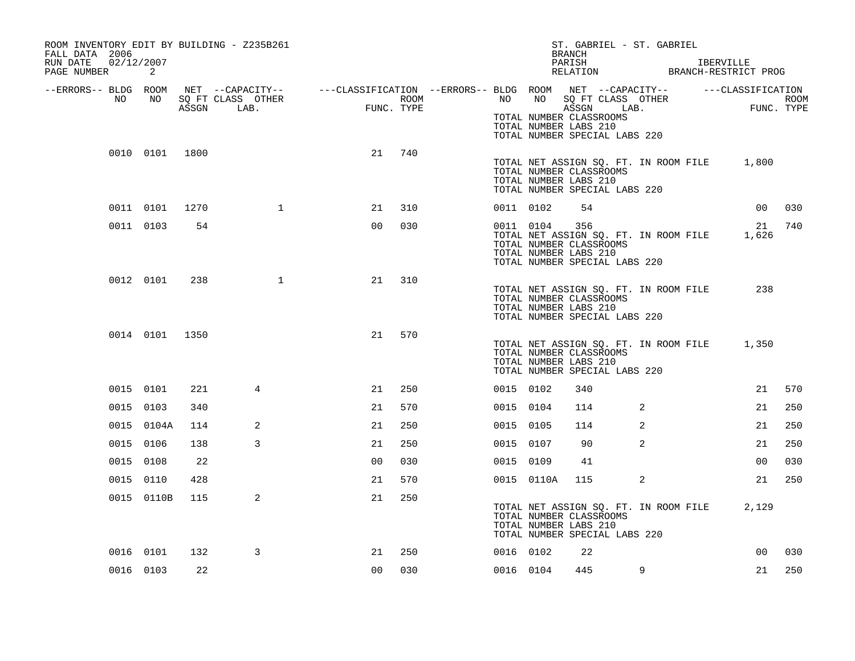| ROOM INVENTORY EDIT BY BUILDING - Z235B261<br>FALL DATA 2006 |                |       |                   |                |      |                                                                                                  | ST. GABRIEL - ST. GABRIEL<br>BRANCH                                                                                               |   |                    |     |
|--------------------------------------------------------------|----------------|-------|-------------------|----------------|------|--------------------------------------------------------------------------------------------------|-----------------------------------------------------------------------------------------------------------------------------------|---|--------------------|-----|
| RUN DATE<br>02/12/2007<br>PAGE NUMBER                        | 2              |       |                   |                |      |                                                                                                  | PARISH<br>PARISH IBERVILLE<br>RELATION BRANCH-RESTRICT PROG                                                                       |   | IBERVILLE          |     |
| --ERRORS-- BLDG ROOM<br>NO                                   | NO             |       | SQ FT CLASS OTHER | FUNC           | ROOM | $NET$ --CAPACITY-- ----CLASSIFICATION --ERRORS-- BLDG ROOM $NET$ --CAPACITY-- ----CLASSIFICATION | NO NO SQ FT CLASS OTHER                                                                                                           |   | ROOM<br>FUNC. TYPE |     |
|                                                              |                | ASSGN | LAB.              | FUNC. TYPE     |      |                                                                                                  | ASSGN LAB.<br>TOTAL NUMBER CLASSROOMS<br>TOTAL NUMBER LABS 210<br>TOTAL NUMBER SPECIAL LABS 220                                   |   |                    |     |
|                                                              | 0010 0101 1800 |       |                   | 21             | 740  |                                                                                                  | TOTAL NET ASSIGN SQ. FT. IN ROOM FILE 1,800<br>TOTAL NUMBER CLASSROOMS<br>TOTAL NUMBER LABS 210<br>TOTAL NUMBER SPECIAL LABS 220  |   |                    |     |
|                                                              | 0011 0101      | 1270  | $\mathbf{1}$      | 21             | 310  | 0011 0102                                                                                        | 54                                                                                                                                |   | 00                 | 030 |
|                                                              | 0011 0103      | 54    |                   | 0 <sub>0</sub> | 030  | 0011 0104                                                                                        | 356<br>TOTAL NET ASSIGN SQ. FT. IN ROOM FILE<br>TOTAL NUMBER CLASSROOMS<br>TOTAL NUMBER LABS 210<br>TOTAL NUMBER SPECIAL LABS 220 |   | 21 740<br>1,626    |     |
|                                                              | 0012 0101      | 238   | $\mathbf{1}$      | 21             | 310  |                                                                                                  | TOTAL NET ASSIGN SQ. FT. IN ROOM FILE<br>TOTAL NUMBER CLASSROOMS<br>TOTAL NUMBER LABS 210<br>TOTAL NUMBER SPECIAL LABS 220        |   | 238                |     |
|                                                              | 0014 0101 1350 |       |                   | 21             | 570  |                                                                                                  | TOTAL NET ASSIGN SQ. FT. IN ROOM FILE<br>TOTAL NUMBER CLASSROOMS<br>TOTAL NUMBER LABS 210<br>TOTAL NUMBER SPECIAL LABS 220        |   | 1,350              |     |
|                                                              | 0015 0101      | 221   | 4                 | 21             | 250  | 0015 0102                                                                                        | 340                                                                                                                               |   | 21                 | 570 |
|                                                              | 0015 0103      | 340   |                   | 21             | 570  | 0015 0104                                                                                        | 114                                                                                                                               | 2 | 21                 | 250 |
|                                                              | 0015 0104A     | 114   | 2                 | 21             | 250  | 0015 0105                                                                                        | 114                                                                                                                               | 2 | 21                 | 250 |
|                                                              | 0015 0106      | 138   | 3                 | 21             | 250  | 0015 0107                                                                                        | 90                                                                                                                                | 2 | 21                 | 250 |
|                                                              | 0015 0108      | 22    |                   | 0 <sub>0</sub> | 030  | 0015 0109                                                                                        | 41                                                                                                                                |   | 00 <sup>o</sup>    | 030 |
|                                                              | 0015 0110      | 428   |                   | 21             | 570  | 0015 0110A                                                                                       | 115                                                                                                                               | 2 | 21                 | 250 |
|                                                              | 0015 0110B     | 115   | 2                 | 21             | 250  |                                                                                                  | TOTAL NET ASSIGN SQ. FT. IN ROOM FILE<br>TOTAL NUMBER CLASSROOMS<br>TOTAL NUMBER LABS 210<br>TOTAL NUMBER SPECIAL LABS 220        |   | 2,129              |     |
|                                                              | 0016 0101      | 132   | 3                 | 21             | 250  | 0016 0102                                                                                        | 22                                                                                                                                |   | 00                 | 030 |
|                                                              | 0016 0103      | 22    |                   | 00             | 030  | 0016 0104                                                                                        | 445                                                                                                                               | 9 | 21                 | 250 |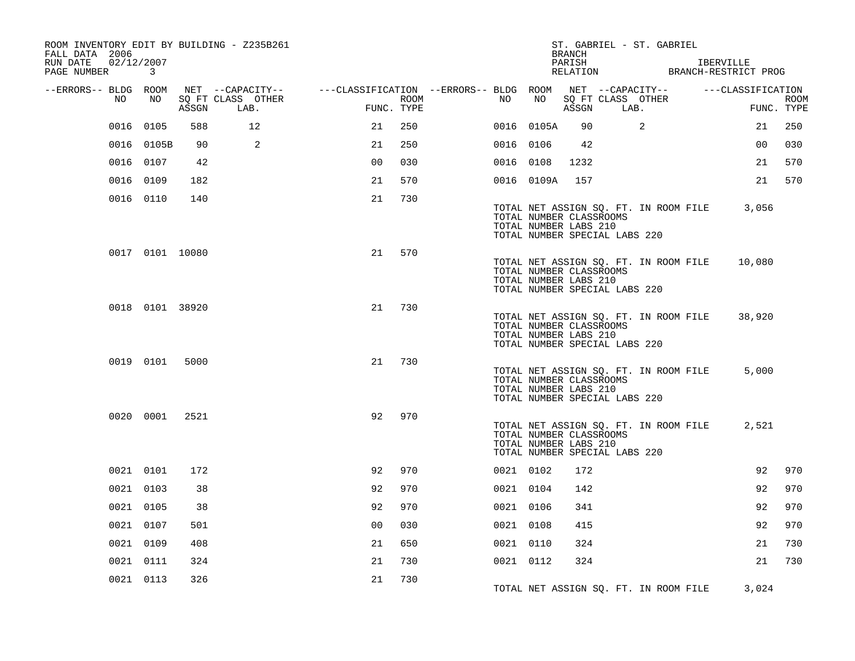| ROOM INVENTORY EDIT BY BUILDING - Z235B261<br>FALL DATA 2006<br>RUN DATE<br>02/12/2007<br>PAGE NUMBER | $\mathbf{3}$    |       |                           |                                                         |      |    |            | <b>BRANCH</b><br>PARISH<br>RELATION              |                               | ST. GABRIEL - ST. GABRIEL             | IBERVILLE<br>BRANCH-RESTRICT PROG |                           |
|-------------------------------------------------------------------------------------------------------|-----------------|-------|---------------------------|---------------------------------------------------------|------|----|------------|--------------------------------------------------|-------------------------------|---------------------------------------|-----------------------------------|---------------------------|
| --ERRORS-- BLDG ROOM                                                                                  |                 |       | NET --CAPACITY--          | ---CLASSIFICATION --ERRORS-- BLDG ROOM NET --CAPACITY-- |      |    |            |                                                  |                               |                                       | ---CLASSIFICATION                 |                           |
| NO.                                                                                                   | NO              | ASSGN | SQ FT CLASS OTHER<br>LAB. | FUNC. TYPE                                              | ROOM | NO | NO         | ASSGN                                            | LAB.                          | SQ FT CLASS OTHER                     |                                   | <b>ROOM</b><br>FUNC. TYPE |
| 0016                                                                                                  | 0105            | 588   | 12 <sup>°</sup>           | 21                                                      | 250  |    | 0016 0105A | 90                                               |                               | 2                                     | 21                                | 250                       |
|                                                                                                       | 0016 0105B      | 90    | 2                         | 21                                                      | 250  |    | 0016 0106  | 42                                               |                               |                                       | 00                                | 030                       |
|                                                                                                       | 0016 0107       | 42    |                           | 0 <sub>0</sub>                                          | 030  |    | 0016 0108  | 1232                                             |                               |                                       | 21                                | 570                       |
|                                                                                                       | 0016 0109       | 182   |                           | 21                                                      | 570  |    | 0016 0109A | 157                                              |                               |                                       | 21                                | 570                       |
|                                                                                                       | 0016 0110       | 140   |                           | 21                                                      | 730  |    |            | TOTAL NUMBER CLASSROOMS<br>TOTAL NUMBER LABS 210 | TOTAL NUMBER SPECIAL LABS 220 | TOTAL NET ASSIGN SQ. FT. IN ROOM FILE | 3,056                             |                           |
|                                                                                                       | 0017 0101 10080 |       |                           | 21                                                      | 570  |    |            | TOTAL NUMBER CLASSROOMS<br>TOTAL NUMBER LABS 210 | TOTAL NUMBER SPECIAL LABS 220 | TOTAL NET ASSIGN SQ. FT. IN ROOM FILE | 10,080                            |                           |
|                                                                                                       | 0018 0101 38920 |       |                           | 21                                                      | 730  |    |            | TOTAL NUMBER CLASSROOMS<br>TOTAL NUMBER LABS 210 | TOTAL NUMBER SPECIAL LABS 220 | TOTAL NET ASSIGN SQ. FT. IN ROOM FILE | 38,920                            |                           |
|                                                                                                       | 0019 0101       | 5000  |                           | 21                                                      | 730  |    |            | TOTAL NUMBER CLASSROOMS<br>TOTAL NUMBER LABS 210 | TOTAL NUMBER SPECIAL LABS 220 | TOTAL NET ASSIGN SQ. FT. IN ROOM FILE | 5,000                             |                           |
|                                                                                                       | 0020 0001       | 2521  |                           | 92                                                      | 970  |    |            | TOTAL NUMBER CLASSROOMS<br>TOTAL NUMBER LABS 210 | TOTAL NUMBER SPECIAL LABS 220 | TOTAL NET ASSIGN SQ. FT. IN ROOM FILE | 2,521                             |                           |
|                                                                                                       | 0021 0101       | 172   |                           | 92                                                      | 970  |    | 0021 0102  | 172                                              |                               |                                       | 92                                | 970                       |
|                                                                                                       | 0021 0103       | 38    |                           | 92                                                      | 970  |    | 0021 0104  | 142                                              |                               |                                       | 92                                | 970                       |
|                                                                                                       | 0021 0105       | 38    |                           | 92                                                      | 970  |    | 0021 0106  | 341                                              |                               |                                       | 92                                | 970                       |
|                                                                                                       | 0021 0107       | 501   |                           | 0 <sub>0</sub>                                          | 030  |    | 0021 0108  | 415                                              |                               |                                       | 92                                | 970                       |
|                                                                                                       | 0021 0109       | 408   |                           | 21                                                      | 650  |    | 0021 0110  | 324                                              |                               |                                       | 21                                | 730                       |
|                                                                                                       | 0021 0111       | 324   |                           | 21                                                      | 730  |    | 0021 0112  | 324                                              |                               |                                       | 21                                | 730                       |
|                                                                                                       | 0021 0113       | 326   |                           | 21                                                      | 730  |    |            |                                                  |                               | TOTAL NET ASSIGN SQ. FT. IN ROOM FILE | 3,024                             |                           |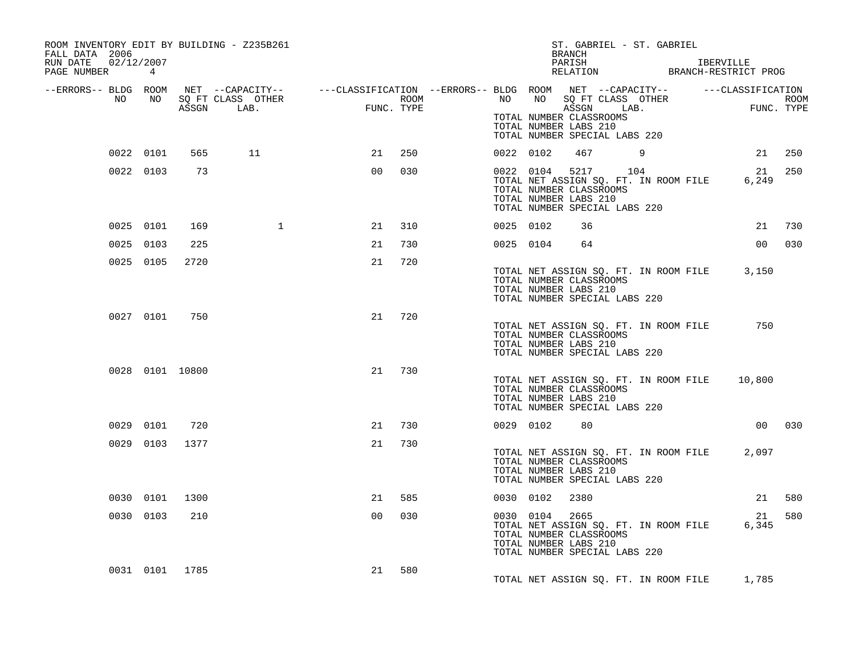| ROOM INVENTORY EDIT BY BUILDING - Z235B261<br>FALL DATA 2006<br>RUN DATE 02/12/2007<br>PAGE NUMBER 4 |           |                 |                                                                                                                                                                                                            |                 |        |           |           | ST. GABRIEL - ST. GABRIEL<br><b>BRANCH</b>                                                                                                       |  |        |        |
|------------------------------------------------------------------------------------------------------|-----------|-----------------|------------------------------------------------------------------------------------------------------------------------------------------------------------------------------------------------------------|-----------------|--------|-----------|-----------|--------------------------------------------------------------------------------------------------------------------------------------------------|--|--------|--------|
| --ERRORS-- BLDG ROOM<br>NO                                                                           |           |                 |                                                                                                                                                                                                            |                 |        |           |           |                                                                                                                                                  |  |        |        |
|                                                                                                      | NO        |                 | NET --CAPACITY-- ----CLASSIFICATION --ERRORS-- BLDG ROOM NET --CAPACITY-- -----CLASSIFICATION<br>SQ FT CLASS OTHER ROOM ROOM NO SQ FT CLASS OTHER ROOM ROOM<br>ASSGN LAB. FUNC. TYPE ASSGN LAB. FUNC. TYPE |                 |        |           |           | TOTAL NUMBER CLASSROOMS<br>TOTAL NUMBER LABS 210<br>TOTAL NUMBER SPECIAL LABS 220                                                                |  |        |        |
|                                                                                                      | 0022 0101 | 565             | 11                                                                                                                                                                                                         | 21              | 250    |           | 0022 0102 | 467 9                                                                                                                                            |  |        | 21 250 |
|                                                                                                      | 0022 0103 | 73              |                                                                                                                                                                                                            | 00 <sub>o</sub> | 030    |           |           | 0022 0104 5217 104<br>TOTAL NET ASSIGN SQ. FT. IN ROOM FILE<br>TOTAL NUMBER CLASSROOMS<br>TOTAL NUMBER LABS 210<br>TOTAL NUMBER SPECIAL LABS 220 |  | 6,249  | 21 250 |
|                                                                                                      | 0025 0101 | 169             | $\mathbf{1}$                                                                                                                                                                                               | 21              | 310    | 0025 0102 |           | 36                                                                                                                                               |  | 21     | 730    |
|                                                                                                      | 0025 0103 | 225             |                                                                                                                                                                                                            | 21              | 730    |           | 0025 0104 | 64                                                                                                                                               |  |        | 00 030 |
|                                                                                                      | 0025 0105 | 2720            |                                                                                                                                                                                                            | 21              | 720    |           |           | TOTAL NET ASSIGN SQ. FT. IN ROOM FILE 3,150<br>TOTAL NUMBER CLASSROOMS<br>TOTAL NUMBER LABS 210<br>TOTAL NUMBER SPECIAL LABS 220                 |  |        |        |
|                                                                                                      | 0027 0101 | 750             |                                                                                                                                                                                                            | 21              | 720    |           |           | TOTAL NET ASSIGN SQ. FT. IN ROOM FILE<br>TOTAL NUMBER CLASSROOMS<br>TOTAL NUMBER LABS 210<br>TOTAL NUMBER SPECIAL LABS 220                       |  | 750    |        |
|                                                                                                      |           | 0028 0101 10800 |                                                                                                                                                                                                            | 21              | 730    |           |           | TOTAL NET ASSIGN SQ. FT. IN ROOM FILE 10,800<br>TOTAL NUMBER CLASSROOMS<br>TOTAL NUMBER LABS 210<br>TOTAL NUMBER SPECIAL LABS 220                |  |        |        |
|                                                                                                      | 0029 0101 | 720             |                                                                                                                                                                                                            | 21              | 730    | 0029 0102 |           | 80                                                                                                                                               |  | 00 030 |        |
|                                                                                                      |           | 0029 0103 1377  |                                                                                                                                                                                                            | 21              | 730    |           |           | TOTAL NET ASSIGN SQ. FT. IN ROOM FILE<br>TOTAL NUMBER CLASSROOMS<br>TOTAL NUMBER LABS 210<br>TOTAL NUMBER SPECIAL LABS 220                       |  | 2,097  |        |
|                                                                                                      |           | 0030 0101 1300  |                                                                                                                                                                                                            | 21              | 585    |           | 0030 0102 | 2380                                                                                                                                             |  |        | 21 580 |
|                                                                                                      | 0030 0103 | 210             |                                                                                                                                                                                                            | 0 <sub>0</sub>  | 030    |           | 0030 0104 | 2665<br>TOTAL NET ASSIGN SQ. FT. IN ROOM FILE 6,345<br>TOTAL NUMBER CLASSROOMS<br>TOTAL NUMBER LABS 210<br>TOTAL NUMBER SPECIAL LABS 220         |  | 21     | 580    |
|                                                                                                      |           | 0031 0101 1785  |                                                                                                                                                                                                            |                 | 21 580 |           |           | TOTAL NET ASSIGN SQ. FT. IN ROOM FILE 1,785                                                                                                      |  |        |        |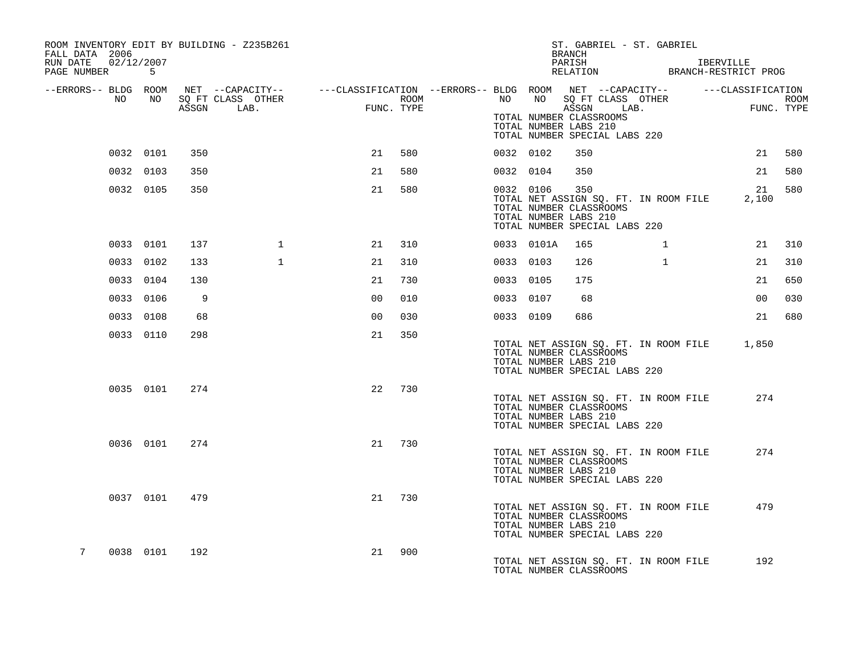| ROOM INVENTORY EDIT BY BUILDING - Z235B261<br>FALL DATA 2006 |           |     |              |                |     |            | ST. GABRIEL - ST. GABRIEL<br>BRANCH                                                                                               |              |             |     |
|--------------------------------------------------------------|-----------|-----|--------------|----------------|-----|------------|-----------------------------------------------------------------------------------------------------------------------------------|--------------|-------------|-----|
| RUN DATE<br>02/12/2007<br>PAGE NUMBER 5                      |           |     |              |                |     |            | PARISH<br>PARISH LBERVILLE<br>RELATION BRANCH-RESTRICT PROG                                                                       |              | IBERVILLE   |     |
| --ERRORS-- BLDG ROOM<br>NO                                   | NO 1      |     |              |                |     |            |                                                                                                                                   |              |             |     |
|                                                              |           |     | ASSGN LAB.   | FUNC. TYPE     |     |            | TOTAL NUMBER CLASSROOMS                                                                                                           |              | FUNC. TYPE  |     |
|                                                              |           |     |              |                |     |            | TOTAL NUMBER LABS 210<br>TOTAL NUMBER SPECIAL LABS 220                                                                            |              |             |     |
|                                                              | 0032 0101 | 350 |              | 21             | 580 | 0032 0102  | 350                                                                                                                               |              | 21          | 580 |
|                                                              | 0032 0103 | 350 |              | 21             | 580 | 0032 0104  | 350                                                                                                                               |              | 21          | 580 |
|                                                              | 0032 0105 | 350 |              | 21             | 580 | 0032 0106  | 350<br>TOTAL NET ASSIGN SQ. FT. IN ROOM FILE<br>TOTAL NUMBER CLASSROOMS<br>TOTAL NUMBER LABS 210<br>TOTAL NUMBER SPECIAL LABS 220 |              | 21<br>2,100 | 580 |
|                                                              | 0033 0101 | 137 | $\mathbf{1}$ | 21             | 310 | 0033 0101A | 165                                                                                                                               | $\mathbf{1}$ | 21          | 310 |
|                                                              | 0033 0102 | 133 | $\mathbf{1}$ | 21             | 310 | 0033 0103  | 126                                                                                                                               | $\mathbf{1}$ | 21          | 310 |
|                                                              | 0033 0104 | 130 |              | 21             | 730 | 0033 0105  | 175                                                                                                                               |              | 21          | 650 |
|                                                              | 0033 0106 | 9   |              | 0 <sub>0</sub> | 010 | 0033 0107  | 68                                                                                                                                |              | 00          | 030 |
|                                                              | 0033 0108 | 68  |              | 0 <sub>0</sub> | 030 | 0033 0109  | 686                                                                                                                               |              | 21          | 680 |
|                                                              | 0033 0110 | 298 |              | 21             | 350 |            | TOTAL NET ASSIGN SQ. FT. IN ROOM FILE 1,850<br>TOTAL NUMBER CLASSROOMS<br>TOTAL NUMBER LABS 210<br>TOTAL NUMBER SPECIAL LABS 220  |              |             |     |
|                                                              | 0035 0101 | 274 |              | 22             | 730 |            | TOTAL NET ASSIGN SQ. FT. IN ROOM FILE<br>TOTAL NUMBER CLASSROOMS<br>TOTAL NUMBER LABS 210<br>TOTAL NUMBER SPECIAL LABS 220        |              | 274         |     |
|                                                              | 0036 0101 | 274 |              | 21             | 730 |            | TOTAL NET ASSIGN SQ. FT. IN ROOM FILE<br>TOTAL NUMBER CLASSROOMS<br>TOTAL NUMBER LABS 210<br>TOTAL NUMBER SPECIAL LABS 220        |              | 274         |     |
|                                                              | 0037 0101 | 479 |              | 21             | 730 |            | TOTAL NET ASSIGN SQ. FT. IN ROOM FILE<br>TOTAL NUMBER CLASSROOMS<br>TOTAL NUMBER LABS 210<br>TOTAL NUMBER SPECIAL LABS 220        |              | 479         |     |
| 7                                                            | 0038 0101 | 192 |              | 21             | 900 |            | TOTAL NET ASSIGN SQ. FT. IN ROOM FILE<br>TOTAL NUMBER CLASSROOMS                                                                  |              | 192         |     |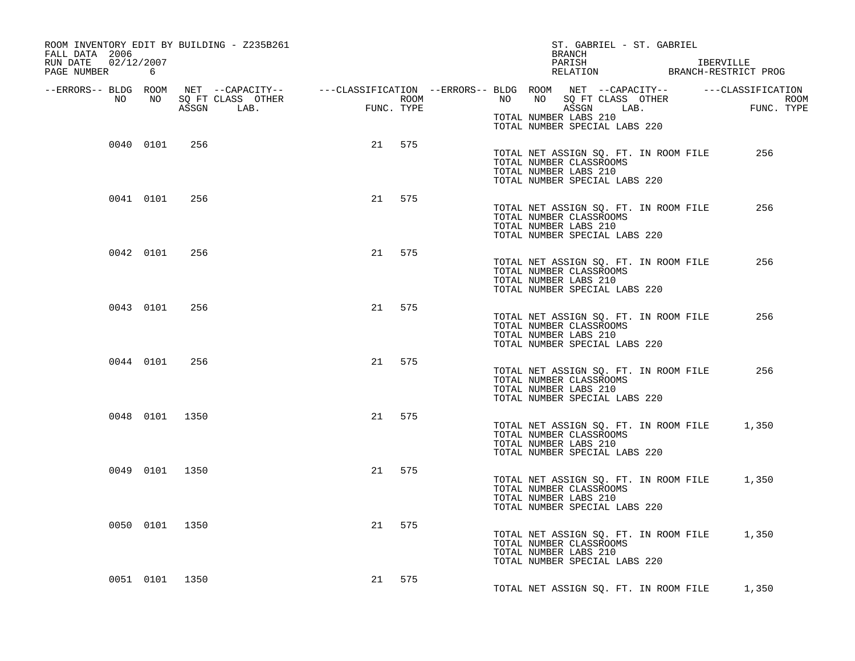| ROOM INVENTORY EDIT BY BUILDING - Z235B261<br>FALL DATA 2006<br>RUN DATE 02/12/2007<br>PAGE NUMBER 6 |           |                |                                                                                                                                                                                                                             |    |        |                                                                                                                            | BRANCH | ST. GABRIEL - ST. GABRIEL |                                                                  |  |
|------------------------------------------------------------------------------------------------------|-----------|----------------|-----------------------------------------------------------------------------------------------------------------------------------------------------------------------------------------------------------------------------|----|--------|----------------------------------------------------------------------------------------------------------------------------|--------|---------------------------|------------------------------------------------------------------|--|
|                                                                                                      |           |                |                                                                                                                                                                                                                             |    |        |                                                                                                                            |        |                           |                                                                  |  |
|                                                                                                      |           |                | ERRORS-- BLDG ROOM NET --CAPACITY--- --CLASSIFICATION --ERRORS-- BLDG ROOM NET --CAPACITY--------------------<br>NO NO SQ FT CLASS OTHER ROOM ROOM NO SQ FT CLASS OTHER ROOM ROOM ROOM NO SQ FT CLASS OTHER ROOM ASSGN LAB. |    |        |                                                                                                                            |        |                           | BLDG ROOM NEI --CAFACIII<br>NO NO SQFT-CLASS OTHER<br>ACCON LAB. |  |
|                                                                                                      |           |                |                                                                                                                                                                                                                             |    |        | TOTAL NUMBER LABS 210<br>TOTAL NUMBER SPECIAL LABS 220                                                                     |        |                           |                                                                  |  |
|                                                                                                      |           |                |                                                                                                                                                                                                                             |    |        |                                                                                                                            |        |                           |                                                                  |  |
|                                                                                                      | 0040 0101 | 256            |                                                                                                                                                                                                                             |    | 21 575 | TOTAL NET ASSIGN SQ. FT. IN ROOM FILE<br>TOTAL NUMBER CLASSROOMS<br>TOTAL NUMBER LABS 210<br>TOTAL NUMBER SPECIAL LABS 220 |        |                           | 256                                                              |  |
|                                                                                                      | 0041 0101 | 256            |                                                                                                                                                                                                                             | 21 | 575    |                                                                                                                            |        |                           |                                                                  |  |
|                                                                                                      |           |                |                                                                                                                                                                                                                             |    |        | TOTAL NET ASSIGN SQ. FT. IN ROOM FILE<br>TOTAL NUMBER CLASSROOMS<br>TOTAL NUMBER LABS 210<br>TOTAL NUMBER SPECIAL LABS 220 |        |                           | 256                                                              |  |
|                                                                                                      | 0042 0101 | 256            |                                                                                                                                                                                                                             |    | 21 575 |                                                                                                                            |        |                           |                                                                  |  |
|                                                                                                      |           |                |                                                                                                                                                                                                                             |    |        | TOTAL NET ASSIGN SQ. FT. IN ROOM FILE<br>TOTAL NUMBER CLASSROOMS<br>TOTAL NUMBER LABS 210<br>TOTAL NUMBER SPECIAL LABS 220 |        |                           | 256                                                              |  |
|                                                                                                      | 0043 0101 | 256            |                                                                                                                                                                                                                             |    | 21 575 |                                                                                                                            |        |                           |                                                                  |  |
|                                                                                                      |           |                |                                                                                                                                                                                                                             |    |        | TOTAL NET ASSIGN SQ. FT. IN ROOM FILE<br>TOTAL NUMBER CLASSROOMS<br>TOTAL NUMBER LABS 210<br>TOTAL NUMBER SPECIAL LABS 220 |        |                           | 256                                                              |  |
|                                                                                                      | 0044 0101 | 256            |                                                                                                                                                                                                                             | 21 | 575    |                                                                                                                            |        |                           |                                                                  |  |
|                                                                                                      |           |                |                                                                                                                                                                                                                             |    |        | TOTAL NET ASSIGN SQ. FT. IN ROOM FILE<br>TOTAL NUMBER CLASSROOMS<br>TOTAL NUMBER LABS 210<br>TOTAL NUMBER SPECIAL LABS 220 |        |                           | 256                                                              |  |
|                                                                                                      |           | 0048 0101 1350 |                                                                                                                                                                                                                             |    | 21 575 |                                                                                                                            |        |                           |                                                                  |  |
|                                                                                                      |           |                |                                                                                                                                                                                                                             |    |        | TOTAL NET ASSIGN SQ. FT. IN ROOM FILE<br>TOTAL NUMBER CLASSROOMS<br>TOTAL NUMBER LABS 210<br>TOTAL NUMBER SPECIAL LABS 220 |        |                           | 1,350                                                            |  |
|                                                                                                      |           | 0049 0101 1350 |                                                                                                                                                                                                                             |    | 21 575 |                                                                                                                            |        |                           |                                                                  |  |
|                                                                                                      |           |                |                                                                                                                                                                                                                             |    |        | TOTAL NET ASSIGN SQ. FT. IN ROOM FILE<br>TOTAL NUMBER CLASSROOMS<br>TOTAL NUMBER LABS 210<br>TOTAL NUMBER SPECIAL LABS 220 |        |                           | 1,350                                                            |  |
|                                                                                                      |           | 0050 0101 1350 |                                                                                                                                                                                                                             | 21 | 575    |                                                                                                                            |        |                           |                                                                  |  |
|                                                                                                      |           |                |                                                                                                                                                                                                                             |    |        | TOTAL NUMBER CLASSROOMS<br>TOTAL NUMBER LABS 210<br>TOTAL NUMBER SPECIAL LABS 220                                          |        |                           | TOTAL NET ASSIGN SQ. FT. IN ROOM FILE 1,350                      |  |
|                                                                                                      |           | 0051 0101 1350 |                                                                                                                                                                                                                             |    | 21 575 |                                                                                                                            |        |                           |                                                                  |  |
|                                                                                                      |           |                |                                                                                                                                                                                                                             |    |        |                                                                                                                            |        |                           | TOTAL NET ASSIGN SQ. FT. IN ROOM FILE 1,350                      |  |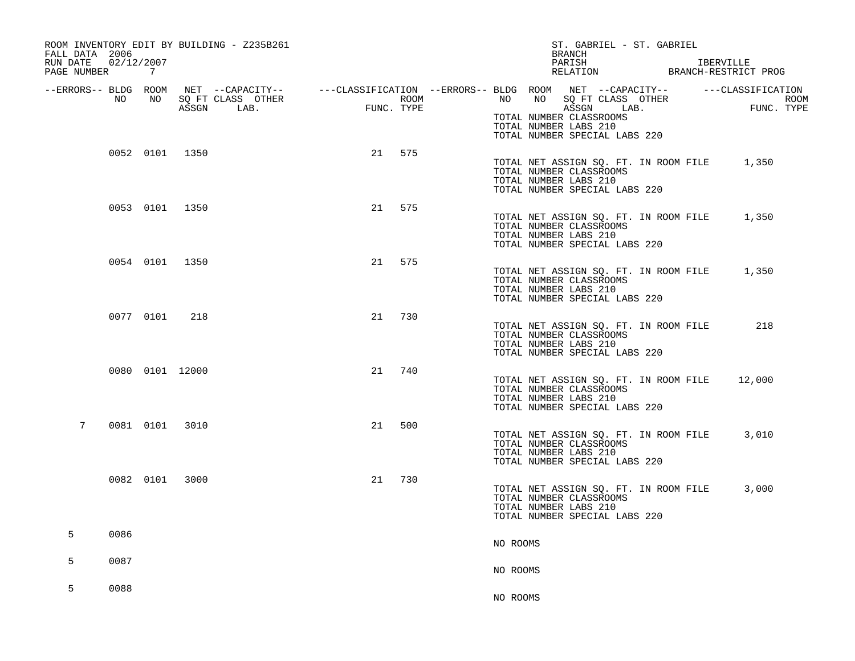| FALL DATA 2006<br>RUN DATE<br>PAGE NUMBER | 02/12/2007<br>7 |                 | ROOM INVENTORY EDIT BY BUILDING - Z235B261                                                                                    |    |                    |          | <b>BRANCH</b><br>PARISH                                                                                                    | ST. GABRIEL - ST. GABRIEL<br>RELATION |      |  | IBERVILLE<br>BRANCH-RESTRICT PROG |      |
|-------------------------------------------|-----------------|-----------------|-------------------------------------------------------------------------------------------------------------------------------|----|--------------------|----------|----------------------------------------------------------------------------------------------------------------------------|---------------------------------------|------|--|-----------------------------------|------|
| --ERRORS-- BLDG ROOM                      | NO<br>NO        | ASSGN           | NET --CAPACITY--    ---CLASSIFICATION --ERRORS-- BLDG ROOM NET --CAPACITY--    ---CLASSIFICATION<br>SQ FT CLASS OTHER<br>LAB. |    | ROOM<br>FUNC. TYPE | NO       | NO<br>TOTAL NUMBER CLASSROOMS<br>TOTAL NUMBER LABS 210<br>TOTAL NUMBER SPECIAL LABS 220                                    | SQ FT CLASS OTHER<br>ASSGN            | LAB. |  | FUNC. TYPE                        | ROOM |
|                                           |                 | 0052 0101 1350  |                                                                                                                               | 21 | 575                |          | TOTAL NET ASSIGN SQ. FT. IN ROOM FILE<br>TOTAL NUMBER CLASSROOMS<br>TOTAL NUMBER LABS 210<br>TOTAL NUMBER SPECIAL LABS 220 |                                       |      |  | 1,350                             |      |
|                                           |                 | 0053 0101 1350  |                                                                                                                               |    | 21 575             |          | TOTAL NET ASSIGN SQ. FT. IN ROOM FILE<br>TOTAL NUMBER CLASSROOMS<br>TOTAL NUMBER LABS 210<br>TOTAL NUMBER SPECIAL LABS 220 |                                       |      |  | 1,350                             |      |
|                                           |                 | 0054 0101 1350  |                                                                                                                               | 21 | 575                |          | TOTAL NET ASSIGN SQ. FT. IN ROOM FILE<br>TOTAL NUMBER CLASSROOMS<br>TOTAL NUMBER LABS 210<br>TOTAL NUMBER SPECIAL LABS 220 |                                       |      |  | 1,350                             |      |
|                                           | 0077 0101       | 218             |                                                                                                                               | 21 | 730                |          | TOTAL NET ASSIGN SQ. FT. IN ROOM FILE<br>TOTAL NUMBER CLASSROOMS<br>TOTAL NUMBER LABS 210<br>TOTAL NUMBER SPECIAL LABS 220 |                                       |      |  | 218                               |      |
|                                           |                 | 0080 0101 12000 |                                                                                                                               | 21 | 740                |          | TOTAL NET ASSIGN SQ. FT. IN ROOM FILE<br>TOTAL NUMBER CLASSROOMS<br>TOTAL NUMBER LABS 210<br>TOTAL NUMBER SPECIAL LABS 220 |                                       |      |  | 12,000                            |      |
| 7                                         |                 | 0081 0101 3010  |                                                                                                                               | 21 | 500                |          | TOTAL NET ASSIGN SQ. FT. IN ROOM FILE<br>TOTAL NUMBER CLASSROOMS<br>TOTAL NUMBER LABS 210<br>TOTAL NUMBER SPECIAL LABS 220 |                                       |      |  | 3,010                             |      |
|                                           | 0082 0101       | 3000            |                                                                                                                               | 21 | 730                |          | TOTAL NET ASSIGN SQ. FT. IN ROOM FILE<br>TOTAL NUMBER CLASSROOMS<br>TOTAL NUMBER LABS 210<br>TOTAL NUMBER SPECIAL LABS 220 |                                       |      |  | 3,000                             |      |
| 5                                         | 0086            |                 |                                                                                                                               |    |                    | NO ROOMS |                                                                                                                            |                                       |      |  |                                   |      |
| 5                                         | 0087            |                 |                                                                                                                               |    |                    | NO ROOMS |                                                                                                                            |                                       |      |  |                                   |      |
| 5                                         | 0088            |                 |                                                                                                                               |    |                    | NO ROOMS |                                                                                                                            |                                       |      |  |                                   |      |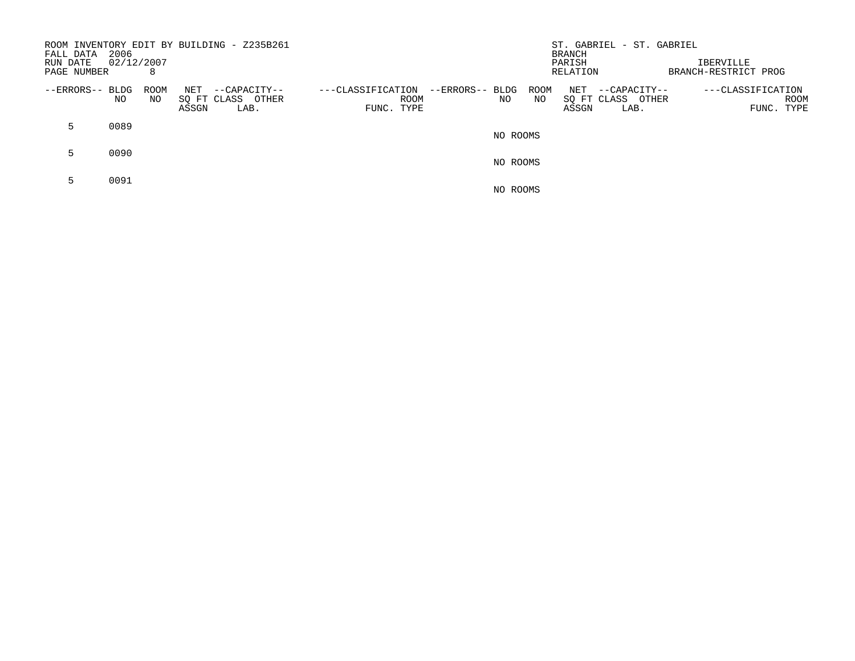| FALL DATA<br>RUN DATE<br>PAGE NUMBER | 2006<br>02/12/2007 | 8                 |              | ROOM INVENTORY EDIT BY BUILDING - Z235B261 |                                 |             |                 |          |            | <b>BRANCH</b><br>PARISH<br>RELATION | ST. GABRIEL - ST. GABRIEL                    | <b>IBERVILLE</b><br>BRANCH-RESTRICT PROG |                                                |  |
|--------------------------------------|--------------------|-------------------|--------------|--------------------------------------------|---------------------------------|-------------|-----------------|----------|------------|-------------------------------------|----------------------------------------------|------------------------------------------|------------------------------------------------|--|
| --ERRORS-- BLDG                      | ΝO                 | <b>ROOM</b><br>NO | NET<br>ASSGN | --CAPACITY--<br>SQ FT CLASS OTHER<br>LAB.  | ---CLASSIFICATION<br>FUNC. TYPE | <b>ROOM</b> | --ERRORS-- BLDG | NO       | ROOM<br>NO | NET<br>ASSGN                        | --CAPACITY--<br>SQ FT CLASS<br>OTHER<br>LAB. |                                          | ---CLASSIFICATION<br><b>ROOM</b><br>FUNC. TYPE |  |
| 5.                                   | 0089               |                   |              |                                            |                                 |             |                 | NO ROOMS |            |                                     |                                              |                                          |                                                |  |
| 5.                                   | 0090               |                   |              |                                            |                                 |             |                 | NO ROOMS |            |                                     |                                              |                                          |                                                |  |
|                                      | 0091               |                   |              |                                            |                                 |             |                 | NO ROOMS |            |                                     |                                              |                                          |                                                |  |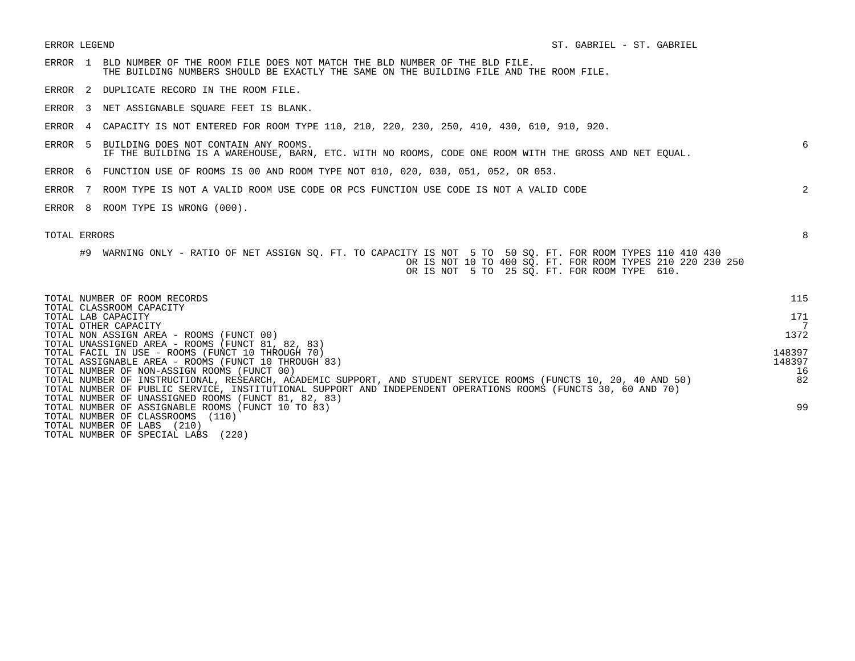- ERROR 1 BLD NUMBER OF THE ROOM FILE DOES NOT MATCH THE BLD NUMBER OF THE BLD FILE. THE BUILDING NUMBERS SHOULD BE EXACTLY THE SAME ON THE BUILDING FILE AND THE ROOM FILE.
- ERROR 2 DUPLICATE RECORD IN THE ROOM FILE.
- ERROR 3 NET ASSIGNABLE SQUARE FEET IS BLANK.
- ERROR 4 CAPACITY IS NOT ENTERED FOR ROOM TYPE 110, 210, 220, 230, 250, 410, 430, 610, 910, 920.
- ERROR 5 BUILDING DOES NOT CONTAIN ANY ROOMS. 6 IF THE BUILDING IS A WAREHOUSE, BARN, ETC. WITH NO ROOMS, CODE ONE ROOM WITH THE GROSS AND NET EQUAL.
- ERROR 6 FUNCTION USE OF ROOMS IS 00 AND ROOM TYPE NOT 010, 020, 030, 051, 052, OR 053.
- ERROR 7 ROOM TYPE IS NOT A VALID ROOM USE CODE OR PCS FUNCTION USE CODE IS NOT A VALID CODE 2
- ERROR 8 ROOM TYPE IS WRONG (000).

| TOTAL NUMBER OF ROOM RECORDS                                                                                    | 115    |
|-----------------------------------------------------------------------------------------------------------------|--------|
| TOTAL CLASSROOM CAPACITY<br>TOTAL LAB CAPACITY                                                                  | 171    |
| TOTAL OTHER CAPACITY                                                                                            |        |
| TOTAL NON ASSIGN AREA - ROOMS (FUNCT 00)                                                                        | 1372   |
| TOTAL UNASSIGNED AREA - ROOMS (FUNCT 81, 82, 83)                                                                |        |
| TOTAL FACIL IN USE - ROOMS (FUNCT 10 THROUGH 70)                                                                | 148397 |
| TOTAL ASSIGNABLE AREA - ROOMS (FUNCT 10 THROUGH 83)                                                             | 148397 |
| TOTAL NUMBER OF NON-ASSIGN ROOMS (FUNCT 00)                                                                     | 16     |
| TOTAL NUMBER OF INSTRUCTIONAL, RESEARCH, ACADEMIC SUPPORT, AND STUDENT SERVICE ROOMS (FUNCTS 10, 20, 40 AND 50) | 82     |
| TOTAL NUMBER OF PUBLIC SERVICE, INSTITUTIONAL SUPPORT AND INDEPENDENT OPERATIONS ROOMS (FUNCTS 30, 60 AND 70)   |        |
| TOTAL NUMBER OF UNASSIGNED ROOMS (FUNCT 81, 82, 83)                                                             |        |
| TOTAL NUMBER OF ASSIGNABLE ROOMS (FUNCT 10 TO 83)                                                               | 99     |
| TOTAL NUMBER OF CLASSROOMS<br>(110)                                                                             |        |
| TOTAL NUMBER OF LABS<br>(210)                                                                                   |        |
| (220)<br>TOTAL NUMBER OF SPECIAL LABS                                                                           |        |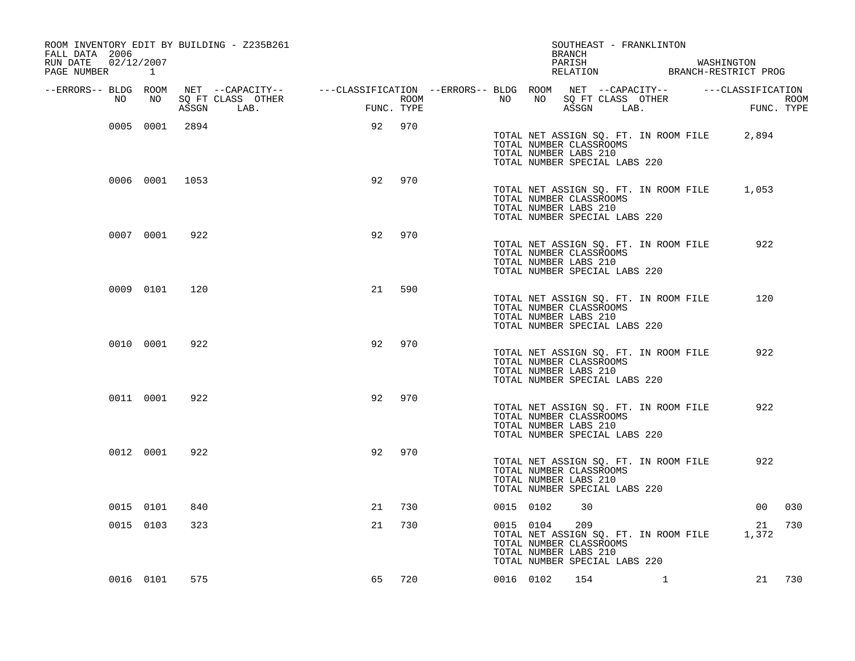| ROOM INVENTORY EDIT BY BUILDING - Z235B261<br>FALL DATA 2006 |                |                |                                                                                                 |    |            |                  |    |           | SOUTHEAST - FRANKLINTON<br>BRANCH                                                        |                   |                                       |                                                 |                    |
|--------------------------------------------------------------|----------------|----------------|-------------------------------------------------------------------------------------------------|----|------------|------------------|----|-----------|------------------------------------------------------------------------------------------|-------------------|---------------------------------------|-------------------------------------------------|--------------------|
| 02/12/2007<br>RUN DATE<br>PAGE NUMBER 1                      |                |                |                                                                                                 |    |            |                  |    |           |                                                                                          |                   |                                       | PARISH WASHINGTON RELATION BRANCH-RESTRICT PROG |                    |
| --ERRORS-- BLDG ROOM<br>NO                                   |                |                | NET --CAPACITY-- - ---CLASSIFICATION --ERRORS-- BLDG ROOM NET --CAPACITY-- - ----CLASSIFICATION |    |            |                  | NO | NO        |                                                                                          |                   |                                       |                                                 |                    |
|                                                              | NO             |                | SQ FT CLASS OTHER<br>ASSGN LAB.                                                                 |    | FUNC. TYPE | ROOM <b>ROOM</b> |    |           | ASSGN LAB.                                                                               | SQ FT CLASS OTHER |                                       |                                                 | ROOM<br>FUNC. TYPE |
|                                                              |                | 0005 0001 2894 |                                                                                                 |    | 92<br>970  |                  |    |           | TOTAL NUMBER CLASSROOMS<br>TOTAL NUMBER LABS 210<br>TOTAL NUMBER SPECIAL LABS 220        |                   | TOTAL NET ASSIGN SQ. FT. IN ROOM FILE | 2,894                                           |                    |
|                                                              | 0006 0001 1053 |                |                                                                                                 |    | 92<br>970  |                  |    |           | TOTAL NUMBER CLASSROOMS<br>TOTAL NUMBER LABS 210<br>TOTAL NUMBER SPECIAL LABS 220        |                   | TOTAL NET ASSIGN SQ. FT. IN ROOM FILE | 1,053                                           |                    |
|                                                              | 0007 0001      | 922            |                                                                                                 |    | 970<br>92  |                  |    |           | TOTAL NUMBER CLASSROOMS<br>TOTAL NUMBER LABS 210<br>TOTAL NUMBER SPECIAL LABS 220        |                   | TOTAL NET ASSIGN SQ. FT. IN ROOM FILE | 922                                             |                    |
|                                                              | 0009 0101      | 120            |                                                                                                 |    | 590<br>21  |                  |    |           | TOTAL NUMBER CLASSROOMS<br>TOTAL NUMBER LABS 210<br>TOTAL NUMBER SPECIAL LABS 220        |                   | TOTAL NET ASSIGN SQ. FT. IN ROOM FILE | 120                                             |                    |
|                                                              | 0010 0001      | 922            |                                                                                                 |    | 970<br>92  |                  |    |           | TOTAL NUMBER CLASSROOMS<br>TOTAL NUMBER LABS 210<br>TOTAL NUMBER SPECIAL LABS 220        |                   | TOTAL NET ASSIGN SQ. FT. IN ROOM FILE | 922                                             |                    |
|                                                              | 0011 0001      | 922            |                                                                                                 | 92 | 970        |                  |    |           | TOTAL NUMBER CLASSROOMS<br>TOTAL NUMBER LABS 210<br>TOTAL NUMBER SPECIAL LABS 220        |                   | TOTAL NET ASSIGN SQ. FT. IN ROOM FILE | 922                                             |                    |
|                                                              | 0012 0001      | 922            |                                                                                                 |    | 970<br>92  |                  |    |           | TOTAL NUMBER CLASSROOMS<br>TOTAL NUMBER LABS 210<br>TOTAL NUMBER SPECIAL LABS 220        |                   | TOTAL NET ASSIGN SQ. FT. IN ROOM FILE | 922                                             |                    |
|                                                              | 0015 0101      | 840            |                                                                                                 |    | 21<br>730  |                  |    | 0015 0102 | 30                                                                                       |                   |                                       | 00 <sub>o</sub>                                 | 030                |
|                                                              | 0015 0103      | 323            |                                                                                                 |    | 21<br>730  |                  |    | 0015 0104 | 209<br>TOTAL NUMBER CLASSROOMS<br>TOTAL NUMBER LABS 210<br>TOTAL NUMBER SPECIAL LABS 220 |                   | TOTAL NET ASSIGN SQ. FT. IN ROOM FILE | 21<br>1,372                                     | 730                |
|                                                              | 0016 0101      | 575            |                                                                                                 |    | 720<br>65  |                  |    | 0016 0102 | 154                                                                                      | $\mathbf{1}$      |                                       | 21                                              | 730                |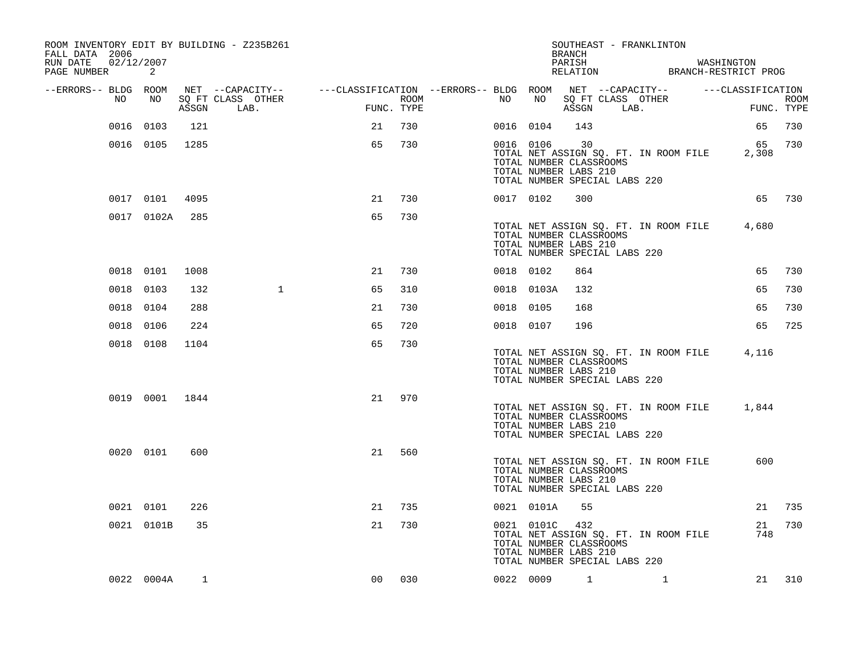| ROOM INVENTORY EDIT BY BUILDING - Z235B261<br>FALL DATA 2006<br>RUN DATE<br>PAGE NUMBER | 02/12/2007<br>2 |              |                                 |                                                                                                |                    |           |                | BRANCH                                                 | SOUTHEAST - FRANKLINTON         |                |                                       | PARISH WASHINGTON<br>RELATION BRANCH-RESTRICT PROG |                           |
|-----------------------------------------------------------------------------------------|-----------------|--------------|---------------------------------|------------------------------------------------------------------------------------------------|--------------------|-----------|----------------|--------------------------------------------------------|---------------------------------|----------------|---------------------------------------|----------------------------------------------------|---------------------------|
| --ERRORS-- BLDG ROOM                                                                    |                 |              |                                 | NET --CAPACITY-- - ---CLASSIFICATION --ERRORS-- BLDG ROOM NET --CAPACITY-- - ---CLASSIFICATION |                    |           |                |                                                        |                                 |                |                                       |                                                    |                           |
| NO                                                                                      | NO              |              | SO FT CLASS OTHER<br>ASSGN LAB. |                                                                                                | ROOM<br>FUNC. TYPE | NO        | NO NO          |                                                        | SQ FT CLASS OTHER<br>ASSGN LAB. |                |                                       |                                                    | <b>ROOM</b><br>FUNC. TYPE |
|                                                                                         | 0016 0103       | 121          |                                 | 21                                                                                             | 730                |           | 0016 0104      | 143                                                    |                                 |                |                                       | 65                                                 | 730                       |
|                                                                                         | 0016 0105 1285  |              |                                 | 65                                                                                             | 730                |           | 0016 0106      | 30<br>TOTAL NUMBER CLASSROOMS<br>TOTAL NUMBER LABS 210 | TOTAL NUMBER SPECIAL LABS 220   |                | TOTAL NET ASSIGN SQ. FT. IN ROOM FILE | 65<br>2,308                                        | 730                       |
|                                                                                         | 0017 0101       | 4095         |                                 | 21                                                                                             | 730                |           | 0017 0102      | 300                                                    |                                 |                |                                       | 65                                                 | 730                       |
|                                                                                         | 0017 0102A      | 285          |                                 | 65                                                                                             | 730                |           |                | TOTAL NUMBER CLASSROOMS<br>TOTAL NUMBER LABS 210       | TOTAL NUMBER SPECIAL LABS 220   |                |                                       | TOTAL NET ASSIGN SQ. FT. IN ROOM FILE 4,680        |                           |
|                                                                                         | 0018 0101       | 1008         |                                 | 21                                                                                             | 730                | 0018 0102 |                | 864                                                    |                                 |                |                                       | 65                                                 | 730                       |
|                                                                                         | 0018 0103       | 132          | $\mathbf{1}$                    | 65                                                                                             | 310                |           | 0018 0103A     | 132                                                    |                                 |                |                                       | 65                                                 | 730                       |
|                                                                                         | 0018 0104       | 288          |                                 | 21                                                                                             | 730                | 0018 0105 |                | 168                                                    |                                 |                |                                       | 65                                                 | 730                       |
|                                                                                         | 0018 0106       | 224          |                                 | 65                                                                                             | 720                | 0018 0107 |                | 196                                                    |                                 |                |                                       | 65                                                 | 725                       |
|                                                                                         | 0018 0108       | 1104         |                                 | 65                                                                                             | 730                |           |                | TOTAL NUMBER CLASSROOMS<br>TOTAL NUMBER LABS 210       | TOTAL NUMBER SPECIAL LABS 220   |                | TOTAL NET ASSIGN SQ. FT. IN ROOM FILE | 4,116                                              |                           |
|                                                                                         | 0019 0001 1844  |              |                                 | 21                                                                                             | 970                |           |                | TOTAL NUMBER CLASSROOMS<br>TOTAL NUMBER LABS 210       | TOTAL NUMBER SPECIAL LABS 220   |                | TOTAL NET ASSIGN SQ. FT. IN ROOM FILE | 1,844                                              |                           |
|                                                                                         | 0020 0101       | 600          |                                 | 21                                                                                             | 560                |           |                | TOTAL NUMBER CLASSROOMS<br>TOTAL NUMBER LABS 210       | TOTAL NUMBER SPECIAL LABS 220   |                | TOTAL NET ASSIGN SQ. FT. IN ROOM FILE | 600                                                |                           |
|                                                                                         | 0021 0101       | 226          |                                 | 21                                                                                             | 735                |           | 0021 0101A     | 55                                                     |                                 |                |                                       | 21                                                 | 735                       |
|                                                                                         | 0021 0101B      | 35           |                                 | 21                                                                                             | 730                |           | 0021 0101C 432 | TOTAL NUMBER CLASSROOMS<br>TOTAL NUMBER LABS 210       | TOTAL NUMBER SPECIAL LABS 220   |                | TOTAL NET ASSIGN SQ. FT. IN ROOM FILE | 21<br>748                                          | 730                       |
|                                                                                         | 0022 0004A      | $\mathbf{1}$ |                                 | 00                                                                                             | 030                |           | 0022 0009      | $\overline{1}$                                         |                                 | $\overline{1}$ |                                       |                                                    | 21 310                    |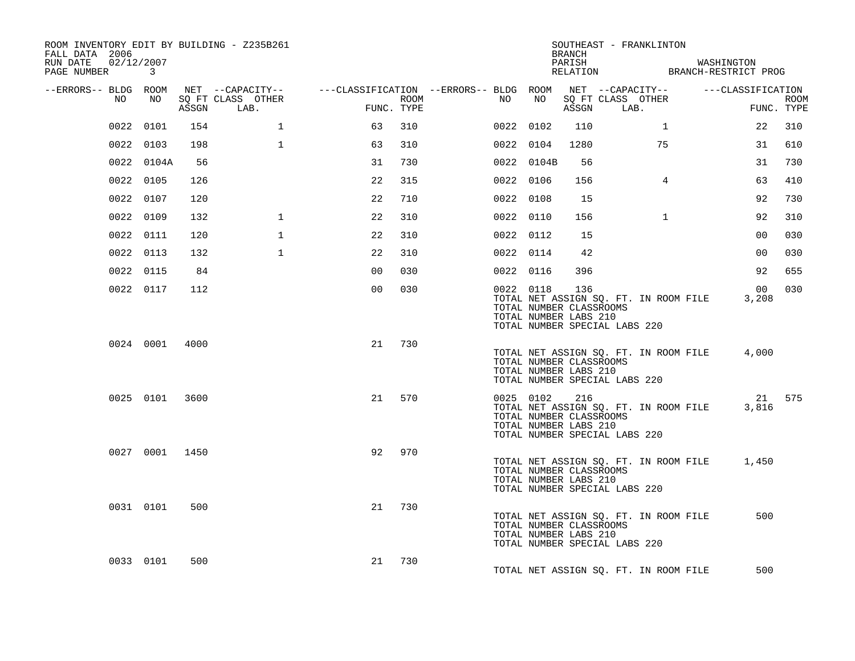| ROOM INVENTORY EDIT BY BUILDING - Z235B261<br>FALL DATA 2006<br>RUN DATE<br>02/12/2007<br>PAGE NUMBER | 3              |       |                           |                                        |      |           |            | BRANCH<br>PARISH                                        | SOUTHEAST - FRANKLINTON                                                |                | PARISH WASHINGTON<br>RELATION BRANCH-RESTRICT PROG | WASHINGTON        |             |                           |
|-------------------------------------------------------------------------------------------------------|----------------|-------|---------------------------|----------------------------------------|------|-----------|------------|---------------------------------------------------------|------------------------------------------------------------------------|----------------|----------------------------------------------------|-------------------|-------------|---------------------------|
| --ERRORS-- BLDG ROOM                                                                                  |                |       | NET --CAPACITY--          | ---CLASSIFICATION --ERRORS-- BLDG ROOM |      |           |            |                                                         | NET --CAPACITY--                                                       |                |                                                    | ---CLASSIFICATION |             |                           |
| NO                                                                                                    | NO             | ASSGN | SQ FT CLASS OTHER<br>LAB. | FUNC. TYPE                             | ROOM | NO        | NO         | ASSGN                                                   | SQ FT CLASS OTHER<br>LAB.                                              |                |                                                    |                   |             | <b>ROOM</b><br>FUNC. TYPE |
| 0022                                                                                                  | 0101           | 154   | 1                         | 63                                     | 310  | 0022 0102 |            | 110                                                     |                                                                        | $\mathbf{1}$   |                                                    |                   | 22          | 310                       |
|                                                                                                       | 0022 0103      | 198   | $\mathbf{1}$              | 63                                     | 310  | 0022 0104 |            | 1280                                                    |                                                                        | 75             |                                                    |                   | 31          | 610                       |
|                                                                                                       | 0022 0104A     | 56    |                           | 31                                     | 730  |           | 0022 0104B | 56                                                      |                                                                        |                |                                                    |                   | 31          | 730                       |
|                                                                                                       | 0022 0105      | 126   |                           | 22                                     | 315  | 0022 0106 |            | 156                                                     |                                                                        | $\overline{4}$ |                                                    |                   | 63          | 410                       |
|                                                                                                       | 0022 0107      | 120   |                           | 22                                     | 710  | 0022 0108 |            | 15                                                      |                                                                        |                |                                                    |                   | 92          | 730                       |
|                                                                                                       | 0022 0109      | 132   | $\mathbf{1}$              | 22                                     | 310  | 0022 0110 |            | 156                                                     |                                                                        | $\mathbf{1}$   |                                                    |                   | 92          | 310                       |
|                                                                                                       | 0022 0111      | 120   | $\mathbf{1}$              | 22                                     | 310  | 0022 0112 |            | 15                                                      |                                                                        |                |                                                    |                   | 00          | 030                       |
|                                                                                                       | 0022 0113      | 132   | $\mathbf 1$               | 22                                     | 310  | 0022 0114 |            | 42                                                      |                                                                        |                |                                                    |                   | 00          | 030                       |
|                                                                                                       | 0022 0115      | 84    |                           | 0 <sub>0</sub>                         | 030  | 0022 0116 |            | 396                                                     |                                                                        |                |                                                    |                   | 92          | 655                       |
|                                                                                                       | 0022 0117      | 112   |                           | 0 <sub>0</sub>                         | 030  |           | 0022 0118  | 136<br>TOTAL NUMBER CLASSROOMS<br>TOTAL NUMBER LABS 210 | TOTAL NUMBER SPECIAL LABS 220                                          |                | TOTAL NET ASSIGN SQ. FT. IN ROOM FILE              |                   | 00<br>3,208 | 030                       |
|                                                                                                       | 0024 0001      | 4000  |                           | 21                                     | 730  |           |            | TOTAL NUMBER CLASSROOMS<br>TOTAL NUMBER LABS 210        | TOTAL NUMBER SPECIAL LABS 220                                          |                | TOTAL NET ASSIGN SQ. FT. IN ROOM FILE              |                   | 4,000       |                           |
|                                                                                                       | 0025 0101      | 3600  |                           | 21                                     | 570  |           | 0025 0102  | 216<br>TOTAL NUMBER CLASSROOMS<br>TOTAL NUMBER LABS 210 | TOTAL NUMBER SPECIAL LABS 220                                          |                | TOTAL NET ASSIGN SQ. FT. IN ROOM FILE              |                   | 21<br>3,816 | 575                       |
|                                                                                                       | 0027 0001 1450 |       |                           | 92                                     | 970  |           |            | TOTAL NUMBER CLASSROOMS<br>TOTAL NUMBER LABS 210        | TOTAL NUMBER SPECIAL LABS 220                                          |                | TOTAL NET ASSIGN SQ. FT. IN ROOM FILE              |                   | 1,450       |                           |
|                                                                                                       | 0031 0101      | 500   |                           | 21                                     | 730  |           |            | TOTAL NUMBER CLASSROOMS<br>TOTAL NUMBER LABS 210        | TOTAL NET ASSIGN SQ. FT. IN ROOM FILE<br>TOTAL NUMBER SPECIAL LABS 220 |                |                                                    |                   | 500         |                           |
|                                                                                                       | 0033 0101      | 500   |                           | 21                                     | 730  |           |            |                                                         | TOTAL NET ASSIGN SQ. FT. IN ROOM FILE                                  |                |                                                    |                   | 500         |                           |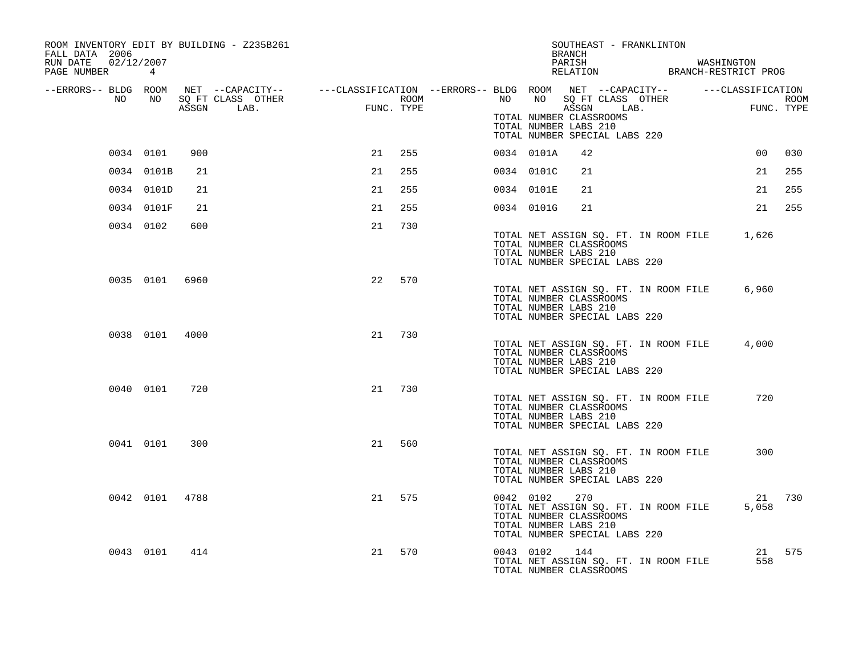| ROOM INVENTORY EDIT BY BUILDING - Z235B261<br>FALL DATA 2006 |                |      |                                                                                                                     |                                                           |      |       |            | SOUTHEAST - FRANKLINTON<br>BRANCH                                                                                                 |  |                                                 |             |
|--------------------------------------------------------------|----------------|------|---------------------------------------------------------------------------------------------------------------------|-----------------------------------------------------------|------|-------|------------|-----------------------------------------------------------------------------------------------------------------------------------|--|-------------------------------------------------|-------------|
| RUN DATE<br>02/12/2007<br>PAGE NUMBER 4                      |                |      |                                                                                                                     |                                                           |      |       |            | PARISH                                                                                                                            |  | PARISH WASHINGTON RELATION BRANCH-RESTRICT PROG |             |
| --ERRORS-- BLDG ROOM<br>NO                                   | NO NO          |      | NET --CAPACITY-- - ---CLASSIFICATION --ERRORS-- BLDG ROOM NET --CAPACITY-- - ---CLASSIFICATION<br>SQ FT CLASS OTHER |                                                           | ROOM | NO NO | NO 11      | SQ FT CLASS OTHER                                                                                                                 |  |                                                 | <b>ROOM</b> |
|                                                              |                |      | ASSGN LAB.                                                                                                          | $\begin{tabular}{cc} \bf FUN \end{tabular}$<br>FUNC. TYPE |      |       |            | ASSGN LAB.<br>TOTAL NUMBER CLASSROOMS<br>TOTAL NUMBER LABS 210<br>TOTAL NUMBER SPECIAL LABS 220                                   |  |                                                 | FUNC. TYPE  |
|                                                              | 0034 0101      | 900  |                                                                                                                     | 21                                                        | 255  |       | 0034 0101A | 42                                                                                                                                |  | 00 <sub>o</sub>                                 | 030         |
|                                                              | 0034 0101B     | 21   |                                                                                                                     | 21                                                        | 255  |       | 0034 0101C | 21                                                                                                                                |  | 21                                              | 255         |
|                                                              | 0034 0101D     | 21   |                                                                                                                     | 21                                                        | 255  |       | 0034 0101E | 21                                                                                                                                |  | 21                                              | 255         |
|                                                              | 0034 0101F     | 21   |                                                                                                                     | 21                                                        | 255  |       | 0034 0101G | 21                                                                                                                                |  | 21                                              | 255         |
|                                                              | 0034 0102      | 600  |                                                                                                                     | 21                                                        | 730  |       |            | TOTAL NET ASSIGN SQ. FT. IN ROOM FILE<br>TOTAL NUMBER CLASSROOMS<br>TOTAL NUMBER LABS 210<br>TOTAL NUMBER SPECIAL LABS 220        |  | 1,626                                           |             |
|                                                              | 0035 0101 6960 |      |                                                                                                                     | 22                                                        | 570  |       |            | TOTAL NET ASSIGN SQ. FT. IN ROOM FILE<br>TOTAL NUMBER CLASSROOMS<br>TOTAL NUMBER LABS 210<br>TOTAL NUMBER SPECIAL LABS 220        |  | 6,960                                           |             |
|                                                              | 0038 0101      | 4000 |                                                                                                                     | 21                                                        | 730  |       |            | TOTAL NET ASSIGN SQ. FT. IN ROOM FILE<br>TOTAL NUMBER CLASSROOMS<br>TOTAL NUMBER LABS 210<br>TOTAL NUMBER SPECIAL LABS 220        |  | 4,000                                           |             |
|                                                              | 0040 0101      | 720  |                                                                                                                     | 21                                                        | 730  |       |            | TOTAL NET ASSIGN SQ. FT. IN ROOM FILE<br>TOTAL NUMBER CLASSROOMS<br>TOTAL NUMBER LABS 210<br>TOTAL NUMBER SPECIAL LABS 220        |  | 720                                             |             |
|                                                              | 0041 0101      | 300  |                                                                                                                     | 21                                                        | 560  |       |            | TOTAL NET ASSIGN SQ. FT. IN ROOM FILE<br>TOTAL NUMBER CLASSROOMS<br>TOTAL NUMBER LABS 210<br>TOTAL NUMBER SPECIAL LABS 220        |  | 300                                             |             |
|                                                              | 0042 0101 4788 |      |                                                                                                                     | 21                                                        | 575  |       | 0042 0102  | 270<br>TOTAL NET ASSIGN SQ. FT. IN ROOM FILE<br>TOTAL NUMBER CLASSROOMS<br>TOTAL NUMBER LABS 210<br>TOTAL NUMBER SPECIAL LABS 220 |  | 21<br>5,058                                     | 730         |
|                                                              | 0043 0101      | 414  |                                                                                                                     | 21                                                        | 570  |       | 0043 0102  | 144<br>TOTAL NET ASSIGN SQ. FT. IN ROOM FILE<br>TOTAL NUMBER CLASSROOMS                                                           |  | 21<br>558                                       | 575         |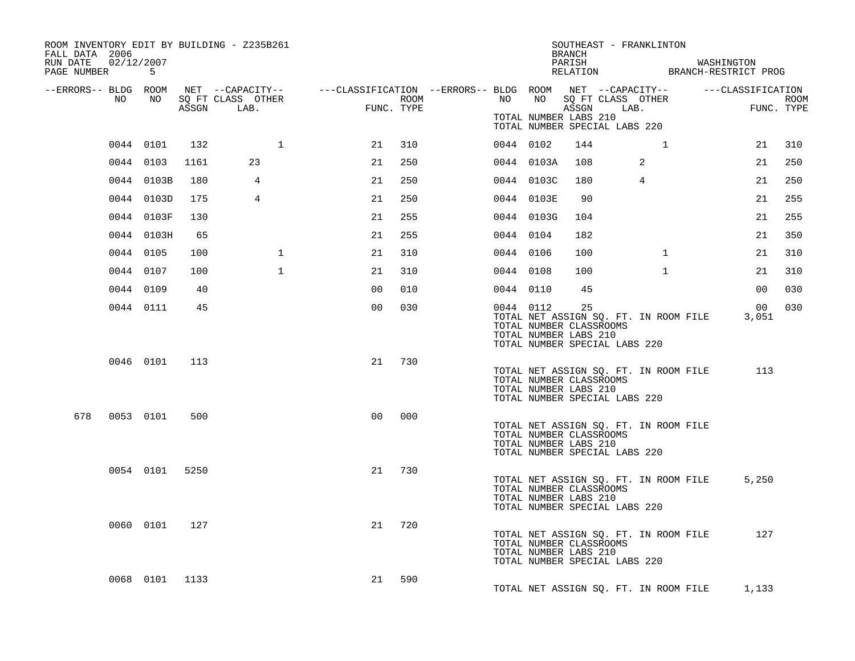| ROOM INVENTORY EDIT BY BUILDING - Z235B261<br>FALL DATA 2006<br>RUN DATE 02/12/2007<br>PAGE NUMBER | .5             |       |                           |                                                                                                                |      |           |                                                  | BRANCH | SOUTHEAST - FRANKLINTON                                                |                | PARISH WASHINGTON RELATION BRANCH-RESTRICT PROG |                           |
|----------------------------------------------------------------------------------------------------|----------------|-------|---------------------------|----------------------------------------------------------------------------------------------------------------|------|-----------|--------------------------------------------------|--------|------------------------------------------------------------------------|----------------|-------------------------------------------------|---------------------------|
| --ERRORS-- BLDG ROOM<br>NO                                                                         | NO NO          | ASSGN | SQ FT CLASS OTHER<br>LAB. | NET --CAPACITY--    ---CLASSIFICATION --ERRORS-- BLDG ROOM NET --CAPACITY--    ---CLASSIFICATION<br>FUNC. TYPE | ROOM | NO        | TOTAL NUMBER LABS 210                            |        | NO SQ FT CLASS OTHER<br>ASSGN LAB.<br>TOTAL NUMBER SPECIAL LABS 220    |                |                                                 | <b>ROOM</b><br>FUNC. TYPE |
|                                                                                                    | 0044 0101      | 132   | $\mathbf{1}$              | 21                                                                                                             | 310  | 0044 0102 |                                                  | 144    |                                                                        | $\mathbf{1}$   | 21                                              | 310                       |
|                                                                                                    | 0044 0103      | 1161  | 23                        | 21                                                                                                             | 250  |           | 0044 0103A                                       | 108    |                                                                        | 2              | 21                                              | 250                       |
|                                                                                                    | 0044 0103B     | 180   | $\overline{4}$            | 21                                                                                                             | 250  |           | 0044 0103C                                       | 180    |                                                                        | $\overline{4}$ | 21                                              | 250                       |
|                                                                                                    | 0044 0103D     | 175   | $\overline{4}$            | 21                                                                                                             | 250  |           | 0044 0103E                                       | 90     |                                                                        |                | 21                                              | 255                       |
|                                                                                                    | 0044 0103F     | 130   |                           | 21                                                                                                             | 255  |           | 0044 0103G                                       | 104    |                                                                        |                | 21                                              | 255                       |
|                                                                                                    | 0044 0103H     | 65    |                           | 21                                                                                                             | 255  | 0044 0104 |                                                  | 182    |                                                                        |                | 21                                              | 350                       |
|                                                                                                    | 0044 0105      | 100   | $\mathbf{1}$              | 21                                                                                                             | 310  | 0044 0106 |                                                  | 100    |                                                                        | $\mathbf{1}$   | 21                                              | 310                       |
|                                                                                                    | 0044 0107      | 100   | $\mathbf{1}$              | 21                                                                                                             | 310  | 0044 0108 |                                                  | 100    |                                                                        | $\mathbf{1}$   | 21                                              | 310                       |
|                                                                                                    | 0044 0109      | 40    |                           | 00                                                                                                             | 010  | 0044 0110 |                                                  | 45     |                                                                        |                | 0 <sub>0</sub>                                  | 030                       |
|                                                                                                    | 0044 0111      | 45    |                           | 0 <sub>0</sub>                                                                                                 | 030  | 0044 0112 | TOTAL NUMBER CLASSROOMS<br>TOTAL NUMBER LABS 210 | 25     | TOTAL NET ASSIGN SQ. FT. IN ROOM FILE<br>TOTAL NUMBER SPECIAL LABS 220 |                | 00<br>3,051                                     | 030                       |
|                                                                                                    | 0046 0101      | 113   |                           | 21                                                                                                             | 730  |           | TOTAL NUMBER CLASSROOMS<br>TOTAL NUMBER LABS 210 |        | TOTAL NET ASSIGN SQ. FT. IN ROOM FILE<br>TOTAL NUMBER SPECIAL LABS 220 |                | 113                                             |                           |
| 678                                                                                                | 0053 0101      | 500   |                           | 0 <sub>0</sub>                                                                                                 | 000  |           | TOTAL NUMBER CLASSROOMS<br>TOTAL NUMBER LABS 210 |        | TOTAL NET ASSIGN SQ. FT. IN ROOM FILE<br>TOTAL NUMBER SPECIAL LABS 220 |                |                                                 |                           |
|                                                                                                    | 0054 0101      | 5250  |                           | 21                                                                                                             | 730  |           | TOTAL NUMBER CLASSROOMS<br>TOTAL NUMBER LABS 210 |        | TOTAL NET ASSIGN SQ. FT. IN ROOM FILE<br>TOTAL NUMBER SPECIAL LABS 220 |                | 5,250                                           |                           |
|                                                                                                    | 0060 0101      | 127   |                           | 21                                                                                                             | 720  |           | TOTAL NUMBER CLASSROOMS<br>TOTAL NUMBER LABS 210 |        | TOTAL NET ASSIGN SQ. FT. IN ROOM FILE<br>TOTAL NUMBER SPECIAL LABS 220 |                | 127                                             |                           |
|                                                                                                    | 0068 0101 1133 |       |                           | 21                                                                                                             | 590  |           |                                                  |        | TOTAL NET ASSIGN SQ. FT. IN ROOM FILE                                  |                | 1,133                                           |                           |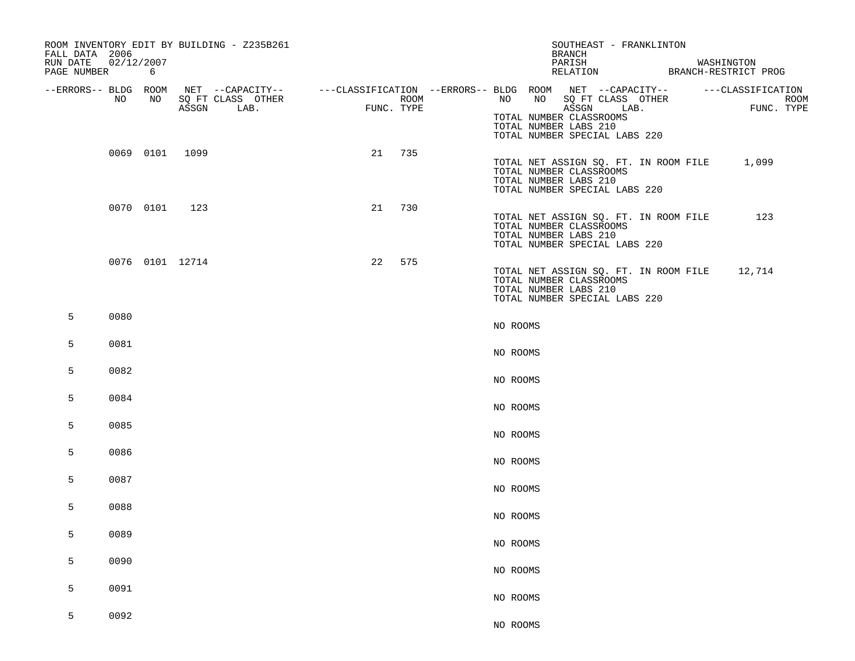| FALL DATA 2006<br>RUN DATE<br>PAGE NUMBER | 02/12/2007 | 6         |                 | ROOM INVENTORY EDIT BY BUILDING - Z235B261                                                                                          |    |                    |             | SOUTHEAST - FRANKLINTON<br><b>BRANCH</b><br>PARISH<br>RELATION BRANCH-RESTRICT PROG                                               |      | WASHINGTON |             |
|-------------------------------------------|------------|-----------|-----------------|-------------------------------------------------------------------------------------------------------------------------------------|----|--------------------|-------------|-----------------------------------------------------------------------------------------------------------------------------------|------|------------|-------------|
| --ERRORS-- BLDG ROOM                      | NO         | NO        |                 | NET --CAPACITY--    ---CLASSIFICATION --ERRORS-- BLDG ROOM NET --CAPACITY--    ---CLASSIFICATION<br>SQ FT CLASS OTHER<br>ASSGN LAB. |    | ROOM<br>FUNC. TYPE | NO NO<br>NO | SQ FT CLASS OTHER<br>ASSGN<br>TOTAL NUMBER CLASSROOMS<br>TOTAL NUMBER LABS 210<br>TOTAL NUMBER SPECIAL LABS 220                   | LAB. | FUNC. TYPE | <b>ROOM</b> |
|                                           |            |           | 0069 0101 1099  |                                                                                                                                     | 21 | 735                |             | TOTAL NET ASSIGN SQ. FT. IN ROOM FILE<br>TOTAL NUMBER CLASSROOMS<br>TOTAL NUMBER LABS 210<br>TOTAL NUMBER SPECIAL LABS 220        |      | 1,099      |             |
|                                           |            | 0070 0101 | 123             |                                                                                                                                     | 21 | 730                |             | TOTAL NET ASSIGN SQ. FT. IN ROOM FILE<br>TOTAL NUMBER CLASSROOMS<br>TOTAL NUMBER LABS 210<br>TOTAL NUMBER SPECIAL LABS 220        |      | 123        |             |
|                                           |            |           | 0076 0101 12714 |                                                                                                                                     | 22 | 575                |             | TOTAL NET ASSIGN SQ. FT. IN ROOM FILE 12,714<br>TOTAL NUMBER CLASSROOMS<br>TOTAL NUMBER LABS 210<br>TOTAL NUMBER SPECIAL LABS 220 |      |            |             |
| 5                                         | 0080       |           |                 |                                                                                                                                     |    |                    | NO ROOMS    |                                                                                                                                   |      |            |             |
| 5                                         | 0081       |           |                 |                                                                                                                                     |    |                    | NO ROOMS    |                                                                                                                                   |      |            |             |
| 5                                         | 0082       |           |                 |                                                                                                                                     |    |                    | NO ROOMS    |                                                                                                                                   |      |            |             |
| 5                                         | 0084       |           |                 |                                                                                                                                     |    |                    | NO ROOMS    |                                                                                                                                   |      |            |             |
| 5                                         | 0085       |           |                 |                                                                                                                                     |    |                    | NO ROOMS    |                                                                                                                                   |      |            |             |
| 5                                         | 0086       |           |                 |                                                                                                                                     |    |                    | NO ROOMS    |                                                                                                                                   |      |            |             |
| 5                                         | 0087       |           |                 |                                                                                                                                     |    |                    | NO ROOMS    |                                                                                                                                   |      |            |             |
| 5                                         | 0088       |           |                 |                                                                                                                                     |    |                    | NO ROOMS    |                                                                                                                                   |      |            |             |
| 5                                         | 0089       |           |                 |                                                                                                                                     |    |                    | NO ROOMS    |                                                                                                                                   |      |            |             |
| 5                                         | 0090       |           |                 |                                                                                                                                     |    |                    | NO ROOMS    |                                                                                                                                   |      |            |             |
| 5                                         | 0091       |           |                 |                                                                                                                                     |    |                    | NO ROOMS    |                                                                                                                                   |      |            |             |
| 5                                         | 0092       |           |                 |                                                                                                                                     |    |                    | NO ROOMS    |                                                                                                                                   |      |            |             |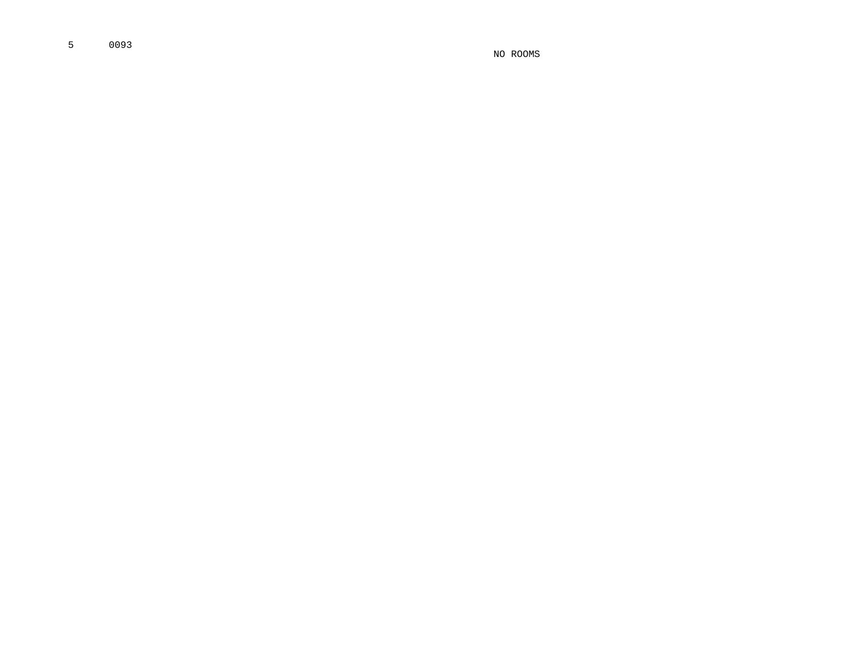5 0093

NO ROOMS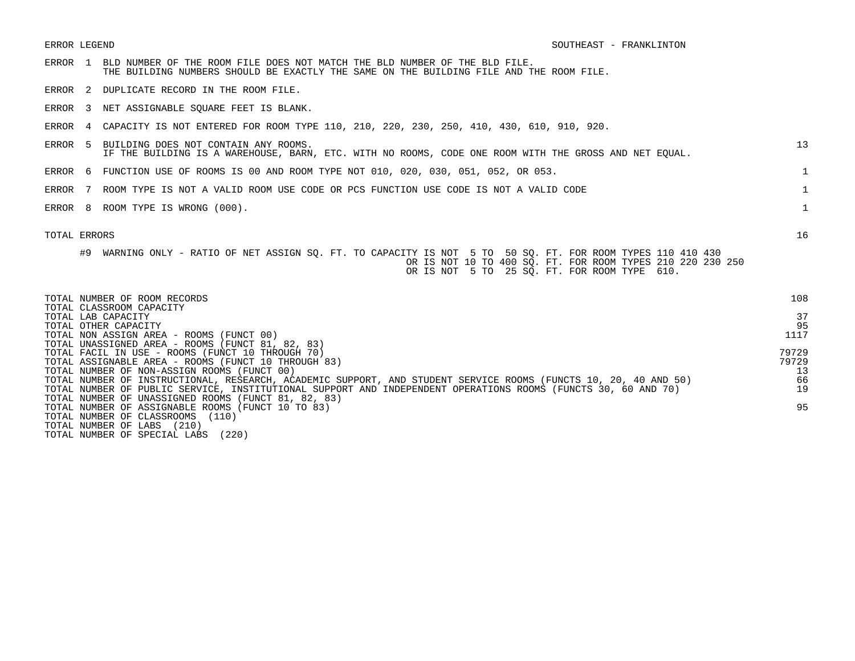ERROR LEGEND SOUTHEAST - FRANKLINTON ERROR 1 BLD NUMBER OF THE ROOM FILE DOES NOT MATCH THE BLD NUMBER OF THE BLD FILE. THE BUILDING NUMBERS SHOULD BE EXACTLY THE SAME ON THE BUILDING FILE AND THE ROOM FILE. ERROR 2 DUPLICATE RECORD IN THE ROOM FILE. ERROR 3 NET ASSIGNABLE SQUARE FEET IS BLANK. ERROR 4 CAPACITY IS NOT ENTERED FOR ROOM TYPE 110, 210, 220, 230, 250, 410, 430, 610, 910, 920. ERROR 5 BUILDING DOES NOT CONTAIN ANY ROOMS. 13 IF THE BUILDING IS A WAREHOUSE, BARN, ETC. WITH NO ROOMS, CODE ONE ROOM WITH THE GROSS AND NET EQUAL. ERROR 6 FUNCTION USE OF ROOMS IS 00 AND ROOM TYPE NOT 010, 020, 030, 051, 052, OR 053. 1 ERROR 7 ROOM TYPE IS NOT A VALID ROOM USE CODE OR PCS FUNCTION USE CODE IS NOT A VALID CODE 1 ERROR 8 ROOM TYPE IS WRONG (000). TOTAL ERRORS 16 #9 WARNING ONLY - RATIO OF NET ASSIGN SQ. FT. TO CAPACITY IS NOT 5 TO 50 SQ. FT. FOR ROOM TYPES 110 410 430 OR IS NOT 10 TO 400 SQ. FT. FOR ROOM TYPES 210 220 230 250 OR IS NOT 5 TO 25 SQ. FT. FOR ROOM TYPE 610. TOTAL NUMBER OF ROOM RECORDS 108 TOTAL CLASSROOM CAPACITY TOTAL LAB CAPACITY 37 TOTAL OTHER CAPACITY 95 TOTAL NON ASSIGN AREA - ROOMS (FUNCT 00) 1117 TOTAL UNASSIGNED AREA - ROOMS (FUNCT 81, 82, 83) TOTAL FACIL IN USE – ROOMS (FUNCT 10 THROUGH 70)<br>TOTAL ASSIGNARLE AREA – ROOMS (FUNCT 10 THROUGH 83) TOTAL ASSIGNABLE AREA - ROOMS (FUNCT 10 THROUGH 83) TOTAL NUMBER OF NON-ASSIGN ROOMS (FUNCT 00) 13 TOTAL NUMBER OF INSTRUCTIONAL, RESEARCH, ACADEMIC SUPPORT, AND STUDENT SERVICE ROOMS (FUNCTS 10, 20, 40 AND 50) 66 TOTAL NUMBER OF PUBLIC SERVICE, INSTITUTIONAL SUPPORT AND INDEPENDENT OPERATIONS ROOMS (FUNCTS 30, 60 AND 70) 19 TOTAL NUMBER OF UNASSIGNED ROOMS (FUNCT 81, 82, 83) TOTAL NUMBER OF ASSIGNABLE ROOMS (FUNCT 10 TO 83) 95 TOTAL NUMBER OF CLASSROOMS (110)

TOTAL NUMBER OF LABS (210)

TOTAL NUMBER OF SPECIAL LABS (220)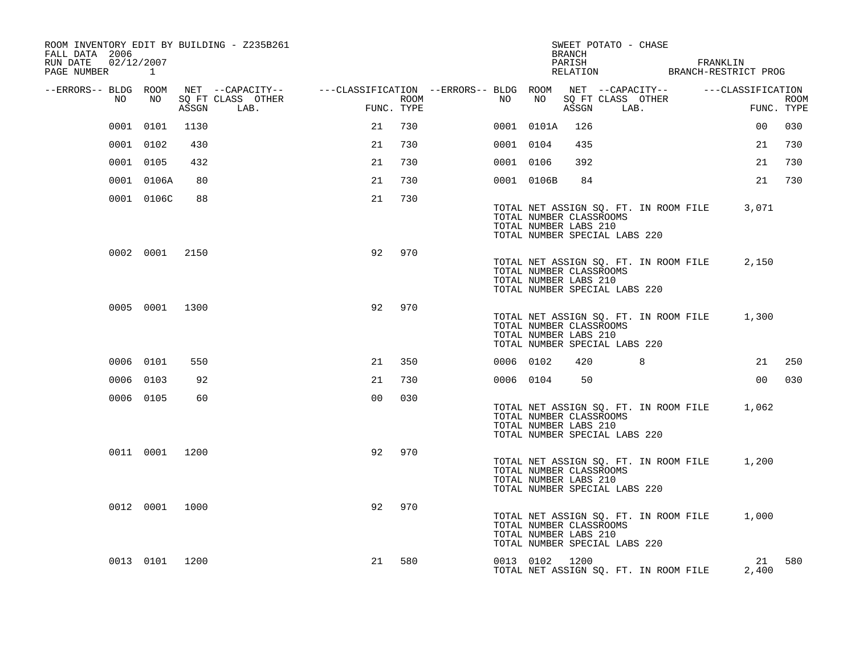| ROOM INVENTORY EDIT BY BUILDING - Z235B261<br>FALL DATA 2006 |                |       |                                                                                                                     |                |      |           |                | BRANCH                                           | SWEET POTATO - CHASE                                                   |                                           |             |
|--------------------------------------------------------------|----------------|-------|---------------------------------------------------------------------------------------------------------------------|----------------|------|-----------|----------------|--------------------------------------------------|------------------------------------------------------------------------|-------------------------------------------|-------------|
| RUN DATE<br>02/12/2007<br>PAGE NUMBER 1                      |                |       |                                                                                                                     |                |      |           |                | PARISH                                           |                                                                        | FRANKLIN<br>RELATION BRANCH-RESTRICT PROG |             |
| --ERRORS-- BLDG ROOM<br>NO                                   | NO             |       | NET --CAPACITY-- - ---CLASSIFICATION --ERRORS-- BLDG ROOM NET --CAPACITY-- - ---CLASSIFICATION<br>SQ FT CLASS OTHER |                | ROOM | NO        | NO             |                                                  | SQ FT CLASS OTHER                                                      |                                           | <b>ROOM</b> |
|                                                              |                | ASSGN | LAB.                                                                                                                | FUNC. TYPE     |      |           |                | ASSGN                                            | LAB.                                                                   |                                           | FUNC. TYPE  |
|                                                              | 0001 0101      | 1130  |                                                                                                                     | 21             | 730  |           | 0001 0101A     | 126                                              |                                                                        | 00                                        | 030         |
|                                                              | 0001 0102      | 430   |                                                                                                                     | 21             | 730  | 0001 0104 |                | 435                                              |                                                                        | 21                                        | 730         |
|                                                              | 0001 0105      | 432   |                                                                                                                     | 21             | 730  | 0001 0106 |                | 392                                              |                                                                        | 21                                        | 730         |
|                                                              | 0001 0106A     | 80    |                                                                                                                     | 21             | 730  |           | 0001 0106B     | 84                                               |                                                                        | 21                                        | 730         |
|                                                              | 0001 0106C     | 88    |                                                                                                                     | 21             | 730  |           |                | TOTAL NUMBER CLASSROOMS<br>TOTAL NUMBER LABS 210 | TOTAL NET ASSIGN SQ. FT. IN ROOM FILE<br>TOTAL NUMBER SPECIAL LABS 220 | 3,071                                     |             |
|                                                              | 0002 0001 2150 |       |                                                                                                                     | 92             | 970  |           |                | TOTAL NUMBER CLASSROOMS<br>TOTAL NUMBER LABS 210 | TOTAL NET ASSIGN SQ. FT. IN ROOM FILE<br>TOTAL NUMBER SPECIAL LABS 220 | 2,150                                     |             |
|                                                              | 0005 0001 1300 |       |                                                                                                                     | 92             | 970  |           |                | TOTAL NUMBER CLASSROOMS<br>TOTAL NUMBER LABS 210 | TOTAL NET ASSIGN SQ. FT. IN ROOM FILE<br>TOTAL NUMBER SPECIAL LABS 220 | 1,300                                     |             |
|                                                              | 0006 0101      | 550   |                                                                                                                     | 21             | 350  | 0006 0102 |                | 420                                              | 8                                                                      | 21                                        | 250         |
|                                                              | 0006 0103      | 92    |                                                                                                                     | 21             | 730  | 0006 0104 |                | 50                                               |                                                                        | 00 <sup>o</sup>                           | 030         |
|                                                              | 0006 0105      | 60    |                                                                                                                     | 0 <sup>0</sup> | 030  |           |                | TOTAL NUMBER CLASSROOMS<br>TOTAL NUMBER LABS 210 | TOTAL NET ASSIGN SQ. FT. IN ROOM FILE<br>TOTAL NUMBER SPECIAL LABS 220 | 1,062                                     |             |
|                                                              | 0011 0001 1200 |       |                                                                                                                     | 92             | 970  |           |                | TOTAL NUMBER CLASSROOMS<br>TOTAL NUMBER LABS 210 | TOTAL NET ASSIGN SQ. FT. IN ROOM FILE<br>TOTAL NUMBER SPECIAL LABS 220 | 1,200                                     |             |
|                                                              | 0012 0001 1000 |       |                                                                                                                     | 92             | 970  |           |                | TOTAL NUMBER CLASSROOMS<br>TOTAL NUMBER LABS 210 | TOTAL NET ASSIGN SQ. FT. IN ROOM FILE<br>TOTAL NUMBER SPECIAL LABS 220 | 1,000                                     |             |
|                                                              | 0013 0101 1200 |       |                                                                                                                     | 21             | 580  |           | 0013 0102 1200 |                                                  | TOTAL NET ASSIGN SQ. FT. IN ROOM FILE                                  | 2,400                                     | 21 580      |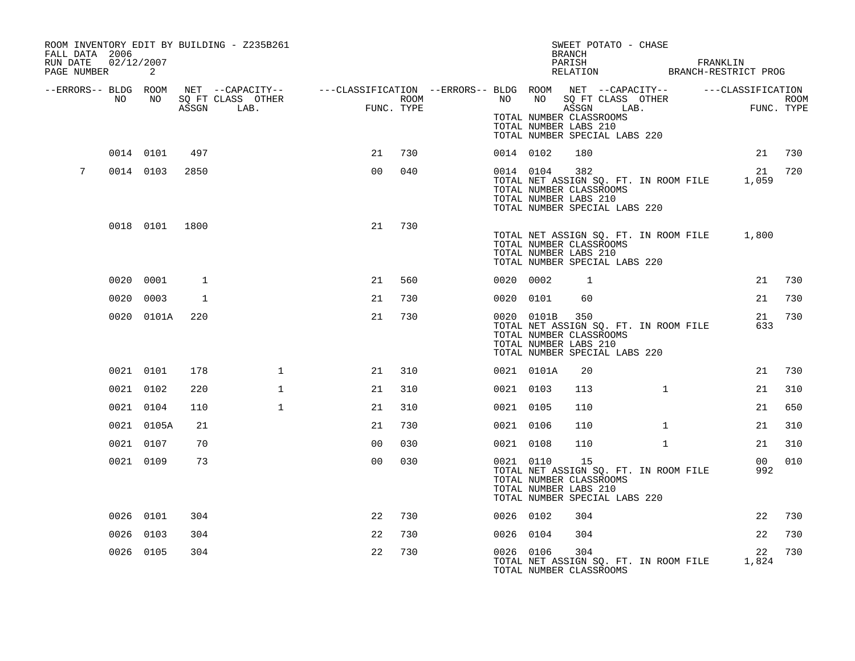| FALL DATA 2006<br>RUN DATE<br>PAGE NUMBER | 02/12/2007 | 2              |       | ROOM INVENTORY EDIT BY BUILDING - Z235B261                                                              |                    |      |           |               | SWEET POTATO - CHASE<br><b>BRANCH</b><br>PARISH<br>PARISH FRANKLIN FRANKLIN RELATION BRANCH-RESTRICT PROG                         |              |                            |                    |
|-------------------------------------------|------------|----------------|-------|---------------------------------------------------------------------------------------------------------|--------------------|------|-----------|---------------|-----------------------------------------------------------------------------------------------------------------------------------|--------------|----------------------------|--------------------|
| --ERRORS-- BLDG ROOM                      | NO         | NO             | ASSGN | NET --CAPACITY-- - ---CLASSIFICATION --ERRORS-- BLDG ROOM NET --CAPACITY--<br>SQ FT CLASS OTHER<br>LAB. | FUNC<br>FUNC. TYPE | ROOM |           |               | NO NO SQ FT CLASS OTHER<br>ASSGN LAB.<br>TOTAL NUMBER CLASSROOMS                                                                  |              | ---CLASSIFICATION<br>FUNC. | ROOM<br>FUNC. TYPE |
|                                           |            |                |       |                                                                                                         |                    |      |           |               | TOTAL NUMBER LABS 210<br>TOTAL NUMBER SPECIAL LABS 220                                                                            |              |                            |                    |
|                                           |            | 0014 0101      | 497   |                                                                                                         | 21                 | 730  | 0014 0102 |               | 180                                                                                                                               |              | 21                         | 730                |
| 7                                         |            | 0014 0103      | 2850  |                                                                                                         | 0 <sub>0</sub>     | 040  |           | 0014 0104 382 | TOTAL NET ASSIGN SQ. FT. IN ROOM FILE<br>TOTAL NUMBER CLASSROOMS<br>TOTAL NUMBER LABS 210<br>TOTAL NUMBER SPECIAL LABS 220        |              | 21<br>1,059                | 720                |
|                                           |            | 0018 0101 1800 |       |                                                                                                         | 21                 | 730  |           |               | TOTAL NET ASSIGN SQ. FT. IN ROOM FILE 1,800<br>TOTAL NUMBER CLASSROOMS<br>TOTAL NUMBER LABS 210<br>TOTAL NUMBER SPECIAL LABS 220  |              |                            |                    |
|                                           |            | 0020 0001      | 1     |                                                                                                         | 21                 | 560  | 0020 0002 |               | 1                                                                                                                                 |              | 21                         | 730                |
|                                           |            | 0020 0003      | 1     |                                                                                                         | 21                 | 730  | 0020 0101 |               | 60                                                                                                                                |              | 21                         | 730                |
|                                           |            | 0020 0101A     | 220   |                                                                                                         | 21                 | 730  |           | 0020 0101B    | 350<br>TOTAL NET ASSIGN SQ. FT. IN ROOM FILE<br>TOTAL NUMBER CLASSROOMS<br>TOTAL NUMBER LABS 210<br>TOTAL NUMBER SPECIAL LABS 220 |              | 21<br>633                  | 730                |
|                                           |            | 0021 0101      | 178   | $\mathbf{1}$                                                                                            | 21                 | 310  |           | 0021 0101A    | 20                                                                                                                                |              | 21                         | 730                |
|                                           | 0021 0102  |                | 220   | $\mathbf{1}$                                                                                            | 21                 | 310  | 0021 0103 |               | 113                                                                                                                               | $\mathbf{1}$ | 21                         | 310                |
|                                           | 0021 0104  |                | 110   | $\mathbf{1}$                                                                                            | 21                 | 310  | 0021 0105 |               | 110                                                                                                                               |              | 21                         | 650                |
|                                           |            | 0021 0105A     | 21    |                                                                                                         | 21                 | 730  | 0021 0106 |               | 110                                                                                                                               | $\mathbf{1}$ | 21                         | 310                |
|                                           |            | 0021 0107      | 70    |                                                                                                         | 0 <sub>0</sub>     | 030  | 0021 0108 |               | 110                                                                                                                               | $\mathbf{1}$ | 21                         | 310                |
|                                           |            | 0021 0109      | 73    |                                                                                                         | 0 <sub>0</sub>     | 030  | 0021 0110 |               | 15<br>TOTAL NET ASSIGN SQ. FT. IN ROOM FILE<br>TOTAL NUMBER CLASSROOMS<br>TOTAL NUMBER LABS 210<br>TOTAL NUMBER SPECIAL LABS 220  |              | 0 <sub>0</sub><br>992      | 010                |
|                                           | 0026 0101  |                | 304   |                                                                                                         | 22                 | 730  | 0026 0102 |               | 304                                                                                                                               |              | 22                         | 730                |
|                                           | 0026 0103  |                | 304   |                                                                                                         | 22                 | 730  | 0026 0104 |               | 304                                                                                                                               |              | 22                         | 730                |
|                                           | 0026 0105  |                | 304   |                                                                                                         | 22                 | 730  | 0026 0106 |               | 304<br>TOTAL NET ASSIGN SQ. FT. IN ROOM FILE<br>TOTAL NUMBER CLASSROOMS                                                           |              | 22<br>1,824                | 730                |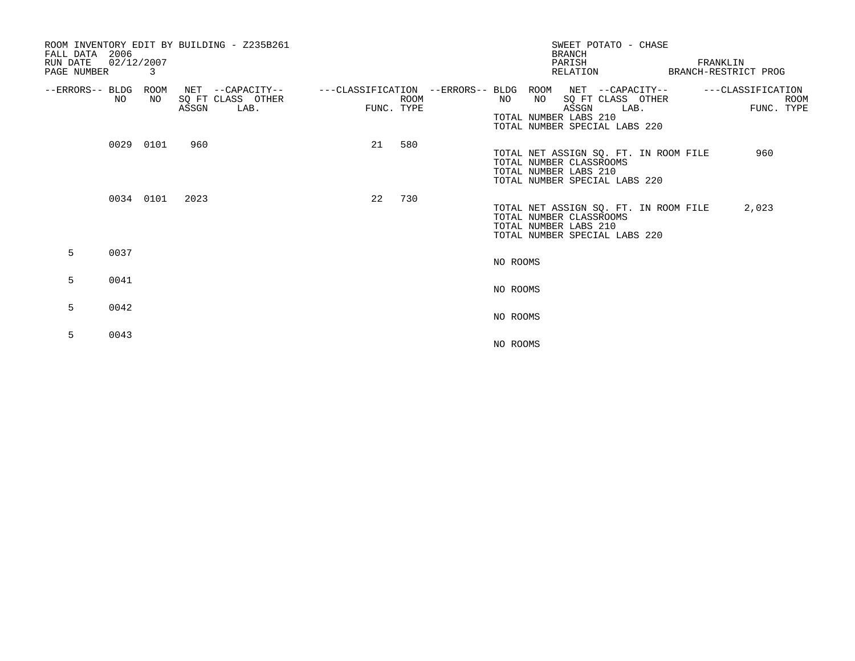| FALL DATA 2006<br>RUN DATE<br>PAGE NUMBER | 02/12/2007 | 3         |       | ROOM INVENTORY EDIT BY BUILDING - Z235B261    |    |                    |          | SWEET POTATO - CHASE<br><b>BRANCH</b><br>PARISH<br>RELATION                                                                |                                 |  | FRANKLIN<br>BRANCH-RESTRICT PROG |                           |
|-------------------------------------------|------------|-----------|-------|-----------------------------------------------|----|--------------------|----------|----------------------------------------------------------------------------------------------------------------------------|---------------------------------|--|----------------------------------|---------------------------|
| --ERRORS-- BLDG ROOM                      | NO         | NO        | ASSGN | NET --CAPACITY--<br>SQ FT CLASS OTHER<br>LAB. |    | ROOM<br>FUNC. TYPE | NO       | ---CLASSIFICATION --ERRORS-- BLDG ROOM NET --CAPACITY--<br>NO<br>TOTAL NUMBER LABS 210<br>TOTAL NUMBER SPECIAL LABS 220    | SQ FT CLASS OTHER<br>ASSGN LAB. |  | ---CLASSIFICATION                | <b>ROOM</b><br>FUNC. TYPE |
|                                           | 0029 0101  |           | 960   |                                               | 21 | 580                |          | TOTAL NET ASSIGN SQ. FT. IN ROOM FILE<br>TOTAL NUMBER CLASSROOMS<br>TOTAL NUMBER LABS 210<br>TOTAL NUMBER SPECIAL LABS 220 |                                 |  | 960                              |                           |
|                                           |            | 0034 0101 | 2023  |                                               | 22 | 730                |          | TOTAL NET ASSIGN SQ. FT. IN ROOM FILE<br>TOTAL NUMBER CLASSROOMS<br>TOTAL NUMBER LABS 210<br>TOTAL NUMBER SPECIAL LABS 220 |                                 |  | 2,023                            |                           |
| 5                                         | 0037       |           |       |                                               |    |                    | NO ROOMS |                                                                                                                            |                                 |  |                                  |                           |
| 5                                         | 0041       |           |       |                                               |    |                    | NO ROOMS |                                                                                                                            |                                 |  |                                  |                           |
| 5                                         | 0042       |           |       |                                               |    |                    | NO ROOMS |                                                                                                                            |                                 |  |                                  |                           |
| 5                                         | 0043       |           |       |                                               |    |                    | NO ROOMS |                                                                                                                            |                                 |  |                                  |                           |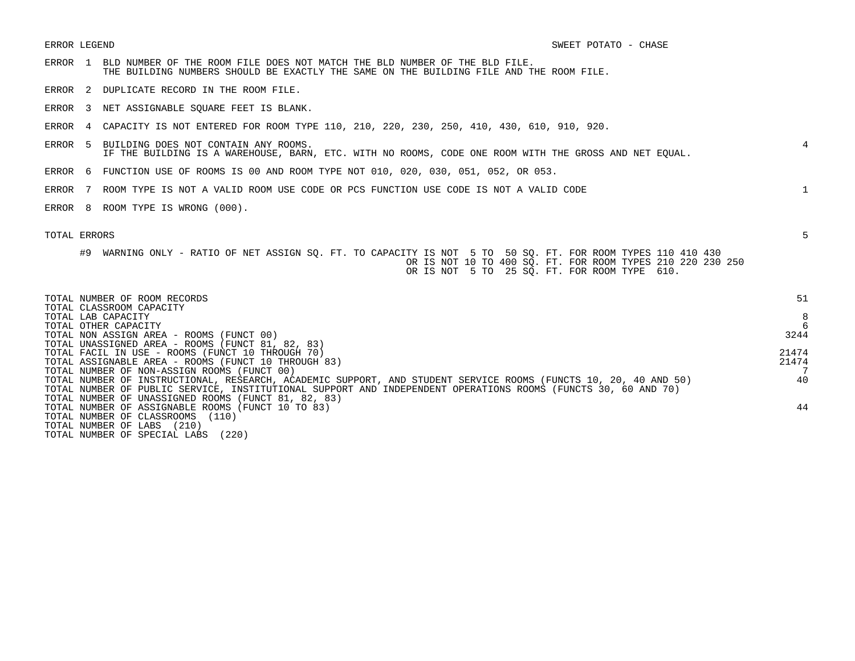- ERROR 1 BLD NUMBER OF THE ROOM FILE DOES NOT MATCH THE BLD NUMBER OF THE BLD FILE. THE BUILDING NUMBERS SHOULD BE EXACTLY THE SAME ON THE BUILDING FILE AND THE ROOM FILE.
- ERROR 2 DUPLICATE RECORD IN THE ROOM FILE.
- ERROR 3 NET ASSIGNABLE SQUARE FEET IS BLANK.
- ERROR 4 CAPACITY IS NOT ENTERED FOR ROOM TYPE 110, 210, 220, 230, 250, 410, 430, 610, 910, 920.
- ERROR 5 BUILDING DOES NOT CONTAIN ANY ROOMS. 4 IF THE BUILDING IS A WAREHOUSE, BARN, ETC. WITH NO ROOMS, CODE ONE ROOM WITH THE GROSS AND NET EQUAL.
- ERROR 6 FUNCTION USE OF ROOMS IS 00 AND ROOM TYPE NOT 010, 020, 030, 051, 052, OR 053.
- ERROR 7 ROOM TYPE IS NOT A VALID ROOM USE CODE OR PCS FUNCTION USE CODE IS NOT A VALID CODE 1
- ERROR 8 ROOM TYPE IS WRONG (000).

| TOTAL NUMBER OF ROOM RECORDS                                                                                    | 51    |
|-----------------------------------------------------------------------------------------------------------------|-------|
| TOTAL CLASSROOM CAPACITY<br>TOTAL LAB CAPACITY                                                                  | 8     |
| TOTAL OTHER CAPACITY                                                                                            | 6     |
| TOTAL NON ASSIGN AREA - ROOMS (FUNCT 00)                                                                        | 3244  |
| TOTAL UNASSIGNED AREA - ROOMS (FUNCT 81, 82, 83)                                                                |       |
| TOTAL FACIL IN USE - ROOMS (FUNCT 10 THROUGH 70)                                                                | 21474 |
| TOTAL ASSIGNABLE AREA - ROOMS (FUNCT 10 THROUGH 83)                                                             | 21474 |
| TOTAL NUMBER OF NON-ASSIGN ROOMS (FUNCT 00)                                                                     |       |
| TOTAL NUMBER OF INSTRUCTIONAL, RESEARCH, ACADEMIC SUPPORT, AND STUDENT SERVICE ROOMS (FUNCTS 10, 20, 40 AND 50) | 40    |
| TOTAL NUMBER OF PUBLIC SERVICE, INSTITUTIONAL SUPPORT AND INDEPENDENT OPERATIONS ROOMS (FUNCTS 30, 60 AND 70)   |       |
| TOTAL NUMBER OF UNASSIGNED ROOMS (FUNCT 81, 82, 83)                                                             |       |
| TOTAL NUMBER OF ASSIGNABLE ROOMS (FUNCT 10 TO 83)                                                               | 44    |
| TOTAL NUMBER OF CLASSROOMS<br>(110)                                                                             |       |
| TOTAL NUMBER OF LABS<br>(210)                                                                                   |       |
| (220)<br>TOTAL NUMBER OF SPECIAL LABS                                                                           |       |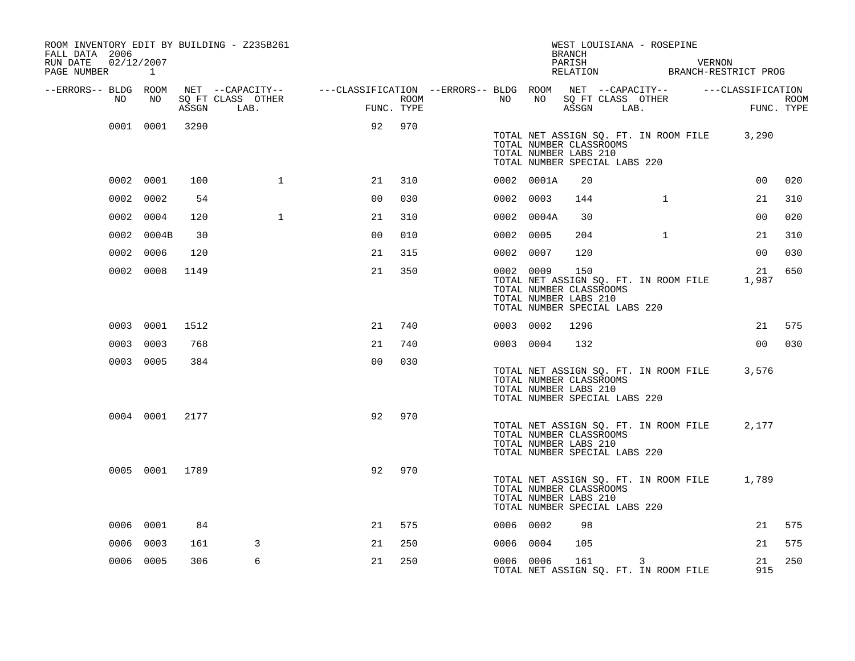| FALL DATA 2006<br>RUN DATE<br>PAGE NUMBER | $\sim$ 1 | 02/12/2007 |                | ROOM INVENTORY EDIT BY BUILDING - Z235B261                                                       |                |      |           |            | <b>BRANCH</b><br>PARISH                                                                  |      | WEST LOUISIANA - ROSEPINE                  | VERNON | RELATION BRANCH-RESTRICT PROG |      |
|-------------------------------------------|----------|------------|----------------|--------------------------------------------------------------------------------------------------|----------------|------|-----------|------------|------------------------------------------------------------------------------------------|------|--------------------------------------------|--------|-------------------------------|------|
| --ERRORS-- BLDG ROOM<br>NO                |          | NO         |                | NET --CAPACITY--    ---CLASSIFICATION --ERRORS-- BLDG ROOM NET --CAPACITY--<br>SQ FT CLASS OTHER |                | ROOM | NO        | NO         | SQ FT CLASS OTHER                                                                        |      |                                            |        | ---CLASSIFICATION             | ROOM |
|                                           |          |            | ASSGN          | LAB.                                                                                             | FUNC. TYPE     |      |           |            | ASSGN                                                                                    | LAB. |                                            |        | FUNC. TYPE                    |      |
|                                           |          | 0001 0001  | 3290           |                                                                                                  | 92             | 970  |           |            | TOTAL NUMBER CLASSROOMS<br>TOTAL NUMBER LABS 210<br>TOTAL NUMBER SPECIAL LABS 220        |      | TOTAL NET ASSIGN SQ. FT. IN ROOM FILE      |        | 3,290                         |      |
|                                           |          | 0002 0001  | 100            | $\mathbf{1}$                                                                                     | 21             | 310  |           | 0002 0001A | 20                                                                                       |      |                                            |        | 0 <sub>0</sub>                | 020  |
| 0002                                      |          | 0002       | 54             |                                                                                                  | 00             | 030  | 0002 0003 |            | 144                                                                                      |      | $\mathbf{1}$                               |        | 21                            | 310  |
|                                           |          | 0002 0004  | 120            | $\mathbf{1}$                                                                                     | 21             | 310  |           | 0002 0004A | 30                                                                                       |      |                                            |        | 00                            | 020  |
|                                           |          | 0002 0004B | 30             |                                                                                                  | 0 <sub>0</sub> | 010  | 0002 0005 |            | 204                                                                                      |      | $\mathbf{1}$                               |        | 21                            | 310  |
|                                           |          | 0002 0006  | 120            |                                                                                                  | 21             | 315  | 0002 0007 |            | 120                                                                                      |      |                                            |        | 0 <sub>0</sub>                | 030  |
|                                           |          | 0002 0008  | 1149           |                                                                                                  | 21             | 350  | 0002 0009 |            | 150<br>TOTAL NUMBER CLASSROOMS<br>TOTAL NUMBER LABS 210<br>TOTAL NUMBER SPECIAL LABS 220 |      | TOTAL NET ASSIGN SQ. FT. IN ROOM FILE      |        | 21<br>1,987                   | 650  |
|                                           |          | 0003 0001  | 1512           |                                                                                                  | 21             | 740  | 0003 0002 |            | 1296                                                                                     |      |                                            |        | 21                            | 575  |
|                                           |          | 0003 0003  | 768            |                                                                                                  | 21             | 740  | 0003 0004 |            | 132                                                                                      |      |                                            |        | 00 <sub>o</sub>               | 030  |
|                                           |          | 0003 0005  | 384            |                                                                                                  | 0 <sub>0</sub> | 030  |           |            | TOTAL NUMBER CLASSROOMS<br>TOTAL NUMBER LABS 210<br>TOTAL NUMBER SPECIAL LABS 220        |      | TOTAL NET ASSIGN SQ. FT. IN ROOM FILE      |        | 3,576                         |      |
|                                           |          | 0004 0001  | 2177           |                                                                                                  | 92             | 970  |           |            | TOTAL NUMBER CLASSROOMS<br>TOTAL NUMBER LABS 210<br>TOTAL NUMBER SPECIAL LABS 220        |      | TOTAL NET ASSIGN SQ. FT. IN ROOM FILE      |        | 2,177                         |      |
|                                           |          |            | 0005 0001 1789 |                                                                                                  | 92             | 970  |           |            | TOTAL NUMBER CLASSROOMS<br>TOTAL NUMBER LABS 210<br>TOTAL NUMBER SPECIAL LABS 220        |      | TOTAL NET ASSIGN SQ. FT. IN ROOM FILE      |        | 1,789                         |      |
|                                           |          | 0006 0001  | 84             |                                                                                                  | 21             | 575  | 0006 0002 |            | 98                                                                                       |      |                                            |        | 21                            | 575  |
|                                           |          | 0006 0003  | 161            | 3                                                                                                | 21             | 250  | 0006 0004 |            | 105                                                                                      |      |                                            |        | 21                            | 575  |
|                                           |          | 0006 0005  | 306            | 6                                                                                                | 21             | 250  |           | 0006 0006  | 161                                                                                      |      | 3<br>TOTAL NET ASSIGN SQ. FT. IN ROOM FILE |        | 21<br>915                     | 250  |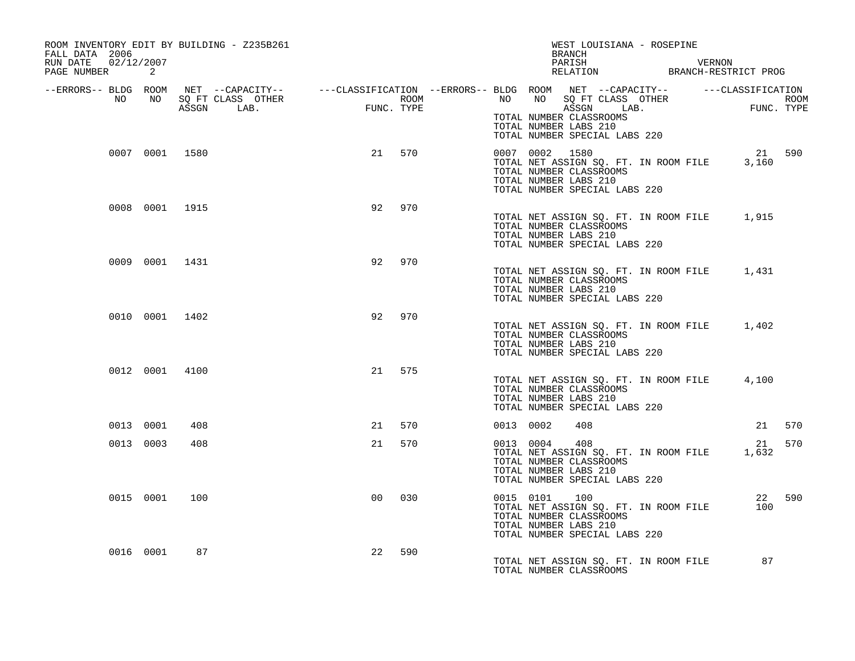| FALL DATA 2006<br>RUN DATE 02/12/2007 |       | ROOM INVENTORY EDIT BY BUILDING - Z235B261 |                |     | WEST LOUISIANA - ROSEPINE<br>BRANCH<br>PARISH<br>VERNON                                                                                                                                                    |
|---------------------------------------|-------|--------------------------------------------|----------------|-----|------------------------------------------------------------------------------------------------------------------------------------------------------------------------------------------------------------|
| PAGE NUMBER 2                         |       |                                            |                |     | PARISH VERNON<br>RELATION BRANCH-RESTRICT PROG                                                                                                                                                             |
| --ERRORS-- BLDG ROOM<br>NO            | NO 11 |                                            |                |     | NET --CAPACITY-- ----CLASSIFICATION --ERRORS-- BLDG ROOM NET --CAPACITY-- -----CLASSIFICATION<br>SQ FT CLASS OTHER ROOM ROOM NO SQ FT CLASS OTHER ROOM ROOM<br>ASSGN LAB. FUNC. TYPE ASSGN LAB. FUNC. TYPE |
|                                       |       |                                            |                |     | TOTAL NUMBER CLASSROOMS<br>TOTAL NUMBER LABS 210<br>TOTAL NUMBER SPECIAL LABS 220                                                                                                                          |
|                                       |       | 0007 0001 1580                             | 21             | 570 | 0007 0002 1580<br>21 590<br>TOTAL NET ASSIGN SQ. FT. IN ROOM FILE<br>3,160<br>TOTAL NUMBER CLASSROOMS<br>TOTAL NUMBER LABS 210<br>TOTAL NUMBER SPECIAL LABS 220                                            |
|                                       |       | 0008 0001 1915                             | 92             | 970 | TOTAL NET ASSIGN SQ. FT. IN ROOM FILE 1,915<br>TOTAL NUMBER CLASSROOMS<br>TOTAL NUMBER LABS 210<br>TOTAL NUMBER SPECIAL LABS 220                                                                           |
|                                       |       | 0009 0001 1431                             | 92             | 970 | TOTAL NET ASSIGN SQ. FT. IN ROOM FILE<br>1,431<br>TOTAL NUMBER CLASSROOMS<br>TOTAL NUMBER LABS 210<br>TOTAL NUMBER SPECIAL LABS 220                                                                        |
|                                       |       | 0010 0001 1402                             | 92             | 970 | TOTAL NET ASSIGN SQ. FT. IN ROOM FILE 1,402<br>TOTAL NUMBER CLASSROOMS<br>TOTAL NUMBER LABS 210<br>TOTAL NUMBER SPECIAL LABS 220                                                                           |
|                                       |       | 0012 0001 4100                             | 21             | 575 | TOTAL NET ASSIGN SQ. FT. IN ROOM FILE 4,100<br>TOTAL NUMBER CLASSROOMS<br>TOTAL NUMBER LABS 210<br>TOTAL NUMBER SPECIAL LABS 220                                                                           |
| 0013 0001                             |       | 408                                        | 21             | 570 | 21 570<br>0013 0002<br>408                                                                                                                                                                                 |
| 0013 0003                             |       | 408                                        | 21             | 570 | 0013 0004<br>408<br>570<br>21<br>TOTAL NET ASSIGN SQ. FT. IN ROOM FILE 1,632<br>TOTAL NUMBER CLASSROOMS<br>TOTAL NUMBER LABS 210<br>TOTAL NUMBER SPECIAL LABS 220                                          |
| 0015 0001                             |       | 100                                        | 0 <sup>0</sup> | 030 | 22 590<br>0015 0101 100<br>TOTAL NET ASSIGN SQ. FT. IN ROOM FILE<br>100<br>TOTAL NUMBER CLASSROOMS<br>TOTAL NUMBER LABS 210<br>TOTAL NUMBER SPECIAL LABS 220                                               |
| 0016 0001                             |       | 87                                         | 22             | 590 | 87<br>TOTAL NET ASSIGN SQ. FT. IN ROOM FILE<br>TOTAL NUMBER CLASSROOMS                                                                                                                                     |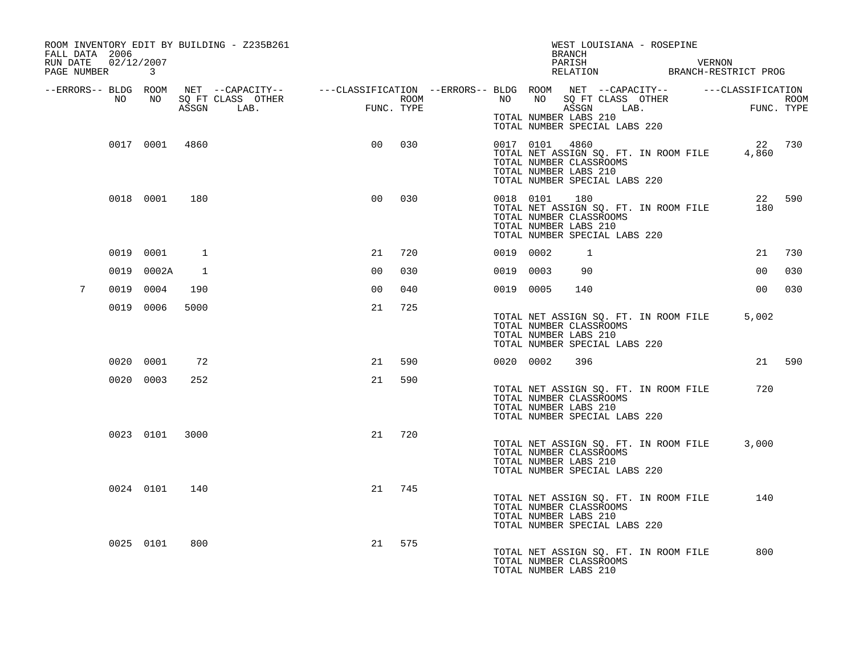| FALL DATA 2006<br>RUN DATE 02/12/2007<br>PAGE NUMBER 3 |    |                |              | ROOM INVENTORY EDIT BY BUILDING - Z235B261                                                                                                                                                                 |                |     |           |               | WEST LOUISIANA - ROSEPINE<br>BRANCH<br>PARISH VERNON RELATION BRANCH-RESTRICT PROG                                                                 |  |        |        |
|--------------------------------------------------------|----|----------------|--------------|------------------------------------------------------------------------------------------------------------------------------------------------------------------------------------------------------------|----------------|-----|-----------|---------------|----------------------------------------------------------------------------------------------------------------------------------------------------|--|--------|--------|
| --ERRORS-- BLDG ROOM                                   | NO | NO             |              | NET --CAPACITY-- ----CLASSIFICATION --ERRORS-- BLDG ROOM NET --CAPACITY-- -----CLASSIFICATION<br>SQ FT CLASS OTHER ROOM ROOM NO SQ FT CLASS OTHER ROOM ROOM<br>ASSGN LAB. FUNC. TYPE ASSGN LAB. FUNC. TYPE |                |     |           |               |                                                                                                                                                    |  |        |        |
|                                                        |    |                |              |                                                                                                                                                                                                            |                |     |           |               | NO NO SOFT CLASS OTHER<br>ASSGN LAB. FUNC.<br>TOTAL NUMBER LABS 210<br>TOTAL NUMBER SPECIAL LABS 220                                               |  |        |        |
|                                                        |    | 0017 0001 4860 |              |                                                                                                                                                                                                            | 0 <sub>0</sub> | 030 |           |               | 0017 0101 4860<br>TOTAL NET ASSIGN SQ. FT. IN ROOM FILE 4,860<br>TOTAL NUMBER CLASSROOMS<br>TOTAL NUMBER LABS 210<br>TOTAL NUMBER SPECIAL LABS 220 |  | 22 730 |        |
|                                                        |    | 0018 0001      | 180          |                                                                                                                                                                                                            | 0 <sub>0</sub> | 030 |           | 0018 0101 180 | TOTAL NET ASSIGN SQ. FT. IN ROOM FILE<br>TOTAL NUMBER CLASSROOMS<br>TOTAL NUMBER LABS 210<br>TOTAL NUMBER SPECIAL LABS 220                         |  | 180    | 22 590 |
|                                                        |    | 0019 0001      | $\mathbf{1}$ |                                                                                                                                                                                                            | 21             | 720 | 0019 0002 |               | 1                                                                                                                                                  |  | 21     | 730    |
|                                                        |    | 0019 0002A     | 1            |                                                                                                                                                                                                            | 0 <sub>0</sub> | 030 | 0019 0003 |               | 90                                                                                                                                                 |  | 00     | 030    |
| 7                                                      |    | 0019 0004      | 190          |                                                                                                                                                                                                            | 0 <sub>0</sub> | 040 | 0019 0005 |               | 140                                                                                                                                                |  | 00     | 0.30   |
|                                                        |    | 0019 0006      | 5000         |                                                                                                                                                                                                            | 21             | 725 |           |               | TOTAL NET ASSIGN SQ. FT. IN ROOM FILE<br>TOTAL NUMBER CLASSROOMS<br>TOTAL NUMBER LABS 210<br>TOTAL NUMBER SPECIAL LABS 220                         |  | 5,002  |        |
|                                                        |    | 0020 0001      | 72           |                                                                                                                                                                                                            | 21             | 590 |           | 0020 0002     | 396                                                                                                                                                |  |        | 21 590 |
|                                                        |    | 0020 0003      | 252          |                                                                                                                                                                                                            | 21             | 590 |           |               | TOTAL NET ASSIGN SQ. FT. IN ROOM FILE<br>TOTAL NUMBER CLASSROOMS<br>TOTAL NUMBER LABS 210<br>TOTAL NUMBER SPECIAL LABS 220                         |  | 720    |        |
|                                                        |    | 0023 0101 3000 |              |                                                                                                                                                                                                            | 21             | 720 |           |               | TOTAL NET ASSIGN SO. FT. IN ROOM FILE<br>TOTAL NUMBER CLASSROOMS<br>TOTAL NUMBER LABS 210<br>TOTAL NUMBER SPECIAL LABS 220                         |  | 3,000  |        |
|                                                        |    | 0024 0101      | 140          |                                                                                                                                                                                                            | 21             | 745 |           |               | TOTAL NET ASSIGN SQ. FT. IN ROOM FILE<br>TOTAL NUMBER CLASSROOMS<br>TOTAL NUMBER LABS 210<br>TOTAL NUMBER SPECIAL LABS 220                         |  | 140    |        |
|                                                        |    | 0025 0101      | 800          |                                                                                                                                                                                                            | 21             | 575 |           |               | TOTAL NET ASSIGN SQ. FT. IN ROOM FILE<br>TOTAL NUMBER CLASSROOMS<br>TOTAL NUMBER LABS 210                                                          |  | 800    |        |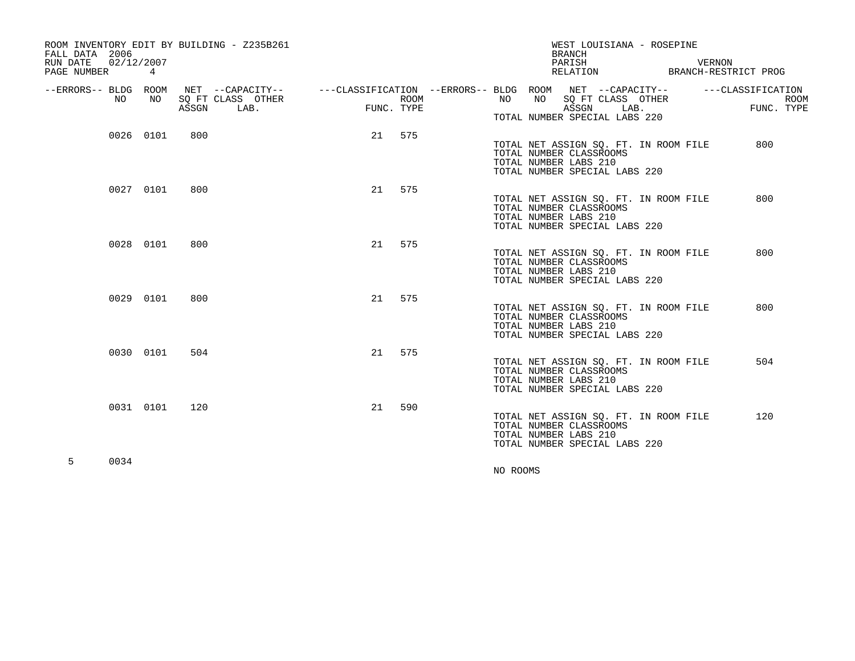| FALL DATA 2006<br>RUN DATE<br>02/12/2007<br>PAGE NUMBER | 4         | ROOM INVENTORY EDIT BY BUILDING - Z235B261             |                                                         |                    |                       | WEST LOUISIANA - ROSEPINE<br><b>BRANCH</b><br>PARISH<br>RELATION                                  | VERNON<br>BRANCH-RESTRICT PROG          |
|---------------------------------------------------------|-----------|--------------------------------------------------------|---------------------------------------------------------|--------------------|-----------------------|---------------------------------------------------------------------------------------------------|-----------------------------------------|
| --ERRORS-- BLDG ROOM<br>NO                              | NO        | NET --CAPACITY--<br>SO FT CLASS OTHER<br>ASSGN<br>LAB. | ---CLASSIFICATION --ERRORS-- BLDG ROOM NET --CAPACITY-- | ROOM<br>FUNC. TYPE | NO<br>NO              | SQ FT CLASS OTHER<br>ASSGN<br>LAB.<br>TOTAL NUMBER SPECIAL LABS 220                               | ---CLASSIFICATION<br>ROOM<br>FUNC. TYPE |
|                                                         | 0026 0101 | 800                                                    | 21                                                      | 575                | TOTAL NUMBER LABS 210 | TOTAL NET ASSIGN SQ. FT. IN ROOM FILE<br>TOTAL NUMBER CLASSROOMS<br>TOTAL NUMBER SPECIAL LABS 220 | 800                                     |
|                                                         | 0027 0101 | 800                                                    | 21                                                      | 575                | TOTAL NUMBER LABS 210 | TOTAL NET ASSIGN SQ. FT. IN ROOM FILE<br>TOTAL NUMBER CLASSROOMS<br>TOTAL NUMBER SPECIAL LABS 220 | 800                                     |
|                                                         | 0028 0101 | 800                                                    |                                                         | 21 575             | TOTAL NUMBER LABS 210 | TOTAL NET ASSIGN SO. FT. IN ROOM FILE<br>TOTAL NUMBER CLASSROOMS<br>TOTAL NUMBER SPECIAL LABS 220 | 800                                     |
|                                                         | 0029 0101 | 800                                                    | 21                                                      | 575                | TOTAL NUMBER LABS 210 | TOTAL NET ASSIGN SQ. FT. IN ROOM FILE<br>TOTAL NUMBER CLASSROOMS<br>TOTAL NUMBER SPECIAL LABS 220 | 800                                     |
|                                                         | 0030 0101 | 504                                                    | 21                                                      | 575                | TOTAL NUMBER LABS 210 | TOTAL NET ASSIGN SQ. FT. IN ROOM FILE<br>TOTAL NUMBER CLASSROOMS<br>TOTAL NUMBER SPECIAL LABS 220 | 504                                     |
|                                                         | 0031 0101 | 120                                                    | 21                                                      | 590                | TOTAL NUMBER LABS 210 | TOTAL NET ASSIGN SQ. FT. IN ROOM FILE<br>TOTAL NUMBER CLASSROOMS<br>TOTAL NUMBER SPECIAL LABS 220 | 120                                     |
| 5<br>0034                                               |           |                                                        |                                                         |                    | NO ROOMS              |                                                                                                   |                                         |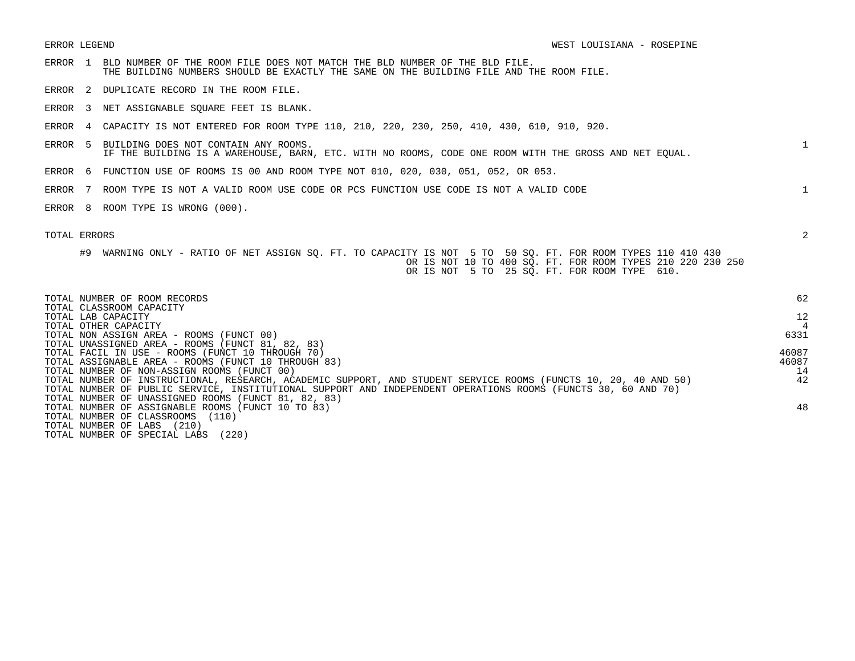- ERROR 1 BLD NUMBER OF THE ROOM FILE DOES NOT MATCH THE BLD NUMBER OF THE BLD FILE. THE BUILDING NUMBERS SHOULD BE EXACTLY THE SAME ON THE BUILDING FILE AND THE ROOM FILE.
- ERROR 2 DUPLICATE RECORD IN THE ROOM FILE.
- ERROR 3 NET ASSIGNABLE SQUARE FEET IS BLANK.
- ERROR 4 CAPACITY IS NOT ENTERED FOR ROOM TYPE 110, 210, 220, 230, 250, 410, 430, 610, 910, 920.
- ERROR 5 BUILDING DOES NOT CONTAIN ANY ROOMS. 1 IF THE BUILDING IS A WAREHOUSE, BARN, ETC. WITH NO ROOMS, CODE ONE ROOM WITH THE GROSS AND NET EQUAL.
- ERROR 6 FUNCTION USE OF ROOMS IS 00 AND ROOM TYPE NOT 010, 020, 030, 051, 052, OR 053.
- ERROR 7 ROOM TYPE IS NOT A VALID ROOM USE CODE OR PCS FUNCTION USE CODE IS NOT A VALID CODE 1
- ERROR 8 ROOM TYPE IS WRONG (000).

| TOTAL NUMBER OF ROOM RECORDS                                                                                    | 62    |
|-----------------------------------------------------------------------------------------------------------------|-------|
| TOTAL CLASSROOM CAPACITY<br>TOTAL LAB CAPACITY                                                                  | 12    |
|                                                                                                                 | 4     |
| TOTAL OTHER CAPACITY                                                                                            |       |
| TOTAL NON ASSIGN AREA - ROOMS (FUNCT 00)                                                                        | 6331  |
| TOTAL UNASSIGNED AREA - ROOMS (FUNCT 81, 82, 83)                                                                |       |
| TOTAL FACIL IN USE - ROOMS (FUNCT 10 THROUGH 70)                                                                | 46087 |
| TOTAL ASSIGNABLE AREA - ROOMS (FUNCT 10 THROUGH 83)                                                             | 46087 |
| TOTAL NUMBER OF NON-ASSIGN ROOMS (FUNCT 00)                                                                     | 14    |
| TOTAL NUMBER OF INSTRUCTIONAL, RESEARCH, ACADEMIC SUPPORT, AND STUDENT SERVICE ROOMS (FUNCTS 10, 20, 40 AND 50) | 42    |
| TOTAL NUMBER OF PUBLIC SERVICE, INSTITUTIONAL SUPPORT AND INDEPENDENT OPERATIONS ROOMS (FUNCTS 30, 60 AND 70)   |       |
| TOTAL NUMBER OF UNASSIGNED ROOMS (FUNCT 81, 82, 83)                                                             |       |
| TOTAL NUMBER OF ASSIGNABLE ROOMS (FUNCT 10 TO 83)                                                               | 48    |
| TOTAL NUMBER OF CLASSROOMS<br>(110)                                                                             |       |
| TOTAL NUMBER OF LABS<br>(210)                                                                                   |       |
| (220)<br>TOTAL NUMBER OF SPECIAL LABS                                                                           |       |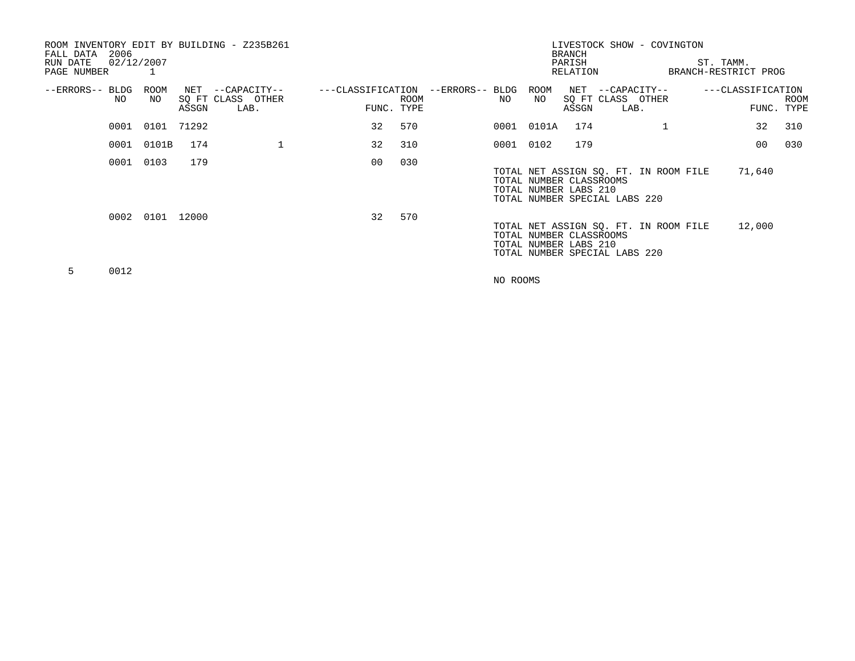| FALL DATA<br>RUN DATE<br>PAGE NUMBER | 2006<br>02/12/2007 | $\overline{1}$  |       | ROOM INVENTORY EDIT BY BUILDING - Z235B261 |            |      |                                         |            | <b>BRANCH</b><br>PARISH<br>RELATION                                               | LIVESTOCK SHOW - COVINGTON            | ST. TAMM.<br>BRANCH-RESTRICT PROG |      |
|--------------------------------------|--------------------|-----------------|-------|--------------------------------------------|------------|------|-----------------------------------------|------------|-----------------------------------------------------------------------------------|---------------------------------------|-----------------------------------|------|
| --ERRORS-- BLDG                      | NO                 | ROOM<br>NO.     |       | NET --CAPACITY--<br>SQ FT CLASS OTHER      |            | ROOM | ---CLASSIFICATION --ERRORS-- BLDG<br>NO | ROOM<br>NO |                                                                                   | NET --CAPACITY--<br>SQ FT CLASS OTHER | ---CLASSIFICATION                 | ROOM |
|                                      |                    |                 | ASSGN | LAB.                                       | FUNC. TYPE |      |                                         |            | ASSGN                                                                             | LAB.                                  | FUNC. TYPE                        |      |
|                                      |                    | 0001 0101 71292 |       |                                            | 32         | 570  |                                         | 0001 0101A | 174                                                                               |                                       | 32                                | 310  |
|                                      | 0001               | 0101B           | 174   | 1                                          | 32         | 310  |                                         | 0001 0102  | 179                                                                               |                                       | 00                                | 030  |
|                                      | 0001 0103          |                 | 179   |                                            | 00         | 030  |                                         |            | TOTAL NUMBER CLASSROOMS<br>TOTAL NUMBER LABS 210<br>TOTAL NUMBER SPECIAL LABS 220 | TOTAL NET ASSIGN SQ. FT. IN ROOM FILE | 71,640                            |      |
|                                      |                    | 0002 0101 12000 |       |                                            | 32         | 570  |                                         |            | TOTAL NUMBER CLASSROOMS<br>TOTAL NUMBER LABS 210<br>TOTAL NUMBER SPECIAL LABS 220 | TOTAL NET ASSIGN SQ. FT. IN ROOM FILE | 12,000                            |      |
| 5.                                   | 0012               |                 |       |                                            |            |      | NO ROOMS                                |            |                                                                                   |                                       |                                   |      |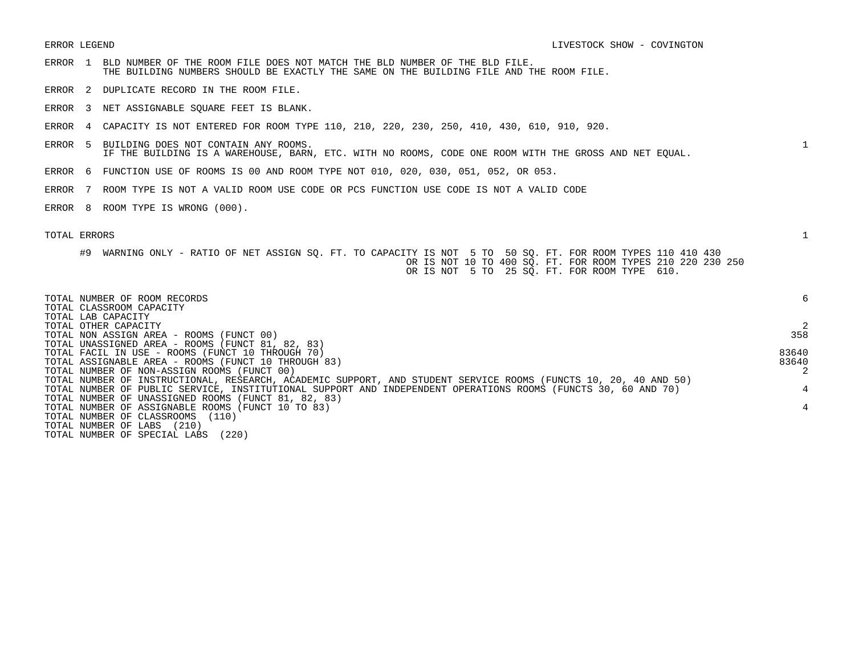- ERROR 1 BLD NUMBER OF THE ROOM FILE DOES NOT MATCH THE BLD NUMBER OF THE BLD FILE. THE BUILDING NUMBERS SHOULD BE EXACTLY THE SAME ON THE BUILDING FILE AND THE ROOM FILE.
- ERROR 2 DUPLICATE RECORD IN THE ROOM FILE.
- ERROR 3 NET ASSIGNABLE SQUARE FEET IS BLANK.
- ERROR 4 CAPACITY IS NOT ENTERED FOR ROOM TYPE 110, 210, 220, 230, 250, 410, 430, 610, 910, 920.
- ERROR 5 BUILDING DOES NOT CONTAIN ANY ROOMS. 1 IF THE BUILDING IS A WAREHOUSE, BARN, ETC. WITH NO ROOMS, CODE ONE ROOM WITH THE GROSS AND NET EQUAL.
- ERROR 6 FUNCTION USE OF ROOMS IS 00 AND ROOM TYPE NOT 010, 020, 030, 051, 052, OR 053.
- ERROR 7 ROOM TYPE IS NOT A VALID ROOM USE CODE OR PCS FUNCTION USE CODE IS NOT A VALID CODE
- ERROR 8 ROOM TYPE IS WRONG (000).

| TOTAL NUMBER OF ROOM RECORDS                                                                                    | 6     |
|-----------------------------------------------------------------------------------------------------------------|-------|
| TOTAL CLASSROOM CAPACITY                                                                                        |       |
| TOTAL LAB CAPACITY                                                                                              |       |
| TOTAL OTHER CAPACITY                                                                                            |       |
| TOTAL NON ASSIGN AREA - ROOMS (FUNCT 00)                                                                        | 358   |
| TOTAL UNASSIGNED AREA - ROOMS (FUNCT 81, 82, 83)                                                                |       |
| TOTAL FACIL IN USE - ROOMS (FUNCT 10 THROUGH 70)                                                                | 83640 |
| TOTAL ASSIGNABLE AREA - ROOMS (FUNCT 10 THROUGH 83)                                                             | 83640 |
| TOTAL NUMBER OF NON-ASSIGN ROOMS (FUNCT 00)                                                                     |       |
| TOTAL NUMBER OF INSTRUCTIONAL, RESEARCH, ACADEMIC SUPPORT, AND STUDENT SERVICE ROOMS (FUNCTS 10, 20, 40 AND 50) |       |
| TOTAL NUMBER OF PUBLIC SERVICE, INSTITUTIONAL SUPPORT AND INDEPENDENT OPERATIONS ROOMS (FUNCTS 30, 60 AND 70)   | 4     |
| TOTAL NUMBER OF UNASSIGNED ROOMS (FUNCT 81, 82, 83)                                                             |       |
| TOTAL NUMBER OF ASSIGNABLE ROOMS (FUNCT 10 TO 83)                                                               | 4     |
| TOTAL NUMBER OF CLASSROOMS<br>(110)                                                                             |       |
| TOTAL NUMBER OF LABS<br>(210)                                                                                   |       |
| (220)<br>TOTAL NUMBER OF SPECIAL LABS                                                                           |       |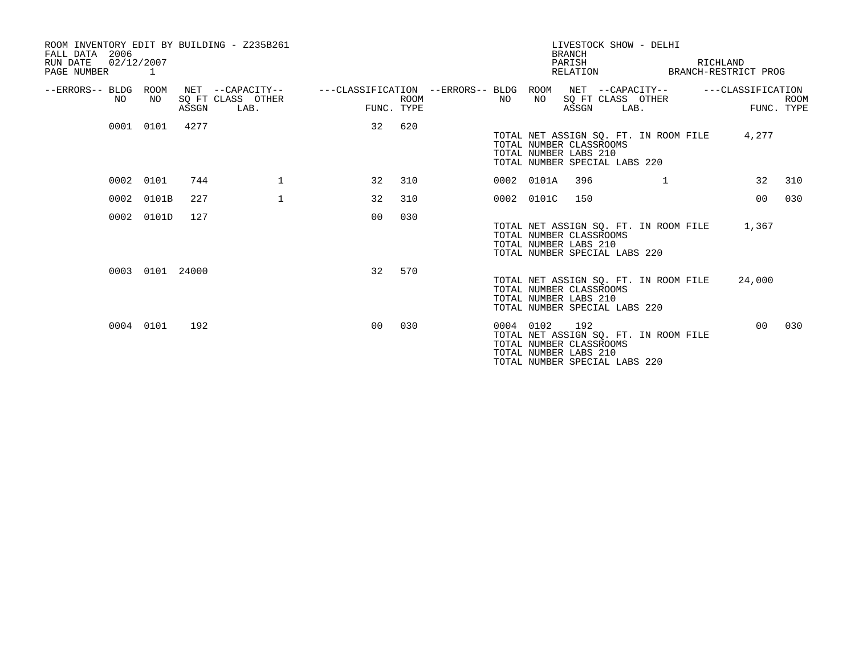| ROOM INVENTORY EDIT BY BUILDING - Z235B261<br>FALL DATA 2006<br>02/12/2007<br>RUN DATE |            |       |                                               |                                                      |             |           |            | <b>BRANCH</b><br>PARISH                                                                  |      | LIVESTOCK SHOW - DELHI                | RICHLAND             |                           |
|----------------------------------------------------------------------------------------|------------|-------|-----------------------------------------------|------------------------------------------------------|-------------|-----------|------------|------------------------------------------------------------------------------------------|------|---------------------------------------|----------------------|---------------------------|
| PAGE NUMBER 1                                                                          |            |       |                                               |                                                      |             |           |            | RELATION                                                                                 |      |                                       | BRANCH-RESTRICT PROG |                           |
| --ERRORS-- BLDG ROOM<br>NO.                                                            | NO.        | ASSGN | NET --CAPACITY--<br>SQ FT CLASS OTHER<br>LAB. | ---CLASSIFICATION --ERRORS-- BLDG ROOM<br>FUNC. TYPE | <b>ROOM</b> | NO.       | NO         | SQ FT CLASS OTHER<br>ASSGN                                                               | LAB. | NET --CAPACITY--                      | ---CLASSIFICATION    | <b>ROOM</b><br>FUNC. TYPE |
|                                                                                        | 0001 0101  | 4277  |                                               | 32                                                   | 620         |           |            | TOTAL NUMBER CLASSROOMS<br>TOTAL NUMBER LABS 210<br>TOTAL NUMBER SPECIAL LABS 220        |      | TOTAL NET ASSIGN SQ. FT. IN ROOM FILE | 4,277                |                           |
|                                                                                        | 0002 0101  | 744   | $\mathbf 1$                                   | 32                                                   | 310         |           | 0002 0101A | 396                                                                                      |      | 1                                     | 32                   | 310                       |
| 0002                                                                                   | 0101B      | 227   | $\mathbf{1}$                                  | 32                                                   | 310         |           | 0002 0101C | 150                                                                                      |      |                                       | 0 <sub>0</sub>       | 030                       |
| 0002                                                                                   | 0101D      | 127   |                                               | 0 <sub>0</sub>                                       | 030         |           |            | TOTAL NUMBER CLASSROOMS<br>TOTAL NUMBER LABS 210<br>TOTAL NUMBER SPECIAL LABS 220        |      | TOTAL NET ASSIGN SQ. FT. IN ROOM FILE | 1,367                |                           |
| 0003                                                                                   | 0101 24000 |       |                                               | 32                                                   | 570         |           |            | TOTAL NUMBER CLASSROOMS<br>TOTAL NUMBER LABS 210<br>TOTAL NUMBER SPECIAL LABS 220        |      | TOTAL NET ASSIGN SO. FT. IN ROOM FILE | 24,000               |                           |
|                                                                                        | 0004 0101  | 192   |                                               | 0 <sub>0</sub>                                       | 030         | 0004 0102 |            | 192<br>TOTAL NUMBER CLASSROOMS<br>TOTAL NUMBER LABS 210<br>TOTAL NUMBER SPECIAL LABS 220 |      | TOTAL NET ASSIGN SQ. FT. IN ROOM FILE | 00                   | 030                       |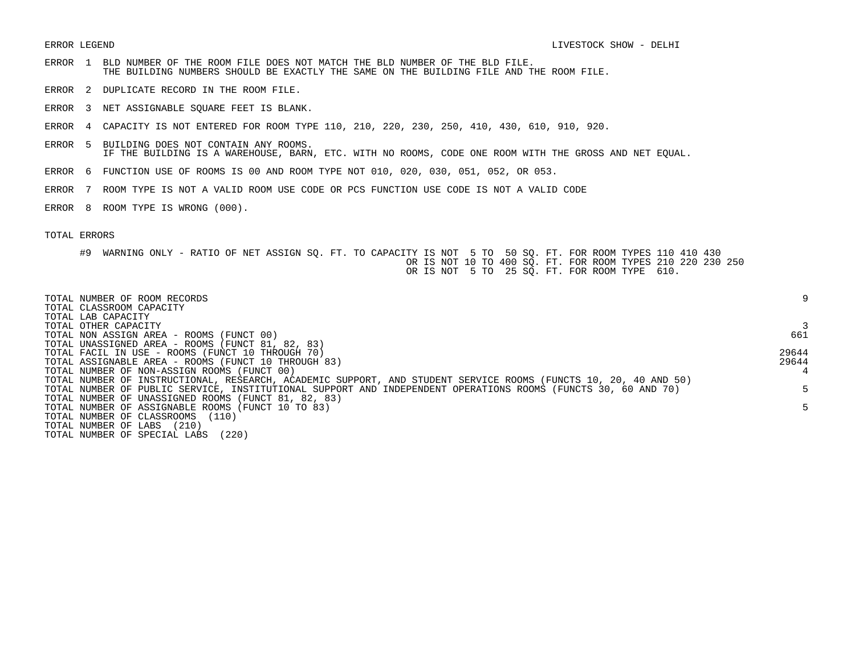- ERROR 1 BLD NUMBER OF THE ROOM FILE DOES NOT MATCH THE BLD NUMBER OF THE BLD FILE. THE BUILDING NUMBERS SHOULD BE EXACTLY THE SAME ON THE BUILDING FILE AND THE ROOM FILE.
- ERROR 2 DUPLICATE RECORD IN THE ROOM FILE.
- ERROR 3 NET ASSIGNABLE SQUARE FEET IS BLANK.
- ERROR 4 CAPACITY IS NOT ENTERED FOR ROOM TYPE 110, 210, 220, 230, 250, 410, 430, 610, 910, 920.
- ERROR 5 BUILDING DOES NOT CONTAIN ANY ROOMS. IF THE BUILDING IS A WAREHOUSE, BARN, ETC. WITH NO ROOMS, CODE ONE ROOM WITH THE GROSS AND NET EQUAL.
- ERROR 6 FUNCTION USE OF ROOMS IS 00 AND ROOM TYPE NOT 010, 020, 030, 051, 052, OR 053.
- ERROR 7 ROOM TYPE IS NOT A VALID ROOM USE CODE OR PCS FUNCTION USE CODE IS NOT A VALID CODE
- ERROR 8 ROOM TYPE IS WRONG (000).

| TOTAL NUMBER OF ROOM RECORDS                                                                                    | 9     |
|-----------------------------------------------------------------------------------------------------------------|-------|
| TOTAL CLASSROOM CAPACITY                                                                                        |       |
| TOTAL LAB CAPACITY                                                                                              |       |
| TOTAL OTHER CAPACITY                                                                                            |       |
| TOTAL NON ASSIGN AREA - ROOMS (FUNCT 00)                                                                        | 661   |
| TOTAL UNASSIGNED AREA - ROOMS (FUNCT 81, 82, 83)                                                                |       |
| TOTAL FACIL IN USE - ROOMS (FUNCT 10 THROUGH 70)                                                                | 29644 |
| TOTAL ASSIGNABLE AREA - ROOMS (FUNCT 10 THROUGH 83)                                                             | 29644 |
| TOTAL NUMBER OF NON-ASSIGN ROOMS (FUNCT 00)                                                                     |       |
| TOTAL NUMBER OF INSTRUCTIONAL, RESEARCH, ACADEMIC SUPPORT, AND STUDENT SERVICE ROOMS (FUNCTS 10, 20, 40 AND 50) |       |
| TOTAL NUMBER OF PUBLIC SERVICE, INSTITUTIONAL SUPPORT AND INDEPENDENT OPERATIONS ROOMS (FUNCTS 30, 60 AND 70)   |       |
| TOTAL NUMBER OF UNASSIGNED ROOMS (FUNCT 81, 82, 83)                                                             |       |
| TOTAL NUMBER OF ASSIGNABLE ROOMS (FUNCT 10 TO 83)                                                               |       |
| TOTAL NUMBER OF CLASSROOMS<br>(110)                                                                             |       |
| TOTAL NUMBER OF LABS<br>(210)                                                                                   |       |
| (220)<br>TOTAL NUMBER OF SPECIAL LABS                                                                           |       |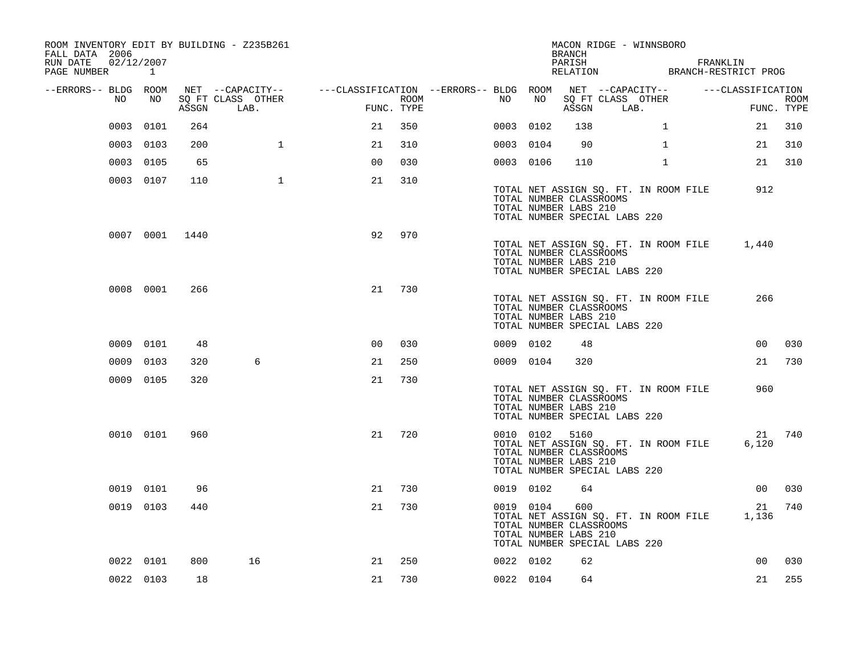| ROOM INVENTORY EDIT BY BUILDING - Z235B261<br>FALL DATA 2006<br>RUN DATE<br>02/12/2007 |                |       |                           |                                                                             |                    |           |                                                               | BRANCH<br>PARISH | MACON RIDGE - WINNSBORO<br>PARISH FRANKLIN<br>RELATION BRANCH-RESTRICT PROG |              | FRANKLIN |                   |                           |
|----------------------------------------------------------------------------------------|----------------|-------|---------------------------|-----------------------------------------------------------------------------|--------------------|-----------|---------------------------------------------------------------|------------------|-----------------------------------------------------------------------------|--------------|----------|-------------------|---------------------------|
| PAGE NUMBER 1                                                                          |                |       |                           |                                                                             |                    |           |                                                               |                  |                                                                             |              |          |                   |                           |
| --ERRORS-- BLDG ROOM<br>NO                                                             | NO             | ASSGN | SQ FT CLASS OTHER<br>LAB. | NET --CAPACITY--    ---CLASSIFICATION --ERRORS-- BLDG ROOM NET --CAPACITY-- | ROOM<br>FUNC. TYPE | NO        | NO                                                            | ASSGN            | SQ FT CLASS OTHER<br>LAB.                                                   |              |          | ---CLASSIFICATION | <b>ROOM</b><br>FUNC. TYPE |
|                                                                                        |                |       |                           |                                                                             |                    |           |                                                               | 138              |                                                                             |              |          |                   |                           |
| 0003                                                                                   | 0101           | 264   |                           | 21                                                                          | 350                | 0003 0102 |                                                               |                  |                                                                             | $\mathbf{1}$ |          | 21                | 310                       |
|                                                                                        | 0003 0103      | 200   | $\mathbf{1}$              | 21                                                                          | 310                | 0003 0104 |                                                               | 90               |                                                                             | $\mathbf{1}$ |          | 21                | 310                       |
|                                                                                        | 0003 0105      | 65    |                           | 0 <sub>0</sub>                                                              | 030                | 0003 0106 |                                                               | 110              |                                                                             | $\mathbf{1}$ |          | 21                | 310                       |
|                                                                                        | 0003 0107      | 110   | $\mathbf{1}$              | 21                                                                          | 310                |           | TOTAL NUMBER CLASSROOMS<br>TOTAL NUMBER LABS 210              |                  | TOTAL NET ASSIGN SQ. FT. IN ROOM FILE<br>TOTAL NUMBER SPECIAL LABS 220      |              |          | 912               |                           |
|                                                                                        | 0007 0001 1440 |       |                           | 92                                                                          | 970                |           | TOTAL NUMBER CLASSROOMS<br>TOTAL NUMBER LABS 210              |                  | TOTAL NET ASSIGN SQ. FT. IN ROOM FILE<br>TOTAL NUMBER SPECIAL LABS 220      |              |          | 1,440             |                           |
|                                                                                        | 0008 0001      | 266   |                           | 21                                                                          | 730                |           | TOTAL NUMBER CLASSROOMS<br>TOTAL NUMBER LABS 210              |                  | TOTAL NET ASSIGN SQ. FT. IN ROOM FILE<br>TOTAL NUMBER SPECIAL LABS 220      |              |          | 266               |                           |
|                                                                                        | 0009 0101      | 48    |                           | 0 <sub>0</sub>                                                              | 030                | 0009 0102 |                                                               | 48               |                                                                             |              |          | 00 <sup>o</sup>   | 030                       |
| 0009                                                                                   | 0103           | 320   | 6                         | 21                                                                          | 250                | 0009 0104 |                                                               | 320              |                                                                             |              |          | 21                | 730                       |
|                                                                                        | 0009 0105      | 320   |                           | 21                                                                          | 730                |           | TOTAL NUMBER CLASSROOMS<br>TOTAL NUMBER LABS 210              |                  | TOTAL NET ASSIGN SQ. FT. IN ROOM FILE<br>TOTAL NUMBER SPECIAL LABS 220      |              |          | 960               |                           |
|                                                                                        | 0010 0101      | 960   |                           | 21                                                                          | 720                |           | 0010 0102<br>TOTAL NUMBER CLASSROOMS<br>TOTAL NUMBER LABS 210 | 5160             | TOTAL NET ASSIGN SQ. FT. IN ROOM FILE<br>TOTAL NUMBER SPECIAL LABS 220      |              |          | 6,120             | 21 740                    |
|                                                                                        | 0019 0101      | 96    |                           | 21                                                                          | 730                | 0019 0102 |                                                               | 64               |                                                                             |              |          | 0 <sub>0</sub>    | 030                       |
|                                                                                        | 0019 0103      | 440   |                           | 21                                                                          | 730                |           | 0019 0104<br>TOTAL NUMBER CLASSROOMS<br>TOTAL NUMBER LABS 210 | 600              | TOTAL NET ASSIGN SQ. FT. IN ROOM FILE<br>TOTAL NUMBER SPECIAL LABS 220      |              |          | 21<br>1,136       | 740                       |
|                                                                                        | 0022 0101      | 800   | 16                        | 21                                                                          | 250                | 0022 0102 |                                                               | 62               |                                                                             |              |          | 0 <sub>0</sub>    | 030                       |
|                                                                                        | 0022 0103      | 18    |                           | 21                                                                          | 730                | 0022 0104 |                                                               | 64               |                                                                             |              |          | 21                | 255                       |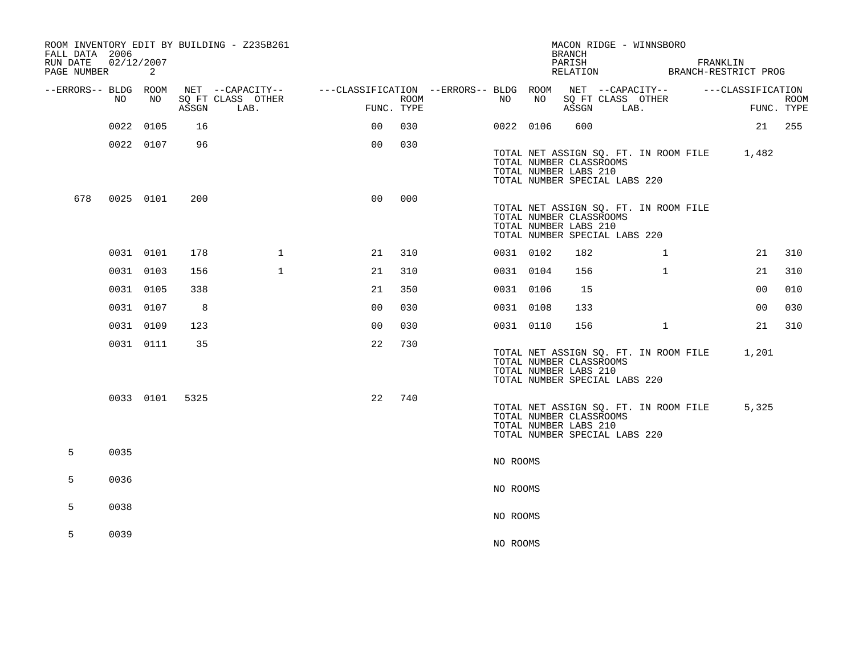| FALL DATA 2006<br>RUN DATE<br>PAGE NUMBER | 02/12/2007 | 2         |       | ROOM INVENTORY EDIT BY BUILDING - Z235B261    |                                                         |                           |           |    | <b>BRANCH</b><br>PARISH                                                           | MACON RIDGE - WINNSBORO<br>RELATION BRANCH-RESTRICT PROG | FRANKLIN                        |             |
|-------------------------------------------|------------|-----------|-------|-----------------------------------------------|---------------------------------------------------------|---------------------------|-----------|----|-----------------------------------------------------------------------------------|----------------------------------------------------------|---------------------------------|-------------|
| --ERRORS-- BLDG ROOM                      | NO.        | NO.       | ASSGN | NET --CAPACITY--<br>SQ FT CLASS OTHER<br>LAB. | ---CLASSIFICATION --ERRORS-- BLDG ROOM NET --CAPACITY-- | <b>ROOM</b><br>FUNC. TYPE | NO        | NO | ASSGN                                                                             | SQ FT CLASS OTHER<br>LAB.                                | ---CLASSIFICATION<br>FUNC. TYPE | <b>ROOM</b> |
|                                           |            | 0022 0105 | 16    |                                               | 00                                                      | 030                       | 0022 0106 |    | 600                                                                               |                                                          |                                 | 21 255      |
|                                           |            | 0022 0107 | 96    |                                               | 0 <sub>0</sub>                                          | 030                       |           |    | TOTAL NUMBER CLASSROOMS<br>TOTAL NUMBER LABS 210<br>TOTAL NUMBER SPECIAL LABS 220 | TOTAL NET ASSIGN SQ. FT. IN ROOM FILE 1,482              |                                 |             |
| 678                                       |            | 0025 0101 | 200   |                                               | 0 <sub>0</sub>                                          | 000                       |           |    | TOTAL NUMBER CLASSROOMS<br>TOTAL NUMBER LABS 210<br>TOTAL NUMBER SPECIAL LABS 220 | TOTAL NET ASSIGN SQ. FT. IN ROOM FILE                    |                                 |             |
|                                           |            | 0031 0101 | 178   | $\mathbf{1}$                                  | 21                                                      | 310                       | 0031 0102 |    | 182                                                                               | $\mathbf{1}$                                             | 21                              | 310         |
|                                           | 0031 0103  |           | 156   | $\mathbf{1}$                                  | 21                                                      | 310                       | 0031 0104 |    | 156                                                                               | $\mathbf{1}$                                             | 21                              | 310         |
|                                           | 0031 0105  |           | 338   |                                               | 21                                                      | 350                       | 0031 0106 |    | 15                                                                                |                                                          | 0 <sub>0</sub>                  | 010         |
|                                           | 0031 0107  |           | 8     |                                               | 0 <sub>0</sub>                                          | 030                       | 0031 0108 |    | 133                                                                               |                                                          | 00                              | 030         |
|                                           | 0031 0109  |           | 123   |                                               | 0 <sub>0</sub>                                          | 030                       | 0031 0110 |    | 156                                                                               | $\mathbf{1}$                                             | 21                              | 310         |
|                                           |            | 0031 0111 | 35    |                                               | 22                                                      | 730                       |           |    | TOTAL NUMBER CLASSROOMS<br>TOTAL NUMBER LABS 210<br>TOTAL NUMBER SPECIAL LABS 220 | TOTAL NET ASSIGN SQ. FT. IN ROOM FILE                    | 1,201                           |             |
|                                           |            | 0033 0101 | 5325  |                                               | 22                                                      | 740                       |           |    | TOTAL NUMBER CLASSROOMS<br>TOTAL NUMBER LABS 210<br>TOTAL NUMBER SPECIAL LABS 220 | TOTAL NET ASSIGN SQ. FT. IN ROOM FILE                    | 5,325                           |             |
| 5                                         | 0035       |           |       |                                               |                                                         |                           | NO ROOMS  |    |                                                                                   |                                                          |                                 |             |
| 5                                         | 0036       |           |       |                                               |                                                         |                           | NO ROOMS  |    |                                                                                   |                                                          |                                 |             |
| 5                                         | 0038       |           |       |                                               |                                                         |                           | NO ROOMS  |    |                                                                                   |                                                          |                                 |             |
| 5                                         | 0039       |           |       |                                               |                                                         |                           | NO ROOMS  |    |                                                                                   |                                                          |                                 |             |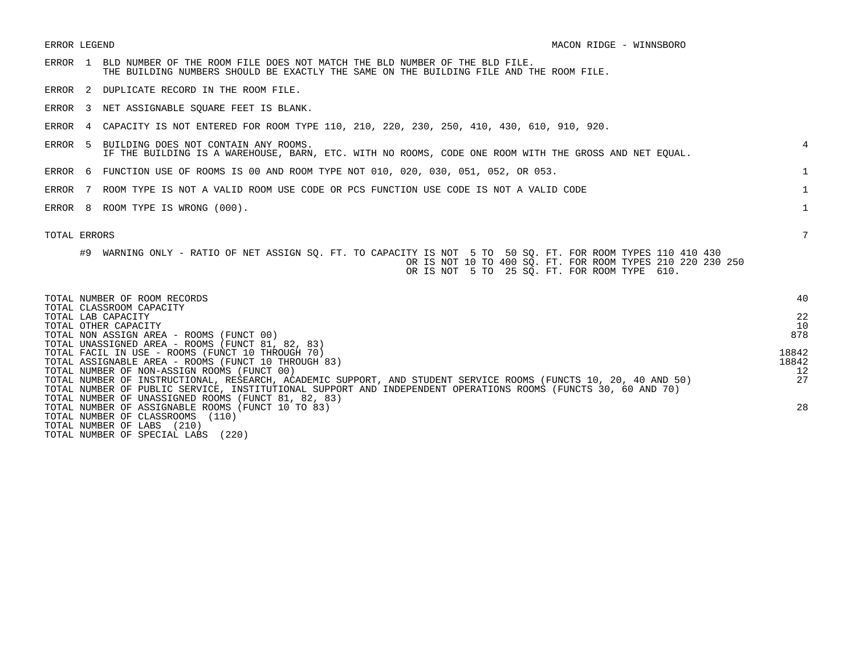ERROR LEGEND MACON RIDGE - WINNSBORO ERROR 1 BLD NUMBER OF THE ROOM FILE DOES NOT MATCH THE BLD NUMBER OF THE BLD FILE. THE BUILDING NUMBERS SHOULD BE EXACTLY THE SAME ON THE BUILDING FILE AND THE ROOM FILE. ERROR 2 DUPLICATE RECORD IN THE ROOM FILE. ERROR 3 NET ASSIGNABLE SQUARE FEET IS BLANK. ERROR 4 CAPACITY IS NOT ENTERED FOR ROOM TYPE 110, 210, 220, 230, 250, 410, 430, 610, 910, 920. ERROR 5 BUILDING DOES NOT CONTAIN ANY ROOMS. 4 IF THE BUILDING IS A WAREHOUSE, BARN, ETC. WITH NO ROOMS, CODE ONE ROOM WITH THE GROSS AND NET EQUAL. ERROR 6 FUNCTION USE OF ROOMS IS 00 AND ROOM TYPE NOT 010, 020, 030, 051, 052, OR 053. 1 ERROR 7 ROOM TYPE IS NOT A VALID ROOM USE CODE OR PCS FUNCTION USE CODE IS NOT A VALID CODE 1 ERROR 8 ROOM TYPE IS WRONG (000). TOTAL ERRORS 7 #9 WARNING ONLY - RATIO OF NET ASSIGN SQ. FT. TO CAPACITY IS NOT 5 TO 50 SQ. FT. FOR ROOM TYPES 110 410 430 OR IS NOT 10 TO 400 SQ. FT. FOR ROOM TYPES 210 220 230 250 OR IS NOT 5 TO 25 SQ. FT. FOR ROOM TYPE 610. TOTAL NUMBER OF ROOM RECORDS 40 TOTAL CLASSROOM CAPACITY TOTAL LAB CAPACITY 22<br>TOTAL LAB CAPACITY 22

| TOTAL OTHER CAPACITY                                                                                            |       |
|-----------------------------------------------------------------------------------------------------------------|-------|
| TOTAL NON ASSIGN AREA - ROOMS (FUNCT 00)                                                                        | 878   |
| TOTAL UNASSIGNED AREA - ROOMS (FUNCT 81, 82, 83)                                                                |       |
| TOTAL FACIL IN USE - ROOMS (FUNCT 10 THROUGH 70)                                                                | 18842 |
| TOTAL ASSIGNABLE AREA - ROOMS (FUNCT 10 THROUGH 83)                                                             | 18842 |
| TOTAL NUMBER OF NON-ASSIGN ROOMS (FUNCT 00)                                                                     | 12    |
| TOTAL NUMBER OF INSTRUCTIONAL, RESEARCH, ACADEMIC SUPPORT, AND STUDENT SERVICE ROOMS (FUNCTS 10, 20, 40 AND 50) | 27    |
| TOTAL NUMBER OF PUBLIC SERVICE, INSTITUTIONAL SUPPORT AND INDEPENDENT OPERATIONS ROOMS (FUNCTS 30, 60 AND 70)   |       |
| TOTAL NUMBER OF UNASSIGNED ROOMS (FUNCT 81, 82, 83)                                                             |       |
| TOTAL NUMBER OF ASSIGNABLE ROOMS (FUNCT 10 TO 83)                                                               | 28    |
| TOTAL NUMBER OF CLASSROOMS (110)                                                                                |       |
| (210)<br>TOTAL NUMBER OF LABS                                                                                   |       |
| $220^\circ$<br>TOTAL NUMBER OF SPECIAL LABS                                                                     |       |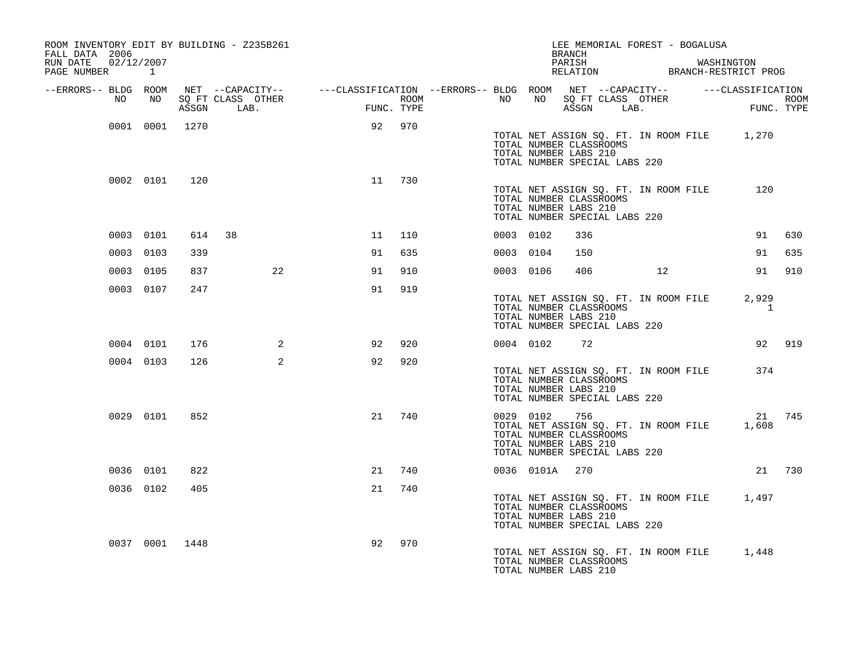| FALL DATA 2006                       |           |           |                | ROOM INVENTORY EDIT BY BUILDING - Z235B261 |    |            |           |                | <b>BRANCH</b>                                                                                      |     | LEE MEMORIAL FOREST - BOGALUSA        |    |                                                 |        |
|--------------------------------------|-----------|-----------|----------------|--------------------------------------------|----|------------|-----------|----------------|----------------------------------------------------------------------------------------------------|-----|---------------------------------------|----|-------------------------------------------------|--------|
| RUN DATE 02/12/2007<br>PAGE NUMBER 1 |           |           |                |                                            |    |            |           |                |                                                                                                    |     |                                       |    | PARISH WASHINGTON RELATION BRANCH-RESTRICT PROG |        |
| --ERRORS-- BLDG ROOM                 | NO        | NO        |                |                                            |    |            |           |                |                                                                                                    |     |                                       |    |                                                 |        |
|                                      |           |           | ASSGN          | LAB.                                       |    | FUNC. TYPE |           |                |                                                                                                    |     | ASSGN LAB.                            |    | FUNC. TYPE                                      |        |
|                                      |           |           | 0001 0001 1270 |                                            |    | 92 970     |           |                | TOTAL NUMBER CLASSROOMS<br>TOTAL NUMBER LABS 210<br>TOTAL NUMBER SPECIAL LABS 220                  |     |                                       |    | TOTAL NET ASSIGN SQ. FT. IN ROOM FILE 1,270     |        |
|                                      |           | 0002 0101 | 120            |                                            | 11 | 730        |           |                | TOTAL NUMBER CLASSROOMS<br>TOTAL NUMBER LABS 210<br>TOTAL NUMBER SPECIAL LABS 220                  |     | TOTAL NET ASSIGN SQ. FT. IN ROOM FILE |    | 120                                             |        |
|                                      |           | 0003 0101 |                | 614 38                                     | 11 | 110        | 0003 0102 |                | 336                                                                                                |     |                                       |    | 91                                              | 630    |
|                                      | 0003 0103 |           | 339            |                                            | 91 | 635        | 0003 0104 |                | 150                                                                                                |     |                                       |    | 91                                              | 635    |
|                                      | 0003 0105 |           | 837            | 22                                         | 91 | 910        |           | 0003 0106      |                                                                                                    | 406 |                                       | 12 |                                                 | 91 910 |
|                                      |           | 0003 0107 | 247            |                                            | 91 | 919        |           |                | TOTAL NUMBER CLASSROOMS<br>TOTAL NUMBER LABS 210<br>TOTAL NUMBER SPECIAL LABS 220                  |     | TOTAL NET ASSIGN SQ. FT. IN ROOM FILE |    | 2,929<br>$\mathbf{1}$                           |        |
|                                      |           | 0004 0101 | 176            | 2                                          | 92 | 920        |           | 0004 0102 72   |                                                                                                    |     |                                       |    |                                                 | 92 919 |
|                                      |           | 0004 0103 | 126            | 2                                          | 92 | 920        |           |                | TOTAL NUMBER CLASSROOMS<br>TOTAL NUMBER LABS 210<br>TOTAL NUMBER SPECIAL LABS 220                  |     | TOTAL NET ASSIGN SQ. FT. IN ROOM FILE |    | 374                                             |        |
|                                      |           | 0029 0101 | 852            |                                            | 21 | 740        |           |                | 0029 0102 756<br>TOTAL NUMBER CLASSROOMS<br>TOTAL NUMBER LABS 210<br>TOTAL NUMBER SPECIAL LABS 220 |     | TOTAL NET ASSIGN SQ. FT. IN ROOM FILE |    | 1,608                                           | 21 745 |
|                                      |           | 0036 0101 | 822            |                                            | 21 | 740        |           | 0036 0101A 270 |                                                                                                    |     |                                       |    |                                                 | 21 730 |
|                                      |           | 0036 0102 | 405            |                                            | 21 | 740        |           |                | TOTAL NUMBER CLASSROOMS<br>TOTAL NUMBER LABS 210<br>TOTAL NUMBER SPECIAL LABS 220                  |     |                                       |    | TOTAL NET ASSIGN SQ. FT. IN ROOM FILE 1,497     |        |
|                                      |           |           | 0037 0001 1448 |                                            | 92 | 970        |           |                | TOTAL NUMBER CLASSROOMS<br>TOTAL NUMBER LABS 210                                                   |     |                                       |    | TOTAL NET ASSIGN SQ. FT. IN ROOM FILE 1,448     |        |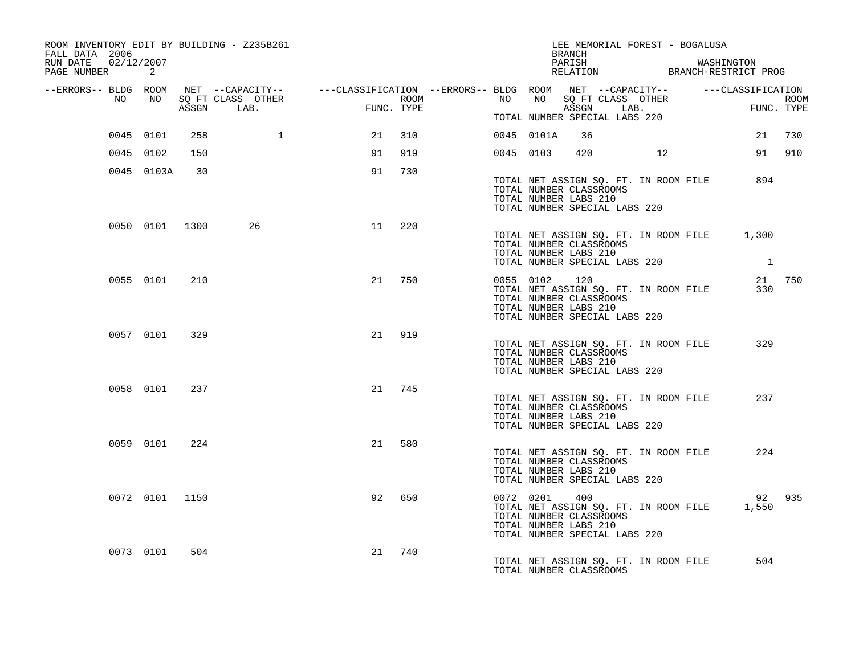| ROOM INVENTORY EDIT BY BUILDING - Z235B261<br>FALL DATA 2006<br>RUN DATE 02/12/2007<br>PAGE NUMBER | 2              |                 |              |                                                                                                                                                                                                                        |     |  |               | <b>BRANCH</b>                                    | LEE MEMORIAL FOREST - BOGALUSA<br>PARISH WASHINGTON RELATION BRANCH-RESTRICT PROG |    |          |        |
|----------------------------------------------------------------------------------------------------|----------------|-----------------|--------------|------------------------------------------------------------------------------------------------------------------------------------------------------------------------------------------------------------------------|-----|--|---------------|--------------------------------------------------|-----------------------------------------------------------------------------------|----|----------|--------|
|                                                                                                    |                |                 |              | ERRORS-- BLDG ROOM NET --CAPACITY--- --CLASSIFICATION--ERRORS-- BLDG ROOM NET --CAPACITY---------------------<br>NO NO SQ FT CLASS OTHER ROOM ROOM NO SQ FT CLASS OTHER ROOM ROOM NO SQ FT CLASS OTHER ROOM ASSGN LAB. |     |  |               |                                                  |                                                                                   |    |          |        |
|                                                                                                    |                |                 |              |                                                                                                                                                                                                                        |     |  |               |                                                  | TOTAL NUMBER SPECIAL LABS 220                                                     |    |          |        |
|                                                                                                    | 0045 0101      | 258             | $\mathbf{1}$ | 21                                                                                                                                                                                                                     | 310 |  | 0045 0101A    | 36                                               |                                                                                   |    |          | 21 730 |
|                                                                                                    | 0045 0102      | 150             |              | 91                                                                                                                                                                                                                     | 919 |  | 0045 0103     |                                                  | 420 and $\sim$                                                                    | 12 |          | 91 910 |
|                                                                                                    | 0045 0103A     | $\overline{30}$ |              | 91                                                                                                                                                                                                                     | 730 |  |               | TOTAL NUMBER CLASSROOMS<br>TOTAL NUMBER LABS 210 | TOTAL NET ASSIGN SQ. FT. IN ROOM FILE<br>TOTAL NUMBER SPECIAL LABS 220            |    | 894      |        |
|                                                                                                    | 0050 0101 1300 |                 | 26           | 11                                                                                                                                                                                                                     | 220 |  |               | TOTAL NUMBER CLASSROOMS<br>TOTAL NUMBER LABS 210 | TOTAL NET ASSIGN SQ. FT. IN ROOM FILE 1,300<br>TOTAL NUMBER SPECIAL LABS 220      |    | $\sim$ 1 |        |
|                                                                                                    | 0055 0101      | 210             |              | 21                                                                                                                                                                                                                     | 750 |  | 0055 0102 120 | TOTAL NUMBER CLASSROOMS<br>TOTAL NUMBER LABS 210 | TOTAL NET ASSIGN SQ. FT. IN ROOM FILE<br>TOTAL NUMBER SPECIAL LABS 220            |    | 330      | 21 750 |
|                                                                                                    | 0057 0101      | 329             |              | 21                                                                                                                                                                                                                     | 919 |  |               | TOTAL NUMBER CLASSROOMS<br>TOTAL NUMBER LABS 210 | TOTAL NET ASSIGN SQ. FT. IN ROOM FILE<br>TOTAL NUMBER SPECIAL LABS 220            |    | 329      |        |
|                                                                                                    | 0058 0101      | 237             |              | 21                                                                                                                                                                                                                     | 745 |  |               | TOTAL NUMBER CLASSROOMS<br>TOTAL NUMBER LABS 210 | TOTAL NET ASSIGN SQ. FT. IN ROOM FILE<br>TOTAL NUMBER SPECIAL LABS 220            |    | 237      |        |
|                                                                                                    | 0059 0101      | 224             |              | 21                                                                                                                                                                                                                     | 580 |  |               | TOTAL NUMBER CLASSROOMS<br>TOTAL NUMBER LABS 210 | TOTAL NET ASSIGN SQ. FT. IN ROOM FILE<br>TOTAL NUMBER SPECIAL LABS 220            |    | 224      |        |
|                                                                                                    | 0072 0101 1150 |                 |              | 92                                                                                                                                                                                                                     | 650 |  | 0072 0201 400 | TOTAL NUMBER CLASSROOMS<br>TOTAL NUMBER LABS 210 | TOTAL NET ASSIGN SQ. FT. IN ROOM FILE<br>TOTAL NUMBER SPECIAL LABS 220            |    | 1,550    | 92 935 |
|                                                                                                    | 0073 0101      | 504             |              | 21                                                                                                                                                                                                                     | 740 |  |               | TOTAL NUMBER CLASSROOMS                          | TOTAL NET ASSIGN SQ. FT. IN ROOM FILE                                             |    | 504      |        |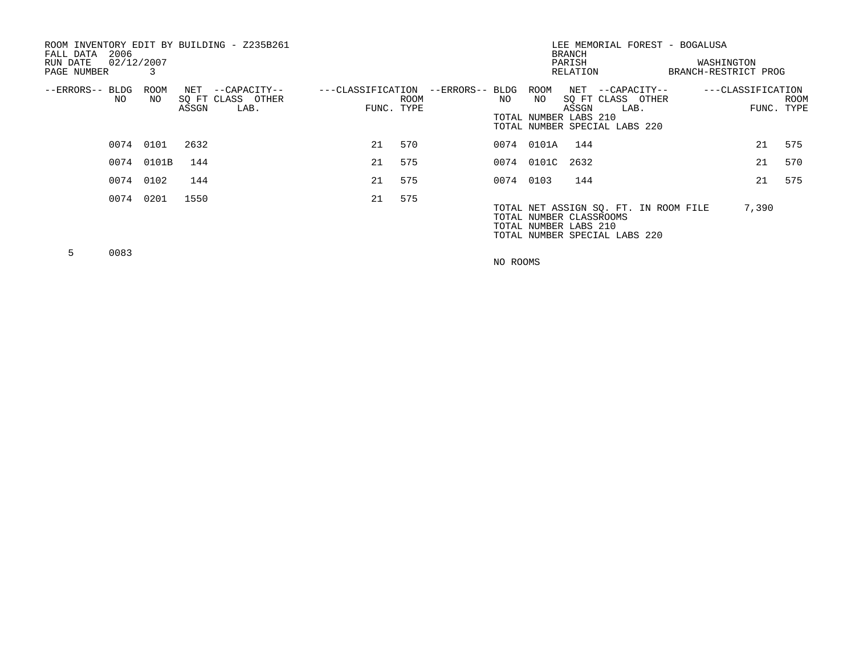| 2006<br>FALL DATA<br>02/12/2007<br>RUN DATE<br>PAGE NUMBER<br>$\sim$ 3 | ROOM INVENTORY EDIT BY BUILDING - Z235B261                            |                                         | LEE MEMORIAL FOREST - BOGALUSA<br><b>BRANCH</b><br>PARISH<br>RELATION                                                                                    | WASHINGTON<br>BRANCH-RESTRICT PROG             |
|------------------------------------------------------------------------|-----------------------------------------------------------------------|-----------------------------------------|----------------------------------------------------------------------------------------------------------------------------------------------------------|------------------------------------------------|
| --ERRORS-- BLDG<br>NO                                                  | ROOM<br>NET --CAPACITY--<br>NO.<br>SQ FT CLASS OTHER<br>LAB.<br>ASSGN | ---CLASSIFICATION<br>ROOM<br>FUNC. TYPE | --ERRORS-- BLDG<br>ROOM<br>NET --CAPACITY--<br>NO<br>SQ FT CLASS OTHER<br>NO.<br>ASSGN<br>LAB.<br>TOTAL NUMBER LABS 210<br>TOTAL NUMBER SPECIAL LABS 220 | ---CLASSIFICATION<br><b>ROOM</b><br>FUNC. TYPE |
| 0074 0101                                                              | 2632                                                                  | 570<br>21                               | 0074 0101A 144                                                                                                                                           | 21<br>575                                      |
| 0074 0101B                                                             | 144                                                                   | 575<br>21                               | 0074 0101C<br>2632                                                                                                                                       | 21<br>570                                      |
| 0074 0102                                                              | 144                                                                   | 575<br>21                               | 0074 0103<br>144                                                                                                                                         | 21<br>575                                      |
| 0074 0201                                                              | 1550                                                                  | 575<br>21                               | TOTAL NET ASSIGN SQ. FT. IN ROOM FILE<br>TOTAL NUMBER CLASSROOMS<br>TOTAL NUMBER LABS 210<br>TOTAL NUMBER SPECIAL LABS 220                               | 7,390                                          |
| 0083                                                                   |                                                                       |                                         |                                                                                                                                                          |                                                |

NO ROOMS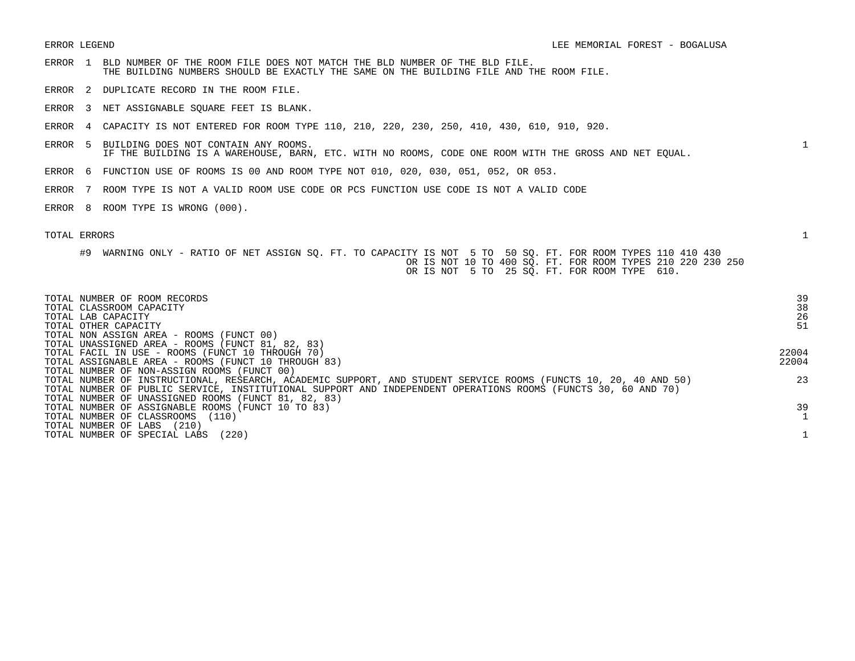- ERROR 1 BLD NUMBER OF THE ROOM FILE DOES NOT MATCH THE BLD NUMBER OF THE BLD FILE. THE BUILDING NUMBERS SHOULD BE EXACTLY THE SAME ON THE BUILDING FILE AND THE ROOM FILE.
- ERROR 2 DUPLICATE RECORD IN THE ROOM FILE.
- ERROR 3 NET ASSIGNABLE SQUARE FEET IS BLANK.
- ERROR 4 CAPACITY IS NOT ENTERED FOR ROOM TYPE 110, 210, 220, 230, 250, 410, 430, 610, 910, 920.
- ERROR 5 BUILDING DOES NOT CONTAIN ANY ROOMS. 1 IF THE BUILDING IS A WAREHOUSE, BARN, ETC. WITH NO ROOMS, CODE ONE ROOM WITH THE GROSS AND NET EQUAL.
- ERROR 6 FUNCTION USE OF ROOMS IS 00 AND ROOM TYPE NOT 010, 020, 030, 051, 052, OR 053.
- ERROR 7 ROOM TYPE IS NOT A VALID ROOM USE CODE OR PCS FUNCTION USE CODE IS NOT A VALID CODE
- ERROR 8 ROOM TYPE IS WRONG (000).

| TOTAL NUMBER OF ROOM RECORDS<br>TOTAL CLASSROOM CAPACITY<br>TOTAL LAB CAPACITY<br>TOTAL OTHER CAPACITY<br>TOTAL NON ASSIGN AREA - ROOMS (FUNCT 00) | 39<br>38<br>26<br>51 |
|----------------------------------------------------------------------------------------------------------------------------------------------------|----------------------|
| TOTAL UNASSIGNED AREA - ROOMS (FUNCT 81, 82, 83)                                                                                                   |                      |
| TOTAL FACIL IN USE - ROOMS (FUNCT 10 THROUGH 70)                                                                                                   | 22004                |
| TOTAL ASSIGNABLE AREA - ROOMS (FUNCT 10 THROUGH 83)                                                                                                | 22004                |
| TOTAL NUMBER OF NON-ASSIGN ROOMS (FUNCT 00)                                                                                                        |                      |
| TOTAL NUMBER OF INSTRUCTIONAL, RESEARCH, ACADEMIC SUPPORT, AND STUDENT SERVICE ROOMS (FUNCTS 10, 20, 40 AND 50)                                    | 23                   |
| TOTAL NUMBER OF PUBLIC SERVICE, INSTITUTIONAL SUPPORT AND INDEPENDENT OPERATIONS ROOMS (FUNCTS 30, 60 AND 70)                                      |                      |
| TOTAL NUMBER OF UNASSIGNED ROOMS (FUNCT 81, 82, 83)                                                                                                |                      |
| TOTAL NUMBER OF ASSIGNABLE ROOMS (FUNCT 10 TO 83)                                                                                                  | 39                   |
| TOTAL NUMBER OF CLASSROOMS<br>(110)                                                                                                                |                      |
| TOTAL NUMBER OF LABS<br>(210)                                                                                                                      |                      |
| TOTAL NUMBER OF SPECIAL LABS<br>(220)                                                                                                              |                      |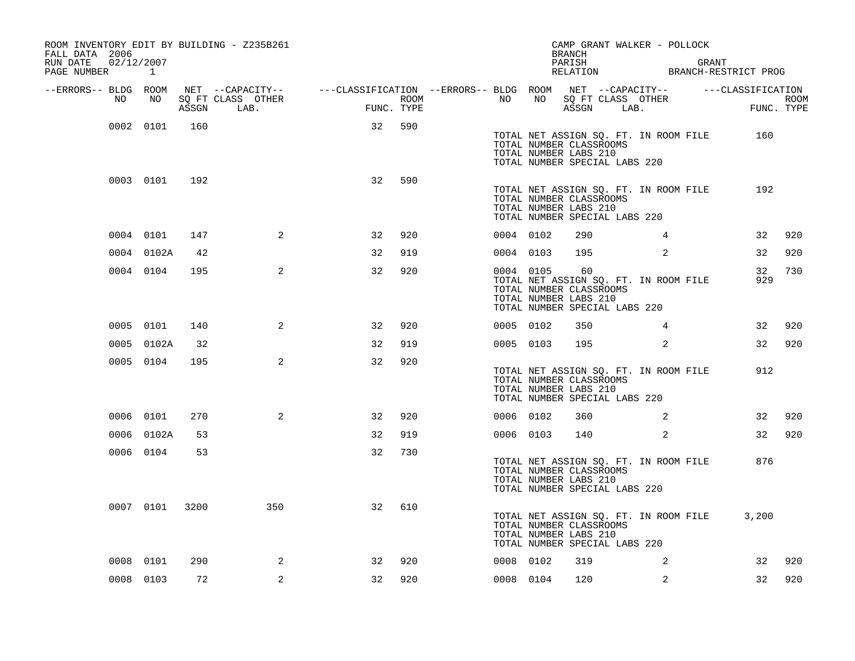| ROOM INVENTORY EDIT BY BUILDING - Z235B261<br>FALL DATA 2006<br>RUN DATE<br>PAGE NUMBER 1 | 02/12/2007      |     |                                 |                                                                                                                                                                                                                                              |     |                  |           |           | <b>BRANCH</b><br>PARISH                                                                 | CAMP GRANT WALKER - POLLOCK<br>PARISH GRANT<br>RELATION BRANCH-RESTRICT PROG | GRANT |           |                    |
|-------------------------------------------------------------------------------------------|-----------------|-----|---------------------------------|----------------------------------------------------------------------------------------------------------------------------------------------------------------------------------------------------------------------------------------------|-----|------------------|-----------|-----------|-----------------------------------------------------------------------------------------|------------------------------------------------------------------------------|-------|-----------|--------------------|
| --ERRORS-- BLDG ROOM                                                                      |                 |     |                                 | NET --CAPACITY-- - ---CLASSIFICATION --ERRORS-- BLDG ROOM NET --CAPACITY-- - ---CLASSIFICATION                                                                                                                                               |     |                  |           |           |                                                                                         |                                                                              |       |           |                    |
| NO                                                                                        | NO <sub>1</sub> |     | SQ FT CLASS OTHER<br>ASSGN LAB. | and a straight for the state of the state of the state of the state of the state of the state of the state of the state of the state of the state of the state of the state of the state of the state of the state of the stat<br>FUNC. TYPE |     | ROOM <b>ROOM</b> | NO        |           | ASSGN LAB.                                                                              | NO SQ FT CLASS OTHER                                                         |       |           | ROOM<br>FUNC. TYPE |
|                                                                                           | 0002 0101       | 160 |                                 | 32                                                                                                                                                                                                                                           | 590 |                  |           |           |                                                                                         |                                                                              |       |           |                    |
|                                                                                           |                 |     |                                 |                                                                                                                                                                                                                                              |     |                  |           |           | TOTAL NUMBER CLASSROOMS<br>TOTAL NUMBER LABS 210<br>TOTAL NUMBER SPECIAL LABS 220       | TOTAL NET ASSIGN SQ. FT. IN ROOM FILE                                        |       | 160       |                    |
|                                                                                           | 0003 0101       | 192 |                                 | 32                                                                                                                                                                                                                                           | 590 |                  |           |           | TOTAL NUMBER CLASSROOMS<br>TOTAL NUMBER LABS 210<br>TOTAL NUMBER SPECIAL LABS 220       | TOTAL NET ASSIGN SQ. FT. IN ROOM FILE                                        |       | 192       |                    |
|                                                                                           | 0004 0101       | 147 | 2                               | 32                                                                                                                                                                                                                                           | 920 |                  | 0004 0102 |           | 290                                                                                     | $4\overline{ }$                                                              |       | 32        | 920                |
|                                                                                           | 0004 0102A      | 42  |                                 | 32                                                                                                                                                                                                                                           | 919 |                  | 0004 0103 |           | 195                                                                                     | 2                                                                            |       | 32        | 920                |
|                                                                                           | 0004 0104       | 195 | 2                               | 32                                                                                                                                                                                                                                           | 920 |                  |           | 0004 0105 | 60<br>TOTAL NUMBER CLASSROOMS<br>TOTAL NUMBER LABS 210<br>TOTAL NUMBER SPECIAL LABS 220 | TOTAL NET ASSIGN SQ. FT. IN ROOM FILE                                        |       | 32<br>929 | 730                |
|                                                                                           | 0005 0101       | 140 | 2                               | 32                                                                                                                                                                                                                                           | 920 |                  | 0005 0102 |           | 350                                                                                     | $\overline{4}$                                                               |       | 32        | 920                |
|                                                                                           | 0005 0102A      | 32  |                                 | 32                                                                                                                                                                                                                                           | 919 |                  |           | 0005 0103 | 195                                                                                     | 2                                                                            |       | 32        | 920                |
|                                                                                           | 0005 0104       | 195 | 2                               | 32                                                                                                                                                                                                                                           | 920 |                  |           |           | TOTAL NUMBER CLASSROOMS<br>TOTAL NUMBER LABS 210<br>TOTAL NUMBER SPECIAL LABS 220       | TOTAL NET ASSIGN SQ. FT. IN ROOM FILE                                        |       | 912       |                    |
|                                                                                           | 0006 0101       | 270 | 2                               | 32                                                                                                                                                                                                                                           | 920 |                  | 0006 0102 |           | 360                                                                                     | 2                                                                            |       | 32        | 920                |
|                                                                                           | 0006 0102A      | 53  |                                 | 32                                                                                                                                                                                                                                           | 919 |                  |           | 0006 0103 | 140                                                                                     | 2                                                                            |       | 32        | 920                |
|                                                                                           | 0006 0104       | 53  |                                 | 32                                                                                                                                                                                                                                           | 730 |                  |           |           | TOTAL NUMBER CLASSROOMS<br>TOTAL NUMBER LABS 210<br>TOTAL NUMBER SPECIAL LABS 220       | TOTAL NET ASSIGN SQ. FT. IN ROOM FILE                                        |       | 876       |                    |
|                                                                                           | 0007 0101 3200  |     | 350                             | 32                                                                                                                                                                                                                                           | 610 |                  |           |           | TOTAL NUMBER CLASSROOMS<br>TOTAL NUMBER LABS 210<br>TOTAL NUMBER SPECIAL LABS 220       | TOTAL NET ASSIGN SQ. FT. IN ROOM FILE                                        |       | 3,200     |                    |
|                                                                                           | 0008 0101       | 290 | 2                               | 32                                                                                                                                                                                                                                           | 920 |                  | 0008 0102 |           | 319                                                                                     | 2                                                                            |       | 32        | 920                |
|                                                                                           | 0008 0103       | 72  | $\overline{a}$                  | 32                                                                                                                                                                                                                                           | 920 |                  |           | 0008 0104 | 120                                                                                     | 2                                                                            |       | 32        | 920                |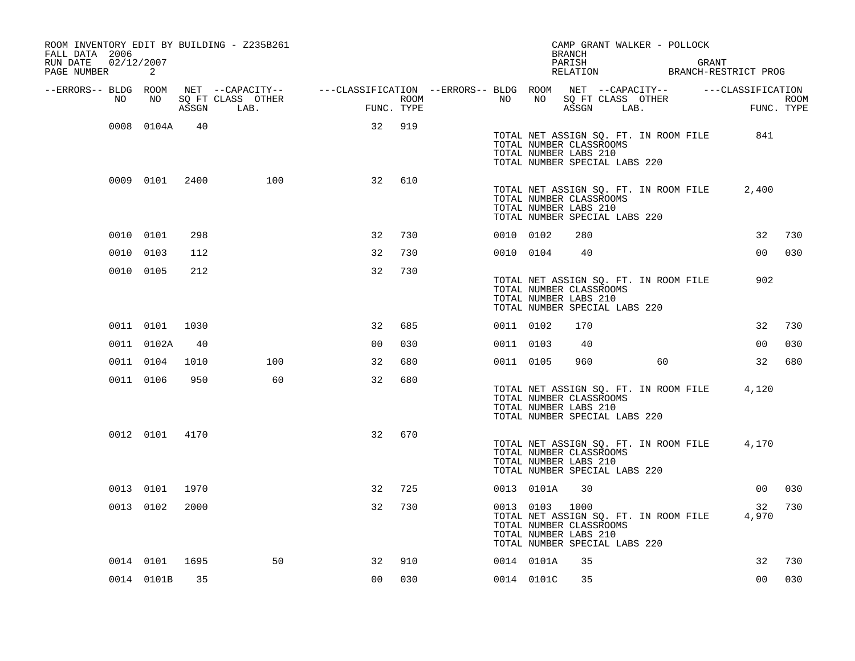| ROOM INVENTORY EDIT BY BUILDING - Z235B261<br>FALL DATA 2006<br>RUN DATE<br>PAGE NUMBER | 02/12/2007<br>2 |      |                                                                                                |                |            |                  |           |                | CAMP GRANT WALKER - POLLOCK<br><b>BRANCH</b><br>PARISH<br>PARISH GRANT<br>RELATION BRANCH-RESTRICT PROG                          |    | GRANT |                 |                    |
|-----------------------------------------------------------------------------------------|-----------------|------|------------------------------------------------------------------------------------------------|----------------|------------|------------------|-----------|----------------|----------------------------------------------------------------------------------------------------------------------------------|----|-------|-----------------|--------------------|
| --ERRORS-- BLDG ROOM                                                                    |                 |      | NET --CAPACITY-- - ---CLASSIFICATION --ERRORS-- BLDG ROOM NET --CAPACITY-- - ---CLASSIFICATION |                |            |                  |           |                |                                                                                                                                  |    |       |                 |                    |
| NO                                                                                      | NO              |      | SQ FT CLASS OTHER<br>ASSGN LAB.                                                                |                | FUNC. TYPE | ROOM <b>ROOM</b> | NO        | NO 11          | SQ FT CLASS OTHER<br>ASSGN LAB.                                                                                                  |    |       |                 | ROOM<br>FUNC. TYPE |
|                                                                                         | 0008 0104A      | 40   |                                                                                                | 32             | 919        |                  |           |                | TOTAL NET ASSIGN SQ. FT. IN ROOM FILE<br>TOTAL NUMBER CLASSROOMS<br>TOTAL NUMBER LABS 210<br>TOTAL NUMBER SPECIAL LABS 220       |    |       | 841             |                    |
|                                                                                         | 0009 0101 2400  |      | 100                                                                                            | 32             | 610        |                  |           |                | TOTAL NET ASSIGN SQ. FT. IN ROOM FILE<br>TOTAL NUMBER CLASSROOMS<br>TOTAL NUMBER LABS 210<br>TOTAL NUMBER SPECIAL LABS 220       |    |       | 2,400           |                    |
|                                                                                         | 0010 0101       | 298  |                                                                                                | 32             | 730        |                  | 0010 0102 |                | 280                                                                                                                              |    |       | 32              | 730                |
|                                                                                         | 0010 0103       | 112  |                                                                                                | 32             | 730        |                  | 0010 0104 |                | 40                                                                                                                               |    |       | 00              | 030                |
|                                                                                         | 0010 0105       | 212  |                                                                                                | 32             | 730        |                  |           |                | TOTAL NET ASSIGN SQ. FT. IN ROOM FILE<br>TOTAL NUMBER CLASSROOMS<br>TOTAL NUMBER LABS 210<br>TOTAL NUMBER SPECIAL LABS 220       |    |       | 902             |                    |
|                                                                                         | 0011 0101 1030  |      |                                                                                                | 32             | 685        |                  | 0011 0102 |                | 170                                                                                                                              |    |       | 32              | 730                |
|                                                                                         | 0011 0102A      | 40   |                                                                                                | 0 <sub>0</sub> | 030        |                  | 0011 0103 |                | 40                                                                                                                               |    |       | 00 <sup>o</sup> | 030                |
|                                                                                         | 0011 0104       | 1010 | 100                                                                                            | 32             | 680        |                  | 0011 0105 |                | 960                                                                                                                              | 60 |       | 32              | 680                |
|                                                                                         | 0011 0106       | 950  | 60                                                                                             | 32             | 680        |                  |           |                | TOTAL NET ASSIGN SQ. FT. IN ROOM FILE 4,120<br>TOTAL NUMBER CLASSROOMS<br>TOTAL NUMBER LABS 210<br>TOTAL NUMBER SPECIAL LABS 220 |    |       |                 |                    |
|                                                                                         | 0012 0101 4170  |      |                                                                                                | 32             | 670        |                  |           |                | TOTAL NET ASSIGN SQ. FT. IN ROOM FILE<br>TOTAL NUMBER CLASSROOMS<br>TOTAL NUMBER LABS 210<br>TOTAL NUMBER SPECIAL LABS 220       |    |       | 4,170           |                    |
|                                                                                         | 0013 0101       | 1970 |                                                                                                | 32             | 725        |                  |           | 0013 0101A     | 30                                                                                                                               |    |       | 00 <sub>o</sub> | 030                |
|                                                                                         | 0013 0102       | 2000 |                                                                                                | 32             | 730        |                  |           | 0013 0103 1000 | TOTAL NET ASSIGN SQ. FT. IN ROOM FILE<br>TOTAL NUMBER CLASSROOMS<br>TOTAL NUMBER LABS 210<br>TOTAL NUMBER SPECIAL LABS 220       |    |       | 32<br>4,970     | 730                |
|                                                                                         | 0014 0101 1695  |      | 50                                                                                             | 32             | 910        |                  |           | 0014 0101A     | 35                                                                                                                               |    |       | 32              | 730                |
|                                                                                         | 0014 0101B      | 35   |                                                                                                | 00             | 030        |                  |           | 0014 0101C     | 35                                                                                                                               |    |       | 00              | 030                |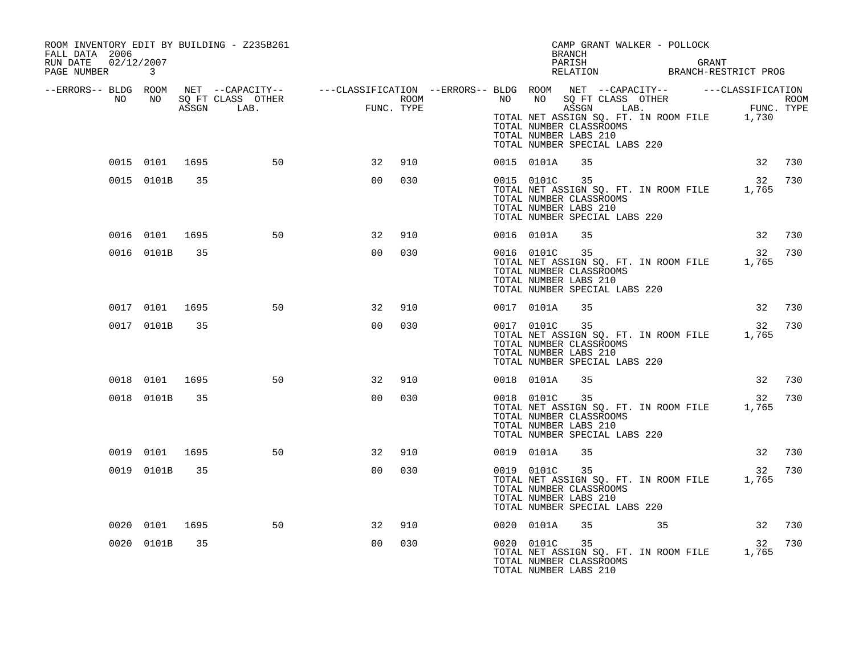| ROOM INVENTORY EDIT BY BUILDING - Z235B261<br>FALL DATA 2006<br>RUN DATE 02/12/2007<br>PAGE NUMBER 3                                                                                                   |                |    |    |                |     |  | <b>BRANCH</b>                          | CAMP GRANT WALKER - POLLOCK                              |    | PARISH GRANT GRANT RELATION BRANCH-RESTRICT PROG                                      |        |
|--------------------------------------------------------------------------------------------------------------------------------------------------------------------------------------------------------|----------------|----|----|----------------|-----|--|----------------------------------------|----------------------------------------------------------|----|---------------------------------------------------------------------------------------|--------|
| ERRORS-- BLDG ROOM NET --CAPACITY--------CLASSIFICATION--ERRORS-- BLDG ROOM NET --CAPACITY------------CLASSIFICATION--<br>NO NO SQ FT CLASS OTHER<br>ASSGN LAB. FUNC. TYPE PURC. TYPE ASSGN ASSGN LAB. |                |    |    |                |     |  |                                        |                                                          |    | ROOM NO NO SQ FT CLASS OTHER ROOM<br>TYPE TOTAL NET ASSIGN SQ. FT. IN ROOM FILE 1,730 |        |
|                                                                                                                                                                                                        |                |    |    |                |     |  | TOTAL NUMBER LABS 210                  | TOTAL NUMBER CLASSROOMS<br>TOTAL NUMBER SPECIAL LABS 220 |    |                                                                                       |        |
|                                                                                                                                                                                                        | 0015 0101 1695 |    | 50 | 32             | 910 |  | 0015 0101A                             | 35                                                       |    |                                                                                       | 32 730 |
|                                                                                                                                                                                                        | 0015 0101B 35  |    |    | 0 <sub>0</sub> | 030 |  | 0015 0101C 35<br>TOTAL NUMBER LABS 210 | TOTAL NUMBER CLASSROOMS<br>TOTAL NUMBER SPECIAL LABS 220 |    | TOTAL NET ASSIGN SQ. FT. IN ROOM FILE 1,765                                           | 32 730 |
|                                                                                                                                                                                                        | 0016 0101 1695 |    | 50 | 32             | 910 |  | 0016 0101A                             | 35                                                       |    |                                                                                       | 32 730 |
|                                                                                                                                                                                                        | 0016 0101B 35  |    |    | 0 <sub>0</sub> | 030 |  | 0016 0101C 35<br>TOTAL NUMBER LABS 210 | TOTAL NUMBER CLASSROOMS<br>TOTAL NUMBER SPECIAL LABS 220 |    | 32<br>TOTAL NET ASSIGN SQ. FT. IN ROOM FILE 1,765                                     | 730    |
|                                                                                                                                                                                                        | 0017 0101 1695 |    | 50 | 32             | 910 |  | 0017 0101A                             | 35                                                       |    |                                                                                       | 32 730 |
|                                                                                                                                                                                                        | 0017 0101B 35  |    |    | 0 <sub>0</sub> | 030 |  | 0017 0101C 35<br>TOTAL NUMBER LABS 210 | TOTAL NUMBER CLASSROOMS<br>TOTAL NUMBER SPECIAL LABS 220 |    | 32<br>TOTAL NET ASSIGN SQ. FT. IN ROOM FILE 1,765                                     | 730    |
|                                                                                                                                                                                                        | 0018 0101 1695 |    | 50 | 32             | 910 |  | 0018 0101A                             | 35                                                       |    |                                                                                       | 32 730 |
|                                                                                                                                                                                                        | 0018 0101B 35  |    |    | 0 <sub>0</sub> | 030 |  | 0018 0101C 35<br>TOTAL NUMBER LABS 210 | TOTAL NUMBER CLASSROOMS<br>TOTAL NUMBER SPECIAL LABS 220 |    | 32<br>TOTAL NET ASSIGN SQ. FT. IN ROOM FILE 1,765                                     | 730    |
|                                                                                                                                                                                                        | 0019 0101 1695 |    | 50 | 32             | 910 |  | 0019 0101A                             | 35                                                       |    |                                                                                       | 32 730 |
|                                                                                                                                                                                                        | 0019 0101B     | 35 |    | 0 <sub>0</sub> | 030 |  | 0019 0101C 35<br>TOTAL NUMBER LABS 210 | TOTAL NUMBER CLASSROOMS<br>TOTAL NUMBER SPECIAL LABS 220 |    | 32<br>TOTAL NET ASSIGN SQ. FT. IN ROOM FILE 1,765                                     | 730    |
|                                                                                                                                                                                                        | 0020 0101 1695 |    | 50 | 32             | 910 |  | 0020 0101A                             | 35                                                       | 35 |                                                                                       | 32 730 |
|                                                                                                                                                                                                        | 0020 0101B     | 35 |    | 0 <sub>0</sub> | 030 |  | 0020 0101C 35<br>TOTAL NUMBER LABS 210 | TOTAL NUMBER CLASSROOMS                                  |    | 32<br>TOTAL NET ASSIGN SQ. FT. IN ROOM FILE 1,765                                     | 730    |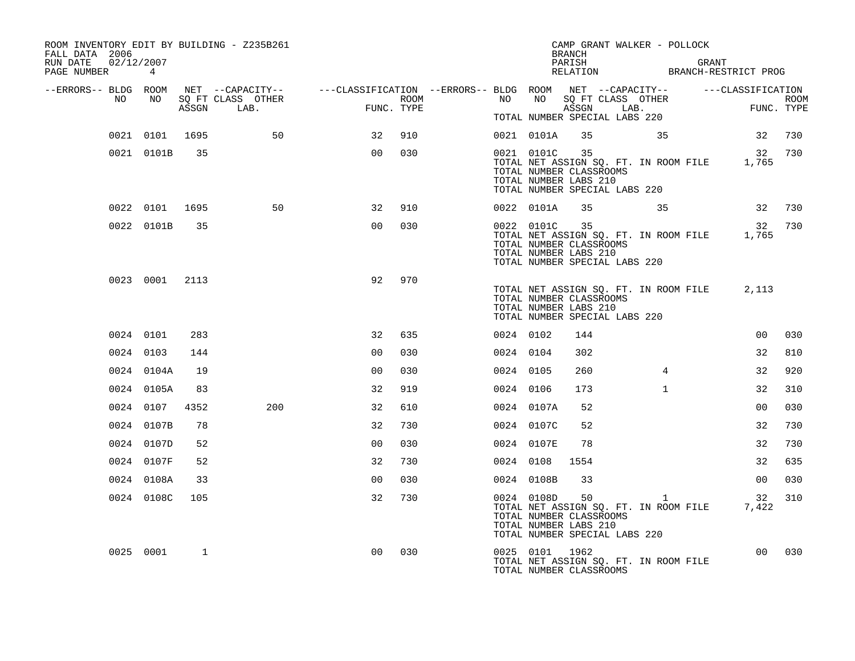| ROOM INVENTORY EDIT BY BUILDING - Z235B261<br>FALL DATA 2006<br>RUN DATE<br>PAGE NUMBER 4 | 02/12/2007     |       |                   |                                                                                                |      |           |                | <b>BRANCH</b>                                          | CAMP GRANT WALKER - POLLOCK                                                            | PARISH GRANT GRANT RELATION BRANCH-RESTRICT PROG |             |
|-------------------------------------------------------------------------------------------|----------------|-------|-------------------|------------------------------------------------------------------------------------------------|------|-----------|----------------|--------------------------------------------------------|----------------------------------------------------------------------------------------|--------------------------------------------------|-------------|
| --ERRORS-- BLDG ROOM<br>NO                                                                | NO             |       | SO FT CLASS OTHER | NET --CAPACITY-- - ---CLASSIFICATION --ERRORS-- BLDG ROOM NET --CAPACITY-- - ---CLASSIFICATION | ROOM | NO        |                |                                                        | NO SOFT CLASS OTHER                                                                    |                                                  | <b>ROOM</b> |
|                                                                                           |                | ASSGN | LAB.              | FUNC. TYPE                                                                                     |      |           |                | ASSGN                                                  | LAB.<br>TOTAL NUMBER SPECIAL LABS 220                                                  |                                                  | FUNC. TYPE  |
|                                                                                           | 0021 0101 1695 |       | 50                | 32                                                                                             | 910  |           | 0021 0101A     | 35                                                     | 35                                                                                     | 32                                               | 730         |
|                                                                                           | 0021 0101B     | 35    |                   | 00                                                                                             | 030  |           | 0021 0101C     | 35<br>TOTAL NUMBER CLASSROOMS<br>TOTAL NUMBER LABS 210 | TOTAL NET ASSIGN SQ. FT. IN ROOM FILE 1,765<br>TOTAL NUMBER SPECIAL LABS 220           | 32                                               | 730         |
|                                                                                           | 0022 0101 1695 |       | 50                | 32                                                                                             | 910  |           | 0022 0101A     | 35                                                     | 35                                                                                     | 32                                               | 730         |
|                                                                                           | 0022 0101B     | 35    |                   | 0 <sub>0</sub>                                                                                 | 030  |           | 0022 0101C     | 35<br>TOTAL NUMBER CLASSROOMS<br>TOTAL NUMBER LABS 210 | TOTAL NET ASSIGN SQ. FT. IN ROOM FILE<br>TOTAL NUMBER SPECIAL LABS 220                 | 32<br>1,765                                      | 730         |
|                                                                                           | 0023 0001      | 2113  |                   | 92                                                                                             | 970  |           |                | TOTAL NUMBER CLASSROOMS<br>TOTAL NUMBER LABS 210       | TOTAL NET ASSIGN SQ. FT. IN ROOM FILE<br>TOTAL NUMBER SPECIAL LABS 220                 | 2,113                                            |             |
|                                                                                           | 0024 0101      | 283   |                   | 32                                                                                             | 635  | 0024 0102 |                | 144                                                    |                                                                                        | 0 <sub>0</sub>                                   | 030         |
|                                                                                           | 0024 0103      | 144   |                   | 0 <sub>0</sub>                                                                                 | 030  | 0024 0104 |                | 302                                                    |                                                                                        | 32                                               | 810         |
|                                                                                           | 0024 0104A     | 19    |                   | 0 <sub>0</sub>                                                                                 | 030  | 0024 0105 |                | 260                                                    | $4^{\circ}$                                                                            | 32                                               | 920         |
|                                                                                           | 0024 0105A     | 83    |                   | 32                                                                                             | 919  | 0024 0106 |                | 173                                                    | $\mathbf{1}$                                                                           | 32                                               | 310         |
|                                                                                           | 0024 0107      | 4352  | 200               | 32                                                                                             | 610  |           | 0024 0107A     | 52                                                     |                                                                                        | 0 <sub>0</sub>                                   | 030         |
|                                                                                           | 0024 0107B     | 78    |                   | 32                                                                                             | 730  |           | 0024 0107C     | 52                                                     |                                                                                        | 32                                               | 730         |
|                                                                                           | 0024 0107D     | 52    |                   | 0 <sub>0</sub>                                                                                 | 030  |           | 0024 0107E     | 78                                                     |                                                                                        | 32                                               | 730         |
|                                                                                           | 0024 0107F     | 52    |                   | 32                                                                                             | 730  |           | 0024 0108      | 1554                                                   |                                                                                        | 32                                               | 635         |
|                                                                                           | 0024 0108A     | 33    |                   | 0 <sub>0</sub>                                                                                 | 030  |           | 0024 0108B     | 33                                                     |                                                                                        | 00                                               | 030         |
|                                                                                           | 0024 0108C     | 105   |                   | 32                                                                                             | 730  |           | 0024 0108D     | 50<br>TOTAL NUMBER CLASSROOMS<br>TOTAL NUMBER LABS 210 | $\mathbf{1}$<br>TOTAL NET ASSIGN SQ. FT. IN ROOM FILE<br>TOTAL NUMBER SPECIAL LABS 220 | 32<br>7,422                                      | 310         |
|                                                                                           | 0025 0001      | 1     |                   | 0 <sub>0</sub>                                                                                 | 030  |           | 0025 0101 1962 | TOTAL NUMBER CLASSROOMS                                | TOTAL NET ASSIGN SQ. FT. IN ROOM FILE                                                  | 00                                               | 030         |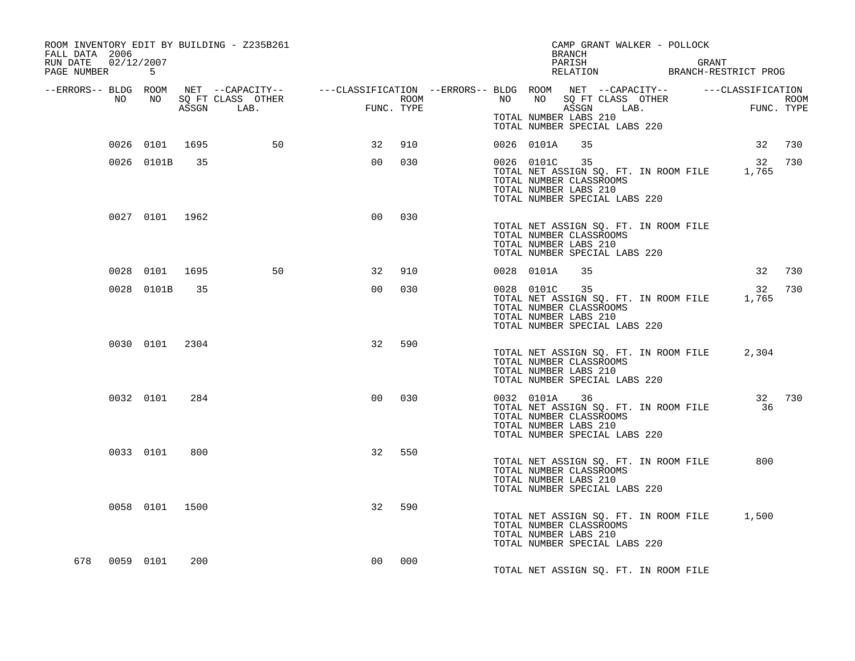| FALL DATA 2006<br>RUN DATE 02/12/2007<br>PAGE NUMBER 5 |    |                |       | ROOM INVENTORY EDIT BY BUILDING - Z235B261 |                                                                                                |      |    |               | CAMP GRANT WALKER - POLLOCK<br><b>BRANCH</b><br>PARISH                                                                           |  | GRANT<br>PARISH GRANT<br>RELATION BRANCH-RESTRICT PROG |            |
|--------------------------------------------------------|----|----------------|-------|--------------------------------------------|------------------------------------------------------------------------------------------------|------|----|---------------|----------------------------------------------------------------------------------------------------------------------------------|--|--------------------------------------------------------|------------|
| --ERRORS-- BLDG ROOM                                   | NO | NO             |       | SQ FT CLASS OTHER                          | NET --CAPACITY-- - ---CLASSIFICATION --ERRORS-- BLDG ROOM NET --CAPACITY-- - ---CLASSIFICATION | ROOM | NO | NO            | SQ FT CLASS OTHER                                                                                                                |  |                                                        | ROOM       |
|                                                        |    |                | ASSGN | LAB.                                       | FUNC<br>FUNC. TYPE                                                                             |      |    |               | ASSGN LAB.<br>TOTAL NUMBER LABS 210<br>TOTAL NUMBER SPECIAL LABS 220                                                             |  | FUN                                                    | FUNC. TYPE |
|                                                        |    | 0026 0101 1695 |       | 50                                         | 32                                                                                             | 910  |    | 0026 0101A    | 35                                                                                                                               |  |                                                        | 32 730     |
|                                                        |    | 0026 0101B     | 35    |                                            | 0 <sub>0</sub>                                                                                 | 030  |    | 0026 0101C    | 35<br>TOTAL NET ASSIGN SQ. FT. IN ROOM FILE<br>TOTAL NUMBER CLASSROOMS<br>TOTAL NUMBER LABS 210<br>TOTAL NUMBER SPECIAL LABS 220 |  | 32<br>1,765                                            | 730        |
|                                                        |    | 0027 0101 1962 |       |                                            | 00                                                                                             | 030  |    |               | TOTAL NET ASSIGN SQ. FT. IN ROOM FILE<br>TOTAL NUMBER CLASSROOMS<br>TOTAL NUMBER LABS 210<br>TOTAL NUMBER SPECIAL LABS 220       |  |                                                        |            |
|                                                        |    | 0028 0101 1695 |       | 50                                         | 32                                                                                             | 910  |    | 0028 0101A    | 35                                                                                                                               |  | 32                                                     | 730        |
|                                                        |    | 0028 0101B     | 35    |                                            | 0 <sub>0</sub>                                                                                 | 030  |    | 0028 0101C 35 | TOTAL NUMBER CLASSROOMS<br>TOTAL NUMBER LABS 210<br>TOTAL NUMBER SPECIAL LABS 220                                                |  | 32<br>TOTAL NET ASSIGN SQ. FT. IN ROOM FILE 1,765      | 730        |
|                                                        |    | 0030 0101 2304 |       |                                            | 32                                                                                             | 590  |    |               | TOTAL NET ASSIGN SQ. FT. IN ROOM FILE<br>TOTAL NUMBER CLASSROOMS<br>TOTAL NUMBER LABS 210<br>TOTAL NUMBER SPECIAL LABS 220       |  | 2,304                                                  |            |
|                                                        |    | 0032 0101      | 284   |                                            | 0 <sub>0</sub>                                                                                 | 030  |    | 0032 0101A    | 36<br>TOTAL NET ASSIGN SQ. FT. IN ROOM FILE<br>TOTAL NUMBER CLASSROOMS<br>TOTAL NUMBER LABS 210<br>TOTAL NUMBER SPECIAL LABS 220 |  | 36                                                     | 32 730     |
|                                                        |    | 0033 0101      | 800   |                                            | 32                                                                                             | 550  |    |               | TOTAL NET ASSIGN SQ. FT. IN ROOM FILE<br>TOTAL NUMBER CLASSROOMS<br>TOTAL NUMBER LABS 210<br>TOTAL NUMBER SPECIAL LABS 220       |  | 800                                                    |            |
|                                                        |    | 0058 0101 1500 |       |                                            | 32                                                                                             | 590  |    |               | TOTAL NUMBER CLASSROOMS<br>TOTAL NUMBER LABS 210<br>TOTAL NUMBER SPECIAL LABS 220                                                |  | TOTAL NET ASSIGN SQ. FT. IN ROOM FILE 1,500            |            |
| 678                                                    |    | 0059 0101      | 200   |                                            | 00                                                                                             | 000  |    |               | TOTAL NET ASSIGN SQ. FT. IN ROOM FILE                                                                                            |  |                                                        |            |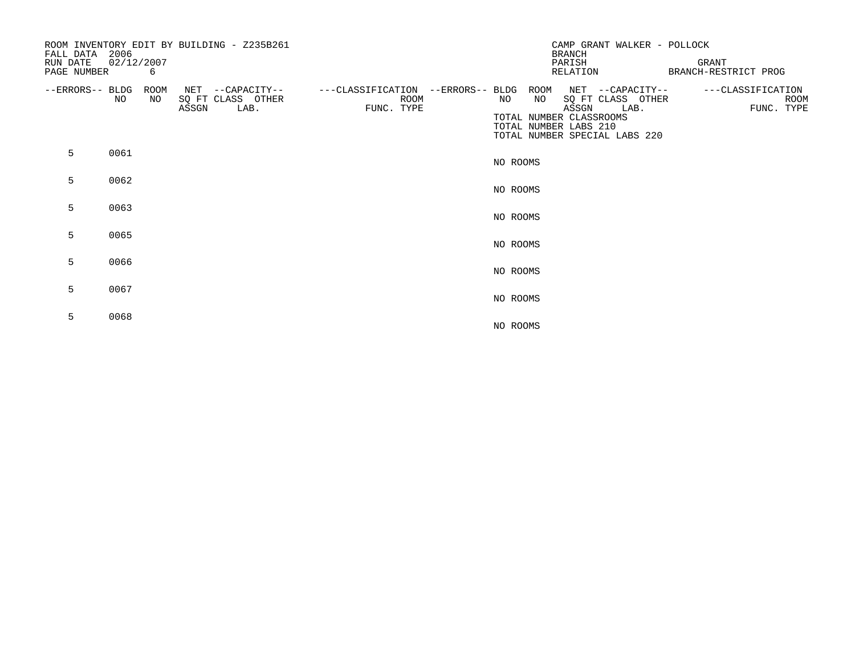| FALL DATA<br>RUN DATE<br>PAGE NUMBER | 2006<br>02/12/2007<br>6 |       | ROOM INVENTORY EDIT BY BUILDING - Z235B261    |                                                         |          | <b>BRANCH</b><br>PARISH<br>RELATION                                     | CAMP GRANT WALKER - POLLOCK                                                    | GRANT<br>BRANCH-RESTRICT PROG                  |  |
|--------------------------------------|-------------------------|-------|-----------------------------------------------|---------------------------------------------------------|----------|-------------------------------------------------------------------------|--------------------------------------------------------------------------------|------------------------------------------------|--|
| --ERRORS-- BLDG                      | ROOM<br>NO<br>NO.       | ASSGN | NET --CAPACITY--<br>SQ FT CLASS OTHER<br>LAB. | ---CLASSIFICATION --ERRORS-- BLDG<br>ROOM<br>FUNC. TYPE | NO       | ROOM<br>NO<br>ASSGN<br>TOTAL NUMBER CLASSROOMS<br>TOTAL NUMBER LABS 210 | NET --CAPACITY--<br>SQ FT CLASS OTHER<br>LAB.<br>TOTAL NUMBER SPECIAL LABS 220 | ---CLASSIFICATION<br><b>ROOM</b><br>FUNC. TYPE |  |
| 5                                    | 0061                    |       |                                               |                                                         | NO ROOMS |                                                                         |                                                                                |                                                |  |
| 5                                    | 0062                    |       |                                               |                                                         | NO ROOMS |                                                                         |                                                                                |                                                |  |
| 5                                    | 0063                    |       |                                               |                                                         | NO ROOMS |                                                                         |                                                                                |                                                |  |
| 5                                    | 0065                    |       |                                               |                                                         | NO ROOMS |                                                                         |                                                                                |                                                |  |
| 5                                    | 0066                    |       |                                               |                                                         | NO ROOMS |                                                                         |                                                                                |                                                |  |
| 5                                    | 0067                    |       |                                               |                                                         | NO ROOMS |                                                                         |                                                                                |                                                |  |
| 5                                    | 0068                    |       |                                               |                                                         | NO ROOMS |                                                                         |                                                                                |                                                |  |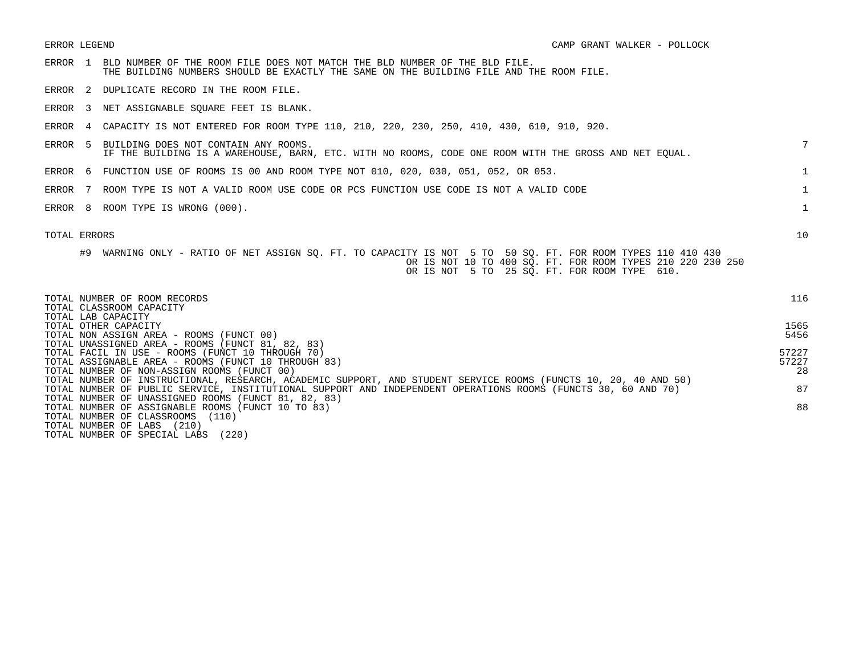ERROR LEGEND CAMP GRANT WALKER - POLLOCK ERROR 1 BLD NUMBER OF THE ROOM FILE DOES NOT MATCH THE BLD NUMBER OF THE BLD FILE. THE BUILDING NUMBERS SHOULD BE EXACTLY THE SAME ON THE BUILDING FILE AND THE ROOM FILE. ERROR 2 DUPLICATE RECORD IN THE ROOM FILE. ERROR 3 NET ASSIGNABLE SQUARE FEET IS BLANK. ERROR 4 CAPACITY IS NOT ENTERED FOR ROOM TYPE 110, 210, 220, 230, 250, 410, 430, 610, 910, 920. ERROR 5 BUILDING DOES NOT CONTAIN ANY ROOMS.  $7$ IF THE BUILDING IS A WAREHOUSE, BARN, ETC. WITH NO ROOMS, CODE ONE ROOM WITH THE GROSS AND NET EQUAL. ERROR 6 FUNCTION USE OF ROOMS IS 00 AND ROOM TYPE NOT 010, 020, 030, 051, 052, OR 053. 1 ERROR 7 ROOM TYPE IS NOT A VALID ROOM USE CODE OR PCS FUNCTION USE CODE IS NOT A VALID CODE 1 ERROR 8 ROOM TYPE IS WRONG (000). TOTAL ERRORS 10 #9 WARNING ONLY - RATIO OF NET ASSIGN SQ. FT. TO CAPACITY IS NOT 5 TO 50 SQ. FT. FOR ROOM TYPES 110 410 430 OR IS NOT 10 TO 400 SQ. FT. FOR ROOM TYPES 210 220 230 250 OR IS NOT 5 TO 25 SQ. FT. FOR ROOM TYPE 610. TOTAL NUMBER OF ROOM RECORDS 116 TOTAL CLASSROOM CAPACITY TOTAL LAB CAPACITY TOTAL OTHER CAPACITY 1565 TOTAL NON ASSIGN AREA - ROOMS (FUNCT 00) 5456 TOTAL UNASSIGNED AREA - ROOMS (FUNCT 81, 82, 83) TOTAL FACIL IN USE - ROOMS (FUNCT 10 THROUGH 70)<br>TOTAL ASSIGNABLE AREA - ROOMS (FUNCT 10 THROUGH 83) SAND BEATLE SERVICE SUPERFOUND ASSIGNABLE AREA - FORMS (FUNCT 10 THROUGH 83) TOTAL ASSIGNABLE AREA - ROOMS (FUNCT 10 THROUGH 83) TOTAL NUMBER OF NON-ASSIGN ROOMS (FUNCT 00) 28 TOTAL NUMBER OF INSTRUCTIONAL, RESEARCH, ACADEMIC SUPPORT, AND STUDENT SERVICE ROOMS (FUNCTS 10, 20, 40 AND 50) TOTAL NUMBER OF PUBLIC SERVICE, INSTITUTIONAL SUPPORT AND INDEPENDENT OPERATIONS ROOMS (FUNCTS 30, 60 AND 70) 87 TOTAL NUMBER OF UNASSIGNED ROOMS (FUNCT 81, 82, 83) TOTAL NUMBER OF ASSIGNABLE ROOMS (FUNCT 10 TO 83) 88 TOTAL NUMBER OF CLASSROOMS (110)

TOTAL NUMBER OF LABS (210)

TOTAL NUMBER OF SPECIAL LABS (220)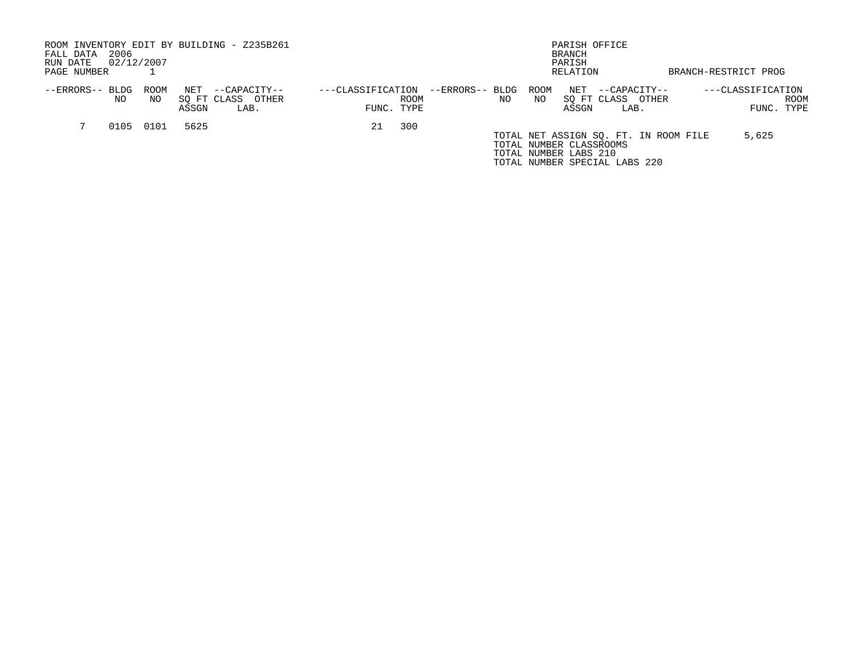| ROOM INVENTORY EDIT BY BUILDING - Z235B261<br>2006<br>FALL DATA<br>02/12/2007<br>RUN DATE<br>PAGE NUMBER |      |            |              |                                           |                   | PARISH OFFICE<br>BRANCH<br>PARISH<br>RELATION |                 |     |                                                  |                             |                                                                        | BRANCH-RESTRICT PROG |                                 |      |
|----------------------------------------------------------------------------------------------------------|------|------------|--------------|-------------------------------------------|-------------------|-----------------------------------------------|-----------------|-----|--------------------------------------------------|-----------------------------|------------------------------------------------------------------------|----------------------|---------------------------------|------|
| --ERRORS-- BLDG                                                                                          | NO.  | ROOM<br>NO | NET<br>ASSGN | --CAPACITY--<br>SO FT CLASS OTHER<br>LAB. | ---CLASSIFICATION | <b>ROOM</b><br>FUNC. TYPE                     | --ERRORS-- BLDG | NO. | ROOM<br>NO.                                      | NET<br>SO FT CLASS<br>ASSGN | --CAPACITY--<br>OTHER<br>LAB.                                          |                      | ---CLASSIFICATION<br>FUNC. TYPE | ROOM |
|                                                                                                          | 0105 | 0101       | 5625         |                                           | 21                | 300                                           |                 |     | TOTAL NUMBER CLASSROOMS<br>TOTAL NUMBER LABS 210 |                             | TOTAL NET ASSIGN SO. FT. IN ROOM FILE<br>TOTAL NUMBER SPECIAL LABS 220 |                      | 5,625                           |      |